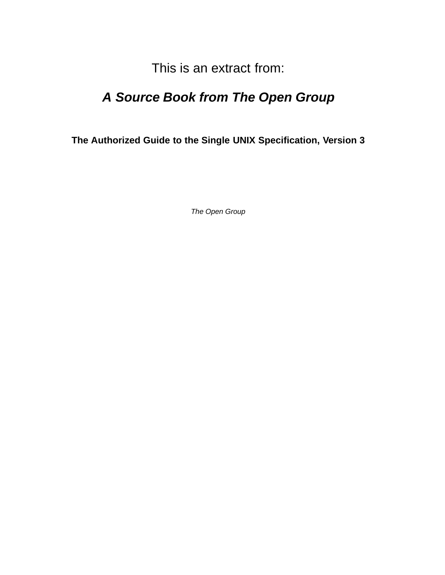This is an extract from:

# **A Source Book from The Open Group**

**The Authorized Guide to the Single UNIX Specification, Version 3**

The Open Group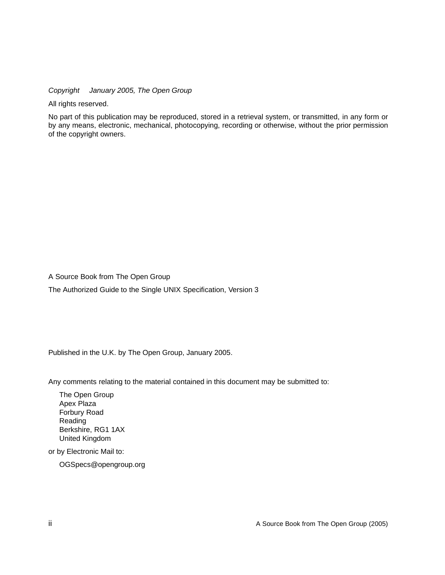# Copyright © January 2005, The Open Group

All rights reserved.

No part of this publication may be reproduced, stored in a retrieval system, or transmitted, in any form or by any means, electronic, mechanical, photocopying, recording or otherwise, without the prior permission of the copyright owners.

A Source Book from The Open Group

The Authorized Guide to the Single UNIX Specification, Version 3

Published in the U.K. by The Open Group, January 2005.

Any comments relating to the material contained in this document may be submitted to:

The Open Group Apex Plaza Forbury Road Reading Berkshire, RG1 1AX United Kingdom

or by Electronic Mail to:

OGSpecs@opengroup.org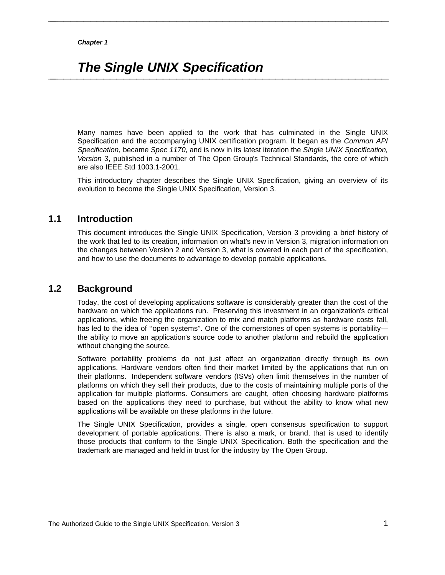#### **Chapter 1**

# **The Single UNIX Specification The Single ONIX Specification**

Many names have been applied to the work that has culminated in the Single UNIX Specification and the accompanying UNIX certification program. It began as the Common API Specification, became Spec 1170, and is now in its latest iteration the Single UNIX Specification, Version 3, published in a number of The Open Group's Technical Standards, the core of which are also IEEE Std 1003.1-2001.

**\_\_\_\_\_\_\_\_\_\_\_\_\_\_\_\_\_\_\_\_\_\_\_\_\_\_\_\_\_\_\_\_\_\_\_\_\_\_\_\_\_\_\_\_\_\_\_\_\_\_\_\_**

This introductory chapter describes the Single UNIX Specification, giving an overview of its evolution to become the Single UNIX Specification, Version 3.

# **1.1 Introduction**

This document introduces the Single UNIX Specification, Version 3 providing a brief history of the work that led to its creation, information on what's new in Version 3, migration information on the changes between Version 2 and Version 3, what is covered in each part of the specification, and how to use the documents to advantage to develop portable applications.

# **1.2 Background**

Today, the cost of developing applications software is considerably greater than the cost of the hardware on which the applications run. Preserving this investment in an organization's critical applications, while freeing the organization to mix and match platforms as hardware costs fall, has led to the idea of "open systems". One of the cornerstones of open systems is portability the ability to move an application's source code to another platform and rebuild the application without changing the source.

Software portability problems do not just affect an organization directly through its own applications. Hardware vendors often find their market limited by the applications that run on their platforms. Independent software vendors (ISVs) often limit themselves in the number of platforms on which they sell their products, due to the costs of maintaining multiple ports of the application for multiple platforms. Consumers are caught, often choosing hardware platforms based on the applications they need to purchase, but without the ability to know what new applications will be available on these platforms in the future.

The Single UNIX Specification, provides a single, open consensus specification to support development of portable applications. There is also a mark, or brand, that is used to identify those products that conform to the Single UNIX Specification. Both the specification and the trademark are managed and held in trust for the industry by The Open Group.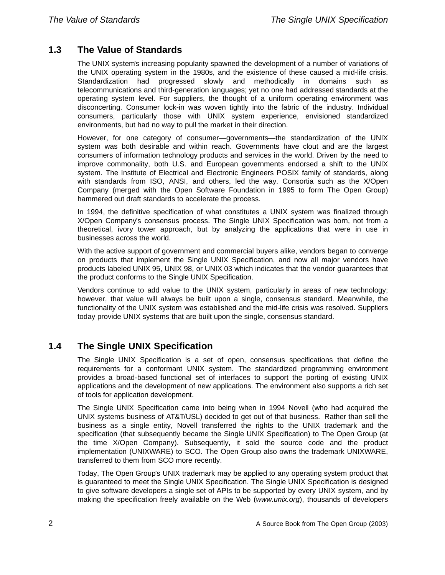# **1.3 The Value of Standards**

The UNIX system's increasing popularity spawned the development of a number of variations of the UNIX operating system in the 1980s, and the existence of these caused a mid-life crisis. Standardization had progressed slowly and methodically in domains such as telecommunications and third-generation languages; yet no one had addressed standards at the operating system level. For suppliers, the thought of a uniform operating environment was disconcerting. Consumer lock-in was woven tightly into the fabric of the industry. Individual consumers, particularly those with UNIX system experience, envisioned standardized environments, but had no way to pull the market in their direction.

However, for one category of consumer—governments—the standardization of the UNIX system was both desirable and within reach. Governments have clout and are the largest consumers of information technology products and services in the world. Driven by the need to improve commonality, both U.S. and European governments endorsed a shift to the UNIX system. The Institute of Electrical and Electronic Engineers POSIX family of standards, along with standards from ISO, ANSI, and others, led the way. Consortia such as the X/Open Company (merged with the Open Software Foundation in 1995 to form The Open Group) hammered out draft standards to accelerate the process.

In 1994, the definitive specification of what constitutes a UNIX system was finalized through X/Open Company's consensus process. The Single UNIX Specification was born, not from a theoretical, ivory tower approach, but by analyzing the applications that were in use in businesses across the world.

With the active support of government and commercial buyers alike, vendors began to converge on products that implement the Single UNIX Specification, and now all major vendors have products labeled UNIX 95, UNIX 98, or UNIX 03 which indicates that the vendor guarantees that the product conforms to the Single UNIX Specification.

Vendors continue to add value to the UNIX system, particularly in areas of new technology; however, that value will always be built upon a single, consensus standard. Meanwhile, the functionality of the UNIX system was established and the mid-life crisis was resolved. Suppliers today provide UNIX systems that are built upon the single, consensus standard.

# **1.4 The Single UNIX Specification**

The Single UNIX Specification is a set of open, consensus specifications that define the requirements for a conformant UNIX system. The standardized programming environment provides a broad-based functional set of interfaces to support the porting of existing UNIX applications and the development of new applications. The environment also supports a rich set of tools for application development.

The Single UNIX Specification came into being when in 1994 Novell (who had acquired the UNIX systems business of AT&T/USL) decided to get out of that business. Rather than sell the business as a single entity, Novell transferred the rights to the UNIX trademark and the specification (that subsequently became the Single UNIX Specification) to The Open Group (at the time X/Open Company). Subsequently, it sold the source code and the product implementation (UNIXWARE) to SCO. The Open Group also owns the trademark UNIXWARE, transferred to them from SCO more recently.

Today, The Open Group's UNIX trademark may be applied to any operating system product that is guaranteed to meet the Single UNIX Specification. The Single UNIX Specification is designed to give software developers a single set of APIs to be supported by every UNIX system, and by making the specification freely available on the Web (www.unix.org), thousands of developers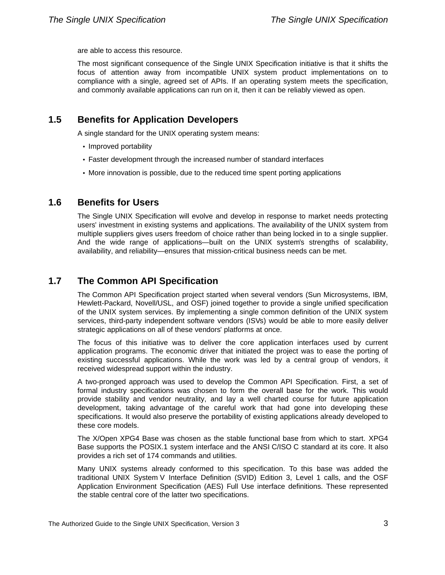are able to access this resource.

The most significant consequence of the Single UNIX Specification initiative is that it shifts the focus of attention away from incompatible UNIX system product implementations on to compliance with a single, agreed set of APIs. If an operating system meets the specification, and commonly available applications can run on it, then it can be reliably viewed as open.

# **1.5 Benefits for Application Developers**

A single standard for the UNIX operating system means:

- Improved portability
- Faster development through the increased number of standard interfaces
- More innovation is possible, due to the reduced time spent porting applications

# **1.6 Benefits for Users**

The Single UNIX Specification will evolve and develop in response to market needs protecting users' investment in existing systems and applications. The availability of the UNIX system from multiple suppliers gives users freedom of choice rather than being locked in to a single supplier. And the wide range of applications—built on the UNIX system's strengths of scalability, availability, and reliability—ensures that mission-critical business needs can be met.

# **1.7 The Common API Specification**

The Common API Specification project started when several vendors (Sun Microsystems, IBM, Hewlett-Packard, Novell/USL, and OSF) joined together to provide a single unified specification of the UNIX system services. By implementing a single common definition of the UNIX system services, third-party independent software vendors (ISVs) would be able to more easily deliver strategic applications on all of these vendors' platforms at once.

The focus of this initiative was to deliver the core application interfaces used by current application programs. The economic driver that initiated the project was to ease the porting of existing successful applications. While the work was led by a central group of vendors, it received widespread support within the industry.

A two-pronged approach was used to develop the Common API Specification. First, a set of formal industry specifications was chosen to form the overall base for the work. This would provide stability and vendor neutrality, and lay a well charted course for future application development, taking advantage of the careful work that had gone into developing these specifications. It would also preserve the portability of existing applications already developed to these core models.

The X/Open XPG4 Base was chosen as the stable functional base from which to start. XPG4 Base supports the POSIX.1 system interface and the ANSI C/ISO C standard at its core. It also provides a rich set of 174 commands and utilities.

Many UNIX systems already conformed to this specification. To this base was added the traditional UNIX System V Interface Definition (SVID) Edition 3, Level 1 calls, and the OSF Application Environment Specification (AES) Full Use interface definitions. These represented the stable central core of the latter two specifications.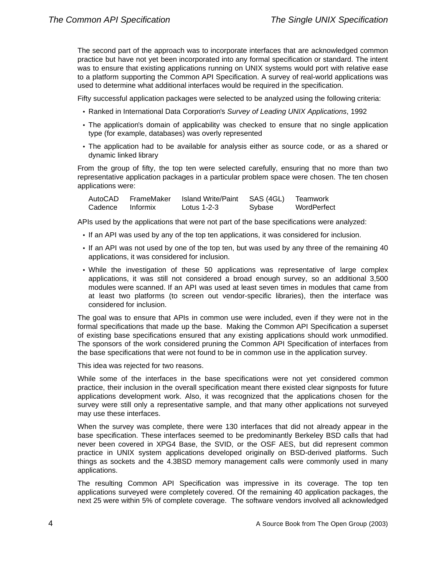The second part of the approach was to incorporate interfaces that are acknowledged common practice but have not yet been incorporated into any formal specification or standard. The intent was to ensure that existing applications running on UNIX systems would port with relative ease to a platform supporting the Common API Specification. A survey of real-world applications was used to determine what additional interfaces would be required in the specification.

Fifty successful application packages were selected to be analyzed using the following criteria:

- Ranked in International Data Corporation's Survey of Leading UNIX Applications, 1992
- The application's domain of applicability was checked to ensure that no single application type (for example, databases) was overly represented
- The application had to be available for analysis either as source code, or as a shared or dynamic linked library

From the group of fifty, the top ten were selected carefully, ensuring that no more than two representative application packages in a particular problem space were chosen. The ten chosen applications were:

| AutoCAD | FrameMaker | Island Write/Paint | SAS (4GL) | Teamwork    |
|---------|------------|--------------------|-----------|-------------|
| Cadence | Informix   | Lotus 1-2-3        | Sybase    | WordPerfect |

APIs used by the applications that were not part of the base specifications were analyzed:

- If an API was used by any of the top ten applications, it was considered for inclusion.
- If an API was not used by one of the top ten, but was used by any three of the remaining 40 applications, it was considered for inclusion.
- While the investigation of these 50 applications was representative of large complex applications, it was still not considered a broad enough survey, so an additional 3,500 modules were scanned. If an API was used at least seven times in modules that came from at least two platforms (to screen out vendor-specific libraries), then the interface was considered for inclusion.

The goal was to ensure that APIs in common use were included, even if they were not in the formal specifications that made up the base. Making the Common API Specification a superset of existing base specifications ensured that any existing applications should work unmodified. The sponsors of the work considered pruning the Common API Specification of interfaces from the base specifications that were not found to be in common use in the application survey.

This idea was rejected for two reasons.

While some of the interfaces in the base specifications were not yet considered common practice, their inclusion in the overall specification meant there existed clear signposts for future applications development work. Also, it was recognized that the applications chosen for the survey were still only a representative sample, and that many other applications not surveyed may use these interfaces.

When the survey was complete, there were 130 interfaces that did not already appear in the base specification. These interfaces seemed to be predominantly Berkeley BSD calls that had never been covered in XPG4 Base, the SVID, or the OSF AES, but did represent common practice in UNIX system applications developed originally on BSD-derived platforms. Such things as sockets and the 4.3BSD memory management calls were commonly used in many applications.

The resulting Common API Specification was impressive in its coverage. The top ten applications surveyed were completely covered. Of the remaining 40 application packages, the next 25 were within 5% of complete coverage. The software vendors involved all acknowledged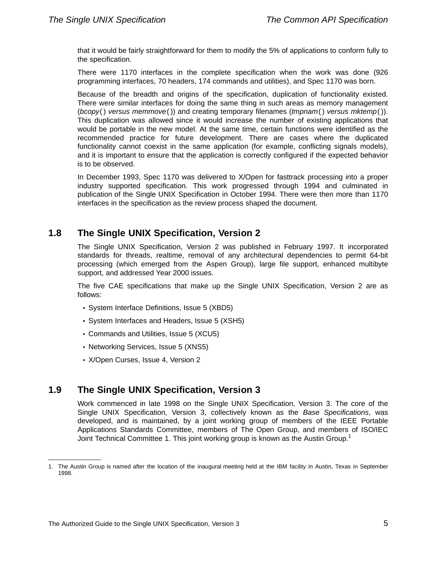that it would be fairly straightforward for them to modify the 5% of applications to conform fully to the specification.

There were 1170 interfaces in the complete specification when the work was done (926 programming interfaces, 70 headers, 174 commands and utilities), and Spec 1170 was born.

Because of the breadth and origins of the specification, duplication of functionality existed. There were similar interfaces for doing the same thing in such areas as memory management  $(bcopy() versus memorye())$  and creating temporary filenames (tmpnam() versus mktemp()). This duplication was allowed since it would increase the number of existing applications that would be portable in the new model. At the same time, certain functions were identified as the recommended practice for future development. There are cases where the duplicated functionality cannot coexist in the same application (for example, conflicting signals models), and it is important to ensure that the application is correctly configured if the expected behavior is to be observed.

In December 1993, Spec 1170 was delivered to X/Open for fasttrack processing into a proper industry supported specification. This work progressed through 1994 and culminated in publication of the Single UNIX Specification in October 1994. There were then more than 1170 interfaces in the specification as the review process shaped the document.

# **1.8 The Single UNIX Specification, Version 2**

The Single UNIX Specification, Version 2 was published in February 1997. It incorporated standards for threads, realtime, removal of any architectural dependencies to permit 64-bit processing (which emerged from the Aspen Group), large file support, enhanced multibyte support, and addressed Year 2000 issues.

The five CAE specifications that make up the Single UNIX Specification, Version 2 are as follows:

- System Interface Definitions, Issue 5 (XBD5)
- System Interfaces and Headers, Issue 5 (XSH5)
- Commands and Utilities, Issue 5 (XCU5)
- Networking Services, Issue 5 (XNS5)
- X/Open Curses, Issue 4, Version 2

# **1.9 The Single UNIX Specification, Version 3**

Work commenced in late 1998 on the Single UNIX Specification, Version 3. The core of the Single UNIX Specification, Version 3, collectively known as the Base Specifications, was developed, and is maintained, by a joint working group of members of the IEEE Portable Applications Standards Committee, members of The Open Group, and members of ISO/IEC Joint Technical Committee 1. This joint working group is known as the Austin Group.<sup>1</sup>

\_\_\_\_\_\_\_\_\_\_\_\_\_\_\_\_\_\_

<sup>1.</sup> The Austin Group is named after the location of the inaugural meeting held at the IBM facility in Austin, Texas in September 1998.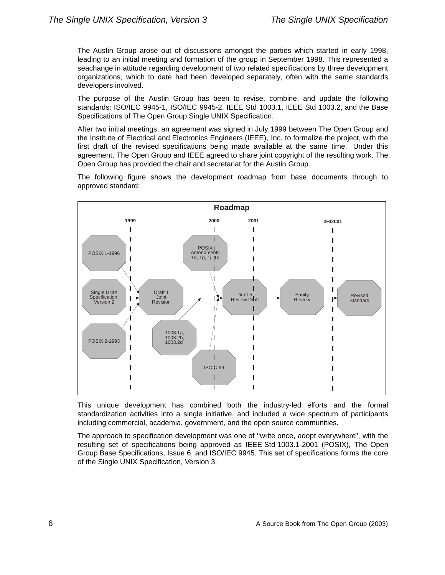The Austin Group arose out of discussions amongst the parties which started in early 1998, leading to an initial meeting and formation of the group in September 1998. This represented a seachange in attitude regarding development of two related specifications by three development organizations, which to date had been developed separately, often with the same standards developers involved.

The purpose of the Austin Group has been to revise, combine, and update the following standards: ISO/IEC 9945-1, ISO/IEC 9945-2, IEEE Std 1003.1, IEEE Std 1003.2, and the Base Specifications of The Open Group Single UNIX Specification.

After two initial meetings, an agreement was signed in July 1999 between The Open Group and the Institute of Electrical and Electronics Engineers (IEEE), Inc. to formalize the project, with the first draft of the revised specifications being made available at the same time. Under this agreement, The Open Group and IEEE agreed to share joint copyright of the resulting work. The Open Group has provided the chair and secretariat for the Austin Group.

The following figure shows the development roadmap from base documents through to approved standard:



This unique development has combined both the industry-led efforts and the formal standardization activities into a single initiative, and included a wide spectrum of participants including commercial, academia, government, and the open source communities.

The approach to specification development was one of ''write once, adopt everywhere'', with the resulting set of specifications being approved as IEEE Std 1003.1-2001 (POSIX), The Open Group Base Specifications, Issue 6, and ISO/IEC 9945. This set of specifications forms the core of the Single UNIX Specification, Version 3.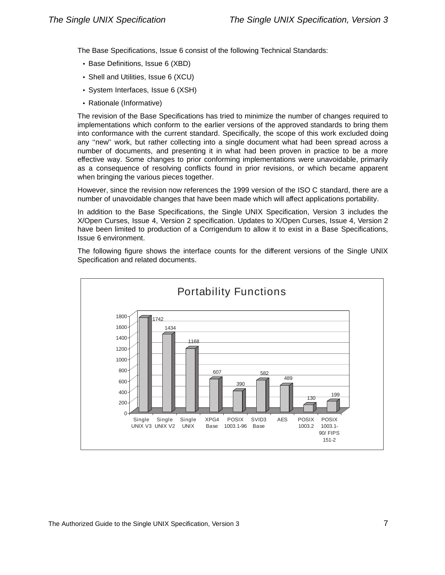The Base Specifications, Issue 6 consist of the following Technical Standards:

- Base Definitions, Issue 6 (XBD)
- Shell and Utilities, Issue 6 (XCU)
- System Interfaces, Issue 6 (XSH)
- Rationale (Informative)

The revision of the Base Specifications has tried to minimize the number of changes required to implementations which conform to the earlier versions of the approved standards to bring them into conformance with the current standard. Specifically, the scope of this work excluded doing any ''new'' work, but rather collecting into a single document what had been spread across a number of documents, and presenting it in what had been proven in practice to be a more effective way. Some changes to prior conforming implementations were unavoidable, primarily as a consequence of resolving conflicts found in prior revisions, or which became apparent when bringing the various pieces together.

However, since the revision now references the 1999 version of the ISO C standard, there are a number of unavoidable changes that have been made which will affect applications portability.

In addition to the Base Specifications, the Single UNIX Specification, Version 3 includes the X/Open Curses, Issue 4, Version 2 specification. Updates to X/Open Curses, Issue 4, Version 2 have been limited to production of a Corrigendum to allow it to exist in a Base Specifications, Issue 6 environment.

The following figure shows the interface counts for the different versions of the Single UNIX Specification and related documents.

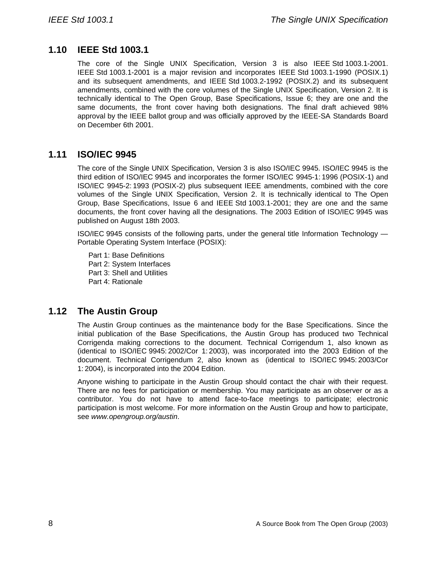# **1.10 IEEE Std 1003.1**

The core of the Single UNIX Specification, Version 3 is also IEEE Std 1003.1-2001. IEEE Std 1003.1-2001 is a major revision and incorporates IEEE Std 1003.1-1990 (POSIX.1) and its subsequent amendments, and IEEE Std 1003.2-1992 (POSIX.2) and its subsequent amendments, combined with the core volumes of the Single UNIX Specification, Version 2. It is technically identical to The Open Group, Base Specifications, Issue 6; they are one and the same documents, the front cover having both designations. The final draft achieved 98% approval by the IEEE ballot group and was officially approved by the IEEE-SA Standards Board on December 6th 2001.

# **1.11 ISO/IEC 9945**

The core of the Single UNIX Specification, Version 3 is also ISO/IEC 9945. ISO/IEC 9945 is the third edition of ISO/IEC 9945 and incorporates the former ISO/IEC 9945-1: 1996 (POSIX-1) and ISO/IEC 9945-2: 1993 (POSIX-2) plus subsequent IEEE amendments, combined with the core volumes of the Single UNIX Specification, Version 2. It is technically identical to The Open Group, Base Specifications, Issue 6 and IEEE Std 1003.1-2001; they are one and the same documents, the front cover having all the designations. The 2003 Edition of ISO/IEC 9945 was published on August 18th 2003.

ISO/IEC 9945 consists of the following parts, under the general title Information Technology — Portable Operating System Interface (POSIX):

Part 1: Base Definitions Part 2: System Interfaces Part 3: Shell and Utilities Part 4: Rationale

# **1.12 The Austin Group**

The Austin Group continues as the maintenance body for the Base Specifications. Since the initial publication of the Base Specifications, the Austin Group has produced two Technical Corrigenda making corrections to the document. Technical Corrigendum 1, also known as (identical to ISO/IEC 9945: 2002/Cor 1: 2003), was incorporated into the 2003 Edition of the document. Technical Corrigendum 2, also known as (identical to ISO/IEC 9945: 2003/Cor 1: 2004), is incorporated into the 2004 Edition.

Anyone wishing to participate in the Austin Group should contact the chair with their request. There are no fees for participation or membership. You may participate as an observer or as a contributor. You do not have to attend face-to-face meetings to participate; electronic participation is most welcome. For more information on the Austin Group and how to participate, see www.opengroup.org/austin.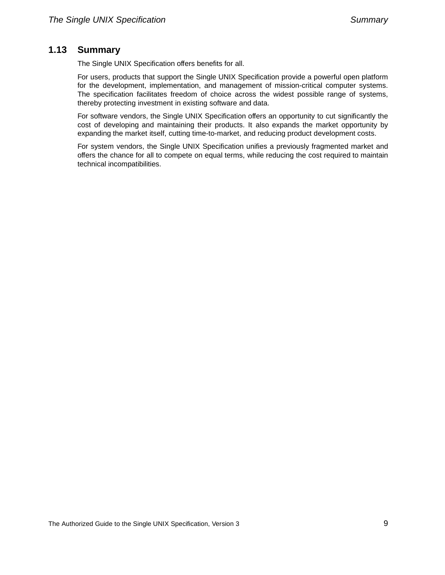# **1.13 Summary**

The Single UNIX Specification offers benefits for all.

For users, products that support the Single UNIX Specification provide a powerful open platform for the development, implementation, and management of mission-critical computer systems. The specification facilitates freedom of choice across the widest possible range of systems, thereby protecting investment in existing software and data.

For software vendors, the Single UNIX Specification offers an opportunity to cut significantly the cost of developing and maintaining their products. It also expands the market opportunity by expanding the market itself, cutting time-to-market, and reducing product development costs.

For system vendors, the Single UNIX Specification unifies a previously fragmented market and offers the chance for all to compete on equal terms, while reducing the cost required to maintain technical incompatibilities.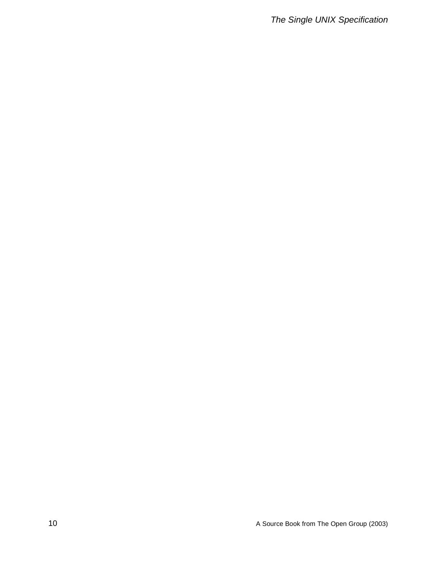The Single UNIX Specification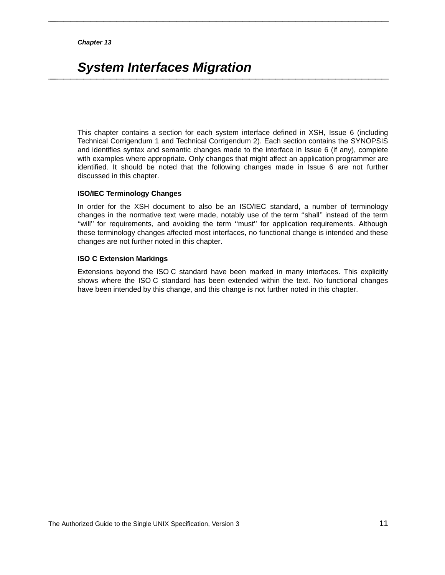# **System Interfaces Migration \_\_\_\_\_\_\_\_\_\_\_\_\_\_\_\_\_\_\_\_\_\_\_\_\_\_\_\_\_\_\_\_\_\_\_\_\_\_\_\_\_\_\_\_\_\_\_\_\_\_\_\_**

This chapter contains a section for each system interface defined in XSH, Issue 6 (including Technical Corrigendum 1 and Technical Corrigendum 2). Each section contains the SYNOPSIS and identifies syntax and semantic changes made to the interface in Issue 6 (if any), complete with examples where appropriate. Only changes that might affect an application programmer are identified. It should be noted that the following changes made in Issue 6 are not further discussed in this chapter.

**\_\_\_\_\_\_\_\_\_\_\_\_\_\_\_\_\_\_\_\_\_\_\_\_\_\_\_\_\_\_\_\_\_\_\_\_\_\_\_\_\_\_\_\_\_\_\_\_\_\_\_\_**

### **ISO/IEC Terminology Changes**

In order for the XSH document to also be an ISO/IEC standard, a number of terminology changes in the normative text were made, notably use of the term ''shall'' instead of the term ''will'' for requirements, and avoiding the term ''must'' for application requirements. Although these terminology changes affected most interfaces, no functional change is intended and these changes are not further noted in this chapter.

#### **ISO C Extension Markings**

Extensions beyond the ISO C standard have been marked in many interfaces. This explicitly shows where the ISO C standard has been extended within the text. No functional changes have been intended by this change, and this change is not further noted in this chapter.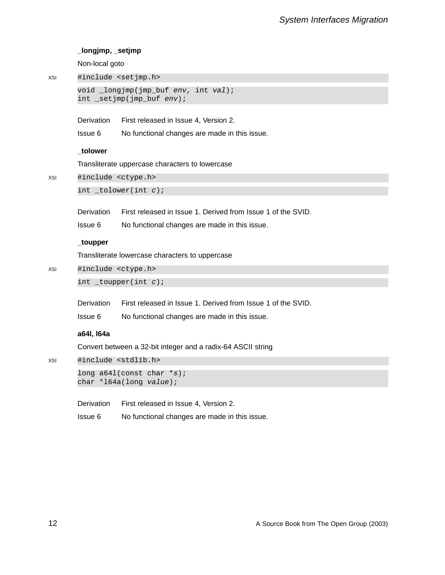### **\_longjmp, \_setjmp**

Non-local goto

XSI #include <setjmp.h>

```
void _longjmp(jmp_buf env, int val);
int _setjmp(jmp_buf env);
```
Derivation First released in Issue 4, Version 2.

Issue 6 No functional changes are made in this issue.

#### **\_tolower**

Transliterate uppercase characters to lowercase

XSI #include <ctype.h>

int \_tolower(int  $c$ );

Derivation First released in Issue 1. Derived from Issue 1 of the SVID.

Issue 6 No functional changes are made in this issue.

## **\_toupper**

Transliterate lowercase characters to uppercase

XSI #include <ctype.h>

int \_toupper(int  $c$ );

Derivation First released in Issue 1. Derived from Issue 1 of the SVID.

Issue 6 No functional changes are made in this issue.

# **a64l, l64a**

Convert between a 32-bit integer and a radix-64 ASCII string

XSI #include <stdlib.h>

long  $a64l$ (const char \*s); char \*l64a(long value);

Derivation First released in Issue 4, Version 2.

Issue 6 No functional changes are made in this issue.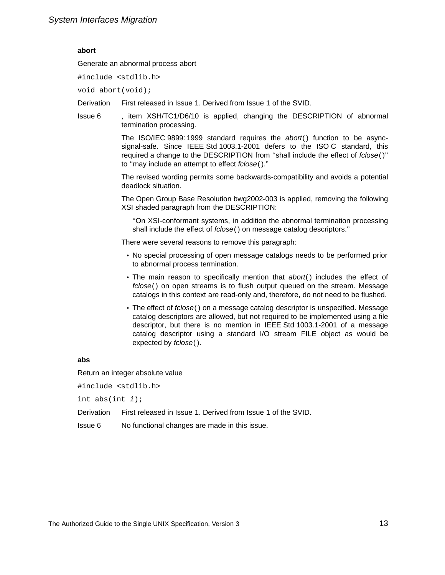### **abort**

Generate an abnormal process abort

#include <stdlib.h>

void abort(void);

Derivation First released in Issue 1. Derived from Issue 1 of the SVID.

Issue 6 , item XSH/TC1/D6/10 is applied, changing the DESCRIPTION of abnormal termination processing.

> The ISO/IEC 9899: 1999 standard requires the *abort*() function to be asyncsignal-safe. Since IEEE Std 1003.1-2001 defers to the ISO C standard, this required a change to the DESCRIPTION from ''shall include the effect of fclose( )'' to ''may include an attempt to effect fclose( ).''

> The revised wording permits some backwards-compatibility and avoids a potential deadlock situation.

> The Open Group Base Resolution bwg2002-003 is applied, removing the following XSI shaded paragraph from the DESCRIPTION:

''On XSI-conformant systems, in addition the abnormal termination processing shall include the effect of fclose( ) on message catalog descriptors.''

There were several reasons to remove this paragraph:

- No special processing of open message catalogs needs to be performed prior to abnormal process termination.
- The main reason to specifically mention that abort() includes the effect of fclose() on open streams is to flush output queued on the stream. Message catalogs in this context are read-only and, therefore, do not need to be flushed.
- The effect of fclose() on a message catalog descriptor is unspecified. Message catalog descriptors are allowed, but not required to be implemented using a file descriptor, but there is no mention in IEEE Std 1003.1-2001 of a message catalog descriptor using a standard I/O stream FILE object as would be expected by *fclose*().

### **abs**

Return an integer absolute value

#include <stdlib.h>

int abs(int  $i$ );

Derivation First released in Issue 1. Derived from Issue 1 of the SVID.

Issue 6 No functional changes are made in this issue.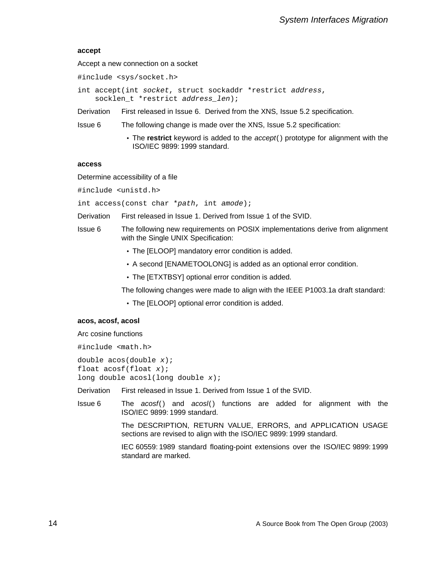### **accept**

Accept a new connection on a socket

#include <sys/socket.h>

int accept(int socket, struct sockaddr \*restrict address, socklen\_t \*restrict address\_len);

Derivation First released in Issue 6. Derived from the XNS, Issue 5.2 specification.

Issue 6 The following change is made over the XNS, Issue 5.2 specification:

• The **restrict** keyword is added to the accept( ) prototype for alignment with the ISO/IEC 9899: 1999 standard.

#### **access**

Determine accessibility of a file

#include <unistd.h>

int access(const char \*path, int amode);

Derivation First released in Issue 1. Derived from Issue 1 of the SVID.

- Issue 6 The following new requirements on POSIX implementations derive from alignment with the Single UNIX Specification:
	- The [ELOOP] mandatory error condition is added.
	- A second [ENAMETOOLONG] is added as an optional error condition.
	- The [ETXTBSY] optional error condition is added.

The following changes were made to align with the IEEE P1003.1a draft standard:

• The [ELOOP] optional error condition is added.

#### **acos, acosf, acosl**

Arc cosine functions

#include <math.h>

double  $acos(double x)$ ; float  $acosf(float x)$ ; long double  $acosl(long double x)$ ;

Derivation First released in Issue 1. Derived from Issue 1 of the SVID.

Issue 6 The acosf() and acosl() functions are added for alignment with the ISO/IEC 9899: 1999 standard.

> The DESCRIPTION, RETURN VALUE, ERRORS, and APPLICATION USAGE sections are revised to align with the ISO/IEC 9899: 1999 standard.

> IEC 60559: 1989 standard floating-point extensions over the ISO/IEC 9899: 1999 standard are marked.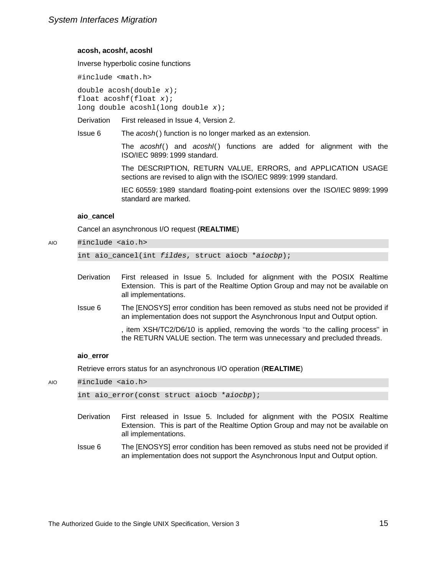#### **acosh, acoshf, acoshl**

Inverse hyperbolic cosine functions

#include <math.h>

double acosh(double x); float  $acosh(f$ loat  $x)$ ; long double acoshl(long double x);

Derivation First released in Issue 4, Version 2.

Issue 6 The acosh( ) function is no longer marked as an extension.

The  $acoshf()$  and  $acoshf()$  functions are added for alignment with the ISO/IEC 9899: 1999 standard.

The DESCRIPTION, RETURN VALUE, ERRORS, and APPLICATION USAGE sections are revised to align with the ISO/IEC 9899: 1999 standard.

IEC 60559: 1989 standard floating-point extensions over the ISO/IEC 9899: 1999 standard are marked.

#### **aio\_cancel**

Cancel an asynchronous I/O request (**REALTIME**)

AIO #include <aio.h>

int aio\_cancel(int fildes, struct aiocb \*aiocbp);

- Derivation First released in Issue 5. Included for alignment with the POSIX Realtime Extension. This is part of the Realtime Option Group and may not be available on all implementations.
- Issue 6 The [ENOSYS] error condition has been removed as stubs need not be provided if an implementation does not support the Asynchronous Input and Output option.

, item XSH/TC2/D6/10 is applied, removing the words ''to the calling process'' in the RETURN VALUE section. The term was unnecessary and precluded threads.

#### **aio\_error**

Retrieve errors status for an asynchronous I/O operation (**REALTIME**)

AIO #include <aio.h>

int aio\_error(const struct aiocb \*aiocbp);

- Derivation First released in Issue 5. Included for alignment with the POSIX Realtime Extension. This is part of the Realtime Option Group and may not be available on all implementations.
- Issue 6 The [ENOSYS] error condition has been removed as stubs need not be provided if an implementation does not support the Asynchronous Input and Output option.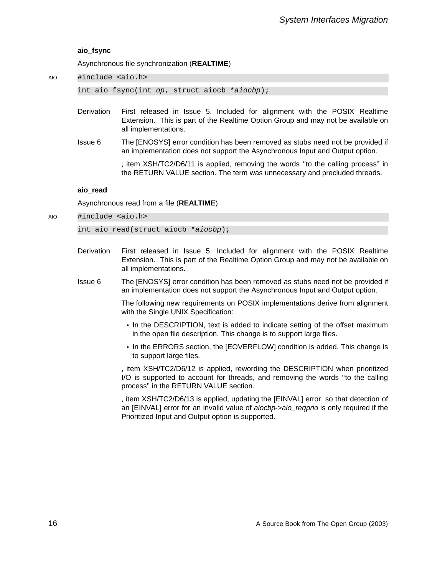### **aio\_fsync**

Asynchronous file synchronization (**REALTIME**)

AIO #include <aio.h>

int aio\_fsync(int op, struct aiocb \*aiocbp);

- Derivation First released in Issue 5. Included for alignment with the POSIX Realtime Extension. This is part of the Realtime Option Group and may not be available on all implementations.
- Issue 6 The [ENOSYS] error condition has been removed as stubs need not be provided if an implementation does not support the Asynchronous Input and Output option.

, item XSH/TC2/D6/11 is applied, removing the words ''to the calling process'' in the RETURN VALUE section. The term was unnecessary and precluded threads.

#### **aio\_read**

Asynchronous read from a file (**REALTIME**)

AIO #include <aio.h>

int aio\_read(struct aiocb \*aiocbp);

- Derivation First released in Issue 5. Included for alignment with the POSIX Realtime Extension. This is part of the Realtime Option Group and may not be available on all implementations.
- Issue 6 The [ENOSYS] error condition has been removed as stubs need not be provided if an implementation does not support the Asynchronous Input and Output option.

The following new requirements on POSIX implementations derive from alignment with the Single UNIX Specification:

- In the DESCRIPTION, text is added to indicate setting of the offset maximum in the open file description. This change is to support large files.
- In the ERRORS section, the [EOVERFLOW] condition is added. This change is to support large files.

, item XSH/TC2/D6/12 is applied, rewording the DESCRIPTION when prioritized I/O is supported to account for threads, and removing the words ''to the calling process'' in the RETURN VALUE section.

, item XSH/TC2/D6/13 is applied, updating the [EINVAL] error, so that detection of an [EINVAL] error for an invalid value of *aiocbp->aio\_regprio* is only required if the Prioritized Input and Output option is supported.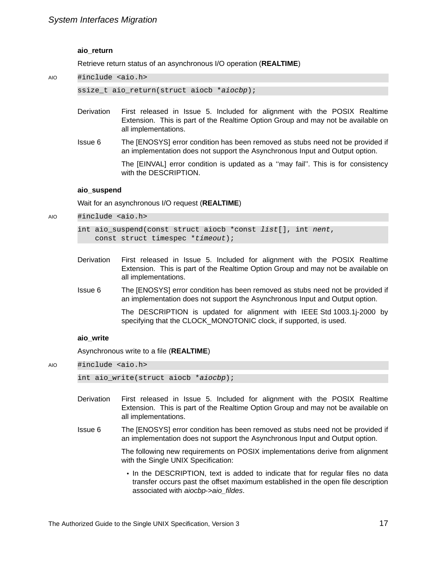#### **aio\_return**

Retrieve return status of an asynchronous I/O operation (**REALTIME**)

AIO #include <aio.h>

ssize\_t aio\_return(struct aiocb \*aiocbp);

- Derivation First released in Issue 5. Included for alignment with the POSIX Realtime Extension. This is part of the Realtime Option Group and may not be available on all implementations.
- Issue 6 The [ENOSYS] error condition has been removed as stubs need not be provided if an implementation does not support the Asynchronous Input and Output option.

The [EINVAL] error condition is updated as a ''may fail''. This is for consistency with the DESCRIPTION.

#### **aio\_suspend**

Wait for an asynchronous I/O request (**REALTIME**)

AIO #include <aio.h>

int aio\_suspend(const struct aiocb \*const list[], int nent, const struct timespec \*timeout);

- Derivation First released in Issue 5. Included for alignment with the POSIX Realtime Extension. This is part of the Realtime Option Group and may not be available on all implementations.
- Issue 6 The [ENOSYS] error condition has been removed as stubs need not be provided if an implementation does not support the Asynchronous Input and Output option.

The DESCRIPTION is updated for alignment with IEEE Std 1003.1j-2000 by specifying that the CLOCK\_MONOTONIC clock, if supported, is used.

#### **aio\_write**

Asynchronous write to a file (**REALTIME**)

AIO #include <aio.h>

int aio\_write(struct aiocb \*aiocbp);

- Derivation First released in Issue 5. Included for alignment with the POSIX Realtime Extension. This is part of the Realtime Option Group and may not be available on all implementations.
- Issue 6 The [ENOSYS] error condition has been removed as stubs need not be provided if an implementation does not support the Asynchronous Input and Output option.

The following new requirements on POSIX implementations derive from alignment with the Single UNIX Specification:

• In the DESCRIPTION, text is added to indicate that for regular files no data transfer occurs past the offset maximum established in the open file description associated with aiocbp->aio\_fildes.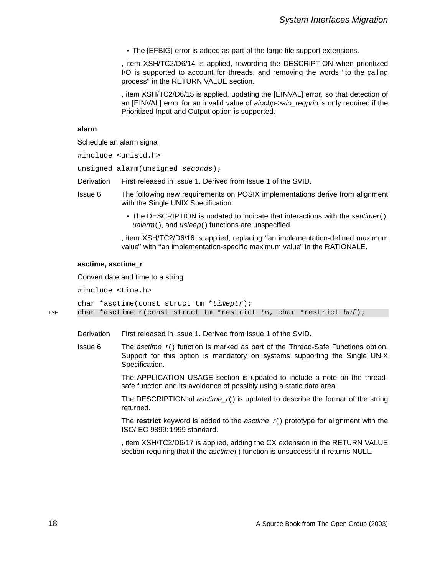• The [EFBIG] error is added as part of the large file support extensions.

, item XSH/TC2/D6/14 is applied, rewording the DESCRIPTION when prioritized I/O is supported to account for threads, and removing the words ''to the calling process'' in the RETURN VALUE section.

, item XSH/TC2/D6/15 is applied, updating the [EINVAL] error, so that detection of an [EINVAL] error for an invalid value of aiocbp->aio\_reqprio is only required if the Prioritized Input and Output option is supported.

### **alarm**

Schedule an alarm signal

#include <unistd.h>

unsigned alarm(unsigned seconds);

Derivation First released in Issue 1. Derived from Issue 1 of the SVID.

- Issue 6 The following new requirements on POSIX implementations derive from alignment with the Single UNIX Specification:
	- The DESCRIPTION is updated to indicate that interactions with the setitimer(), ualarm(), and usleep() functions are unspecified.

, item XSH/TC2/D6/16 is applied, replacing ''an implementation-defined maximum value'' with ''an implementation-specific maximum value'' in the RATIONALE.

#### **asctime, asctime\_r**

Convert date and time to a string

#include <time.h>

```
char *asctime(const struct tm *timeptr);
TSF char *asctime_r(const struct tm *restrict tm, char *restrict buf);
```
Derivation First released in Issue 1. Derived from Issue 1 of the SVID.

Issue 6 The  $a$ sctime\_r() function is marked as part of the Thread-Safe Functions option. Support for this option is mandatory on systems supporting the Single UNIX Specification.

> The APPLICATION USAGE section is updated to include a note on the threadsafe function and its avoidance of possibly using a static data area.

> The DESCRIPTION of asctime\_ $r()$  is updated to describe the format of the string returned.

> The **restrict** keyword is added to the asctime\_r( ) prototype for alignment with the ISO/IEC 9899: 1999 standard.

> , item XSH/TC2/D6/17 is applied, adding the CX extension in the RETURN VALUE section requiring that if the asctime() function is unsuccessful it returns NULL.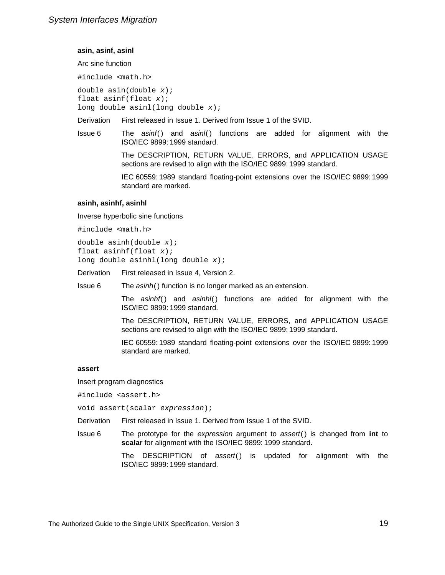**asin, asinf, asinl**

Arc sine function

#include <math.h>

double asin(double x); float asinf(float x); long double asinl(long double  $x$ );

Derivation First released in Issue 1. Derived from Issue 1 of the SVID.

Issue 6 The asinf() and asinl() functions are added for alignment with the ISO/IEC 9899: 1999 standard.

> The DESCRIPTION, RETURN VALUE, ERRORS, and APPLICATION USAGE sections are revised to align with the ISO/IEC 9899: 1999 standard.

> IEC 60559: 1989 standard floating-point extensions over the ISO/IEC 9899: 1999 standard are marked.

#### **asinh, asinhf, asinhl**

Inverse hyperbolic sine functions

#include <math.h>

double  $asinh(double x)$ ; float asinhf(float x); long double asinhl(long double  $x$ );

Derivation First released in Issue 4, Version 2.

Issue 6 The asinh( ) function is no longer marked as an extension.

The asinhf() and asinhl() functions are added for alignment with the ISO/IEC 9899: 1999 standard.

The DESCRIPTION, RETURN VALUE, ERRORS, and APPLICATION USAGE sections are revised to align with the ISO/IEC 9899: 1999 standard.

IEC 60559: 1989 standard floating-point extensions over the ISO/IEC 9899: 1999 standard are marked.

#### **assert**

Insert program diagnostics

#include <assert.h>

void assert(scalar expression);

- Derivation First released in Issue 1. Derived from Issue 1 of the SVID.
- Issue 6 The prototype for the expression argument to assert( ) is changed from **int** to **scalar** for alignment with the ISO/IEC 9899: 1999 standard.

The DESCRIPTION of assert() is updated for alignment with the ISO/IEC 9899: 1999 standard.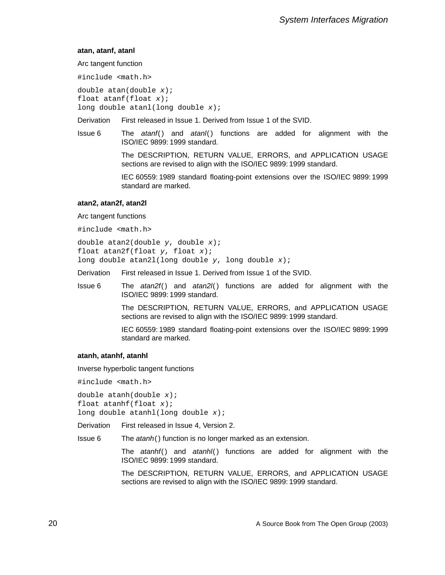#### **atan, atanf, atanl**

Arc tangent function

#include <math.h>

double  $atan(double x)$ ; float atanf(float x); long double atanl(long double x);

Derivation First released in Issue 1. Derived from Issue 1 of the SVID.

Issue 6 The  $atanf()$  and  $atanf()$  functions are added for alignment with the ISO/IEC 9899: 1999 standard.

> The DESCRIPTION, RETURN VALUE, ERRORS, and APPLICATION USAGE sections are revised to align with the ISO/IEC 9899: 1999 standard.

> IEC 60559: 1989 standard floating-point extensions over the ISO/IEC 9899: 1999 standard are marked.

#### **atan2, atan2f, atan2l**

Arc tangent functions

#include <math.h>

double atan2(double  $y$ , double  $x$ ); float atan2f(float y, float x); long double atan21(long double  $y$ , long double  $x$ );

Derivation First released in Issue 1. Derived from Issue 1 of the SVID.

Issue 6 The  $atan2f()$  and  $atan2f()$  functions are added for alignment with the ISO/IEC 9899: 1999 standard.

> The DESCRIPTION, RETURN VALUE, ERRORS, and APPLICATION USAGE sections are revised to align with the ISO/IEC 9899: 1999 standard.

> IEC 60559: 1989 standard floating-point extensions over the ISO/IEC 9899: 1999 standard are marked.

#### **atanh, atanhf, atanhl**

Inverse hyperbolic tangent functions

#include <math.h>

double  $atanh(double x)$ ; float atanhf $(f$ loat  $x)$ ; long double atanhl(long double x);

Derivation First released in Issue 4, Version 2.

Issue 6 The *atanh*() function is no longer marked as an extension.

The atanhf() and atanhl() functions are added for alignment with the ISO/IEC 9899: 1999 standard.

The DESCRIPTION, RETURN VALUE, ERRORS, and APPLICATION USAGE sections are revised to align with the ISO/IEC 9899: 1999 standard.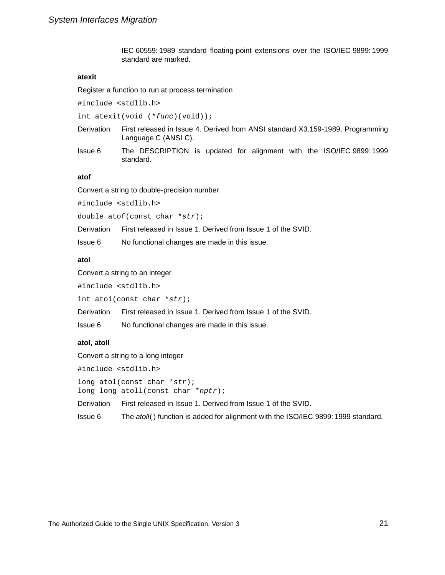IEC 60559: 1989 standard floating-point extensions over the ISO/IEC 9899: 1999 standard are marked.

## **atexit**

Register a function to run at process termination

#include <stdlib.h>

int atexit(void (\*func)(void));

- Derivation First released in Issue 4. Derived from ANSI standard X3.159-1989, Programming Language C (ANSI C).
- Issue 6 The DESCRIPTION is updated for alignment with the ISO/IEC 9899: 1999 standard.

#### **atof**

Convert a string to double-precision number

#include <stdlib.h>

double atof(const char \*str);

Derivation First released in Issue 1. Derived from Issue 1 of the SVID.

Issue 6 No functional changes are made in this issue.

#### **atoi**

Convert a string to an integer

#include <stdlib.h>

int atoi(const char \*str);

Derivation First released in Issue 1. Derived from Issue 1 of the SVID.

Issue 6 No functional changes are made in this issue.

#### **atol, atoll**

Convert a string to a long integer

#include <stdlib.h>

long atol(const char \*str);

long long atoll(const char \*nptr);

Derivation First released in Issue 1. Derived from Issue 1 of the SVID.

Issue 6 The atoll( ) function is added for alignment with the ISO/IEC 9899: 1999 standard.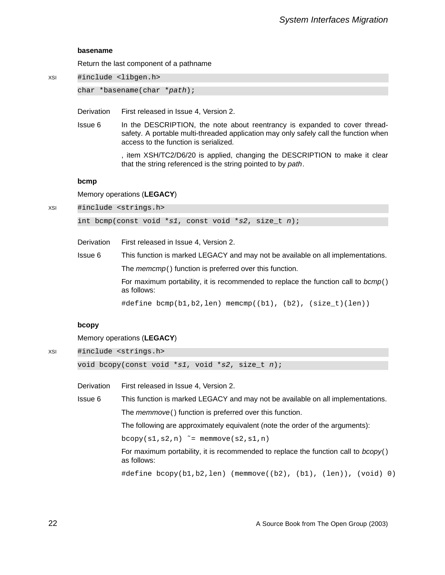### **basename**

Return the last component of a pathname

XSI #include <libgen.h>

char \*basename(char \*path);

Derivation First released in Issue 4, Version 2.

Issue 6 In the DESCRIPTION, the note about reentrancy is expanded to cover threadsafety. A portable multi-threaded application may only safely call the function when access to the function is serialized.

> , item XSH/TC2/D6/20 is applied, changing the DESCRIPTION to make it clear that the string referenced is the string pointed to by path.

#### **bcmp**

Memory operations (**LEGACY**)

XSI #include <strings.h>

int bcmp(const void \*s1, const void \*s2, size\_t n);

Derivation First released in Issue 4, Version 2.

Issue 6 This function is marked LEGACY and may not be available on all implementations. The *memcmp*() function is preferred over this function.

> For maximum portability, it is recommended to replace the function call to  $bcmp()$ as follows:

#define bcmp(b1,b2,len) memcmp((b1), (b2), (size\_t)(len))

### **bcopy**

#### Memory operations (**LEGACY**)

XSI #include <strings.h>

void bcopy(const void \*s1, void \*s2, size\_t n);

Derivation First released in Issue 4, Version 2.

Issue 6 This function is marked LEGACY and may not be available on all implementations. The *memmove*() function is preferred over this function.

The following are approximately equivalent (note the order of the arguments):

 $bcopy(s1,s2,n)$  ~= memmove(s2,s1,n)

For maximum portability, it is recommended to replace the function call to bcopy() as follows:

#define bcopy(b1,b2,len) (memmove((b2), (b1), (len)), (void) 0)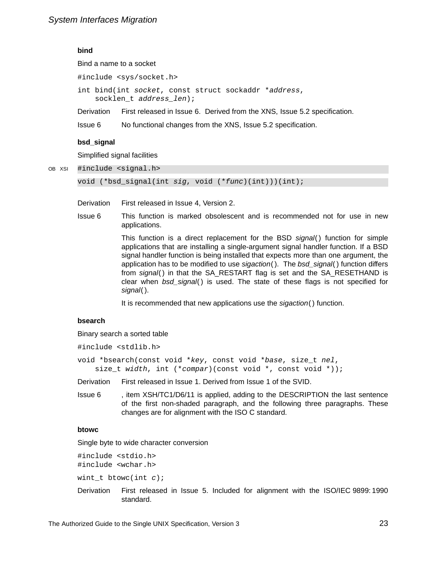# **bind**

Bind a name to a socket

#include <sys/socket.h>

int bind(int socket, const struct sockaddr \*address,

socklen\_t address\_len);

Derivation First released in Issue 6. Derived from the XNS, Issue 5.2 specification.

Issue 6 No functional changes from the XNS, Issue 5.2 specification.

#### **bsd\_signal**

Simplified signal facilities

OB XSI #include <signal.h>

void (\*bsd\_signal(int sig, void (\*func)(int)))(int);

Derivation First released in Issue 4, Version 2.

Issue 6 This function is marked obsolescent and is recommended not for use in new applications.

> This function is a direct replacement for the BSD signal() function for simple applications that are installing a single-argument signal handler function. If a BSD signal handler function is being installed that expects more than one argument, the application has to be modified to use *sigaction*(). The *bsd\_signal*() function differs from signal() in that the SA\_RESTART flag is set and the SA\_RESETHAND is clear when bsd\_signal() is used. The state of these flags is not specified for signal( ).

It is recommended that new applications use the sigaction() function.

# **bsearch**

Binary search a sorted table

#include <stdlib.h>

void \*bsearch(const void \*key, const void \*base, size\_t nel, size\_t width, int (\*compar)(const void \*, const void \*));

Derivation First released in Issue 1. Derived from Issue 1 of the SVID.

Issue 6 , item XSH/TC1/D6/11 is applied, adding to the DESCRIPTION the last sentence of the first non-shaded paragraph, and the following three paragraphs. These changes are for alignment with the ISO C standard.

## **btowc**

Single byte to wide character conversion

#include <stdio.h> #include <wchar.h> wint\_t btowc(int  $c$ );

Derivation First released in Issue 5. Included for alignment with the ISO/IEC 9899: 1990 standard.

The Authorized Guide to the Single UNIX Specification, Version 3 23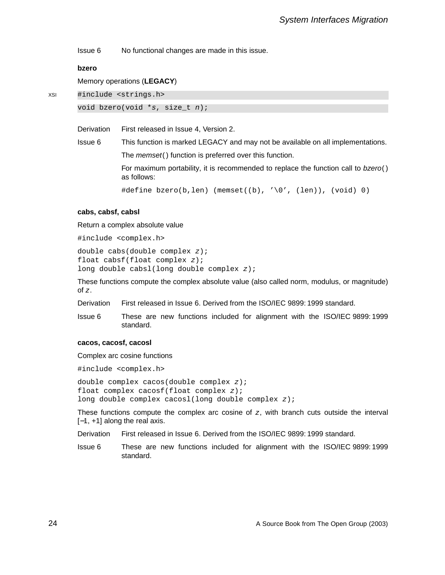Issue 6 No functional changes are made in this issue.

## **bzero**

Memory operations (**LEGACY**)

```
XSI #include <strings.h>
```

```
void bzero(void *s, size_t n);
```
Derivation First released in Issue 4, Version 2.

Issue 6 This function is marked LEGACY and may not be available on all implementations. The *memset*() function is preferred over this function.

> For maximum portability, it is recommended to replace the function call to *bzero*() as follows:

#define bzero(b,len) (memset((b), '\0', (len)), (void) 0)

### **cabs, cabsf, cabsl**

Return a complex absolute value

#include <complex.h>

```
double cabs(double complex z);
float cabsf(float complex z);
long double cabsl(long double complex z);
```
These functions compute the complex absolute value (also called norm, modulus, or magnitude) of z.

Derivation First released in Issue 6. Derived from the ISO/IEC 9899: 1999 standard.

Issue 6 These are new functions included for alignment with the ISO/IEC 9899: 1999 standard.

#### **cacos, cacosf, cacosl**

Complex arc cosine functions

#include <complex.h>

double complex cacos(double complex z); float complex cacosf(float complex z); long double complex cacosl(long double complex z);

These functions compute the complex arc cosine of z, with branch cuts outside the interval [−1, +1] along the real axis.

Derivation First released in Issue 6. Derived from the ISO/IEC 9899: 1999 standard.

Issue 6 These are new functions included for alignment with the ISO/IEC 9899: 1999 standard.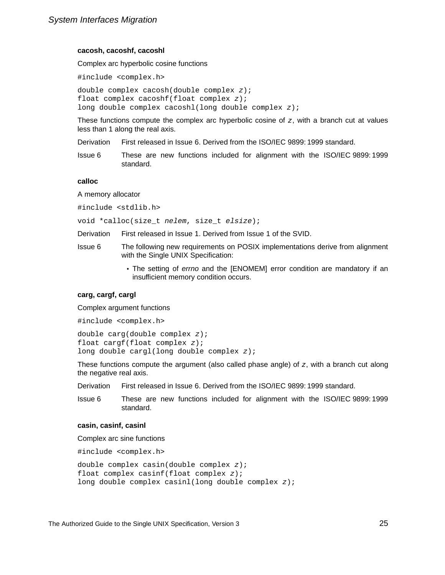#### **cacosh, cacoshf, cacoshl**

Complex arc hyperbolic cosine functions

#include <complex.h>

double complex cacosh(double complex z); float complex cacoshf(float complex z); long double complex cacoshl(long double complex z);

These functions compute the complex arc hyperbolic cosine of z, with a branch cut at values less than 1 along the real axis.

Derivation First released in Issue 6. Derived from the ISO/IEC 9899: 1999 standard.

Issue 6 These are new functions included for alignment with the ISO/IEC 9899: 1999 standard.

#### **calloc**

A memory allocator

#include <stdlib.h>

void \*calloc(size\_t nelem, size\_t elsize);

Derivation First released in Issue 1. Derived from Issue 1 of the SVID.

- Issue 6 The following new requirements on POSIX implementations derive from alignment with the Single UNIX Specification:
	- The setting of errno and the [ENOMEM] error condition are mandatory if an insufficient memory condition occurs.

#### **carg, cargf, cargl**

Complex argument functions

#include <complex.h>

double carg(double complex z); float cargf(float complex z); long double cargl(long double complex z);

These functions compute the argument (also called phase angle) of z, with a branch cut along the negative real axis.

Derivation First released in Issue 6. Derived from the ISO/IEC 9899: 1999 standard.

Issue 6 These are new functions included for alignment with the ISO/IEC 9899: 1999 standard.

#### **casin, casinf, casinl**

Complex arc sine functions

```
#include <complex.h>
double complex casin(double complex z);
float complex casinf(float complex z);
long double complex casinl(long double complex z);
```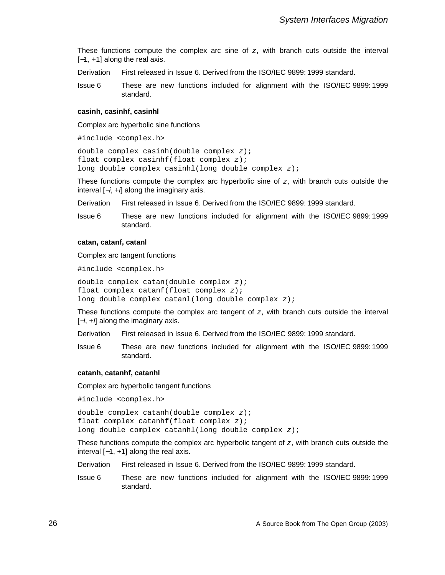These functions compute the complex arc sine of z, with branch cuts outside the interval [−1, +1] along the real axis.

Derivation First released in Issue 6. Derived from the ISO/IEC 9899: 1999 standard.

Issue 6 These are new functions included for alignment with the ISO/IEC 9899: 1999 standard.

#### **casinh, casinhf, casinhl**

Complex arc hyperbolic sine functions

#include <complex.h>

double complex casinh(double complex z); float complex casinhf(float complex z); long double complex casinhl(long double complex z);

These functions compute the complex arc hyperbolic sine of z, with branch cuts outside the interval  $[-i, +i]$  along the imaginary axis.

Derivation First released in Issue 6. Derived from the ISO/IEC 9899: 1999 standard.

Issue 6 These are new functions included for alignment with the ISO/IEC 9899: 1999 standard.

#### **catan, catanf, catanl**

Complex arc tangent functions

#include <complex.h>

double complex catan(double complex z); float complex catanf(float complex z); long double complex catanl(long double complex z);

These functions compute the complex arc tangent of z, with branch cuts outside the interval [-*i*, +*i*] along the imaginary axis.

Derivation First released in Issue 6. Derived from the ISO/IEC 9899: 1999 standard.

Issue 6 These are new functions included for alignment with the ISO/IEC 9899: 1999 standard.

#### **catanh, catanhf, catanhl**

Complex arc hyperbolic tangent functions

#include <complex.h>

double complex catanh(double complex z); float complex catanhf(float complex  $z$ ); long double complex catanhl(long double complex z);

These functions compute the complex arc hyperbolic tangent of z, with branch cuts outside the interval [−1, +1] along the real axis.

Derivation First released in Issue 6. Derived from the ISO/IEC 9899: 1999 standard.

Issue 6 These are new functions included for alignment with the ISO/IEC 9899: 1999 standard.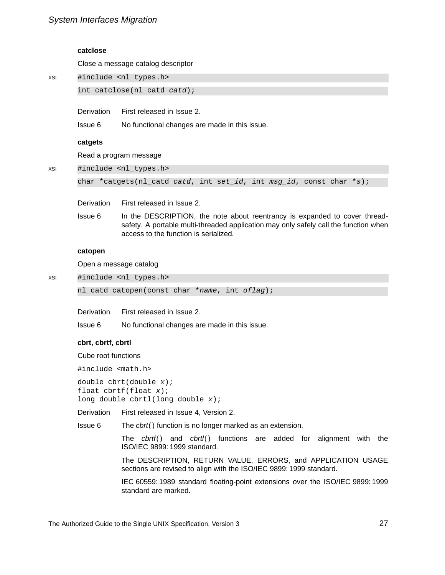#### **catclose**

Close a message catalog descriptor

```
XSI #include <nl_types.h>
       int catclose(nl_catd catd);
       Derivation First released in Issue 2.
```
Issue 6 No functional changes are made in this issue.

### **catgets**

Read a program message

XSI #include <nl\_types.h>

char \*catgets(nl\_catd catd, int set\_id, int msg\_id, const char \*s);

Derivation First released in Issue 2.

Issue 6 In the DESCRIPTION, the note about reentrancy is expanded to cover threadsafety. A portable multi-threaded application may only safely call the function when access to the function is serialized.

#### **catopen**

Open a message catalog

XSI #include <nl\_types.h>

nl\_catd catopen(const char \*name, int oflag);

Derivation First released in Issue 2.

Issue 6 No functional changes are made in this issue.

#### **cbrt, cbrtf, cbrtl**

Cube root functions

#include <math.h>

double  $cbrt(double x);$ float cbrtf(float x); long double cbrtl(long double x);

Derivation First released in Issue 4, Version 2.

Issue 6 The *cbrt*() function is no longer marked as an extension.

The *cbrtf*() and *cbrtl*() functions are added for alignment with the ISO/IEC 9899: 1999 standard.

The DESCRIPTION, RETURN VALUE, ERRORS, and APPLICATION USAGE sections are revised to align with the ISO/IEC 9899: 1999 standard.

IEC 60559: 1989 standard floating-point extensions over the ISO/IEC 9899: 1999 standard are marked.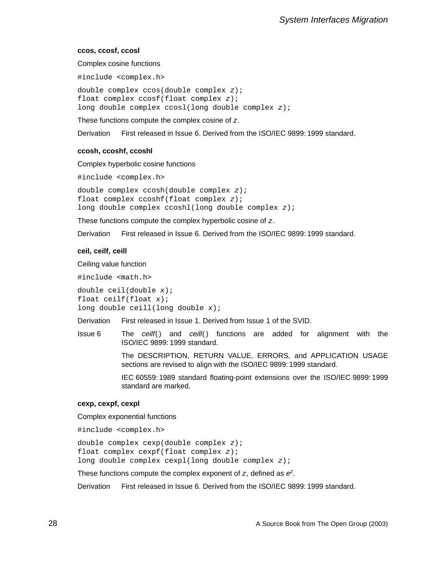#### **ccos, ccosf, ccosl**

Complex cosine functions

#include <complex.h>

double complex ccos(double complex z); float complex ccosf(float complex z); long double complex ccosl(long double complex z);

These functions compute the complex cosine of z.

Derivation First released in Issue 6. Derived from the ISO/IEC 9899: 1999 standard.

### **ccosh, ccoshf, ccoshl**

Complex hyperbolic cosine functions

#include <complex.h>

double complex ccosh(double complex z); float complex ccoshf(float complex z); long double complex ccoshl(long double complex z);

These functions compute the complex hyperbolic cosine of z.

Derivation First released in Issue 6. Derived from the ISO/IEC 9899: 1999 standard.

### **ceil, ceilf, ceill**

Ceiling value function

#include <math.h>

double ceil(double x); float ceilf(float x); long double ceill(long double x);

Derivation First released in Issue 1. Derived from Issue 1 of the SVID.

Issue 6 The ceilf() and ceill() functions are added for alignment with the ISO/IEC 9899: 1999 standard.

> The DESCRIPTION, RETURN VALUE, ERRORS, and APPLICATION USAGE sections are revised to align with the ISO/IEC 9899: 1999 standard.

> IEC 60559: 1989 standard floating-point extensions over the ISO/IEC 9899: 1999 standard are marked.

# **cexp, cexpf, cexpl**

Complex exponential functions

#include <complex.h>

double complex cexp(double complex z); float complex cexpf(float complex z); long double complex cexpl(long double complex z);

These functions compute the complex exponent of  $z$ , defined as  $e^z$ .

Derivation First released in Issue 6. Derived from the ISO/IEC 9899: 1999 standard.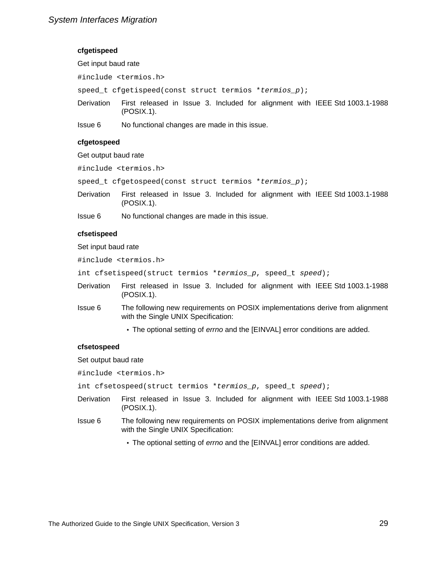## **cfgetispeed**

Get input baud rate

#include <termios.h>

speed\_t cfgetispeed(const struct termios \*termios\_p);

- Derivation First released in Issue 3. Included for alignment with IEEE Std 1003.1-1988 (POSIX.1).
- Issue 6 No functional changes are made in this issue.

#### **cfgetospeed**

Get output baud rate

#include <termios.h>

speed\_t cfgetospeed(const struct termios \*termios\_p);

- Derivation First released in Issue 3. Included for alignment with IEEE Std 1003.1-1988 (POSIX.1).
- Issue 6 No functional changes are made in this issue.

#### **cfsetispeed**

Set input baud rate

#include <termios.h>

int cfsetispeed(struct termios \*termios\_p, speed\_t speed);

- Derivation First released in Issue 3. Included for alignment with IEEE Std 1003.1-1988 (POSIX.1).
- Issue 6 The following new requirements on POSIX implementations derive from alignment with the Single UNIX Specification:
	- The optional setting of errno and the [EINVAL] error conditions are added.

#### **cfsetospeed**

Set output baud rate

#include <termios.h>

int cfsetospeed(struct termios \*termios\_p, speed\_t speed);

- Derivation First released in Issue 3. Included for alignment with IEEE Std 1003.1-1988 (POSIX.1).
- Issue 6 The following new requirements on POSIX implementations derive from alignment with the Single UNIX Specification:
	- The optional setting of errno and the [EINVAL] error conditions are added.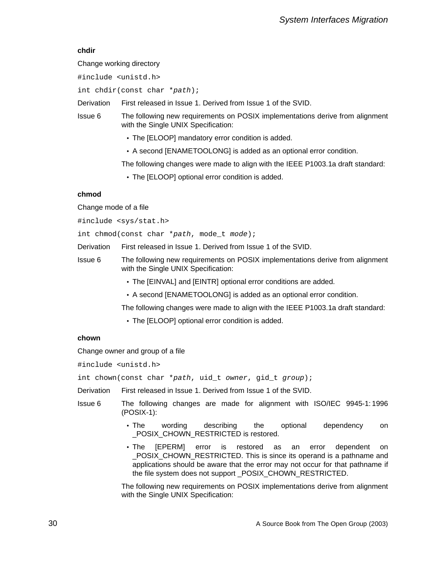# **chdir**

Change working directory

#include <unistd.h>

int chdir(const char \*path);

Derivation First released in Issue 1. Derived from Issue 1 of the SVID.

Issue 6 The following new requirements on POSIX implementations derive from alignment with the Single UNIX Specification:

- The [ELOOP] mandatory error condition is added.
- A second [ENAMETOOLONG] is added as an optional error condition.

The following changes were made to align with the IEEE P1003.1a draft standard:

• The [ELOOP] optional error condition is added.

# **chmod**

Change mode of a file

#include <sys/stat.h>

int chmod(const char \*path, mode\_t mode);

Derivation First released in Issue 1. Derived from Issue 1 of the SVID.

- Issue 6 The following new requirements on POSIX implementations derive from alignment with the Single UNIX Specification:
	- The [EINVAL] and [EINTR] optional error conditions are added.
	- A second [ENAMETOOLONG] is added as an optional error condition.

The following changes were made to align with the IEEE P1003.1a draft standard:

• The [ELOOP] optional error condition is added.

# **chown**

Change owner and group of a file

#include <unistd.h>

int chown(const char \*path, uid\_t owner, gid\_t group);

- Derivation First released in Issue 1. Derived from Issue 1 of the SVID.
- Issue 6 The following changes are made for alignment with ISO/IEC 9945-1: 1996 (POSIX-1):
	- The wording describing the optional dependency on \_POSIX\_CHOWN\_RESTRICTED is restored.
	- The [EPERM] error is restored as an error dependent on \_POSIX\_CHOWN\_RESTRICTED. This is since its operand is a pathname and applications should be aware that the error may not occur for that pathname if the file system does not support \_POSIX\_CHOWN\_RESTRICTED.

The following new requirements on POSIX implementations derive from alignment with the Single UNIX Specification: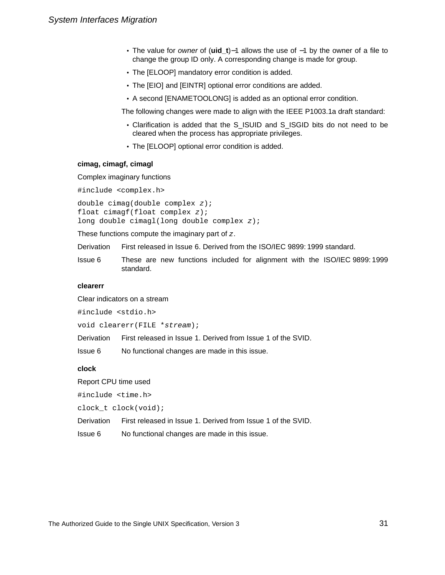- The value for owner of (**uid\_t**)−1 allows the use of −1 by the owner of a file to change the group ID only. A corresponding change is made for group.
- The [ELOOP] mandatory error condition is added.
- The [EIO] and [EINTR] optional error conditions are added.
- A second [ENAMETOOLONG] is added as an optional error condition.

The following changes were made to align with the IEEE P1003.1a draft standard:

- Clarification is added that the S\_ISUID and S\_ISGID bits do not need to be cleared when the process has appropriate privileges.
- The [ELOOP] optional error condition is added.

#### **cimag, cimagf, cimagl**

Complex imaginary functions

#include <complex.h>

```
double cimag(double complex z);
float cimagf(float complex z);
long double cimagl(long double complex z);
```
These functions compute the imaginary part of z.

- Derivation First released in Issue 6. Derived from the ISO/IEC 9899: 1999 standard.
- Issue 6 These are new functions included for alignment with the ISO/IEC 9899: 1999 standard.

### **clearerr**

Clear indicators on a stream

#include <stdio.h>

void clearerr(FILE \*stream);

Derivation First released in Issue 1. Derived from Issue 1 of the SVID.

Issue 6 No functional changes are made in this issue.

#### **clock**

Report CPU time used

#include <time.h>

clock\_t clock(void);

Derivation First released in Issue 1. Derived from Issue 1 of the SVID.

Issue 6 No functional changes are made in this issue.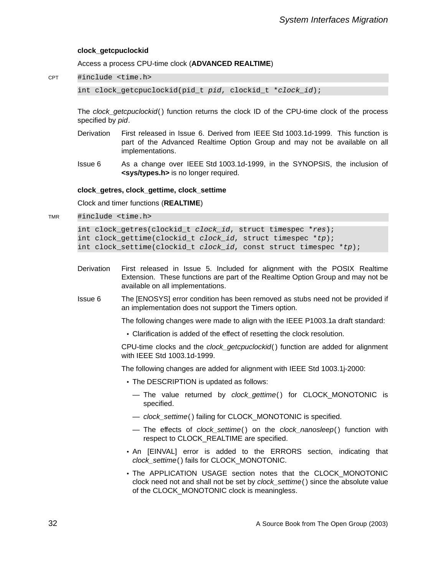### **clock\_getcpuclockid**

Access a process CPU-time clock (**ADVANCED REALTIME**)

CPT #include <time.h>

int clock\_getcpuclockid(pid\_t pid, clockid\_t \*clock\_id);

The clock\_getcpuclockid( ) function returns the clock ID of the CPU-time clock of the process specified by pid.

- Derivation First released in Issue 6. Derived from IEEE Std 1003.1d-1999. This function is part of the Advanced Realtime Option Group and may not be available on all implementations.
- Issue 6 As a change over IEEE Std 1003.1d-1999, in the SYNOPSIS, the inclusion of **<sys/types.h>** is no longer required.

#### **clock\_getres, clock\_gettime, clock\_settime**

Clock and timer functions (**REALTIME**)

TMR #include <time.h>

```
int clock_getres(clockid_t clock_id, struct timespec *res);
int clock_gettime(clockid_t clock_id, struct timespec *tp);
int clock_settime(clockid_t clock_id, const struct timespec *tp);
```
- Derivation First released in Issue 5. Included for alignment with the POSIX Realtime Extension. These functions are part of the Realtime Option Group and may not be available on all implementations.
- Issue 6 The [ENOSYS] error condition has been removed as stubs need not be provided if an implementation does not support the Timers option.

The following changes were made to align with the IEEE P1003.1a draft standard:

• Clarification is added of the effect of resetting the clock resolution.

CPU-time clocks and the clock\_getcpuclockid( ) function are added for alignment with IEEE Std 1003.1d-1999.

The following changes are added for alignment with IEEE Std 1003.1j-2000:

- The DESCRIPTION is updated as follows:
	- The value returned by *clock\_gettime*() for CLOCK\_MONOTONIC is specified.
	- clock\_settime( ) failing for CLOCK\_MONOTONIC is specified.
	- The effects of clock\_settime() on the clock\_nanosleep() function with respect to CLOCK\_REALTIME are specified.
- An [EINVAL] error is added to the ERRORS section, indicating that clock\_settime( ) fails for CLOCK\_MONOTONIC.
- The APPLICATION USAGE section notes that the CLOCK\_MONOTONIC clock need not and shall not be set by clock\_settime( ) since the absolute value of the CLOCK\_MONOTONIC clock is meaningless.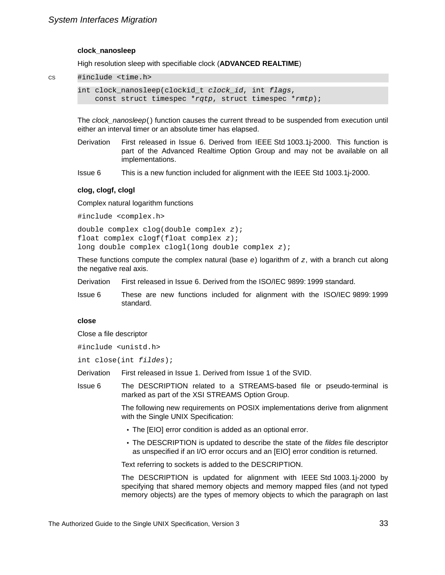#### **clock\_nanosleep**

High resolution sleep with specifiable clock (**ADVANCED REALTIME**)

CS #include <time.h>

```
int clock_nanosleep(clockid_t clock_id, int flags,
   const struct timespec *rqtp, struct timespec *rmtp);
```
The clock\_nanosleep() function causes the current thread to be suspended from execution until either an interval timer or an absolute timer has elapsed.

- Derivation First released in Issue 6. Derived from IEEE Std 1003.1j-2000. This function is part of the Advanced Realtime Option Group and may not be available on all implementations.
- Issue 6 This is a new function included for alignment with the IEEE Std 1003.1j-2000.

#### **clog, clogf, clogl**

Complex natural logarithm functions

```
#include <complex.h>
```

```
double complex clog(double complex z);
float complex clogf(float complex z);
long double complex clogl(long double complex z);
```
These functions compute the complex natural (base e) logarithm of z, with a branch cut along the negative real axis.

- Derivation First released in Issue 6. Derived from the ISO/IEC 9899: 1999 standard.
- Issue 6 These are new functions included for alignment with the ISO/IEC 9899: 1999 standard.

#### **close**

Close a file descriptor

#include <unistd.h>

int close(int fildes);

- Derivation First released in Issue 1. Derived from Issue 1 of the SVID.
- Issue 6 The DESCRIPTION related to a STREAMS-based file or pseudo-terminal is marked as part of the XSI STREAMS Option Group.

The following new requirements on POSIX implementations derive from alignment with the Single UNIX Specification:

- The [EIO] error condition is added as an optional error.
- The DESCRIPTION is updated to describe the state of the *fildes* file descriptor as unspecified if an I/O error occurs and an [EIO] error condition is returned.

Text referring to sockets is added to the DESCRIPTION.

The DESCRIPTION is updated for alignment with IEEE Std 1003.1j-2000 by specifying that shared memory objects and memory mapped files (and not typed memory objects) are the types of memory objects to which the paragraph on last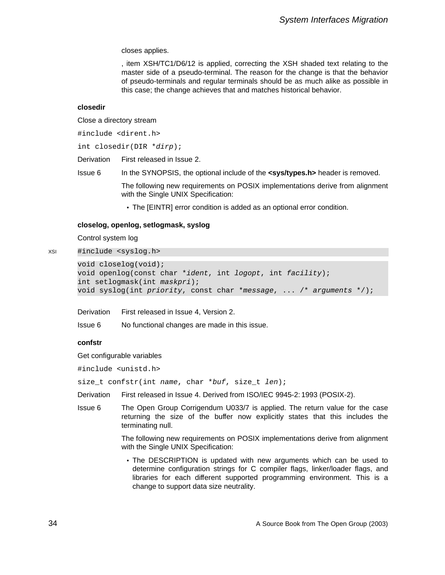closes applies.

, item XSH/TC1/D6/12 is applied, correcting the XSH shaded text relating to the master side of a pseudo-terminal. The reason for the change is that the behavior of pseudo-terminals and regular terminals should be as much alike as possible in this case; the change achieves that and matches historical behavior.

# **closedir**

Close a directory stream

#include <dirent.h>

int closedir(DIR \*dirp);

Derivation First released in Issue 2.

Issue 6 In the SYNOPSIS, the optional include of the **<sys/types.h>** header is removed.

The following new requirements on POSIX implementations derive from alignment with the Single UNIX Specification:

• The [EINTR] error condition is added as an optional error condition.

#### **closelog, openlog, setlogmask, syslog**

Control system log

#### XSI #include <syslog.h>

```
void closelog(void);
void openlog(const char *ident, int logopt, int facility);
int setlogmask(int maskpri);
void syslog(int priority, const char *message, \ldots /* arguments */);
```
Derivation First released in Issue 4, Version 2.

Issue 6 No functional changes are made in this issue.

#### **confstr**

Get configurable variables

#include <unistd.h>

size\_t confstr(int name, char \*buf, size\_t len);

Derivation First released in Issue 4. Derived from ISO/IEC 9945-2: 1993 (POSIX-2).

Issue 6 The Open Group Corrigendum U033/7 is applied. The return value for the case returning the size of the buffer now explicitly states that this includes the terminating null.

> The following new requirements on POSIX implementations derive from alignment with the Single UNIX Specification:

• The DESCRIPTION is updated with new arguments which can be used to determine configuration strings for C compiler flags, linker/loader flags, and libraries for each different supported programming environment. This is a change to support data size neutrality.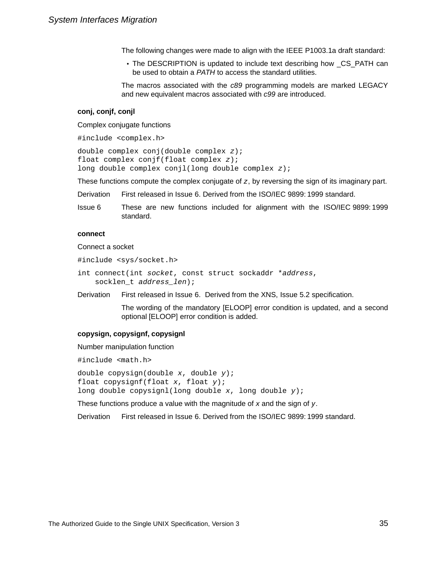The following changes were made to align with the IEEE P1003.1a draft standard:

• The DESCRIPTION is updated to include text describing how \_CS\_PATH can be used to obtain a PATH to access the standard utilities.

The macros associated with the c89 programming models are marked LEGACY and new equivalent macros associated with c99 are introduced.

# **conj, conjf, conjl**

Complex conjugate functions

#include <complex.h>

double complex conj(double complex z); float complex conjf(float complex z); long double complex conjl(long double complex z);

These functions compute the complex conjugate of z, by reversing the sign of its imaginary part.

Derivation First released in Issue 6. Derived from the ISO/IEC 9899: 1999 standard.

Issue 6 These are new functions included for alignment with the ISO/IEC 9899: 1999 standard.

### **connect**

Connect a socket

#include <sys/socket.h>

- int connect(int socket, const struct sockaddr \*address, socklen\_t address\_len);
- Derivation First released in Issue 6. Derived from the XNS, Issue 5.2 specification.

The wording of the mandatory [ELOOP] error condition is updated, and a second optional [ELOOP] error condition is added.

### **copysign, copysignf, copysignl**

Number manipulation function

#include <math.h>

double copysign(double  $x$ , double  $y$ ); float copysignf(float  $x$ , float  $y$ ); long double copysignl(long double  $x$ , long double  $y$ );

These functions produce a value with the magnitude of x and the sign of y.

Derivation First released in Issue 6. Derived from the ISO/IEC 9899: 1999 standard.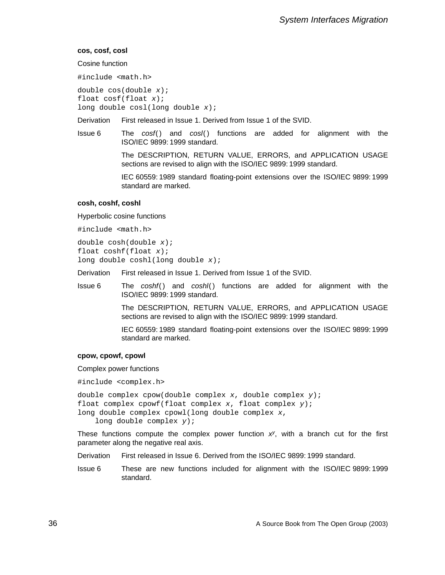**cos, cosf, cosl**

Cosine function

#include <math.h>

double cos(double x); float cosf(float x); long double cosl(long double x);

Derivation First released in Issue 1. Derived from Issue 1 of the SVID.

Issue 6 The  $cosf()$  and  $cosf()$  functions are added for alignment with the ISO/IEC 9899: 1999 standard.

> The DESCRIPTION, RETURN VALUE, ERRORS, and APPLICATION USAGE sections are revised to align with the ISO/IEC 9899: 1999 standard.

> IEC 60559: 1989 standard floating-point extensions over the ISO/IEC 9899: 1999 standard are marked.

#### **cosh, coshf, coshl**

Hyperbolic cosine functions

#include <math.h>

double  $\cosh(\text{double } x)$ ; float coshf(float x); long double coshl(long double x);

Derivation First released in Issue 1. Derived from Issue 1 of the SVID.

Issue 6 The  $cosh(f)$  and  $cosh(f)$  functions are added for alignment with the ISO/IEC 9899: 1999 standard.

> The DESCRIPTION, RETURN VALUE, ERRORS, and APPLICATION USAGE sections are revised to align with the ISO/IEC 9899: 1999 standard.

> IEC 60559: 1989 standard floating-point extensions over the ISO/IEC 9899: 1999 standard are marked.

## **cpow, cpowf, cpowl**

Complex power functions

#include <complex.h>

double complex cpow(double complex x, double complex y); float complex cpowf(float complex  $x$ , float complex  $y$ ); long double complex cpowl(long double complex x, long double complex y);

These functions compute the complex power function  $x<sup>y</sup>$ , with a branch cut for the first parameter along the negative real axis.

Derivation First released in Issue 6. Derived from the ISO/IEC 9899: 1999 standard.

Issue 6 These are new functions included for alignment with the ISO/IEC 9899: 1999 standard.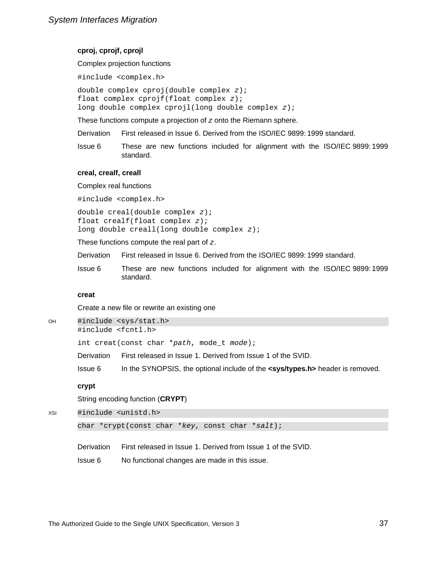## **cproj, cprojf, cprojl**

Complex projection functions

#include <complex.h>

double complex cproj(double complex z); float complex cprojf(float complex z); long double complex cprojl(long double complex z);

These functions compute a projection of z onto the Riemann sphere.

Derivation First released in Issue 6. Derived from the ISO/IEC 9899: 1999 standard.

Issue 6 These are new functions included for alignment with the ISO/IEC 9899: 1999 standard.

#### **creal, crealf, creall**

Complex real functions

#include <complex.h>

double creal(double complex z); float crealf(float complex z); long double creall(long double complex z);

These functions compute the real part of z.

Derivation First released in Issue 6. Derived from the ISO/IEC 9899: 1999 standard.

Issue 6 These are new functions included for alignment with the ISO/IEC 9899: 1999 standard.

#### **creat**

Create a new file or rewrite an existing one

```
OH #include <sys/stat.h>
      #include <fcntl.h>
```
int creat(const char \*path, mode\_t mode);

Derivation First released in Issue 1. Derived from Issue 1 of the SVID.

Issue 6 In the SYNOPSIS, the optional include of the **<sys/types.h>** header is removed.

# **crypt**

String encoding function (**CRYPT**)

XSI #include <unistd.h>

char \*crypt(const char \*key, const char \*salt);

Derivation First released in Issue 1. Derived from Issue 1 of the SVID.

Issue 6 No functional changes are made in this issue.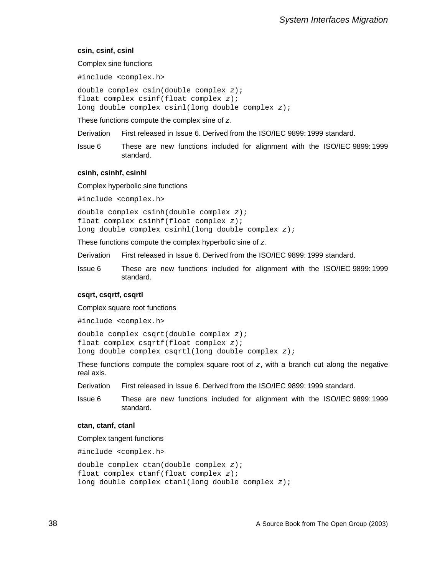## **csin, csinf, csinl**

Complex sine functions

#include <complex.h>

double complex csin(double complex z); float complex csinf(float complex z); long double complex csinl(long double complex z);

These functions compute the complex sine of z.

Derivation First released in Issue 6. Derived from the ISO/IEC 9899: 1999 standard.

Issue 6 These are new functions included for alignment with the ISO/IEC 9899: 1999 standard.

#### **csinh, csinhf, csinhl**

Complex hyperbolic sine functions

#include <complex.h>

double complex csinh(double complex z); float complex csinhf(float complex z); long double complex csinhl(long double complex z);

These functions compute the complex hyperbolic sine of z.

Derivation First released in Issue 6. Derived from the ISO/IEC 9899: 1999 standard.

Issue 6 These are new functions included for alignment with the ISO/IEC 9899: 1999 standard.

## **csqrt, csqrtf, csqrtl**

Complex square root functions

#include <complex.h>

double complex csqrt(double complex z); float complex csqrtf(float complex z); long double complex csqrtl(long double complex z);

These functions compute the complex square root of z, with a branch cut along the negative real axis.

Derivation First released in Issue 6. Derived from the ISO/IEC 9899: 1999 standard.

Issue 6 These are new functions included for alignment with the ISO/IEC 9899: 1999 standard.

## **ctan, ctanf, ctanl**

Complex tangent functions

```
#include <complex.h>
```

```
double complex ctan(double complex z);
float complex ctanf(float complex z);
long double complex ctanl(long double complex z);
```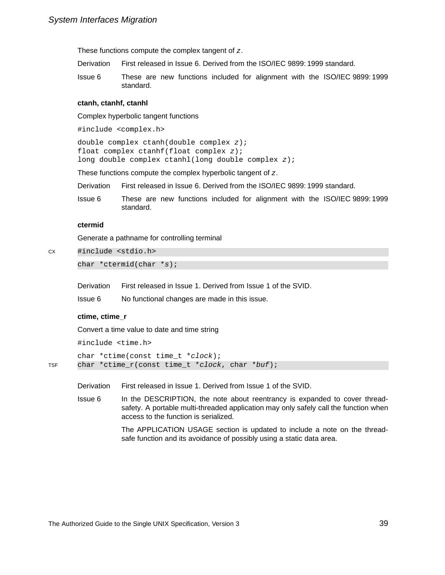These functions compute the complex tangent of z.

Derivation First released in Issue 6. Derived from the ISO/IEC 9899: 1999 standard.

Issue 6 These are new functions included for alignment with the ISO/IEC 9899: 1999 standard.

## **ctanh, ctanhf, ctanhl**

Complex hyperbolic tangent functions

#include <complex.h>

double complex ctanh(double complex z); float complex ctanhf(float complex z); long double complex ctanhl(long double complex z);

These functions compute the complex hyperbolic tangent of z.

Derivation First released in Issue 6. Derived from the ISO/IEC 9899: 1999 standard.

Issue 6 These are new functions included for alignment with the ISO/IEC 9899: 1999 standard.

#### **ctermid**

Generate a pathname for controlling terminal

CX #include <stdio.h>

char \*ctermid(char \*s);

Derivation First released in Issue 1. Derived from Issue 1 of the SVID.

Issue 6 No functional changes are made in this issue.

## **ctime, ctime\_r**

Convert a time value to date and time string

#include <time.h>

char \*ctime(const time\_t \*clock); TSF char \*ctime\_r(const time\_t \*clock, char \*buf);

Derivation First released in Issue 1. Derived from Issue 1 of the SVID.

Issue 6 In the DESCRIPTION, the note about reentrancy is expanded to cover threadsafety. A portable multi-threaded application may only safely call the function when access to the function is serialized.

> The APPLICATION USAGE section is updated to include a note on the threadsafe function and its avoidance of possibly using a static data area.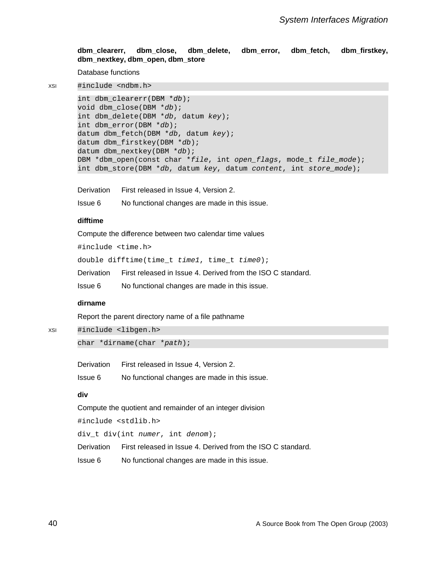**dbm\_clearerr, dbm\_close, dbm\_delete, dbm\_error, dbm\_fetch, dbm\_firstkey, dbm\_nextkey, dbm\_open, dbm\_store**

Database functions

```
XSI #include <ndbm.h>
```

```
int dbm_clearerr(DBM *db);
void dbm_close(DBM *db);
int dbm_delete(DBM *db, datum key);
int dbm_error(DBM *db);
datum dbm_fetch(DBM *db, datum key);
datum dbm_firstkey(DBM *db);
datum dbm_nextkey(DBM *db);
DBM *dbm_open(const char *file, int open_flags, mode_t file_mode);
int dbm_store(DBM *db, datum key, datum content, int store_mode);
```
Derivation First released in Issue 4, Version 2.

Issue 6 No functional changes are made in this issue.

# **difftime**

Compute the difference between two calendar time values

#include <time.h>

double difftime(time\_t time1, time\_t time0);

Derivation First released in Issue 4. Derived from the ISO C standard.

Issue 6 No functional changes are made in this issue.

# **dirname**

Report the parent directory name of a file pathname

XSI #include <libgen.h>

char \*dirname(char \*path);

Derivation First released in Issue 4, Version 2.

Issue 6 No functional changes are made in this issue.

# **div**

Compute the quotient and remainder of an integer division

```
#include <stdlib.h>
```
div\_t div(int numer, int denom);

Derivation First released in Issue 4. Derived from the ISO C standard.

Issue 6 No functional changes are made in this issue.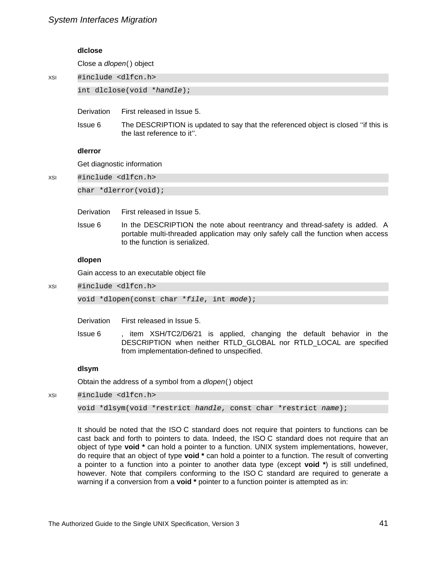## **dlclose**

Close a dlopen( ) object

XSI #include <dlfcn.h>

```
int dlclose(void *handle);
```
Derivation First released in Issue 5.

Issue 6 The DESCRIPTION is updated to say that the referenced object is closed ''if this is the last reference to it''.

## **dlerror**

Get diagnostic information

XSI #include <dlfcn.h>

char \*dlerror(void);

Derivation First released in Issue 5.

Issue 6 In the DESCRIPTION the note about reentrancy and thread-safety is added. A portable multi-threaded application may only safely call the function when access to the function is serialized.

## **dlopen**

Gain access to an executable object file

XSI #include <dlfcn.h>

void \*dlopen(const char \*file, int mode);

Derivation First released in Issue 5.

Issue 6 , item XSH/TC2/D6/21 is applied, changing the default behavior in the DESCRIPTION when neither RTLD\_GLOBAL nor RTLD\_LOCAL are specified from implementation-defined to unspecified.

## **dlsym**

Obtain the address of a symbol from a dlopen( ) object

XSI #include <dlfcn.h>

```
void *dlsym(void *restrict handle, const char *restrict name);
```
It should be noted that the ISO C standard does not require that pointers to functions can be cast back and forth to pointers to data. Indeed, the ISO C standard does not require that an object of type **void \*** can hold a pointer to a function. UNIX system implementations, however, do require that an object of type **void \*** can hold a pointer to a function. The result of converting a pointer to a function into a pointer to another data type (except **void \***) is still undefined, however. Note that compilers conforming to the ISO C standard are required to generate a warning if a conversion from a **void \*** pointer to a function pointer is attempted as in: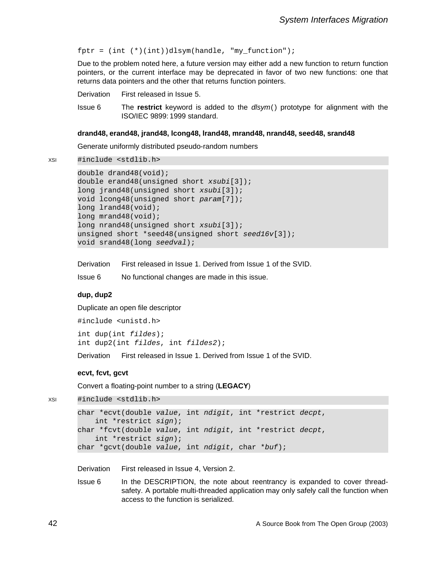fptr =  $(int (*)(int))dlsym(handle, "my_function");$ 

Due to the problem noted here, a future version may either add a new function to return function pointers, or the current interface may be deprecated in favor of two new functions: one that returns data pointers and the other that returns function pointers.

Derivation First released in Issue 5.

Issue 6 The **restrict** keyword is added to the dlsym( ) prototype for alignment with the ISO/IEC 9899: 1999 standard.

#### **drand48, erand48, jrand48, lcong48, lrand48, mrand48, nrand48, seed48, srand48**

Generate uniformly distributed pseudo-random numbers

XSI #include <stdlib.h>

```
double drand48(void);
double erand48(unsigned short xsubi[3]);
long jrand48(unsigned short xsubi[3]);
void lcong48(unsigned short param[7]);
long lrand48(void);
long mrand48(void);
long nrand48(unsigned short xsubi[3]);
unsigned short *seed48(unsigned short seed16v[3]);
void srand48(long seedval);
```
Derivation First released in Issue 1. Derived from Issue 1 of the SVID.

Issue 6 No functional changes are made in this issue.

## **dup, dup2**

Duplicate an open file descriptor

#include <unistd.h>

int dup(int fildes); int dup2(int fildes, int fildes2);

Derivation First released in Issue 1. Derived from Issue 1 of the SVID.

#### **ecvt, fcvt, gcvt**

Convert a floating-point number to a string (**LEGACY**)

XSI #include <stdlib.h>

```
char *ecvt(double value, int ndigit, int *restrict decpt,
   int *restrict sign);
char *fcvt(double value, int ndigit, int *restrict decpt,
   int *restrict sign);
char *gcvt(double value, int ndigit, char *buf);
```
Derivation First released in Issue 4, Version 2.

Issue 6 In the DESCRIPTION, the note about reentrancy is expanded to cover threadsafety. A portable multi-threaded application may only safely call the function when access to the function is serialized.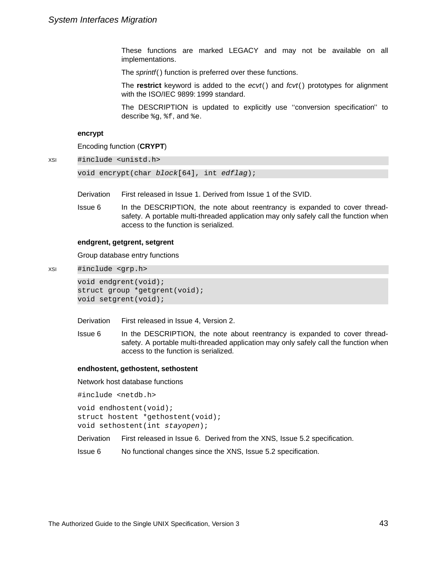These functions are marked LEGACY and may not be available on all implementations.

The sprintf( ) function is preferred over these functions.

The **restrict** keyword is added to the ecvt( ) and fcvt( ) prototypes for alignment with the ISO/IEC 9899: 1999 standard.

The DESCRIPTION is updated to explicitly use ''conversion specification'' to describe %g, %f, and %e.

#### **encrypt**

Encoding function (**CRYPT**)

XSI #include <unistd.h>

void encrypt(char block[64], int edflag);

Derivation First released in Issue 1. Derived from Issue 1 of the SVID.

Issue 6 In the DESCRIPTION, the note about reentrancy is expanded to cover threadsafety. A portable multi-threaded application may only safely call the function when access to the function is serialized.

#### **endgrent, getgrent, setgrent**

Group database entry functions

XSI #include <grp.h>

```
void endgrent(void);
struct group *getgrent(void);
void setgrent(void);
```
Derivation First released in Issue 4, Version 2.

Issue 6 In the DESCRIPTION, the note about reentrancy is expanded to cover threadsafety. A portable multi-threaded application may only safely call the function when access to the function is serialized.

### **endhostent, gethostent, sethostent**

Network host database functions

#include <netdb.h>

```
void endhostent(void);
struct hostent *gethostent(void);
void sethostent(int stayopen);
```
Derivation First released in Issue 6. Derived from the XNS, Issue 5.2 specification.

Issue 6 No functional changes since the XNS, Issue 5.2 specification.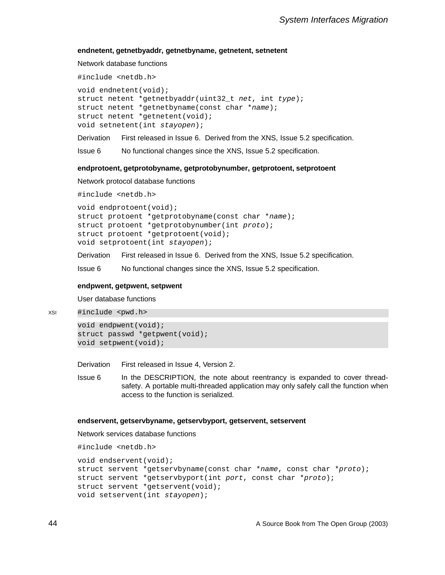### **endnetent, getnetbyaddr, getnetbyname, getnetent, setnetent**

Network database functions

```
#include <netdb.h>
```

```
void endnetent(void);
struct netent *getnetbyaddr(uint32_t net, int type);
struct netent *getnetbyname(const char *name);
struct netent *getnetent(void);
void setnetent(int stayopen);
```
Derivation First released in Issue 6. Derived from the XNS, Issue 5.2 specification.

Issue 6 No functional changes since the XNS, Issue 5.2 specification.

#### **endprotoent, getprotobyname, getprotobynumber, getprotoent, setprotoent**

Network protocol database functions

#include <netdb.h>

```
void endprotoent(void);
struct protoent *getprotobyname(const char *name);
struct protoent *getprotobynumber(int proto);
struct protoent *getprotoent(void);
void setprotoent(int stayopen);
```
Derivation First released in Issue 6. Derived from the XNS, Issue 5.2 specification.

Issue 6 No functional changes since the XNS, Issue 5.2 specification.

#### **endpwent, getpwent, setpwent**

User database functions

XSI #include <pwd.h>

```
void endpwent(void);
struct passwd *getpwent(void);
void setpwent(void);
```
Derivation First released in Issue 4, Version 2.

Issue 6 In the DESCRIPTION, the note about reentrancy is expanded to cover threadsafety. A portable multi-threaded application may only safely call the function when access to the function is serialized.

### **endservent, getservbyname, getservbyport, getservent, setservent**

Network services database functions

#include <netdb.h>

```
void endservent(void);
struct servent *getservbyname(const char *name, const char *proto);
struct servent *getservbyport(int port, const char *proto);
struct servent *getservent(void);
void setservent(int stayopen);
```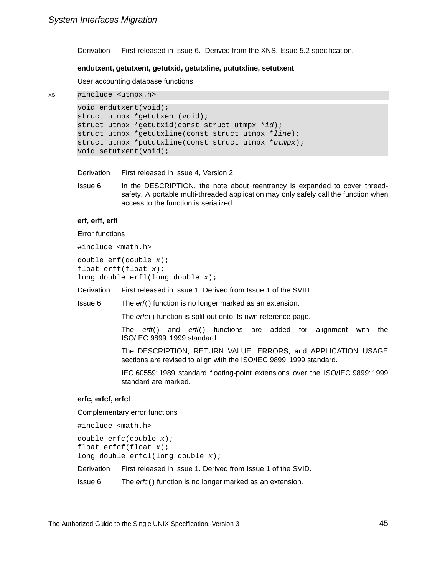Derivation First released in Issue 6. Derived from the XNS, Issue 5.2 specification.

## **endutxent, getutxent, getutxid, getutxline, pututxline, setutxent**

User accounting database functions

```
XSI #include <utmpx.h>
```

```
void endutxent(void);
struct utmpx *getutxent(void);
struct utmpx *getutxid(const struct utmpx *id);
struct utmpx *getutxline(const struct utmpx *line);
struct utmpx *pututxline(const struct utmpx *utmpx);
void setutxent(void);
```
Derivation First released in Issue 4, Version 2.

Issue 6 In the DESCRIPTION, the note about reentrancy is expanded to cover threadsafety. A portable multi-threaded application may only safely call the function when access to the function is serialized.

## **erf, erff, erfl**

Error functions

#include <math.h>

double erf(double x); float erff(float x); long double erfl(long double x);

Derivation First released in Issue 1. Derived from Issue 1 of the SVID.

Issue 6 The erf() function is no longer marked as an extension.

The erfc() function is split out onto its own reference page.

The  $erff()$  and  $erff()$  functions are added for alignment with the ISO/IEC 9899: 1999 standard.

The DESCRIPTION, RETURN VALUE, ERRORS, and APPLICATION USAGE sections are revised to align with the ISO/IEC 9899: 1999 standard.

IEC 60559: 1989 standard floating-point extensions over the ISO/IEC 9899: 1999 standard are marked.

#### **erfc, erfcf, erfcl**

Complementary error functions

#include <math.h>

double erfc(double x); float erfcf(float x); long double erfcl(long double x);

Derivation First released in Issue 1. Derived from Issue 1 of the SVID.

Issue 6 The erfc() function is no longer marked as an extension.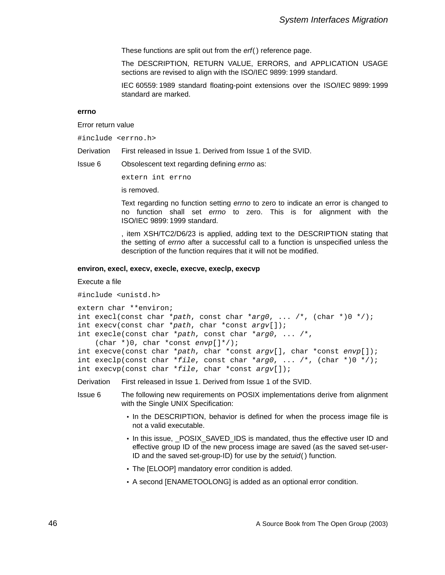These functions are split out from the erf() reference page.

The DESCRIPTION, RETURN VALUE, ERRORS, and APPLICATION USAGE sections are revised to align with the ISO/IEC 9899: 1999 standard.

IEC 60559: 1989 standard floating-point extensions over the ISO/IEC 9899: 1999 standard are marked.

# **errno**

Error return value

#include <errno.h>

Derivation First released in Issue 1. Derived from Issue 1 of the SVID.

Issue 6 Obsolescent text regarding defining errno as:

extern int errno

is removed.

Text regarding no function setting errno to zero to indicate an error is changed to no function shall set errno to zero. This is for alignment with the ISO/IEC 9899: 1999 standard.

, item XSH/TC2/D6/23 is applied, adding text to the DESCRIPTION stating that the setting of errno after a successful call to a function is unspecified unless the description of the function requires that it will not be modified.

#### **environ, execl, execv, execle, execve, execlp, execvp**

Execute a file

#include <unistd.h>

```
extern char **environ;
int execl(const char *path, const char *arg0, ... /*, (char *)0 */);
int execv(const char *path, char *const argv[]);
int execle(const char *path, const char *arg0, ... /*,
    (char *)0, char *const envp[]*/);int execve(const char *path, char *const argv[], char *const envp[]);
int execlp(const char *file, const char *arg0, ... /*, (char *)0 */);
int execvp(const char *file, char *const argv[]);
```
Derivation First released in Issue 1. Derived from Issue 1 of the SVID.

- Issue 6 The following new requirements on POSIX implementations derive from alignment with the Single UNIX Specification:
	- In the DESCRIPTION, behavior is defined for when the process image file is not a valid executable.
	- In this issue, \_POSIX\_SAVED\_IDS is mandated, thus the effective user ID and effective group ID of the new process image are saved (as the saved set-user-ID and the saved set-group-ID) for use by the setuid( ) function.
	- The [ELOOP] mandatory error condition is added.
	- A second [ENAMETOOLONG] is added as an optional error condition.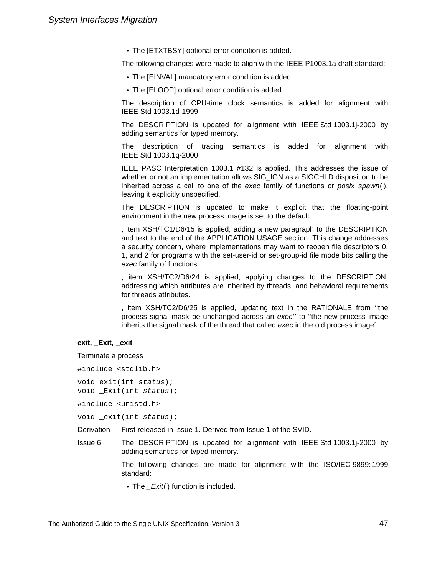• The [ETXTBSY] optional error condition is added.

The following changes were made to align with the IEEE P1003.1a draft standard:

- The [EINVAL] mandatory error condition is added.
- The [ELOOP] optional error condition is added.

The description of CPU-time clock semantics is added for alignment with IEEE Std 1003.1d-1999.

The DESCRIPTION is updated for alignment with IEEE Std 1003.1j-2000 by adding semantics for typed memory.

The description of tracing semantics is added for alignment with IEEE Std 1003.1q-2000.

IEEE PASC Interpretation 1003.1 #132 is applied. This addresses the issue of whether or not an implementation allows SIG\_IGN as a SIGCHLD disposition to be inherited across a call to one of the exec family of functions or  $posix_spawn($ ), leaving it explicitly unspecified.

The DESCRIPTION is updated to make it explicit that the floating-point environment in the new process image is set to the default.

, item XSH/TC1/D6/15 is applied, adding a new paragraph to the DESCRIPTION and text to the end of the APPLICATION USAGE section. This change addresses a security concern, where implementations may want to reopen file descriptors 0, 1, and 2 for programs with the set-user-id or set-group-id file mode bits calling the exec family of functions.

, item XSH/TC2/D6/24 is applied, applying changes to the DESCRIPTION, addressing which attributes are inherited by threads, and behavioral requirements for threads attributes.

, item XSH/TC2/D6/25 is applied, updating text in the RATIONALE from ''the process signal mask be unchanged across an exec'' to ''the new process image inherits the signal mask of the thread that called exec in the old process image''.

#### **exit, \_Exit, \_exit**

Terminate a process

#include <stdlib.h>

void exit(int status); void \_Exit(int status);

#include <unistd.h>

void \_exit(int status);

Derivation First released in Issue 1. Derived from Issue 1 of the SVID.

Issue 6 The DESCRIPTION is updated for alignment with IEEE Std 1003.1j-2000 by adding semantics for typed memory.

> The following changes are made for alignment with the ISO/IEC 9899: 1999 standard:

• The  $\_Exit()$  function is included.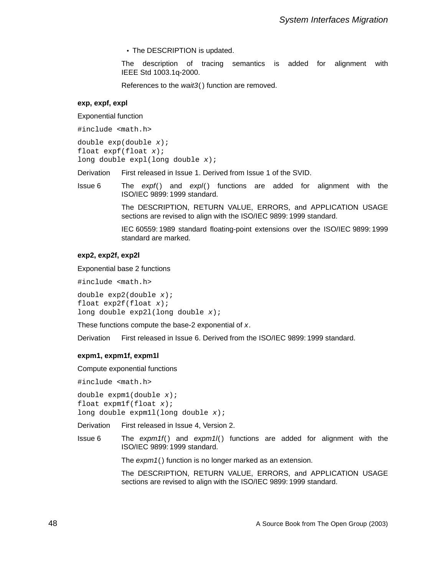• The DESCRIPTION is updated.

The description of tracing semantics is added for alignment with IEEE Std 1003.1q-2000.

References to the wait3( ) function are removed.

#### **exp, expf, expl**

Exponential function

#include <math.h>

double exp(double x); float expf(float x); long double expl(long double x);

Derivation First released in Issue 1. Derived from Issue 1 of the SVID.

Issue 6 The  $expf()$  and  $expf()$  functions are added for alignment with the ISO/IEC 9899: 1999 standard.

> The DESCRIPTION, RETURN VALUE, ERRORS, and APPLICATION USAGE sections are revised to align with the ISO/IEC 9899: 1999 standard.

> IEC 60559: 1989 standard floating-point extensions over the ISO/IEC 9899: 1999 standard are marked.

### **exp2, exp2f, exp2l**

Exponential base 2 functions

#include <math.h>

double  $exp2(double x)$ ; float exp2f(float x); long double exp21(long double x);

These functions compute the base-2 exponential of x.

Derivation First released in Issue 6. Derived from the ISO/IEC 9899: 1999 standard.

## **expm1, expm1f, expm1l**

Compute exponential functions

#include <math.h>

double expm1(double x); float expm1f(float x); long double expm11(long double x);

Derivation First released in Issue 4, Version 2.

Issue 6 The  $expm1f()$  and  $expm1f()$  functions are added for alignment with the ISO/IEC 9899: 1999 standard.

The expm1( ) function is no longer marked as an extension.

The DESCRIPTION, RETURN VALUE, ERRORS, and APPLICATION USAGE sections are revised to align with the ISO/IEC 9899: 1999 standard.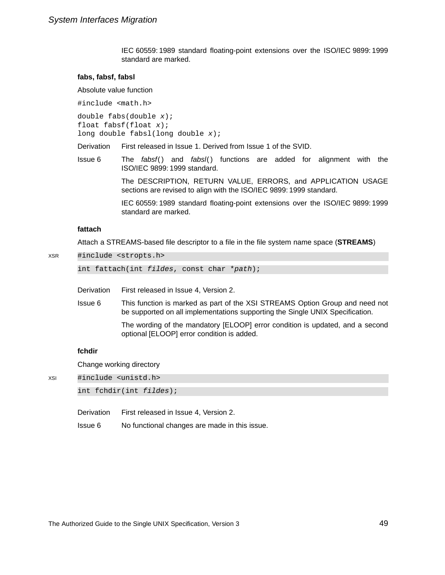IEC 60559: 1989 standard floating-point extensions over the ISO/IEC 9899: 1999 standard are marked.

#### **fabs, fabsf, fabsl**

Absolute value function

#include <math.h>

double  $fabs(double x)$ ; float fabsf(float x); long double fabsl(long double x);

Derivation First released in Issue 1. Derived from Issue 1 of the SVID.

Issue 6 The fabsf() and fabsl() functions are added for alignment with the ISO/IEC 9899: 1999 standard.

> The DESCRIPTION, RETURN VALUE, ERRORS, and APPLICATION USAGE sections are revised to align with the ISO/IEC 9899: 1999 standard.

> IEC 60559: 1989 standard floating-point extensions over the ISO/IEC 9899: 1999 standard are marked.

#### **fattach**

Attach a STREAMS-based file descriptor to a file in the file system name space (**STREAMS**)

XSR #include <stropts.h>

int fattach(int fildes, const char \*path);

Derivation First released in Issue 4, Version 2.

Issue 6 This function is marked as part of the XSI STREAMS Option Group and need not be supported on all implementations supporting the Single UNIX Specification.

> The wording of the mandatory [ELOOP] error condition is updated, and a second optional [ELOOP] error condition is added.

## **fchdir**

Change working directory

XSI #include <unistd.h>

int fchdir(int fildes);

Derivation First released in Issue 4, Version 2.

Issue 6 No functional changes are made in this issue.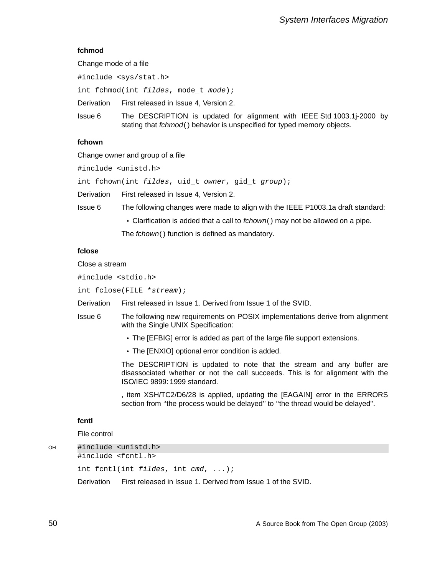# **fchmod**

Change mode of a file

#include <sys/stat.h>

int fchmod(int fildes, mode\_t mode);

Derivation First released in Issue 4, Version 2.

Issue 6 The DESCRIPTION is updated for alignment with IEEE Std 1003.1j-2000 by stating that fchmod() behavior is unspecified for typed memory objects.

# **fchown**

Change owner and group of a file

#include <unistd.h>

int fchown(int fildes, uid\_t owner, gid\_t group);

Derivation First released in Issue 4, Version 2.

Issue 6 The following changes were made to align with the IEEE P1003.1a draft standard:

• Clarification is added that a call to *fchown*() may not be allowed on a pipe.

The *fchown*() function is defined as mandatory.

# **fclose**

Close a stream

#include <stdio.h>

int fclose(FILE \*stream);

Derivation First released in Issue 1. Derived from Issue 1 of the SVID.

- Issue 6 The following new requirements on POSIX implementations derive from alignment with the Single UNIX Specification:
	- The [EFBIG] error is added as part of the large file support extensions.
	- The [ENXIO] optional error condition is added.

The DESCRIPTION is updated to note that the stream and any buffer are disassociated whether or not the call succeeds. This is for alignment with the ISO/IEC 9899: 1999 standard.

, item XSH/TC2/D6/28 is applied, updating the [EAGAIN] error in the ERRORS section from ''the process would be delayed'' to ''the thread would be delayed''.

# **fcntl**

File control

OH #include <unistd.h> #include <fcntl.h> int fcntl(int fildes, int cmd, ...); Derivation First released in Issue 1. Derived from Issue 1 of the SVID.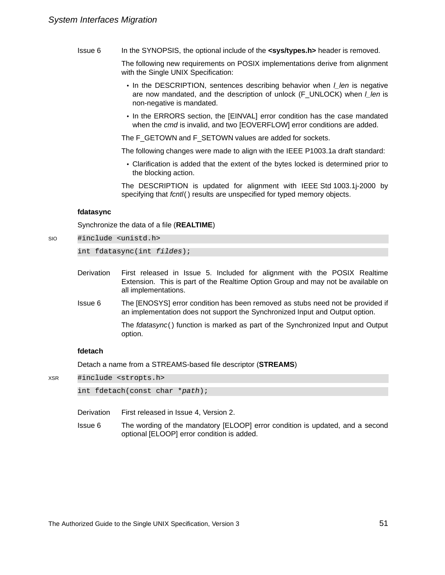Issue 6 In the SYNOPSIS, the optional include of the **<sys/types.h>** header is removed.

The following new requirements on POSIX implementations derive from alignment with the Single UNIX Specification:

- In the DESCRIPTION, sentences describing behavior when  $L$  len is negative are now mandated, and the description of unlock (F\_UNLOCK) when *L* len is non-negative is mandated.
- In the ERRORS section, the [EINVAL] error condition has the case mandated when the *cmd* is invalid, and two [EOVERFLOW] error conditions are added.

The F\_GETOWN and F\_SETOWN values are added for sockets.

The following changes were made to align with the IEEE P1003.1a draft standard:

• Clarification is added that the extent of the bytes locked is determined prior to the blocking action.

The DESCRIPTION is updated for alignment with IEEE Std 1003.1j-2000 by specifying that fcntl() results are unspecified for typed memory objects.

### **fdatasync**

Synchronize the data of a file (**REALTIME**)

SIO #include <unistd.h>

int fdatasync(int fildes);

- Derivation First released in Issue 5. Included for alignment with the POSIX Realtime Extension. This is part of the Realtime Option Group and may not be available on all implementations.
- Issue 6 The [ENOSYS] error condition has been removed as stubs need not be provided if an implementation does not support the Synchronized Input and Output option.

The *fdatasync*() function is marked as part of the Synchronized Input and Output option.

## **fdetach**

Detach a name from a STREAMS-based file descriptor (**STREAMS**)

XSR #include <stropts.h>

int fdetach(const char \*path);

- Derivation First released in Issue 4, Version 2.
- Issue 6 The wording of the mandatory [ELOOP] error condition is updated, and a second optional [ELOOP] error condition is added.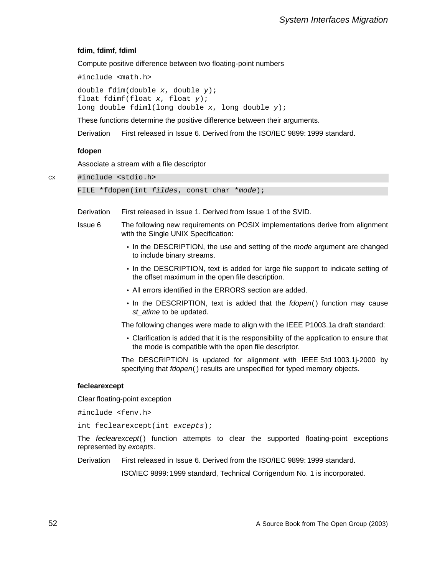# **fdim, fdimf, fdiml**

Compute positive difference between two floating-point numbers

#include <math.h>

double fdim(double x, double y); float fdimf(float x, float y); long double fdiml(long double x, long double y);

These functions determine the positive difference between their arguments.

Derivation First released in Issue 6. Derived from the ISO/IEC 9899: 1999 standard.

# **fdopen**

Associate a stream with a file descriptor

CX #include <stdio.h>

FILE \*fdopen(int fildes, const char \*mode);

Derivation First released in Issue 1. Derived from Issue 1 of the SVID.

- Issue 6 The following new requirements on POSIX implementations derive from alignment with the Single UNIX Specification:
	- In the DESCRIPTION, the use and setting of the mode argument are changed to include binary streams.
	- In the DESCRIPTION, text is added for large file support to indicate setting of the offset maximum in the open file description.
	- All errors identified in the ERRORS section are added.
	- In the DESCRIPTION, text is added that the fdopen() function may cause st\_atime to be updated.

The following changes were made to align with the IEEE P1003.1a draft standard:

• Clarification is added that it is the responsibility of the application to ensure that the mode is compatible with the open file descriptor.

The DESCRIPTION is updated for alignment with IEEE Std 1003.1j-2000 by specifying that fdopen() results are unspecified for typed memory objects.

## **feclearexcept**

Clear floating-point exception

#include <fenv.h>

int feclearexcept(int excepts);

The *feclearexcept*() function attempts to clear the supported floating-point exceptions represented by excepts.

Derivation First released in Issue 6. Derived from the ISO/IEC 9899: 1999 standard.

ISO/IEC 9899: 1999 standard, Technical Corrigendum No. 1 is incorporated.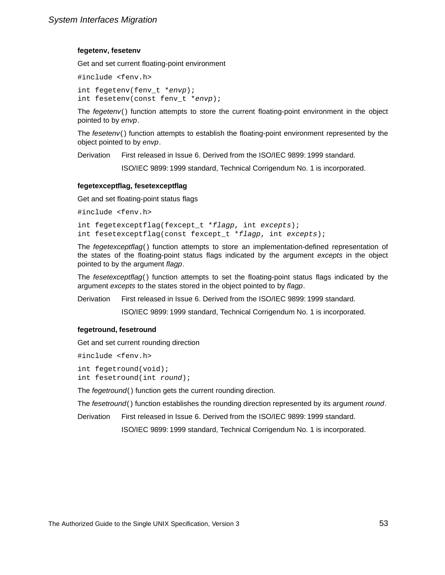#### **fegetenv, fesetenv**

Get and set current floating-point environment

#include <fenv.h>

int fegetenv(fenv\_t \*envp); int fesetenv(const fenv\_t \*envp);

The  $fegetenv()$  function attempts to store the current floating-point environment in the object pointed to by envp.

The *fesetenv*() function attempts to establish the floating-point environment represented by the object pointed to by envp.

Derivation First released in Issue 6. Derived from the ISO/IEC 9899: 1999 standard.

ISO/IEC 9899: 1999 standard, Technical Corrigendum No. 1 is incorporated.

#### **fegetexceptflag, fesetexceptflag**

Get and set floating-point status flags

#include <fenv.h>

int fegetexceptflag(fexcept\_t \*flagp, int excepts); int fesetexceptflag(const fexcept\_t \*flagp, int excepts);

The *fegetexceptflag*() function attempts to store an implementation-defined representation of the states of the floating-point status flags indicated by the argument excepts in the object pointed to by the argument flagp.

The *fesetexceptflag*() function attempts to set the floating-point status flags indicated by the argument excepts to the states stored in the object pointed to by flagp.

Derivation First released in Issue 6. Derived from the ISO/IEC 9899: 1999 standard.

ISO/IEC 9899: 1999 standard, Technical Corrigendum No. 1 is incorporated.

#### **fegetround, fesetround**

Get and set current rounding direction

#include <fenv.h>

int fegetround(void); int fesetround(int round);

The fegetround( ) function gets the current rounding direction.

The fesetround() function establishes the rounding direction represented by its argument round.

Derivation First released in Issue 6. Derived from the ISO/IEC 9899: 1999 standard.

ISO/IEC 9899: 1999 standard, Technical Corrigendum No. 1 is incorporated.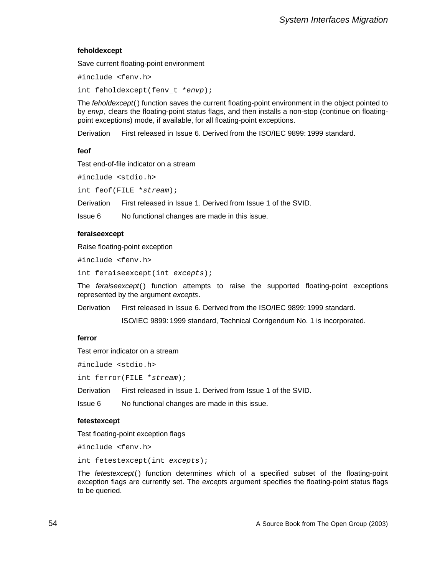# **feholdexcept**

Save current floating-point environment

#include <fenv.h>

int feholdexcept(fenv\_t \*envp);

The feholdexcept() function saves the current floating-point environment in the object pointed to by envp, clears the floating-point status flags, and then installs a non-stop (continue on floatingpoint exceptions) mode, if available, for all floating-point exceptions.

Derivation First released in Issue 6. Derived from the ISO/IEC 9899: 1999 standard.

**feof**

Test end-of-file indicator on a stream

#include <stdio.h>

int feof(FILE \*stream);

Derivation First released in Issue 1. Derived from Issue 1 of the SVID.

Issue 6 No functional changes are made in this issue.

## **feraiseexcept**

Raise floating-point exception

#include <fenv.h>

int feraiseexcept(int excepts);

The  $f$ eraiseexcept() function attempts to raise the supported floating-point exceptions represented by the argument excepts.

Derivation First released in Issue 6. Derived from the ISO/IEC 9899: 1999 standard.

ISO/IEC 9899: 1999 standard, Technical Corrigendum No. 1 is incorporated.

## **ferror**

Test error indicator on a stream

#include <stdio.h>

int ferror(FILE \*stream);

Derivation First released in Issue 1. Derived from Issue 1 of the SVID.

Issue 6 No functional changes are made in this issue.

# **fetestexcept**

Test floating-point exception flags

#include <fenv.h>

int fetestexcept(int excepts);

The fetestexcept() function determines which of a specified subset of the floating-point exception flags are currently set. The excepts argument specifies the floating-point status flags to be queried.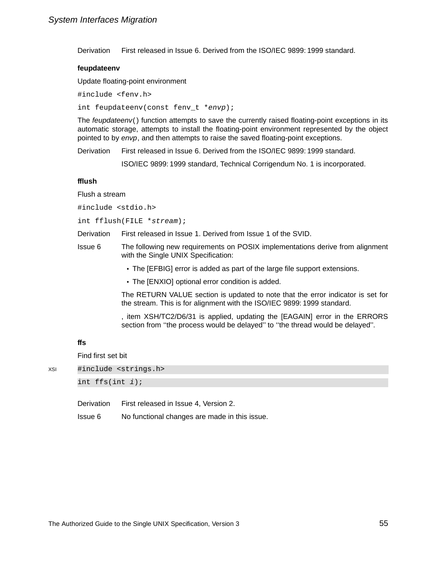Derivation First released in Issue 6. Derived from the ISO/IEC 9899: 1999 standard.

#### **feupdateenv**

Update floating-point environment

#include <fenv.h>

int feupdateenv(const fenv\_t \*envp);

The *feupdateenv*() function attempts to save the currently raised floating-point exceptions in its automatic storage, attempts to install the floating-point environment represented by the object pointed to by envp, and then attempts to raise the saved floating-point exceptions.

Derivation First released in Issue 6. Derived from the ISO/IEC 9899: 1999 standard.

ISO/IEC 9899: 1999 standard, Technical Corrigendum No. 1 is incorporated.

## **fflush**

Flush a stream

#include <stdio.h>

```
int fflush(FILE *stream);
```
Derivation First released in Issue 1. Derived from Issue 1 of the SVID.

- Issue 6 The following new requirements on POSIX implementations derive from alignment with the Single UNIX Specification:
	- The [EFBIG] error is added as part of the large file support extensions.
	- The [ENXIO] optional error condition is added.

The RETURN VALUE section is updated to note that the error indicator is set for the stream. This is for alignment with the ISO/IEC 9899: 1999 standard.

, item XSH/TC2/D6/31 is applied, updating the [EAGAIN] error in the ERRORS section from ''the process would be delayed'' to ''the thread would be delayed''.

# **ffs**

Find first set bit

XSI #include <strings.h>

int ffs(int i);

Derivation First released in Issue 4, Version 2.

Issue 6 No functional changes are made in this issue.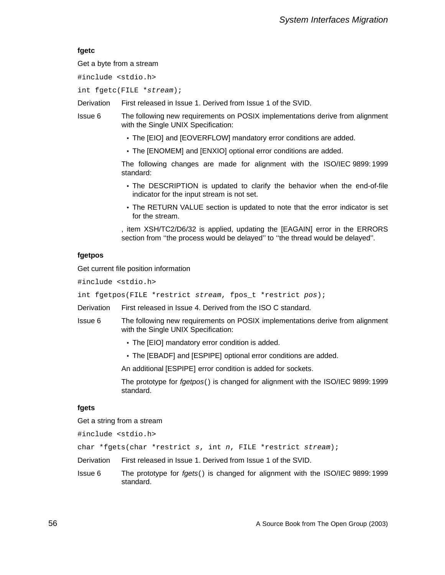# **fgetc**

Get a byte from a stream

#include <stdio.h>

int fgetc(FILE \*stream);

Derivation First released in Issue 1. Derived from Issue 1 of the SVID.

Issue 6 The following new requirements on POSIX implementations derive from alignment with the Single UNIX Specification:

- The [EIO] and [EOVERFLOW] mandatory error conditions are added.
- The [ENOMEM] and [ENXIO] optional error conditions are added.

The following changes are made for alignment with the ISO/IEC 9899: 1999 standard:

- The DESCRIPTION is updated to clarify the behavior when the end-of-file indicator for the input stream is not set.
- The RETURN VALUE section is updated to note that the error indicator is set for the stream.

, item XSH/TC2/D6/32 is applied, updating the [EAGAIN] error in the ERRORS section from ''the process would be delayed'' to ''the thread would be delayed''.

# **fgetpos**

Get current file position information

#include <stdio.h>

int fgetpos(FILE \*restrict stream, fpos\_t \*restrict pos);

- Derivation First released in Issue 4. Derived from the ISO C standard.
- Issue 6 The following new requirements on POSIX implementations derive from alignment with the Single UNIX Specification:
	- The [EIO] mandatory error condition is added.
	- The [EBADF] and [ESPIPE] optional error conditions are added.

An additional [ESPIPE] error condition is added for sockets.

The prototype for fgetpos( ) is changed for alignment with the ISO/IEC 9899: 1999 standard.

# **fgets**

Get a string from a stream

#include <stdio.h>

char \*fgets(char \*restrict s, int n, FILE \*restrict stream);

Derivation First released in Issue 1. Derived from Issue 1 of the SVID.

Issue 6 The prototype for fgets( ) is changed for alignment with the ISO/IEC 9899: 1999 standard.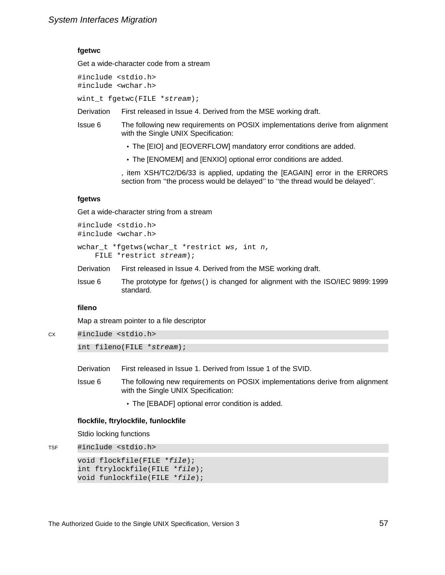## **fgetwc**

Get a wide-character code from a stream

#include <stdio.h> #include <wchar.h>

wint\_t fgetwc(FILE \*stream);

Derivation First released in Issue 4. Derived from the MSE working draft.

Issue 6 The following new requirements on POSIX implementations derive from alignment with the Single UNIX Specification:

- The [EIO] and [EOVERFLOW] mandatory error conditions are added.
- The [ENOMEM] and [ENXIO] optional error conditions are added.

, item XSH/TC2/D6/33 is applied, updating the [EAGAIN] error in the ERRORS section from ''the process would be delayed'' to ''the thread would be delayed''.

#### **fgetws**

Get a wide-character string from a stream

#include <stdio.h> #include <wchar.h> wchar\_t \*fgetws(wchar\_t \*restrict ws, int n,

FILE \*restrict stream);

- Derivation First released in Issue 4. Derived from the MSE working draft.
- Issue 6 The prototype for fgetws( ) is changed for alignment with the ISO/IEC 9899: 1999 standard.

### **fileno**

Map a stream pointer to a file descriptor

CX #include <stdio.h>

int fileno(FILE \*stream);

Derivation First released in Issue 1. Derived from Issue 1 of the SVID.

- Issue 6 The following new requirements on POSIX implementations derive from alignment with the Single UNIX Specification:
	- The [EBADF] optional error condition is added.

#### **flockfile, ftrylockfile, funlockfile**

Stdio locking functions

TSF #include <stdio.h>

void flockfile(FILE \*file); int ftrylockfile(FILE \*file); void funlockfile(FILE \*file);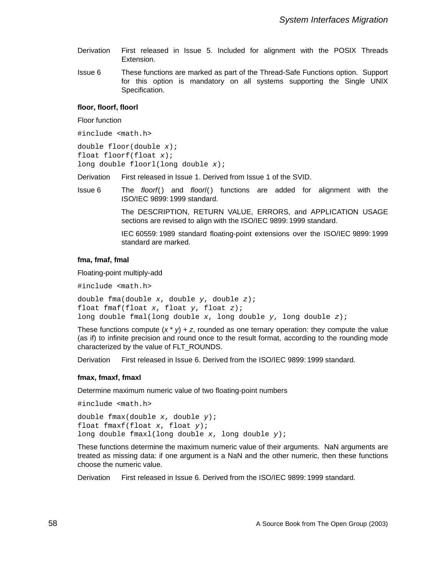- Derivation First released in Issue 5. Included for alignment with the POSIX Threads Extension.
- Issue 6 These functions are marked as part of the Thread-Safe Functions option. Support for this option is mandatory on all systems supporting the Single UNIX Specification.

# **floor, floorf, floorl**

Floor function

#include <math.h>

double floor(double x); float floorf(float x); long double floorl(long double x);

Derivation First released in Issue 1. Derived from Issue 1 of the SVID.

Issue 6 The *floorf*() and *floorl*() functions are added for alignment with the ISO/IEC 9899: 1999 standard.

> The DESCRIPTION, RETURN VALUE, ERRORS, and APPLICATION USAGE sections are revised to align with the ISO/IEC 9899: 1999 standard.

> IEC 60559: 1989 standard floating-point extensions over the ISO/IEC 9899: 1999 standard are marked.

## **fma, fmaf, fmal**

Floating-point multiply-add

#include <math.h>

double fma(double x, double y, double z); float fmaf(float x, float y, float  $z$ ); long double fmal(long double x, long double y, long double z);

These functions compute  $(x * y) + z$ , rounded as one ternary operation: they compute the value (as if) to infinite precision and round once to the result format, according to the rounding mode characterized by the value of FLT\_ROUNDS.

Derivation First released in Issue 6. Derived from the ISO/IEC 9899: 1999 standard.

## **fmax, fmaxf, fmaxl**

Determine maximum numeric value of two floating-point numbers

#include <math.h>

double fmax(double x, double y); float fmaxf(float  $x$ , float  $y$ ); long double fmaxl(long double  $x$ , long double  $y$ );

These functions determine the maximum numeric value of their arguments. NaN arguments are treated as missing data: if one argument is a NaN and the other numeric, then these functions choose the numeric value.

Derivation First released in Issue 6. Derived from the ISO/IEC 9899: 1999 standard.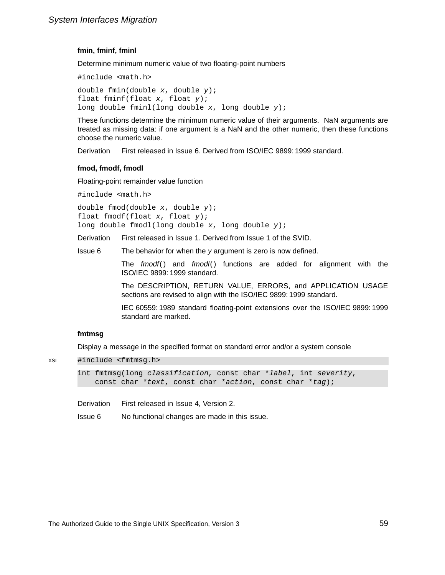#### **fmin, fminf, fminl**

Determine minimum numeric value of two floating-point numbers

```
#include <math.h>
```

```
double fmin(double x, double y);
float fminf(float x, float y);
long double fminl(long double x, long double y);
```
These functions determine the minimum numeric value of their arguments. NaN arguments are treated as missing data: if one argument is a NaN and the other numeric, then these functions choose the numeric value.

Derivation First released in Issue 6. Derived from ISO/IEC 9899: 1999 standard.

#### **fmod, fmodf, fmodl**

Floating-point remainder value function

#include <math.h>

```
double fmod(double x, double y);
float fmodf(float x, float y);
long double fmodl(long double x, long double y);
```
Derivation First released in Issue 1. Derived from Issue 1 of the SVID.

Issue 6 The behavior for when the y argument is zero is now defined.

The *fmodf*() and *fmodl*() functions are added for alignment with the ISO/IEC 9899: 1999 standard.

The DESCRIPTION, RETURN VALUE, ERRORS, and APPLICATION USAGE sections are revised to align with the ISO/IEC 9899: 1999 standard.

IEC 60559: 1989 standard floating-point extensions over the ISO/IEC 9899: 1999 standard are marked.

### **fmtmsg**

Display a message in the specified format on standard error and/or a system console

XSI #include <fmtmsg.h>

```
int fmtmsg(long classification, const char *label, int severity,
    const char *text, const char *action, const char *tag);
```
Derivation First released in Issue 4, Version 2.

Issue 6 No functional changes are made in this issue.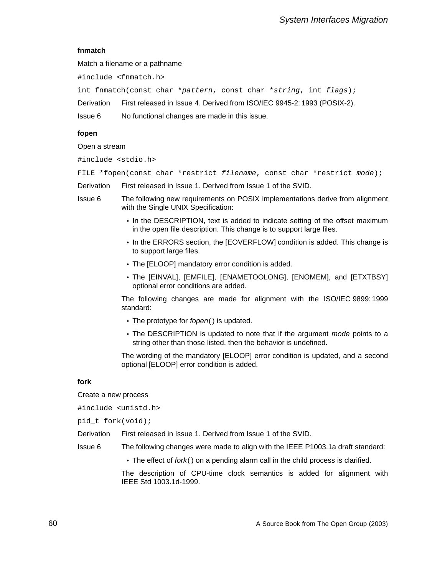## **fnmatch**

Match a filename or a pathname

#include <fnmatch.h>

int fnmatch(const char \*pattern, const char \*string, int flags);

Derivation First released in Issue 4. Derived from ISO/IEC 9945-2: 1993 (POSIX-2).

Issue 6 No functional changes are made in this issue.

# **fopen**

Open a stream

#include <stdio.h>

FILE \*fopen(const char \*restrict filename, const char \*restrict mode);

Derivation First released in Issue 1. Derived from Issue 1 of the SVID.

Issue 6 The following new requirements on POSIX implementations derive from alignment with the Single UNIX Specification:

- In the DESCRIPTION, text is added to indicate setting of the offset maximum in the open file description. This change is to support large files.
- In the ERRORS section, the [EOVERFLOW] condition is added. This change is to support large files.
- The [ELOOP] mandatory error condition is added.
- The [EINVAL], [EMFILE], [ENAMETOOLONG], [ENOMEM], and [ETXTBSY] optional error conditions are added.

The following changes are made for alignment with the ISO/IEC 9899: 1999 standard:

- The prototype for *fopen*() is updated.
- The DESCRIPTION is updated to note that if the argument mode points to a string other than those listed, then the behavior is undefined.

The wording of the mandatory [ELOOP] error condition is updated, and a second optional [ELOOP] error condition is added.

# **fork**

Create a new process

#include <unistd.h>

pid\_t fork(void);

Derivation First released in Issue 1. Derived from Issue 1 of the SVID.

Issue 6 The following changes were made to align with the IEEE P1003.1a draft standard:

• The effect of fork() on a pending alarm call in the child process is clarified.

The description of CPU-time clock semantics is added for alignment with IEEE Std 1003.1d-1999.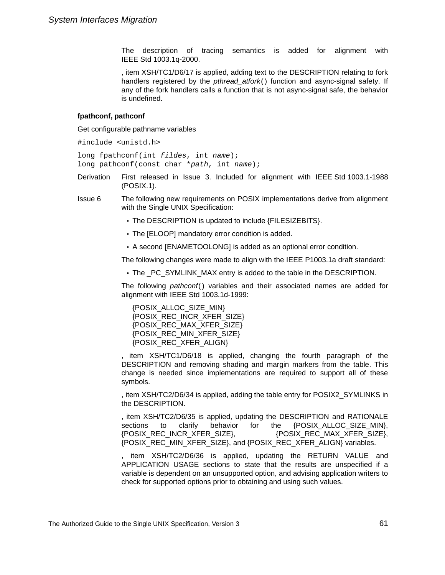The description of tracing semantics is added for alignment with IEEE Std 1003.1q-2000.

, item XSH/TC1/D6/17 is applied, adding text to the DESCRIPTION relating to fork handlers registered by the *pthread\_atfork*() function and async-signal safety. If any of the fork handlers calls a function that is not async-signal safe, the behavior is undefined.

## **fpathconf, pathconf**

Get configurable pathname variables

#include <unistd.h>

long fpathconf(int fildes, int name); long pathconf(const char \*path, int name);

- Derivation First released in Issue 3. Included for alignment with IEEE Std 1003.1-1988 (POSIX.1).
- Issue 6 The following new requirements on POSIX implementations derive from alignment with the Single UNIX Specification:
	- The DESCRIPTION is updated to include {FILESIZEBITS}.
	- The [ELOOP] mandatory error condition is added.
	- A second [ENAMETOOLONG] is added as an optional error condition.

The following changes were made to align with the IEEE P1003.1a draft standard:

• The \_PC\_SYMLINK\_MAX entry is added to the table in the DESCRIPTION.

The following *pathconf*() variables and their associated names are added for alignment with IEEE Std 1003.1d-1999:

{POSIX\_ALLOC\_SIZE\_MIN} {POSIX\_REC\_INCR\_XFER\_SIZE} {POSIX\_REC\_MAX\_XFER\_SIZE} {POSIX\_REC\_MIN\_XFER\_SIZE} {POSIX\_REC\_XFER\_ALIGN}

, item XSH/TC1/D6/18 is applied, changing the fourth paragraph of the DESCRIPTION and removing shading and margin markers from the table. This change is needed since implementations are required to support all of these symbols.

, item XSH/TC2/D6/34 is applied, adding the table entry for POSIX2\_SYMLINKS in the DESCRIPTION.

, item XSH/TC2/D6/35 is applied, updating the DESCRIPTION and RATIONALE sections to clarify behavior for the {POSIX\_ALLOC\_SIZE\_MIN}, {POSIX\_REC\_INCR\_XFER\_SIZE}, {POSIX\_REC\_MAX\_XFER\_SIZE}, {POSIX\_REC\_MIN\_XFER\_SIZE}, and {POSIX\_REC\_XFER\_ALIGN} variables.

item XSH/TC2/D6/36 is applied, updating the RETURN VALUE and APPLICATION USAGE sections to state that the results are unspecified if a variable is dependent on an unsupported option, and advising application writers to check for supported options prior to obtaining and using such values.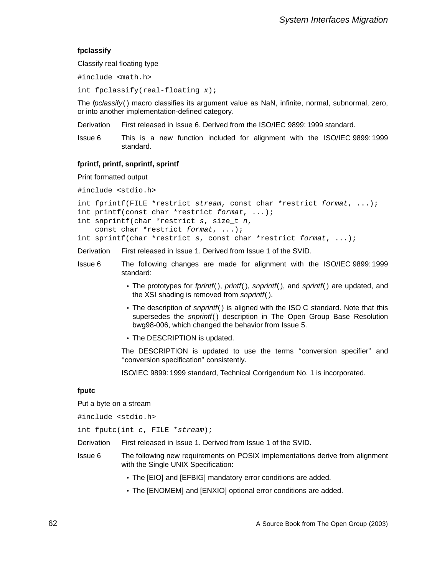# **fpclassify**

Classify real floating type

#include <math.h>

int fpclassify(real-floating  $x$ );

The fpclassify() macro classifies its argument value as NaN, infinite, normal, subnormal, zero, or into another implementation-defined category.

Derivation First released in Issue 6. Derived from the ISO/IEC 9899: 1999 standard.

Issue 6 This is a new function included for alignment with the ISO/IEC 9899: 1999 standard.

#### **fprintf, printf, snprintf, sprintf**

Print formatted output

#include <stdio.h>

```
int fprintf(FILE *restrict stream, const char *restrict format, ...);
int printf(const char *restrict format, ...);
int snprintf(char *restrict s, size_t n,
    const char *restrict format, ...);
int sprintf(char *restrict s, const char *restrict format, ...);
```
Derivation First released in Issue 1. Derived from Issue 1 of the SVID.

Issue 6 The following changes are made for alignment with the ISO/IEC 9899: 1999 standard:

- The prototypes for fprintf(), printf(), snprintf(), and sprintf() are updated, and the XSI shading is removed from snprintf().
- The description of *snprintf*() is aligned with the ISO C standard. Note that this supersedes the *snprintf*() description in The Open Group Base Resolution bwg98-006, which changed the behavior from Issue 5.
- The DESCRIPTION is updated.

The DESCRIPTION is updated to use the terms ''conversion specifier'' and ''conversion specification'' consistently.

ISO/IEC 9899: 1999 standard, Technical Corrigendum No. 1 is incorporated.

# **fputc**

Put a byte on a stream

#include <stdio.h>

int fputc(int c, FILE \*stream);

Derivation First released in Issue 1. Derived from Issue 1 of the SVID.

- Issue 6 The following new requirements on POSIX implementations derive from alignment with the Single UNIX Specification:
	- The [EIO] and [EFBIG] mandatory error conditions are added.
	- The [ENOMEM] and [ENXIO] optional error conditions are added.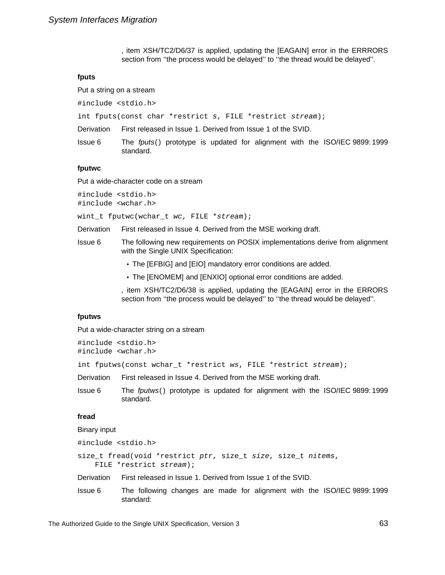, item XSH/TC2/D6/37 is applied, updating the [EAGAIN] error in the ERRRORS section from ''the process would be delayed'' to ''the thread would be delayed''.

### **fputs**

Put a string on a stream

#include <stdio.h>

int fputs(const char \*restrict s, FILE \*restrict stream);

Derivation First released in Issue 1. Derived from Issue 1 of the SVID.

Issue 6 The fputs( ) prototype is updated for alignment with the ISO/IEC 9899: 1999 standard.

#### **fputwc**

Put a wide-character code on a stream

#include <stdio.h> #include <wchar.h>

wint\_t fputwc(wchar\_t wc, FILE \*stream);

Derivation First released in Issue 4. Derived from the MSE working draft.

- Issue 6 The following new requirements on POSIX implementations derive from alignment with the Single UNIX Specification:
	- The [EFBIG] and [EIO] mandatory error conditions are added.
	- The [ENOMEM] and [ENXIO] optional error conditions are added.

, item XSH/TC2/D6/38 is applied, updating the [EAGAIN] error in the ERRORS section from ''the process would be delayed'' to ''the thread would be delayed''.

### **fputws**

Put a wide-character string on a stream

#include <stdio.h> #include <wchar.h>

int fputws(const wchar\_t \*restrict ws, FILE \*restrict stream);

Derivation First released in Issue 4. Derived from the MSE working draft.

Issue 6 The fputws() prototype is updated for alignment with the ISO/IEC 9899: 1999 standard.

# **fread**

Binary input

#include <stdio.h>

size\_t fread(void \*restrict ptr, size\_t size, size\_t nitems,

FILE \*restrict stream);

Derivation First released in Issue 1. Derived from Issue 1 of the SVID.

Issue 6 The following changes are made for alignment with the ISO/IEC 9899: 1999 standard: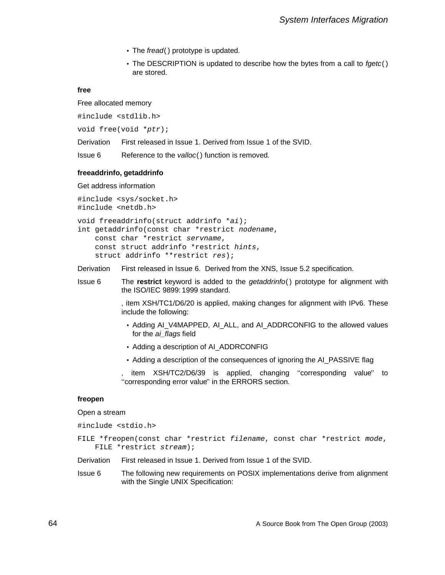- The fread() prototype is updated.
- The DESCRIPTION is updated to describe how the bytes from a call to fgetc() are stored.

#### **free**

Free allocated memory

#include <stdlib.h>

void free(void \*ptr);

Derivation First released in Issue 1. Derived from Issue 1 of the SVID.

Issue 6 Reference to the valloc() function is removed.

#### **freeaddrinfo, getaddrinfo**

Get address information

#include <sys/socket.h> #include <netdb.h>

```
void freeaddrinfo(struct addrinfo *ai);
int getaddrinfo(const char *restrict nodename,
    const char *restrict servname,
    const struct addrinfo *restrict hints,
    struct addrinfo **restrict res);
```
Derivation First released in Issue 6. Derived from the XNS, Issue 5.2 specification.

Issue 6 The **restrict** keyword is added to the getaddrinfo( ) prototype for alignment with the ISO/IEC 9899: 1999 standard.

> , item XSH/TC1/D6/20 is applied, making changes for alignment with IPv6. These include the following:

- Adding AI\_V4MAPPED, AI\_ALL, and AI\_ADDRCONFIG to the allowed values for the ai\_flags field
- Adding a description of AI\_ADDRCONFIG
- Adding a description of the consequences of ignoring the AI\_PASSIVE flag

, item XSH/TC2/D6/39 is applied, changing ''corresponding value'' to ''corresponding error value'' in the ERRORS section.

#### **freopen**

### Open a stream

#include <stdio.h>

- FILE \*freopen(const char \*restrict filename, const char \*restrict mode, FILE \*restrict stream);
- Derivation First released in Issue 1. Derived from Issue 1 of the SVID.
- Issue 6 The following new requirements on POSIX implementations derive from alignment with the Single UNIX Specification: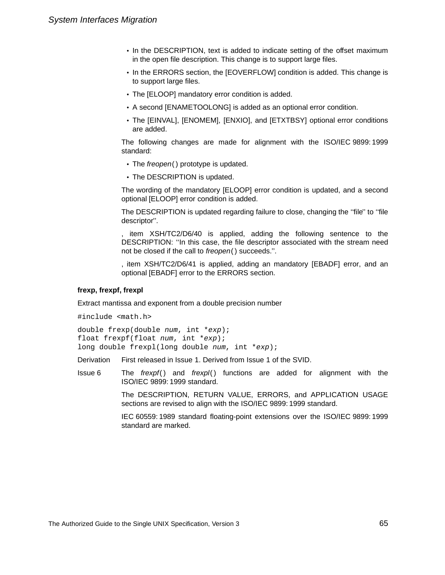- In the DESCRIPTION, text is added to indicate setting of the offset maximum in the open file description. This change is to support large files.
- In the ERRORS section, the [EOVERFLOW] condition is added. This change is to support large files.
- The [ELOOP] mandatory error condition is added.
- A second [ENAMETOOLONG] is added as an optional error condition.
- The [EINVAL], [ENOMEM], [ENXIO], and [ETXTBSY] optional error conditions are added.

The following changes are made for alignment with the ISO/IEC 9899: 1999 standard:

- The *freopen*() prototype is updated.
- The DESCRIPTION is updated.

The wording of the mandatory [ELOOP] error condition is updated, and a second optional [ELOOP] error condition is added.

The DESCRIPTION is updated regarding failure to close, changing the ''file'' to ''file descriptor''.

, item XSH/TC2/D6/40 is applied, adding the following sentence to the DESCRIPTION: ''In this case, the file descriptor associated with the stream need not be closed if the call to freopen( ) succeeds.''.

, item XSH/TC2/D6/41 is applied, adding an mandatory [EBADF] error, and an optional [EBADF] error to the ERRORS section.

## **frexp, frexpf, frexpl**

Extract mantissa and exponent from a double precision number

```
#include <math.h>
```
double frexp(double num, int \*exp); float frexpf(float num, int \*exp); long double frexpl(long double num, int \*exp);

Derivation First released in Issue 1. Derived from Issue 1 of the SVID.

Issue 6 The *frexpf*() and *frexpl*() functions are added for alignment with the ISO/IEC 9899: 1999 standard.

> The DESCRIPTION, RETURN VALUE, ERRORS, and APPLICATION USAGE sections are revised to align with the ISO/IEC 9899: 1999 standard.

> IEC 60559: 1989 standard floating-point extensions over the ISO/IEC 9899: 1999 standard are marked.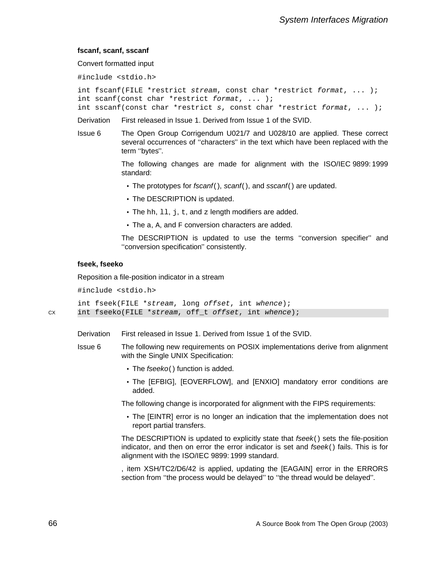## **fscanf, scanf, sscanf**

#### Convert formatted input

#include <stdio.h>

```
int fscanf(FILE *restrict stream, const char *restrict format, ... );
int scanf(const char *restrict format, ... );
int sscanf(const char *restrict s, const char *restrict format, ... );
```
Derivation First released in Issue 1. Derived from Issue 1 of the SVID.

Issue 6 The Open Group Corrigendum U021/7 and U028/10 are applied. These correct several occurrences of ''characters'' in the text which have been replaced with the term ''bytes''.

> The following changes are made for alignment with the ISO/IEC 9899: 1999 standard:

- The prototypes for  $f \text{scant}()$ ,  $\text{scant}()$ , and  $\text{scant}()$  are updated.
- The DESCRIPTION is updated.
- The hh, 11, j, t, and z length modifiers are added.
- The a, A, and F conversion characters are added.

The DESCRIPTION is updated to use the terms ''conversion specifier'' and ''conversion specification'' consistently.

#### **fseek, fseeko**

Reposition a file-position indicator in a stream

#include <stdio.h>

int fseek(FILE \*stream, long offset, int whence); CX int fseeko(FILE \*stream, off\_t offset, int whence);

Derivation First released in Issue 1. Derived from Issue 1 of the SVID.

- Issue 6 The following new requirements on POSIX implementations derive from alignment with the Single UNIX Specification:
	- The *fseeko*() function is added.
	- The [EFBIG], [EOVERFLOW], and [ENXIO] mandatory error conditions are added.

The following change is incorporated for alignment with the FIPS requirements:

• The [EINTR] error is no longer an indication that the implementation does not report partial transfers.

The DESCRIPTION is updated to explicitly state that fseek( ) sets the file-position indicator, and then on error the error indicator is set and  $fseek()$  fails. This is for alignment with the ISO/IEC 9899: 1999 standard.

, item XSH/TC2/D6/42 is applied, updating the [EAGAIN] error in the ERRORS section from ''the process would be delayed'' to ''the thread would be delayed''.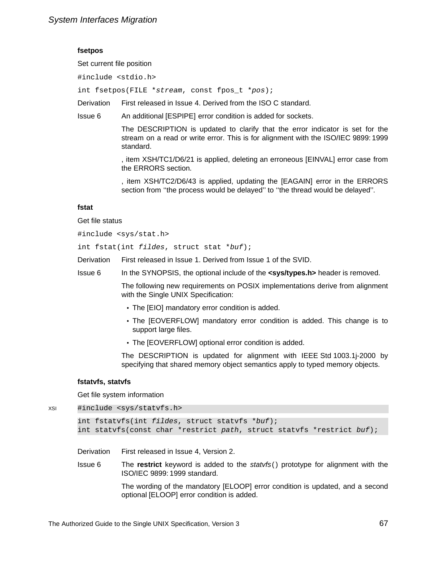## **fsetpos**

Set current file position

#include <stdio.h>

int fsetpos(FILE \*stream, const fpos\_t \*pos);

Derivation First released in Issue 4. Derived from the ISO C standard.

Issue 6 An additional [ESPIPE] error condition is added for sockets.

The DESCRIPTION is updated to clarify that the error indicator is set for the stream on a read or write error. This is for alignment with the ISO/IEC 9899: 1999 standard.

, item XSH/TC1/D6/21 is applied, deleting an erroneous [EINVAL] error case from the ERRORS section.

, item XSH/TC2/D6/43 is applied, updating the [EAGAIN] error in the ERRORS section from ''the process would be delayed'' to ''the thread would be delayed''.

# **fstat**

# Get file status

#include <sys/stat.h>

int fstat(int fildes, struct stat \*buf);

Derivation First released in Issue 1. Derived from Issue 1 of the SVID.

Issue 6 In the SYNOPSIS, the optional include of the **<sys/types.h>** header is removed.

The following new requirements on POSIX implementations derive from alignment with the Single UNIX Specification:

- The [EIO] mandatory error condition is added.
- The [EOVERFLOW] mandatory error condition is added. This change is to support large files.
- The [EOVERFLOW] optional error condition is added.

The DESCRIPTION is updated for alignment with IEEE Std 1003.1j-2000 by specifying that shared memory object semantics apply to typed memory objects.

## **fstatvfs, statvfs**

Get file system information

XSI #include <sys/statvfs.h>

int fstatvfs(int fildes, struct statvfs \*buf); int statvfs(const char \*restrict path, struct statvfs \*restrict buf);

Derivation First released in Issue 4, Version 2.

Issue 6 The **restrict** keyword is added to the statvfs( ) prototype for alignment with the ISO/IEC 9899: 1999 standard.

> The wording of the mandatory [ELOOP] error condition is updated, and a second optional [ELOOP] error condition is added.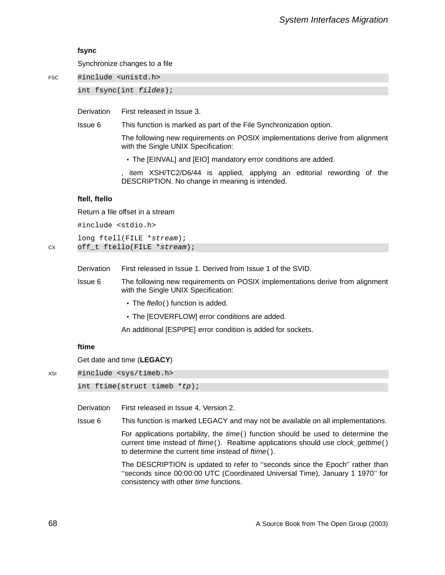# **fsync**

Synchronize changes to a file

FSC #include <unistd.h>

int fsync(int fildes);

Derivation First released in Issue 3.

Issue 6 This function is marked as part of the File Synchronization option.

The following new requirements on POSIX implementations derive from alignment with the Single UNIX Specification:

• The [EINVAL] and [EIO] mandatory error conditions are added.

item XSH/TC2/D6/44 is applied, applying an editorial rewording of the DESCRIPTION. No change in meaning is intended.

# **ftell, ftello**

Return a file offset in a stream

#include <stdio.h>

```
long ftell(FILE *stream);
CX off_t ftello(FILE *stream);
```
Derivation First released in Issue 1. Derived from Issue 1 of the SVID.

Issue 6 The following new requirements on POSIX implementations derive from alignment with the Single UNIX Specification:

- The ftello() function is added.
- The [EOVERFLOW] error conditions are added.

An additional [ESPIPE] error condition is added for sockets.

# **ftime**

Get date and time (**LEGACY**)

XSI #include <sys/timeb.h>

int ftime(struct timeb \*tp);

Derivation First released in Issue 4, Version 2.

Issue 6 This function is marked LEGACY and may not be available on all implementations.

For applications portability, the  $time()$  function should be used to determine the current time instead of ftime(). Realtime applications should use clock\_gettime() to determine the current time instead of ftime( ).

The DESCRIPTION is updated to refer to ''seconds since the Epoch'' rather than ''seconds since 00:00:00 UTC (Coordinated Universal Time), January 1 1970'' for consistency with other time functions.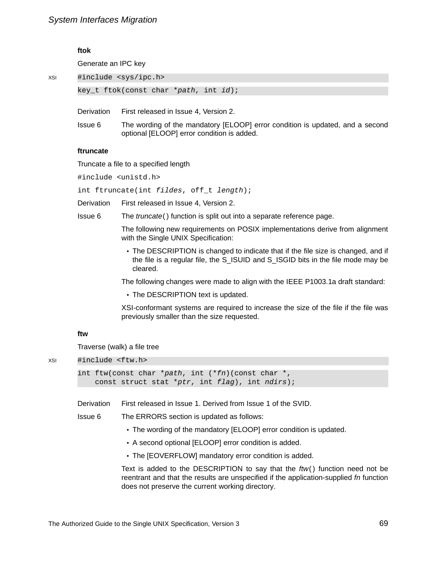## **ftok**

Generate an IPC key

XSI #include <sys/ipc.h>

key\_t ftok(const char \*path, int id);

Derivation First released in Issue 4, Version 2.

Issue 6 The wording of the mandatory [ELOOP] error condition is updated, and a second optional [ELOOP] error condition is added.

## **ftruncate**

Truncate a file to a specified length

#include <unistd.h>

int ftruncate(int fildes, off\_t length);

Derivation First released in Issue 4, Version 2.

Issue 6 The truncate( ) function is split out into a separate reference page.

The following new requirements on POSIX implementations derive from alignment with the Single UNIX Specification:

• The DESCRIPTION is changed to indicate that if the file size is changed, and if the file is a regular file, the S\_ISUID and S\_ISGID bits in the file mode may be cleared.

The following changes were made to align with the IEEE P1003.1a draft standard:

• The DESCRIPTION text is updated.

XSI-conformant systems are required to increase the size of the file if the file was previously smaller than the size requested.

## **ftw**

Traverse (walk) a file tree

XSI #include <ftw.h>

```
int ftw(const char *path, int (*fn) (const char *,
    const struct stat *ptr, int flag), int ndirs);
```
Derivation First released in Issue 1. Derived from Issue 1 of the SVID.

Issue 6 The ERRORS section is updated as follows:

- The wording of the mandatory [ELOOP] error condition is updated.
- A second optional [ELOOP] error condition is added.
- The [EOVERFLOW] mandatory error condition is added.

Text is added to the DESCRIPTION to say that the  $f(w)$  function need not be reentrant and that the results are unspecified if the application-supplied fn function does not preserve the current working directory.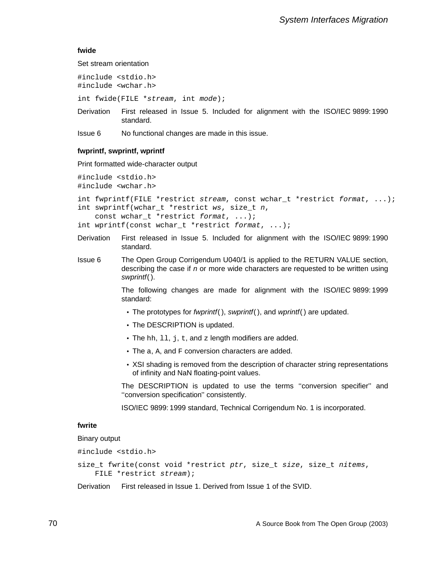# **fwide**

Set stream orientation

#include <stdio.h> #include <wchar.h> int fwide(FILE \*stream, int mode);

- Derivation First released in Issue 5. Included for alignment with the ISO/IEC 9899: 1990 standard.
- Issue 6 No functional changes are made in this issue.

# **fwprintf, swprintf, wprintf**

Print formatted wide-character output

#include <stdio.h> #include <wchar.h> int fwprintf(FILE \*restrict stream, const wchar\_t \*restrict format, ...); int swprintf(wchar\_t \*restrict ws, size\_t n, const wchar\_t \*restrict format, ...); int wprintf(const wchar\_t \*restrict format, ...);

- Derivation First released in Issue 5. Included for alignment with the ISO/IEC 9899: 1990 standard.
- Issue 6 The Open Group Corrigendum U040/1 is applied to the RETURN VALUE section, describing the case if  $n$  or more wide characters are requested to be written using swprintf( ).

The following changes are made for alignment with the ISO/IEC 9899: 1999 standard:

- The prototypes for fwprintf(), swprintf(), and wprintf() are updated.
- The DESCRIPTION is updated.
- The hh, 11, j, t, and z length modifiers are added.
- The a, A, and F conversion characters are added.
- XSI shading is removed from the description of character string representations of infinity and NaN floating-point values.

The DESCRIPTION is updated to use the terms ''conversion specifier'' and ''conversion specification'' consistently.

ISO/IEC 9899: 1999 standard, Technical Corrigendum No. 1 is incorporated.

## **fwrite**

Binary output

#include <stdio.h> size\_t fwrite(const void \*restrict ptr, size\_t size, size\_t nitems,

FILE \*restrict stream);

Derivation First released in Issue 1. Derived from Issue 1 of the SVID.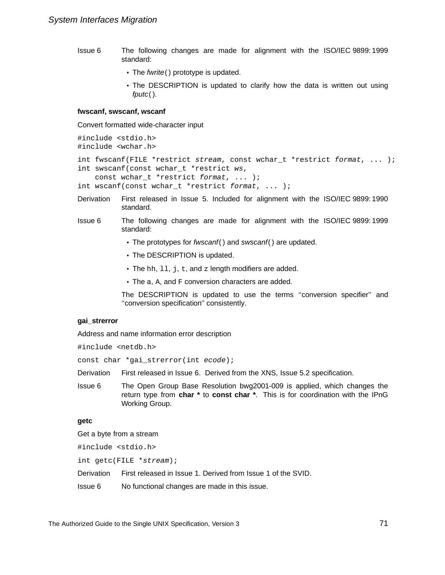- Issue 6 The following changes are made for alignment with the ISO/IEC 9899: 1999 standard:
	- The fwrite() prototype is updated.
	- The DESCRIPTION is updated to clarify how the data is written out using fputc( ).

### **fwscanf, swscanf, wscanf**

Convert formatted wide-character input

#include <stdio.h> #include <wchar.h> int fwscanf(FILE \*restrict stream, const wchar\_t \*restrict format, ... ); int swscanf(const wchar\_t \*restrict ws, const wchar\_t \*restrict format, ... ); int wscanf(const wchar\_t \*restrict format, ... );

- Derivation First released in Issue 5. Included for alignment with the ISO/IEC 9899: 1990 standard.
- Issue 6 The following changes are made for alignment with the ISO/IEC 9899: 1999 standard:
	- The prototypes for fwscanf() and swscanf() are updated.
	- The DESCRIPTION is updated.
	- The hh, 11, j, t, and z length modifiers are added.
	- The a, A, and F conversion characters are added.

The DESCRIPTION is updated to use the terms ''conversion specifier'' and ''conversion specification'' consistently.

### **gai\_strerror**

Address and name information error description

#include <netdb.h>

const char \*gai\_strerror(int ecode);

Derivation First released in Issue 6. Derived from the XNS, Issue 5.2 specification.

Issue 6 The Open Group Base Resolution bwg2001-009 is applied, which changes the return type from **char \*** to **const char \***. This is for coordination with the IPnG Working Group.

### **getc**

Get a byte from a stream

#include <stdio.h>

int getc(FILE \*stream);

Derivation First released in Issue 1. Derived from Issue 1 of the SVID.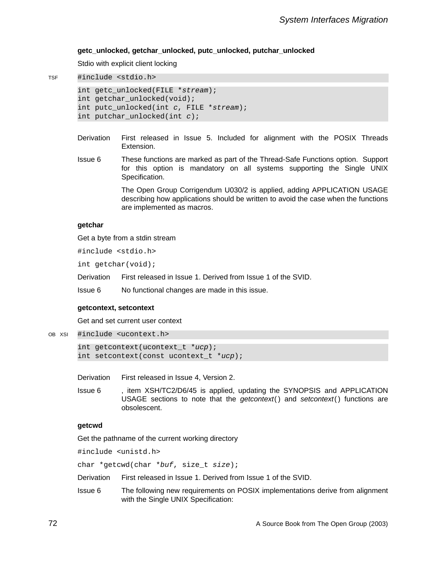## **getc\_unlocked, getchar\_unlocked, putc\_unlocked, putchar\_unlocked**

Stdio with explicit client locking

TSF #include <stdio.h>

```
int getc_unlocked(FILE *stream);
int getchar_unlocked(void);
int putc_unlocked(int c, FILE *stream);
int putchar_unlocked(int c);
```
- Derivation First released in Issue 5. Included for alignment with the POSIX Threads Extension.
- Issue 6 These functions are marked as part of the Thread-Safe Functions option. Support for this option is mandatory on all systems supporting the Single UNIX Specification.

The Open Group Corrigendum U030/2 is applied, adding APPLICATION USAGE describing how applications should be written to avoid the case when the functions are implemented as macros.

### **getchar**

Get a byte from a stdin stream

#include <stdio.h>

int getchar(void);

Derivation First released in Issue 1. Derived from Issue 1 of the SVID.

Issue 6 No functional changes are made in this issue.

### **getcontext, setcontext**

Get and set current user context

OB XSI #include <ucontext.h>

```
int getcontext(ucontext_t *ucp);
int setcontext(const ucontext_t *ucp);
```
Derivation First released in Issue 4, Version 2.

Issue 6 , item XSH/TC2/D6/45 is applied, updating the SYNOPSIS and APPLICATION USAGE sections to note that the  $getcontext()$  and  $setcontext()$  functions are obsolescent.

## **getcwd**

Get the pathname of the current working directory

#include <unistd.h>

char \*getcwd(char \*buf, size\_t size);

Derivation First released in Issue 1. Derived from Issue 1 of the SVID.

Issue 6 The following new requirements on POSIX implementations derive from alignment with the Single UNIX Specification: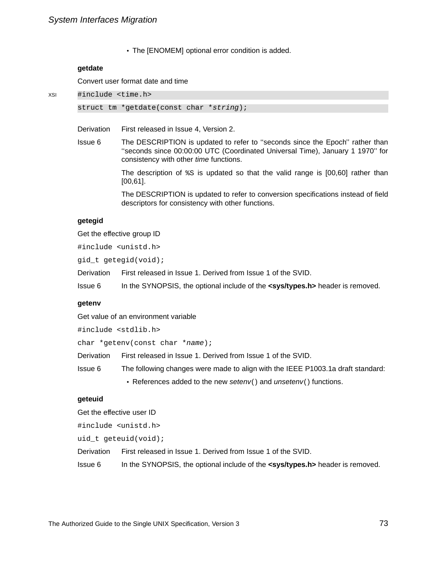• The [ENOMEM] optional error condition is added.

### **getdate**

Convert user format date and time

XSI #include <time.h>

struct tm \*getdate(const char \*string);

Derivation First released in Issue 4, Version 2.

Issue 6 The DESCRIPTION is updated to refer to ''seconds since the Epoch'' rather than ''seconds since 00:00:00 UTC (Coordinated Universal Time), January 1 1970'' for consistency with other time functions.

> The description of  $s$ s is updated so that the valid range is  $[00,60]$  rather than [00,61].

> The DESCRIPTION is updated to refer to conversion specifications instead of field descriptors for consistency with other functions.

## **getegid**

Get the effective group ID

#include <unistd.h>

gid\_t getegid(void);

Derivation First released in Issue 1. Derived from Issue 1 of the SVID.

Issue 6 In the SYNOPSIS, the optional include of the **<sys/types.h>** header is removed.

### **getenv**

Get value of an environment variable

#include <stdlib.h>

char \*getenv(const char \*name);

Derivation First released in Issue 1. Derived from Issue 1 of the SVID.

Issue 6 The following changes were made to align with the IEEE P1003.1a draft standard:

• References added to the new setenv() and unsetenv() functions.

## **geteuid**

Get the effective user ID

#include <unistd.h>

uid\_t geteuid(void);

Derivation First released in Issue 1. Derived from Issue 1 of the SVID.

Issue 6 In the SYNOPSIS, the optional include of the **<sys/types.h>** header is removed.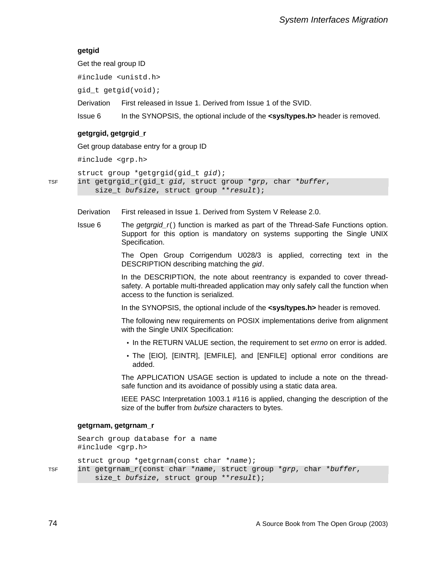# **getgid**

Get the real group ID

#include <unistd.h>

gid\_t getgid(void);

Derivation First released in Issue 1. Derived from Issue 1 of the SVID.

Issue 6 In the SYNOPSIS, the optional include of the **<sys/types.h>** header is removed.

## **getgrgid, getgrgid\_r**

Get group database entry for a group ID

#include <grp.h>

```
struct group *getgrgid(gid_t gid);
TSF int getgrgid_r(gid_t gid, struct group *grp, char *buffer,
          size_t bufsize, struct group **result);
```
Derivation First released in Issue 1. Derived from System V Release 2.0.

Issue 6 The getgrgid\_r() function is marked as part of the Thread-Safe Functions option. Support for this option is mandatory on systems supporting the Single UNIX Specification.

> The Open Group Corrigendum U028/3 is applied, correcting text in the DESCRIPTION describing matching the gid.

> In the DESCRIPTION, the note about reentrancy is expanded to cover threadsafety. A portable multi-threaded application may only safely call the function when access to the function is serialized.

In the SYNOPSIS, the optional include of the **<sys/types.h>** header is removed.

The following new requirements on POSIX implementations derive from alignment with the Single UNIX Specification:

- In the RETURN VALUE section, the requirement to set errno on error is added.
- The [EIO], [EINTR], [EMFILE], and [ENFILE] optional error conditions are added.

The APPLICATION USAGE section is updated to include a note on the threadsafe function and its avoidance of possibly using a static data area.

IEEE PASC Interpretation 1003.1 #116 is applied, changing the description of the size of the buffer from bufsize characters to bytes.

## **getgrnam, getgrnam\_r**

```
Search group database for a name
      #include <grp.h>
      struct group *getgrnam(const char *name);
TSF int getgrnam_r(const char *name, struct group *grp, char *buffer,
          size_t bufsize, struct group **result);
```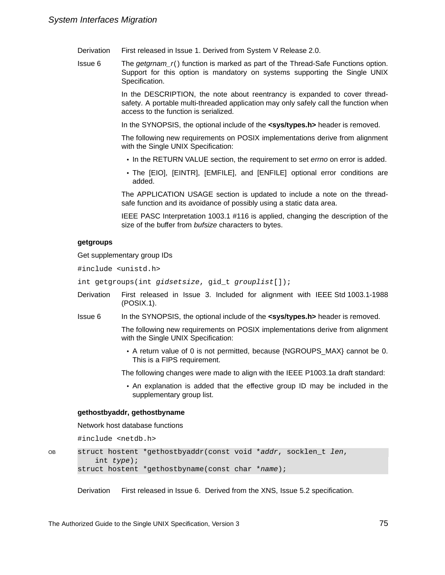- Derivation First released in Issue 1. Derived from System V Release 2.0.
- Issue 6 The getgrnam\_r() function is marked as part of the Thread-Safe Functions option. Support for this option is mandatory on systems supporting the Single UNIX Specification.

In the DESCRIPTION, the note about reentrancy is expanded to cover threadsafety. A portable multi-threaded application may only safely call the function when access to the function is serialized.

In the SYNOPSIS, the optional include of the **<sys/types.h>** header is removed.

The following new requirements on POSIX implementations derive from alignment with the Single UNIX Specification:

- In the RETURN VALUE section, the requirement to set errno on error is added.
- The [EIO], [EINTR], [EMFILE], and [ENFILE] optional error conditions are added.

The APPLICATION USAGE section is updated to include a note on the threadsafe function and its avoidance of possibly using a static data area.

IEEE PASC Interpretation 1003.1 #116 is applied, changing the description of the size of the buffer from bufsize characters to bytes.

#### **getgroups**

Get supplementary group IDs

#include <unistd.h>

int getgroups(int gidsetsize, gid\_t grouplist[]);

- Derivation First released in Issue 3. Included for alignment with IEEE Std 1003.1-1988 (POSIX.1).
- Issue 6 In the SYNOPSIS, the optional include of the **<sys/types.h>** header is removed.

The following new requirements on POSIX implementations derive from alignment with the Single UNIX Specification:

• A return value of 0 is not permitted, because {NGROUPS\_MAX} cannot be 0. This is a FIPS requirement.

The following changes were made to align with the IEEE P1003.1a draft standard:

• An explanation is added that the effective group ID may be included in the supplementary group list.

#### **gethostbyaddr, gethostbyname**

Network host database functions

#include <netdb.h>

OB struct hostent \*gethostbyaddr(const void \*addr, socklen\_t len, int type); struct hostent \*gethostbyname(const char \*name);

Derivation First released in Issue 6. Derived from the XNS, Issue 5.2 specification.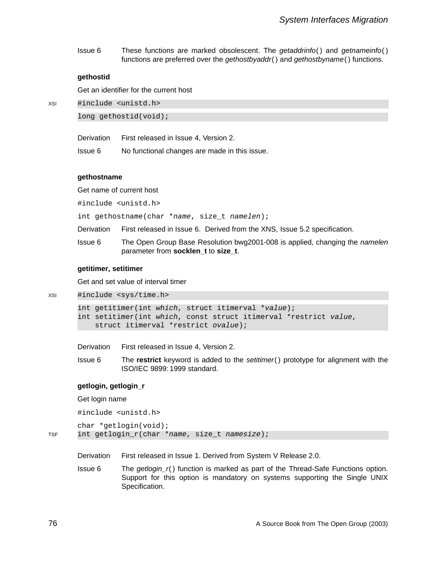Issue 6 These functions are marked obsolescent. The getaddrinfo() and getnameinfo() functions are preferred over the gethostbyaddr() and gethostbyname() functions.

## **gethostid**

Get an identifier for the current host

long gethostid(void);

Derivation First released in Issue 4, Version 2.

Issue 6 No functional changes are made in this issue.

#### **gethostname**

Get name of current host

#include <unistd.h>

int gethostname(char \*name, size\_t namelen);

Derivation First released in Issue 6. Derived from the XNS, Issue 5.2 specification.

Issue 6 The Open Group Base Resolution bwg2001-008 is applied, changing the *namelen* parameter from **socklen\_t** to **size\_t**.

## **getitimer, setitimer**

Get and set value of interval timer

XSI #include <sys/time.h>

```
int getitimer(int which, struct itimerval *value);
int setitimer(int which, const struct itimerval *restrict value,
    struct itimerval *restrict ovalue);
```
Derivation First released in Issue 4, Version 2.

Issue 6 The **restrict** keyword is added to the setitimer( ) prototype for alignment with the ISO/IEC 9899: 1999 standard.

## **getlogin, getlogin\_r**

Get login name

#include <unistd.h>

char \*getlogin(void);

TSF int getlogin\_r(char \*name, size\_t namesize);

Derivation First released in Issue 1. Derived from System V Release 2.0.

Issue 6 The getlogin\_r() function is marked as part of the Thread-Safe Functions option. Support for this option is mandatory on systems supporting the Single UNIX Specification.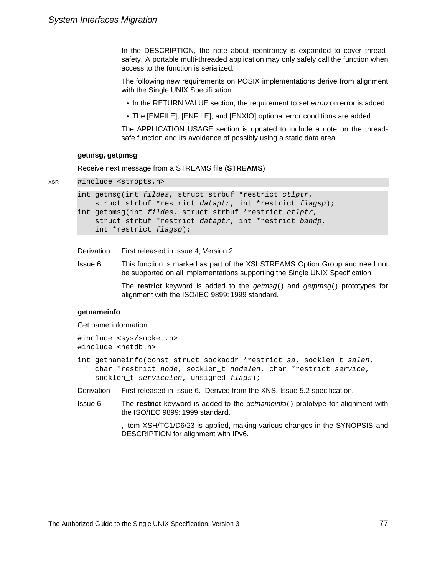In the DESCRIPTION, the note about reentrancy is expanded to cover threadsafety. A portable multi-threaded application may only safely call the function when access to the function is serialized.

The following new requirements on POSIX implementations derive from alignment with the Single UNIX Specification:

- In the RETURN VALUE section, the requirement to set errno on error is added.
- The [EMFILE], [ENFILE], and [ENXIO] optional error conditions are added.

The APPLICATION USAGE section is updated to include a note on the threadsafe function and its avoidance of possibly using a static data area.

#### **getmsg, getpmsg**

Receive next message from a STREAMS file (**STREAMS**)

```
XSR #include <stropts.h>
```

```
int getmsg(int fildes, struct strbuf *restrict ctlptr,
   struct strbuf *restrict dataptr, int *restrict flagsp);
int getpmsg(int fildes, struct strbuf *restrict ctlptr,
   struct strbuf *restrict dataptr, int *restrict bandp,
    int *restrict flagsp);
```
Derivation First released in Issue 4, Version 2.

Issue 6 This function is marked as part of the XSI STREAMS Option Group and need not be supported on all implementations supporting the Single UNIX Specification.

> The **restrict** keyword is added to the getmsg( ) and getpmsg( ) prototypes for alignment with the ISO/IEC 9899: 1999 standard.

#### **getnameinfo**

Get name information

#include <sys/socket.h> #include <netdb.h>

- int getnameinfo(const struct sockaddr \*restrict sa, socklen\_t salen, char \*restrict node, socklen\_t nodelen, char \*restrict service, socklen\_t servicelen, unsigned flags);
- Derivation First released in Issue 6. Derived from the XNS, Issue 5.2 specification.
- Issue 6 The **restrict** keyword is added to the getnameinfo( ) prototype for alignment with the ISO/IEC 9899: 1999 standard.

<sup>,</sup> item XSH/TC1/D6/23 is applied, making various changes in the SYNOPSIS and DESCRIPTION for alignment with IPv6.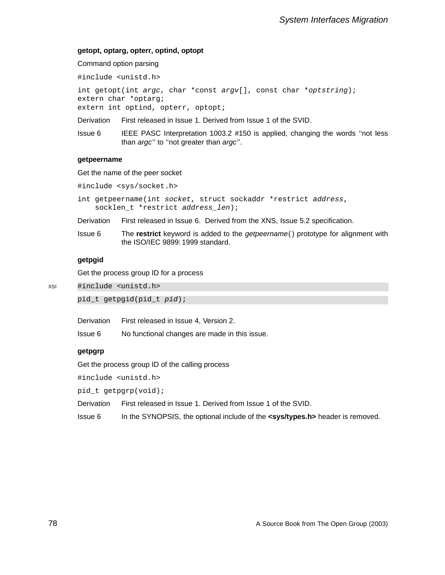## **getopt, optarg, opterr, optind, optopt**

Command option parsing

#include <unistd.h>

int getopt(int argc, char \*const argv[], const char \*optstring); extern char \*optarg;

extern int optind, opterr, optopt;

Derivation First released in Issue 1. Derived from Issue 1 of the SVID.

Issue 6 IEEE PASC Interpretation 1003.2 #150 is applied, changing the words ''not less than argc" to "not greater than argc".

### **getpeername**

Get the name of the peer socket

#include <sys/socket.h>

int getpeername(int socket, struct sockaddr \*restrict address, socklen\_t \*restrict address\_len);

Derivation First released in Issue 6. Derived from the XNS, Issue 5.2 specification.

Issue 6 The **restrict** keyword is added to the getpeername( ) prototype for alignment with the ISO/IEC 9899: 1999 standard.

## **getpgid**

Get the process group ID for a process

XSI #include <unistd.h>

pid\_t getpgid(pid\_t pid);

Derivation First released in Issue 4, Version 2.

Issue 6 No functional changes are made in this issue.

### **getpgrp**

Get the process group ID of the calling process

#include <unistd.h>

pid\_t getpgrp(void);

Derivation First released in Issue 1. Derived from Issue 1 of the SVID.

Issue 6 In the SYNOPSIS, the optional include of the **<sys/types.h>** header is removed.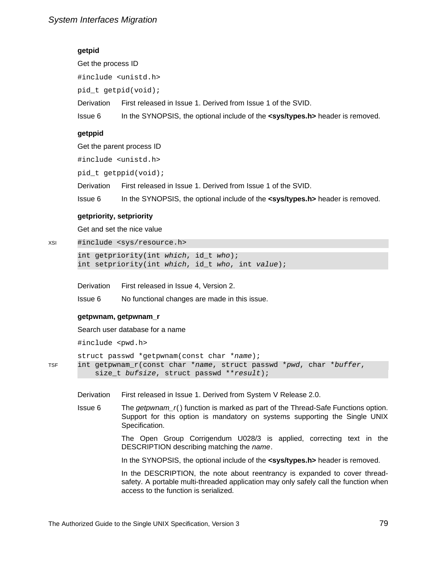## **getpid**

Get the process ID

#include <unistd.h>

pid\_t getpid(void);

Derivation First released in Issue 1. Derived from Issue 1 of the SVID.

Issue 6 In the SYNOPSIS, the optional include of the **<sys/types.h>** header is removed.

## **getppid**

Get the parent process ID

#include <unistd.h>

pid\_t getppid(void);

Derivation First released in Issue 1. Derived from Issue 1 of the SVID.

Issue 6 In the SYNOPSIS, the optional include of the **<sys/types.h>** header is removed.

### **getpriority, setpriority**

Get and set the nice value

XSI #include <sys/resource.h>

int getpriority(int which, id\_t who); int setpriority(int which, id\_t who, int value);

Derivation First released in Issue 4, Version 2.

Issue 6 No functional changes are made in this issue.

## **getpwnam, getpwnam\_r**

Search user database for a name

#include <pwd.h>

struct passwd \*getpwnam(const char \*name);

TSF int getpwnam\_r(const char \*name, struct passwd \*pwd, char \*buffer,

```
size_t bufsize, struct passwd **result);
```
Derivation First released in Issue 1. Derived from System V Release 2.0.

Issue 6 The getpwnam\_r() function is marked as part of the Thread-Safe Functions option. Support for this option is mandatory on systems supporting the Single UNIX Specification.

> The Open Group Corrigendum U028/3 is applied, correcting text in the DESCRIPTION describing matching the name.

In the SYNOPSIS, the optional include of the **<sys/types.h>** header is removed.

In the DESCRIPTION, the note about reentrancy is expanded to cover threadsafety. A portable multi-threaded application may only safely call the function when access to the function is serialized.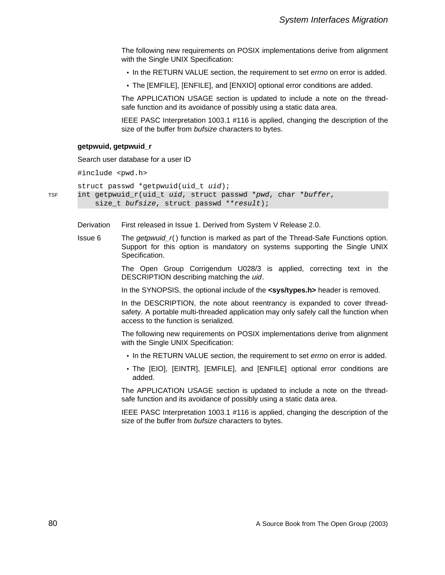The following new requirements on POSIX implementations derive from alignment with the Single UNIX Specification:

- In the RETURN VALUE section, the requirement to set errno on error is added.
- The [EMFILE], [ENFILE], and [ENXIO] optional error conditions are added.

The APPLICATION USAGE section is updated to include a note on the threadsafe function and its avoidance of possibly using a static data area.

IEEE PASC Interpretation 1003.1 #116 is applied, changing the description of the size of the buffer from bufsize characters to bytes.

### **getpwuid, getpwuid\_r**

Search user database for a user ID

```
#include <pwd.h>
```

```
struct passwd *getpwuid(uid_t uid);
TSF int getpwuid_r(uid_t uid, struct passwd *pwd, char *buffer,
          size_t bufsize, struct passwd **result);
```
Derivation First released in Issue 1. Derived from System V Release 2.0.

Issue 6 The getpwuid\_ $r()$  function is marked as part of the Thread-Safe Functions option. Support for this option is mandatory on systems supporting the Single UNIX Specification.

> The Open Group Corrigendum U028/3 is applied, correcting text in the DESCRIPTION describing matching the uid.

In the SYNOPSIS, the optional include of the **<sys/types.h>** header is removed.

In the DESCRIPTION, the note about reentrancy is expanded to cover threadsafety. A portable multi-threaded application may only safely call the function when access to the function is serialized.

The following new requirements on POSIX implementations derive from alignment with the Single UNIX Specification:

- In the RETURN VALUE section, the requirement to set errno on error is added.
- The [EIO], [EINTR], [EMFILE], and [ENFILE] optional error conditions are added.

The APPLICATION USAGE section is updated to include a note on the threadsafe function and its avoidance of possibly using a static data area.

IEEE PASC Interpretation 1003.1 #116 is applied, changing the description of the size of the buffer from bufsize characters to bytes.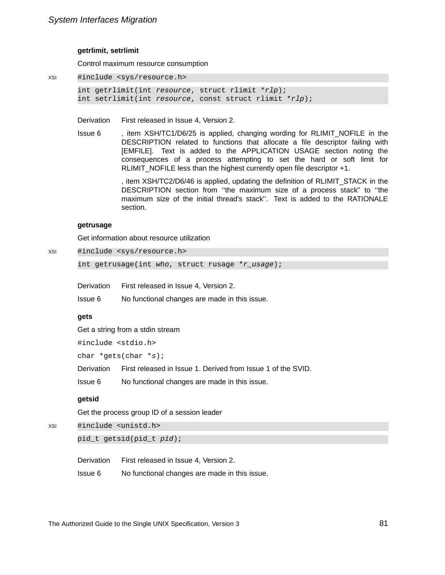#### **getrlimit, setrlimit**

Control maximum resource consumption

XSI #include <sys/resource.h>

```
int getrlimit(int resource, struct rlimit *rlp);
int setrlimit(int resource, const struct rlimit *rlp);
```
Derivation First released in Issue 4, Version 2.

Issue 6 , item XSH/TC1/D6/25 is applied, changing wording for RLIMIT\_NOFILE in the DESCRIPTION related to functions that allocate a file descriptor failing with [EMFILE]. Text is added to the APPLICATION USAGE section noting the consequences of a process attempting to set the hard or soft limit for RLIMIT\_NOFILE less than the highest currently open file descriptor +1.

> , item XSH/TC2/D6/46 is applied, updating the definition of RLIMIT\_STACK in the DESCRIPTION section from ''the maximum size of a process stack'' to ''the maximum size of the initial thread's stack''. Text is added to the RATIONALE section.

#### **getrusage**

Get information about resource utilization

XSI #include <sys/resource.h>

int getrusage(int who, struct rusage \*r\_usage);

Derivation First released in Issue 4, Version 2.

Issue 6 No functional changes are made in this issue.

## **gets**

Get a string from a stdin stream

#include <stdio.h>

char \*gets(char \*s);

Derivation First released in Issue 1. Derived from Issue 1 of the SVID.

Issue 6 No functional changes are made in this issue.

### **getsid**

Get the process group ID of a session leader

```
XSI #include <unistd.h>
```
pid\_t getsid(pid\_t pid);

Derivation First released in Issue 4, Version 2.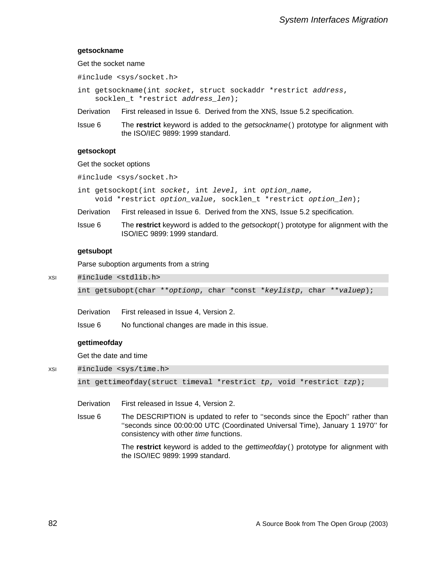## **getsockname**

Get the socket name

#include <sys/socket.h>

```
int getsockname(int socket, struct sockaddr *restrict address,
    socklen_t *restrict address_len);
```
Derivation First released in Issue 6. Derived from the XNS, Issue 5.2 specification.

Issue 6 The **restrict** keyword is added to the getsockname( ) prototype for alignment with the ISO/IEC 9899: 1999 standard.

### **getsockopt**

Get the socket options

#include <sys/socket.h>

```
int getsockopt(int socket, int level, int option_name,
    void *restrict option_value, socklen_t *restrict option_len);
```
- Derivation First released in Issue 6. Derived from the XNS, Issue 5.2 specification.
- Issue 6 The **restrict** keyword is added to the getsockopt( ) prototype for alignment with the ISO/IEC 9899: 1999 standard.

### **getsubopt**

Parse suboption arguments from a string

XSI #include <stdlib.h>

int getsubopt(char \*\*optionp, char \*const \*keylistp, char \*\*valuep);

Derivation First released in Issue 4, Version 2.

Issue 6 No functional changes are made in this issue.

### **gettimeofday**

Get the date and time

XSI #include <sys/time.h>

int gettimeofday(struct timeval \*restrict tp, void \*restrict tzp);

Derivation First released in Issue 4, Version 2.

Issue 6 The DESCRIPTION is updated to refer to ''seconds since the Epoch'' rather than ''seconds since 00:00:00 UTC (Coordinated Universal Time), January 1 1970'' for consistency with other time functions.

> The **restrict** keyword is added to the gettimeofday( ) prototype for alignment with the ISO/IEC 9899: 1999 standard.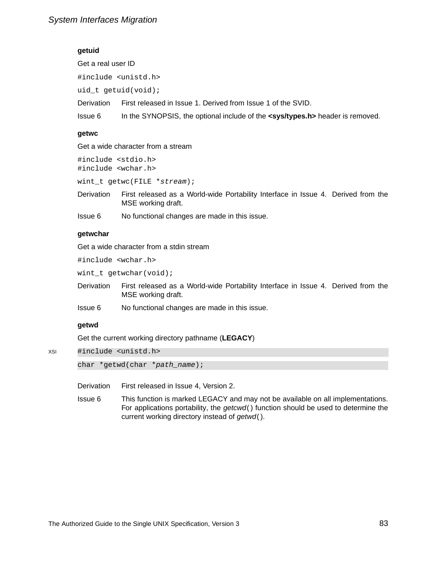## **getuid**

Get a real user ID

#include <unistd.h>

uid\_t getuid(void);

Derivation First released in Issue 1. Derived from Issue 1 of the SVID.

Issue 6 In the SYNOPSIS, the optional include of the **<sys/types.h>** header is removed.

### **getwc**

Get a wide character from a stream

#include <stdio.h> #include <wchar.h>

wint\_t getwc(FILE \*stream);

- Derivation First released as a World-wide Portability Interface in Issue 4. Derived from the MSE working draft.
- Issue 6 No functional changes are made in this issue.

### **getwchar**

Get a wide character from a stdin stream

#include <wchar.h>

wint\_t getwchar(void);

- Derivation First released as a World-wide Portability Interface in Issue 4. Derived from the MSE working draft.
- Issue 6 No functional changes are made in this issue.

### **getwd**

Get the current working directory pathname (**LEGACY**)

XSI #include <unistd.h>

char \*getwd(char \*path\_name);

Derivation First released in Issue 4, Version 2.

Issue 6 This function is marked LEGACY and may not be available on all implementations. For applications portability, the *getcwd*() function should be used to determine the current working directory instead of getwd( ).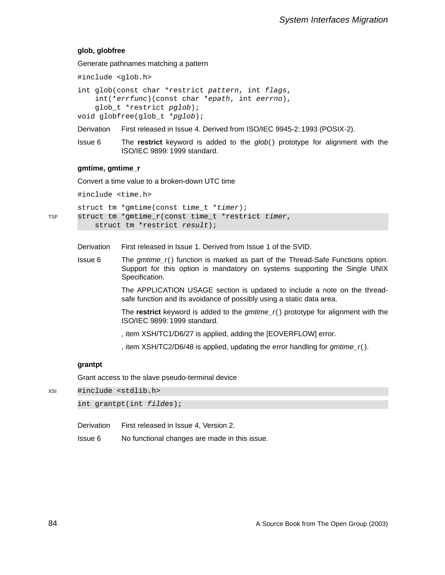## **glob, globfree**

Generate pathnames matching a pattern

#include <glob.h>

```
int glob(const char *restrict pattern, int flags,
    int(*errfunc)(const char *epath, int eerrno),
    glob_t *restrict pglob);
void globfree(glob_t *pglob);
```
- Derivation First released in Issue 4. Derived from ISO/IEC 9945-2: 1993 (POSIX-2).
- Issue 6 The **restrict** keyword is added to the glob( ) prototype for alignment with the ISO/IEC 9899: 1999 standard.

#### **gmtime, gmtime\_r**

Convert a time value to a broken-down UTC time

#include <time.h>

struct tm \*gmtime(const time\_t \*timer); TSF struct tm \*gmtime\_r(const time\_t \*restrict timer, struct tm \*restrict result);

Derivation First released in Issue 1. Derived from Issue 1 of the SVID.

Issue 6 The  $gmtime_r()$  function is marked as part of the Thread-Safe Functions option. Support for this option is mandatory on systems supporting the Single UNIX Specification.

> The APPLICATION USAGE section is updated to include a note on the threadsafe function and its avoidance of possibly using a static data area.

> The **restrict** keyword is added to the gmtime\_r( ) prototype for alignment with the ISO/IEC 9899: 1999 standard.

, item XSH/TC1/D6/27 is applied, adding the [EOVERFLOW] error.

, item XSH/TC2/D6/48 is applied, updating the error handling for gmtime\_r().

# **grantpt**

Grant access to the slave pseudo-terminal device

XSI #include <stdlib.h>

int grantpt(int fildes);

Derivation First released in Issue 4, Version 2.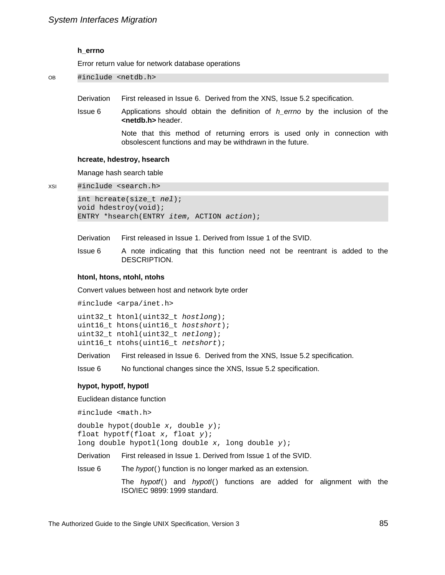### **h\_errno**

Error return value for network database operations

OB #include <netdb.h>

Derivation First released in Issue 6. Derived from the XNS, Issue 5.2 specification.

Issue 6 Applications should obtain the definition of  $h$ <sub>-errno</sub> by the inclusion of the **<netdb.h>** header.

> Note that this method of returning errors is used only in connection with obsolescent functions and may be withdrawn in the future.

#### **hcreate, hdestroy, hsearch**

Manage hash search table

XSI #include <search.h>

```
int hcreate(size_t nel);
void hdestroy(void);
ENTRY *hsearch(ENTRY item, ACTION action);
```
Derivation First released in Issue 1. Derived from Issue 1 of the SVID.

Issue 6 A note indicating that this function need not be reentrant is added to the DESCRIPTION.

#### **htonl, htons, ntohl, ntohs**

Convert values between host and network byte order

#include <arpa/inet.h> uint32\_t htonl(uint32\_t hostlong); uint16\_t htons(uint16\_t hostshort); uint32\_t ntohl(uint32\_t netlong); uint16\_t ntohs(uint16\_t netshort);

Derivation First released in Issue 6. Derived from the XNS, Issue 5.2 specification.

Issue 6 No functional changes since the XNS, Issue 5.2 specification.

#### **hypot, hypotf, hypotl**

Euclidean distance function

```
#include <math.h>
```
double hypot(double  $x$ , double  $y$ ); float hypotf(float x, float y); long double hypotl(long double  $x$ , long double  $y$ );

Derivation First released in Issue 1. Derived from Issue 1 of the SVID.

Issue 6 The hypot( ) function is no longer marked as an extension.

The  $hypotf()$  and  $hypotl()$  functions are added for alignment with the ISO/IEC 9899: 1999 standard.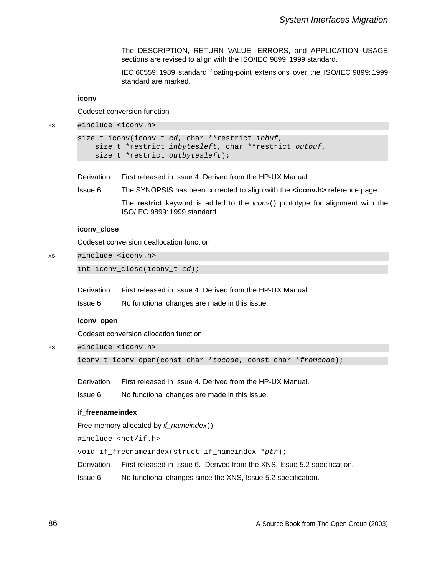The DESCRIPTION, RETURN VALUE, ERRORS, and APPLICATION USAGE sections are revised to align with the ISO/IEC 9899: 1999 standard.

IEC 60559: 1989 standard floating-point extensions over the ISO/IEC 9899: 1999 standard are marked.

**iconv**

Codeset conversion function

XSI #include <iconv.h>

```
size_t iconv(iconv_t cd, char **restrict inbuf,
   size_t *restrict inbytesleft, char **restrict outbuf,
   size_t *restrict outbytesleft);
```
Derivation First released in Issue 4. Derived from the HP-UX Manual.

Issue 6 The SYNOPSIS has been corrected to align with the **<iconv.h>** reference page.

The **restrict** keyword is added to the iconv( ) prototype for alignment with the ISO/IEC 9899: 1999 standard.

#### **iconv\_close**

Codeset conversion deallocation function

XSI #include <iconv.h>

```
int iconv_close(iconv_t cd);
```
Derivation First released in Issue 4. Derived from the HP-UX Manual.

Issue 6 No functional changes are made in this issue.

#### **iconv\_open**

Codeset conversion allocation function

```
XSI #include <iconv.h>
```
iconv\_t iconv\_open(const char \*tocode, const char \*fromcode);

Derivation First released in Issue 4. Derived from the HP-UX Manual.

Issue 6 No functional changes are made in this issue.

## **if\_freenameindex**

Free memory allocated by *if\_nameindex()* 

#include <net/if.h>

void if\_freenameindex(struct if\_nameindex \*ptr);

Derivation First released in Issue 6. Derived from the XNS, Issue 5.2 specification.

Issue 6 No functional changes since the XNS, Issue 5.2 specification.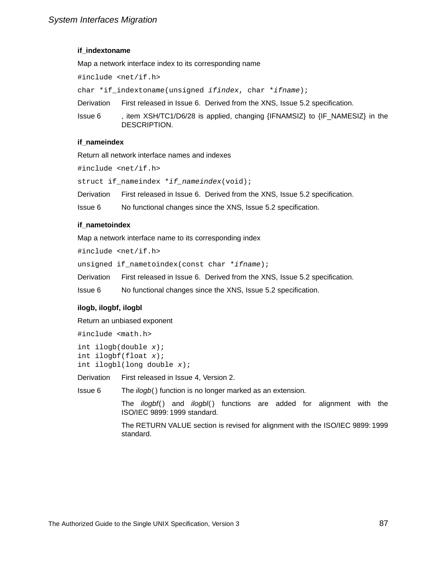#### **if\_indextoname**

Map a network interface index to its corresponding name

#include <net/if.h>

char \*if\_indextoname(unsigned *ifindex*, char \**ifname*);

Derivation First released in Issue 6. Derived from the XNS, Issue 5.2 specification.

Issue 6 , item XSH/TC1/D6/28 is applied, changing {IFNAMSIZ} to {IF\_NAMESIZ} in the DESCRIPTION.

### **if\_nameindex**

Return all network interface names and indexes

#include <net/if.h>

struct if\_nameindex \*if\_nameindex(void);

Derivation First released in Issue 6. Derived from the XNS, Issue 5.2 specification.

Issue 6 No functional changes since the XNS, Issue 5.2 specification.

#### **if\_nametoindex**

Map a network interface name to its corresponding index

#include <net/if.h>

unsigned if\_nametoindex(const char \*ifname);

Derivation First released in Issue 6. Derived from the XNS, Issue 5.2 specification.

Issue 6 No functional changes since the XNS, Issue 5.2 specification.

## **ilogb, ilogbf, ilogbl**

Return an unbiased exponent

#include <math.h>

int ilogb(double x); int ilogbf(float x); int ilogbl(long double x);

Derivation First released in Issue 4, Version 2.

Issue 6 The *ilogb*() function is no longer marked as an extension.

The *ilogbf*() and *ilogbl*() functions are added for alignment with the ISO/IEC 9899: 1999 standard.

The RETURN VALUE section is revised for alignment with the ISO/IEC 9899: 1999 standard.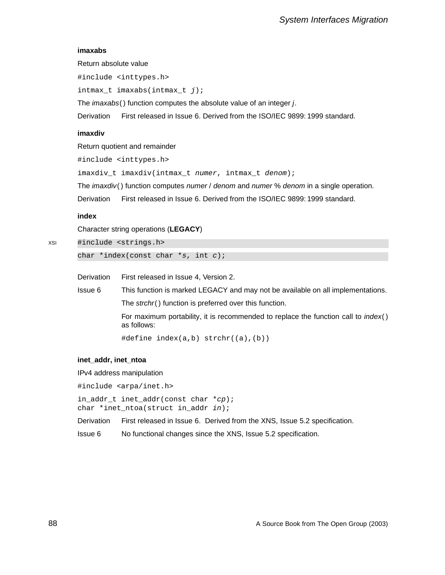## **imaxabs**

Return absolute value

#include <inttypes.h>

 $intmax_t$  imaxabs(intmax\_t j);

The *imaxabs*() function computes the absolute value of an integer *j*.

Derivation First released in Issue 6. Derived from the ISO/IEC 9899: 1999 standard.

## **imaxdiv**

Return quotient and remainder

#include <inttypes.h>

imaxdiv\_t imaxdiv(intmax\_t numer, intmax\_t denom);

The  $imaxdiv()$  function computes numer / denom and numer % denom in a single operation.

Derivation First released in Issue 6. Derived from the ISO/IEC 9899: 1999 standard.

## **index**

Character string operations (**LEGACY**)

XSI #include <strings.h>

char \*index(const char \*s, int  $c$ );

Derivation First released in Issue 4, Version 2.

Issue 6 This function is marked LEGACY and may not be available on all implementations. The strchr() function is preferred over this function.

> For maximum portability, it is recommended to replace the function call to *index*() as follows:

#define index(a,b) strchr((a),(b))

## **inet\_addr, inet\_ntoa**

IPv4 address manipulation

#include <arpa/inet.h>

in\_addr\_t inet\_addr(const char \*cp); char \*inet\_ntoa(struct in\_addr in);

Derivation First released in Issue 6. Derived from the XNS, Issue 5.2 specification.

Issue 6 No functional changes since the XNS, Issue 5.2 specification.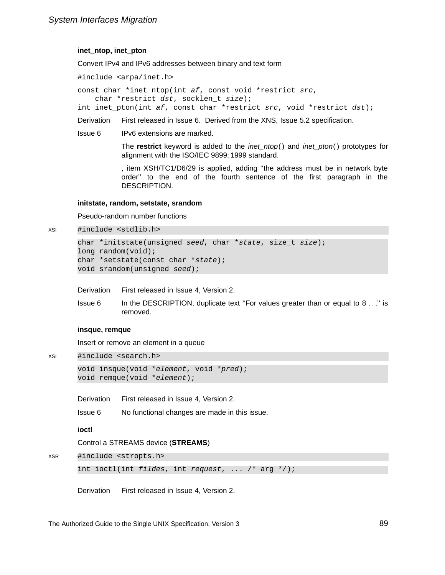### **inet\_ntop, inet\_pton**

Convert IPv4 and IPv6 addresses between binary and text form

#include <arpa/inet.h>

```
const char *inet_ntop(int af, const void *restrict src,
    char *restrict dst, socklen_t size);
```
int inet\_pton(int af, const char \*restrict src, void \*restrict dst);

Derivation First released in Issue 6. Derived from the XNS, Issue 5.2 specification.

Issue 6 IPv6 extensions are marked.

The **restrict** keyword is added to the inet\_ntop( ) and inet\_pton( ) prototypes for alignment with the ISO/IEC 9899: 1999 standard.

, item XSH/TC1/D6/29 is applied, adding ''the address must be in network byte order'' to the end of the fourth sentence of the first paragraph in the DESCRIPTION.

## **initstate, random, setstate, srandom**

Pseudo-random number functions

XSI #include <stdlib.h>

```
char *initstate(unsigned seed, char *state, size_t size);
long random(void);
char *setstate(const char *state);
void srandom(unsigned seed);
```
Derivation First released in Issue 4, Version 2.

Issue 6 In the DESCRIPTION, duplicate text "For values greater than or equal to 8 . . ." is removed.

#### **insque, remque**

Insert or remove an element in a queue

XSI #include <search.h>

```
void insque(void *element, void *pred);
void remque(void *element);
```
Derivation First released in Issue 4, Version 2.

Issue 6 No functional changes are made in this issue.

**ioctl**

Control a STREAMS device (**STREAMS**)

XSR #include <stropts.h>

int ioctl(int fildes, int request, ... /\* arg \*/);

Derivation First released in Issue 4, Version 2.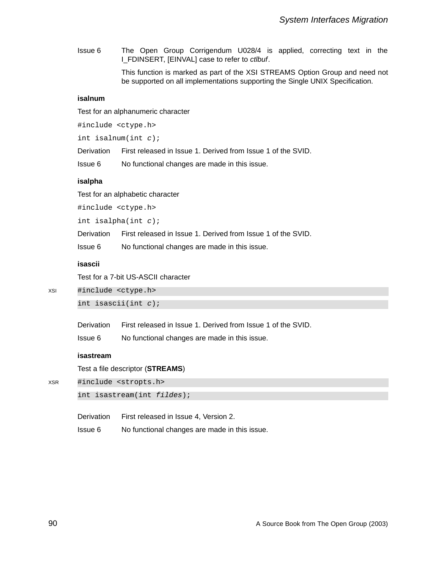Issue 6 The Open Group Corrigendum U028/4 is applied, correcting text in the I\_FDINSERT, [EINVAL] case to refer to ctlbuf.

> This function is marked as part of the XSI STREAMS Option Group and need not be supported on all implementations supporting the Single UNIX Specification.

## **isalnum**

Test for an alphanumeric character

#include <ctype.h>

int isalnum(int  $c$ );

Derivation First released in Issue 1. Derived from Issue 1 of the SVID.

Issue 6 No functional changes are made in this issue.

## **isalpha**

Test for an alphabetic character

#include <ctype.h>

int isalpha(int c);

Derivation First released in Issue 1. Derived from Issue 1 of the SVID.

Issue 6 No functional changes are made in this issue.

# **isascii**

Test for a 7-bit US-ASCII character

XSI #include <ctype.h>

```
int isascii(int c);
```
Derivation First released in Issue 1. Derived from Issue 1 of the SVID.

Issue 6 No functional changes are made in this issue.

## **isastream**

Test a file descriptor (**STREAMS**)

XSR #include <stropts.h>

int isastream(int fildes);

Derivation First released in Issue 4, Version 2.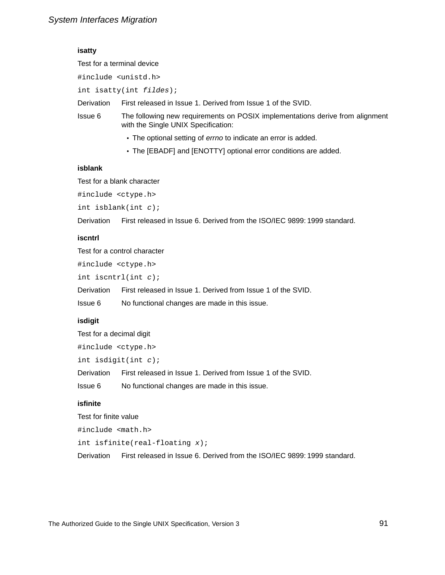## **isatty**

Test for a terminal device

#include <unistd.h>

int isatty(int fildes);

Derivation First released in Issue 1. Derived from Issue 1 of the SVID.

- Issue 6 The following new requirements on POSIX implementations derive from alignment with the Single UNIX Specification:
	- The optional setting of errno to indicate an error is added.
	- The [EBADF] and [ENOTTY] optional error conditions are added.

## **isblank**

Test for a blank character

#include <ctype.h>

int isblank(int c);

Derivation First released in Issue 6. Derived from the ISO/IEC 9899: 1999 standard.

## **iscntrl**

Test for a control character

#include <ctype.h>

int iscntrl(int  $c$ );

Derivation First released in Issue 1. Derived from Issue 1 of the SVID.

Issue 6 No functional changes are made in this issue.

#### **isdigit**

Test for a decimal digit

#include <ctype.h>

int isdigit(int c);

Derivation First released in Issue 1. Derived from Issue 1 of the SVID.

Issue 6 No functional changes are made in this issue.

# **isfinite**

Test for finite value #include <math.h> int isfinite(real-floating x);

Derivation First released in Issue 6. Derived from the ISO/IEC 9899: 1999 standard.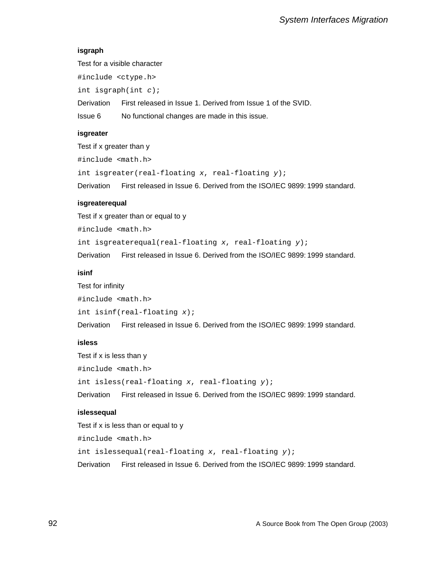## **isgraph**

Test for a visible character #include <ctype.h> int isgraph(int  $c$ ); Derivation First released in Issue 1. Derived from Issue 1 of the SVID. Issue 6 No functional changes are made in this issue.

## **isgreater**

Test if x greater than y

#include <math.h>

int isgreater(real-floating  $x$ , real-floating  $y$ );

Derivation First released in Issue 6. Derived from the ISO/IEC 9899: 1999 standard.

## **isgreaterequal**

Test if x greater than or equal to y

#include <math.h>

int isgreaterequal(real-floating  $x$ , real-floating  $y$ );

Derivation First released in Issue 6. Derived from the ISO/IEC 9899: 1999 standard.

# **isinf**

Test for infinity

#include <math.h>

int isinf(real-floating x);

Derivation First released in Issue 6. Derived from the ISO/IEC 9899: 1999 standard.

## **isless**

Test if x is less than y #include <math.h> int isless(real-floating  $x$ , real-floating  $y$ ); Derivation First released in Issue 6. Derived from the ISO/IEC 9899: 1999 standard.

## **islessequal**

Test if x is less than or equal to y #include <math.h> int islessequal(real-floating  $x$ , real-floating  $y$ ); Derivation First released in Issue 6. Derived from the ISO/IEC 9899: 1999 standard.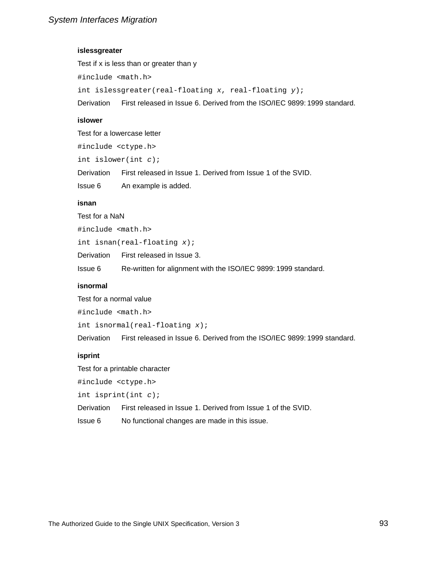#### **islessgreater**

Test if x is less than or greater than y

#include <math.h>

int islessgreater(real-floating x, real-floating y);

Derivation First released in Issue 6. Derived from the ISO/IEC 9899: 1999 standard.

## **islower**

Test for a lowercase letter

#include <ctype.h>

int islower(int  $c$ );

Derivation First released in Issue 1. Derived from Issue 1 of the SVID.

Issue 6 An example is added.

# **isnan**

Test for a NaN

#include <math.h>

int isnan(real-floating x);

Derivation First released in Issue 3.

Issue 6 Re-written for alignment with the ISO/IEC 9899: 1999 standard.

## **isnormal**

Test for a normal value

#include <math.h>

int isnormal(real-floating x);

Derivation First released in Issue 6. Derived from the ISO/IEC 9899: 1999 standard.

### **isprint**

Test for a printable character #include <ctype.h>

int isprint(int c);

Derivation First released in Issue 1. Derived from Issue 1 of the SVID.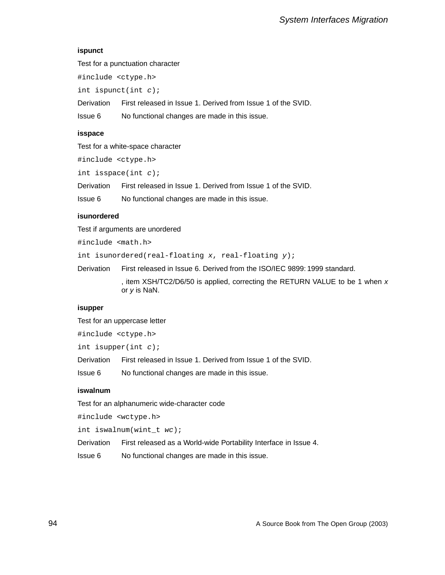## **ispunct**

Test for a punctuation character

#include <ctype.h>

int ispunct(int  $c$ );

Derivation First released in Issue 1. Derived from Issue 1 of the SVID.

Issue 6 No functional changes are made in this issue.

## **isspace**

Test for a white-space character

#include <ctype.h>

int isspace(int  $c$ );

Derivation First released in Issue 1. Derived from Issue 1 of the SVID.

Issue 6 No functional changes are made in this issue.

## **isunordered**

Test if arguments are unordered

#include <math.h>

int isunordered(real-floating  $x$ , real-floating  $y$ );

Derivation First released in Issue 6. Derived from the ISO/IEC 9899: 1999 standard.

, item XSH/TC2/D6/50 is applied, correcting the RETURN VALUE to be 1 when  $x$ or y is NaN.

## **isupper**

Test for an uppercase letter

#include <ctype.h>

int isupper(int  $c$ );

Derivation First released in Issue 1. Derived from Issue 1 of the SVID.

Issue 6 No functional changes are made in this issue.

## **iswalnum**

Test for an alphanumeric wide-character code

#include <wctype.h>

int iswalnum(wint\_t wc);

Derivation First released as a World-wide Portability Interface in Issue 4.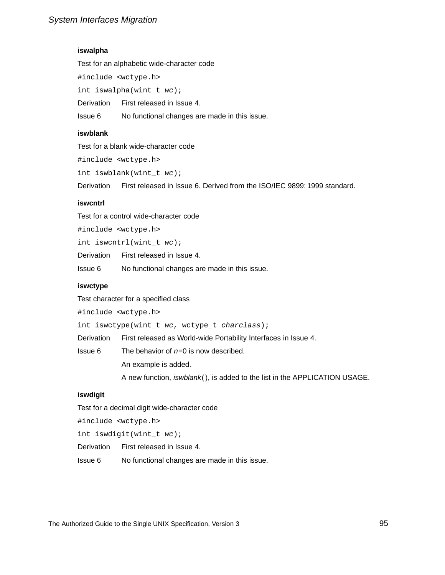### **iswalpha**

Test for an alphabetic wide-character code

#include <wctype.h>

int iswalpha(wint\_t wc);

Derivation First released in Issue 4.

Issue 6 No functional changes are made in this issue.

## **iswblank**

Test for a blank wide-character code

#include <wctype.h>

int iswblank(wint\_t wc);

Derivation First released in Issue 6. Derived from the ISO/IEC 9899: 1999 standard.

## **iswcntrl**

Test for a control wide-character code

#include <wctype.h>

int iswcntrl(wint\_t wc);

Derivation First released in Issue 4.

Issue 6 No functional changes are made in this issue.

### **iswctype**

Test character for a specified class

#include <wctype.h>

int iswctype(wint\_t wc, wctype\_t charclass);

Derivation First released as World-wide Portability Interfaces in Issue 4.

Issue  $6$  The behavior of  $n=0$  is now described.

An example is added.

A new function, iswblank( ), is added to the list in the APPLICATION USAGE.

## **iswdigit**

Test for a decimal digit wide-character code

#include <wctype.h>

int iswdigit(wint\_t wc);

Derivation First released in Issue 4.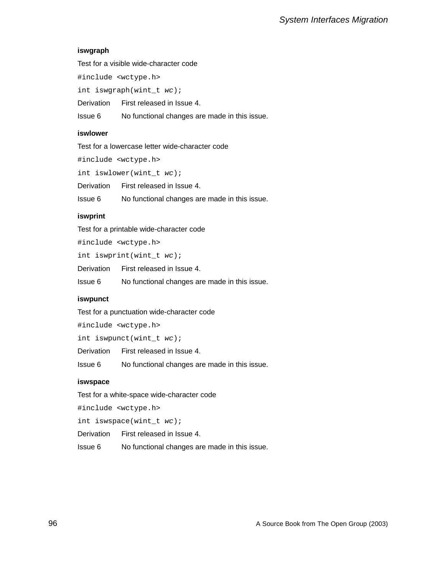## **iswgraph**

Test for a visible wide-character code

#include <wctype.h>

int iswgraph(wint\_t wc);

Derivation First released in Issue 4.

Issue 6 No functional changes are made in this issue.

## **iswlower**

Test for a lowercase letter wide-character code

#include <wctype.h>

int iswlower(wint\_t wc);

Derivation First released in Issue 4.

Issue 6 No functional changes are made in this issue.

## **iswprint**

Test for a printable wide-character code

#include <wctype.h>

int iswprint(wint\_t wc);

Derivation First released in Issue 4.

Issue 6 No functional changes are made in this issue.

## **iswpunct**

Test for a punctuation wide-character code

#include <wctype.h>

int iswpunct(wint\_t wc);

Derivation First released in Issue 4.

Issue 6 No functional changes are made in this issue.

## **iswspace**

Test for a white-space wide-character code

#include <wctype.h>

int iswspace(wint\_t wc);

Derivation First released in Issue 4.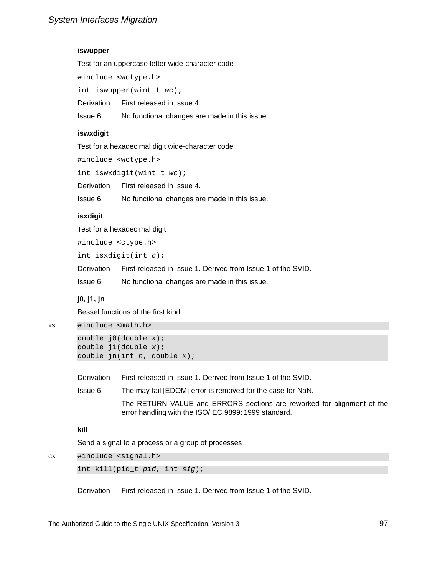### **iswupper**

Test for an uppercase letter wide-character code

#include <wctype.h>

int iswupper(wint\_t wc);

Derivation First released in Issue 4.

Issue 6 No functional changes are made in this issue.

### **iswxdigit**

Test for a hexadecimal digit wide-character code

#include <wctype.h>

int iswxdigit(wint\_t wc);

Derivation First released in Issue 4.

Issue 6 No functional changes are made in this issue.

## **isxdigit**

Test for a hexadecimal digit

#include <ctype.h>

int isxdigit(int c);

Derivation First released in Issue 1. Derived from Issue 1 of the SVID.

Issue 6 No functional changes are made in this issue.

# **j0, j1, jn**

Bessel functions of the first kind

XSI #include <math.h>

```
double j0(double x);
double j1(double x);
double jn(int n, double x);
```
Derivation First released in Issue 1. Derived from Issue 1 of the SVID.

Issue 6 The may fail [EDOM] error is removed for the case for NaN.

The RETURN VALUE and ERRORS sections are reworked for alignment of the error handling with the ISO/IEC 9899: 1999 standard.

# **kill**

Send a signal to a process or a group of processes

CX #include <signal.h>

int kill(pid\_t pid, int sig);

Derivation First released in Issue 1. Derived from Issue 1 of the SVID.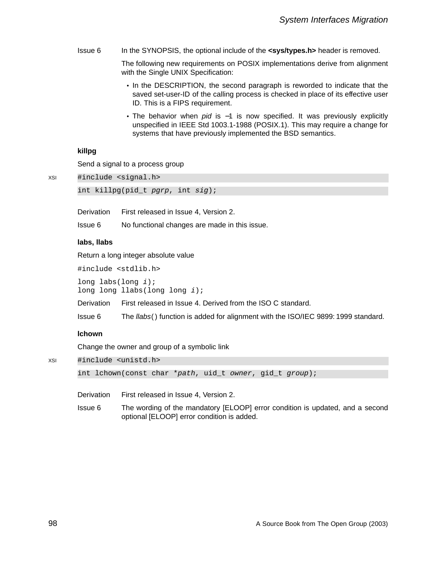Issue 6 In the SYNOPSIS, the optional include of the **<sys/types.h>** header is removed.

The following new requirements on POSIX implementations derive from alignment with the Single UNIX Specification:

- In the DESCRIPTION, the second paragraph is reworded to indicate that the saved set-user-ID of the calling process is checked in place of its effective user ID. This is a FIPS requirement.
- The behavior when *pid* is −1 is now specified. It was previously explicitly unspecified in IEEE Std 1003.1-1988 (POSIX.1). This may require a change for systems that have previously implemented the BSD semantics.

## **killpg**

Send a signal to a process group

XSI #include <signal.h>

int killpg(pid\_t pgrp, int sig);

Derivation First released in Issue 4, Version 2.

Issue 6 No functional changes are made in this issue.

### **labs, llabs**

Return a long integer absolute value

#include <stdlib.h>

```
long labs(long i);
```
long long llabs(long long i);

Derivation First released in Issue 4. Derived from the ISO C standard.

Issue 6 The llabs( ) function is added for alignment with the ISO/IEC 9899: 1999 standard.

### **lchown**

Change the owner and group of a symbolic link

XSI #include <unistd.h>

int lchown(const char \*path, uid\_t owner, gid\_t group);

Derivation First released in Issue 4, Version 2.

Issue 6 The wording of the mandatory [ELOOP] error condition is updated, and a second optional [ELOOP] error condition is added.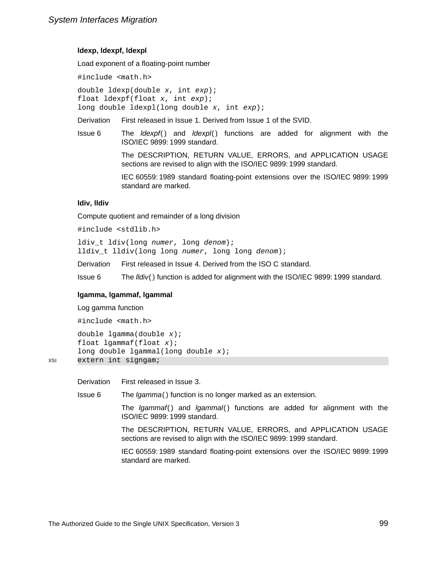#### **ldexp, ldexpf, ldexpl**

Load exponent of a floating-point number

#include <math.h>

double ldexp(double x, int exp); float ldexpf(float x, int exp); long double ldexpl(long double x, int exp);

Derivation First released in Issue 1. Derived from Issue 1 of the SVID.

Issue 6 The *Idexpf*() and *Idexpl*() functions are added for alignment with the ISO/IEC 9899: 1999 standard.

> The DESCRIPTION, RETURN VALUE, ERRORS, and APPLICATION USAGE sections are revised to align with the ISO/IEC 9899: 1999 standard.

> IEC 60559: 1989 standard floating-point extensions over the ISO/IEC 9899: 1999 standard are marked.

## **ldiv, lldiv**

Compute quotient and remainder of a long division

#include <stdlib.h>

ldiv\_t ldiv(long numer, long denom); lldiv\_t lldiv(long long numer, long long denom);

Derivation First released in Issue 4. Derived from the ISO C standard.

Issue 6 The lldiv( ) function is added for alignment with the ISO/IEC 9899: 1999 standard.

#### **lgamma, lgammaf, lgammal**

Log gamma function

#include <math.h>

```
double lgamma(double x);
      float lgammaf(float x);
      long double lgammal(long double x);
XSI extern int signgam;
```
Derivation First released in Issue 3.

Issue 6 The lgamma( ) function is no longer marked as an extension.

The *Igammaf*() and *Igammal*() functions are added for alignment with the ISO/IEC 9899: 1999 standard.

The DESCRIPTION, RETURN VALUE, ERRORS, and APPLICATION USAGE sections are revised to align with the ISO/IEC 9899: 1999 standard.

IEC 60559: 1989 standard floating-point extensions over the ISO/IEC 9899: 1999 standard are marked.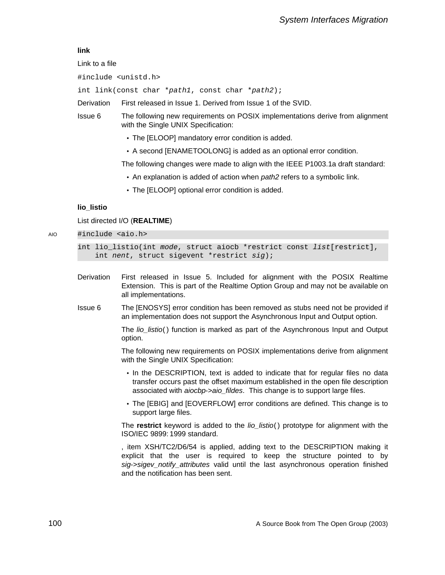# **link**

Link to a file

#include <unistd.h>

int link(const char \*path1, const char \*path2);

Derivation First released in Issue 1. Derived from Issue 1 of the SVID.

Issue 6 The following new requirements on POSIX implementations derive from alignment with the Single UNIX Specification:

- The [ELOOP] mandatory error condition is added.
- A second [ENAMETOOLONG] is added as an optional error condition.

The following changes were made to align with the IEEE P1003.1a draft standard:

- An explanation is added of action when path2 refers to a symbolic link.
- The [ELOOP] optional error condition is added.

# **lio\_listio**

# List directed I/O (**REALTIME**)

AIO #include <aio.h>

int lio\_listio(int mode, struct aiocb \*restrict const list[restrict], int nent, struct sigevent \*restrict sig);

- Derivation First released in Issue 5. Included for alignment with the POSIX Realtime Extension. This is part of the Realtime Option Group and may not be available on all implementations.
- Issue 6 The [ENOSYS] error condition has been removed as stubs need not be provided if an implementation does not support the Asynchronous Input and Output option.

The *lio\_listio*() function is marked as part of the Asynchronous Input and Output option.

The following new requirements on POSIX implementations derive from alignment with the Single UNIX Specification:

- In the DESCRIPTION, text is added to indicate that for regular files no data transfer occurs past the offset maximum established in the open file description associated with aiocbp->aio\_fildes. This change is to support large files.
- The [EBIG] and [EOVERFLOW] error conditions are defined. This change is to support large files.

The **restrict** keyword is added to the lio\_listio( ) prototype for alignment with the ISO/IEC 9899: 1999 standard.

, item XSH/TC2/D6/54 is applied, adding text to the DESCRIPTION making it explicit that the user is required to keep the structure pointed to by sig->sigev\_notify\_attributes valid until the last asynchronous operation finished and the notification has been sent.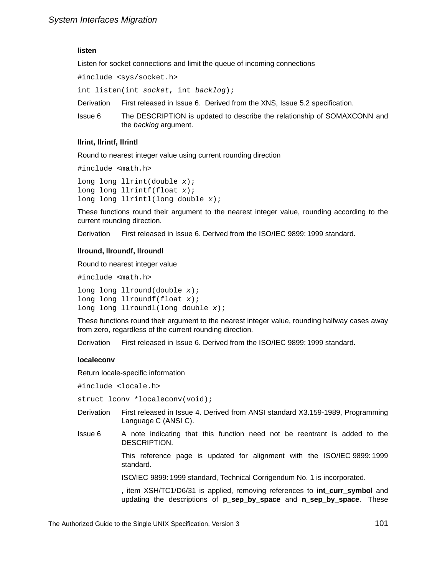### **listen**

Listen for socket connections and limit the queue of incoming connections

```
#include <sys/socket.h>
```
int listen(int socket, int backlog);

Derivation First released in Issue 6. Derived from the XNS, Issue 5.2 specification.

Issue 6 The DESCRIPTION is updated to describe the relationship of SOMAXCONN and the backlog argument.

#### **llrint, llrintf, llrintl**

Round to nearest integer value using current rounding direction

#include <math.h>

```
long long llrint(double x);
long long llrintf(float x);
long long llrintl(long double x);
```
These functions round their argument to the nearest integer value, rounding according to the current rounding direction.

Derivation First released in Issue 6. Derived from the ISO/IEC 9899: 1999 standard.

## **llround, llroundf, llroundl**

Round to nearest integer value

#include <math.h>

long long llround(double x); long long llroundf(float x); long long llroundl(long double x);

These functions round their argument to the nearest integer value, rounding halfway cases away from zero, regardless of the current rounding direction.

Derivation First released in Issue 6. Derived from the ISO/IEC 9899: 1999 standard.

#### **localeconv**

Return locale-specific information

#include <locale.h>

struct lconv \*localeconv(void);

- Derivation First released in Issue 4. Derived from ANSI standard X3.159-1989, Programming Language C (ANSI C).
- Issue 6 A note indicating that this function need not be reentrant is added to the DESCRIPTION.

This reference page is updated for alignment with the ISO/IEC 9899: 1999 standard.

ISO/IEC 9899: 1999 standard, Technical Corrigendum No. 1 is incorporated.

, item XSH/TC1/D6/31 is applied, removing references to **int\_curr\_symbol** and updating the descriptions of **p\_sep\_by\_space** and **n\_sep\_by\_space**. These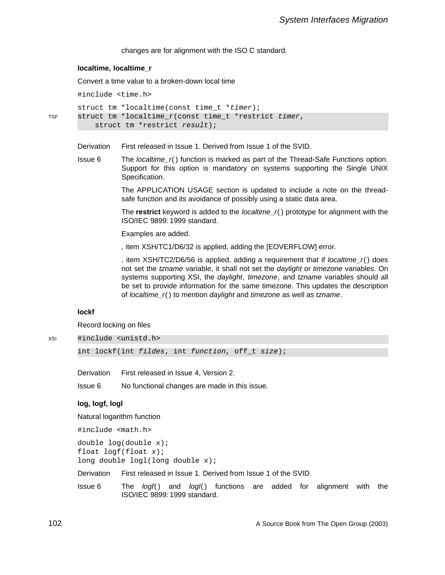## changes are for alignment with the ISO C standard.

### **localtime, localtime\_r**

Convert a time value to a broken-down local time

#include <time.h>

```
struct tm *localtime(const time_t *timer);
TSF struct tm *localtime_r(const time_t *restrict timer,
          struct tm *restrict result);
```
Derivation First released in Issue 1. Derived from Issue 1 of the SVID.

Issue 6 The localtime\_r( ) function is marked as part of the Thread-Safe Functions option. Support for this option is mandatory on systems supporting the Single UNIX Specification.

> The APPLICATION USAGE section is updated to include a note on the threadsafe function and its avoidance of possibly using a static data area.

> The **restrict** keyword is added to the localtime\_r( ) prototype for alignment with the ISO/IEC 9899: 1999 standard.

Examples are added.

, item XSH/TC1/D6/32 is applied, adding the [EOVERFLOW] error.

, item XSH/TC2/D6/56 is applied, adding a requirement that if *localtime\_r*() does not set the tzname variable, it shall not set the daylight or timezone variables. On systems supporting XSI, the *daylight, timezone*, and *tzname* variables should all be set to provide information for the same timezone. This updates the description of localtime\_r() to mention daylight and timezone as well as tzname.

## **lockf**

Record locking on files

XSI #include <unistd.h>

int lockf(int fildes, int function, off\_t size);

Derivation First released in Issue 4, Version 2.

Issue 6 No functional changes are made in this issue.

# **log, logf, logl**

Natural logarithm function

#include <math.h>

double log(double x); float logf(float x); long double logl(long double x);

Derivation First released in Issue 1. Derived from Issue 1 of the SVID.

Issue 6 The *logf*() and *logl*() functions are added for alignment with the ISO/IEC 9899: 1999 standard.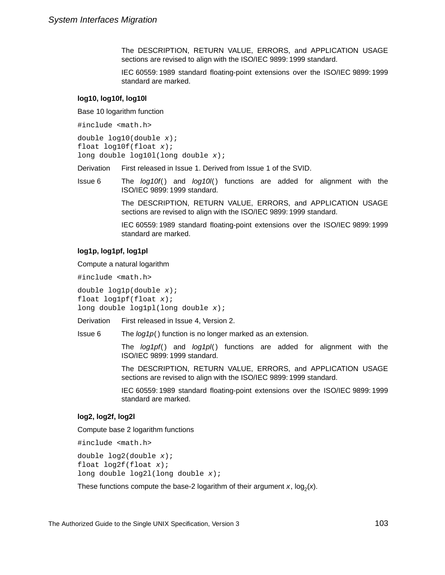The DESCRIPTION, RETURN VALUE, ERRORS, and APPLICATION USAGE sections are revised to align with the ISO/IEC 9899: 1999 standard.

IEC 60559: 1989 standard floating-point extensions over the ISO/IEC 9899: 1999 standard are marked.

#### **log10, log10f, log10l**

Base 10 logarithm function

#include <math.h>

double log10(double x); float log10f(float x); long double log101(long double x);

Derivation First released in Issue 1. Derived from Issue 1 of the SVID.

Issue 6 The  $log10f()$  and  $log10f()$  functions are added for alignment with the ISO/IEC 9899: 1999 standard.

> The DESCRIPTION, RETURN VALUE, ERRORS, and APPLICATION USAGE sections are revised to align with the ISO/IEC 9899: 1999 standard.

> IEC 60559: 1989 standard floating-point extensions over the ISO/IEC 9899: 1999 standard are marked.

## **log1p, log1pf, log1pl**

Compute a natural logarithm

#include <math.h>

double log1p(double x); float log1pf(float x); long double log1pl(long double x);

Derivation First released in Issue 4, Version 2.

Issue 6 The  $log1p()$  function is no longer marked as an extension.

The  $log1pf()$  and  $log1pf()$  functions are added for alignment with the ISO/IEC 9899: 1999 standard.

The DESCRIPTION, RETURN VALUE, ERRORS, and APPLICATION USAGE sections are revised to align with the ISO/IEC 9899: 1999 standard.

IEC 60559: 1989 standard floating-point extensions over the ISO/IEC 9899: 1999 standard are marked.

#### **log2, log2f, log2l**

Compute base 2 logarithm functions

#include <math.h>

double log2(double x); float log2f(float x); long double log2l(long double x);

These functions compute the base-2 logarithm of their argument x, log<sub>2</sub>(x).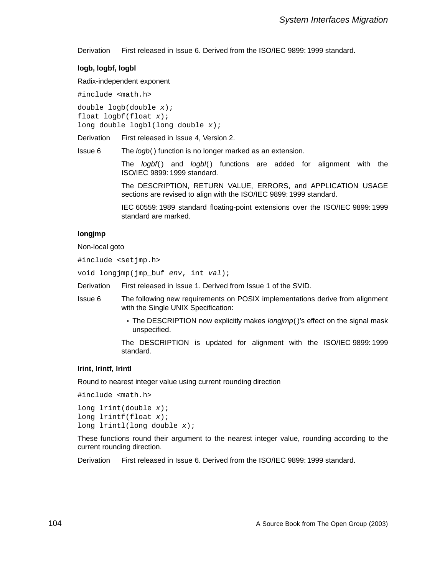Derivation First released in Issue 6. Derived from the ISO/IEC 9899: 1999 standard.

## **logb, logbf, logbl**

Radix-independent exponent

#include <math.h>

double logb(double x); float logbf(float x); long double logbl(long double x);

Derivation First released in Issue 4, Version 2.

Issue 6 The logb( ) function is no longer marked as an extension.

The  $logbf()$  and  $logbl()$  functions are added for alignment with the ISO/IEC 9899: 1999 standard.

The DESCRIPTION, RETURN VALUE, ERRORS, and APPLICATION USAGE sections are revised to align with the ISO/IEC 9899: 1999 standard.

IEC 60559: 1989 standard floating-point extensions over the ISO/IEC 9899: 1999 standard are marked.

### **longjmp**

#### Non-local goto

#include <setjmp.h>

void longjmp(jmp\_buf env, int val);

Derivation First released in Issue 1. Derived from Issue 1 of the SVID.

Issue 6 The following new requirements on POSIX implementations derive from alignment with the Single UNIX Specification:

> • The DESCRIPTION now explicitly makes *longjmp*(*)*'s effect on the signal mask unspecified.

The DESCRIPTION is updated for alignment with the ISO/IEC 9899: 1999 standard.

### **lrint, lrintf, lrintl**

Round to nearest integer value using current rounding direction

```
#include <math.h>
long lrint(double x);long lrintf(float x);
long lrintl(long double x);
```
These functions round their argument to the nearest integer value, rounding according to the current rounding direction.

Derivation First released in Issue 6. Derived from the ISO/IEC 9899: 1999 standard.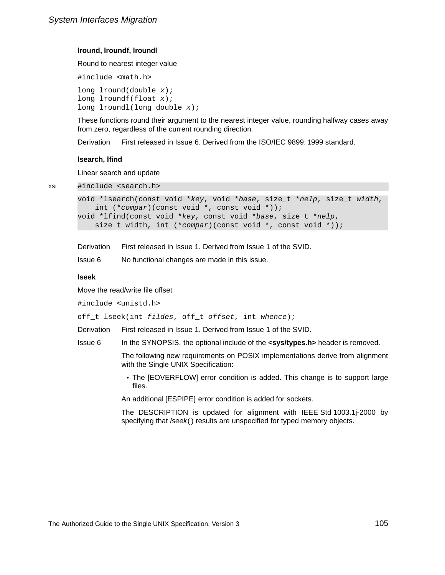#### **lround, lroundf, lroundl**

Round to nearest integer value

```
#include <math.h>
```

```
long lround(double x);
long lroundf(float x);
long lroundl(long double x);
```
These functions round their argument to the nearest integer value, rounding halfway cases away from zero, regardless of the current rounding direction.

Derivation First released in Issue 6. Derived from the ISO/IEC 9899: 1999 standard.

#### **lsearch, lfind**

Linear search and update

XSI #include <search.h>

```
void *lsearch(const void *key, void *base, size_t *nelp, size_t width,
   int (*compar)(const void *, const void *));
void *lfind(const void *key, const void *base, size_t *nelp,
    size_t width, int (*compar)(const void *, const void *));
```
Derivation First released in Issue 1. Derived from Issue 1 of the SVID.

Issue 6 No functional changes are made in this issue.

#### **lseek**

Move the read/write file offset

#include <unistd.h>

off\_t lseek(int fildes, off\_t offset, int whence);

Derivation First released in Issue 1. Derived from Issue 1 of the SVID.

Issue 6 In the SYNOPSIS, the optional include of the **<sys/types.h>** header is removed.

The following new requirements on POSIX implementations derive from alignment with the Single UNIX Specification:

• The [EOVERFLOW] error condition is added. This change is to support large files.

An additional [ESPIPE] error condition is added for sockets.

The DESCRIPTION is updated for alignment with IEEE Std 1003.1j-2000 by specifying that lseek( ) results are unspecified for typed memory objects.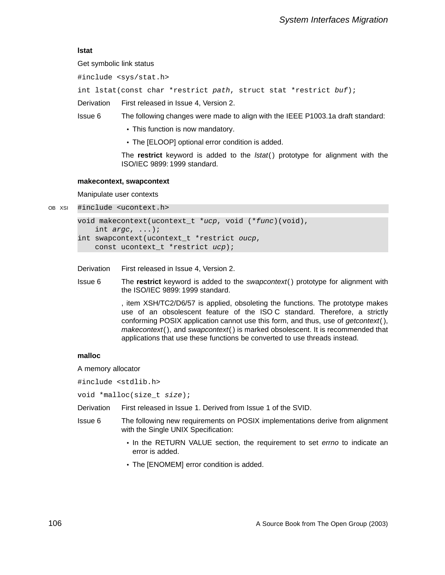## **lstat**

Get symbolic link status

#include <sys/stat.h>

int lstat(const char \*restrict path, struct stat \*restrict buf);

Derivation First released in Issue 4, Version 2.

Issue 6 The following changes were made to align with the IEEE P1003.1a draft standard:

- This function is now mandatory.
- The [ELOOP] optional error condition is added.

The **restrict** keyword is added to the lstat( ) prototype for alignment with the ISO/IEC 9899: 1999 standard.

### **makecontext, swapcontext**

Manipulate user contexts

```
OB XSI #include <ucontext.h>
```

```
void makecontext(ucontext_t *ucp, void (*func)(void),
    int \arg c, \ldots);
int swapcontext(ucontext_t *restrict oucp,
    const ucontext_t *restrict ucp);
```
Derivation First released in Issue 4, Version 2.

Issue 6 The **restrict** keyword is added to the swapcontext( ) prototype for alignment with the ISO/IEC 9899: 1999 standard.

> , item XSH/TC2/D6/57 is applied, obsoleting the functions. The prototype makes use of an obsolescent feature of the ISO C standard. Therefore, a strictly conforming POSIX application cannot use this form, and thus, use of getcontext(), makecontext(), and swapcontext() is marked obsolescent. It is recommended that applications that use these functions be converted to use threads instead.

### **malloc**

A memory allocator

#include <stdlib.h>

void \*malloc(size\_t size);

Derivation First released in Issue 1. Derived from Issue 1 of the SVID.

- Issue 6 The following new requirements on POSIX implementations derive from alignment with the Single UNIX Specification:
	- In the RETURN VALUE section, the requirement to set errno to indicate an error is added.
	- The [ENOMEM] error condition is added.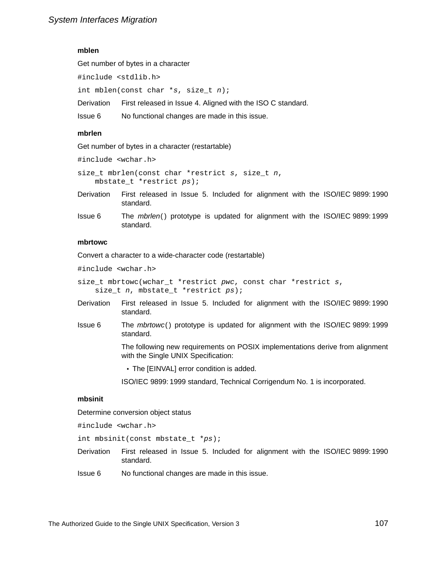### **mblen**

Get number of bytes in a character

#include <stdlib.h>

int mblen(const char \*s, size\_t n);

Derivation First released in Issue 4. Aligned with the ISO C standard.

Issue 6 No functional changes are made in this issue.

#### **mbrlen**

Get number of bytes in a character (restartable)

#include <wchar.h>

```
size_t mbrlen(const char *restrict s, size_t n,
    mbstate_t *restrict ps);
```
- Derivation First released in Issue 5. Included for alignment with the ISO/IEC 9899: 1990 standard.
- Issue 6 The mbrlen( ) prototype is updated for alignment with the ISO/IEC 9899: 1999 standard.

### **mbrtowc**

Convert a character to a wide-character code (restartable)

#include <wchar.h>

```
size_t mbrtowc(wchar_t *restrict pwc, const char *restrict s,
    size_t n, mbstate_t *restrict ps);
```
- Derivation First released in Issue 5. Included for alignment with the ISO/IEC 9899: 1990 standard.
- Issue 6 The mbrtowc() prototype is updated for alignment with the ISO/IEC 9899: 1999 standard.

The following new requirements on POSIX implementations derive from alignment with the Single UNIX Specification:

• The [EINVAL] error condition is added.

ISO/IEC 9899: 1999 standard, Technical Corrigendum No. 1 is incorporated.

# **mbsinit**

#### Determine conversion object status

#include <wchar.h>

int mbsinit(const mbstate\_t \*ps);

- Derivation First released in Issue 5. Included for alignment with the ISO/IEC 9899: 1990 standard.
- Issue 6 No functional changes are made in this issue.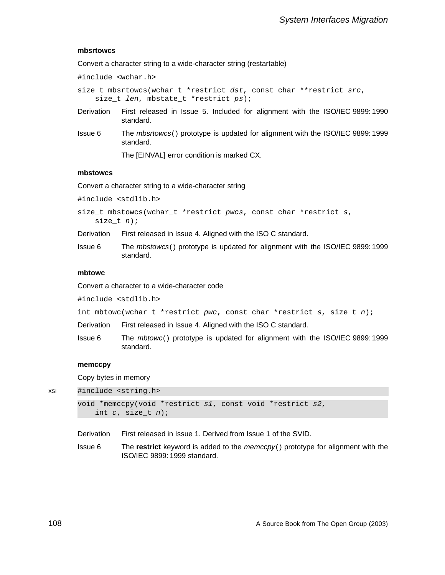# **mbsrtowcs**

Convert a character string to a wide-character string (restartable)

#include <wchar.h>

```
size_t mbsrtowcs(wchar_t *restrict dst, const char **restrict src,
    size_t len, mbstate_t *restrict ps);
```
- Derivation First released in Issue 5. Included for alignment with the ISO/IEC 9899: 1990 standard.
- Issue 6 The mbsrtowcs( ) prototype is updated for alignment with the ISO/IEC 9899: 1999 standard.

The [EINVAL] error condition is marked CX.

### **mbstowcs**

Convert a character string to a wide-character string

#include <stdlib.h>

```
size_t mbstowcs(wchar_t *restrict pwcs, const char *restrict s,
    size_t n);
```
- Derivation First released in Issue 4. Aligned with the ISO C standard.
- Issue 6 The mbstowcs() prototype is updated for alignment with the ISO/IEC 9899: 1999 standard.

### **mbtowc**

Convert a character to a wide-character code

#include <stdlib.h>

int mbtowc(wchar\_t \*restrict pwc, const char \*restrict s, size\_t n);

Derivation First released in Issue 4. Aligned with the ISO C standard.

Issue 6 The mbtowc( ) prototype is updated for alignment with the ISO/IEC 9899: 1999 standard.

#### **memccpy**

Copy bytes in memory

XSI #include <string.h>

```
void *memccpy(void *restrict s1, const void *restrict s2,
   int c, size_t n);
```
Derivation First released in Issue 1. Derived from Issue 1 of the SVID.

Issue 6 The **restrict** keyword is added to the memccpy( ) prototype for alignment with the ISO/IEC 9899: 1999 standard.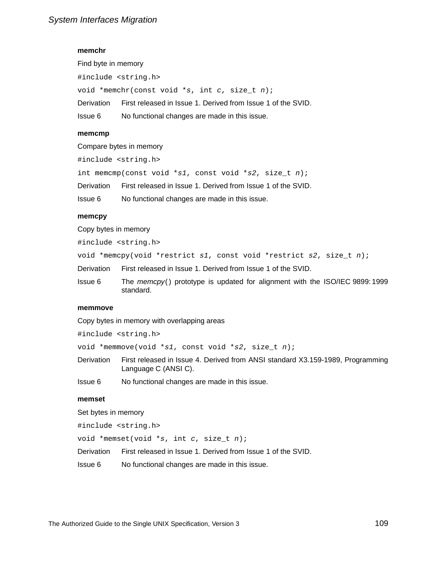### **memchr**

Find byte in memory

#include <string.h>

void \*memchr(const void \*s, int c, size\_t n); Derivation First released in Issue 1. Derived from Issue 1 of the SVID. Issue 6 No functional changes are made in this issue.

#### **memcmp**

Compare bytes in memory

#include <string.h>

int memcmp(const void \*s1, const void \*s2, size\_t n);

Derivation First released in Issue 1. Derived from Issue 1 of the SVID.

Issue 6 No functional changes are made in this issue.

# **memcpy**

Copy bytes in memory

#include <string.h>

void \*memcpy(void \*restrict s1, const void \*restrict s2, size\_t n);

Derivation First released in Issue 1. Derived from Issue 1 of the SVID.

Issue 6 The memcpy( ) prototype is updated for alignment with the ISO/IEC 9899: 1999 standard.

### **memmove**

Copy bytes in memory with overlapping areas

#include <string.h>

void \*memmove(void \*s1, const void \*s2, size\_t n);

Derivation First released in Issue 4. Derived from ANSI standard X3.159-1989, Programming Language C (ANSI C).

Issue 6 No functional changes are made in this issue.

# **memset**

Set bytes in memory

#include <string.h>

void \*memset(void \*s, int  $c$ , size\_t  $n$ );

Derivation First released in Issue 1. Derived from Issue 1 of the SVID.

Issue 6 No functional changes are made in this issue.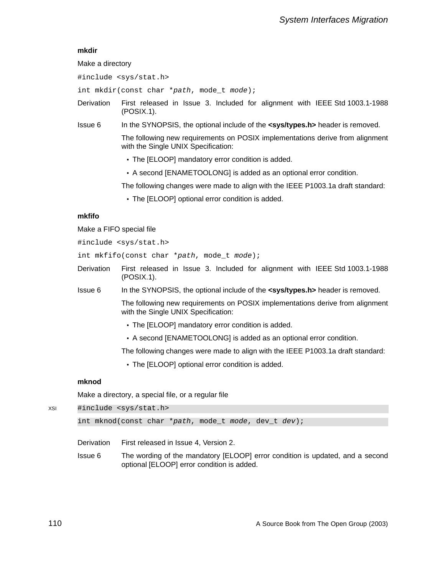```
mkdir
```
Make a directory

#include <sys/stat.h>

int mkdir(const char \*path, mode\_t mode);

- Derivation First released in Issue 3. Included for alignment with IEEE Std 1003.1-1988 (POSIX.1).
- Issue 6 In the SYNOPSIS, the optional include of the **<sys/types.h>** header is removed.

The following new requirements on POSIX implementations derive from alignment with the Single UNIX Specification:

- The [ELOOP] mandatory error condition is added.
- A second [ENAMETOOLONG] is added as an optional error condition.

The following changes were made to align with the IEEE P1003.1a draft standard:

• The [ELOOP] optional error condition is added.

# **mkfifo**

Make a FIFO special file

#include <sys/stat.h>

int mkfifo(const char \*path, mode\_t mode);

Derivation First released in Issue 3. Included for alignment with IEEE Std 1003.1-1988 (POSIX.1).

Issue 6 In the SYNOPSIS, the optional include of the **<sys/types.h>** header is removed.

The following new requirements on POSIX implementations derive from alignment with the Single UNIX Specification:

- The [ELOOP] mandatory error condition is added.
- A second [ENAMETOOLONG] is added as an optional error condition.

The following changes were made to align with the IEEE P1003.1a draft standard:

• The [ELOOP] optional error condition is added.

# **mknod**

Make a directory, a special file, or a regular file

XSI #include <sys/stat.h>

int mknod(const char \*path, mode\_t mode, dev\_t dev);

Derivation First released in Issue 4, Version 2.

Issue 6 The wording of the mandatory [ELOOP] error condition is updated, and a second optional [ELOOP] error condition is added.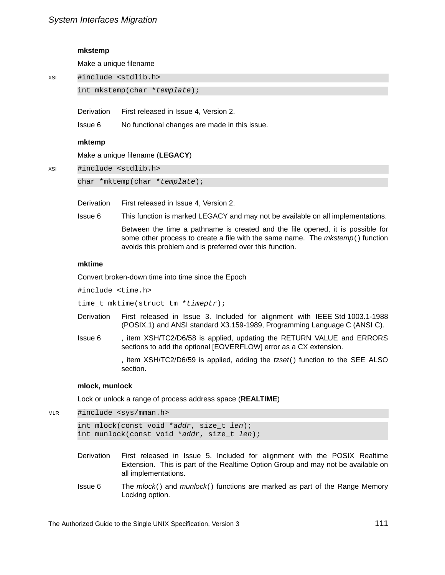**mkstemp**

Make a unique filename

```
XSI #include <stdlib.h>
```
int mkstemp(char \*template);

Derivation First released in Issue 4, Version 2.

Issue 6 No functional changes are made in this issue.

# **mktemp**

Make a unique filename (**LEGACY**)

XSI #include <stdlib.h>

char \*mktemp(char \*template);

Derivation First released in Issue 4, Version 2.

Issue 6 This function is marked LEGACY and may not be available on all implementations.

Between the time a pathname is created and the file opened, it is possible for some other process to create a file with the same name. The  $mkstemp()$  function avoids this problem and is preferred over this function.

### **mktime**

Convert broken-down time into time since the Epoch

#include <time.h>

time\_t mktime(struct tm \*timeptr);

- Derivation First released in Issue 3. Included for alignment with IEEE Std 1003.1-1988 (POSIX.1) and ANSI standard X3.159-1989, Programming Language C (ANSI C).
- Issue 6 , item XSH/TC2/D6/58 is applied, updating the RETURN VALUE and ERRORS sections to add the optional [EOVERFLOW] error as a CX extension.

, item XSH/TC2/D6/59 is applied, adding the  $tzset()$  function to the SEE ALSO section.

### **mlock, munlock**

Lock or unlock a range of process address space (**REALTIME**)

MLR #include <sys/mman.h>

int mlock(const void \*addr, size\_t len); int munlock(const void \*addr, size\_t len);

- Derivation First released in Issue 5. Included for alignment with the POSIX Realtime Extension. This is part of the Realtime Option Group and may not be available on all implementations.
- Issue 6 The mlock() and munlock() functions are marked as part of the Range Memory Locking option.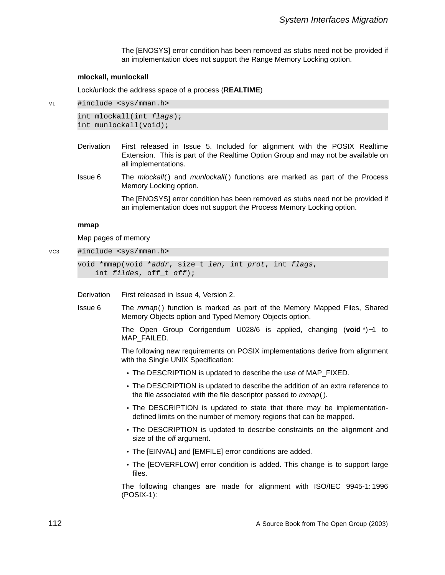The [ENOSYS] error condition has been removed as stubs need not be provided if an implementation does not support the Range Memory Locking option.

### **mlockall, munlockall**

Lock/unlock the address space of a process (**REALTIME**)

```
ML #include <sys/mman.h>
```

```
int mlockall(int flags);
int munlockall(void);
```
- Derivation First released in Issue 5. Included for alignment with the POSIX Realtime Extension. This is part of the Realtime Option Group and may not be available on all implementations.
- Issue 6 The mlockall() and munlockall() functions are marked as part of the Process Memory Locking option.

The [ENOSYS] error condition has been removed as stubs need not be provided if an implementation does not support the Process Memory Locking option.

#### **mmap**

Map pages of memory

MC3 #include <sys/mman.h>

```
void *mmap(void *addr, size_t len, int prot, int flags,
    int fildes, off_t off);
```
- Derivation First released in Issue 4, Version 2.
- Issue 6 The mmap() function is marked as part of the Memory Mapped Files, Shared Memory Objects option and Typed Memory Objects option.

The Open Group Corrigendum U028/6 is applied, changing (**void** \*)−1 to MAP\_FAILED.

The following new requirements on POSIX implementations derive from alignment with the Single UNIX Specification:

- The DESCRIPTION is updated to describe the use of MAP\_FIXED.
- The DESCRIPTION is updated to describe the addition of an extra reference to the file associated with the file descriptor passed to  $mmap()$ .
- The DESCRIPTION is updated to state that there may be implementationdefined limits on the number of memory regions that can be mapped.
- The DESCRIPTION is updated to describe constraints on the alignment and size of the *off* argument.
- The [EINVAL] and [EMFILE] error conditions are added.
- The [EOVERFLOW] error condition is added. This change is to support large files.

The following changes are made for alignment with ISO/IEC 9945-1: 1996 (POSIX-1):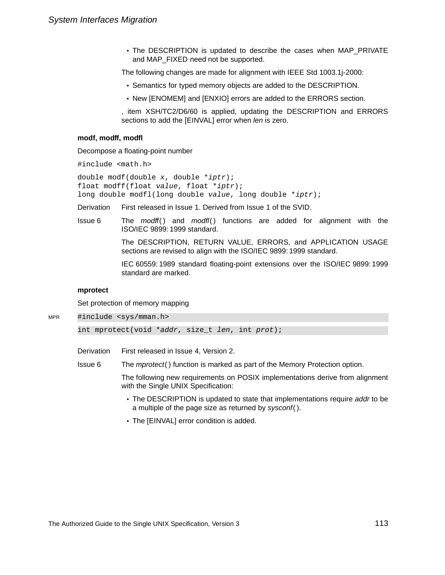• The DESCRIPTION is updated to describe the cases when MAP\_PRIVATE and MAP\_FIXED need not be supported.

The following changes are made for alignment with IEEE Std 1003.1j-2000:

- Semantics for typed memory objects are added to the DESCRIPTION.
- New [ENOMEM] and [ENXIO] errors are added to the ERRORS section.

, item XSH/TC2/D6/60 is applied, updating the DESCRIPTION and ERRORS sections to add the [EINVAL] error when *len* is zero.

# **modf, modff, modfl**

Decompose a floating-point number

#include <math.h>

double modf(double x, double \*iptr); float modff(float value, float \*iptr); long double modfl(long double value, long double \*iptr);

Derivation First released in Issue 1. Derived from Issue 1 of the SVID.

Issue 6 The modff() and modfl() functions are added for alignment with the ISO/IEC 9899: 1999 standard.

> The DESCRIPTION, RETURN VALUE, ERRORS, and APPLICATION USAGE sections are revised to align with the ISO/IEC 9899: 1999 standard.

> IEC 60559: 1989 standard floating-point extensions over the ISO/IEC 9899: 1999 standard are marked.

# **mprotect**

Set protection of memory mapping

MPR #include <sys/mman.h>

int mprotect(void \*addr, size\_t len, int prot);

Derivation First released in Issue 4, Version 2.

Issue 6 The mprotect() function is marked as part of the Memory Protection option.

The following new requirements on POSIX implementations derive from alignment with the Single UNIX Specification:

- The DESCRIPTION is updated to state that implementations require addr to be a multiple of the page size as returned by sysconf( ).
- The [EINVAL] error condition is added.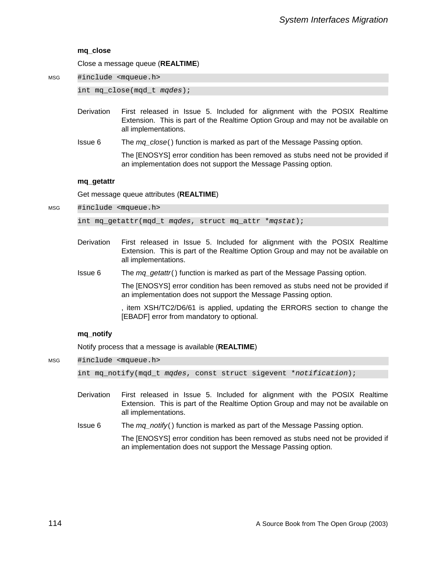# **mq\_close**

Close a message queue (**REALTIME**)

MSG #include <mqueue.h>

int mq\_close(mqd\_t mqdes);

- Derivation First released in Issue 5. Included for alignment with the POSIX Realtime Extension. This is part of the Realtime Option Group and may not be available on all implementations.
- Issue 6 The mq\_close() function is marked as part of the Message Passing option.

The [ENOSYS] error condition has been removed as stubs need not be provided if an implementation does not support the Message Passing option.

### **mq\_getattr**

Get message queue attributes (**REALTIME**)

MSG #include <mqueue.h>

int mq\_getattr(mqd\_t mqdes, struct mq\_attr \*mqstat);

- Derivation First released in Issue 5. Included for alignment with the POSIX Realtime Extension. This is part of the Realtime Option Group and may not be available on all implementations.
- Issue 6 The mq\_getattr() function is marked as part of the Message Passing option.

The [ENOSYS] error condition has been removed as stubs need not be provided if an implementation does not support the Message Passing option.

, item XSH/TC2/D6/61 is applied, updating the ERRORS section to change the [EBADF] error from mandatory to optional.

### **mq\_notify**

Notify process that a message is available (**REALTIME**)

MSG #include <mqueue.h>

int mq\_notify(mqd\_t mqdes, const struct sigevent \*notification);

- Derivation First released in Issue 5. Included for alignment with the POSIX Realtime Extension. This is part of the Realtime Option Group and may not be available on all implementations.
- Issue 6 The  $mq\_notify()$  function is marked as part of the Message Passing option.

The [ENOSYS] error condition has been removed as stubs need not be provided if an implementation does not support the Message Passing option.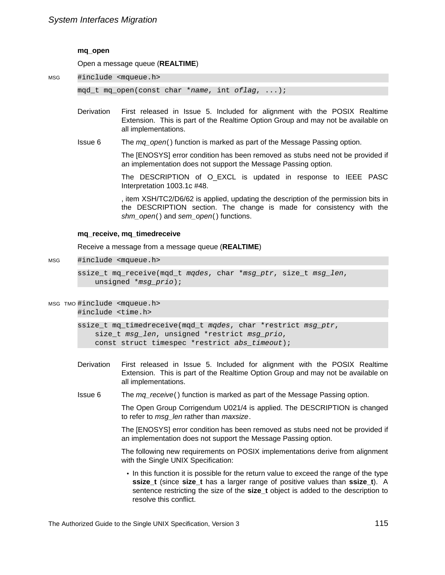### **mq\_open**

Open a message queue (**REALTIME**)

MSG #include <mqueue.h>

mqd\_t mq\_open(const char \*name, int oflag, ...);

- Derivation First released in Issue 5. Included for alignment with the POSIX Realtime Extension. This is part of the Realtime Option Group and may not be available on all implementations.
- Issue 6 The mq\_open() function is marked as part of the Message Passing option.

The [ENOSYS] error condition has been removed as stubs need not be provided if an implementation does not support the Message Passing option.

The DESCRIPTION of O\_EXCL is updated in response to IEEE PASC Interpretation 1003.1c #48.

, item XSH/TC2/D6/62 is applied, updating the description of the permission bits in the DESCRIPTION section. The change is made for consistency with the shm\_open() and sem\_open() functions.

### **mq\_receive, mq\_timedreceive**

Receive a message from a message queue (**REALTIME**)

MSG #include <mqueue.h>

ssize\_t mq\_receive(mqd\_t mqdes, char \*msg\_ptr, size\_t msg\_len, unsigned \*msg\_prio);

MSG TMO #include <mqueue.h> #include <time.h>

> ssize\_t mq\_timedreceive(mqd\_t mqdes, char \*restrict msg\_ptr, size\_t msg\_len, unsigned \*restrict msg\_prio, const struct timespec \*restrict abs\_timeout);

- Derivation First released in Issue 5. Included for alignment with the POSIX Realtime Extension. This is part of the Realtime Option Group and may not be available on all implementations.
- Issue 6 The mq\_receive() function is marked as part of the Message Passing option.

The Open Group Corrigendum U021/4 is applied. The DESCRIPTION is changed to refer to *msg\_len* rather than *maxsize*.

The [ENOSYS] error condition has been removed as stubs need not be provided if an implementation does not support the Message Passing option.

The following new requirements on POSIX implementations derive from alignment with the Single UNIX Specification:

• In this function it is possible for the return value to exceed the range of the type **ssize\_t** (since **size\_t** has a larger range of positive values than **ssize\_t**). A sentence restricting the size of the **size\_t** object is added to the description to resolve this conflict.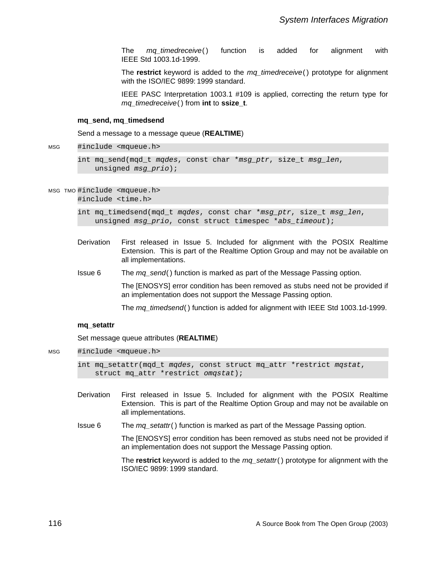The mq\_timedreceive() function is added for alignment with IEEE Std 1003.1d-1999.

The **restrict** keyword is added to the mq\_timedreceive( ) prototype for alignment with the ISO/IEC 9899: 1999 standard.

IEEE PASC Interpretation 1003.1 #109 is applied, correcting the return type for mq\_timedreceive( ) from **int** to **ssize\_t**.

#### **mq\_send, mq\_timedsend**

Send a message to a message queue (**REALTIME**)

MSG #include <mqueue.h>

int mq\_send(mqd\_t mqdes, const char \*msg\_ptr, size\_t msg\_len, unsigned msg\_prio);

MSG TMO #include <mqueue.h>

#include <time.h>

int mq\_timedsend(mqd\_t mqdes, const char \*msg\_ptr, size\_t msg\_len, unsigned msg\_prio, const struct timespec \*abs\_timeout);

- Derivation First released in Issue 5. Included for alignment with the POSIX Realtime Extension. This is part of the Realtime Option Group and may not be available on all implementations.
- Issue 6 The mq\_send() function is marked as part of the Message Passing option.

The [ENOSYS] error condition has been removed as stubs need not be provided if an implementation does not support the Message Passing option.

The mq\_timedsend( ) function is added for alignment with IEEE Std 1003.1d-1999.

#### **mq\_setattr**

Set message queue attributes (**REALTIME**)

MSG #include <mqueue.h>

int mq\_setattr(mqd\_t mqdes, const struct mq\_attr \*restrict mqstat, struct mq\_attr \*restrict omqstat);

- Derivation First released in Issue 5. Included for alignment with the POSIX Realtime Extension. This is part of the Realtime Option Group and may not be available on all implementations.
- Issue 6 The mq\_setattr() function is marked as part of the Message Passing option.

The [ENOSYS] error condition has been removed as stubs need not be provided if an implementation does not support the Message Passing option.

The **restrict** keyword is added to the mq\_setattr( ) prototype for alignment with the ISO/IEC 9899: 1999 standard.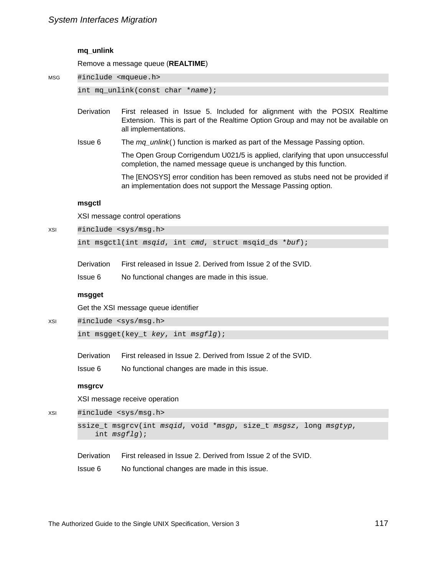# **mq\_unlink**

Remove a message queue (**REALTIME**)

MSG #include <mqueue.h>

int mq\_unlink(const char \*name);

- Derivation First released in Issue 5. Included for alignment with the POSIX Realtime Extension. This is part of the Realtime Option Group and may not be available on all implementations.
- Issue 6 The mq\_unlink() function is marked as part of the Message Passing option.

The Open Group Corrigendum U021/5 is applied, clarifying that upon unsuccessful completion, the named message queue is unchanged by this function.

The [ENOSYS] error condition has been removed as stubs need not be provided if an implementation does not support the Message Passing option.

# **msgctl**

XSI message control operations

XSI #include <sys/msg.h>

int msgctl(int msqid, int cmd, struct msqid\_ds \*buf);

Derivation First released in Issue 2. Derived from Issue 2 of the SVID.

Issue 6 No functional changes are made in this issue.

### **msgget**

Get the XSI message queue identifier

XSI #include <sys/msg.h>

int msgget(key\_t key, int msgflg);

Derivation First released in Issue 2. Derived from Issue 2 of the SVID.

Issue 6 No functional changes are made in this issue.

### **msgrcv**

XSI message receive operation

XSI #include <sys/msg.h>

ssize\_t msgrcv(int msqid, void \*msgp, size\_t msgsz, long msgtyp, int msgflg);

Derivation First released in Issue 2. Derived from Issue 2 of the SVID.

Issue 6 No functional changes are made in this issue.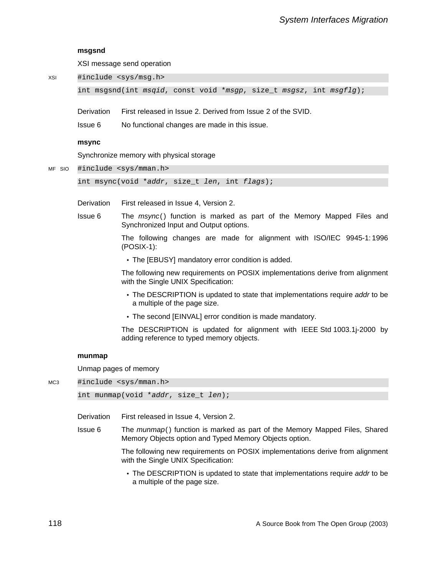# **msgsnd**

XSI message send operation

XSI #include <sys/msg.h>

int msgsnd(int msqid, const void \*msgp, size\_t msgsz, int msgflg);

Derivation First released in Issue 2. Derived from Issue 2 of the SVID.

Issue 6 No functional changes are made in this issue.

# **msync**

Synchronize memory with physical storage

MF SIO #include <sys/mman.h>

int msync(void \*addr, size\_t len, int flags);

- Derivation First released in Issue 4, Version 2.
- Issue 6 The msync() function is marked as part of the Memory Mapped Files and Synchronized Input and Output options.

The following changes are made for alignment with ISO/IEC 9945-1: 1996 (POSIX-1):

• The [EBUSY] mandatory error condition is added.

The following new requirements on POSIX implementations derive from alignment with the Single UNIX Specification:

- The DESCRIPTION is updated to state that implementations require addr to be a multiple of the page size.
- The second [EINVAL] error condition is made mandatory.

The DESCRIPTION is updated for alignment with IEEE Std 1003.1j-2000 by adding reference to typed memory objects.

### **munmap**

Unmap pages of memory

MC3 #include <sys/mman.h>

int munmap(void \*addr, size\_t len);

Derivation First released in Issue 4, Version 2.

Issue 6 The munmap() function is marked as part of the Memory Mapped Files, Shared Memory Objects option and Typed Memory Objects option.

> The following new requirements on POSIX implementations derive from alignment with the Single UNIX Specification:

• The DESCRIPTION is updated to state that implementations require addr to be a multiple of the page size.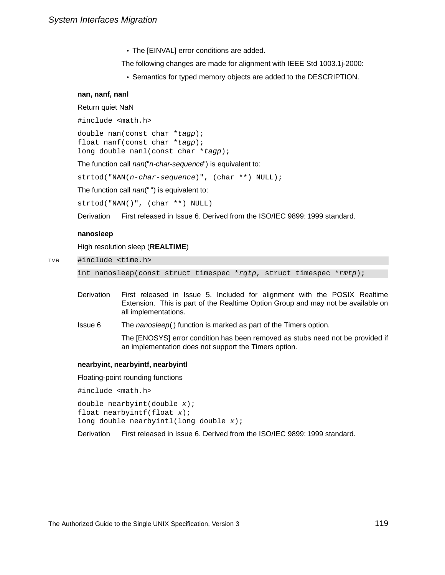• The [EINVAL] error conditions are added.

The following changes are made for alignment with IEEE Std 1003.1j-2000:

• Semantics for typed memory objects are added to the DESCRIPTION.

### **nan, nanf, nanl**

### Return quiet NaN

#include <math.h>

double nan(const char \*tagp); float nanf(const char \*tagp); long double nanl(const char \*tagp);

The function call nan("n-char-sequence") is equivalent to:

strtod("NAN(n-char-sequence)", (char \*\*) NULL);

The function call *nan*("") is equivalent to:

strtod("NAN()", (char \*\*) NULL)

Derivation First released in Issue 6. Derived from the ISO/IEC 9899: 1999 standard.

# **nanosleep**

### High resolution sleep (**REALTIME**)

TMR #include <time.h>

int nanosleep(const struct timespec \*rqtp, struct timespec \*rmtp);

- Derivation First released in Issue 5. Included for alignment with the POSIX Realtime Extension. This is part of the Realtime Option Group and may not be available on all implementations.
- Issue 6 The nanosleep( ) function is marked as part of the Timers option.

The [ENOSYS] error condition has been removed as stubs need not be provided if an implementation does not support the Timers option.

#### **nearbyint, nearbyintf, nearbyintl**

Floating-point rounding functions

#include <math.h>

```
double nearbyint(double x);
float nearbyintf(float x);
long double nearbyintl(long double x);
```
Derivation First released in Issue 6. Derived from the ISO/IEC 9899: 1999 standard.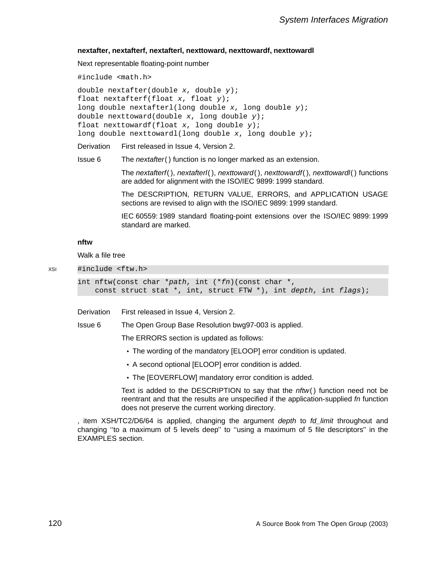# **nextafter, nextafterf, nextafterl, nexttoward, nexttowardf, nexttowardl**

Next representable floating-point number

#include <math.h>

```
double nextafter(double x, double y);
float nextafterf(float x, float y);
long double nextafterl(long double x, long double y);
double nexttoward(double x, long double y);
float nexttowardf(float x, long double y);
long double nexttowardl(long double x, long double y);
```
Derivation First released in Issue 4, Version 2.

Issue 6 The nextafter() function is no longer marked as an extension.

The nextafterf( ), nextafterl( ), nexttoward( ), nexttowardf( ), nexttowardl( ) functions are added for alignment with the ISO/IEC 9899: 1999 standard.

The DESCRIPTION, RETURN VALUE, ERRORS, and APPLICATION USAGE sections are revised to align with the ISO/IEC 9899: 1999 standard.

IEC 60559: 1989 standard floating-point extensions over the ISO/IEC 9899: 1999 standard are marked.

# **nftw**

Walk a file tree

XSI #include <ftw.h>

```
int nftw(const char *path, int (*fn) (const char *,
    const struct stat *, int, struct FTW *), int depth, int flags);
```
Derivation First released in Issue 4, Version 2.

Issue 6 The Open Group Base Resolution bwg97-003 is applied.

The ERRORS section is updated as follows:

- The wording of the mandatory [ELOOP] error condition is updated.
- A second optional [ELOOP] error condition is added.
- The [EOVERFLOW] mandatory error condition is added.

Text is added to the DESCRIPTION to say that the  $n$ ftw() function need not be reentrant and that the results are unspecified if the application-supplied fn function does not preserve the current working directory.

, item XSH/TC2/D6/64 is applied, changing the argument *depth* to fd\_limit throughout and changing ''to a maximum of 5 levels deep'' to ''using a maximum of 5 file descriptors'' in the EXAMPLES section.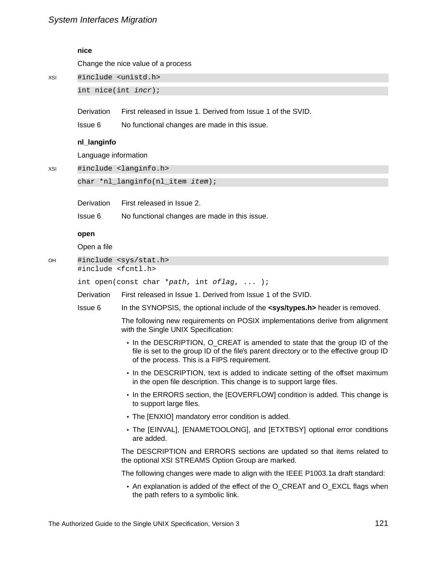# **nice**

Change the nice value of a process

```
XSI #include <unistd.h>
```
int nice(int incr);

Derivation First released in Issue 1. Derived from Issue 1 of the SVID.

Issue 6 No functional changes are made in this issue.

# **nl\_langinfo**

Language information

XSI #include <langinfo.h>

char \*nl\_langinfo(nl\_item *item*);

Derivation First released in Issue 2.

Issue 6 No functional changes are made in this issue.

# **open**

Open a file

```
OH #include <sys/stat.h>
      #include <fcntl.h>
```

```
int open(const char *path, int oflag, ... );
```
- Derivation First released in Issue 1. Derived from Issue 1 of the SVID.
- Issue 6 In the SYNOPSIS, the optional include of the **<sys/types.h>** header is removed.

The following new requirements on POSIX implementations derive from alignment with the Single UNIX Specification:

- In the DESCRIPTION, O\_CREAT is amended to state that the group ID of the file is set to the group ID of the file's parent directory or to the effective group ID of the process. This is a FIPS requirement.
- In the DESCRIPTION, text is added to indicate setting of the offset maximum in the open file description. This change is to support large files.
- In the ERRORS section, the [EOVERFLOW] condition is added. This change is to support large files.
- The [ENXIO] mandatory error condition is added.
- The [EINVAL], [ENAMETOOLONG], and [ETXTBSY] optional error conditions are added.

The DESCRIPTION and ERRORS sections are updated so that items related to the optional XSI STREAMS Option Group are marked.

The following changes were made to align with the IEEE P1003.1a draft standard:

• An explanation is added of the effect of the O\_CREAT and O\_EXCL flags when the path refers to a symbolic link.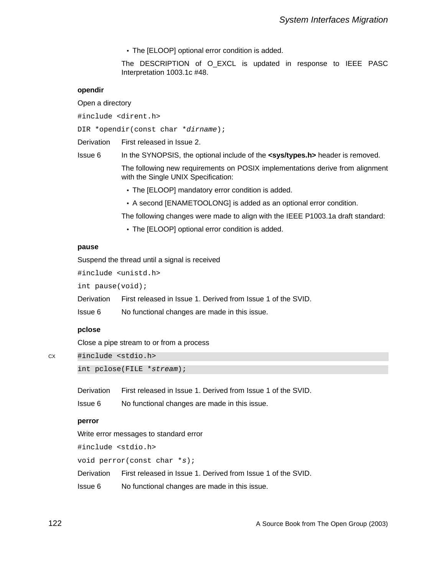• The [ELOOP] optional error condition is added.

The DESCRIPTION of O\_EXCL is updated in response to IEEE PASC Interpretation 1003.1c #48.

### **opendir**

Open a directory

#include <dirent.h>

DIR \*opendir(const char \*dirname);

Derivation First released in Issue 2.

Issue 6 In the SYNOPSIS, the optional include of the **<sys/types.h>** header is removed.

The following new requirements on POSIX implementations derive from alignment with the Single UNIX Specification:

- The [ELOOP] mandatory error condition is added.
- A second [ENAMETOOLONG] is added as an optional error condition.

The following changes were made to align with the IEEE P1003.1a draft standard:

• The [ELOOP] optional error condition is added.

### **pause**

Suspend the thread until a signal is received

#include <unistd.h>

int pause(void);

Derivation First released in Issue 1. Derived from Issue 1 of the SVID.

Issue 6 No functional changes are made in this issue.

### **pclose**

Close a pipe stream to or from a process

CX #include <stdio.h>

int pclose(FILE \*stream);

Derivation First released in Issue 1. Derived from Issue 1 of the SVID.

Issue 6 No functional changes are made in this issue.

### **perror**

Write error messages to standard error

#include <stdio.h>

void perror(const char \*s);

Derivation First released in Issue 1. Derived from Issue 1 of the SVID.

Issue 6 No functional changes are made in this issue.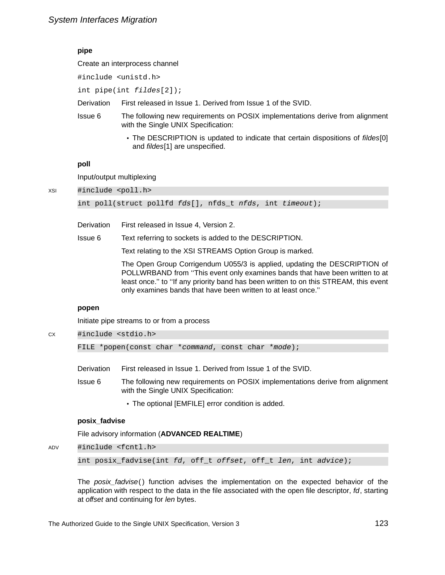# **pipe**

Create an interprocess channel

#include <unistd.h>

int pipe(int fildes[2]);

- Derivation First released in Issue 1. Derived from Issue 1 of the SVID.
- Issue 6 The following new requirements on POSIX implementations derive from alignment with the Single UNIX Specification:
	- The DESCRIPTION is updated to indicate that certain dispositions of fildes[0] and fildes[1] are unspecified.

# **poll**

Input/output multiplexing

XSI #include <poll.h>

int poll(struct pollfd fds[], nfds\_t nfds, int timeout);

Derivation First released in Issue 4, Version 2.

Issue 6 Text referring to sockets is added to the DESCRIPTION.

Text relating to the XSI STREAMS Option Group is marked.

The Open Group Corrigendum U055/3 is applied, updating the DESCRIPTION of POLLWRBAND from ''This event only examines bands that have been written to at least once.'' to ''If any priority band has been written to on this STREAM, this event only examines bands that have been written to at least once.''

# **popen**

Initiate pipe streams to or from a process

### CX #include <stdio.h>

FILE \*popen(const char \*command, const char \*mode);

Derivation First released in Issue 1. Derived from Issue 1 of the SVID.

- Issue 6 The following new requirements on POSIX implementations derive from alignment with the Single UNIX Specification:
	- The optional [EMFILE] error condition is added.

### **posix\_fadvise**

File advisory information (**ADVANCED REALTIME**)

ADV #include <fcntl.h>

int posix\_fadvise(int fd, off\_t offset, off\_t len, int advice);

The posix\_fadvise() function advises the implementation on the expected behavior of the application with respect to the data in the file associated with the open file descriptor, fd, starting at *offset* and continuing for *len* bytes.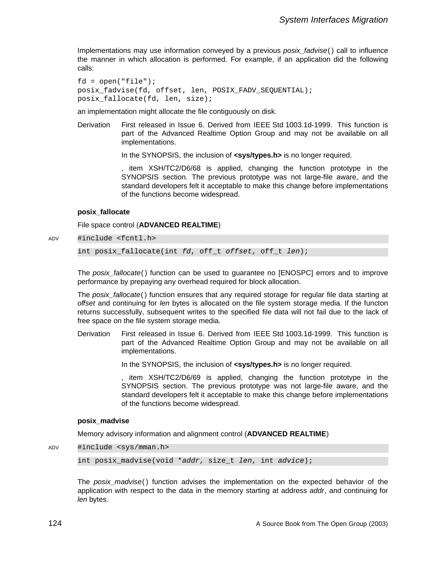Implementations may use information conveyed by a previous posix\_fadvise( ) call to influence the manner in which allocation is performed. For example, if an application did the following calls:

fd =  $open("file");$ posix\_fadvise(fd, offset, len, POSIX\_FADV\_SEQUENTIAL); posix\_fallocate(fd, len, size);

an implementation might allocate the file contiguously on disk.

Derivation First released in Issue 6. Derived from IEEE Std 1003.1d-1999. This function is part of the Advanced Realtime Option Group and may not be available on all implementations.

In the SYNOPSIS, the inclusion of **<sys/types.h>** is no longer required.

, item XSH/TC2/D6/68 is applied, changing the function prototype in the SYNOPSIS section. The previous prototype was not large-file aware, and the standard developers felt it acceptable to make this change before implementations of the functions become widespread.

# **posix\_fallocate**

File space control (**ADVANCED REALTIME**)

ADV #include <fcntl.h>

int posix\_fallocate(int fd, off\_t offset, off\_t len);

The posix\_fallocate( ) function can be used to guarantee no [ENOSPC] errors and to improve performance by prepaying any overhead required for block allocation.

The *posix\_fallocate*() function ensures that any required storage for regular file data starting at offset and continuing for len bytes is allocated on the file system storage media. If the functon returns successfully, subsequent writes to the specified file data will not fail due to the lack of free space on the file system storage media.

Derivation First released in Issue 6. Derived from IEEE Std 1003.1d-1999. This function is part of the Advanced Realtime Option Group and may not be available on all implementations.

In the SYNOPSIS, the inclusion of **<sys/types.h>** is no longer required.

, item XSH/TC2/D6/69 is applied, changing the function prototype in the SYNOPSIS section. The previous prototype was not large-file aware, and the standard developers felt it acceptable to make this change before implementations of the functions become widespread.

### **posix\_madvise**

Memory advisory information and alignment control (**ADVANCED REALTIME**)

ADV #include <sys/mman.h>

int posix\_madvise(void \*addr, size\_t len, int advice);

The posix\_madvise( ) function advises the implementation on the expected behavior of the application with respect to the data in the memory starting at address addr, and continuing for len bytes.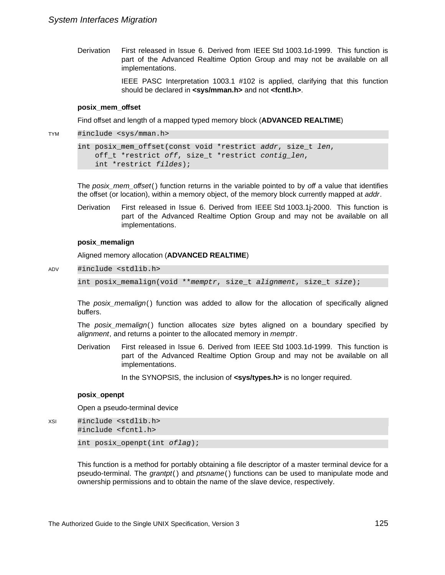Derivation First released in Issue 6. Derived from IEEE Std 1003.1d-1999. This function is part of the Advanced Realtime Option Group and may not be available on all implementations.

> IEEE PASC Interpretation 1003.1 #102 is applied, clarifying that this function should be declared in **<sys/mman.h>** and not **<fcntl.h>**.

### **posix\_mem\_offset**

Find offset and length of a mapped typed memory block (**ADVANCED REALTIME**)

TYM #include <sys/mman.h>

```
int posix_mem_offset(const void *restrict addr, size_t len,
   off_t *restrict off, size_t *restrict contig_len,
    int *restrict fildes);
```
The posix\_mem\_offset() function returns in the variable pointed to by off a value that identifies the offset (or location), within a memory object, of the memory block currently mapped at addr.

Derivation First released in Issue 6. Derived from IEEE Std 1003.1j-2000. This function is part of the Advanced Realtime Option Group and may not be available on all implementations.

# **posix\_memalign**

Aligned memory allocation (**ADVANCED REALTIME**)

ADV #include <stdlib.h>

int posix\_memalign(void \*\*memptr, size\_t alignment, size\_t size);

The  $posix\_memalign()$  function was added to allow for the allocation of specifically aligned buffers.

The posix\_memalign() function allocates size bytes aligned on a boundary specified by alignment, and returns a pointer to the allocated memory in memptr.

Derivation First released in Issue 6. Derived from IEEE Std 1003.1d-1999. This function is part of the Advanced Realtime Option Group and may not be available on all implementations.

In the SYNOPSIS, the inclusion of **<sys/types.h>** is no longer required.

# **posix\_openpt**

Open a pseudo-terminal device

XSI #include <stdlib.h>

#include <fcntl.h>

int posix\_openpt(int oflag);

This function is a method for portably obtaining a file descriptor of a master terminal device for a pseudo-terminal. The grantpt() and ptsname() functions can be used to manipulate mode and ownership permissions and to obtain the name of the slave device, respectively.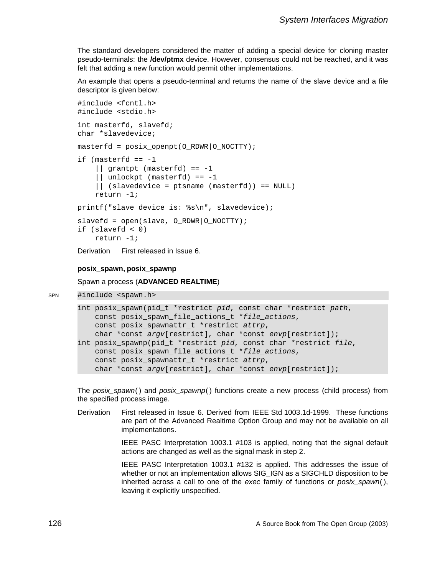The standard developers considered the matter of adding a special device for cloning master pseudo-terminals: the **/dev/ptmx** device. However, consensus could not be reached, and it was felt that adding a new function would permit other implementations.

An example that opens a pseudo-terminal and returns the name of the slave device and a file descriptor is given below:

```
#include <fcntl.h>
#include <stdio.h>
int masterfd, slavefd;
char *slavedevice;
masterfd = posix\_openpt(O_RDWR|O_NOCTTY);if (masterfd == -1|| grantpt (masterfd) == -1|| unlockpt (masterfd) == -1
    || (slavedevice = ptsname (masterfd)) == NULL)
    return -1;
printf("slave device is: %s\n", slavedevice);
slavefd = open(slave, 0_RDWR 0_NOCTTY);
if (slavefd < 0)
    return -1;
```
Derivation First released in Issue 6.

# **posix\_spawn, posix\_spawnp**

Spawn a process (**ADVANCED REALTIME**)

```
SPN #include <spawn.h>
```

```
int posix_spawn(pid_t *restrict pid, const char *restrict path,
   const posix_spawn_file_actions_t *file_actions,
   const posix_spawnattr_t *restrict attrp,
   char *const argv[restrict], char *const envp[restrict]);
int posix_spawnp(pid_t *restrict pid, const char *restrict file,
   const posix_spawn_file_actions_t *file_actions,
   const posix_spawnattr_t *restrict attrp,
   char *const argv[restrict], char *const envp[restrict]);
```
The posix\_spawn( ) and posix\_spawnp( ) functions create a new process (child process) from the specified process image.

Derivation First released in Issue 6. Derived from IEEE Std 1003.1d-1999. These functions are part of the Advanced Realtime Option Group and may not be available on all implementations.

> IEEE PASC Interpretation 1003.1 #103 is applied, noting that the signal default actions are changed as well as the signal mask in step 2.

> IEEE PASC Interpretation 1003.1 #132 is applied. This addresses the issue of whether or not an implementation allows SIG\_IGN as a SIGCHLD disposition to be inherited across a call to one of the exec family of functions or  $posix_spawn($ ), leaving it explicitly unspecified.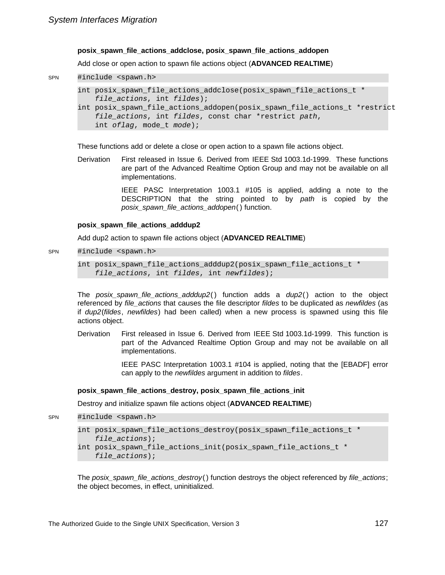### **posix\_spawn\_file\_actions\_addclose, posix\_spawn\_file\_actions\_addopen**

Add close or open action to spawn file actions object (**ADVANCED REALTIME**)

SPN #include <spawn.h>

```
int posix_spawn_file_actions_addclose(posix_spawn_file_actions_t *
   file_actions, int fildes);
```

```
int posix_spawn_file_actions_addopen(posix_spawn_file_actions_t *restrict
   file_actions, int fildes, const char *restrict path,
   int oflag, mode_t mode);
```
These functions add or delete a close or open action to a spawn file actions object.

Derivation First released in Issue 6. Derived from IEEE Std 1003.1d-1999. These functions are part of the Advanced Realtime Option Group and may not be available on all implementations.

> IEEE PASC Interpretation 1003.1 #105 is applied, adding a note to the DESCRIPTION that the string pointed to by path is copied by the posix\_spawn\_file\_actions\_addopen( ) function.

### **posix\_spawn\_file\_actions\_adddup2**

Add dup2 action to spawn file actions object (**ADVANCED REALTIME**)

SPN #include <spawn.h>

```
int posix_spawn_file_actions_adddup2(posix_spawn_file_actions_t *
    file_actions, int fildes, int newfildes);
```
The posix\_spawn\_file\_actions\_adddup2() function adds a  $dup2()$  action to the object referenced by file\_actions that causes the file descriptor fildes to be duplicated as newfildes (as if dup2(fildes, newfildes) had been called) when a new process is spawned using this file actions object.

Derivation First released in Issue 6. Derived from IEEE Std 1003.1d-1999. This function is part of the Advanced Realtime Option Group and may not be available on all implementations.

> IEEE PASC Interpretation 1003.1 #104 is applied, noting that the [EBADF] error can apply to the *newfildes* argument in addition to *fildes*.

### **posix\_spawn\_file\_actions\_destroy, posix\_spawn\_file\_actions\_init**

Destroy and initialize spawn file actions object (**ADVANCED REALTIME**)

SPN #include <spawn.h>

```
int posix_spawn_file_actions_destroy(posix_spawn_file_actions_t *
   file_actions);
int posix_spawn_file_actions_init(posix_spawn_file_actions_t *
   file_actions);
```
The posix\_spawn\_file\_actions\_destroy( ) function destroys the object referenced by file\_actions; the object becomes, in effect, uninitialized.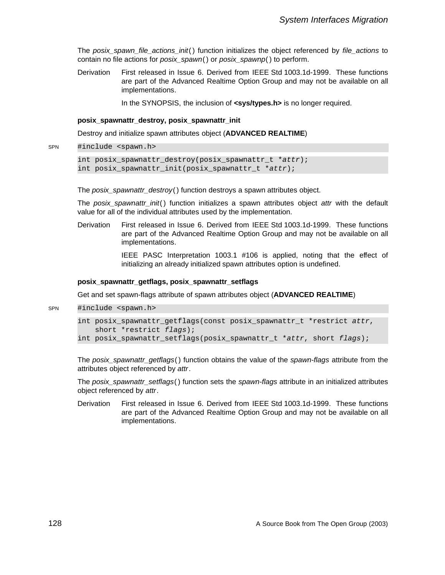The posix\_spawn\_file\_actions\_init( ) function initializes the object referenced by file\_actions to contain no file actions for posix\_spawn( ) or posix\_spawnp( ) to perform.

Derivation First released in Issue 6. Derived from IEEE Std 1003.1d-1999. These functions are part of the Advanced Realtime Option Group and may not be available on all implementations.

In the SYNOPSIS, the inclusion of **<sys/types.h>** is no longer required.

### **posix\_spawnattr\_destroy, posix\_spawnattr\_init**

Destroy and initialize spawn attributes object (**ADVANCED REALTIME**)

SPN #include <spawn.h>

```
int posix_spawnattr_destroy(posix_spawnattr_t *attr);
int posix_spawnattr_init(posix_spawnattr_t *attr);
```
The posix\_spawnattr\_destroy( ) function destroys a spawn attributes object.

The posix\_spawnattr\_init() function initializes a spawn attributes object attr with the default value for all of the individual attributes used by the implementation.

Derivation First released in Issue 6. Derived from IEEE Std 1003.1d-1999. These functions are part of the Advanced Realtime Option Group and may not be available on all implementations.

> IEEE PASC Interpretation 1003.1 #106 is applied, noting that the effect of initializing an already initialized spawn attributes option is undefined.

### **posix\_spawnattr\_getflags, posix\_spawnattr\_setflags**

Get and set spawn-flags attribute of spawn attributes object (**ADVANCED REALTIME**)

SPN #include <spawn.h>

```
int posix_spawnattr_getflags(const posix_spawnattr_t *restrict attr,
   short *restrict flags);
int posix_spawnattr_setflags(posix_spawnattr_t *attr, short flags);
```
The posix\_spawnattr\_getflags() function obtains the value of the spawn-flags attribute from the attributes object referenced by attr.

The posix\_spawnattr\_setflags() function sets the spawn-flags attribute in an initialized attributes object referenced by attr.

Derivation First released in Issue 6. Derived from IEEE Std 1003.1d-1999. These functions are part of the Advanced Realtime Option Group and may not be available on all implementations.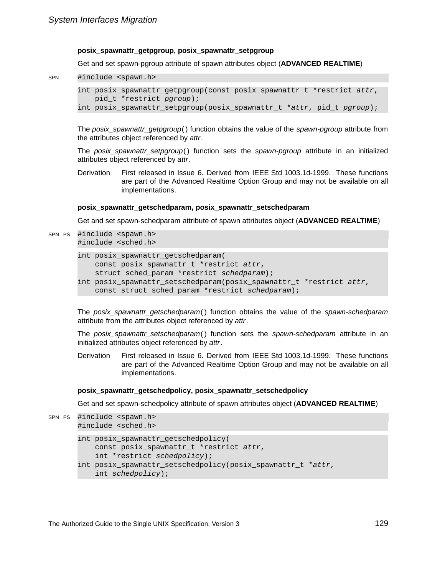### **posix\_spawnattr\_getpgroup, posix\_spawnattr\_setpgroup**

Get and set spawn-pgroup attribute of spawn attributes object (**ADVANCED REALTIME**)

```
SPN #include <spawn.h>
```

```
int posix_spawnattr_getpgroup(const posix_spawnattr_t *restrict attr,
   pid_t *restrict pgroup);
int posix_spawnattr_setpgroup(posix_spawnattr_t *attr, pid_t pgroup);
```
The posix\_spawnattr\_getpgroup() function obtains the value of the spawn-pgroup attribute from the attributes object referenced by attr.

The posix\_spawnattr\_setpgroup() function sets the spawn-pgroup attribute in an initialized attributes object referenced by attr.

Derivation First released in Issue 6. Derived from IEEE Std 1003.1d-1999. These functions are part of the Advanced Realtime Option Group and may not be available on all implementations.

#### **posix\_spawnattr\_getschedparam, posix\_spawnattr\_setschedparam**

Get and set spawn-schedparam attribute of spawn attributes object (**ADVANCED REALTIME**)

```
SPN PS #include <spawn.h>
```
#include <sched.h>

```
int posix_spawnattr_getschedparam(
   const posix_spawnattr_t *restrict attr,
   struct sched_param *restrict schedparam);
int posix_spawnattr_setschedparam(posix_spawnattr_t *restrict attr,
   const struct sched_param *restrict schedparam);
```
The posix\_spawnattr\_getschedparam() function obtains the value of the spawn-schedparam attribute from the attributes object referenced by attr.

The posix\_spawnattr\_setschedparam() function sets the spawn-schedparam attribute in an initialized attributes object referenced by attr.

Derivation First released in Issue 6. Derived from IEEE Std 1003.1d-1999. These functions are part of the Advanced Realtime Option Group and may not be available on all implementations.

### **posix\_spawnattr\_getschedpolicy, posix\_spawnattr\_setschedpolicy**

Get and set spawn-schedpolicy attribute of spawn attributes object (**ADVANCED REALTIME**)

```
SPN PS #include <spawn.h>
      #include <sched.h>
      int posix_spawnattr_getschedpolicy(
          const posix_spawnattr_t *restrict attr,
          int *restrict schedpolicy);
       int posix_spawnattr_setschedpolicy(posix_spawnattr_t *attr,
          int schedpolicy);
```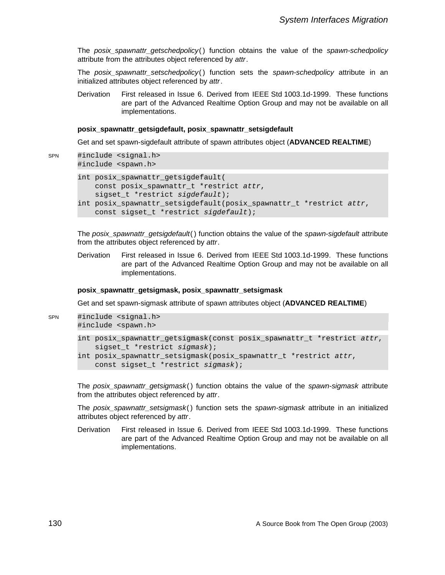The posix\_spawnattr\_getschedpolicy( ) function obtains the value of the spawn-schedpolicy attribute from the attributes object referenced by attr.

The posix\_spawnattr\_setschedpolicy() function sets the spawn-schedpolicy attribute in an initialized attributes object referenced by attr.

Derivation First released in Issue 6. Derived from IEEE Std 1003.1d-1999. These functions are part of the Advanced Realtime Option Group and may not be available on all implementations.

# **posix\_spawnattr\_getsigdefault, posix\_spawnattr\_setsigdefault**

Get and set spawn-sigdefault attribute of spawn attributes object (**ADVANCED REALTIME**)

SPN #include <signal.h>

```
#include <spawn.h>
int posix_spawnattr_getsigdefault(
   const posix_spawnattr_t *restrict attr,
    sigset_t *restrict sigdefault);
int posix_spawnattr_setsigdefault(posix_spawnattr_t *restrict attr,
   const sigset_t *restrict sigdefault);
```
The posix\_spawnattr\_getsigdefault() function obtains the value of the spawn-sigdefault attribute from the attributes object referenced by attr.

Derivation First released in Issue 6. Derived from IEEE Std 1003.1d-1999. These functions are part of the Advanced Realtime Option Group and may not be available on all implementations.

### **posix\_spawnattr\_getsigmask, posix\_spawnattr\_setsigmask**

Get and set spawn-sigmask attribute of spawn attributes object (**ADVANCED REALTIME**)

```
SPN #include <signal.h>
      #include <spawn.h>
      int posix_spawnattr_getsigmask(const posix_spawnattr_t *restrict attr,
          sigset_t *restrict sigmask);
      int posix_spawnattr_setsigmask(posix_spawnattr_t *restrict attr,
          const sigset_t *restrict sigmask);
```
The posix\_spawnattr\_getsigmask() function obtains the value of the spawn-sigmask attribute from the attributes object referenced by attr.

The posix\_spawnattr\_setsigmask() function sets the spawn-sigmask attribute in an initialized attributes object referenced by attr.

Derivation First released in Issue 6. Derived from IEEE Std 1003.1d-1999. These functions are part of the Advanced Realtime Option Group and may not be available on all implementations.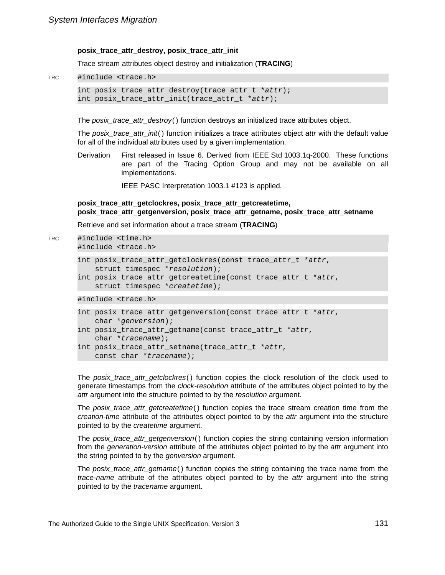### **posix\_trace\_attr\_destroy, posix\_trace\_attr\_init**

Trace stream attributes object destroy and initialization (**TRACING**)

TRC #include <trace.h>

```
int posix_trace_attr_destroy(trace_attr_t *attr);
int posix_trace_attr_init(trace_attr_t *attr);
```
The posix\_trace\_attr\_destroy() function destroys an initialized trace attributes object.

The *posix\_trace\_attr\_init*() function initializes a trace attributes object attr with the default value for all of the individual attributes used by a given implementation.

Derivation First released in Issue 6. Derived from IEEE Std 1003.1q-2000. These functions are part of the Tracing Option Group and may not be available on all implementations.

IEEE PASC Interpretation 1003.1 #123 is applied.

**posix\_trace\_attr\_getclockres, posix\_trace\_attr\_getcreatetime, posix\_trace\_attr\_getgenversion, posix\_trace\_attr\_getname, posix\_trace\_attr\_setname**

Retrieve and set information about a trace stream (**TRACING**)

# TRC #include <time.h>

#include <trace.h>

```
int posix_trace_attr_getclockres(const trace_attr_t *attr,
   struct timespec *resolution);
```

```
int posix_trace_attr_getcreatetime(const trace_attr_t *attr,
   struct timespec *createtime);
```
#include <trace.h>

```
int posix_trace_attr_getgenversion(const trace_attr_t *attr,
    char *genversion);
```

```
int posix_trace_attr_getname(const trace_attr_t *attr,
   char *tracename);
int posix_trace_attr_setname(trace_attr_t *attr,
```
const char \*tracename);

The posix\_trace\_attr\_getclockres() function copies the clock resolution of the clock used to generate timestamps from the *clock-resolution* attribute of the attributes object pointed to by the attr argument into the structure pointed to by the resolution argument.

The posix\_trace\_attr\_getcreatetime() function copies the trace stream creation time from the creation-time attribute of the attributes object pointed to by the attr argument into the structure pointed to by the createtime argument.

The posix\_trace\_attr\_getgenversion() function copies the string containing version information from the *generation-version* attribute of the attributes object pointed to by the *attr* argument into the string pointed to by the genversion argument.

The *posix\_trace\_attr\_getname*() function copies the string containing the trace name from the trace-name attribute of the attributes object pointed to by the attr argument into the string pointed to by the *tracename* argument.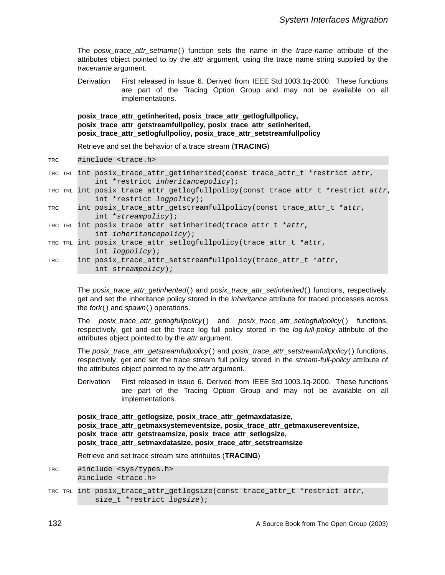The posix\_trace\_attr\_setname() function sets the name in the trace-name attribute of the attributes object pointed to by the attr argument, using the trace name string supplied by the tracename argument.

Derivation First released in Issue 6. Derived from IEEE Std 1003.1q-2000. These functions are part of the Tracing Option Group and may not be available on all implementations.

```
posix_trace_attr_getinherited, posix_trace_attr_getlogfullpolicy,
posix_trace_attr_getstreamfullpolicy, posix_trace_attr_setinherited,
posix_trace_attr_setlogfullpolicy, posix_trace_attr_setstreamfullpolicy
```
Retrieve and set the behavior of a trace stream (**TRACING**)

TRC #include <trace.h>

```
TRC TRI int posix_trace_attr_getinherited(const trace_attr_t *restrict attr,
          int *restrict inheritancepolicy);
```

```
TRC TRL int posix_trace_attr_getlogfullpolicy(const trace_attr_t *restrict attr,
           int *restrict logpolicy);
```
TRC int posix\_trace\_attr\_getstreamfullpolicy(const trace\_attr\_t \*attr, int \*streampolicy);

```
TRC TRI int posix_trace_attr_setinherited(trace_attr_t *attr,
           int inheritancepolicy);
```
- TRC TRL int posix\_trace\_attr\_setlogfullpolicy(trace\_attr\_t \*attr, int logpolicy);
- TRC int posix\_trace\_attr\_setstreamfullpolicy(trace\_attr\_t \*attr, int streampolicy);

The posix\_trace\_attr\_getinherited( ) and posix\_trace\_attr\_setinherited( ) functions, respectively, get and set the inheritance policy stored in the *inheritance* attribute for traced processes across the  $fork()$  and spawn $()$  operations.

The *posix\_trace\_attr\_getlogfullpolicy*() and *posix\_trace\_attr\_setlogfullpolicy*() functions, respectively, get and set the trace log full policy stored in the log-full-policy attribute of the attributes object pointed to by the attr argument.

The posix\_trace\_attr\_getstreamfullpolicy( ) and posix\_trace\_attr\_setstreamfullpolicy( ) functions, respectively, get and set the trace stream full policy stored in the stream-full-policy attribute of the attributes object pointed to by the attr argument.

Derivation First released in Issue 6. Derived from IEEE Std 1003.1q-2000. These functions are part of the Tracing Option Group and may not be available on all implementations.

**posix\_trace\_attr\_getlogsize, posix\_trace\_attr\_getmaxdatasize, posix\_trace\_attr\_getmaxsystemeventsize, posix\_trace\_attr\_getmaxusereventsize, posix\_trace\_attr\_getstreamsize, posix\_trace\_attr\_setlogsize, posix\_trace\_attr\_setmaxdatasize, posix\_trace\_attr\_setstreamsize**

Retrieve and set trace stream size attributes (**TRACING**)

TRC #include <sys/types.h> #include <trace.h>

TRC TRL int posix\_trace\_attr\_getlogsize(const trace\_attr\_t \*restrict attr, size\_t \*restrict logsize);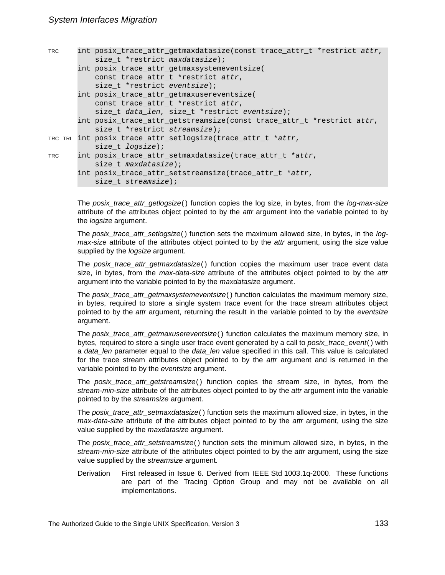```
TRC int posix_trace_attr_getmaxdatasize(const trace_attr_t *restrict attr,
          size_t *restrict maxdatasize);
      int posix_trace_attr_getmaxsystemeventsize(
          const trace_attr_t *restrict attr,
          size_t *restrict eventsize);
      int posix_trace_attr_getmaxusereventsize(
          const trace_attr_t *restrict attr,
          size_t data_len, size_t *restrict eventsize);
      int posix_trace_attr_getstreamsize(const trace_attr_t *restrict attr,
          size_t *restrict streamsize);
TRC TRL int posix_trace_attr_setlogsize(trace_attr_t *attr,
          size_t logsize);
TRC int posix_trace_attr_setmaxdatasize(trace_attr_t *attr,
          size_t maxdatasize);
      int posix_trace_attr_setstreamsize(trace_attr_t *attr,
          size_t streamsize);
```
The posix\_trace\_attr\_getlogsize( ) function copies the log size, in bytes, from the log-max-size attribute of the attributes object pointed to by the attr argument into the variable pointed to by the logsize argument.

The posix\_trace\_attr\_setlogsize() function sets the maximum allowed size, in bytes, in the logmax-size attribute of the attributes object pointed to by the attr argument, using the size value supplied by the *logsize* argument.

The posix\_trace\_attr\_getmaxdatasize() function copies the maximum user trace event data size, in bytes, from the *max-data-size* attribute of the attributes object pointed to by the attr argument into the variable pointed to by the *maxdatasize* argument.

The posix\_trace\_attr\_getmaxsystemeventsize() function calculates the maximum memory size, in bytes, required to store a single system trace event for the trace stream attributes object pointed to by the *attr* argument, returning the result in the variable pointed to by the *eventsize* argument.

The posix\_trace\_attr\_getmaxusereventsize( ) function calculates the maximum memory size, in bytes, required to store a single user trace event generated by a call to *posix\_trace\_event*() with a *data\_len* parameter equal to the *data\_len* value specified in this call. This value is calculated for the trace stream attributes object pointed to by the *attr* argument and is returned in the variable pointed to by the eventsize argument.

The posix\_trace\_attr\_getstreamsize() function copies the stream size, in bytes, from the stream-min-size attribute of the attributes object pointed to by the attr argument into the variable pointed to by the streamsize argument.

The posix\_trace\_attr\_setmaxdatasize( ) function sets the maximum allowed size, in bytes, in the max-data-size attribute of the attributes object pointed to by the attr argument, using the size value supplied by the *maxdatasize* argument.

The posix\_trace\_attr\_setstreamsize() function sets the minimum allowed size, in bytes, in the stream-min-size attribute of the attributes object pointed to by the attr argument, using the size value supplied by the streamsize argument.

Derivation First released in Issue 6. Derived from IEEE Std 1003.1q-2000. These functions are part of the Tracing Option Group and may not be available on all implementations.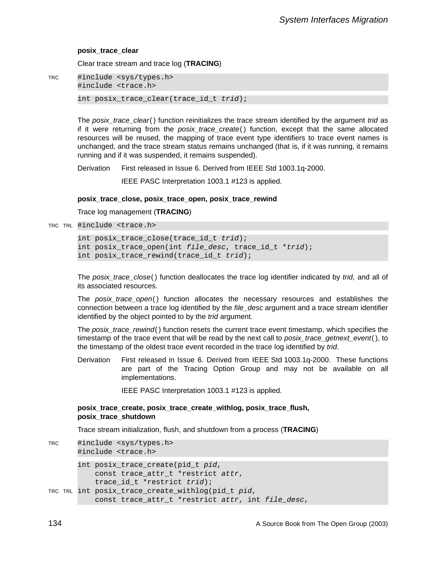### **posix\_trace\_clear**

Clear trace stream and trace log (**TRACING**)

```
TRC #include <sys/types.h>
      #include <trace.h>
```
int posix\_trace\_clear(trace\_id\_t trid);

The posix\_trace\_clear() function reinitializes the trace stream identified by the argument trid as if it were returning from the *posix\_trace\_create*() function, except that the same allocated resources will be reused, the mapping of trace event type identifiers to trace event names is unchanged, and the trace stream status remains unchanged (that is, if it was running, it remains running and if it was suspended, it remains suspended).

Derivation First released in Issue 6. Derived from IEEE Std 1003.1q-2000.

IEEE PASC Interpretation 1003.1 #123 is applied.

#### **posix\_trace\_close, posix\_trace\_open, posix\_trace\_rewind**

Trace log management (**TRACING**)

TRC TRL #include <trace.h>

```
int posix_trace_close(trace_id_t trid);
int posix_trace_open(int file_desc, trace_id_t *trid);
int posix_trace_rewind(trace_id_t trid);
```
The posix\_trace\_close() function deallocates the trace log identifier indicated by trid, and all of its associated resources.

The posix\_trace\_open() function allocates the necessary resources and establishes the connection between a trace log identified by the *file\_desc* argument and a trace stream identifier identified by the object pointed to by the *trid* argument.

The posix\_trace\_rewind() function resets the current trace event timestamp, which specifies the timestamp of the trace event that will be read by the next call to *posix\_trace\_getnext\_event*(), to the timestamp of the oldest trace event recorded in the trace log identified by trid.

Derivation First released in Issue 6. Derived from IEEE Std 1003.1q-2000. These functions are part of the Tracing Option Group and may not be available on all implementations.

IEEE PASC Interpretation 1003.1 #123 is applied.

# **posix\_trace\_create, posix\_trace\_create\_withlog, posix\_trace\_flush, posix\_trace\_shutdown**

Trace stream initialization, flush, and shutdown from a process (**TRACING**)

```
TRC #include <sys/types.h>
       #include <trace.h>
       int posix_trace_create(pid_t pid,
          const trace_attr_t *restrict attr,
          trace_id_t *restrict trid);
TRC TRL int posix_trace_create_withlog(pid_t pid,
          const trace_attr_t *restrict attr, int file_desc,
```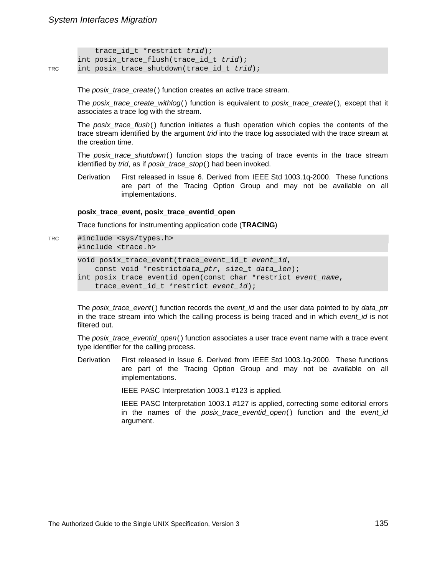```
trace_id_t *restrict trid);
      int posix_trace_flush(trace_id_t trid);
TRC int posix_trace_shutdown(trace_id_t trid);
```
The posix\_trace\_create( ) function creates an active trace stream.

The *posix\_trace\_create\_withlog*() function is equivalent to *posix\_trace\_create*(), except that it associates a trace log with the stream.

The posix\_trace\_flush() function initiates a flush operation which copies the contents of the trace stream identified by the argument *trid* into the trace log associated with the trace stream at the creation time.

The posix\_trace\_shutdown() function stops the tracing of trace events in the trace stream identified by *trid*, as if *posix\_trace\_stop*() had been invoked.

Derivation First released in Issue 6. Derived from IEEE Std 1003.1q-2000. These functions are part of the Tracing Option Group and may not be available on all implementations.

### **posix\_trace\_event, posix\_trace\_eventid\_open**

Trace functions for instrumenting application code (**TRACING**)

```
TRC #include <sys/types.h>
      #include <trace.h>
```

```
void posix_trace_event(trace_event_id_t event_id,
   const void *restrictdata_ptr, size_t data_len);
int posix_trace_eventid_open(const char *restrict event_name,
   trace_event_id_t *restrict event_id);
```
The posix\_trace\_event() function records the event\_id and the user data pointed to by data\_ptr in the trace stream into which the calling process is being traced and in which event\_id is not filtered out.

The posix\_trace\_eventid\_open() function associates a user trace event name with a trace event type identifier for the calling process.

Derivation First released in Issue 6. Derived from IEEE Std 1003.1q-2000. These functions are part of the Tracing Option Group and may not be available on all implementations.

IEEE PASC Interpretation 1003.1 #123 is applied.

IEEE PASC Interpretation 1003.1 #127 is applied, correcting some editorial errors in the names of the *posix\_trace\_eventid\_open*() function and the event\_id argument.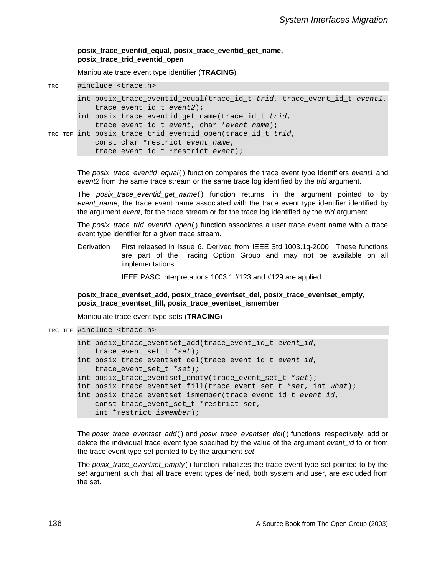# **posix\_trace\_eventid\_equal, posix\_trace\_eventid\_get\_name, posix\_trace\_trid\_eventid\_open**

Manipulate trace event type identifier (**TRACING**)

```
TRC #include <trace.h>
```

```
int posix_trace_eventid_equal(trace_id_t trid, trace_event_id_t event1,
          trace_event_id_t event2);
       int posix_trace_eventid_get_name(trace_id_t trid,
          trace_event_id_t event, char *event_name);
TRC TEF int posix_trace_trid_eventid_open(trace_id_t trid,
          const char *restrict event_name,
          trace_event_id_t *restrict event);
```
The posix\_trace\_eventid\_equal() function compares the trace event type identifiers event1 and event2 from the same trace stream or the same trace log identified by the *trid* argument.

The *posix\_trace\_eventid\_get\_name*() function returns, in the argument pointed to by event\_name, the trace event name associated with the trace event type identifier identified by the argument event, for the trace stream or for the trace log identified by the trid argument.

The posix\_trace\_trid\_eventid\_open( ) function associates a user trace event name with a trace event type identifier for a given trace stream.

Derivation First released in Issue 6. Derived from IEEE Std 1003.1q-2000. These functions are part of the Tracing Option Group and may not be available on all implementations.

IEEE PASC Interpretations 1003.1 #123 and #129 are applied.

**posix\_trace\_eventset\_add, posix\_trace\_eventset\_del, posix\_trace\_eventset\_empty, posix\_trace\_eventset\_fill, posix\_trace\_eventset\_ismember**

Manipulate trace event type sets (**TRACING**)

```
TRC TEF #include <trace.h>
```

```
int posix_trace_eventset_add(trace_event_id_t event_id,
   trace_event_set_t *set);
int posix_trace_eventset_del(trace_event_id_t event_id,
   trace_event_set_t *set);
int posix_trace_eventset_empty(trace_event_set_t *set);
int posix_trace_eventset_fill(trace_event_set_t *set, int what);
int posix_trace_eventset_ismember(trace_event_id_t event_id,
    const trace_event_set_t *restrict set,
    int *restrict ismember);
```
The posix\_trace\_eventset\_add( ) and posix\_trace\_eventset\_del( ) functions, respectively, add or delete the individual trace event type specified by the value of the argument event\_id to or from the trace event type set pointed to by the argument set.

The posix\_trace\_eventset\_empty() function initializes the trace event type set pointed to by the set argument such that all trace event types defined, both system and user, are excluded from the set.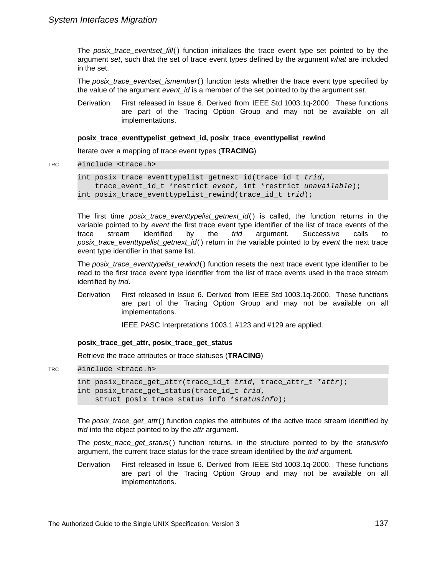The posix\_trace\_eventset\_fill() function initializes the trace event type set pointed to by the argument set, such that the set of trace event types defined by the argument what are included in the set.

The *posix\_trace\_eventset\_ismember*() function tests whether the trace event type specified by the value of the argument event id is a member of the set pointed to by the argument set.

Derivation First released in Issue 6. Derived from IEEE Std 1003.1q-2000. These functions are part of the Tracing Option Group and may not be available on all implementations.

### **posix\_trace\_eventtypelist\_getnext\_id, posix\_trace\_eventtypelist\_rewind**

Iterate over a mapping of trace event types (**TRACING**)

TRC #include <trace.h>

```
int posix_trace_eventtypelist_getnext_id(trace_id_t trid,
   trace_event_id_t *restrict event, int *restrict unavailable);
int posix_trace_eventtypelist_rewind(trace_id_t trid);
```
The first time *posix\_trace\_eventtypelist\_getnext\_id*() is called, the function returns in the variable pointed to by event the first trace event type identifier of the list of trace events of the trace stream identified by the trid argument. Successive calls to posix\_trace\_eventtypelist\_getnext\_id( ) return in the variable pointed to by event the next trace event type identifier in that same list.

The posix\_trace\_eventtypelist\_rewind() function resets the next trace event type identifier to be read to the first trace event type identifier from the list of trace events used in the trace stream identified by trid.

Derivation First released in Issue 6. Derived from IEEE Std 1003.1q-2000. These functions are part of the Tracing Option Group and may not be available on all implementations.

IEEE PASC Interpretations 1003.1 #123 and #129 are applied.

#### **posix\_trace\_get\_attr, posix\_trace\_get\_status**

Retrieve the trace attributes or trace statuses (**TRACING**)

TRC #include <trace.h>

```
int posix_trace_get_attr(trace_id_t trid, trace_attr_t *attr);
int posix_trace_get_status(trace_id_t trid,
   struct posix_trace_status_info *statusinfo);
```
The posix\_trace\_get\_attr() function copies the attributes of the active trace stream identified by trid into the object pointed to by the attr argument.

The posix\_trace\_get\_status() function returns, in the structure pointed to by the statusinfo argument, the current trace status for the trace stream identified by the *trid* argument.

Derivation First released in Issue 6. Derived from IEEE Std 1003.1q-2000. These functions are part of the Tracing Option Group and may not be available on all implementations.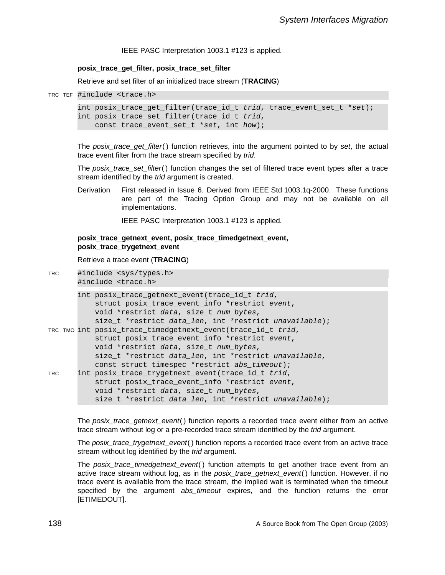IEEE PASC Interpretation 1003.1 #123 is applied.

### **posix\_trace\_get\_filter, posix\_trace\_set\_filter**

Retrieve and set filter of an initialized trace stream (**TRACING**)

```
TRC TEF #include <trace.h>
```

```
int posix_trace_get_filter(trace_id_t trid, trace_event_set_t *set);
int posix_trace_set_filter(trace_id_t trid,
   const trace_event_set_t *set, int how);
```
The posix\_trace\_get\_filter() function retrieves, into the argument pointed to by set, the actual trace event filter from the trace stream specified by trid.

The posix\_trace\_set\_filter() function changes the set of filtered trace event types after a trace stream identified by the *trid* argument is created.

Derivation First released in Issue 6. Derived from IEEE Std 1003.1q-2000. These functions are part of the Tracing Option Group and may not be available on all implementations.

IEEE PASC Interpretation 1003.1 #123 is applied.

# **posix\_trace\_getnext\_event, posix\_trace\_timedgetnext\_event, posix\_trace\_trygetnext\_event**

Retrieve a trace event (**TRACING**)

```
TRC #include <sys/types.h>
      #include <trace.h>
```

```
int posix_trace_getnext_event(trace_id_t trid,
          struct posix_trace_event_info *restrict event,
          void *restrict data, size_t num_bytes,
          size_t *restrict data_len, int *restrict unavailable);
TRC TMO int posix_trace_timedgetnext_event(trace_id_t trid,
          struct posix_trace_event_info *restrict event,
          void *restrict data, size_t num_bytes,
           size_t *restrict data_len, int *restrict unavailable,
          const struct timespec *restrict abs_timeout);
TRC int posix_trace_trygetnext_event(trace_id_t trid,
          struct posix_trace_event_info *restrict event,
          void *restrict data, size_t num_bytes,
          size_t *restrict data_len, int *restrict unavailable);
```
The posix\_trace\_getnext\_event( ) function reports a recorded trace event either from an active trace stream without log or a pre-recorded trace stream identified by the trid argument.

The posix\_trace\_trygetnext\_event( ) function reports a recorded trace event from an active trace stream without log identified by the trid argument.

The posix\_trace\_timedgetnext\_event() function attempts to get another trace event from an active trace stream without log, as in the *posix\_trace\_getnext\_event*() function. However, if no trace event is available from the trace stream, the implied wait is terminated when the timeout specified by the argument abs\_timeout expires, and the function returns the error [ETIMEDOUT].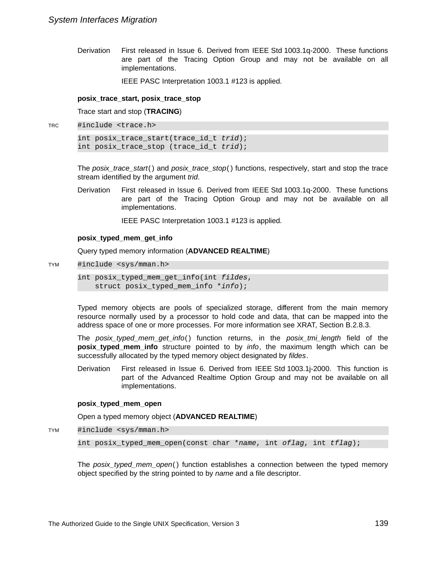Derivation First released in Issue 6. Derived from IEEE Std 1003.1q-2000. These functions are part of the Tracing Option Group and may not be available on all implementations.

IEEE PASC Interpretation 1003.1 #123 is applied.

### **posix\_trace\_start, posix\_trace\_stop**

Trace start and stop (**TRACING**)

TRC #include <trace.h>

```
int posix_trace_start(trace_id_t trid);
int posix_trace_stop (trace_id_t trid);
```
The posix\_trace\_start( ) and posix\_trace\_stop( ) functions, respectively, start and stop the trace stream identified by the argument trid.

Derivation First released in Issue 6. Derived from IEEE Std 1003.1q-2000. These functions are part of the Tracing Option Group and may not be available on all implementations.

IEEE PASC Interpretation 1003.1 #123 is applied.

### **posix\_typed\_mem\_get\_info**

Query typed memory information (**ADVANCED REALTIME**)

TYM #include <sys/mman.h>

int posix\_typed\_mem\_get\_info(int fildes, struct posix\_typed\_mem\_info \*info);

Typed memory objects are pools of specialized storage, different from the main memory resource normally used by a processor to hold code and data, that can be mapped into the address space of one or more processes. For more information see XRAT, Section B.2.8.3.

The posix\_typed\_mem\_get\_info() function returns, in the posix\_tmi\_length field of the **posix\_typed\_mem\_info** structure pointed to by info, the maximum length which can be successfully allocated by the typed memory object designated by fildes.

Derivation First released in Issue 6. Derived from IEEE Std 1003.1j-2000. This function is part of the Advanced Realtime Option Group and may not be available on all implementations.

#### **posix\_typed\_mem\_open**

Open a typed memory object (**ADVANCED REALTIME**)

TYM #include <sys/mman.h>

int posix\_typed\_mem\_open(const char \*name, int oflag, int tflag);

The posix\_typed\_mem\_open() function establishes a connection between the typed memory object specified by the string pointed to by name and a file descriptor.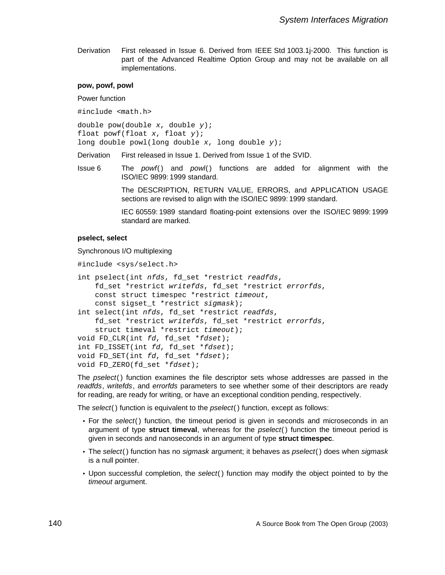Derivation First released in Issue 6. Derived from IEEE Std 1003.1j-2000. This function is part of the Advanced Realtime Option Group and may not be available on all implementations.

### **pow, powf, powl**

### Power function

#include <math.h>

double pow(double  $x$ , double  $y$ ); float powf(float  $x$ , float  $y$ ); long double powl(long double  $x$ , long double  $y$ );

Derivation First released in Issue 1. Derived from Issue 1 of the SVID.

Issue 6 The *powf*() and *powl*() functions are added for alignment with the ISO/IEC 9899: 1999 standard.

> The DESCRIPTION, RETURN VALUE, ERRORS, and APPLICATION USAGE sections are revised to align with the ISO/IEC 9899: 1999 standard.

> IEC 60559: 1989 standard floating-point extensions over the ISO/IEC 9899: 1999 standard are marked.

# **pselect, select**

Synchronous I/O multiplexing

#include <sys/select.h>

```
int pselect(int nfds, fd_set *restrict readfds,
    fd_set *restrict writefds, fd_set *restrict errorfds,
    const struct timespec *restrict timeout,
    const sigset_t *restrict sigmask);
int select(int nfds, fd_set *restrict readfds,
    fd_set *restrict writefds, fd_set *restrict errorfds,
    struct timeval *restrict timeout);
void FD_CLR(int fd, fd_set *fdset);
int FD_ISSET(int fd, fd_set *fdset);
void FD_SET(int fd, fd_set *fdset);
void FD_ZERO(fd_set *fdset);
```
The *pselect*() function examines the file descriptor sets whose addresses are passed in the readfds, writefds, and errorfds parameters to see whether some of their descriptors are ready for reading, are ready for writing, or have an exceptional condition pending, respectively.

The select() function is equivalent to the *pselect*() function, except as follows:

- For the select() function, the timeout period is given in seconds and microseconds in an argument of type **struct timeval**, whereas for the pselect( ) function the timeout period is given in seconds and nanoseconds in an argument of type **struct timespec**.
- The select() function has no sigmask argument; it behaves as pselect() does when sigmask is a null pointer.
- Upon successful completion, the select() function may modify the object pointed to by the timeout argument.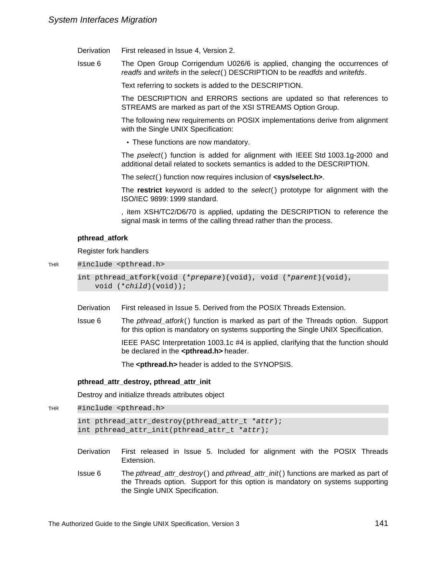- Derivation First released in Issue 4, Version 2.
- Issue 6 The Open Group Corrigendum U026/6 is applied, changing the occurrences of readfs and writefs in the select() DESCRIPTION to be readfds and writefds.

Text referring to sockets is added to the DESCRIPTION.

The DESCRIPTION and ERRORS sections are updated so that references to STREAMS are marked as part of the XSI STREAMS Option Group.

The following new requirements on POSIX implementations derive from alignment with the Single UNIX Specification:

• These functions are now mandatory.

The *pselect*() function is added for alignment with IEEE Std 1003.1g-2000 and additional detail related to sockets semantics is added to the DESCRIPTION.

The select( ) function now requires inclusion of **<sys/select.h>**.

The **restrict** keyword is added to the select( ) prototype for alignment with the ISO/IEC 9899: 1999 standard.

, item XSH/TC2/D6/70 is applied, updating the DESCRIPTION to reference the signal mask in terms of the calling thread rather than the process.

### **pthread\_atfork**

Register fork handlers

THR #include <pthread.h>

```
int pthread_atfork(void (*prepare)(void), void (*parent)(void),
   void (*child)(void));
```
- Derivation First released in Issue 5. Derived from the POSIX Threads Extension.
- Issue 6 The *pthread\_atfork*() function is marked as part of the Threads option. Support for this option is mandatory on systems supporting the Single UNIX Specification.

IEEE PASC Interpretation 1003.1c #4 is applied, clarifying that the function should be declared in the **<pthread.h>** header.

The **<pthread.h>** header is added to the SYNOPSIS.

### **pthread\_attr\_destroy, pthread\_attr\_init**

Destroy and initialize threads attributes object

THR #include <pthread.h>

int pthread\_attr\_destroy(pthread\_attr\_t \*attr); int pthread\_attr\_init(pthread\_attr\_t \*attr);

- Derivation First released in Issue 5. Included for alignment with the POSIX Threads Extension.
- Issue 6 The *pthread\_attr\_destroy()* and *pthread\_attr\_init()* functions are marked as part of the Threads option. Support for this option is mandatory on systems supporting the Single UNIX Specification.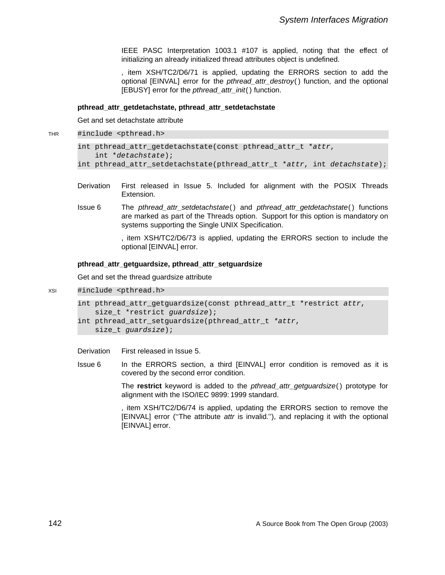IEEE PASC Interpretation 1003.1 #107 is applied, noting that the effect of initializing an already initialized thread attributes object is undefined.

, item XSH/TC2/D6/71 is applied, updating the ERRORS section to add the optional [EINVAL] error for the *pthread\_attr\_destroy*() function, and the optional [EBUSY] error for the *pthread\_attr\_init*() function.

# **pthread\_attr\_getdetachstate, pthread\_attr\_setdetachstate**

Get and set detachstate attribute

```
THR #include <pthread.h>
```

```
int pthread_attr_getdetachstate(const pthread_attr_t *attr,
   int *detachstate);
int pthread_attr_setdetachstate(pthread_attr_t *attr, int detachstate);
```
- Derivation First released in Issue 5. Included for alignment with the POSIX Threads Extension.
- Issue 6 The pthread\_attr\_setdetachstate() and pthread\_attr\_getdetachstate() functions are marked as part of the Threads option. Support for this option is mandatory on systems supporting the Single UNIX Specification.

, item XSH/TC2/D6/73 is applied, updating the ERRORS section to include the optional [EINVAL] error.

### **pthread\_attr\_getguardsize, pthread\_attr\_setguardsize**

Get and set the thread guardsize attribute

```
XSI #include <pthread.h>
```

```
int pthread_attr_getguardsize(const pthread_attr_t *restrict attr,
   size_t *restrict guardsize);
int pthread_attr_setguardsize(pthread_attr_t *attr,
   size_t guardsize);
```
Derivation First released in Issue 5.

Issue 6 In the ERRORS section, a third [EINVAL] error condition is removed as it is covered by the second error condition.

> The **restrict** keyword is added to the pthread\_attr\_getguardsize( ) prototype for alignment with the ISO/IEC 9899: 1999 standard.

> , item XSH/TC2/D6/74 is applied, updating the ERRORS section to remove the [EINVAL] error ("The attribute attr is invalid."), and replacing it with the optional [EINVAL] error.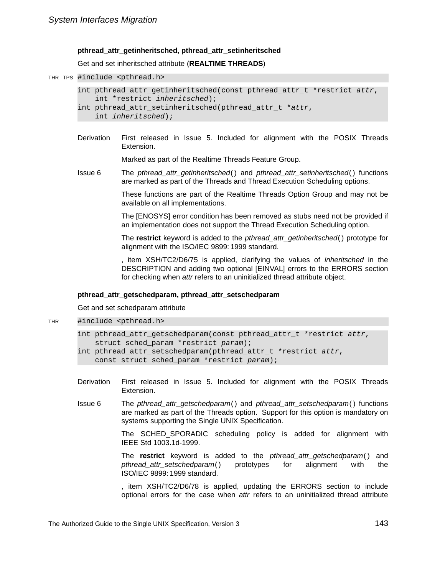#### **pthread\_attr\_getinheritsched, pthread\_attr\_setinheritsched**

Get and set inheritsched attribute (**REALTIME THREADS**)

#### THR TPS #include <pthread.h>

```
int pthread_attr_getinheritsched(const pthread_attr_t *restrict attr,
   int *restrict inheritsched);
int pthread_attr_setinheritsched(pthread_attr_t *attr,
   int inheritsched);
```
Derivation First released in Issue 5. Included for alignment with the POSIX Threads Extension.

Marked as part of the Realtime Threads Feature Group.

Issue 6 The pthread\_attr\_getinheritsched() and pthread\_attr\_setinheritsched() functions are marked as part of the Threads and Thread Execution Scheduling options.

> These functions are part of the Realtime Threads Option Group and may not be available on all implementations.

> The [ENOSYS] error condition has been removed as stubs need not be provided if an implementation does not support the Thread Execution Scheduling option.

> The **restrict** keyword is added to the pthread\_attr\_getinheritsched( ) prototype for alignment with the ISO/IEC 9899: 1999 standard.

> item XSH/TC2/D6/75 is applied, clarifying the values of *inheritsched* in the DESCRIPTION and adding two optional [EINVAL] errors to the ERRORS section for checking when attr refers to an uninitialized thread attribute object.

#### **pthread\_attr\_getschedparam, pthread\_attr\_setschedparam**

Get and set schedparam attribute

THR #include <pthread.h>

int pthread\_attr\_getschedparam(const pthread\_attr\_t \*restrict attr, struct sched\_param \*restrict param);

```
int pthread_attr_setschedparam(pthread_attr_t *restrict attr,
```

```
const struct sched_param *restrict param);
```
- Derivation First released in Issue 5. Included for alignment with the POSIX Threads Extension.
- Issue 6 The pthread\_attr\_getschedparam() and pthread\_attr\_setschedparam() functions are marked as part of the Threads option. Support for this option is mandatory on systems supporting the Single UNIX Specification.

The SCHED\_SPORADIC scheduling policy is added for alignment with IEEE Std 1003.1d-1999.

The **restrict** keyword is added to the pthread\_attr\_getschedparam( ) and pthread\_attr\_setschedparam( ) prototypes for alignment with the ISO/IEC 9899: 1999 standard.

, item XSH/TC2/D6/78 is applied, updating the ERRORS section to include optional errors for the case when attr refers to an uninitialized thread attribute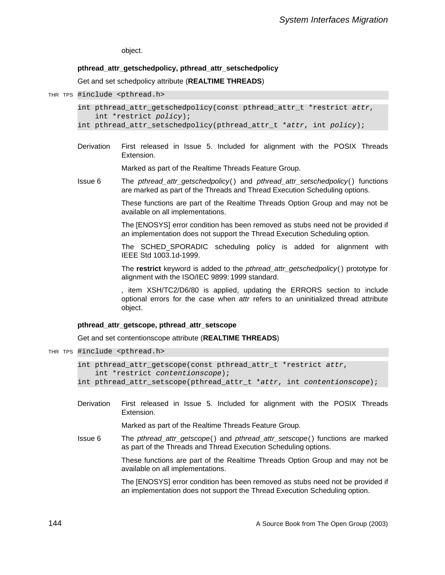object.

# **pthread\_attr\_getschedpolicy, pthread\_attr\_setschedpolicy**

Get and set schedpolicy attribute (**REALTIME THREADS**)

```
THR TPS #include <pthread.h>
```

```
int pthread_attr_getschedpolicy(const pthread_attr_t *restrict attr,
    int *restrict policy);
int pthread_attr_setschedpolicy(pthread_attr_t *attr, int policy);
```
Derivation First released in Issue 5. Included for alignment with the POSIX Threads Extension.

Marked as part of the Realtime Threads Feature Group.

Issue 6 The *pthread\_attr\_getschedpolicy()* and *pthread\_attr\_setschedpolicy()* functions are marked as part of the Threads and Thread Execution Scheduling options.

> These functions are part of the Realtime Threads Option Group and may not be available on all implementations.

> The [ENOSYS] error condition has been removed as stubs need not be provided if an implementation does not support the Thread Execution Scheduling option.

> The SCHED\_SPORADIC scheduling policy is added for alignment with IEEE Std 1003.1d-1999.

> The **restrict** keyword is added to the pthread\_attr\_getschedpolicy( ) prototype for alignment with the ISO/IEC 9899: 1999 standard.

> , item XSH/TC2/D6/80 is applied, updating the ERRORS section to include optional errors for the case when attr refers to an uninitialized thread attribute object.

#### **pthread\_attr\_getscope, pthread\_attr\_setscope**

Get and set contentionscope attribute (**REALTIME THREADS**)

THR TPS #include <pthread.h>

```
int pthread_attr_getscope(const pthread_attr_t *restrict attr,
   int *restrict contentionscope);
int pthread_attr_setscope(pthread_attr_t *attr, int contentionscope);
```
Derivation First released in Issue 5. Included for alignment with the POSIX Threads Extension.

Marked as part of the Realtime Threads Feature Group.

Issue 6 The pthread\_attr\_getscope() and pthread\_attr\_setscope() functions are marked as part of the Threads and Thread Execution Scheduling options.

> These functions are part of the Realtime Threads Option Group and may not be available on all implementations.

> The [ENOSYS] error condition has been removed as stubs need not be provided if an implementation does not support the Thread Execution Scheduling option.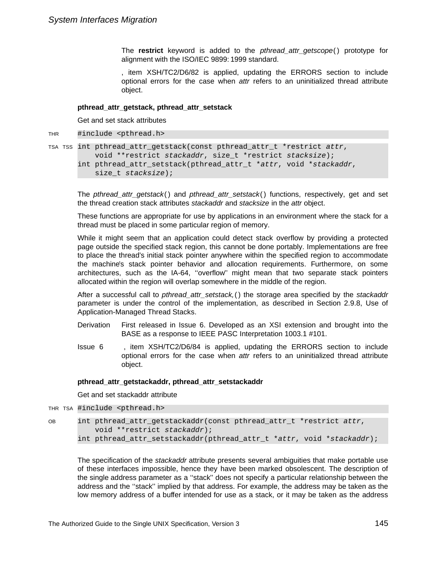The **restrict** keyword is added to the pthread\_attr\_getscope( ) prototype for alignment with the ISO/IEC 9899: 1999 standard.

, item XSH/TC2/D6/82 is applied, updating the ERRORS section to include optional errors for the case when attr refers to an uninitialized thread attribute object.

## **pthread\_attr\_getstack, pthread\_attr\_setstack**

Get and set stack attributes

```
THR #include <pthread.h>
```

```
TSA TSS int pthread_attr_getstack(const pthread_attr_t *restrict attr,
          void **restrict stackaddr, size_t *restrict stacksize);
      int pthread_attr_setstack(pthread_attr_t *attr, void *stackaddr,
          size_t stacksize);
```
The *pthread\_attr\_getstack*() and *pthread\_attr\_setstack*() functions, respectively, get and set the thread creation stack attributes stackaddr and stacksize in the attr object.

These functions are appropriate for use by applications in an environment where the stack for a thread must be placed in some particular region of memory.

While it might seem that an application could detect stack overflow by providing a protected page outside the specified stack region, this cannot be done portably. Implementations are free to place the thread's initial stack pointer anywhere within the specified region to accommodate the machine's stack pointer behavior and allocation requirements. Furthermore, on some architectures, such as the IA-64, ''overflow'' might mean that two separate stack pointers allocated within the region will overlap somewhere in the middle of the region.

After a successful call to *pthread\_attr\_setstack*, () the storage area specified by the stackaddr parameter is under the control of the implementation, as described in Section 2.9.8, Use of Application-Managed Thread Stacks.

- Derivation First released in Issue 6. Developed as an XSI extension and brought into the BASE as a response to IEEE PASC Interpretation 1003.1 #101.
- Issue 6 , item XSH/TC2/D6/84 is applied, updating the ERRORS section to include optional errors for the case when attr refers to an uninitialized thread attribute object.

## **pthread\_attr\_getstackaddr, pthread\_attr\_setstackaddr**

Get and set stackaddr attribute

THR TSA #include <pthread.h>

```
OB int pthread_attr_getstackaddr(const pthread_attr_t *restrict attr,
          void **restrict stackaddr);
      int pthread_attr_setstackaddr(pthread_attr_t *attr, void *stackaddr);
```
The specification of the *stackaddr* attribute presents several ambiguities that make portable use of these interfaces impossible, hence they have been marked obsolescent. The description of the single address parameter as a ''stack'' does not specify a particular relationship between the address and the ''stack'' implied by that address. For example, the address may be taken as the low memory address of a buffer intended for use as a stack, or it may be taken as the address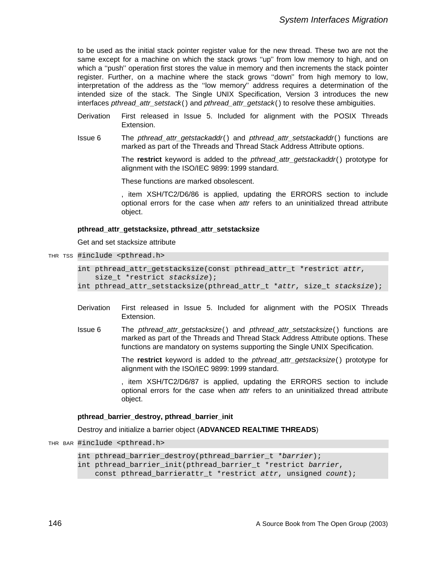to be used as the initial stack pointer register value for the new thread. These two are not the same except for a machine on which the stack grows "up" from low memory to high, and on which a "push" operation first stores the value in memory and then increments the stack pointer register. Further, on a machine where the stack grows ''down'' from high memory to low, interpretation of the address as the ''low memory'' address requires a determination of the intended size of the stack. The Single UNIX Specification, Version 3 introduces the new interfaces *pthread\_attr\_setstack()* and *pthread\_attr\_getstack()* to resolve these ambiguities.

- Derivation First released in Issue 5. Included for alignment with the POSIX Threads Extension.
- Issue 6 The *pthread\_attr\_getstackaddr*() and *pthread\_attr\_setstackaddr*() functions are marked as part of the Threads and Thread Stack Address Attribute options.

The **restrict** keyword is added to the pthread\_attr\_getstackaddr( ) prototype for alignment with the ISO/IEC 9899: 1999 standard.

These functions are marked obsolescent.

, item XSH/TC2/D6/86 is applied, updating the ERRORS section to include optional errors for the case when attr refers to an uninitialized thread attribute object.

#### **pthread\_attr\_getstacksize, pthread\_attr\_setstacksize**

Get and set stacksize attribute

THR TSS #include <pthread.h>

```
int pthread_attr_getstacksize(const pthread_attr_t *restrict attr,
    size_t *restrict stacksize);
int pthread_attr_setstacksize(pthread_attr_t *attr, size_t stacksize);
```
- Derivation First released in Issue 5. Included for alignment with the POSIX Threads Extension.
- Issue 6 The pthread\_attr\_getstacksize() and pthread\_attr\_setstacksize() functions are marked as part of the Threads and Thread Stack Address Attribute options. These functions are mandatory on systems supporting the Single UNIX Specification.

The **restrict** keyword is added to the pthread\_attr\_getstacksize( ) prototype for alignment with the ISO/IEC 9899: 1999 standard.

, item XSH/TC2/D6/87 is applied, updating the ERRORS section to include optional errors for the case when attr refers to an uninitialized thread attribute object.

## **pthread\_barrier\_destroy, pthread\_barrier\_init**

Destroy and initialize a barrier object (**ADVANCED REALTIME THREADS**)

THR BAR #include <pthread.h>

```
int pthread_barrier_destroy(pthread_barrier_t *barrier);
int pthread_barrier_init(pthread_barrier_t *restrict barrier,
   const pthread_barrierattr_t *restrict attr, unsigned count);
```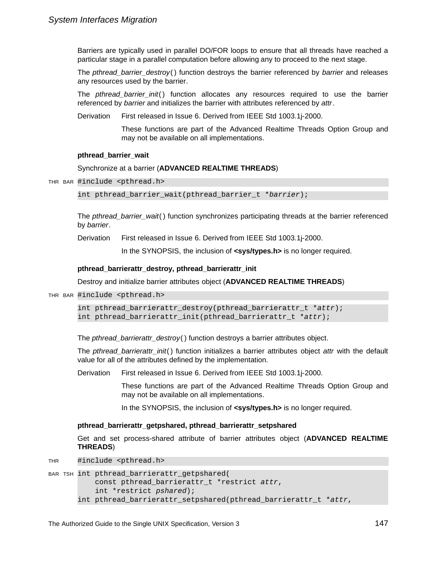Barriers are typically used in parallel DO/FOR loops to ensure that all threads have reached a particular stage in a parallel computation before allowing any to proceed to the next stage.

The *pthread\_barrier\_destroy*() function destroys the barrier referenced by *barrier* and releases any resources used by the barrier.

The *pthread\_barrier\_init*() function allocates any resources required to use the barrier referenced by *barrier* and initializes the barrier with attributes referenced by attr.

Derivation First released in Issue 6. Derived from IEEE Std 1003.1j-2000.

These functions are part of the Advanced Realtime Threads Option Group and may not be available on all implementations.

## **pthread\_barrier\_wait**

Synchronize at a barrier (**ADVANCED REALTIME THREADS**)

THR BAR #include <pthread.h>

int pthread\_barrier\_wait(pthread\_barrier\_t \*barrier);

The *pthread\_barrier\_wait*() function synchronizes participating threads at the barrier referenced by barrier.

Derivation First released in Issue 6. Derived from IEEE Std 1003.1j-2000.

In the SYNOPSIS, the inclusion of **<sys/types.h>** is no longer required.

## **pthread\_barrierattr\_destroy, pthread\_barrierattr\_init**

Destroy and initialize barrier attributes object (**ADVANCED REALTIME THREADS**)

THR BAR #include <pthread.h>

int pthread\_barrierattr\_destroy(pthread\_barrierattr\_t \*attr); int pthread\_barrierattr\_init(pthread\_barrierattr\_t \*attr);

The pthread\_barrierattr\_destroy( ) function destroys a barrier attributes object.

The *pthread\_barrierattr\_init*() function initializes a barrier attributes object attr with the default value for all of the attributes defined by the implementation.

Derivation First released in Issue 6. Derived from IEEE Std 1003.1j-2000.

These functions are part of the Advanced Realtime Threads Option Group and may not be available on all implementations.

In the SYNOPSIS, the inclusion of **<sys/types.h>** is no longer required.

## **pthread\_barrierattr\_getpshared, pthread\_barrierattr\_setpshared**

Get and set process-shared attribute of barrier attributes object (**ADVANCED REALTIME THREADS**)

THR #include <pthread.h>

```
BAR TSH int pthread_barrierattr_getpshared(
```

```
const pthread_barrierattr_t *restrict attr,
   int *restrict pshared);
int pthread_barrierattr_setpshared(pthread_barrierattr_t *attr,
```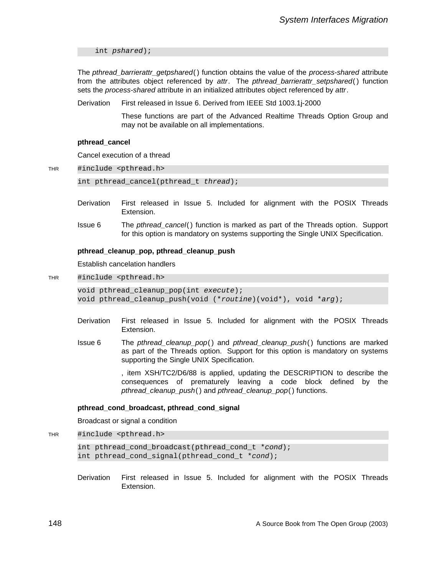int pshared);

The *pthread\_barrierattr\_getpshared*() function obtains the value of the *process-shared* attribute from the attributes object referenced by attr. The *pthread\_barrierattr\_setpshared*() function sets the process-shared attribute in an initialized attributes object referenced by attr.

Derivation First released in Issue 6. Derived from IEEE Std 1003.1j-2000

These functions are part of the Advanced Realtime Threads Option Group and may not be available on all implementations.

# **pthread\_cancel**

Cancel execution of a thread

THR #include <pthread.h>

int pthread\_cancel(pthread\_t thread);

- Derivation First released in Issue 5. Included for alignment with the POSIX Threads Extension.
- Issue 6 The *pthread\_cancel()* function is marked as part of the Threads option. Support for this option is mandatory on systems supporting the Single UNIX Specification.

## **pthread\_cleanup\_pop, pthread\_cleanup\_push**

Establish cancelation handlers

THR #include <pthread.h>

```
void pthread_cleanup_pop(int execute);
void pthread_cleanup_push(void (*routine)(void*), void *arg);
```
- Derivation First released in Issue 5. Included for alignment with the POSIX Threads Extension.
- Issue 6 The pthread\_cleanup\_pop() and pthread\_cleanup\_push() functions are marked as part of the Threads option. Support for this option is mandatory on systems supporting the Single UNIX Specification.

, item XSH/TC2/D6/88 is applied, updating the DESCRIPTION to describe the consequences of prematurely leaving a code block defined by the pthread\_cleanup\_push( ) and pthread\_cleanup\_pop( ) functions.

## **pthread\_cond\_broadcast, pthread\_cond\_signal**

Broadcast or signal a condition

THR #include <pthread.h>

```
int pthread_cond_broadcast(pthread_cond_t *cond);
int pthread_cond_signal(pthread_cond_t *cond);
```
Derivation First released in Issue 5. Included for alignment with the POSIX Threads Extension.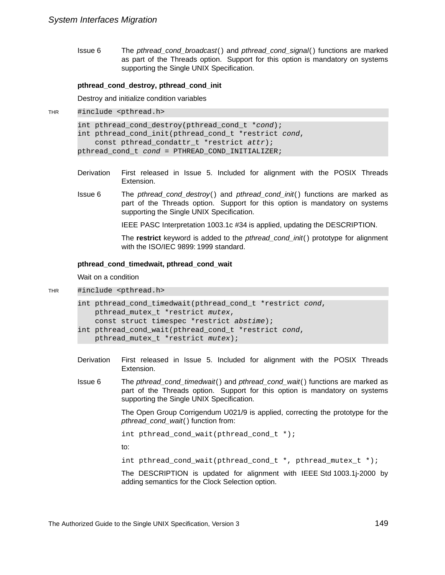Issue 6 The pthread\_cond\_broadcast() and pthread\_cond\_signal() functions are marked as part of the Threads option. Support for this option is mandatory on systems supporting the Single UNIX Specification.

## **pthread\_cond\_destroy, pthread\_cond\_init**

Destroy and initialize condition variables

THR #include <pthread.h>

int pthread\_cond\_destroy(pthread\_cond\_t \*cond); int pthread\_cond\_init(pthread\_cond\_t \*restrict cond, const pthread\_condattr\_t \*restrict attr); pthread\_cond\_t cond = PTHREAD\_COND\_INITIALIZER;

- Derivation First released in Issue 5. Included for alignment with the POSIX Threads Extension.
- Issue 6 The pthread\_cond\_destroy() and pthread\_cond\_init() functions are marked as part of the Threads option. Support for this option is mandatory on systems supporting the Single UNIX Specification.

IEEE PASC Interpretation 1003.1c #34 is applied, updating the DESCRIPTION.

The **restrict** keyword is added to the pthread\_cond\_init( ) prototype for alignment with the ISO/IEC 9899: 1999 standard.

## **pthread\_cond\_timedwait, pthread\_cond\_wait**

Wait on a condition

```
THR #include <pthread.h>
```

```
int pthread_cond_timedwait(pthread_cond_t *restrict cond,
   pthread_mutex_t *restrict mutex,
    const struct timespec *restrict abstime);
int pthread_cond_wait(pthread_cond_t *restrict cond,
   pthread_mutex_t *restrict mutex);
```
- Derivation First released in Issue 5. Included for alignment with the POSIX Threads Extension.
- Issue 6 The pthread\_cond\_timedwait() and pthread\_cond\_wait() functions are marked as part of the Threads option. Support for this option is mandatory on systems supporting the Single UNIX Specification.

The Open Group Corrigendum U021/9 is applied, correcting the prototype for the pthread\_cond\_wait( ) function from:

int pthread\_cond\_wait(pthread\_cond\_t \*);

to:

int pthread\_cond\_wait(pthread\_cond\_t \*, pthread\_mutex\_t \*);

The DESCRIPTION is updated for alignment with IEEE Std 1003.1j-2000 by adding semantics for the Clock Selection option.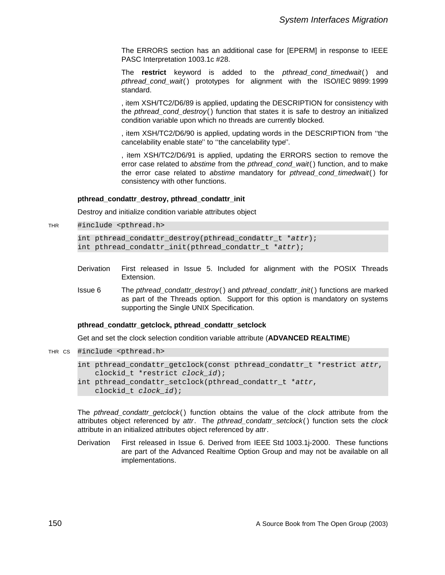The ERRORS section has an additional case for [EPERM] in response to IEEE PASC Interpretation 1003.1c #28.

The **restrict** keyword is added to the pthread\_cond\_timedwait( ) and pthread\_cond\_wait( ) prototypes for alignment with the ISO/IEC 9899: 1999 standard.

, item XSH/TC2/D6/89 is applied, updating the DESCRIPTION for consistency with the pthread\_cond\_destroy( ) function that states it is safe to destroy an initialized condition variable upon which no threads are currently blocked.

, item XSH/TC2/D6/90 is applied, updating words in the DESCRIPTION from ''the cancelability enable state'' to ''the cancelability type''.

, item XSH/TC2/D6/91 is applied, updating the ERRORS section to remove the error case related to abstime from the *pthread\_cond\_wait*() function, and to make the error case related to abstime mandatory for *pthread\_cond\_timedwait*() for consistency with other functions.

## **pthread\_condattr\_destroy, pthread\_condattr\_init**

Destroy and initialize condition variable attributes object

THR #include <pthread.h>

```
int pthread_condattr_destroy(pthread_condattr_t *attr);
int pthread_condattr_init(pthread_condattr_t *attr);
```
- Derivation First released in Issue 5. Included for alignment with the POSIX Threads Extension.
- Issue 6 The pthread\_condattr\_destroy() and pthread\_condattr\_init() functions are marked as part of the Threads option. Support for this option is mandatory on systems supporting the Single UNIX Specification.

# **pthread\_condattr\_getclock, pthread\_condattr\_setclock**

Get and set the clock selection condition variable attribute (**ADVANCED REALTIME**)

THR CS #include <pthread.h>

```
int pthread_condattr_getclock(const pthread_condattr_t *restrict attr,
    clockid_t *restrict clock_id);
int pthread_condattr_setclock(pthread_condattr_t *attr,
    clockid_t clock_id);
```
The *pthread\_condattr\_getclock*() function obtains the value of the *clock* attribute from the attributes object referenced by attr. The pthread\_condattr\_setclock( ) function sets the clock attribute in an initialized attributes object referenced by attr.

Derivation First released in Issue 6. Derived from IEEE Std 1003.1j-2000. These functions are part of the Advanced Realtime Option Group and may not be available on all implementations.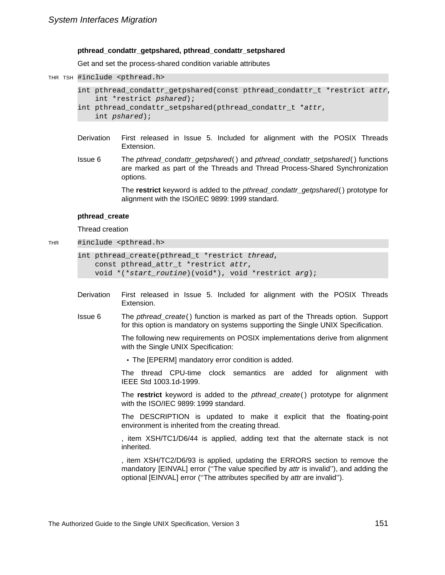#### **pthread\_condattr\_getpshared, pthread\_condattr\_setpshared**

Get and set the process-shared condition variable attributes

```
THR TSH #include <pthread.h>
```

```
int pthread_condattr_getpshared(const pthread_condattr_t *restrict attr,
   int *restrict pshared);
int pthread_condattr_setpshared(pthread_condattr_t *attr,
   int pshared);
```
- Derivation First released in Issue 5. Included for alignment with the POSIX Threads Extension.
- Issue 6 The pthread\_condattr\_getpshared() and pthread\_condattr\_setpshared() functions are marked as part of the Threads and Thread Process-Shared Synchronization options.

The **restrict** keyword is added to the pthread\_condattr\_getpshared( ) prototype for alignment with the ISO/IEC 9899: 1999 standard.

## **pthread\_create**

#### Thread creation

THR #include <pthread.h>

```
int pthread_create(pthread_t *restrict thread,
   const pthread_attr_t *restrict attr,
    void *(*start_routine)(void*), void *restrict arg);
```
- Derivation First released in Issue 5. Included for alignment with the POSIX Threads Extension.
- Issue 6 The *pthread\_create*() function is marked as part of the Threads option. Support for this option is mandatory on systems supporting the Single UNIX Specification.

The following new requirements on POSIX implementations derive from alignment with the Single UNIX Specification:

• The [EPERM] mandatory error condition is added.

The thread CPU-time clock semantics are added for alignment with IEEE Std 1003.1d-1999.

The **restrict** keyword is added to the pthread\_create( ) prototype for alignment with the ISO/IEC 9899: 1999 standard.

The DESCRIPTION is updated to make it explicit that the floating-point environment is inherited from the creating thread.

, item XSH/TC1/D6/44 is applied, adding text that the alternate stack is not inherited.

, item XSH/TC2/D6/93 is applied, updating the ERRORS section to remove the mandatory [EINVAL] error ("The value specified by *attr* is invalid"), and adding the optional [EINVAL] error ("The attributes specified by attr are invalid").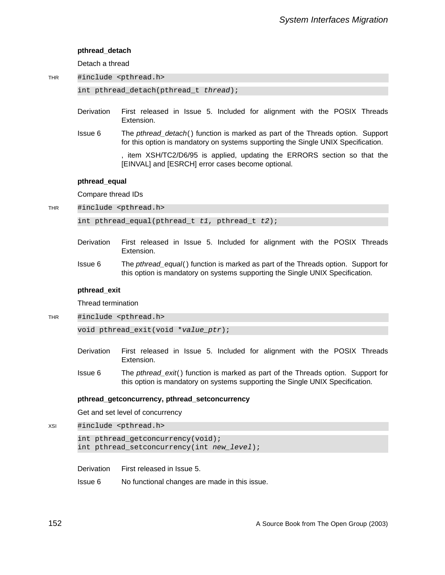# **pthread\_detach**

Detach a thread

THR #include <pthread.h>

int pthread\_detach(pthread\_t thread);

- Derivation First released in Issue 5. Included for alignment with the POSIX Threads Extension.
- Issue 6 The *pthread\_detach*() function is marked as part of the Threads option. Support for this option is mandatory on systems supporting the Single UNIX Specification.

item XSH/TC2/D6/95 is applied, updating the ERRORS section so that the [EINVAL] and [ESRCH] error cases become optional.

## **pthread\_equal**

Compare thread IDs

THR #include <pthread.h>

int pthread\_equal(pthread\_t t1, pthread\_t t2);

- Derivation First released in Issue 5. Included for alignment with the POSIX Threads Extension.
- Issue 6 The *pthread\_equal()* function is marked as part of the Threads option. Support for this option is mandatory on systems supporting the Single UNIX Specification.

# **pthread\_exit**

Thread termination

THR #include <pthread.h>

void pthread\_exit(void \*value\_ptr);

- Derivation First released in Issue 5. Included for alignment with the POSIX Threads Extension.
- Issue 6 The *pthread\_exit*() function is marked as part of the Threads option. Support for this option is mandatory on systems supporting the Single UNIX Specification.

## **pthread\_getconcurrency, pthread\_setconcurrency**

Get and set level of concurrency

XSI #include <pthread.h>

int pthread\_getconcurrency(void); int pthread\_setconcurrency(int new\_level);

Derivation First released in Issue 5.

Issue 6 No functional changes are made in this issue.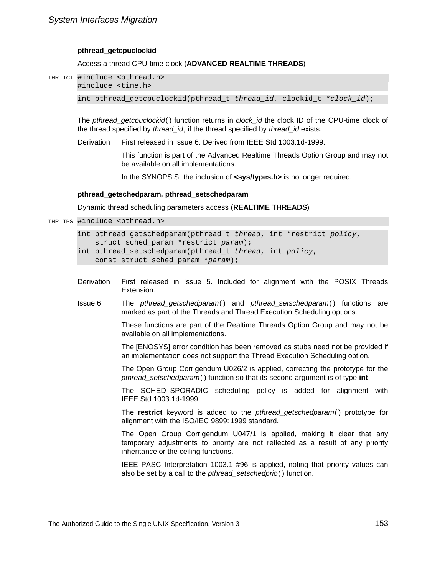## **pthread\_getcpuclockid**

Access a thread CPU-time clock (**ADVANCED REALTIME THREADS**)

```
THR TCT #include <pthread.h>
       #include <time.h>
```
int pthread\_getcpuclockid(pthread\_t thread\_id, clockid\_t \*clock\_id);

The *pthread\_getcpuclockid*() function returns in *clock\_id* the clock ID of the CPU-time clock of the thread specified by thread\_id, if the thread specified by thread\_id exists.

Derivation First released in Issue 6. Derived from IEEE Std 1003.1d-1999.

This function is part of the Advanced Realtime Threads Option Group and may not be available on all implementations.

In the SYNOPSIS, the inclusion of **<sys/types.h>** is no longer required.

#### **pthread\_getschedparam, pthread\_setschedparam**

Dynamic thread scheduling parameters access (**REALTIME THREADS**)

THR TPS #include <pthread.h>

int pthread\_getschedparam(pthread\_t thread, int \*restrict policy, struct sched\_param \*restrict param); int pthread\_setschedparam(pthread\_t thread, int policy,

const struct sched\_param \*param);

- Derivation First released in Issue 5. Included for alignment with the POSIX Threads Extension.
- Issue 6 The pthread\_getschedparam() and pthread\_setschedparam() functions are marked as part of the Threads and Thread Execution Scheduling options.

These functions are part of the Realtime Threads Option Group and may not be available on all implementations.

The [ENOSYS] error condition has been removed as stubs need not be provided if an implementation does not support the Thread Execution Scheduling option.

The Open Group Corrigendum U026/2 is applied, correcting the prototype for the pthread\_setschedparam( ) function so that its second argument is of type **int**.

The SCHED\_SPORADIC scheduling policy is added for alignment with IEEE Std 1003.1d-1999.

The **restrict** keyword is added to the pthread\_getschedparam( ) prototype for alignment with the ISO/IEC 9899: 1999 standard.

The Open Group Corrigendum U047/1 is applied, making it clear that any temporary adjustments to priority are not reflected as a result of any priority inheritance or the ceiling functions.

IEEE PASC Interpretation 1003.1 #96 is applied, noting that priority values can also be set by a call to the *pthread\_setschedprio*() function.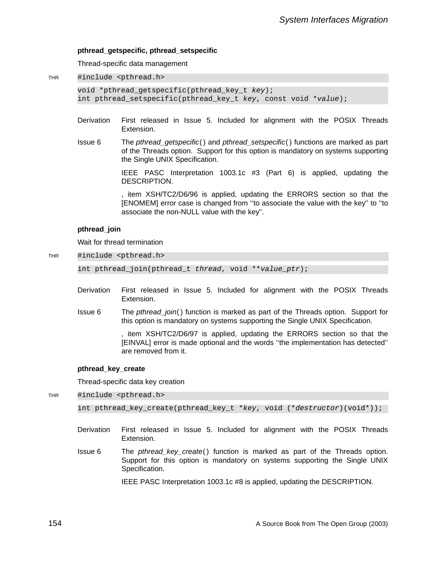# **pthread\_getspecific, pthread\_setspecific**

Thread-specific data management

THR #include <pthread.h>

```
void *pthread_getspecific(pthread_key_t key);
int pthread_setspecific(pthread_key_t key, const void *value);
```
- Derivation First released in Issue 5. Included for alignment with the POSIX Threads Extension.
- Issue 6 The *pthread\_getspecific*() and *pthread\_setspecific*() functions are marked as part of the Threads option. Support for this option is mandatory on systems supporting the Single UNIX Specification.

IEEE PASC Interpretation 1003.1c #3 (Part 6) is applied, updating the DESCRIPTION.

, item XSH/TC2/D6/96 is applied, updating the ERRORS section so that the [ENOMEM] error case is changed from ''to associate the value with the key'' to ''to associate the non-NULL value with the key''.

#### **pthread\_join**

Wait for thread termination

THR #include <pthread.h>

int pthread\_join(pthread\_t thread, void \*\*value\_ptr);

- Derivation First released in Issue 5. Included for alignment with the POSIX Threads Extension.
- Issue 6 The *pthread\_join*() function is marked as part of the Threads option. Support for this option is mandatory on systems supporting the Single UNIX Specification.

, item XSH/TC2/D6/97 is applied, updating the ERRORS section so that the [EINVAL] error is made optional and the words ''the implementation has detected'' are removed from it.

## **pthread\_key\_create**

Thread-specific data key creation

THR #include <pthread.h>

int pthread\_key\_create(pthread\_key\_t \*key, void (\*destructor)(void\*));

- Derivation First released in Issue 5. Included for alignment with the POSIX Threads Extension.
- Issue 6 The *pthread\_key\_create*() function is marked as part of the Threads option. Support for this option is mandatory on systems supporting the Single UNIX Specification.

IEEE PASC Interpretation 1003.1c #8 is applied, updating the DESCRIPTION.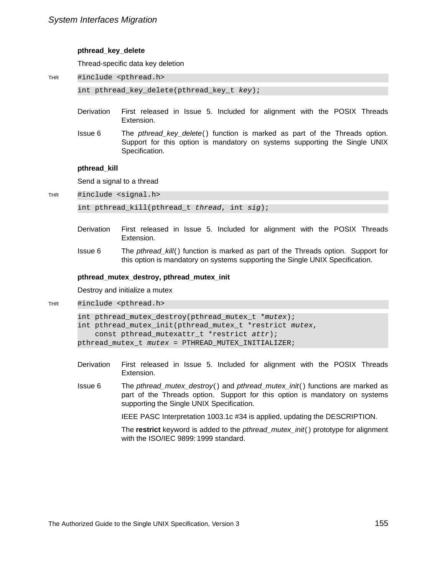# **pthread\_key\_delete**

Thread-specific data key deletion

THR #include <pthread.h>

int pthread\_key\_delete(pthread\_key\_t key);

- Derivation First released in Issue 5. Included for alignment with the POSIX Threads Extension.
- Issue 6 The *pthread\_key\_delete*() function is marked as part of the Threads option. Support for this option is mandatory on systems supporting the Single UNIX Specification.

#### **pthread\_kill**

Send a signal to a thread

THR #include <signal.h>

int pthread\_kill(pthread\_t thread, int sig);

- Derivation First released in Issue 5. Included for alignment with the POSIX Threads Extension.
- Issue 6 The *pthread\_kill*() function is marked as part of the Threads option. Support for this option is mandatory on systems supporting the Single UNIX Specification.

#### **pthread\_mutex\_destroy, pthread\_mutex\_init**

Destroy and initialize a mutex

```
THR #include <pthread.h>
```

```
int pthread_mutex_destroy(pthread_mutex_t *mutex);
int pthread_mutex_init(pthread_mutex_t *restrict mutex,
    const pthread_mutexattr_t *restrict attr);
pthread_mutex_t mutex = PTHREAD_MUTEX_INITIALIZER;
```
- Derivation First released in Issue 5. Included for alignment with the POSIX Threads Extension.
- Issue 6 The pthread\_mutex\_destroy() and pthread\_mutex\_init() functions are marked as part of the Threads option. Support for this option is mandatory on systems supporting the Single UNIX Specification.

IEEE PASC Interpretation 1003.1c #34 is applied, updating the DESCRIPTION.

The **restrict** keyword is added to the pthread\_mutex\_init( ) prototype for alignment with the ISO/IEC 9899: 1999 standard.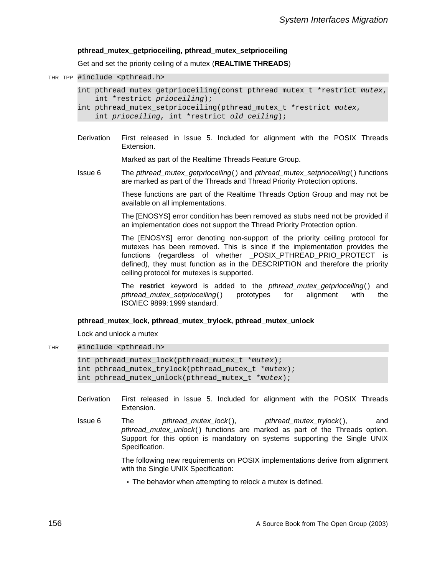## **pthread\_mutex\_getprioceiling, pthread\_mutex\_setprioceiling**

Get and set the priority ceiling of a mutex (**REALTIME THREADS**)

#### THR TPP #include <pthread.h>

```
int pthread_mutex_getprioceiling(const pthread_mutex_t *restrict mutex,
   int *restrict prioceiling);
int pthread_mutex_setprioceiling(pthread_mutex_t *restrict mutex,
   int prioceiling, int *restrict old_ceiling);
```
Derivation First released in Issue 5. Included for alignment with the POSIX Threads Extension.

Marked as part of the Realtime Threads Feature Group.

Issue 6 The pthread\_mutex\_getprioceiling() and pthread\_mutex\_setprioceiling() functions are marked as part of the Threads and Thread Priority Protection options.

> These functions are part of the Realtime Threads Option Group and may not be available on all implementations.

> The [ENOSYS] error condition has been removed as stubs need not be provided if an implementation does not support the Thread Priority Protection option.

> The [ENOSYS] error denoting non-support of the priority ceiling protocol for mutexes has been removed. This is since if the implementation provides the functions (regardless of whether \_POSIX\_PTHREAD\_PRIO\_PROTECT is defined), they must function as in the DESCRIPTION and therefore the priority ceiling protocol for mutexes is supported.

> The **restrict** keyword is added to the pthread\_mutex\_getprioceiling( ) and pthread\_mutex\_setprioceiling( ) prototypes for alignment with the ISO/IEC 9899: 1999 standard.

## **pthread\_mutex\_lock, pthread\_mutex\_trylock, pthread\_mutex\_unlock**

Lock and unlock a mutex

THR #include <pthread.h>

```
int pthread_mutex_lock(pthread_mutex_t *mutex);
int pthread_mutex_trylock(pthread_mutex_t *mutex);
int pthread_mutex_unlock(pthread_mutex_t *mutex);
```
- Derivation First released in Issue 5. Included for alignment with the POSIX Threads Extension.
- Issue 6 The pthread\_mutex\_lock(), pthread\_mutex\_trylock(), and pthread\_mutex\_unlock() functions are marked as part of the Threads option. Support for this option is mandatory on systems supporting the Single UNIX Specification.

The following new requirements on POSIX implementations derive from alignment with the Single UNIX Specification:

• The behavior when attempting to relock a mutex is defined.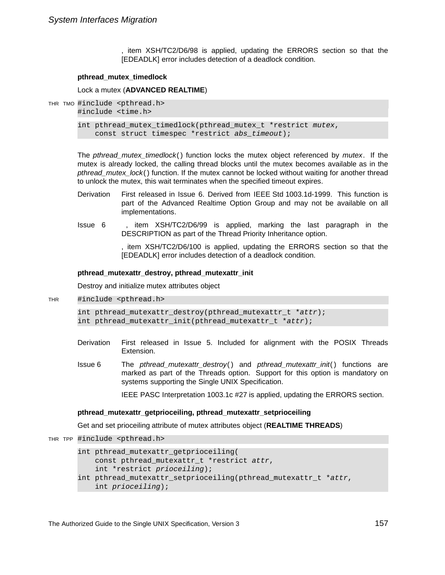item XSH/TC2/D6/98 is applied, updating the ERRORS section so that the [EDEADLK] error includes detection of a deadlock condition.

#### **pthread\_mutex\_timedlock**

Lock a mutex (**ADVANCED REALTIME**)

```
THR TMO #include <pthread.h>
       #include <time.h>
```

```
int pthread_mutex_timedlock(pthread_mutex_t *restrict mutex,
    const struct timespec *restrict abs_timeout);
```
The pthread\_mutex\_timedlock() function locks the mutex object referenced by mutex. If the mutex is already locked, the calling thread blocks until the mutex becomes available as in the pthread\_mutex\_lock( ) function. If the mutex cannot be locked without waiting for another thread to unlock the mutex, this wait terminates when the specified timeout expires.

- Derivation First released in Issue 6. Derived from IEEE Std 1003.1d-1999. This function is part of the Advanced Realtime Option Group and may not be available on all implementations.
- Issue 6 , item XSH/TC2/D6/99 is applied, marking the last paragraph in the DESCRIPTION as part of the Thread Priority Inheritance option.

, item XSH/TC2/D6/100 is applied, updating the ERRORS section so that the [EDEADLK] error includes detection of a deadlock condition.

## **pthread\_mutexattr\_destroy, pthread\_mutexattr\_init**

Destroy and initialize mutex attributes object

THR #include <pthread.h>

```
int pthread_mutexattr_destroy(pthread_mutexattr_t *attr);
int pthread_mutexattr_init(pthread_mutexattr_t *attr);
```
- Derivation First released in Issue 5. Included for alignment with the POSIX Threads Extension.
- Issue 6 The *pthread\_mutexattr\_destroy()* and *pthread\_mutexattr\_init()* functions are marked as part of the Threads option. Support for this option is mandatory on systems supporting the Single UNIX Specification.

IEEE PASC Interpretation 1003.1c #27 is applied, updating the ERRORS section.

## **pthread\_mutexattr\_getprioceiling, pthread\_mutexattr\_setprioceiling**

Get and set prioceiling attribute of mutex attributes object (**REALTIME THREADS**)

THR TPP #include <pthread.h>

```
int pthread_mutexattr_getprioceiling(
   const pthread_mutexattr_t *restrict attr,
   int *restrict prioceiling);
int pthread_mutexattr_setprioceiling(pthread_mutexattr_t *attr,
   int prioceiling);
```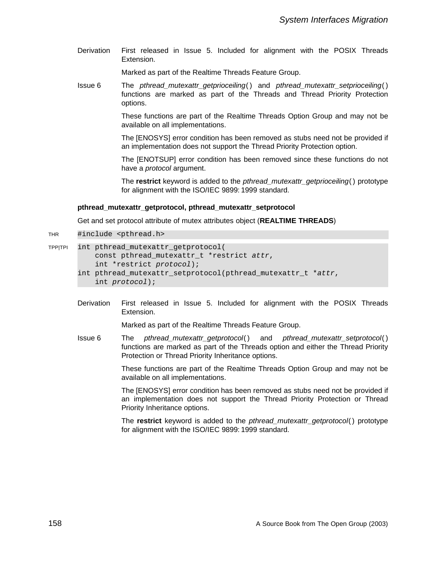Derivation First released in Issue 5. Included for alignment with the POSIX Threads Extension.

Marked as part of the Realtime Threads Feature Group.

Issue 6 The pthread\_mutexattr\_getprioceiling() and pthread\_mutexattr\_setprioceiling() functions are marked as part of the Threads and Thread Priority Protection options.

> These functions are part of the Realtime Threads Option Group and may not be available on all implementations.

> The [ENOSYS] error condition has been removed as stubs need not be provided if an implementation does not support the Thread Priority Protection option.

> The [ENOTSUP] error condition has been removed since these functions do not have a *protocol* argument.

> The **restrict** keyword is added to the pthread\_mutexattr\_getprioceiling( ) prototype for alignment with the ISO/IEC 9899: 1999 standard.

## **pthread\_mutexattr\_getprotocol, pthread\_mutexattr\_setprotocol**

Get and set protocol attribute of mutex attributes object (**REALTIME THREADS**)

```
THR #include <pthread.h>
```

```
TPP|TPI int pthread_mutexattr_getprotocol(
```

```
const pthread_mutexattr_t *restrict attr,
   int *restrict protocol);
int pthread_mutexattr_setprotocol(pthread_mutexattr_t *attr,
   int protocol);
```
Derivation First released in Issue 5. Included for alignment with the POSIX Threads Extension.

Marked as part of the Realtime Threads Feature Group.

Issue 6 The pthread\_mutexattr\_getprotocol() and pthread\_mutexattr\_setprotocol() functions are marked as part of the Threads option and either the Thread Priority Protection or Thread Priority Inheritance options.

> These functions are part of the Realtime Threads Option Group and may not be available on all implementations.

> The [ENOSYS] error condition has been removed as stubs need not be provided if an implementation does not support the Thread Priority Protection or Thread Priority Inheritance options.

> The **restrict** keyword is added to the pthread\_mutexattr\_getprotocol( ) prototype for alignment with the ISO/IEC 9899: 1999 standard.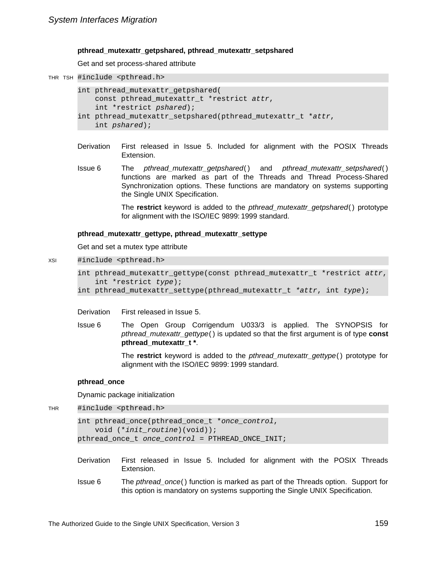## **pthread\_mutexattr\_getpshared, pthread\_mutexattr\_setpshared**

Get and set process-shared attribute

```
THR TSH #include <pthread.h>
```

```
int pthread_mutexattr_getpshared(
   const pthread_mutexattr_t *restrict attr,
   int *restrict pshared);
int pthread_mutexattr_setpshared(pthread_mutexattr_t *attr,
   int pshared);
```
- Derivation First released in Issue 5. Included for alignment with the POSIX Threads Extension.
- Issue 6 The pthread\_mutexattr\_getpshared() and pthread\_mutexattr\_setpshared() functions are marked as part of the Threads and Thread Process-Shared Synchronization options. These functions are mandatory on systems supporting the Single UNIX Specification.

The **restrict** keyword is added to the pthread\_mutexattr\_getpshared( ) prototype for alignment with the ISO/IEC 9899: 1999 standard.

#### **pthread\_mutexattr\_gettype, pthread\_mutexattr\_settype**

Get and set a mutex type attribute

XSI #include <pthread.h>

```
int pthread_mutexattr_gettype(const pthread_mutexattr_t *restrict attr,
   int *restrict type);
```
int pthread\_mutexattr\_settype(pthread\_mutexattr\_t \*attr, int type);

- Derivation First released in Issue 5.
- Issue 6 The Open Group Corrigendum U033/3 is applied. The SYNOPSIS for pthread\_mutexattr\_gettype( ) is updated so that the first argument is of type **const pthread\_mutexattr\_t \***.

The **restrict** keyword is added to the pthread\_mutexattr\_gettype( ) prototype for alignment with the ISO/IEC 9899: 1999 standard.

#### **pthread\_once**

Dynamic package initialization

THR #include <pthread.h>

```
int pthread_once(pthread_once_t *once_control,
    void (*init_routine)(void));
pthread_once_t once_control = PTHREAD_ONCE_INIT;
```
- Derivation First released in Issue 5. Included for alignment with the POSIX Threads Extension.
- Issue 6 The *pthread\_once*() function is marked as part of the Threads option. Support for this option is mandatory on systems supporting the Single UNIX Specification.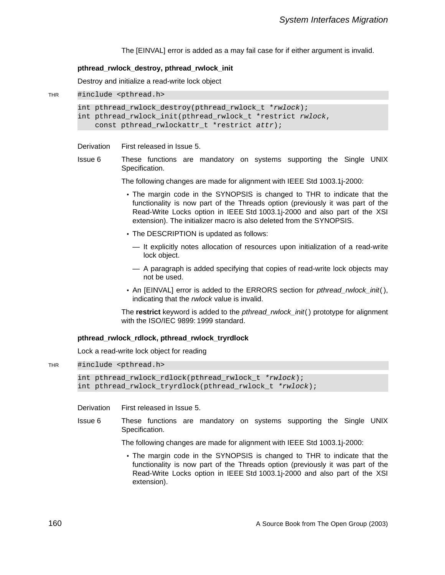The [EINVAL] error is added as a may fail case for if either argument is invalid.

# **pthread\_rwlock\_destroy, pthread\_rwlock\_init**

Destroy and initialize a read-write lock object

THR #include <pthread.h>

```
int pthread_rwlock_destroy(pthread_rwlock_t *rwlock);
int pthread_rwlock_init(pthread_rwlock_t *restrict rwlock,
   const pthread_rwlockattr_t *restrict attr);
```
Derivation First released in Issue 5.

Issue 6 These functions are mandatory on systems supporting the Single UNIX Specification.

The following changes are made for alignment with IEEE Std 1003.1j-2000:

- The margin code in the SYNOPSIS is changed to THR to indicate that the functionality is now part of the Threads option (previously it was part of the Read-Write Locks option in IEEE Std 1003.1j-2000 and also part of the XSI extension). The initializer macro is also deleted from the SYNOPSIS.
- The DESCRIPTION is updated as follows:
	- It explicitly notes allocation of resources upon initialization of a read-write lock object.
	- A paragraph is added specifying that copies of read-write lock objects may not be used.
- An [EINVAL] error is added to the ERRORS section for *pthread\_rwlock\_init*(), indicating that the rwlock value is invalid.

The **restrict** keyword is added to the pthread\_rwlock\_init( ) prototype for alignment with the ISO/IEC 9899: 1999 standard.

## **pthread\_rwlock\_rdlock, pthread\_rwlock\_tryrdlock**

Lock a read-write lock object for reading

THR #include <pthread.h>

```
int pthread_rwlock_rdlock(pthread_rwlock_t *rwlock);
int pthread_rwlock_tryrdlock(pthread_rwlock_t *rwlock);
```
- Derivation First released in Issue 5.
- Issue 6 These functions are mandatory on systems supporting the Single UNIX Specification.

The following changes are made for alignment with IEEE Std 1003.1j-2000:

• The margin code in the SYNOPSIS is changed to THR to indicate that the functionality is now part of the Threads option (previously it was part of the Read-Write Locks option in IEEE Std 1003.1j-2000 and also part of the XSI extension).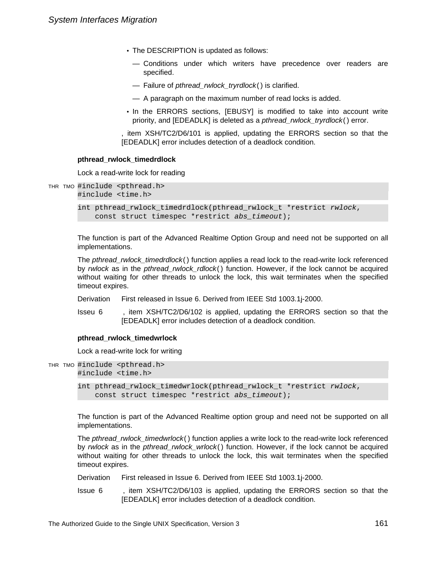- The DESCRIPTION is updated as follows:
	- Conditions under which writers have precedence over readers are specified.
	- Failure of pthread\_rwlock\_tryrdlock( ) is clarified.
	- A paragraph on the maximum number of read locks is added.
- In the ERRORS sections, [EBUSY] is modified to take into account write priority, and [EDEADLK] is deleted as a *pthread\_rwlock\_tryrdlock*() error.

, item XSH/TC2/D6/101 is applied, updating the ERRORS section so that the [EDEADLK] error includes detection of a deadlock condition.

# **pthread\_rwlock\_timedrdlock**

Lock a read-write lock for reading

```
THR TMO #include <pthread.h>
```
#include <time.h>

```
int pthread_rwlock_timedrdlock(pthread_rwlock_t *restrict rwlock,
    const struct timespec *restrict abs_timeout);
```
The function is part of the Advanced Realtime Option Group and need not be supported on all implementations.

The pthread\_rwlock\_timedrdlock( ) function applies a read lock to the read-write lock referenced by rwlock as in the pthread\_rwlock\_rdlock() function. However, if the lock cannot be acquired without waiting for other threads to unlock the lock, this wait terminates when the specified timeout expires.

Derivation First released in Issue 6. Derived from IEEE Std 1003.1j-2000.

Isseu 6 , item XSH/TC2/D6/102 is applied, updating the ERRORS section so that the [EDEADLK] error includes detection of a deadlock condition.

## **pthread\_rwlock\_timedwrlock**

Lock a read-write lock for writing

```
THR TMO #include <pthread.h>
```
#include <time.h>

```
int pthread_rwlock_timedwrlock(pthread_rwlock_t *restrict rwlock,
    const struct timespec *restrict abs_timeout);
```
The function is part of the Advanced Realtime option group and need not be supported on all implementations.

The pthread\_rwlock\_timedwrlock( ) function applies a write lock to the read-write lock referenced by rwlock as in the pthread\_rwlock\_wrlock() function. However, if the lock cannot be acquired without waiting for other threads to unlock the lock, this wait terminates when the specified timeout expires.

Derivation First released in Issue 6. Derived from IEEE Std 1003.1j-2000.

Issue 6 , item XSH/TC2/D6/103 is applied, updating the ERRORS section so that the [EDEADLK] error includes detection of a deadlock condition.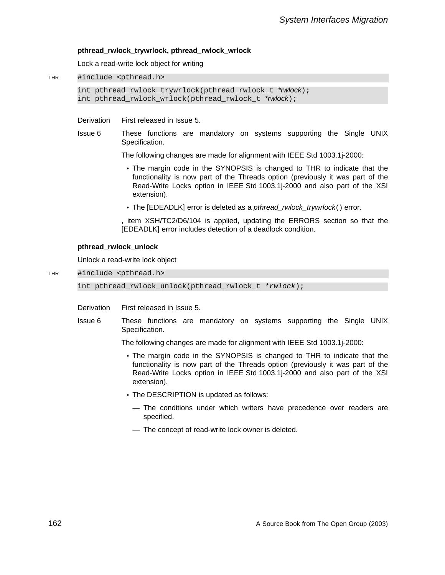# **pthread\_rwlock\_trywrlock, pthread\_rwlock\_wrlock**

Lock a read-write lock object for writing

THR #include <pthread.h>

```
int pthread_rwlock_trywrlock(pthread_rwlock_t *rwlock);
int pthread_rwlock_wrlock(pthread_rwlock_t *rwlock);
```
Derivation First released in Issue 5.

Issue 6 These functions are mandatory on systems supporting the Single UNIX Specification.

The following changes are made for alignment with IEEE Std 1003.1j-2000:

- The margin code in the SYNOPSIS is changed to THR to indicate that the functionality is now part of the Threads option (previously it was part of the Read-Write Locks option in IEEE Std 1003.1j-2000 and also part of the XSI extension).
- The [EDEADLK] error is deleted as a *pthread\_rwlock\_trywrlock*() error.

, item XSH/TC2/D6/104 is applied, updating the ERRORS section so that the [EDEADLK] error includes detection of a deadlock condition.

#### **pthread\_rwlock\_unlock**

Unlock a read-write lock object

THR #include <pthread.h>

int pthread\_rwlock\_unlock(pthread\_rwlock\_t \*rwlock);

Derivation First released in Issue 5.

Issue 6 These functions are mandatory on systems supporting the Single UNIX Specification.

The following changes are made for alignment with IEEE Std 1003.1j-2000:

- The margin code in the SYNOPSIS is changed to THR to indicate that the functionality is now part of the Threads option (previously it was part of the Read-Write Locks option in IEEE Std 1003.1j-2000 and also part of the XSI extension).
- The DESCRIPTION is updated as follows:
	- The conditions under which writers have precedence over readers are specified.
	- The concept of read-write lock owner is deleted.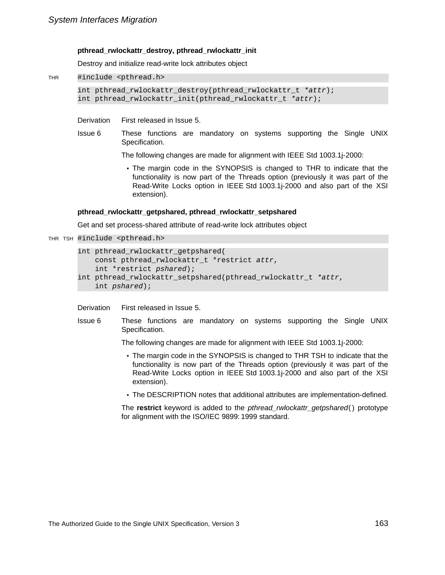#### **pthread\_rwlockattr\_destroy, pthread\_rwlockattr\_init**

Destroy and initialize read-write lock attributes object

THR #include <pthread.h>

```
int pthread_rwlockattr_destroy(pthread_rwlockattr_t *attr);
int pthread_rwlockattr_init(pthread_rwlockattr_t *attr);
```
Derivation First released in Issue 5.

Issue 6 These functions are mandatory on systems supporting the Single UNIX Specification.

The following changes are made for alignment with IEEE Std 1003.1j-2000:

• The margin code in the SYNOPSIS is changed to THR to indicate that the functionality is now part of the Threads option (previously it was part of the Read-Write Locks option in IEEE Std 1003.1j-2000 and also part of the XSI extension).

#### **pthread\_rwlockattr\_getpshared, pthread\_rwlockattr\_setpshared**

Get and set process-shared attribute of read-write lock attributes object

```
THR TSH #include <pthread.h>
```

```
int pthread_rwlockattr_getpshared(
   const pthread_rwlockattr_t *restrict attr,
   int *restrict pshared);
int pthread_rwlockattr_setpshared(pthread_rwlockattr_t *attr,
    int pshared);
```
- Derivation First released in Issue 5.
- Issue 6 These functions are mandatory on systems supporting the Single UNIX Specification.

The following changes are made for alignment with IEEE Std 1003.1j-2000:

- The margin code in the SYNOPSIS is changed to THR TSH to indicate that the functionality is now part of the Threads option (previously it was part of the Read-Write Locks option in IEEE Std 1003.1j-2000 and also part of the XSI extension).
- The DESCRIPTION notes that additional attributes are implementation-defined.

The **restrict** keyword is added to the pthread\_rwlockattr\_getpshared( ) prototype for alignment with the ISO/IEC 9899: 1999 standard.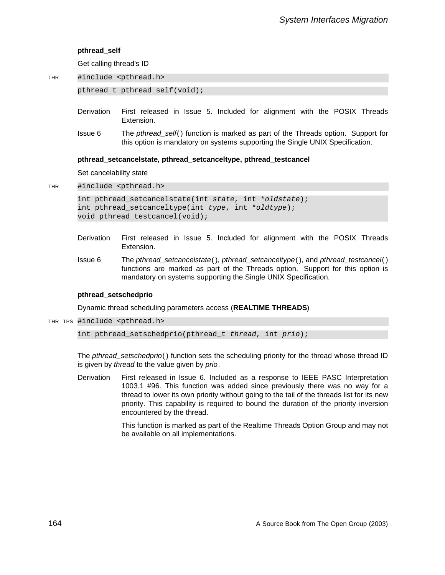# **pthread\_self**

Get calling thread's ID

THR #include <pthread.h>

pthread\_t pthread\_self(void);

- Derivation First released in Issue 5. Included for alignment with the POSIX Threads Extension.
- Issue 6 The pthread\_self( ) function is marked as part of the Threads option. Support for this option is mandatory on systems supporting the Single UNIX Specification.

#### **pthread\_setcancelstate, pthread\_setcanceltype, pthread\_testcancel**

Set cancelability state

THR #include <pthread.h>

```
int pthread_setcancelstate(int state, int *oldstate);
int pthread_setcanceltype(int type, int *oldtype);
void pthread_testcancel(void);
```
- Derivation First released in Issue 5. Included for alignment with the POSIX Threads Extension.
- Issue 6 The pthread\_setcancelstate(), pthread\_setcanceltype(), and pthread\_testcancel() functions are marked as part of the Threads option. Support for this option is mandatory on systems supporting the Single UNIX Specification.

#### **pthread\_setschedprio**

Dynamic thread scheduling parameters access (**REALTIME THREADS**)

THR TPS #include <pthread.h>

int pthread\_setschedprio(pthread\_t thread, int prio);

The *pthread\_setschedprio*() function sets the scheduling priority for the thread whose thread ID is given by thread to the value given by prio.

Derivation First released in Issue 6. Included as a response to IEEE PASC Interpretation 1003.1 #96. This function was added since previously there was no way for a thread to lower its own priority without going to the tail of the threads list for its new priority. This capability is required to bound the duration of the priority inversion encountered by the thread.

> This function is marked as part of the Realtime Threads Option Group and may not be available on all implementations.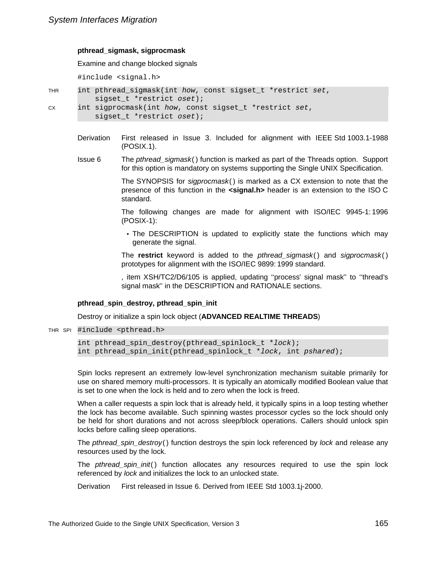#### **pthread\_sigmask, sigprocmask**

Examine and change blocked signals

#include <signal.h>

```
THR int pthread_sigmask(int how, const sigset_t *restrict set,
          sigset_t *restrict oset);
CX int sigprocmask(int how, const sigset_t *restrict set,
```

```
sigset_t *restrict oset);
```
- Derivation First released in Issue 3. Included for alignment with IEEE Std 1003.1-1988 (POSIX.1).
- Issue 6 The pthread\_sigmask() function is marked as part of the Threads option. Support for this option is mandatory on systems supporting the Single UNIX Specification.

The SYNOPSIS for sigprocmask( ) is marked as a CX extension to note that the presence of this function in the **<signal.h>** header is an extension to the ISO C standard.

The following changes are made for alignment with ISO/IEC 9945-1: 1996 (POSIX-1):

• The DESCRIPTION is updated to explicitly state the functions which may generate the signal.

The **restrict** keyword is added to the pthread\_sigmask( ) and sigprocmask( ) prototypes for alignment with the ISO/IEC 9899: 1999 standard.

, item XSH/TC2/D6/105 is applied, updating ''process' signal mask'' to ''thread's signal mask'' in the DESCRIPTION and RATIONALE sections.

#### **pthread\_spin\_destroy, pthread\_spin\_init**

Destroy or initialize a spin lock object (**ADVANCED REALTIME THREADS**)

THR SPI #include <pthread.h>

int pthread\_spin\_destroy(pthread\_spinlock\_t \*lock); int pthread\_spin\_init(pthread\_spinlock\_t \*lock, int pshared);

Spin locks represent an extremely low-level synchronization mechanism suitable primarily for use on shared memory multi-processors. It is typically an atomically modified Boolean value that is set to one when the lock is held and to zero when the lock is freed.

When a caller requests a spin lock that is already held, it typically spins in a loop testing whether the lock has become available. Such spinning wastes processor cycles so the lock should only be held for short durations and not across sleep/block operations. Callers should unlock spin locks before calling sleep operations.

The pthread\_spin\_destroy() function destroys the spin lock referenced by lock and release any resources used by the lock.

The *pthread\_spin\_init*() function allocates any resources required to use the spin lock referenced by lock and initializes the lock to an unlocked state.

Derivation First released in Issue 6. Derived from IEEE Std 1003.1j-2000.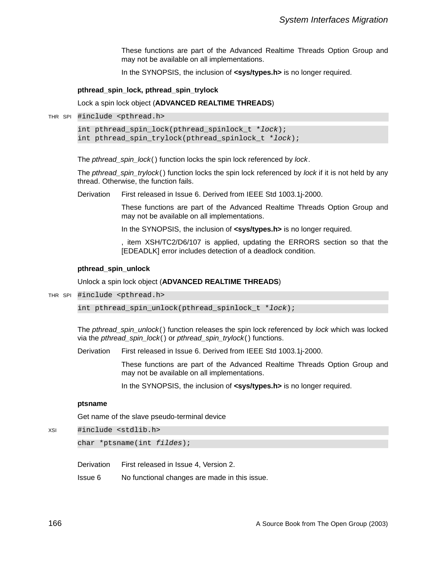These functions are part of the Advanced Realtime Threads Option Group and may not be available on all implementations.

In the SYNOPSIS, the inclusion of **<sys/types.h>** is no longer required.

## **pthread\_spin\_lock, pthread\_spin\_trylock**

#### Lock a spin lock object (**ADVANCED REALTIME THREADS**)

THR SPI #include <pthread.h>

int pthread\_spin\_lock(pthread\_spinlock\_t \*lock); int pthread\_spin\_trylock(pthread\_spinlock\_t \*lock);

The pthread\_spin\_lock() function locks the spin lock referenced by lock.

The *pthread\_spin\_trylock*() function locks the spin lock referenced by *lock* if it is not held by any thread. Otherwise, the function fails.

Derivation First released in Issue 6. Derived from IEEE Std 1003.1j-2000.

These functions are part of the Advanced Realtime Threads Option Group and may not be available on all implementations.

In the SYNOPSIS, the inclusion of **<sys/types.h>** is no longer required.

, item XSH/TC2/D6/107 is applied, updating the ERRORS section so that the [EDEADLK] error includes detection of a deadlock condition.

#### **pthread\_spin\_unlock**

#### Unlock a spin lock object (**ADVANCED REALTIME THREADS**)

THR SPI #include <pthread.h>

int pthread\_spin\_unlock(pthread\_spinlock\_t \*lock);

The *pthread\_spin\_unlock*() function releases the spin lock referenced by *lock* which was locked via the pthread\_spin\_lock( ) or pthread\_spin\_trylock( ) functions.

Derivation First released in Issue 6. Derived from IEEE Std 1003.1j-2000.

These functions are part of the Advanced Realtime Threads Option Group and may not be available on all implementations.

In the SYNOPSIS, the inclusion of **<sys/types.h>** is no longer required.

#### **ptsname**

Get name of the slave pseudo-terminal device

XSI #include <stdlib.h>

char \*ptsname(int fildes);

Derivation First released in Issue 4, Version 2.

Issue 6 No functional changes are made in this issue.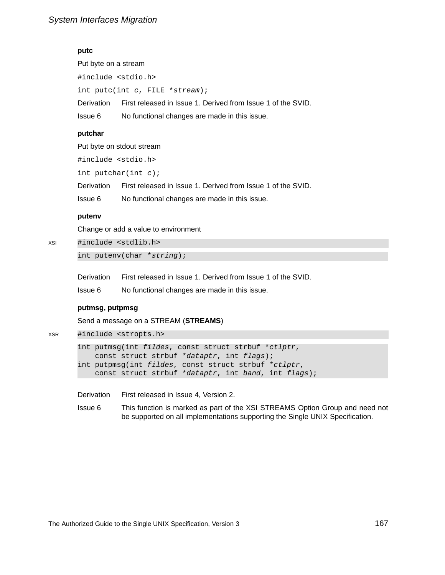# **putc**

Put byte on a stream

#include <stdio.h>

int putc(int c, FILE \*stream);

Derivation First released in Issue 1. Derived from Issue 1 of the SVID.

Issue 6 No functional changes are made in this issue.

# **putchar**

Put byte on stdout stream

#include <stdio.h>

int putchar(int  $c$ );

Derivation First released in Issue 1. Derived from Issue 1 of the SVID.

Issue 6 No functional changes are made in this issue.

# **putenv**

Change or add a value to environment

XSI #include <stdlib.h>

int putenv(char \*string);

Derivation First released in Issue 1. Derived from Issue 1 of the SVID.

Issue 6 No functional changes are made in this issue.

# **putmsg, putpmsg**

Send a message on a STREAM (**STREAMS**)

XSR #include <stropts.h>

int putmsg(int fildes, const struct strbuf \*ctlptr, const struct strbuf \*dataptr, int flags); int putpmsg(int fildes, const struct strbuf \*ctlptr, const struct strbuf \*dataptr, int band, int flags);

- Derivation First released in Issue 4, Version 2.
- Issue 6 This function is marked as part of the XSI STREAMS Option Group and need not be supported on all implementations supporting the Single UNIX Specification.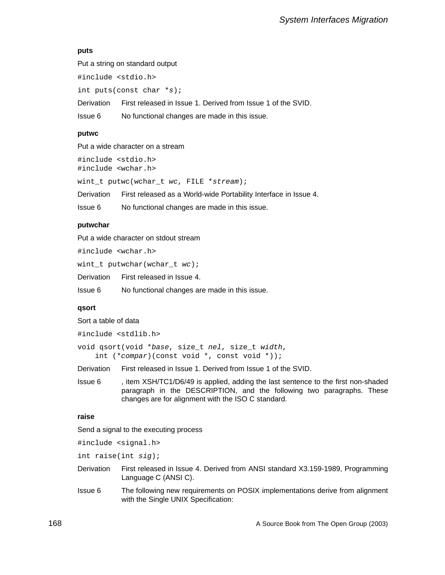# **puts**

Put a string on standard output

#include <stdio.h>

int puts(const char \*s);

Derivation First released in Issue 1. Derived from Issue 1 of the SVID.

Issue 6 No functional changes are made in this issue.

# **putwc**

Put a wide character on a stream

#include <stdio.h> #include <wchar.h>

wint\_t putwc(wchar\_t wc, FILE \*stream);

Derivation First released as a World-wide Portability Interface in Issue 4.

Issue 6 No functional changes are made in this issue.

# **putwchar**

Put a wide character on stdout stream

#include <wchar.h>

wint\_t putwchar(wchar\_t wc);

Derivation First released in Issue 4.

Issue 6 No functional changes are made in this issue.

# **qsort**

Sort a table of data

#include <stdlib.h>

void qsort(void \*base, size\_t nel, size\_t width, int (\*compar)(const void \*, const void \*));

Derivation First released in Issue 1. Derived from Issue 1 of the SVID.

Issue 6 , item XSH/TC1/D6/49 is applied, adding the last sentence to the first non-shaded paragraph in the DESCRIPTION, and the following two paragraphs. These changes are for alignment with the ISO C standard.

# **raise**

Send a signal to the executing process

#include <signal.h>

int raise(int sig);

- Derivation First released in Issue 4. Derived from ANSI standard X3.159-1989, Programming Language C (ANSI C).
- Issue 6 The following new requirements on POSIX implementations derive from alignment with the Single UNIX Specification: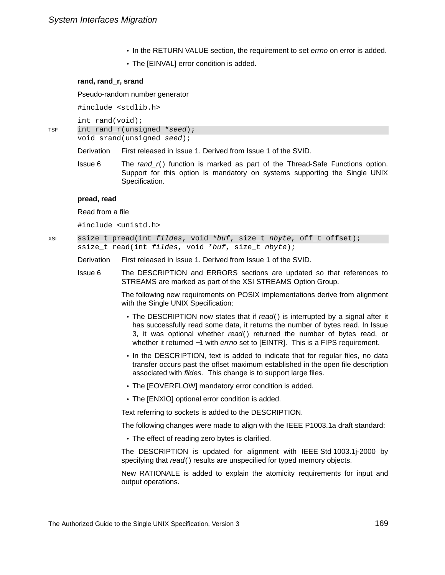- In the RETURN VALUE section, the requirement to set errno on error is added.
- The [EINVAL] error condition is added.

# **rand, rand\_r, srand**

Pseudo-random number generator

#include <stdlib.h>

int rand(void);

TSF int rand\_r(unsigned \*seed); void srand(unsigned seed);

Derivation First released in Issue 1. Derived from Issue 1 of the SVID.

Issue 6 The  $rand_r()$  function is marked as part of the Thread-Safe Functions option. Support for this option is mandatory on systems supporting the Single UNIX Specification.

#### **pread, read**

Read from a file

#include <unistd.h>

```
XSI ssize_t pread(int fildes, void *buf, size_t nbyte, off_t offset);
      ssize_t read(int fildes, void *buf, size_t nbyte);
```
Derivation First released in Issue 1. Derived from Issue 1 of the SVID.

Issue 6 The DESCRIPTION and ERRORS sections are updated so that references to STREAMS are marked as part of the XSI STREAMS Option Group.

> The following new requirements on POSIX implementations derive from alignment with the Single UNIX Specification:

- The DESCRIPTION now states that if  $read()$  is interrupted by a signal after it has successfully read some data, it returns the number of bytes read. In Issue 3, it was optional whether  $read()$  returned the number of bytes read, or whether it returned −1 with errno set to [EINTR]. This is a FIPS requirement.
- In the DESCRIPTION, text is added to indicate that for regular files, no data transfer occurs past the offset maximum established in the open file description associated with fildes. This change is to support large files.
- The [EOVERFLOW] mandatory error condition is added.
- The [ENXIO] optional error condition is added.

Text referring to sockets is added to the DESCRIPTION.

The following changes were made to align with the IEEE P1003.1a draft standard:

• The effect of reading zero bytes is clarified.

The DESCRIPTION is updated for alignment with IEEE Std 1003.1j-2000 by specifying that read() results are unspecified for typed memory objects.

New RATIONALE is added to explain the atomicity requirements for input and output operations.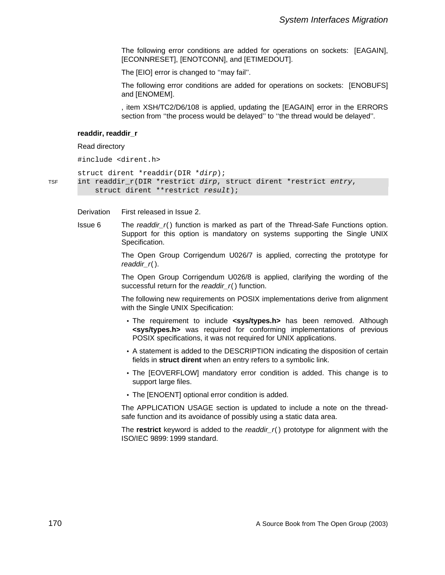The following error conditions are added for operations on sockets: [EAGAIN], [ECONNRESET], [ENOTCONN], and [ETIMEDOUT].

The [EIO] error is changed to ''may fail''.

The following error conditions are added for operations on sockets: [ENOBUFS] and [ENOMEM].

, item XSH/TC2/D6/108 is applied, updating the [EAGAIN] error in the ERRORS section from ''the process would be delayed'' to ''the thread would be delayed''.

#### **readdir, readdir\_r**

#### Read directory

#include <dirent.h>

struct dirent \*readdir(DIR \*dirp); TSF int readdir\_r(DIR \*restrict dirp, struct dirent \*restrict entry, struct dirent \*\*restrict result);

Derivation First released in Issue 2.

Issue 6 The readdir  $r(r)$  function is marked as part of the Thread-Safe Functions option. Support for this option is mandatory on systems supporting the Single UNIX Specification.

> The Open Group Corrigendum U026/7 is applied, correcting the prototype for readdir\_r( ).

> The Open Group Corrigendum U026/8 is applied, clarifying the wording of the successful return for the readdir $r(r)$  function.

> The following new requirements on POSIX implementations derive from alignment with the Single UNIX Specification:

- The requirement to include **<sys/types.h>** has been removed. Although **<sys/types.h>** was required for conforming implementations of previous POSIX specifications, it was not required for UNIX applications.
- A statement is added to the DESCRIPTION indicating the disposition of certain fields in **struct dirent** when an entry refers to a symbolic link.
- The [EOVERFLOW] mandatory error condition is added. This change is to support large files.
- The [ENOENT] optional error condition is added.

The APPLICATION USAGE section is updated to include a note on the threadsafe function and its avoidance of possibly using a static data area.

The **restrict** keyword is added to the readdir\_r( ) prototype for alignment with the ISO/IEC 9899: 1999 standard.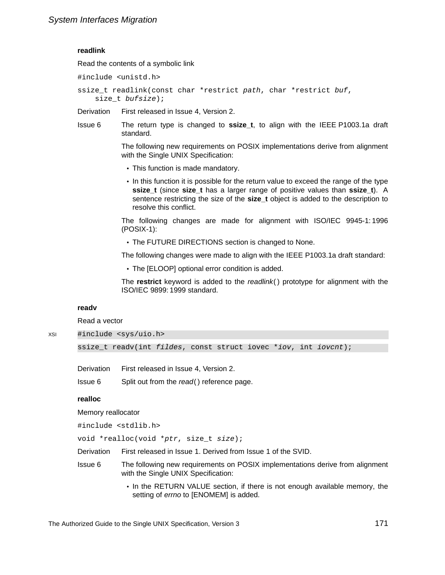#### **readlink**

Read the contents of a symbolic link

#include <unistd.h>

```
ssize_t readlink(const char *restrict path, char *restrict buf,
    size_t bufsize);
```
- Derivation First released in Issue 4, Version 2.
- Issue 6 The return type is changed to **ssize\_t**, to align with the IEEE P1003.1a draft standard.

The following new requirements on POSIX implementations derive from alignment with the Single UNIX Specification:

- This function is made mandatory.
- In this function it is possible for the return value to exceed the range of the type **ssize\_t** (since **size\_t** has a larger range of positive values than **ssize\_t**). A sentence restricting the size of the **size\_t** object is added to the description to resolve this conflict.

The following changes are made for alignment with ISO/IEC 9945-1: 1996 (POSIX-1):

• The FUTURE DIRECTIONS section is changed to None.

The following changes were made to align with the IEEE P1003.1a draft standard:

• The [ELOOP] optional error condition is added.

The **restrict** keyword is added to the readlink( ) prototype for alignment with the ISO/IEC 9899: 1999 standard.

#### **readv**

#### Read a vector

XSI #include <sys/uio.h>

ssize\_t readv(int fildes, const struct iovec \*iov, int iovcnt);

Derivation First released in Issue 4, Version 2.

Issue 6 Split out from the read() reference page.

# **realloc**

#### Memory reallocator

#include <stdlib.h>

void \*realloc(void \*ptr, size\_t size);

Derivation First released in Issue 1. Derived from Issue 1 of the SVID.

- Issue 6 The following new requirements on POSIX implementations derive from alignment with the Single UNIX Specification:
	- In the RETURN VALUE section, if there is not enough available memory, the setting of errno to [ENOMEM] is added.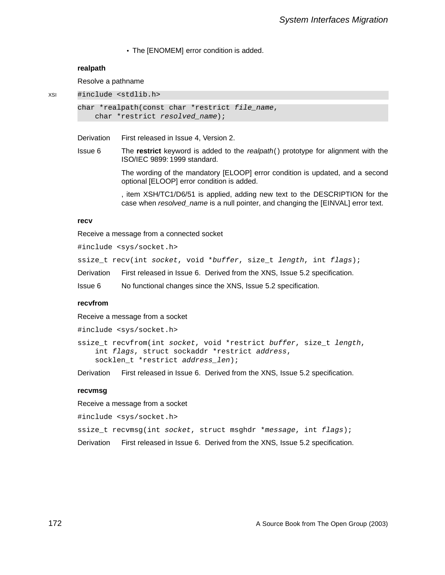• The [ENOMEM] error condition is added.

## **realpath**

Resolve a pathname

XSI #include <stdlib.h>

```
char *realpath(const char *restrict file_name,
   char *restrict resolved_name);
```
Derivation First released in Issue 4, Version 2.

Issue 6 The **restrict** keyword is added to the realpath( ) prototype for alignment with the ISO/IEC 9899: 1999 standard.

> The wording of the mandatory [ELOOP] error condition is updated, and a second optional [ELOOP] error condition is added.

> , item XSH/TC1/D6/51 is applied, adding new text to the DESCRIPTION for the case when resolved\_name is a null pointer, and changing the [EINVAL] error text.

# **recv**

Receive a message from a connected socket

#include <sys/socket.h>

ssize\_t recv(int socket, void \*buffer, size\_t length, int flags);

Derivation First released in Issue 6. Derived from the XNS, Issue 5.2 specification.

Issue 6 No functional changes since the XNS, Issue 5.2 specification.

## **recvfrom**

Receive a message from a socket

#include <sys/socket.h>

ssize\_t recvfrom(int socket, void \*restrict buffer, size\_t length, int flags, struct sockaddr \*restrict address, socklen\_t \*restrict address\_len);

Derivation First released in Issue 6. Derived from the XNS, Issue 5.2 specification.

# **recvmsg**

Receive a message from a socket

#include <sys/socket.h>

ssize\_t recvmsg(int socket, struct msghdr \*message, int flags);

Derivation First released in Issue 6. Derived from the XNS, Issue 5.2 specification.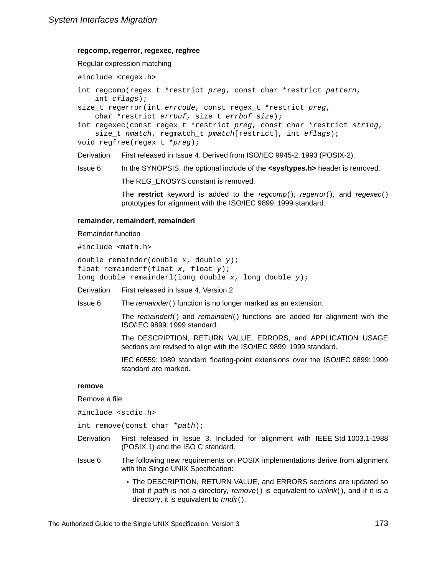## **regcomp, regerror, regexec, regfree**

Regular expression matching

#include <regex.h>

int regcomp(regex\_t \*restrict preg, const char \*restrict pattern, int cflags); size\_t regerror(int errcode, const regex\_t \*restrict preg, char \*restrict errbuf, size\_t errbuf\_size); int regexec(const regex\_t \*restrict preg, const char \*restrict string, size\_t nmatch, regmatch\_t pmatch[restrict], int eflags); void regfree(regex\_t \*preg); Derivation First released in Issue 4. Derived from ISO/IEC 9945-2: 1993 (POSIX-2). Issue 6 In the SYNOPSIS, the optional include of the **<sys/types.h>** header is removed.

The REG\_ENOSYS constant is removed.

The **restrict** keyword is added to the *regcomp*(), *regerror*(), and *regexec*() prototypes for alignment with the ISO/IEC 9899: 1999 standard.

#### **remainder, remainderf, remainderl**

#### Remainder function

#include <math.h>

double remainder(double  $x$ , double  $y$ ); float remainderf(float  $x$ , float  $y$ ); long double remainderl(long double  $x$ , long double  $y$ );

Derivation First released in Issue 4, Version 2.

Issue 6 The remainder() function is no longer marked as an extension.

The remainderf() and remainder $I($ ) functions are added for alignment with the ISO/IEC 9899: 1999 standard.

The DESCRIPTION, RETURN VALUE, ERRORS, and APPLICATION USAGE sections are revised to align with the ISO/IEC 9899: 1999 standard.

IEC 60559: 1989 standard floating-point extensions over the ISO/IEC 9899: 1999 standard are marked.

#### **remove**

# Remove a file

#include <stdio.h>

int remove(const char \*path);

- Derivation First released in Issue 3. Included for alignment with IEEE Std 1003.1-1988 (POSIX.1) and the ISO C standard.
- Issue 6 The following new requirements on POSIX implementations derive from alignment with the Single UNIX Specification:
	- The DESCRIPTION, RETURN VALUE, and ERRORS sections are updated so that if path is not a directory, remove() is equivalent to *unlink*(), and if it is a directory, it is equivalent to rmdir().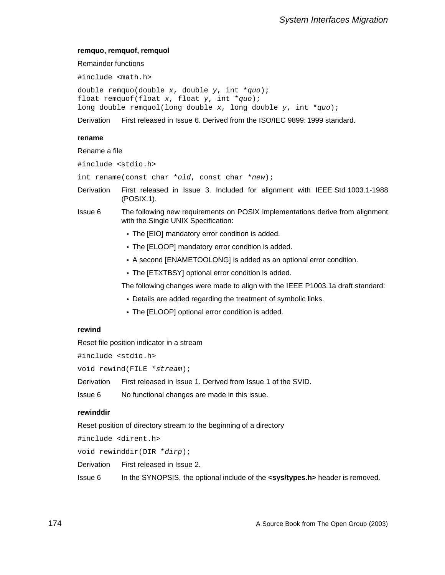# **remquo, remquof, remquol**

#### Remainder functions

#include <math.h>

double remquo(double x, double y, int  $*quo$ ); float remquof(float x, float y, int  $*quo$ ); long double remquol(long double x, long double y, int \*quo);

Derivation First released in Issue 6. Derived from the ISO/IEC 9899: 1999 standard.

#### **rename**

## Rename a file

#include <stdio.h>

int rename(const char \*old, const char \*new);

- Derivation First released in Issue 3. Included for alignment with IEEE Std 1003.1-1988 (POSIX.1).
- Issue 6 The following new requirements on POSIX implementations derive from alignment with the Single UNIX Specification:
	- The [EIO] mandatory error condition is added.
	- The [ELOOP] mandatory error condition is added.
	- A second [ENAMETOOLONG] is added as an optional error condition.
	- The [ETXTBSY] optional error condition is added.

The following changes were made to align with the IEEE P1003.1a draft standard:

- Details are added regarding the treatment of symbolic links.
- The [ELOOP] optional error condition is added.

## **rewind**

Reset file position indicator in a stream

#include <stdio.h>

void rewind(FILE \*stream);

Derivation First released in Issue 1. Derived from Issue 1 of the SVID.

Issue 6 No functional changes are made in this issue.

# **rewinddir**

Reset position of directory stream to the beginning of a directory

#include <dirent.h>

void rewinddir(DIR \*dirp);

Derivation First released in Issue 2.

Issue 6 In the SYNOPSIS, the optional include of the **<sys/types.h>** header is removed.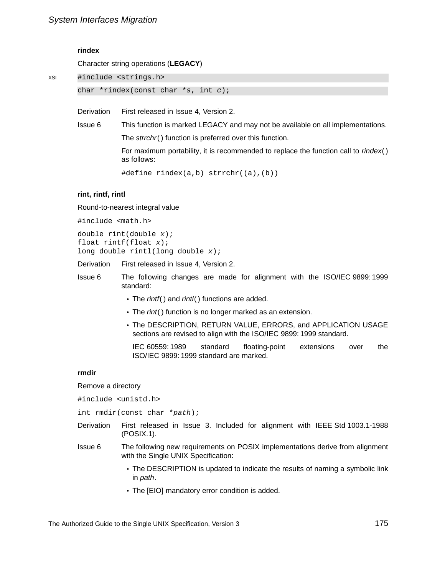## **rindex**

Character string operations (**LEGACY**)

```
XSI #include <strings.h>
```
char \*rindex(const char \*s, int  $c$ );

Derivation First released in Issue 4, Version 2.

Issue 6 This function is marked LEGACY and may not be available on all implementations.

The strrchr( ) function is preferred over this function.

For maximum portability, it is recommended to replace the function call to *rindex*() as follows:

#define rindex(a,b) strrchr((a),(b))

# **rint, rintf, rintl**

Round-to-nearest integral value

```
#include <math.h>
```

```
double rint(double x);
float rintf(float x);
long double rintl(long double x);
```
Derivation First released in Issue 4, Version 2.

- Issue 6 The following changes are made for alignment with the ISO/IEC 9899: 1999 standard:
	- The rintf() and rintl() functions are added.
	- The *rint*() function is no longer marked as an extension.
	- The DESCRIPTION, RETURN VALUE, ERRORS, and APPLICATION USAGE sections are revised to align with the ISO/IEC 9899: 1999 standard.

IEC 60559: 1989 standard floating-point extensions over the ISO/IEC 9899: 1999 standard are marked.

## **rmdir**

Remove a directory

#include <unistd.h>

int rmdir(const char \*path);

- Derivation First released in Issue 3. Included for alignment with IEEE Std 1003.1-1988 (POSIX.1).
- Issue 6 The following new requirements on POSIX implementations derive from alignment with the Single UNIX Specification:
	- The DESCRIPTION is updated to indicate the results of naming a symbolic link in path.
	- The [EIO] mandatory error condition is added.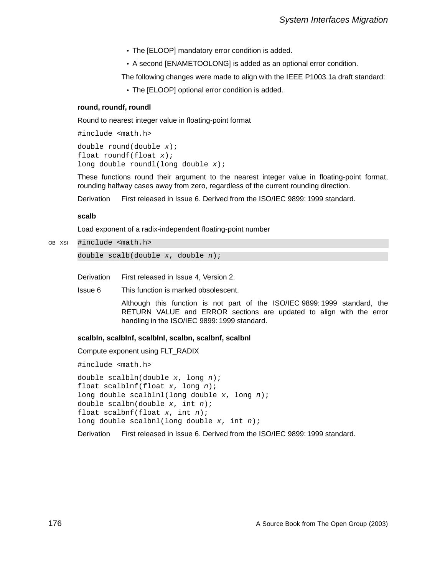- The [ELOOP] mandatory error condition is added.
- A second [ENAMETOOLONG] is added as an optional error condition.

The following changes were made to align with the IEEE P1003.1a draft standard:

• The [ELOOP] optional error condition is added.

# **round, roundf, roundl**

Round to nearest integer value in floating-point format

#include <math.h> double round(double x); float roundf(float x); long double roundl(long double x);

These functions round their argument to the nearest integer value in floating-point format, rounding halfway cases away from zero, regardless of the current rounding direction.

Derivation First released in Issue 6. Derived from the ISO/IEC 9899: 1999 standard.

## **scalb**

Load exponent of a radix-independent floating-point number

OB XSI #include <math.h>

double scalb(double x, double n);

Derivation First released in Issue 4, Version 2.

Issue 6 This function is marked obsolescent.

Although this function is not part of the ISO/IEC 9899: 1999 standard, the RETURN VALUE and ERROR sections are updated to align with the error handling in the ISO/IEC 9899: 1999 standard.

## **scalbln, scalblnf, scalblnl, scalbn, scalbnf, scalbnl**

Compute exponent using FLT\_RADIX

#include <math.h>

```
double scalbln(double x, long n);
float scalblnf(float x, long n);
long double scalblnl(long double x, long n);
double scalbn(double x, int n);
float scalbnf(float x, int n);
long double scalbnl(long double x, int n);
```
Derivation First released in Issue 6. Derived from the ISO/IEC 9899: 1999 standard.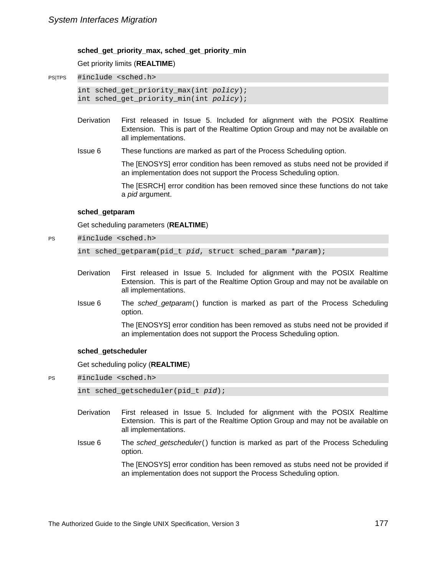#### **sched\_get\_priority\_max, sched\_get\_priority\_min**

Get priority limits (**REALTIME**)

```
PS|TPS #include <sched.h>
```

```
int sched_get_priority_max(int policy);
int sched_get_priority_min(int policy);
```
- Derivation First released in Issue 5. Included for alignment with the POSIX Realtime Extension. This is part of the Realtime Option Group and may not be available on all implementations.
- Issue 6 These functions are marked as part of the Process Scheduling option.

The [ENOSYS] error condition has been removed as stubs need not be provided if an implementation does not support the Process Scheduling option.

The [ESRCH] error condition has been removed since these functions do not take a pid argument.

#### **sched\_getparam**

Get scheduling parameters (**REALTIME**)

PS #include <sched.h>

int sched\_getparam(pid\_t pid, struct sched\_param \*param);

- Derivation First released in Issue 5. Included for alignment with the POSIX Realtime Extension. This is part of the Realtime Option Group and may not be available on all implementations.
- Issue 6 The sched\_getparam() function is marked as part of the Process Scheduling option.

The [ENOSYS] error condition has been removed as stubs need not be provided if an implementation does not support the Process Scheduling option.

#### **sched\_getscheduler**

Get scheduling policy (**REALTIME**)

PS #include <sched.h>

int sched\_getscheduler(pid\_t pid);

- Derivation First released in Issue 5. Included for alignment with the POSIX Realtime Extension. This is part of the Realtime Option Group and may not be available on all implementations.
- Issue 6 The sched\_getscheduler() function is marked as part of the Process Scheduling option.

The [ENOSYS] error condition has been removed as stubs need not be provided if an implementation does not support the Process Scheduling option.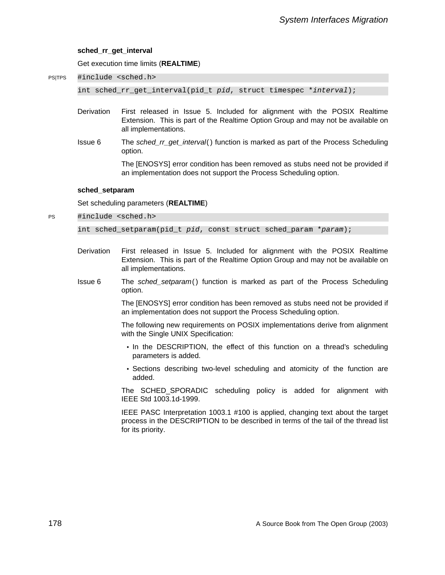# **sched\_rr\_get\_interval**

Get execution time limits (**REALTIME**)

PS|TPS #include <sched.h>

int sched\_rr\_get\_interval(pid\_t pid, struct timespec \*interval);

- Derivation First released in Issue 5. Included for alignment with the POSIX Realtime Extension. This is part of the Realtime Option Group and may not be available on all implementations.
- Issue 6 The sched\_rr\_get\_interval() function is marked as part of the Process Scheduling option.

The [ENOSYS] error condition has been removed as stubs need not be provided if an implementation does not support the Process Scheduling option.

#### **sched\_setparam**

Set scheduling parameters (**REALTIME**)

PS #include <sched.h>

int sched\_setparam(pid\_t pid, const struct sched\_param \*param);

- Derivation First released in Issue 5. Included for alignment with the POSIX Realtime Extension. This is part of the Realtime Option Group and may not be available on all implementations.
- Issue 6 The sched\_setparam() function is marked as part of the Process Scheduling option.

The [ENOSYS] error condition has been removed as stubs need not be provided if an implementation does not support the Process Scheduling option.

The following new requirements on POSIX implementations derive from alignment with the Single UNIX Specification:

- In the DESCRIPTION, the effect of this function on a thread's scheduling parameters is added.
- Sections describing two-level scheduling and atomicity of the function are added.

The SCHED\_SPORADIC scheduling policy is added for alignment with IEEE Std 1003.1d-1999.

IEEE PASC Interpretation 1003.1 #100 is applied, changing text about the target process in the DESCRIPTION to be described in terms of the tail of the thread list for its priority.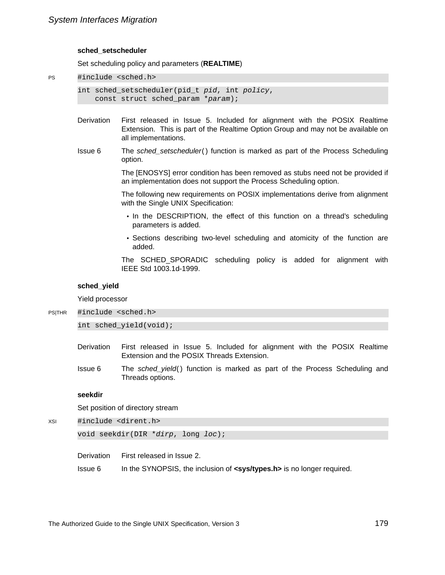#### **sched\_setscheduler**

Set scheduling policy and parameters (**REALTIME**)

PS #include <sched.h>

```
int sched_setscheduler(pid_t pid, int policy,
   const struct sched_param *param);
```
- Derivation First released in Issue 5. Included for alignment with the POSIX Realtime Extension. This is part of the Realtime Option Group and may not be available on all implementations.
- Issue 6 The sched\_setscheduler() function is marked as part of the Process Scheduling option.

The [ENOSYS] error condition has been removed as stubs need not be provided if an implementation does not support the Process Scheduling option.

The following new requirements on POSIX implementations derive from alignment with the Single UNIX Specification:

- In the DESCRIPTION, the effect of this function on a thread's scheduling parameters is added.
- Sections describing two-level scheduling and atomicity of the function are added.

The SCHED\_SPORADIC scheduling policy is added for alignment with IEEE Std 1003.1d-1999.

#### **sched\_yield**

Yield processor

PS|THR #include <sched.h>

int sched\_yield(void);

- Derivation First released in Issue 5. Included for alignment with the POSIX Realtime Extension and the POSIX Threads Extension.
- Issue 6 The sched\_yield() function is marked as part of the Process Scheduling and Threads options.

# **seekdir**

Set position of directory stream

XSI #include <dirent.h>

```
void seekdir(DIR *dirp, long loc);
```
Derivation First released in Issue 2.

Issue 6 In the SYNOPSIS, the inclusion of **<sys/types.h>** is no longer required.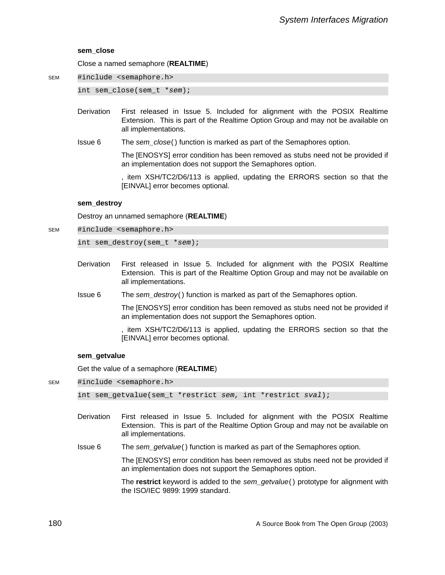### **sem\_close**

Close a named semaphore (**REALTIME**)

SEM #include <semaphore.h>

int sem\_close(sem\_t \*sem);

- Derivation First released in Issue 5. Included for alignment with the POSIX Realtime Extension. This is part of the Realtime Option Group and may not be available on all implementations.
- Issue 6 The sem\_close() function is marked as part of the Semaphores option.

The [ENOSYS] error condition has been removed as stubs need not be provided if an implementation does not support the Semaphores option.

item XSH/TC2/D6/113 is applied, updating the ERRORS section so that the [EINVAL] error becomes optional.

#### **sem\_destroy**

Destroy an unnamed semaphore (**REALTIME**)

SEM #include <semaphore.h>

int sem\_destroy(sem\_t \*sem);

- Derivation First released in Issue 5. Included for alignment with the POSIX Realtime Extension. This is part of the Realtime Option Group and may not be available on all implementations.
- Issue 6 The sem\_destroy() function is marked as part of the Semaphores option.

The [ENOSYS] error condition has been removed as stubs need not be provided if an implementation does not support the Semaphores option.

, item XSH/TC2/D6/113 is applied, updating the ERRORS section so that the [EINVAL] error becomes optional.

#### **sem\_getvalue**

Get the value of a semaphore (**REALTIME**)

SEM #include <semaphore.h>

int sem\_getvalue(sem\_t \*restrict sem, int \*restrict sval);

- Derivation First released in Issue 5. Included for alignment with the POSIX Realtime Extension. This is part of the Realtime Option Group and may not be available on all implementations.
- Issue 6 The sem\_getvalue() function is marked as part of the Semaphores option.

The [ENOSYS] error condition has been removed as stubs need not be provided if an implementation does not support the Semaphores option.

The **restrict** keyword is added to the sem\_getvalue( ) prototype for alignment with the ISO/IEC 9899: 1999 standard.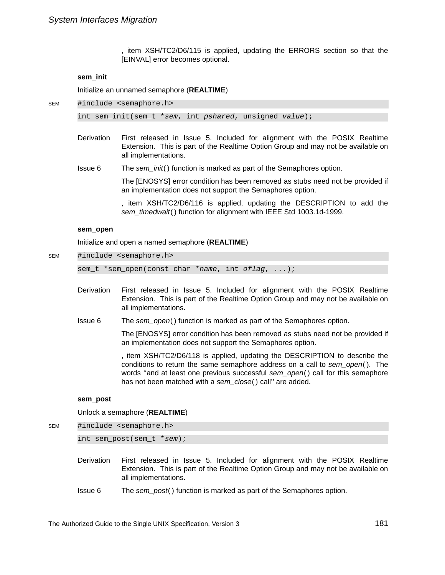, item XSH/TC2/D6/115 is applied, updating the ERRORS section so that the [EINVAL] error becomes optional.

### **sem\_init**

Initialize an unnamed semaphore (**REALTIME**)

SEM #include <semaphore.h>

int sem\_init(sem\_t \*sem, int pshared, unsigned value);

- Derivation First released in Issue 5. Included for alignment with the POSIX Realtime Extension. This is part of the Realtime Option Group and may not be available on all implementations.
- Issue 6 The sem\_init() function is marked as part of the Semaphores option.

The [ENOSYS] error condition has been removed as stubs need not be provided if an implementation does not support the Semaphores option.

, item XSH/TC2/D6/116 is applied, updating the DESCRIPTION to add the sem\_timedwait() function for alignment with IEEE Std 1003.1d-1999.

#### **sem\_open**

Initialize and open a named semaphore (**REALTIME**)

SEM #include <semaphore.h>

sem\_t \*sem\_open(const char \*name, int oflag, ...);

- Derivation First released in Issue 5. Included for alignment with the POSIX Realtime Extension. This is part of the Realtime Option Group and may not be available on all implementations.
- Issue 6 The sem\_open() function is marked as part of the Semaphores option.

The [ENOSYS] error condition has been removed as stubs need not be provided if an implementation does not support the Semaphores option.

, item XSH/TC2/D6/118 is applied, updating the DESCRIPTION to describe the conditions to return the same semaphore address on a call to sem\_open( ). The words "and at least one previous successful sem\_open() call for this semaphore has not been matched with a sem\_close() call" are added.

#### **sem\_post**

#### Unlock a semaphore (**REALTIME**)

SEM #include <semaphore.h>

int sem\_post(sem\_t \*sem);

- Derivation First released in Issue 5. Included for alignment with the POSIX Realtime Extension. This is part of the Realtime Option Group and may not be available on all implementations.
- Issue 6 The sem\_post() function is marked as part of the Semaphores option.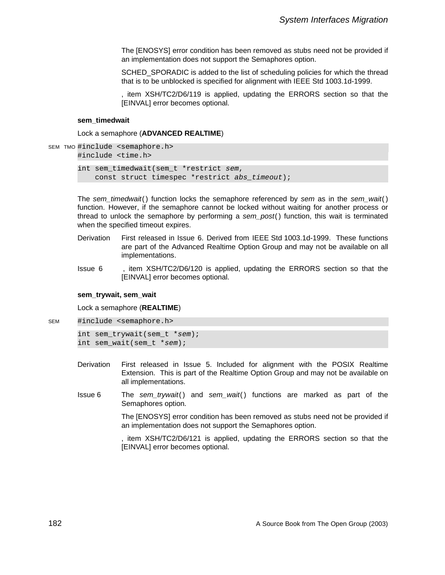The [ENOSYS] error condition has been removed as stubs need not be provided if an implementation does not support the Semaphores option.

SCHED\_SPORADIC is added to the list of scheduling policies for which the thread that is to be unblocked is specified for alignment with IEEE Std 1003.1d-1999.

item XSH/TC2/D6/119 is applied, updating the ERRORS section so that the [EINVAL] error becomes optional.

#### **sem\_timedwait**

Lock a semaphore (**ADVANCED REALTIME**)

```
SEM TMO #include <semaphore.h>
       #include <time.h>
```

```
int sem_timedwait(sem_t *restrict sem,
   const struct timespec *restrict abs_timeout);
```
The sem\_timedwait() function locks the semaphore referenced by sem as in the sem\_wait() function. However, if the semaphore cannot be locked without waiting for another process or thread to unlock the semaphore by performing a sem\_post() function, this wait is terminated when the specified timeout expires.

- Derivation First released in Issue 6. Derived from IEEE Std 1003.1d-1999. These functions are part of the Advanced Realtime Option Group and may not be available on all implementations.
- Issue 6 , item XSH/TC2/D6/120 is applied, updating the ERRORS section so that the [EINVAL] error becomes optional.

#### **sem\_trywait, sem\_wait**

Lock a semaphore (**REALTIME**)

SEM #include <semaphore.h>

```
int sem_trywait(sem_t *sem);
int sem_wait(sem_t *sem);
```
- Derivation First released in Issue 5. Included for alignment with the POSIX Realtime Extension. This is part of the Realtime Option Group and may not be available on all implementations.
- Issue 6 The sem\_trywait() and sem\_wait() functions are marked as part of the Semaphores option.

The [ENOSYS] error condition has been removed as stubs need not be provided if an implementation does not support the Semaphores option.

, item XSH/TC2/D6/121 is applied, updating the ERRORS section so that the [EINVAL] error becomes optional.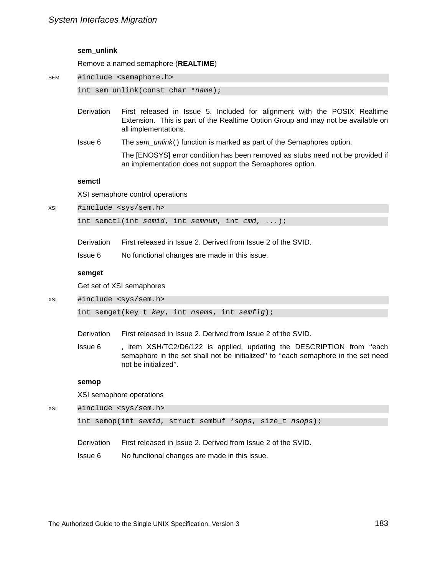### **sem\_unlink**

Remove a named semaphore (**REALTIME**)

```
SEM #include <semaphore.h>
```
int sem\_unlink(const char \*name);

- Derivation First released in Issue 5. Included for alignment with the POSIX Realtime Extension. This is part of the Realtime Option Group and may not be available on all implementations.
- Issue 6 The sem\_unlink() function is marked as part of the Semaphores option.

The [ENOSYS] error condition has been removed as stubs need not be provided if an implementation does not support the Semaphores option.

#### **semctl**

XSI semaphore control operations

XSI #include <sys/sem.h>

int semctl(int semid, int semnum, int cmd, ...);

Derivation First released in Issue 2. Derived from Issue 2 of the SVID.

Issue 6 No functional changes are made in this issue.

#### **semget**

Get set of XSI semaphores

XSI #include <sys/sem.h>

int semget(key\_t key, int nsems, int semflg);

Derivation First released in Issue 2. Derived from Issue 2 of the SVID.

Issue 6 , item XSH/TC2/D6/122 is applied, updating the DESCRIPTION from "each semaphore in the set shall not be initialized'' to ''each semaphore in the set need not be initialized''.

#### **semop**

XSI semaphore operations

XSI #include <sys/sem.h>

int semop(int semid, struct sembuf \*sops, size\_t nsops);

Derivation First released in Issue 2. Derived from Issue 2 of the SVID.

Issue 6 No functional changes are made in this issue.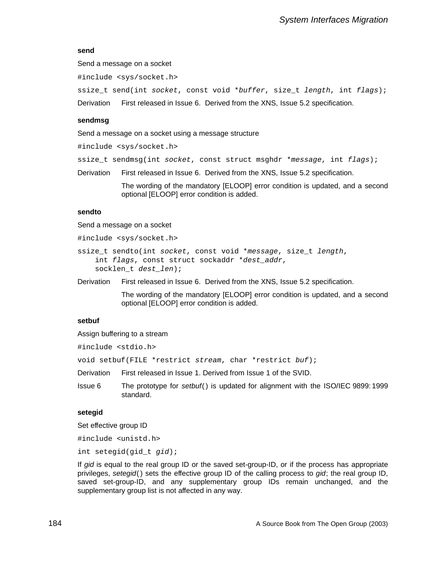### **send**

Send a message on a socket

#include <sys/socket.h>

ssize\_t send(int socket, const void \*buffer, size\_t length, int flags);

Derivation First released in Issue 6. Derived from the XNS, Issue 5.2 specification.

### **sendmsg**

Send a message on a socket using a message structure

#include <sys/socket.h>

ssize\_t sendmsg(int socket, const struct msghdr \*message, int flags);

Derivation First released in Issue 6. Derived from the XNS, Issue 5.2 specification.

The wording of the mandatory [ELOOP] error condition is updated, and a second optional [ELOOP] error condition is added.

### **sendto**

Send a message on a socket

#include <sys/socket.h>

ssize\_t sendto(int socket, const void \*message, size\_t length, int flags, const struct sockaddr \*dest\_addr, socklen\_t dest\_len);

Derivation First released in Issue 6. Derived from the XNS, Issue 5.2 specification.

The wording of the mandatory [ELOOP] error condition is updated, and a second optional [ELOOP] error condition is added.

# **setbuf**

Assign buffering to a stream

#include <stdio.h>

void setbuf(FILE \*restrict stream, char \*restrict buf);

Derivation First released in Issue 1. Derived from Issue 1 of the SVID.

Issue 6 The prototype for setbuf( ) is updated for alignment with the ISO/IEC 9899: 1999 standard.

### **setegid**

Set effective group ID

#include <unistd.h>

int setegid(gid\_t gid);

If gid is equal to the real group ID or the saved set-group-ID, or if the process has appropriate privileges, setegid() sets the effective group ID of the calling process to gid; the real group ID, saved set-group-ID, and any supplementary group IDs remain unchanged, and the supplementary group list is not affected in any way.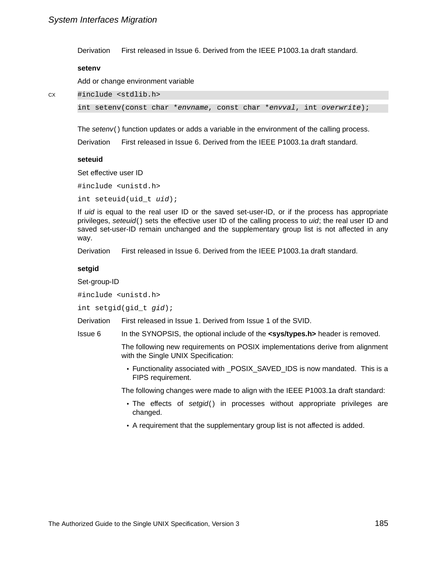Derivation First released in Issue 6. Derived from the IEEE P1003.1a draft standard.

#### **setenv**

Add or change environment variable

CX #include <stdlib.h>

int setenv(const char \*envname, const char \*envval, int overwrite);

The setenv() function updates or adds a variable in the environment of the calling process. Derivation First released in Issue 6. Derived from the IEEE P1003.1a draft standard.

#### **seteuid**

Set effective user ID

#include <unistd.h>

int seteuid(uid\_t uid);

If uid is equal to the real user ID or the saved set-user-ID, or if the process has appropriate privileges, seteuid() sets the effective user ID of the calling process to uid; the real user ID and saved set-user-ID remain unchanged and the supplementary group list is not affected in any way.

Derivation First released in Issue 6. Derived from the IEEE P1003.1a draft standard.

### **setgid**

Set-group-ID

#include <unistd.h>

int setgid(gid\_t gid);

Derivation First released in Issue 1. Derived from Issue 1 of the SVID.

Issue 6 In the SYNOPSIS, the optional include of the **<sys/types.h>** header is removed.

The following new requirements on POSIX implementations derive from alignment with the Single UNIX Specification:

• Functionality associated with \_POSIX\_SAVED\_IDS is now mandated. This is a FIPS requirement.

The following changes were made to align with the IEEE P1003.1a draft standard:

- The effects of setgid() in processes without appropriate privileges are changed.
- A requirement that the supplementary group list is not affected is added.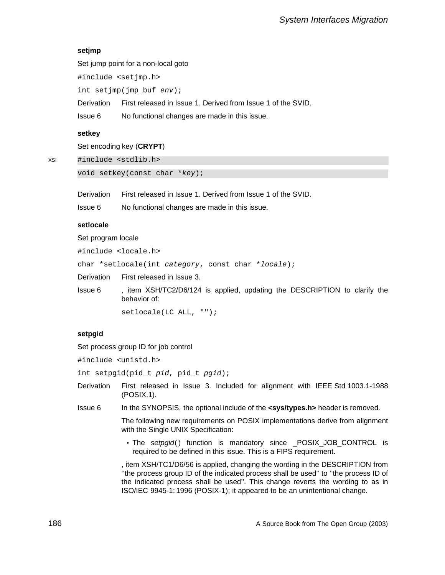# **setjmp**

Set jump point for a non-local goto

#include <setjmp.h>

int setjmp(jmp\_buf env);

Derivation First released in Issue 1. Derived from Issue 1 of the SVID.

Issue 6 No functional changes are made in this issue.

# **setkey**

Set encoding key (**CRYPT**)

XSI #include <stdlib.h>

void setkey(const char \*key);

Derivation First released in Issue 1. Derived from Issue 1 of the SVID.

Issue 6 No functional changes are made in this issue.

# **setlocale**

Set program locale

#include <locale.h>

char \*setlocale(int category, const char \*locale);

Derivation First released in Issue 3.

Issue 6 , item XSH/TC2/D6/124 is applied, updating the DESCRIPTION to clarify the behavior of:

setlocale(LC\_ALL, "");

# **setpgid**

Set process group ID for job control

#include <unistd.h>

int setpgid(pid\_t pid, pid\_t pgid);

Derivation First released in Issue 3. Included for alignment with IEEE Std 1003.1-1988 (POSIX.1).

Issue 6 In the SYNOPSIS, the optional include of the **<sys/types.h>** header is removed.

The following new requirements on POSIX implementations derive from alignment with the Single UNIX Specification:

• The setpgid() function is mandatory since \_POSIX\_JOB\_CONTROL is required to be defined in this issue. This is a FIPS requirement.

, item XSH/TC1/D6/56 is applied, changing the wording in the DESCRIPTION from ''the process group ID of the indicated process shall be used'' to ''the process ID of the indicated process shall be used''. This change reverts the wording to as in ISO/IEC 9945-1: 1996 (POSIX-1); it appeared to be an unintentional change.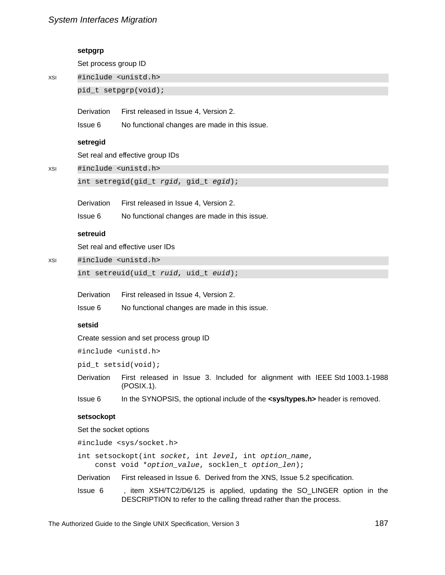**setpgrp**

Set process group ID

```
XSI #include <unistd.h>
```
pid\_t setpgrp(void);

Derivation First released in Issue 4, Version 2.

Issue 6 No functional changes are made in this issue.

**setregid**

Set real and effective group IDs

XSI #include <unistd.h>

```
int setregid(gid_t rgid, gid_t egid);
```
Derivation First released in Issue 4, Version 2.

Issue 6 No functional changes are made in this issue.

### **setreuid**

Set real and effective user IDs

XSI #include <unistd.h>

int setreuid(uid\_t ruid, uid\_t euid);

Derivation First released in Issue 4, Version 2.

Issue 6 No functional changes are made in this issue.

### **setsid**

Create session and set process group ID

#include <unistd.h>

pid\_t setsid(void);

Derivation First released in Issue 3. Included for alignment with IEEE Std 1003.1-1988 (POSIX.1).

Issue 6 In the SYNOPSIS, the optional include of the **<sys/types.h>** header is removed.

# **setsockopt**

Set the socket options

#include <sys/socket.h>

int setsockopt(int socket, int level, int option\_name, const void \*option\_value, socklen\_t option\_len);

Derivation First released in Issue 6. Derived from the XNS, Issue 5.2 specification.

Issue 6 , item XSH/TC2/D6/125 is applied, updating the SO\_LINGER option in the DESCRIPTION to refer to the calling thread rather than the process.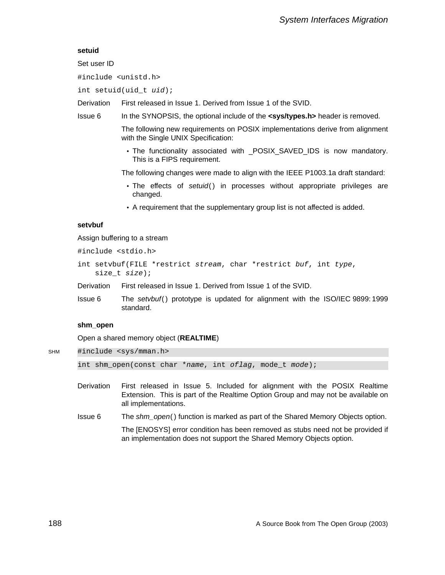# **setuid**

Set user ID

#include <unistd.h>

int setuid(uid\_t uid);

Derivation First released in Issue 1. Derived from Issue 1 of the SVID.

Issue 6 In the SYNOPSIS, the optional include of the **<sys/types.h>** header is removed.

The following new requirements on POSIX implementations derive from alignment with the Single UNIX Specification:

• The functionality associated with \_POSIX\_SAVED\_IDS is now mandatory. This is a FIPS requirement.

The following changes were made to align with the IEEE P1003.1a draft standard:

- The effects of setuid() in processes without appropriate privileges are changed.
- A requirement that the supplementary group list is not affected is added.

## **setvbuf**

Assign buffering to a stream

#include <stdio.h>

int setvbuf(FILE \*restrict stream, char \*restrict buf, int type, size\_t size);

Derivation First released in Issue 1. Derived from Issue 1 of the SVID.

Issue 6 The setvbuf() prototype is updated for alignment with the ISO/IEC 9899: 1999 standard.

### **shm\_open**

Open a shared memory object (**REALTIME**)

SHM #include <sys/mman.h>

int shm\_open(const char \*name, int oflag, mode\_t mode);

- Derivation First released in Issue 5. Included for alignment with the POSIX Realtime Extension. This is part of the Realtime Option Group and may not be available on all implementations.
- Issue 6 The shm\_open() function is marked as part of the Shared Memory Objects option.

The [ENOSYS] error condition has been removed as stubs need not be provided if an implementation does not support the Shared Memory Objects option.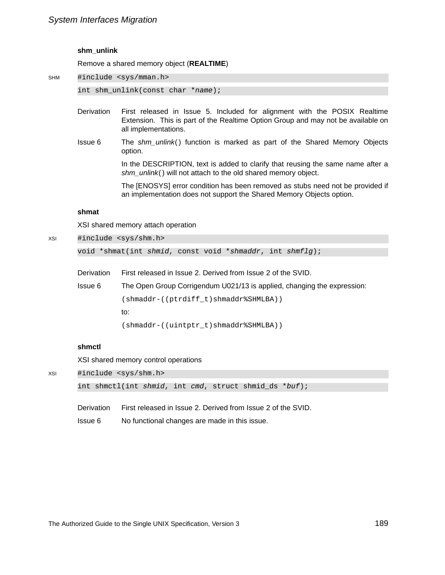### **shm\_unlink**

Remove a shared memory object (**REALTIME**)

SHM #include <sys/mman.h>

```
int shm_unlink(const char *name);
```
- Derivation First released in Issue 5. Included for alignment with the POSIX Realtime Extension. This is part of the Realtime Option Group and may not be available on all implementations.
- Issue 6 The shm\_unlink() function is marked as part of the Shared Memory Objects option.

In the DESCRIPTION, text is added to clarify that reusing the same name after a shm\_unlink() will not attach to the old shared memory object.

The [ENOSYS] error condition has been removed as stubs need not be provided if an implementation does not support the Shared Memory Objects option.

### **shmat**

XSI shared memory attach operation

XSI #include <sys/shm.h>

void \*shmat(int shmid, const void \*shmaddr, int shmflg);

| First released in Issue 2. Derived from Issue 2 of the SVID.<br>Derivation |  |
|----------------------------------------------------------------------------|--|
|----------------------------------------------------------------------------|--|

Issue 6 The Open Group Corrigendum U021/13 is applied, changing the expression:

(shmaddr-((ptrdiff\_t)shmaddr%SHMLBA)) to:

(shmaddr-((uintptr\_t)shmaddr%SHMLBA))

## **shmctl**

XSI shared memory control operations

XSI #include <sys/shm.h>

int shmctl(int shmid, int cmd, struct shmid\_ds \*buf);

Derivation First released in Issue 2. Derived from Issue 2 of the SVID.

Issue 6 No functional changes are made in this issue.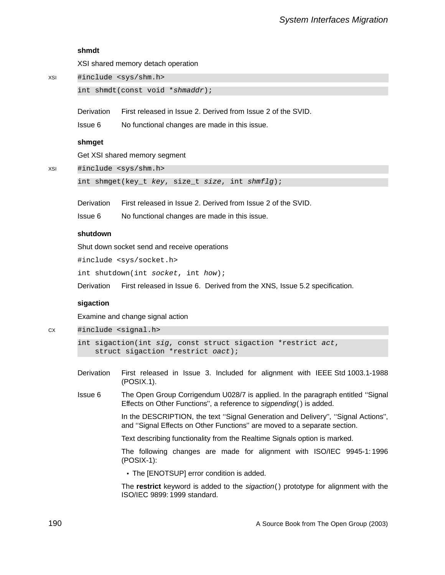# **shmdt**

XSI shared memory detach operation

```
XSI #include <sys/shm.h>
```

```
int shmdt(const void *shmaddr);
```
Derivation First released in Issue 2. Derived from Issue 2 of the SVID.

Issue 6 No functional changes are made in this issue.

# **shmget**

Get XSI shared memory segment

XSI #include <sys/shm.h>

int shmget(key\_t key, size\_t size, int shmflg);

Derivation First released in Issue 2. Derived from Issue 2 of the SVID.

Issue 6 No functional changes are made in this issue.

# **shutdown**

Shut down socket send and receive operations

#include <sys/socket.h>

int shutdown(int socket, int how);

Derivation First released in Issue 6. Derived from the XNS, Issue 5.2 specification.

# **sigaction**

Examine and change signal action

CX #include <signal.h>

```
int sigaction(int sig, const struct sigaction *restrict act,
    struct sigaction *restrict oact);
```
- Derivation First released in Issue 3. Included for alignment with IEEE Std 1003.1-1988 (POSIX.1).
- Issue 6 The Open Group Corrigendum U028/7 is applied. In the paragraph entitled ''Signal Effects on Other Functions'', a reference to sigpending( ) is added.

In the DESCRIPTION, the text ''Signal Generation and Delivery'', ''Signal Actions'', and ''Signal Effects on Other Functions'' are moved to a separate section.

Text describing functionality from the Realtime Signals option is marked.

The following changes are made for alignment with ISO/IEC 9945-1: 1996 (POSIX-1):

• The [ENOTSUP] error condition is added.

The **restrict** keyword is added to the sigaction( ) prototype for alignment with the ISO/IEC 9899: 1999 standard.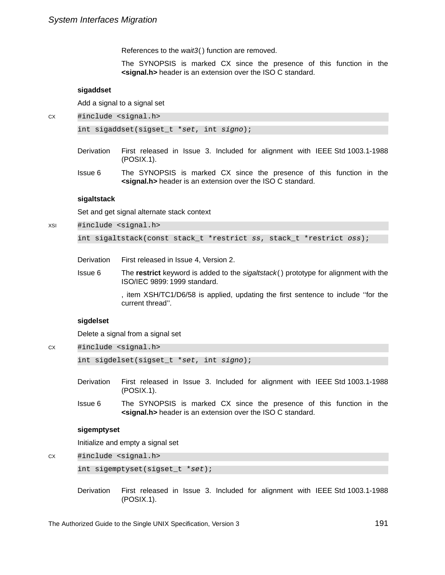References to the wait3( ) function are removed.

The SYNOPSIS is marked CX since the presence of this function in the **<signal.h>** header is an extension over the ISO C standard.

### **sigaddset**

Add a signal to a signal set

CX #include <signal.h>

int sigaddset(sigset\_t \*set, int signo);

- Derivation First released in Issue 3. Included for alignment with IEEE Std 1003.1-1988 (POSIX.1).
- Issue 6 The SYNOPSIS is marked CX since the presence of this function in the **<signal.h>** header is an extension over the ISO C standard.

#### **sigaltstack**

Set and get signal alternate stack context

XSI #include <signal.h>

int sigaltstack(const stack\_t \*restrict ss, stack\_t \*restrict oss);

Derivation First released in Issue 4, Version 2.

Issue 6 The **restrict** keyword is added to the sigaltstack( ) prototype for alignment with the ISO/IEC 9899: 1999 standard.

> , item XSH/TC1/D6/58 is applied, updating the first sentence to include ''for the current thread''.

#### **sigdelset**

Delete a signal from a signal set

CX #include <signal.h>

int sigdelset(sigset\_t \*set, int signo);

- Derivation First released in Issue 3. Included for alignment with IEEE Std 1003.1-1988 (POSIX.1).
- Issue 6 The SYNOPSIS is marked CX since the presence of this function in the **<signal.h>** header is an extension over the ISO C standard.

### **sigemptyset**

Initialize and empty a signal set

CX #include <signal.h>

int sigemptyset(sigset\_t \*set);

Derivation First released in Issue 3. Included for alignment with IEEE Std 1003.1-1988 (POSIX.1).

The Authorized Guide to the Single UNIX Specification, Version 3 191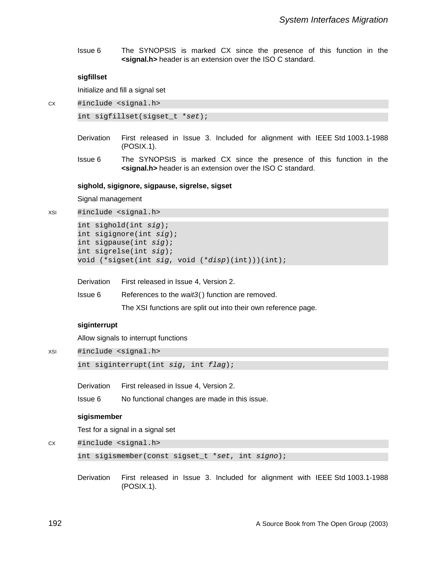Issue 6 The SYNOPSIS is marked CX since the presence of this function in the **<signal.h>** header is an extension over the ISO C standard.

### **sigfillset**

Initialize and fill a signal set

CX #include <signal.h>

int sigfillset(sigset\_t \*set);

- Derivation First released in Issue 3. Included for alignment with IEEE Std 1003.1-1988 (POSIX.1).
- Issue 6 The SYNOPSIS is marked CX since the presence of this function in the **<signal.h>** header is an extension over the ISO C standard.

#### **sighold, sigignore, sigpause, sigrelse, sigset**

Signal management

XSI #include <signal.h>

```
int sighold(int sig);
int sigignore(int sig);
int sigpause(int sig);
int sigrelse(int sig);
void (*sigset(int sig, void (*disp)(int)))(int);
```
- Derivation First released in Issue 4, Version 2.
- Issue 6 References to the wait3() function are removed.

The XSI functions are split out into their own reference page.

### **siginterrupt**

Allow signals to interrupt functions

XSI #include <signal.h>

int siginterrupt(int sig, int flag);

Derivation First released in Issue 4, Version 2.

Issue 6 No functional changes are made in this issue.

### **sigismember**

Test for a signal in a signal set

CX #include <signal.h>

int sigismember(const sigset\_t \*set, int signo);

Derivation First released in Issue 3. Included for alignment with IEEE Std 1003.1-1988 (POSIX.1).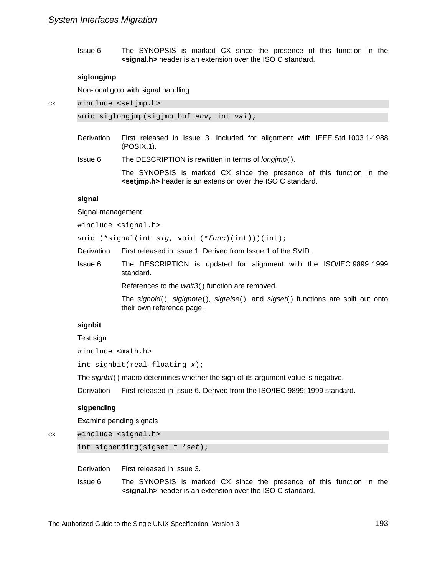Issue 6 The SYNOPSIS is marked CX since the presence of this function in the **<signal.h>** header is an extension over the ISO C standard.

### **siglongjmp**

Non-local goto with signal handling

CX #include <setjmp.h>

void siglongjmp(sigjmp\_buf env, int val);

- Derivation First released in Issue 3. Included for alignment with IEEE Std 1003.1-1988 (POSIX.1).
- Issue 6 The DESCRIPTION is rewritten in terms of longimp().

The SYNOPSIS is marked CX since the presence of this function in the **<setjmp.h>** header is an extension over the ISO C standard.

### **signal**

Signal management

#include <signal.h>

void (\*signal(int sig, void (\*func)(int)))(int);

Derivation First released in Issue 1. Derived from Issue 1 of the SVID.

Issue 6 The DESCRIPTION is updated for alignment with the ISO/IEC 9899: 1999 standard.

References to the wait3( ) function are removed.

The sighold( ), sigignore( ), sigrelse( ), and sigset( ) functions are split out onto their own reference page.

### **signbit**

Test sign

#include <math.h>

int signbit(real-floating x);

The signbit() macro determines whether the sign of its argument value is negative.

Derivation First released in Issue 6. Derived from the ISO/IEC 9899: 1999 standard.

## **sigpending**

Examine pending signals

CX #include <signal.h>

int sigpending(sigset\_t \*set);

Derivation First released in Issue 3.

Issue 6 The SYNOPSIS is marked CX since the presence of this function in the **<signal.h>** header is an extension over the ISO C standard.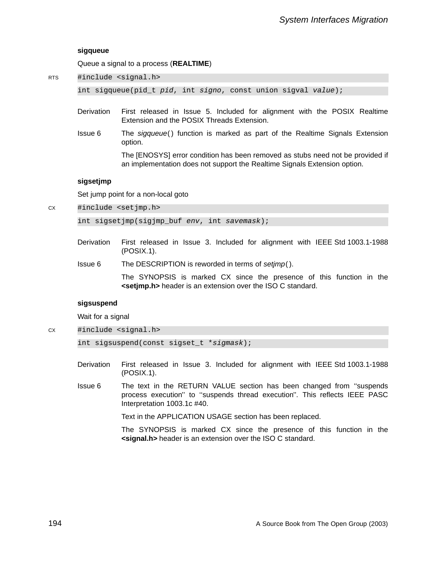### **sigqueue**

Queue a signal to a process (**REALTIME**)

RTS #include <signal.h>

int sigqueue(pid\_t pid, int signo, const union sigval value);

- Derivation First released in Issue 5. Included for alignment with the POSIX Realtime Extension and the POSIX Threads Extension.
- Issue 6 The sigqueue() function is marked as part of the Realtime Signals Extension option.

The [ENOSYS] error condition has been removed as stubs need not be provided if an implementation does not support the Realtime Signals Extension option.

### **sigsetjmp**

Set jump point for a non-local goto

CX #include <setjmp.h>

int sigsetjmp(sigjmp\_buf env, int savemask);

- Derivation First released in Issue 3. Included for alignment with IEEE Std 1003.1-1988 (POSIX.1).
- Issue 6 The DESCRIPTION is reworded in terms of setimp().

The SYNOPSIS is marked CX since the presence of this function in the **<setjmp.h>** header is an extension over the ISO C standard.

### **sigsuspend**

Wait for a signal

CX #include <signal.h>

int sigsuspend(const sigset\_t \*sigmask);

- Derivation First released in Issue 3. Included for alignment with IEEE Std 1003.1-1988 (POSIX.1).
- Issue 6 The text in the RETURN VALUE section has been changed from ''suspends process execution'' to ''suspends thread execution''. This reflects IEEE PASC Interpretation 1003.1c #40.

Text in the APPLICATION USAGE section has been replaced.

The SYNOPSIS is marked CX since the presence of this function in the **<signal.h>** header is an extension over the ISO C standard.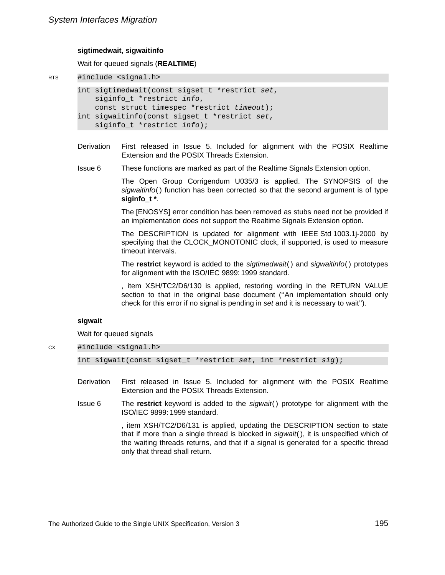### **sigtimedwait, sigwaitinfo**

Wait for queued signals (**REALTIME**)

RTS #include <signal.h>

```
int sigtimedwait(const sigset_t *restrict set,
   siginfo_t *restrict info,
   const struct timespec *restrict timeout);
int sigwaitinfo(const sigset_t *restrict set,
   siginfo_t *restrict info);
```
- Derivation First released in Issue 5. Included for alignment with the POSIX Realtime Extension and the POSIX Threads Extension.
- Issue 6 These functions are marked as part of the Realtime Signals Extension option.

The Open Group Corrigendum U035/3 is applied. The SYNOPSIS of the sigwaitinfo() function has been corrected so that the second argument is of type **siginfo\_t \***.

The [ENOSYS] error condition has been removed as stubs need not be provided if an implementation does not support the Realtime Signals Extension option.

The DESCRIPTION is updated for alignment with IEEE Std 1003.1j-2000 by specifying that the CLOCK\_MONOTONIC clock, if supported, is used to measure timeout intervals.

The **restrict** keyword is added to the sigtimedwait( ) and sigwaitinfo( ) prototypes for alignment with the ISO/IEC 9899: 1999 standard.

, item XSH/TC2/D6/130 is applied, restoring wording in the RETURN VALUE section to that in the original base document (''An implementation should only check for this error if no signal is pending in set and it is necessary to wait'').

#### **sigwait**

Wait for queued signals

CX #include <signal.h>

int sigwait(const sigset\_t \*restrict set, int \*restrict sig);

- Derivation First released in Issue 5. Included for alignment with the POSIX Realtime Extension and the POSIX Threads Extension.
- Issue 6 The **restrict** keyword is added to the sigwait( ) prototype for alignment with the ISO/IEC 9899: 1999 standard.

, item XSH/TC2/D6/131 is applied, updating the DESCRIPTION section to state that if more than a single thread is blocked in  $sigmoid$ , it is unspecified which of the waiting threads returns, and that if a signal is generated for a specific thread only that thread shall return.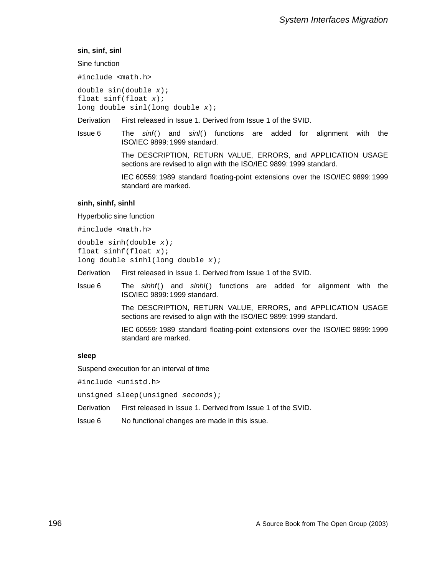### **sin, sinf, sinl**

Sine function

#include <math.h>

double  $sin(double x)$ ; float sinf(float x); long double sinl(long double x);

Derivation First released in Issue 1. Derived from Issue 1 of the SVID.

Issue 6 The sinf() and sin/() functions are added for alignment with the ISO/IEC 9899: 1999 standard.

> The DESCRIPTION, RETURN VALUE, ERRORS, and APPLICATION USAGE sections are revised to align with the ISO/IEC 9899: 1999 standard.

> IEC 60559: 1989 standard floating-point extensions over the ISO/IEC 9899: 1999 standard are marked.

### **sinh, sinhf, sinhl**

Hyperbolic sine function

#include <math.h>

double  $sinh(double x)$ ; float  $sinhf(fload x)$ ; long double sinhl(long double x);

Derivation First released in Issue 1. Derived from Issue 1 of the SVID.

Issue 6 The  $sinh(f)$  and  $sinh(f)$  functions are added for alignment with the ISO/IEC 9899: 1999 standard.

> The DESCRIPTION, RETURN VALUE, ERRORS, and APPLICATION USAGE sections are revised to align with the ISO/IEC 9899: 1999 standard.

> IEC 60559: 1989 standard floating-point extensions over the ISO/IEC 9899: 1999 standard are marked.

# **sleep**

Suspend execution for an interval of time

#include <unistd.h>

unsigned sleep(unsigned seconds);

- Derivation First released in Issue 1. Derived from Issue 1 of the SVID.
- Issue 6 No functional changes are made in this issue.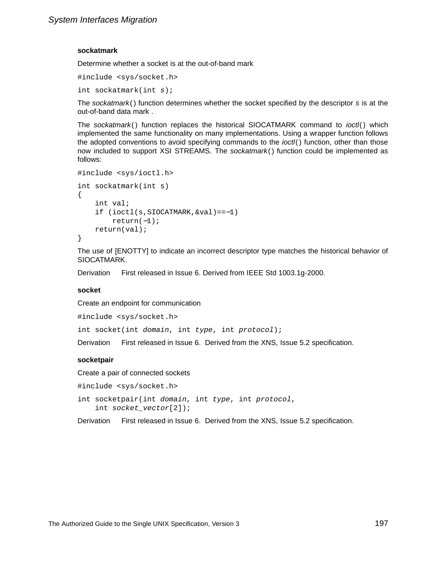### **sockatmark**

Determine whether a socket is at the out-of-band mark

#include <sys/socket.h>

int sockatmark(int s);

The sockatmark( ) function determines whether the socket specified by the descriptor s is at the out-of-band data mark .

The sockatmark() function replaces the historical SIOCATMARK command to  $i$ octl() which implemented the same functionality on many implementations. Using a wrapper function follows the adopted conventions to avoid specifying commands to the *ioctl*() function, other than those now included to support XSI STREAMS. The sockatmark() function could be implemented as follows:

```
#include <sys/ioctl.h>
int sockatmark(int s)
\{int val;
    if (ioctl(s,SIOCATMARK,&val)==−1)
        return(−1);
   return(val);
}
```
The use of [ENOTTY] to indicate an incorrect descriptor type matches the historical behavior of SIOCATMARK.

Derivation First released in Issue 6. Derived from IEEE Std 1003.1g-2000.

#### **socket**

Create an endpoint for communication

#include <sys/socket.h>

int socket(int domain, int type, int protocol);

Derivation First released in Issue 6. Derived from the XNS, Issue 5.2 specification.

### **socketpair**

Create a pair of connected sockets

```
#include <sys/socket.h>
```
int socketpair(int domain, int type, int protocol, int socket\_vector[2]);

Derivation First released in Issue 6. Derived from the XNS, Issue 5.2 specification.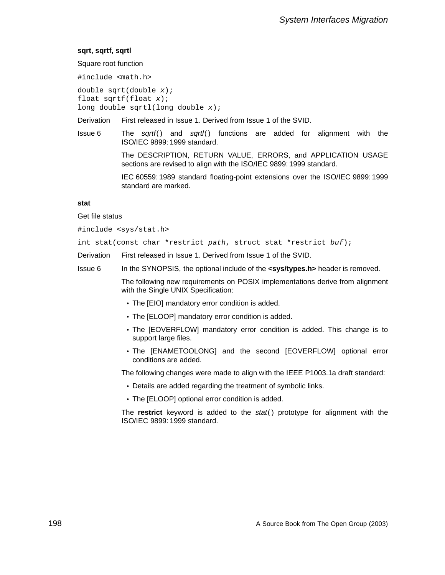# **sqrt, sqrtf, sqrtl**

Square root function

#include <math.h>

double  $sqrt(A\text{ouble } x)$ ; float sqrtf(float x); long double sqrtl(long double x);

Derivation First released in Issue 1. Derived from Issue 1 of the SVID.

Issue 6 The sqrtf() and sqrtl() functions are added for alignment with the ISO/IEC 9899: 1999 standard.

> The DESCRIPTION, RETURN VALUE, ERRORS, and APPLICATION USAGE sections are revised to align with the ISO/IEC 9899: 1999 standard.

> IEC 60559: 1989 standard floating-point extensions over the ISO/IEC 9899: 1999 standard are marked.

## **stat**

### Get file status

#include <sys/stat.h>

int stat(const char \*restrict path, struct stat \*restrict buf);

Derivation First released in Issue 1. Derived from Issue 1 of the SVID.

Issue 6 In the SYNOPSIS, the optional include of the **<sys/types.h>** header is removed.

The following new requirements on POSIX implementations derive from alignment with the Single UNIX Specification:

- The [EIO] mandatory error condition is added.
- The [ELOOP] mandatory error condition is added.
- The [EOVERFLOW] mandatory error condition is added. This change is to support large files.
- The [ENAMETOOLONG] and the second [EOVERFLOW] optional error conditions are added.

The following changes were made to align with the IEEE P1003.1a draft standard:

- Details are added regarding the treatment of symbolic links.
- The [ELOOP] optional error condition is added.

The **restrict** keyword is added to the stat( ) prototype for alignment with the ISO/IEC 9899: 1999 standard.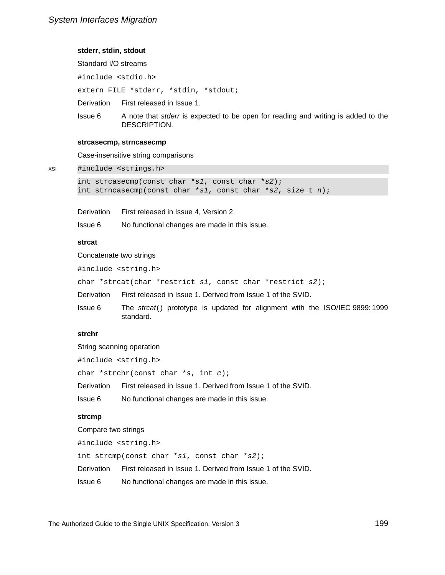#### **stderr, stdin, stdout**

Standard I/O streams

#include <stdio.h>

extern FILE \*stderr, \*stdin, \*stdout;

Derivation First released in Issue 1.

Issue 6 A note that *stderr* is expected to be open for reading and writing is added to the DESCRIPTION.

### **strcasecmp, strncasecmp**

Case-insensitive string comparisons

XSI #include <strings.h>

```
int strcasecmp(const char *s1, const char *s2);
int strncasecmp(const char *s1, const char *s2, size_t n);
```
Derivation First released in Issue 4, Version 2.

Issue 6 No functional changes are made in this issue.

### **strcat**

Concatenate two strings

#include <string.h>

char \*strcat(char \*restrict s1, const char \*restrict s2);

- Derivation First released in Issue 1. Derived from Issue 1 of the SVID.
- Issue 6 The strcat( ) prototype is updated for alignment with the ISO/IEC 9899: 1999 standard.

# **strchr**

String scanning operation

#include <string.h>

char \*strchr(const char \*s, int  $c$ );

Derivation First released in Issue 1. Derived from Issue 1 of the SVID.

Issue 6 No functional changes are made in this issue.

#### **strcmp**

Compare two strings

#include <string.h>

int strcmp(const char \*s1, const char \*s2);

Derivation First released in Issue 1. Derived from Issue 1 of the SVID.

Issue 6 No functional changes are made in this issue.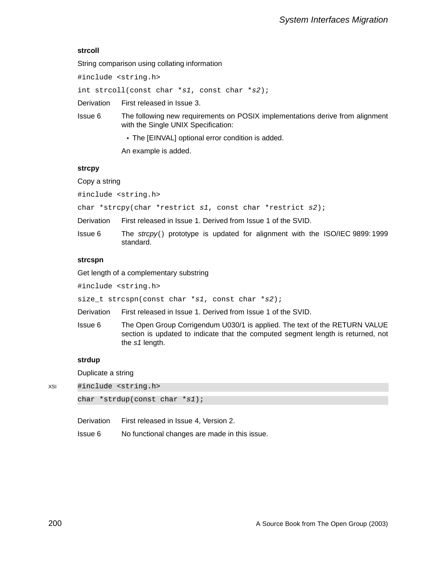# **strcoll**

String comparison using collating information

#include <string.h>

int strcoll(const char \*s1, const char \*s2);

Derivation First released in Issue 3.

- Issue 6 The following new requirements on POSIX implementations derive from alignment with the Single UNIX Specification:
	- The [EINVAL] optional error condition is added.

An example is added.

### **strcpy**

Copy a string

#include <string.h>

char \*strcpy(char \*restrict s1, const char \*restrict s2);

Derivation First released in Issue 1. Derived from Issue 1 of the SVID.

Issue 6 The strcpy( ) prototype is updated for alignment with the ISO/IEC 9899: 1999 standard.

### **strcspn**

Get length of a complementary substring

#include <string.h>

size\_t strcspn(const char \*s1, const char \*s2);

- Derivation First released in Issue 1. Derived from Issue 1 of the SVID.
- Issue 6 The Open Group Corrigendum U030/1 is applied. The text of the RETURN VALUE section is updated to indicate that the computed segment length is returned, not the s1 length.

### **strdup**

Duplicate a string

XSI #include <string.h>

char \*strdup(const char \*s1);

Derivation First released in Issue 4, Version 2.

Issue 6 No functional changes are made in this issue.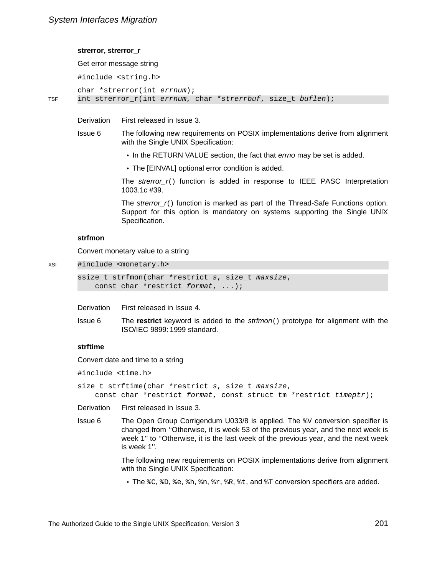#### **strerror, strerror\_r**

Get error message string

#include <string.h>

char \*strerror(int errnum);

TSF int strerror\_r(int errnum, char \*strerrbuf, size\_t buflen);

Derivation First released in Issue 3.

- Issue 6 The following new requirements on POSIX implementations derive from alignment with the Single UNIX Specification:
	- In the RETURN VALUE section, the fact that errno may be set is added.
	- The [EINVAL] optional error condition is added.

The strerror\_r() function is added in response to IEEE PASC Interpretation 1003.1c #39.

The strerror<sub> $\Gamma$ </sub> function is marked as part of the Thread-Safe Functions option. Support for this option is mandatory on systems supporting the Single UNIX Specification.

### **strfmon**

Convert monetary value to a string

XSI #include <monetary.h>

```
ssize_t strfmon(char *restrict s, size_t maxsize,
    const char *restrict format, ...);
```
Derivation First released in Issue 4.

Issue 6 The **restrict** keyword is added to the strfmon( ) prototype for alignment with the ISO/IEC 9899: 1999 standard.

## **strftime**

Convert date and time to a string

#include <time.h>

```
size_t strftime(char *restrict s, size_t maxsize,
    const char *restrict format, const struct tm *restrict timeptr);
```
Derivation First released in Issue 3.

Issue 6 The Open Group Corrigendum U033/8 is applied. The %V conversion specifier is changed from ''Otherwise, it is week 53 of the previous year, and the next week is week 1'' to ''Otherwise, it is the last week of the previous year, and the next week is week 1''.

> The following new requirements on POSIX implementations derive from alignment with the Single UNIX Specification:

• The %C, %D, %e, %h, %n, %r, %R, %t, and %T conversion specifiers are added.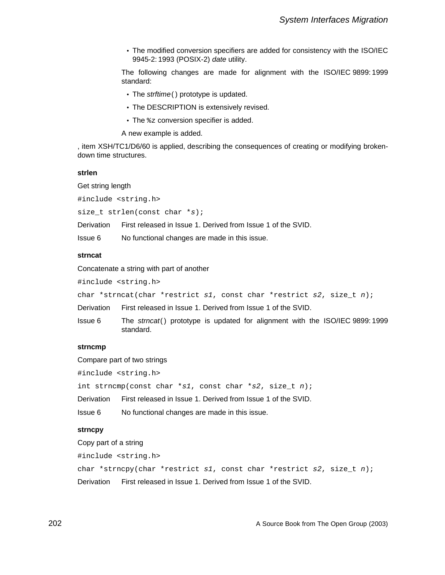• The modified conversion specifiers are added for consistency with the ISO/IEC 9945-2: 1993 (POSIX-2) date utility.

The following changes are made for alignment with the ISO/IEC 9899: 1999 standard:

- The strftime() prototype is updated.
- The DESCRIPTION is extensively revised.
- The  $z$  conversion specifier is added.

A new example is added.

, item XSH/TC1/D6/60 is applied, describing the consequences of creating or modifying brokendown time structures.

### **strlen**

Get string length

#include <string.h>

size\_t strlen(const char \*s);

Derivation First released in Issue 1. Derived from Issue 1 of the SVID.

Issue 6 No functional changes are made in this issue.

# **strncat**

Concatenate a string with part of another

#include <string.h>

char \*strncat(char \*restrict s1, const char \*restrict s2, size\_t n);

Derivation First released in Issue 1. Derived from Issue 1 of the SVID.

Issue 6 The strncat() prototype is updated for alignment with the ISO/IEC 9899: 1999 standard.

### **strncmp**

Compare part of two strings

#include <string.h>

int strncmp(const char \*s1, const char \*s2, size\_t n);

Derivation First released in Issue 1. Derived from Issue 1 of the SVID.

Issue 6 No functional changes are made in this issue.

# **strncpy**

Copy part of a string

#include <string.h>

char \*strncpy(char \*restrict s1, const char \*restrict s2, size\_t n); Derivation First released in Issue 1. Derived from Issue 1 of the SVID.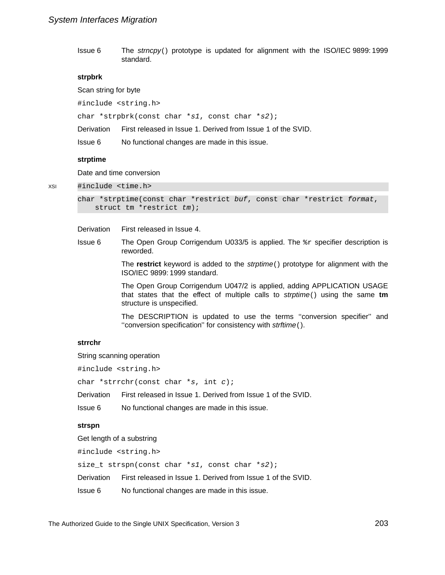Issue 6 The strncpy() prototype is updated for alignment with the ISO/IEC 9899: 1999 standard.

#### **strpbrk**

Scan string for byte

#include <string.h>

char \*strpbrk(const char \*s1, const char \*s2);

Derivation First released in Issue 1. Derived from Issue 1 of the SVID.

Issue 6 No functional changes are made in this issue.

### **strptime**

Date and time conversion

XSI #include <time.h>

char \*strptime(const char \*restrict buf, const char \*restrict format, struct tm \*restrict tm);

Derivation First released in Issue 4.

Issue 6 The Open Group Corrigendum U033/5 is applied. The  $z<sub>r</sub>$  specifier description is reworded.

> The **restrict** keyword is added to the strptime( ) prototype for alignment with the ISO/IEC 9899: 1999 standard.

> The Open Group Corrigendum U047/2 is applied, adding APPLICATION USAGE that states that the effect of multiple calls to strptime( ) using the same **tm** structure is unspecified.

> The DESCRIPTION is updated to use the terms ''conversion specifier'' and "conversion specification" for consistency with strftime().

### **strrchr**

String scanning operation

#include <string.h>

char \*strrchr(const char \*s, int c);

Derivation First released in Issue 1. Derived from Issue 1 of the SVID.

Issue 6 No functional changes are made in this issue.

#### **strspn**

Get length of a substring

#include <string.h>

size\_t strspn(const char \*s1, const char \*s2);

Derivation First released in Issue 1. Derived from Issue 1 of the SVID.

Issue 6 No functional changes are made in this issue.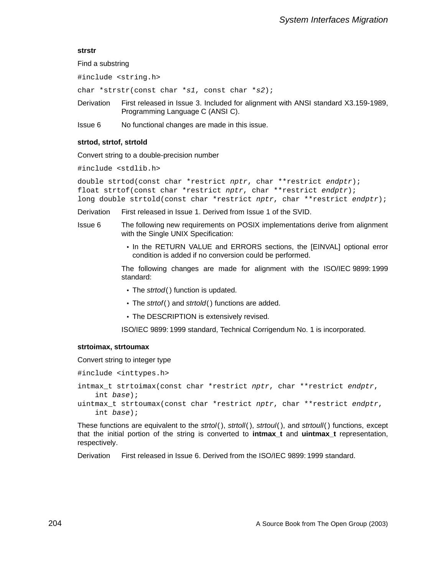### **strstr**

Find a substring

#include <string.h>

char \*strstr(const char \*s1, const char \*s2);

- Derivation First released in Issue 3. Included for alignment with ANSI standard X3.159-1989, Programming Language C (ANSI C).
- Issue 6 No functional changes are made in this issue.

# **strtod, strtof, strtold**

Convert string to a double-precision number

#include <stdlib.h>

```
double strtod(const char *restrict nptr, char **restrict endptr);
float strtof(const char *restrict nptr, char **restrict endptr);
long double strtold(const char *restrict nptr, char **restrict endptr);
```
- Derivation First released in Issue 1. Derived from Issue 1 of the SVID.
- Issue 6 The following new requirements on POSIX implementations derive from alignment with the Single UNIX Specification:
	- In the RETURN VALUE and ERRORS sections, the [EINVAL] optional error condition is added if no conversion could be performed.

The following changes are made for alignment with the ISO/IEC 9899: 1999 standard:

- The strtod() function is updated.
- The strtof() and strtold() functions are added.
- The DESCRIPTION is extensively revised.

ISO/IEC 9899: 1999 standard, Technical Corrigendum No. 1 is incorporated.

# **strtoimax, strtoumax**

Convert string to integer type

```
#include <inttypes.h>
```

```
intmax_t strtoimax(const char *restrict nptr, char **restrict endptr,
    int base);
```
uintmax\_t strtoumax(const char \*restrict nptr, char \*\*restrict endptr, int base);

These functions are equivalent to the strtol(), strtoll(), strtoul(), and strtoull() functions, except that the initial portion of the string is converted to **intmax\_t** and **uintmax\_t** representation, respectively.

Derivation First released in Issue 6. Derived from the ISO/IEC 9899: 1999 standard.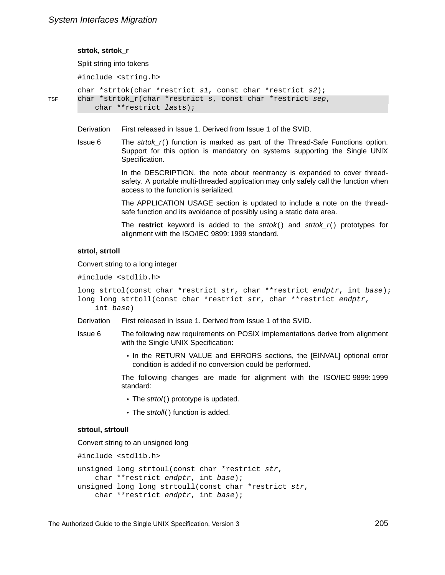#### **strtok, strtok\_r**

Split string into tokens

#include <string.h>

```
char *strtok(char *restrict s1, const char *restrict s2);
TSF char *strtok_r(char *restrict s, const char *restrict sep,
          char **restrict lasts);
```
Derivation First released in Issue 1. Derived from Issue 1 of the SVID.

Issue 6 The  $strot(x)$  function is marked as part of the Thread-Safe Functions option. Support for this option is mandatory on systems supporting the Single UNIX Specification.

> In the DESCRIPTION, the note about reentrancy is expanded to cover threadsafety. A portable multi-threaded application may only safely call the function when access to the function is serialized.

> The APPLICATION USAGE section is updated to include a note on the threadsafe function and its avoidance of possibly using a static data area.

> The **restrict** keyword is added to the strtok() and strtok<sub>L</sub>r() prototypes for alignment with the ISO/IEC 9899: 1999 standard.

### **strtol, strtoll**

Convert string to a long integer

#include <stdlib.h>

```
long strtol(const char *restrict str, char **restrict endptr, int base);
long long strtoll(const char *restrict str, char **restrict endptr,
    int base)
```
- Derivation First released in Issue 1. Derived from Issue 1 of the SVID.
- Issue 6 The following new requirements on POSIX implementations derive from alignment with the Single UNIX Specification:
	- In the RETURN VALUE and ERRORS sections, the [EINVAL] optional error condition is added if no conversion could be performed.

The following changes are made for alignment with the ISO/IEC 9899: 1999 standard:

- The strtol() prototype is updated.
- The strtoll() function is added.

### **strtoul, strtoull**

Convert string to an unsigned long

```
#include <stdlib.h>
unsigned long strtoul(const char *restrict str,
    char **restrict endptr, int base);
unsigned long long strtoull(const char *restrict str,
    char **restrict endptr, int base);
```
The Authorized Guide to the Single UNIX Specification, Version 3 205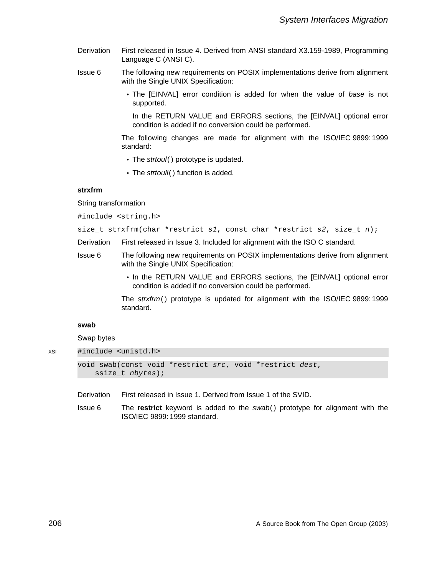- Derivation First released in Issue 4. Derived from ANSI standard X3.159-1989, Programming Language C (ANSI C).
- Issue 6 The following new requirements on POSIX implementations derive from alignment with the Single UNIX Specification:
	- The [EINVAL] error condition is added for when the value of base is not supported.

In the RETURN VALUE and ERRORS sections, the [EINVAL] optional error condition is added if no conversion could be performed.

The following changes are made for alignment with the ISO/IEC 9899: 1999 standard:

- The strtoul() prototype is updated.
- The strtoull() function is added.

# **strxfrm**

String transformation

#include <string.h>

size\_t strxfrm(char \*restrict s1, const char \*restrict s2, size\_t n);

- Derivation First released in Issue 3. Included for alignment with the ISO C standard.
- Issue 6 The following new requirements on POSIX implementations derive from alignment with the Single UNIX Specification:
	- In the RETURN VALUE and ERRORS sections, the [EINVAL] optional error condition is added if no conversion could be performed.

The strxfrm() prototype is updated for alignment with the ISO/IEC 9899: 1999 standard.

### **swab**

### Swap bytes

XSI #include <unistd.h>

void swab(const void \*restrict src, void \*restrict dest, ssize\_t nbytes);

Derivation First released in Issue 1. Derived from Issue 1 of the SVID.

Issue 6 The **restrict** keyword is added to the swab( ) prototype for alignment with the ISO/IEC 9899: 1999 standard.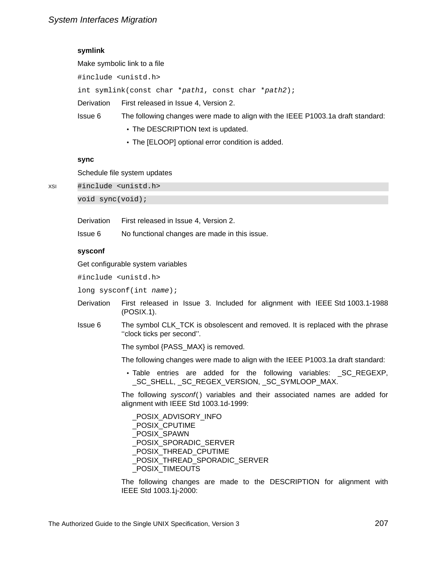# **symlink**

Make symbolic link to a file

#include <unistd.h>

int symlink(const char \*path1, const char \*path2);

Derivation First released in Issue 4, Version 2.

Issue 6 The following changes were made to align with the IEEE P1003.1a draft standard:

- The DESCRIPTION text is updated.
- The [ELOOP] optional error condition is added.

### **sync**

Schedule file system updates

XSI #include <unistd.h>

void sync(void);

Derivation First released in Issue 4, Version 2.

Issue 6 No functional changes are made in this issue.

### **sysconf**

Get configurable system variables

#include <unistd.h>

long sysconf(int name);

- Derivation First released in Issue 3. Included for alignment with IEEE Std 1003.1-1988 (POSIX.1).
- Issue 6 The symbol CLK\_TCK is obsolescent and removed. It is replaced with the phrase ''clock ticks per second''.

The symbol {PASS\_MAX} is removed.

The following changes were made to align with the IEEE P1003.1a draft standard:

• Table entries are added for the following variables: \_SC\_REGEXP, \_SC\_SHELL, \_SC\_REGEX\_VERSION, \_SC\_SYMLOOP\_MAX.

The following sysconf() variables and their associated names are added for alignment with IEEE Std 1003.1d-1999:

\_POSIX\_ADVISORY\_INFO \_POSIX\_CPUTIME \_POSIX\_SPAWN \_POSIX\_SPORADIC\_SERVER \_POSIX\_THREAD\_CPUTIME \_POSIX\_THREAD\_SPORADIC\_SERVER \_POSIX\_TIMEOUTS

The following changes are made to the DESCRIPTION for alignment with IEEE Std 1003.1j-2000: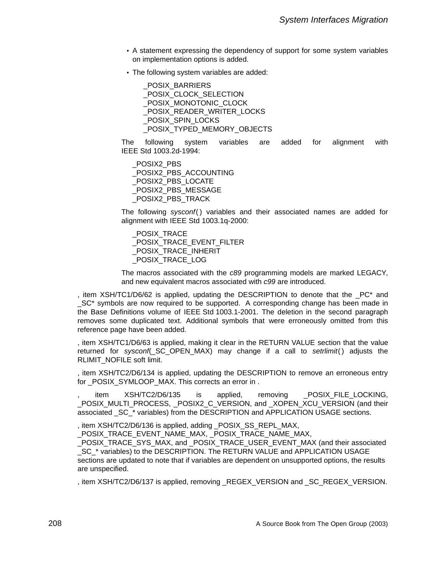- A statement expressing the dependency of support for some system variables on implementation options is added.
- The following system variables are added:

\_POSIX\_BARRIERS \_POSIX\_CLOCK\_SELECTION \_POSIX\_MONOTONIC\_CLOCK \_POSIX\_READER\_WRITER\_LOCKS \_POSIX\_SPIN\_LOCKS \_POSIX\_TYPED\_MEMORY\_OBJECTS

The following system variables are added for alignment with IEEE Std 1003.2d-1994:

\_POSIX2\_PBS \_POSIX2\_PBS\_ACCOUNTING \_POSIX2\_PBS\_LOCATE \_POSIX2\_PBS\_MESSAGE \_POSIX2\_PBS\_TRACK

The following sysconf() variables and their associated names are added for alignment with IEEE Std 1003.1q-2000:

\_POSIX\_TRACE \_POSIX\_TRACE\_EVENT\_FILTER \_POSIX\_TRACE\_INHERIT \_POSIX\_TRACE\_LOG

The macros associated with the c89 programming models are marked LEGACY, and new equivalent macros associated with c99 are introduced.

, item XSH/TC1/D6/62 is applied, updating the DESCRIPTION to denote that the \_PC<sup>\*</sup> and \_SC\* symbols are now required to be supported. A corresponding change has been made in the Base Definitions volume of IEEE Std 1003.1-2001. The deletion in the second paragraph removes some duplicated text. Additional symbols that were erroneously omitted from this reference page have been added.

, item XSH/TC1/D6/63 is applied, making it clear in the RETURN VALUE section that the value returned for sysconf(\_SC\_OPEN\_MAX) may change if a call to setrlimit() adjusts the RLIMIT\_NOFILE soft limit.

, item XSH/TC2/D6/134 is applied, updating the DESCRIPTION to remove an erroneous entry for \_POSIX\_SYMLOOP\_MAX. This corrects an error in .

, item XSH/TC2/D6/135 is applied, removing \_POSIX\_FILE\_LOCKING, \_POSIX\_MULTI\_PROCESS, \_POSIX2\_C\_VERSION, and \_XOPEN\_XCU\_VERSION (and their associated \_SC\_\* variables) from the DESCRIPTION and APPLICATION USAGE sections.

, item XSH/TC2/D6/136 is applied, adding \_POSIX\_SS\_REPL\_MAX,

\_POSIX\_TRACE\_EVENT\_NAME\_MAX, \_POSIX\_TRACE\_NAME\_MAX,

\_POSIX\_TRACE\_SYS\_MAX, and \_POSIX\_TRACE\_USER\_EVENT\_MAX (and their associated \_SC\_\* variables) to the DESCRIPTION. The RETURN VALUE and APPLICATION USAGE sections are updated to note that if variables are dependent on unsupported options, the results are unspecified.

, item XSH/TC2/D6/137 is applied, removing \_REGEX\_VERSION and \_SC\_REGEX\_VERSION.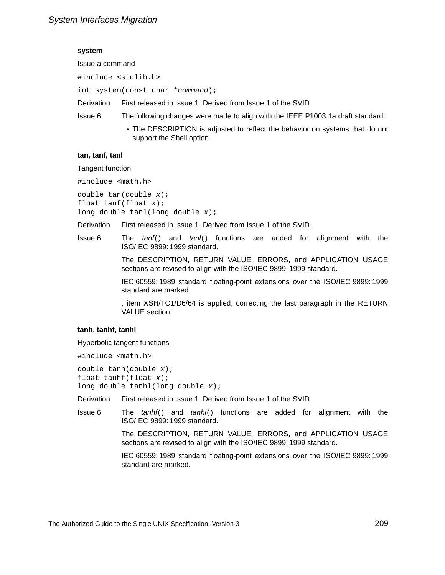### **system**

Issue a command

#include <stdlib.h>

int system(const char \*command);

Derivation First released in Issue 1. Derived from Issue 1 of the SVID.

- Issue 6 The following changes were made to align with the IEEE P1003.1a draft standard:
	- The DESCRIPTION is adjusted to reflect the behavior on systems that do not support the Shell option.

## **tan, tanf, tanl**

Tangent function

#include <math.h>

double  $tan(double x)$ ; float tanf(float x); long double  $tanh(long double x)$ ;

Derivation First released in Issue 1. Derived from Issue 1 of the SVID.

Issue 6 The  $tan(f)$  and  $tan(f)$  functions are added for alignment with the ISO/IEC 9899: 1999 standard.

> The DESCRIPTION, RETURN VALUE, ERRORS, and APPLICATION USAGE sections are revised to align with the ISO/IEC 9899: 1999 standard.

> IEC 60559: 1989 standard floating-point extensions over the ISO/IEC 9899: 1999 standard are marked.

> , item XSH/TC1/D6/64 is applied, correcting the last paragraph in the RETURN VALUE section.

### **tanh, tanhf, tanhl**

Hyperbolic tangent functions

#include <math.h>

double  $tanh(double x)$ ; float  $tanh(f$ loat  $x$ ); long double tanhl(long double x);

Derivation First released in Issue 1. Derived from Issue 1 of the SVID.

Issue 6 The  $tanh(f)$  and  $tanh(f)$  functions are added for alignment with the ISO/IEC 9899: 1999 standard.

> The DESCRIPTION, RETURN VALUE, ERRORS, and APPLICATION USAGE sections are revised to align with the ISO/IEC 9899: 1999 standard.

> IEC 60559: 1989 standard floating-point extensions over the ISO/IEC 9899: 1999 standard are marked.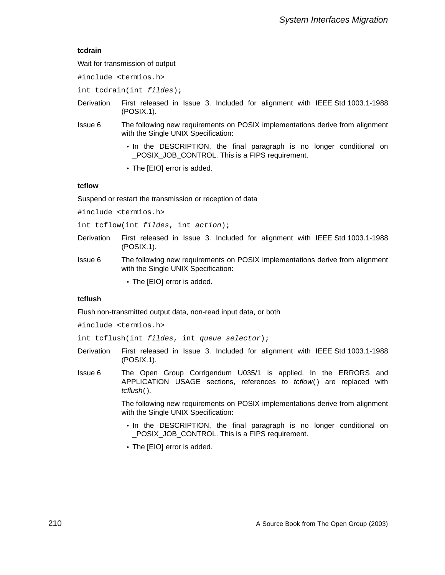# **tcdrain**

Wait for transmission of output

#include <termios.h>

int tcdrain(int fildes);

- Derivation First released in Issue 3. Included for alignment with IEEE Std 1003.1-1988 (POSIX.1).
- Issue 6 The following new requirements on POSIX implementations derive from alignment with the Single UNIX Specification:
	- In the DESCRIPTION, the final paragraph is no longer conditional on \_POSIX\_JOB\_CONTROL. This is a FIPS requirement.
	- The [EIO] error is added.

## **tcflow**

Suspend or restart the transmission or reception of data

#include <termios.h>

int tcflow(int fildes, int action);

- Derivation First released in Issue 3. Included for alignment with IEEE Std 1003.1-1988 (POSIX.1).
- Issue 6 The following new requirements on POSIX implementations derive from alignment with the Single UNIX Specification:
	- The [EIO] error is added.

# **tcflush**

Flush non-transmitted output data, non-read input data, or both

#include <termios.h>

int tcflush(int fildes, int queue\_selector);

- Derivation First released in Issue 3. Included for alignment with IEEE Std 1003.1-1988 (POSIX.1).
- Issue 6 The Open Group Corrigendum U035/1 is applied. In the ERRORS and APPLICATION USAGE sections, references to *tcflow*() are replaced with tcflush( ).

The following new requirements on POSIX implementations derive from alignment with the Single UNIX Specification:

- In the DESCRIPTION, the final paragraph is no longer conditional on \_POSIX\_JOB\_CONTROL. This is a FIPS requirement.
- The [EIO] error is added.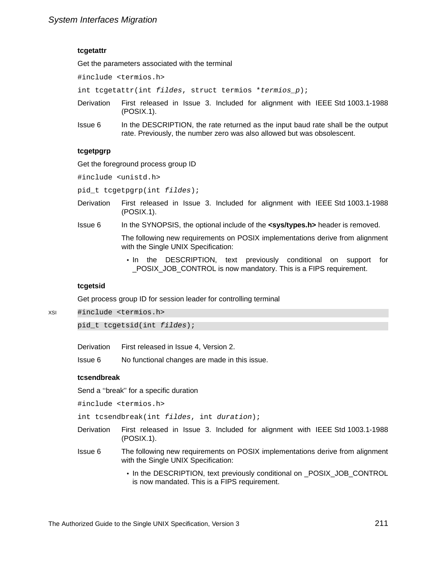# **tcgetattr**

Get the parameters associated with the terminal

#include <termios.h>

int tcgetattr(int fildes, struct termios \*termios\_p);

- Derivation First released in Issue 3. Included for alignment with IEEE Std 1003.1-1988 (POSIX.1).
- Issue 6 In the DESCRIPTION, the rate returned as the input baud rate shall be the output rate. Previously, the number zero was also allowed but was obsolescent.

# **tcgetpgrp**

Get the foreground process group ID

#include <unistd.h>

pid\_t tcgetpgrp(int fildes);

Derivation First released in Issue 3. Included for alignment with IEEE Std 1003.1-1988 (POSIX.1).

Issue 6 In the SYNOPSIS, the optional include of the **<sys/types.h>** header is removed.

The following new requirements on POSIX implementations derive from alignment with the Single UNIX Specification:

• In the DESCRIPTION, text previously conditional on support for \_POSIX\_JOB\_CONTROL is now mandatory. This is a FIPS requirement.

### **tcgetsid**

Get process group ID for session leader for controlling terminal

XSI #include <termios.h>

pid\_t tcgetsid(int fildes);

Derivation First released in Issue 4, Version 2.

Issue 6 No functional changes are made in this issue.

### **tcsendbreak**

Send a ''break'' for a specific duration

#include <termios.h>

int tcsendbreak(int fildes, int duration);

- Derivation First released in Issue 3. Included for alignment with IEEE Std 1003.1-1988 (POSIX.1).
- Issue 6 The following new requirements on POSIX implementations derive from alignment with the Single UNIX Specification:
	- In the DESCRIPTION, text previously conditional on \_POSIX\_JOB\_CONTROL is now mandated. This is a FIPS requirement.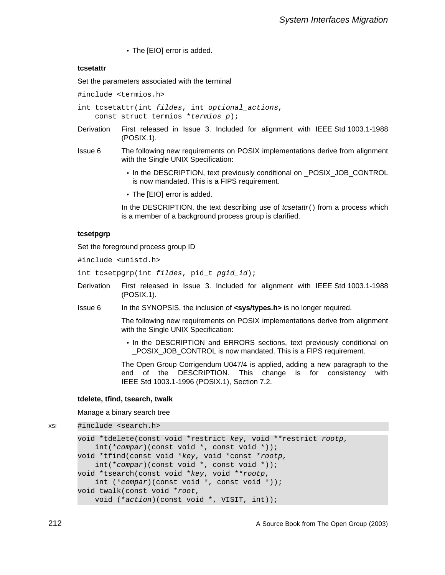• The [EIO] error is added.

### **tcsetattr**

Set the parameters associated with the terminal

```
#include <termios.h>
```
- int tcsetattr(int fildes, int optional\_actions, const struct termios \*termios\_p);
- Derivation First released in Issue 3. Included for alignment with IEEE Std 1003.1-1988 (POSIX.1).
- Issue 6 The following new requirements on POSIX implementations derive from alignment with the Single UNIX Specification:
	- In the DESCRIPTION, text previously conditional on \_POSIX\_JOB\_CONTROL is now mandated. This is a FIPS requirement.
	- The [EIO] error is added.

In the DESCRIPTION, the text describing use of *tcsetattr*() from a process which is a member of a background process group is clarified.

### **tcsetpgrp**

Set the foreground process group ID

#include <unistd.h>

int tcsetpgrp(int fildes, pid\_t pgid\_id);

- Derivation First released in Issue 3. Included for alignment with IEEE Std 1003.1-1988 (POSIX.1).
- Issue 6 In the SYNOPSIS, the inclusion of **<sys/types.h>** is no longer required.

The following new requirements on POSIX implementations derive from alignment with the Single UNIX Specification:

• In the DESCRIPTION and ERRORS sections, text previously conditional on \_POSIX\_JOB\_CONTROL is now mandated. This is a FIPS requirement.

The Open Group Corrigendum U047/4 is applied, adding a new paragraph to the end of the DESCRIPTION. This change is for consistency with IEEE Std 1003.1-1996 (POSIX.1), Section 7.2.

#### **tdelete, tfind, tsearch, twalk**

Manage a binary search tree

XSI #include <search.h>

```
void *tdelete(const void *restrict key, void **restrict rootp,
    int(*compar)(const void *, const void *));
void *tfind(const void *key, void *const *rootp,
    int(*compar)(const void *, const void *));
void *tsearch(const void *key, void **rootp,
    int (*compar)(const void *, const void *));
void twalk(const void *root,
    void (*action)(const void *, VISIT, int));
```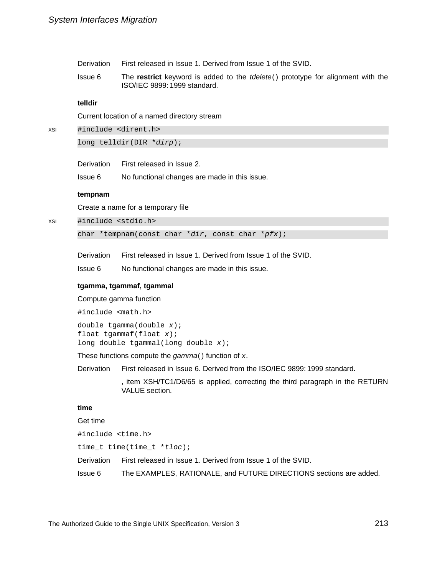Derivation First released in Issue 1. Derived from Issue 1 of the SVID.

Issue 6 The **restrict** keyword is added to the tdelete( ) prototype for alignment with the ISO/IEC 9899: 1999 standard.

### **telldir**

Current location of a named directory stream

XSI #include <dirent.h>

long telldir(DIR \*dirp);

Derivation First released in Issue 2.

Issue 6 No functional changes are made in this issue.

#### **tempnam**

Create a name for a temporary file

XSI #include <stdio.h>

char \*tempnam(const char \*dir, const char \*pfx);

Derivation First released in Issue 1. Derived from Issue 1 of the SVID.

Issue 6 No functional changes are made in this issue.

#### **tgamma, tgammaf, tgammal**

Compute gamma function

#include <math.h>

```
double tgamma(double x);
float tgammaf(float x);
long double tgammal(long double x);
```
These functions compute the *gamma*() function of x.

Derivation First released in Issue 6. Derived from the ISO/IEC 9899: 1999 standard.

, item XSH/TC1/D6/65 is applied, correcting the third paragraph in the RETURN VALUE section.

#### **time**

```
Get time
```
#include <time.h>

time\_t time(time\_t \*tloc);

Derivation First released in Issue 1. Derived from Issue 1 of the SVID.

Issue 6 The EXAMPLES, RATIONALE, and FUTURE DIRECTIONS sections are added.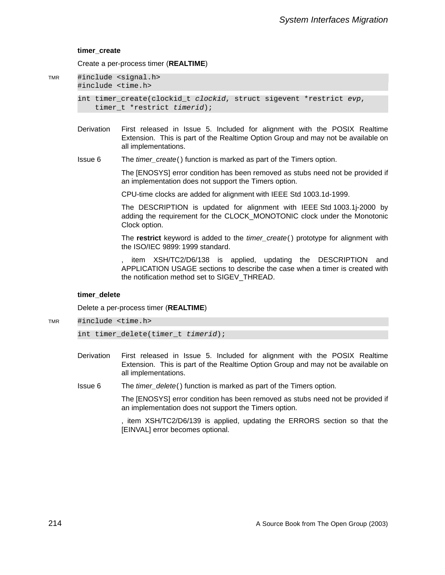### **timer\_create**

Create a per-process timer (**REALTIME**)

```
TMR #include <signal.h>
      #include <time.h>
```

```
int timer_create(clockid_t clockid, struct sigevent *restrict evp,
    timer_t *restrict timerid);
```
- Derivation First released in Issue 5. Included for alignment with the POSIX Realtime Extension. This is part of the Realtime Option Group and may not be available on all implementations.
- Issue 6 The timer\_create() function is marked as part of the Timers option.

The [ENOSYS] error condition has been removed as stubs need not be provided if an implementation does not support the Timers option.

CPU-time clocks are added for alignment with IEEE Std 1003.1d-1999.

The DESCRIPTION is updated for alignment with IEEE Std 1003.1j-2000 by adding the requirement for the CLOCK\_MONOTONIC clock under the Monotonic Clock option.

The **restrict** keyword is added to the timer\_create( ) prototype for alignment with the ISO/IEC 9899: 1999 standard.

item XSH/TC2/D6/138 is applied, updating the DESCRIPTION and APPLICATION USAGE sections to describe the case when a timer is created with the notification method set to SIGEV\_THREAD.

### **timer\_delete**

Delete a per-process timer (**REALTIME**)

TMR #include <time.h>

int timer\_delete(timer\_t timerid);

- Derivation First released in Issue 5. Included for alignment with the POSIX Realtime Extension. This is part of the Realtime Option Group and may not be available on all implementations.
- Issue 6 The timer\_delete() function is marked as part of the Timers option.

The [ENOSYS] error condition has been removed as stubs need not be provided if an implementation does not support the Timers option.

item XSH/TC2/D6/139 is applied, updating the ERRORS section so that the [EINVAL] error becomes optional.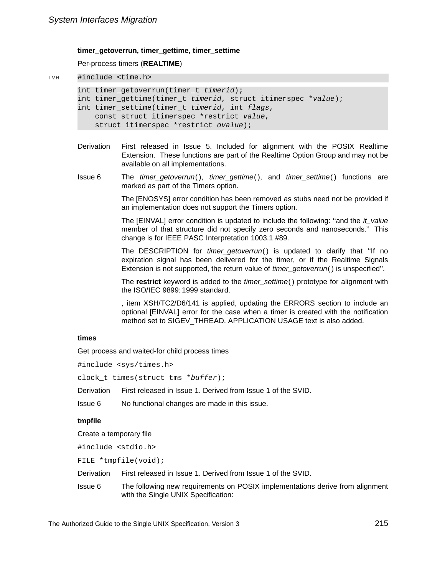### **timer\_getoverrun, timer\_gettime, timer\_settime**

Per-process timers (**REALTIME**)

TMR #include <time.h>

```
int timer_getoverrun(timer_t timerid);
```

```
int timer_gettime(timer_t timerid, struct itimerspec *value);
```

```
int timer_settime(timer_t timerid, int flags,
```

```
const struct itimerspec *restrict value,
struct itimerspec *restrict ovalue);
```
- Derivation First released in Issue 5. Included for alignment with the POSIX Realtime Extension. These functions are part of the Realtime Option Group and may not be available on all implementations.
- Issue 6 The  $timer\_getovernment$ ,  $timer\_gettime$ , and  $timer\_settime$  functions are marked as part of the Timers option.

The [ENOSYS] error condition has been removed as stubs need not be provided if an implementation does not support the Timers option.

The [EINVAL] error condition is updated to include the following: "and the *it\_value* member of that structure did not specify zero seconds and nanoseconds.'' This change is for IEEE PASC Interpretation 1003.1 #89.

The DESCRIPTION for timer\_getoverrun() is updated to clarify that "If no expiration signal has been delivered for the timer, or if the Realtime Signals Extension is not supported, the return value of *timer\_getoverrun*() is unspecified".

The **restrict** keyword is added to the timer\_settime( ) prototype for alignment with the ISO/IEC 9899: 1999 standard.

, item XSH/TC2/D6/141 is applied, updating the ERRORS section to include an optional [EINVAL] error for the case when a timer is created with the notification method set to SIGEV\_THREAD. APPLICATION USAGE text is also added.

### **times**

Get process and waited-for child process times

#include <sys/times.h>

clock\_t times(struct tms \*buffer);

Derivation First released in Issue 1. Derived from Issue 1 of the SVID.

Issue 6 No functional changes are made in this issue.

### **tmpfile**

Create a temporary file

#include <stdio.h>

FILE \*tmpfile(void);

- Derivation First released in Issue 1. Derived from Issue 1 of the SVID.
- Issue 6 The following new requirements on POSIX implementations derive from alignment with the Single UNIX Specification: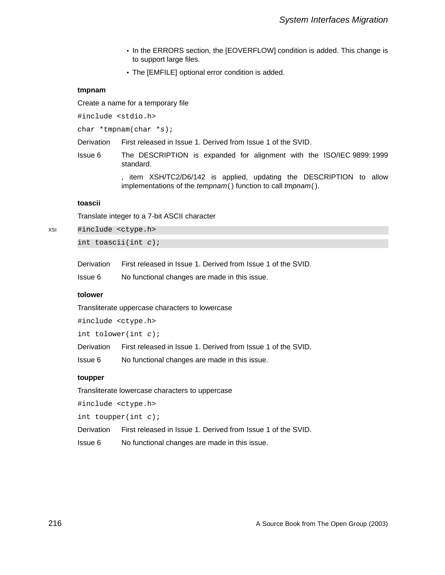- In the ERRORS section, the [EOVERFLOW] condition is added. This change is to support large files.
- The [EMFILE] optional error condition is added.

### **tmpnam**

Create a name for a temporary file

#include <stdio.h>

char \*tmpnam(char \*s);

Derivation First released in Issue 1. Derived from Issue 1 of the SVID.

Issue 6 The DESCRIPTION is expanded for alignment with the ISO/IEC 9899: 1999 standard.

> item XSH/TC2/D6/142 is applied, updating the DESCRIPTION to allow implementations of the tempnam() function to call  $tmpnam($ ).

# **toascii**

Translate integer to a 7-bit ASCII character

XSI #include <ctype.h>

int toascii(int c);

Derivation First released in Issue 1. Derived from Issue 1 of the SVID.

Issue 6 No functional changes are made in this issue.

# **tolower**

Transliterate uppercase characters to lowercase

#include <ctype.h>

int tolower(int  $c$ );

Derivation First released in Issue 1. Derived from Issue 1 of the SVID.

Issue 6 No functional changes are made in this issue.

### **toupper**

Transliterate lowercase characters to uppercase

#include <ctype.h>

int toupper(int  $c$ );

Derivation First released in Issue 1. Derived from Issue 1 of the SVID.

Issue 6 No functional changes are made in this issue.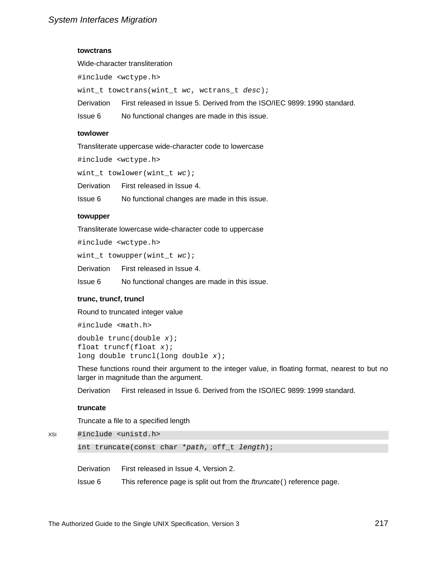### **towctrans**

Wide-character transliteration

#include <wctype.h>

wint\_t towctrans(wint\_t wc, wctrans\_t desc);

Derivation First released in Issue 5. Derived from the ISO/IEC 9899: 1990 standard.

Issue 6 No functional changes are made in this issue.

### **towlower**

Transliterate uppercase wide-character code to lowercase

#include <wctype.h>

wint\_t towlower(wint\_t wc);

Derivation First released in Issue 4.

Issue 6 No functional changes are made in this issue.

# **towupper**

Transliterate lowercase wide-character code to uppercase

#include <wctype.h>

wint\_t towupper(wint\_t wc);

Derivation First released in Issue 4.

Issue 6 No functional changes are made in this issue.

### **trunc, truncf, truncl**

Round to truncated integer value

#include <math.h>

double trunc(double x); float truncf(float x); long double truncl(long double x);

These functions round their argument to the integer value, in floating format, nearest to but no larger in magnitude than the argument.

Derivation First released in Issue 6. Derived from the ISO/IEC 9899: 1999 standard.

### **truncate**

Truncate a file to a specified length

XSI #include <unistd.h>

int truncate(const char \*path, off\_t length);

Derivation First released in Issue 4, Version 2.

Issue 6 This reference page is split out from the ftruncate( ) reference page.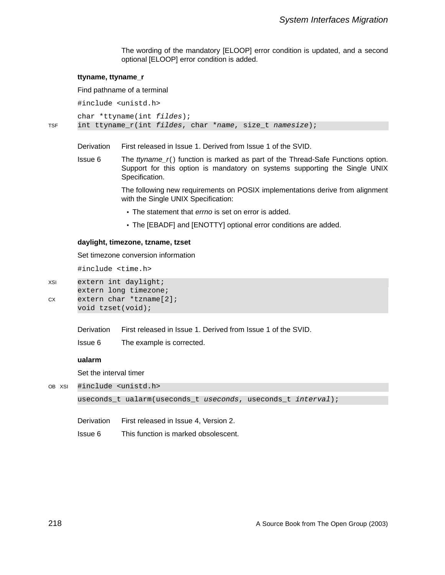The wording of the mandatory [ELOOP] error condition is updated, and a second optional [ELOOP] error condition is added.

### **ttyname, ttyname\_r**

Find pathname of a terminal

#include <unistd.h>

char \*ttyname(int fildes); TSF int ttyname\_r(int fildes, char \*name, size\_t namesize);

Derivation First released in Issue 1. Derived from Issue 1 of the SVID.

Issue 6 The  $ttyname_r()$  function is marked as part of the Thread-Safe Functions option. Support for this option is mandatory on systems supporting the Single UNIX Specification.

> The following new requirements on POSIX implementations derive from alignment with the Single UNIX Specification:

- The statement that errno is set on error is added.
- The [EBADF] and [ENOTTY] optional error conditions are added.

#### **daylight, timezone, tzname, tzset**

Set timezone conversion information

#include <time.h>

```
XSI extern int daylight;
      extern long timezone;
CX extern char *tzname[2];
```
void tzset(void);

Derivation First released in Issue 1. Derived from Issue 1 of the SVID.

Issue 6 The example is corrected.

#### **ualarm**

Set the interval timer

OB XSI #include <unistd.h>

useconds\_t ualarm(useconds\_t useconds, useconds\_t interval);

Derivation First released in Issue 4, Version 2.

Issue 6 This function is marked obsolescent.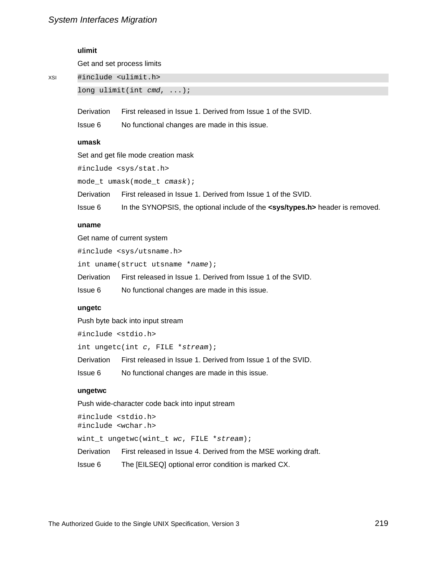### **ulimit**

Get and set process limits

```
XSI #include <ulimit.h>
```
long ulimit(int cmd, ...);

Derivation First released in Issue 1. Derived from Issue 1 of the SVID.

Issue 6 No functional changes are made in this issue.

### **umask**

Set and get file mode creation mask

#include <sys/stat.h>

mode\_t umask(mode\_t cmask);

Derivation First released in Issue 1. Derived from Issue 1 of the SVID.

Issue 6 In the SYNOPSIS, the optional include of the **<sys/types.h>** header is removed.

#### **uname**

Get name of current system

#include <sys/utsname.h>

int uname(struct utsname \*name);

Derivation First released in Issue 1. Derived from Issue 1 of the SVID.

Issue 6 No functional changes are made in this issue.

### **ungetc**

Push byte back into input stream

#include <stdio.h>

int ungetc(int c, FILE \*stream);

Derivation First released in Issue 1. Derived from Issue 1 of the SVID.

Issue 6 No functional changes are made in this issue.

### **ungetwc**

Push wide-character code back into input stream

```
#include <stdio.h>
#include <wchar.h>
```
wint\_t ungetwc(wint\_t wc, FILE \*stream);

Derivation First released in Issue 4. Derived from the MSE working draft.

Issue 6 The [EILSEQ] optional error condition is marked CX.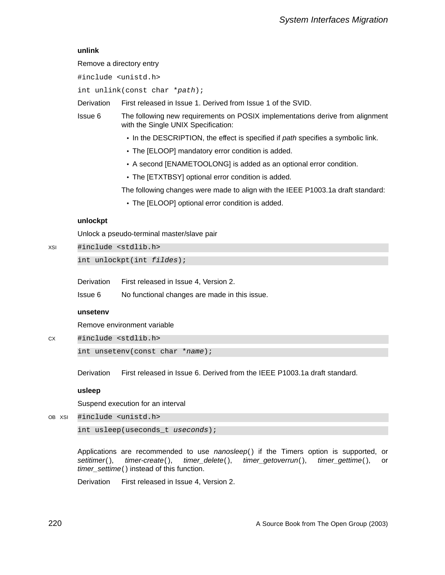# **unlink**

Remove a directory entry

#include <unistd.h>

int unlink(const char \*path);

Derivation First released in Issue 1. Derived from Issue 1 of the SVID.

Issue 6 The following new requirements on POSIX implementations derive from alignment with the Single UNIX Specification:

- In the DESCRIPTION, the effect is specified if path specifies a symbolic link.
- The [ELOOP] mandatory error condition is added.
- A second [ENAMETOOLONG] is added as an optional error condition.
- The [ETXTBSY] optional error condition is added.

The following changes were made to align with the IEEE P1003.1a draft standard:

• The [ELOOP] optional error condition is added.

### **unlockpt**

Unlock a pseudo-terminal master/slave pair

XSI #include <stdlib.h>

int unlockpt(int fildes);

Derivation First released in Issue 4, Version 2.

Issue 6 No functional changes are made in this issue.

### **unsetenv**

Remove environment variable

CX #include <stdlib.h>

int unsetenv(const char \*name);

Derivation First released in Issue 6. Derived from the IEEE P1003.1a draft standard.

### **usleep**

Suspend execution for an interval

OB XSI #include <unistd.h>

int usleep(useconds\_t useconds);

Applications are recommended to use *nanosleep* $()$  if the Timers option is supported, or setitimer(), timer-create(), timer\_delete(), timer\_getoverrun(), timer\_gettime(), or timer\_settime( ) instead of this function.

Derivation First released in Issue 4, Version 2.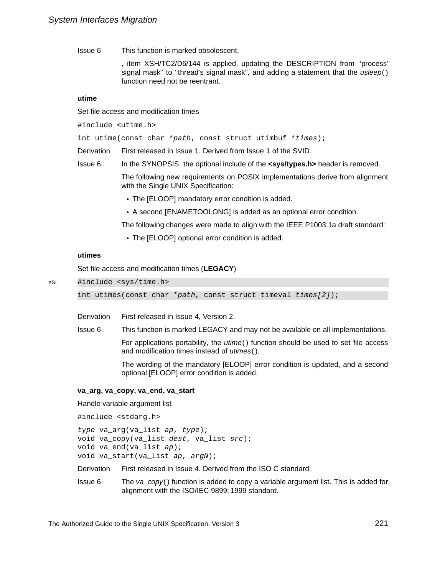Issue 6 This function is marked obsolescent.

, item XSH/TC2/D6/144 is applied, updating the DESCRIPTION from ''process' signal mask" to "thread's signal mask", and adding a statement that the usleep() function need not be reentrant.

# **utime**

Set file access and modification times

#include <utime.h>

int utime(const char \*path, const struct utimbuf \*times);

Derivation First released in Issue 1. Derived from Issue 1 of the SVID.

Issue 6 In the SYNOPSIS, the optional include of the **<sys/types.h>** header is removed.

The following new requirements on POSIX implementations derive from alignment with the Single UNIX Specification:

- The [ELOOP] mandatory error condition is added.
- A second [ENAMETOOLONG] is added as an optional error condition.

The following changes were made to align with the IEEE P1003.1a draft standard:

• The [ELOOP] optional error condition is added.

### **utimes**

Set file access and modification times (**LEGACY**)

XSI #include <sys/time.h>

int utimes(const char \*path, const struct timeval  $times[2])$ ;

- Derivation First released in Issue 4, Version 2.
- Issue 6 This function is marked LEGACY and may not be available on all implementations.

For applications portability, the *utime*() function should be used to set file access and modification times instead of utimes().

The wording of the mandatory [ELOOP] error condition is updated, and a second optional [ELOOP] error condition is added.

### **va\_arg, va\_copy, va\_end, va\_start**

Handle variable argument list

```
#include <stdarg.h>
type va_arg(va_list ap, type);
void va_copy(va_list dest, va_list src);
void va_end(va_list ap);
void va_start(va_list ap, argN);
```
Derivation First released in Issue 4. Derived from the ISO C standard.

Issue 6 The  $v = c$ , is added to copy a variable argument list. This is added for alignment with the ISO/IEC 9899: 1999 standard.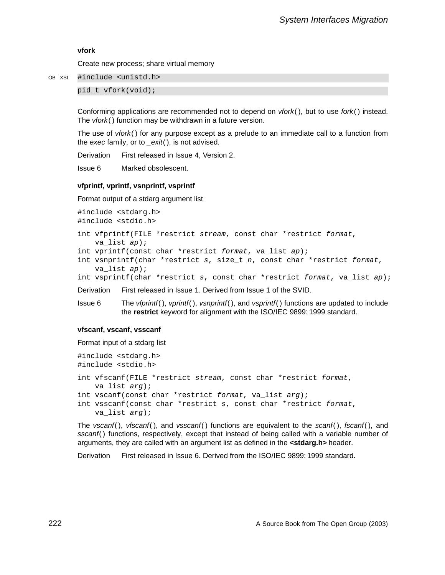### **vfork**

Create new process; share virtual memory

```
OB XSI #include <unistd.h>
```
pid\_t vfork(void);

Conforming applications are recommended not to depend on  $\mathit{vfork}($ ), but to use  $\mathit{fork}($ ) instead. The *vfork*() function may be withdrawn in a future version.

The use of vfork( ) for any purpose except as a prelude to an immediate call to a function from the exec family, or to  $\_exit()$ , is not advised.

Derivation First released in Issue 4, Version 2.

Issue 6 Marked obsolescent.

# **vfprintf, vprintf, vsnprintf, vsprintf**

Format output of a stdarg argument list

```
#include <stdarg.h>
#include <stdio.h>
int vfprintf(FILE *restrict stream, const char *restrict format,
    va_list ap);
int vprintf(const char *restrict format, va_list ap);
int vsnprintf(char *restrict s, size_t n, const char *restrict format,
    va_list ap);
int vsprintf(char *restrict s, const char *restrict format, va_list ap);
Derivation First released in Issue 1. Derived from Issue 1 of the SVID.
```
Issue 6 The *vfprintf*(), *vprintf*(), *vsnprintf*(), and *vsprintf*() functions are updated to include the **restrict** keyword for alignment with the ISO/IEC 9899: 1999 standard.

# **vfscanf, vscanf, vsscanf**

Format input of a stdarg list

```
#include <stdarg.h>
#include <stdio.h>
int vfscanf(FILE *restrict stream, const char *restrict format,
    va_list arg);
int vscanf(const char *restrict format, va_list arg);
int vsscanf(const char *restrict s, const char *restrict format,
    va_list arg);
```
The vscanf(), vfscanf(), and vsscanf() functions are equivalent to the scanf(), fscanf(), and sscanf() functions, respectively, except that instead of being called with a variable number of arguments, they are called with an argument list as defined in the **<stdarg.h>** header.

Derivation First released in Issue 6. Derived from the ISO/IEC 9899: 1999 standard.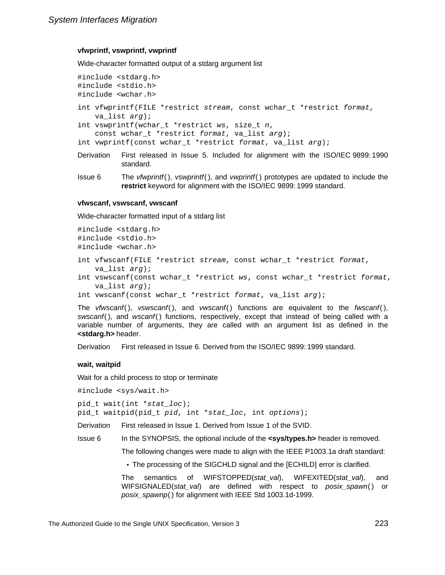### **vfwprintf, vswprintf, vwprintf**

Wide-character formatted output of a stdarg argument list

```
#include <stdarg.h>
#include <stdio.h>
#include <wchar.h>
int vfwprintf(FILE *restrict stream, const wchar_t *restrict format,
   va_list arg);
int vswprintf(wchar_t *restrict ws, size_t n,
    const wchar_t *restrict format, va_list arg);
int vwprintf(const wchar_t *restrict format, va_list arg);
```
- Derivation First released in Issue 5. Included for alignment with the ISO/IEC 9899: 1990 standard.
- Issue 6 The *vfwprintf*(), vswprintf(), and *vwprintf*() prototypes are updated to include the **restrict** keyword for alignment with the ISO/IEC 9899: 1999 standard.

#### **vfwscanf, vswscanf, vwscanf**

Wide-character formatted input of a stdarg list

```
#include <stdarg.h>
#include <stdio.h>
#include <wchar.h>
int vfwscanf(FILE *restrict stream, const wchar_t *restrict format,
   va_list arg);
int vswscanf(const wchar_t *restrict ws, const wchar_t *restrict format,
    va_list arg);
int vwscanf(const wchar_t *restrict format, va_list arg);
```
The vfwscanf(), vswscanf(), and vwscanf() functions are equivalent to the fwscanf(), swscanf(), and wscanf() functions, respectively, except that instead of being called with a variable number of arguments, they are called with an argument list as defined in the **<stdarg.h>** header.

Derivation First released in Issue 6. Derived from the ISO/IEC 9899: 1999 standard.

#### **wait, waitpid**

Wait for a child process to stop or terminate

```
#include <sys/wait.h>
```
pid\_t wait(int \*stat\_loc); pid\_t waitpid(pid\_t pid, int \*stat\_loc, int options);

Derivation First released in Issue 1. Derived from Issue 1 of the SVID.

Issue 6 In the SYNOPSIS, the optional include of the **<sys/types.h>** header is removed.

The following changes were made to align with the IEEE P1003.1a draft standard:

• The processing of the SIGCHLD signal and the [ECHILD] error is clarified.

The semantics of WIFSTOPPED(stat\_val), WIFEXITED(stat\_val), and WIFSIGNALED(*stat\_val*) are defined with respect to *posix\_spawn*() or posix\_spawnp( ) for alignment with IEEE Std 1003.1d-1999.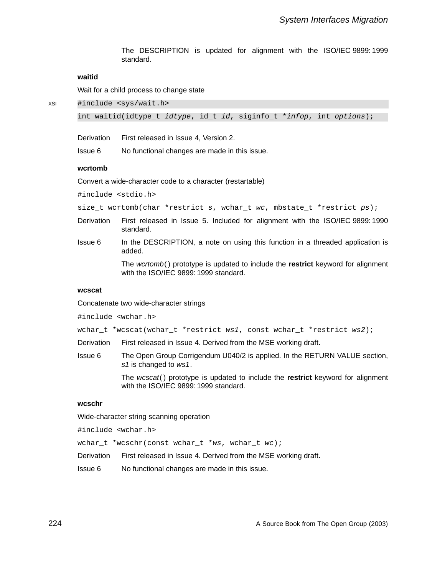The DESCRIPTION is updated for alignment with the ISO/IEC 9899: 1999 standard.

### **waitid**

Wait for a child process to change state

```
XSI #include <sys/wait.h>
```
int waitid(idtype\_t idtype, id\_t id, siginfo\_t \*infop, int options);

Derivation First released in Issue 4, Version 2.

Issue 6 No functional changes are made in this issue.

#### **wcrtomb**

Convert a wide-character code to a character (restartable)

#include <stdio.h>

size\_t wcrtomb(char \*restrict s, wchar\_t wc, mbstate\_t \*restrict ps);

- Derivation First released in Issue 5. Included for alignment with the ISO/IEC 9899: 1990 standard.
- Issue 6 In the DESCRIPTION, a note on using this function in a threaded application is added.

The wcrtomb( ) prototype is updated to include the **restrict** keyword for alignment with the ISO/IEC 9899: 1999 standard.

#### **wcscat**

Concatenate two wide-character strings

#include <wchar.h>

wchar\_t \*wcscat(wchar\_t \*restrict ws1, const wchar\_t \*restrict ws2);

Derivation First released in Issue 4. Derived from the MSE working draft.

Issue 6 The Open Group Corrigendum U040/2 is applied. In the RETURN VALUE section, s1 is changed to  $ws1$ .

> The wcscat( ) prototype is updated to include the **restrict** keyword for alignment with the ISO/IEC 9899: 1999 standard.

# **wcschr**

Wide-character string scanning operation

#include <wchar.h>

wchar\_t \*wcschr(const wchar\_t \*ws, wchar\_t wc);

Derivation First released in Issue 4. Derived from the MSE working draft.

Issue 6 No functional changes are made in this issue.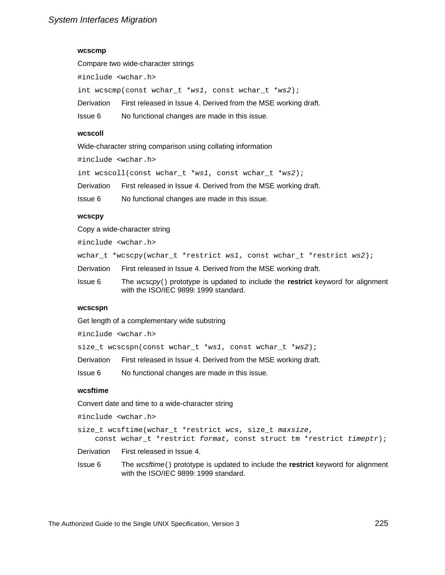#### **wcscmp**

Compare two wide-character strings

#include <wchar.h>

int wcscmp(const wchar\_t \*ws1, const wchar\_t \*ws2);

Derivation First released in Issue 4. Derived from the MSE working draft.

Issue 6 No functional changes are made in this issue.

### **wcscoll**

Wide-character string comparison using collating information

#include <wchar.h>

int wcscoll(const wchar\_t \*ws1, const wchar\_t \*ws2);

Derivation First released in Issue 4. Derived from the MSE working draft.

Issue 6 No functional changes are made in this issue.

### **wcscpy**

Copy a wide-character string

#include <wchar.h>

wchar\_t \*wcscpy(wchar\_t \*restrict ws1, const wchar\_t \*restrict ws2);

Derivation First released in Issue 4. Derived from the MSE working draft.

Issue 6 The wcscpy( ) prototype is updated to include the **restrict** keyword for alignment with the ISO/IEC 9899: 1999 standard.

#### **wcscspn**

Get length of a complementary wide substring

#include <wchar.h>

size\_t wcscspn(const wchar\_t \*ws1, const wchar\_t \*ws2);

Derivation First released in Issue 4. Derived from the MSE working draft.

Issue 6 No functional changes are made in this issue.

### **wcsftime**

Convert date and time to a wide-character string

#include <wchar.h>

size\_t wcsftime(wchar\_t \*restrict wcs, size\_t maxsize, const wchar\_t \*restrict format, const struct tm \*restrict timeptr);

Derivation First released in Issue 4.

Issue 6 The wcsftime( ) prototype is updated to include the **restrict** keyword for alignment with the ISO/IEC 9899: 1999 standard.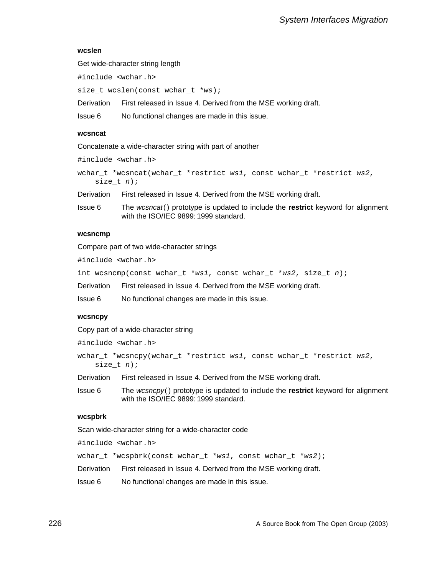### **wcslen**

Get wide-character string length

#include <wchar.h>

size\_t wcslen(const wchar\_t \*ws);

Derivation First released in Issue 4. Derived from the MSE working draft.

Issue 6 No functional changes are made in this issue.

### **wcsncat**

Concatenate a wide-character string with part of another

#include <wchar.h>

wchar\_t \*wcsncat(wchar\_t \*restrict ws1, const wchar\_t \*restrict ws2, size\_t  $n$ );

Derivation First released in Issue 4. Derived from the MSE working draft.

Issue 6 The wcsncat( ) prototype is updated to include the **restrict** keyword for alignment with the ISO/IEC 9899: 1999 standard.

### **wcsncmp**

Compare part of two wide-character strings

#include <wchar.h>

int wcsncmp(const wchar\_t \*ws1, const wchar\_t \*ws2, size\_t n);

Derivation First released in Issue 4. Derived from the MSE working draft.

Issue 6 No functional changes are made in this issue.

### **wcsncpy**

Copy part of a wide-character string

#include <wchar.h>

wchar\_t \*wcsncpy(wchar\_t \*restrict ws1, const wchar\_t \*restrict ws2, size\_t  $n$ );

Derivation First released in Issue 4. Derived from the MSE working draft.

Issue 6 The wcsncpy( ) prototype is updated to include the **restrict** keyword for alignment with the ISO/IEC 9899: 1999 standard.

### **wcspbrk**

Scan wide-character string for a wide-character code

#include <wchar.h>

wchar\_t \*wcspbrk(const wchar\_t \*ws1, const wchar\_t \*ws2);

Derivation First released in Issue 4. Derived from the MSE working draft.

Issue 6 No functional changes are made in this issue.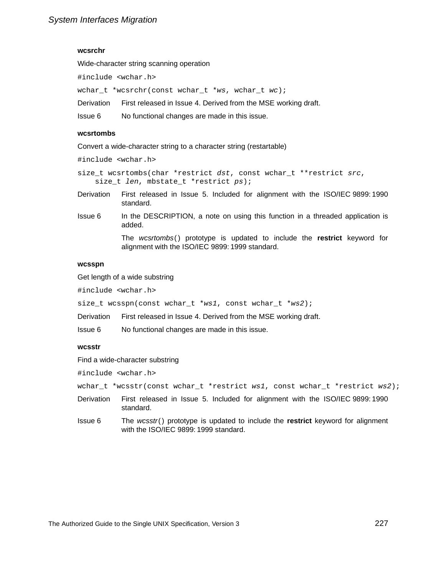### **wcsrchr**

Wide-character string scanning operation

#include <wchar.h>

wchar\_t \*wcsrchr(const wchar\_t \*ws, wchar\_t wc);

Derivation First released in Issue 4. Derived from the MSE working draft.

Issue 6 No functional changes are made in this issue.

### **wcsrtombs**

Convert a wide-character string to a character string (restartable)

#include <wchar.h>

- size\_t wcsrtombs(char \*restrict dst, const wchar\_t \*\*restrict src, size\_t *len*, mbstate\_t \*restrict *ps*);
- Derivation First released in Issue 5. Included for alignment with the ISO/IEC 9899: 1990 standard.
- Issue 6 In the DESCRIPTION, a note on using this function in a threaded application is added.

The wcsrtombs( ) prototype is updated to include the **restrict** keyword for alignment with the ISO/IEC 9899: 1999 standard.

### **wcsspn**

Get length of a wide substring

#include <wchar.h>

size\_t wcsspn(const wchar\_t \*ws1, const wchar\_t \*ws2);

Derivation First released in Issue 4. Derived from the MSE working draft.

Issue 6 No functional changes are made in this issue.

#### **wcsstr**

Find a wide-character substring

#include <wchar.h>

wchar\_t \*wcsstr(const wchar\_t \*restrict ws1, const wchar\_t \*restrict ws2);

- Derivation First released in Issue 5. Included for alignment with the ISO/IEC 9899: 1990 standard.
- Issue 6 The wcsstr( ) prototype is updated to include the **restrict** keyword for alignment with the ISO/IEC 9899: 1999 standard.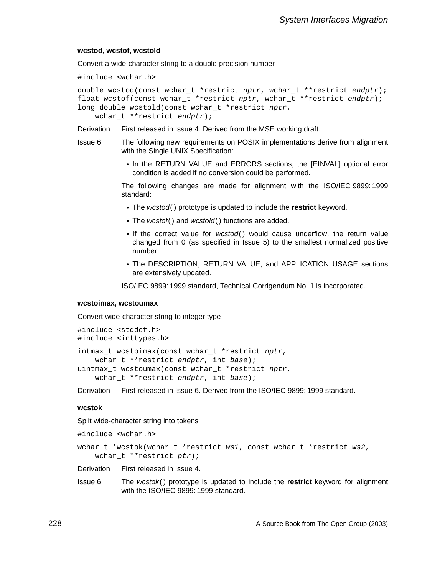### **wcstod, wcstof, wcstold**

Convert a wide-character string to a double-precision number

#include <wchar.h>

```
double wcstod(const wchar_t *restrict nptr, wchar_t **restrict endptr);
float wcstof(const wchar_t *restrict nptr, wchar_t **restrict endptr);
long double wcstold(const wchar_t *restrict nptr,
    wchar_t **restrict endptr);
```

```
Derivation First released in Issue 4. Derived from the MSE working draft.
```
- Issue 6 The following new requirements on POSIX implementations derive from alignment with the Single UNIX Specification:
	- In the RETURN VALUE and ERRORS sections, the [EINVAL] optional error condition is added if no conversion could be performed.

The following changes are made for alignment with the ISO/IEC 9899: 1999 standard:

- The wcstod( ) prototype is updated to include the **restrict** keyword.
- The wcstof() and wcstold() functions are added.
- If the correct value for wcstod() would cause underflow, the return value changed from 0 (as specified in Issue 5) to the smallest normalized positive number.
- The DESCRIPTION, RETURN VALUE, and APPLICATION USAGE sections are extensively updated.

ISO/IEC 9899: 1999 standard, Technical Corrigendum No. 1 is incorporated.

### **wcstoimax, wcstoumax**

Convert wide-character string to integer type

```
#include <stddef.h>
#include <inttypes.h>
intmax_t wcstoimax(const wchar_t *restrict nptr,
    wchar_t **restrict endptr, int base);
uintmax_t wcstoumax(const wchar_t *restrict nptr,
    wchar_t **restrict endptr, int base);
```
Derivation First released in Issue 6. Derived from the ISO/IEC 9899: 1999 standard.

### **wcstok**

Split wide-character string into tokens

#include <wchar.h>

wchar\_t \*wcstok(wchar\_t \*restrict ws1, const wchar\_t \*restrict ws2, wchar\_t \*\*restrict ptr);

Derivation First released in Issue 4.

Issue 6 The wcstok( ) prototype is updated to include the **restrict** keyword for alignment with the ISO/IEC 9899: 1999 standard.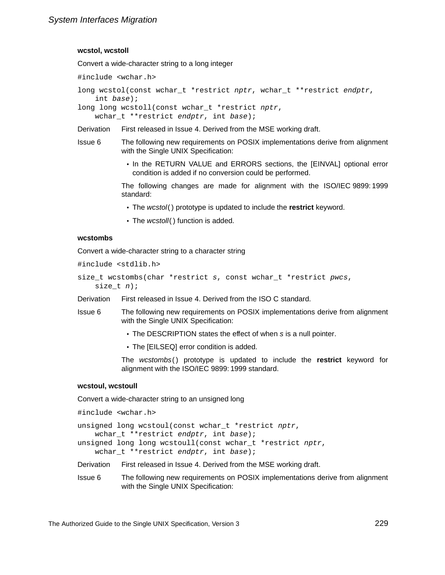### **wcstol, wcstoll**

Convert a wide-character string to a long integer

#include <wchar.h>

```
long wcstol(const wchar_t *restrict nptr, wchar_t **restrict endptr,
    int base);
long long wcstoll(const wchar_t *restrict nptr,
```
wchar\_t \*\*restrict endptr, int base);

- Derivation First released in Issue 4. Derived from the MSE working draft.
- Issue 6 The following new requirements on POSIX implementations derive from alignment with the Single UNIX Specification:
	- In the RETURN VALUE and ERRORS sections, the [EINVAL] optional error condition is added if no conversion could be performed.

The following changes are made for alignment with the ISO/IEC 9899: 1999 standard:

- The wcstol( ) prototype is updated to include the **restrict** keyword.
- The wcstoll() function is added.

### **wcstombs**

Convert a wide-character string to a character string

#include <stdlib.h>

```
size_t wcstombs(char *restrict s, const wchar_t *restrict pwcs,
    size_t n);
```
Derivation First released in Issue 4. Derived from the ISO C standard.

- Issue 6 The following new requirements on POSIX implementations derive from alignment with the Single UNIX Specification:
	- The DESCRIPTION states the effect of when s is a null pointer.
	- The [EILSEQ] error condition is added.

The wcstombs() prototype is updated to include the **restrict** keyword for alignment with the ISO/IEC 9899: 1999 standard.

#### **wcstoul, wcstoull**

Convert a wide-character string to an unsigned long

```
#include <wchar.h>
unsigned long wcstoul(const wchar_t *restrict nptr,
    wchar_t **restrict endptr, int base);
unsigned long long wcstoull(const wchar_t *restrict nptr,
    wchar_t **restrict endptr, int base);
```
Derivation First released in Issue 4. Derived from the MSE working draft.

Issue 6 The following new requirements on POSIX implementations derive from alignment with the Single UNIX Specification: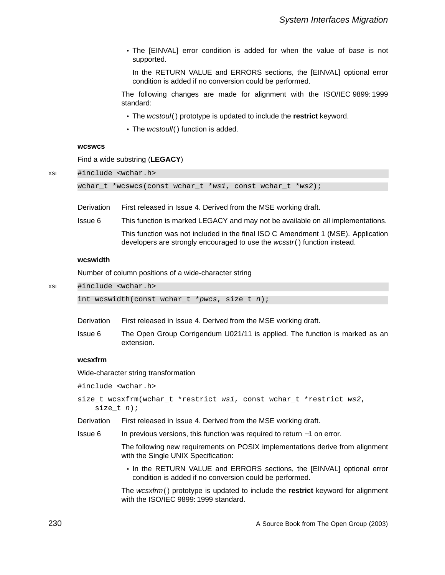• The [EINVAL] error condition is added for when the value of base is not supported.

In the RETURN VALUE and ERRORS sections, the [EINVAL] optional error condition is added if no conversion could be performed.

The following changes are made for alignment with the ISO/IEC 9899: 1999 standard:

- The wcstoul( ) prototype is updated to include the **restrict** keyword.
- The wcstoull() function is added.

#### **wcswcs**

Find a wide substring (**LEGACY**)

XSI #include <wchar.h>

wchar\_t \*wcswcs(const wchar\_t \*ws1, const wchar\_t \*ws2);

Derivation First released in Issue 4. Derived from the MSE working draft.

Issue 6 This function is marked LEGACY and may not be available on all implementations.

This function was not included in the final ISO C Amendment 1 (MSE). Application developers are strongly encouraged to use the wcsstr( ) function instead.

#### **wcswidth**

Number of column positions of a wide-character string

XSI #include <wchar.h>

int wcswidth(const wchar\_t \*pwcs, size\_t n);

- Derivation First released in Issue 4. Derived from the MSE working draft.
- Issue 6 The Open Group Corrigendum U021/11 is applied. The function is marked as an extension.

### **wcsxfrm**

Wide-character string transformation

#include <wchar.h>

size\_t wcsxfrm(wchar\_t \*restrict ws1, const wchar\_t \*restrict ws2, size\_t n);

Derivation First released in Issue 4. Derived from the MSE working draft.

Issue 6 In previous versions, this function was required to return −1 on error.

The following new requirements on POSIX implementations derive from alignment with the Single UNIX Specification:

• In the RETURN VALUE and ERRORS sections, the [EINVAL] optional error condition is added if no conversion could be performed.

The wcsxfrm( ) prototype is updated to include the **restrict** keyword for alignment with the ISO/IEC 9899: 1999 standard.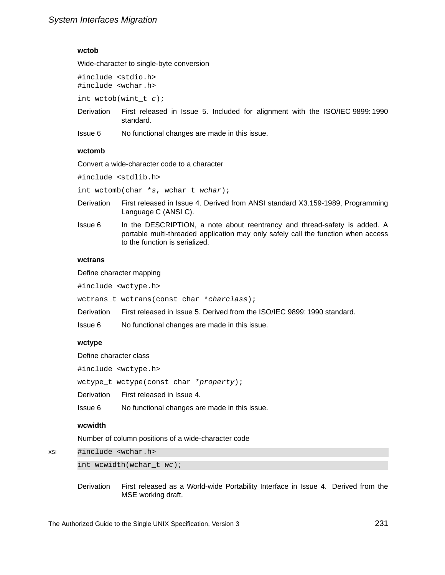### **wctob**

Wide-character to single-byte conversion

#include <stdio.h> #include <wchar.h>

int wctob(wint\_t  $c$ );

- Derivation First released in Issue 5. Included for alignment with the ISO/IEC 9899: 1990 standard.
- Issue 6 No functional changes are made in this issue.

### **wctomb**

Convert a wide-character code to a character

#include <stdlib.h>

int wctomb(char \*s, wchar\_t wchar);

- Derivation First released in Issue 4. Derived from ANSI standard X3.159-1989, Programming Language C (ANSI C).
- Issue 6 In the DESCRIPTION, a note about reentrancy and thread-safety is added. A portable multi-threaded application may only safely call the function when access to the function is serialized.

### **wctrans**

Define character mapping

#include <wctype.h>

wctrans\_t wctrans(const char \*charclass);

- Derivation First released in Issue 5. Derived from the ISO/IEC 9899: 1990 standard.
- Issue 6 No functional changes are made in this issue.

# **wctype**

Define character class

#include <wctype.h>

wctype\_t wctype(const char \*property);

Derivation First released in Issue 4.

Issue 6 No functional changes are made in this issue.

### **wcwidth**

Number of column positions of a wide-character code

XSI #include <wchar.h>

int wcwidth(wchar\_t wc);

Derivation First released as a World-wide Portability Interface in Issue 4. Derived from the MSE working draft.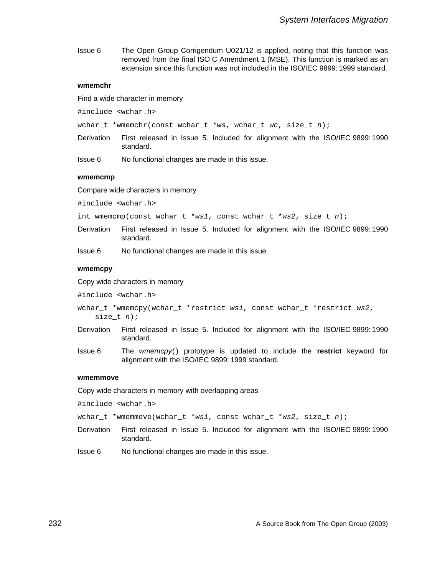Issue 6 The Open Group Corrigendum U021/12 is applied, noting that this function was removed from the final ISO C Amendment 1 (MSE). This function is marked as an extension since this function was not included in the ISO/IEC 9899: 1999 standard.

#### **wmemchr**

Find a wide character in memory

#include <wchar.h>

- wchar\_t \*wmemchr(const wchar\_t \*ws, wchar\_t wc, size\_t n);
- Derivation First released in Issue 5. Included for alignment with the ISO/IEC 9899: 1990 standard.
- Issue 6 No functional changes are made in this issue.

#### **wmemcmp**

Compare wide characters in memory

#include <wchar.h>

int wmemcmp(const wchar\_t \*ws1, const wchar\_t \*ws2, size\_t n);

- Derivation First released in Issue 5. Included for alignment with the ISO/IEC 9899: 1990 standard.
- Issue 6 No functional changes are made in this issue.

### **wmemcpy**

Copy wide characters in memory

#include <wchar.h>

- wchar\_t \*wmemcpy(wchar\_t \*restrict ws1, const wchar\_t \*restrict ws2, size\_t  $n$ );
- Derivation First released in Issue 5. Included for alignment with the ISO/IEC 9899: 1990 standard.
- Issue 6 The wmemcpy( ) prototype is updated to include the **restrict** keyword for alignment with the ISO/IEC 9899: 1999 standard.

#### **wmemmove**

Copy wide characters in memory with overlapping areas

#include <wchar.h>

wchar\_t \*wmemmove(wchar\_t \*ws1, const wchar\_t \*ws2, size\_t n);

- Derivation First released in Issue 5. Included for alignment with the ISO/IEC 9899: 1990 standard.
- Issue 6 No functional changes are made in this issue.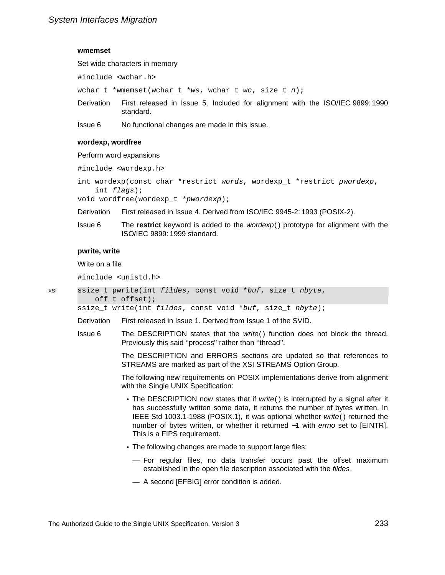#### **wmemset**

Set wide characters in memory

#include <wchar.h>

wchar\_t \*wmemset(wchar\_t \*ws, wchar\_t wc, size\_t  $n$ );

- Derivation First released in Issue 5. Included for alignment with the ISO/IEC 9899: 1990 standard.
- Issue 6 No functional changes are made in this issue.

#### **wordexp, wordfree**

Perform word expansions

#include <wordexp.h>

int wordexp(const char \*restrict words, wordexp\_t \*restrict pwordexp, int flags); void wordfree(wordexp\_t \*pwordexp);

- Derivation First released in Issue 4. Derived from ISO/IEC 9945-2: 1993 (POSIX-2).
- Issue 6 The **restrict** keyword is added to the wordexp( ) prototype for alignment with the ISO/IEC 9899: 1999 standard.

#### **pwrite, write**

Write on a file

#include <unistd.h>

XSI ssize\_t pwrite(int fildes, const void \*buf, size\_t nbyte,

off\_t offset);

ssize\_t write(int fildes, const void \*buf, size\_t nbyte);

Derivation First released in Issue 1. Derived from Issue 1 of the SVID.

Issue  $6$  The DESCRIPTION states that the *write*( $)$  function does not block the thread. Previously this said ''process'' rather than ''thread''.

> The DESCRIPTION and ERRORS sections are updated so that references to STREAMS are marked as part of the XSI STREAMS Option Group.

> The following new requirements on POSIX implementations derive from alignment with the Single UNIX Specification:

- The DESCRIPTION now states that if  $write()$  is interrupted by a signal after it has successfully written some data, it returns the number of bytes written. In IEEE Std 1003.1-1988 (POSIX.1), it was optional whether write( ) returned the number of bytes written, or whether it returned −1 with errno set to [EINTR]. This is a FIPS requirement.
- The following changes are made to support large files:
	- For regular files, no data transfer occurs past the offset maximum established in the open file description associated with the fildes.
	- A second [EFBIG] error condition is added.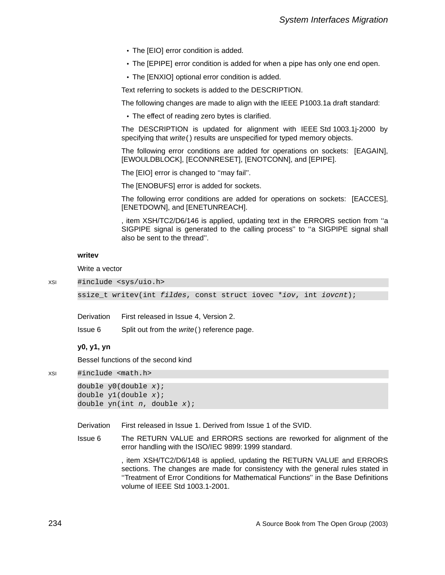- The [EIO] error condition is added.
- The [EPIPE] error condition is added for when a pipe has only one end open.
- The [ENXIO] optional error condition is added.

Text referring to sockets is added to the DESCRIPTION.

The following changes are made to align with the IEEE P1003.1a draft standard:

• The effect of reading zero bytes is clarified.

The DESCRIPTION is updated for alignment with IEEE Std 1003.1j-2000 by specifying that write() results are unspecified for typed memory objects.

The following error conditions are added for operations on sockets: [EAGAIN], [EWOULDBLOCK], [ECONNRESET], [ENOTCONN], and [EPIPE].

The [EIO] error is changed to ''may fail''.

The [ENOBUFS] error is added for sockets.

The following error conditions are added for operations on sockets: [EACCES], [ENETDOWN], and [ENETUNREACH].

, item XSH/TC2/D6/146 is applied, updating text in the ERRORS section from ''a SIGPIPE signal is generated to the calling process'' to ''a SIGPIPE signal shall also be sent to the thread''.

# **writev**

### Write a vector

XSI #include <sys/uio.h>

ssize\_t writev(int fildes, const struct iovec \*iov, int iovcnt);

Derivation First released in Issue 4, Version 2.

Issue 6 Split out from the write( ) reference page.

# **y0, y1, yn**

Bessel functions of the second kind

XSI #include <math.h>

```
double y0(double x);
double y1(double x);
double yn(int n, double x);
```
Derivation First released in Issue 1. Derived from Issue 1 of the SVID.

Issue 6 The RETURN VALUE and ERRORS sections are reworked for alignment of the error handling with the ISO/IEC 9899: 1999 standard.

> , item XSH/TC2/D6/148 is applied, updating the RETURN VALUE and ERRORS sections. The changes are made for consistency with the general rules stated in ''Treatment of Error Conditions for Mathematical Functions'' in the Base Definitions volume of IEEE Std 1003.1-2001.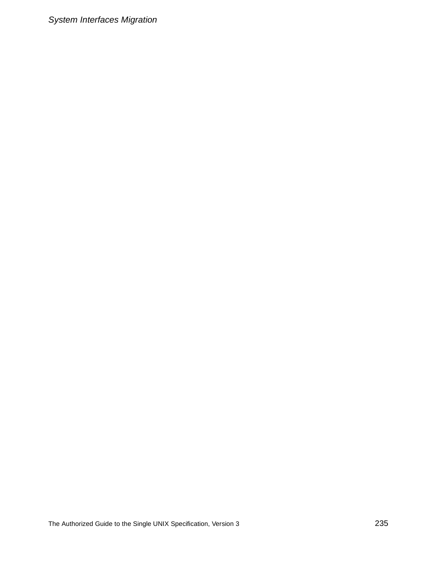System Interfaces Migration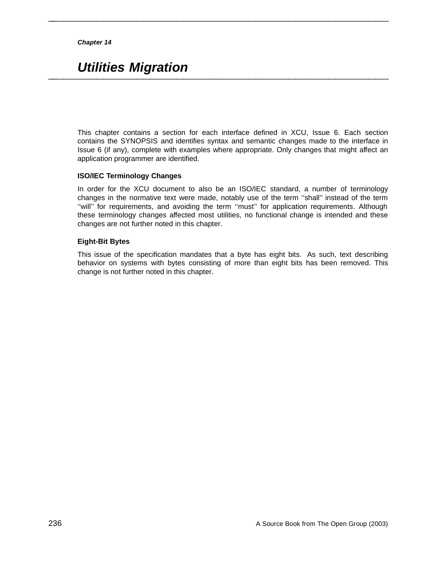### **Chapter 14**

# **Utilities Migration DUINTES MIGRATOR**

This chapter contains a section for each interface defined in XCU, Issue 6. Each section contains the SYNOPSIS and identifies syntax and semantic changes made to the interface in Issue 6 (if any), complete with examples where appropriate. Only changes that might affect an application programmer are identified.

**\_\_\_\_\_\_\_\_\_\_\_\_\_\_\_\_\_\_\_\_\_\_\_\_\_\_\_\_\_\_\_\_\_\_\_\_\_\_\_\_\_\_\_\_\_\_\_\_\_\_\_\_**

# **ISO/IEC Terminology Changes**

In order for the XCU document to also be an ISO/IEC standard, a number of terminology changes in the normative text were made, notably use of the term ''shall'' instead of the term ''will'' for requirements, and avoiding the term ''must'' for application requirements. Although these terminology changes affected most utilities, no functional change is intended and these changes are not further noted in this chapter.

# **Eight-Bit Bytes**

This issue of the specification mandates that a byte has eight bits. As such, text describing behavior on systems with bytes consisting of more than eight bits has been removed. This change is not further noted in this chapter.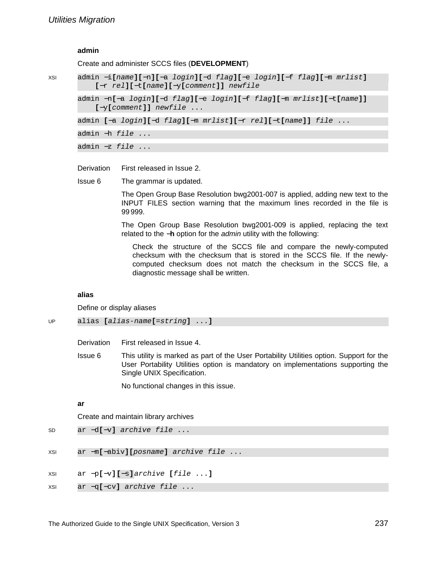#### **admin**

Create and administer SCCS files (**DEVELOPMENT**)

XSI admin −i**[**name**][**−n**][**−a login**][**−d flag**][**−e login**][**−f flag**][**−m mrlist**] [**−r rel**][**−t**[**name**][**−y**[**comment**]]** newfile

admin −n**[**−a login**][**−d flag**][**−e login**][**−f flag**][**−m mrlist**][**−t**[**name**]] [**−y**[**comment**]]** newfile ...

admin **[**−a login**][**−d flag**][**−m mrlist**][**−r rel**][**−t**[**name**]]** file ...

admin −h file ...

admin −z file ...

Derivation First released in Issue 2.

#### Issue 6 The grammar is updated.

The Open Group Base Resolution bwg2001-007 is applied, adding new text to the INPUT FILES section warning that the maximum lines recorded in the file is 99 999.

The Open Group Base Resolution bwg2001-009 is applied, replacing the text related to the −**h** option for the admin utility with the following:

Check the structure of the SCCS file and compare the newly-computed checksum with the checksum that is stored in the SCCS file. If the newlycomputed checksum does not match the checksum in the SCCS file, a diagnostic message shall be written.

#### **alias**

Define or display aliases

UP alias **[**alias-name**[**=string**]** ...**]**

Derivation First released in Issue 4.

Issue 6 This utility is marked as part of the User Portability Utilities option. Support for the User Portability Utilities option is mandatory on implementations supporting the Single UNIX Specification.

No functional changes in this issue.

### **ar**

Create and maintain library archives

SD ar −d**[**−v**]** archive file ...

# XSI ar −m**[**−abiv**][**posname**]** archive file ...

- XSI ar −p**[**−v**][**−s**]**archive **[**file ...**]**
- XSI ar −q**[**−cv**]** archive file ...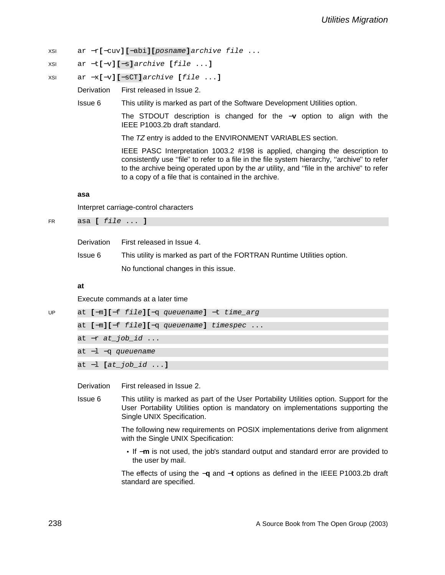- XSI ar −r**[**−cuv**][**−abi**][**posname**]**archive file ...
- XSI ar −t**[**−v**][**−s**]**archive **[**file ...**]**
- XSI ar −x**[**−v**][**−sCT**]**archive **[**file ...**]**

Derivation First released in Issue 2.

Issue 6 This utility is marked as part of the Software Development Utilities option.

The STDOUT description is changed for the −**v** option to align with the IEEE P1003.2b draft standard.

The TZ entry is added to the ENVIRONMENT VARIABLES section.

IEEE PASC Interpretation 1003.2 #198 is applied, changing the description to consistently use ''file'' to refer to a file in the file system hierarchy, ''archive'' to refer to the archive being operated upon by the ar utility, and "file in the archive" to refer to a copy of a file that is contained in the archive.

### **asa**

Interpret carriage-control characters

FR asa **[** file ... **]**

Derivation First released in Issue 4.

Issue 6 This utility is marked as part of the FORTRAN Runtime Utilities option. No functional changes in this issue.

# **at**

Execute commands at a later time

UP at **[**−m**][**−f file**][**−q queuename**]** −t time\_arg

at **[**−m**][**−f file**][**−q queuename**]** timespec ...

at −r at\_job\_id ...

at −l −q queuename

at −l **[**at\_job\_id ...**]**

Derivation First released in Issue 2.

Issue 6 This utility is marked as part of the User Portability Utilities option. Support for the User Portability Utilities option is mandatory on implementations supporting the Single UNIX Specification.

> The following new requirements on POSIX implementations derive from alignment with the Single UNIX Specification:

• If −**m** is not used, the job's standard output and standard error are provided to the user by mail.

The effects of using the −**q** and −**t** options as defined in the IEEE P1003.2b draft standard are specified.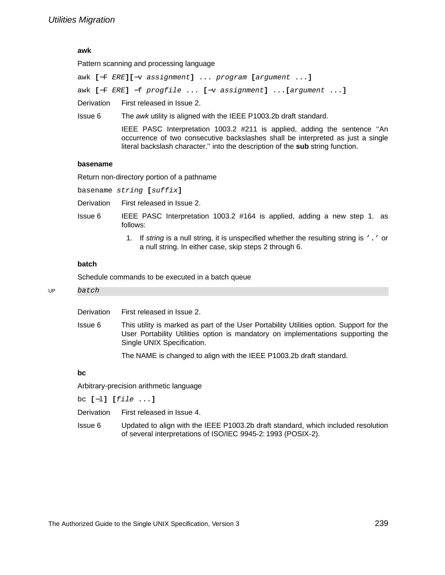### **awk**

Pattern scanning and processing language

awk **[**−F ERE**][**−v assignment**]** ... program **[**argument ...**]**

awk **[**−F ERE**]** −f progfile ... **[**−v assignment**]** ...**[**argument ...**]**

Derivation First released in Issue 2.

Issue 6 The awk utility is aligned with the IEEE P1003.2b draft standard.

IEEE PASC Interpretation 1003.2 #211 is applied, adding the sentence ''An occurrence of two consecutive backslashes shall be interpreted as just a single literal backslash character.'' into the description of the **sub** string function.

### **basename**

Return non-directory portion of a pathname

basename string **[**suffix**]**

Derivation First released in Issue 2.

- Issue 6 IEEE PASC Interpretation 1003.2 #164 is applied, adding a new step 1. as follows:
	- 1. If string is a null string, it is unspecified whether the resulting string is '.' or a null string. In either case, skip steps 2 through 6.

### **batch**

Schedule commands to be executed in a batch queue

UP batch

Derivation First released in Issue 2.

Issue 6 This utility is marked as part of the User Portability Utilities option. Support for the User Portability Utilities option is mandatory on implementations supporting the Single UNIX Specification.

The NAME is changed to align with the IEEE P1003.2b draft standard.

### **bc**

Arbitrary-precision arithmetic language

bc **[**−l**] [**file ...**]**

Derivation First released in Issue 4.

Issue 6 Updated to align with the IEEE P1003.2b draft standard, which included resolution of several interpretations of ISO/IEC 9945-2: 1993 (POSIX-2).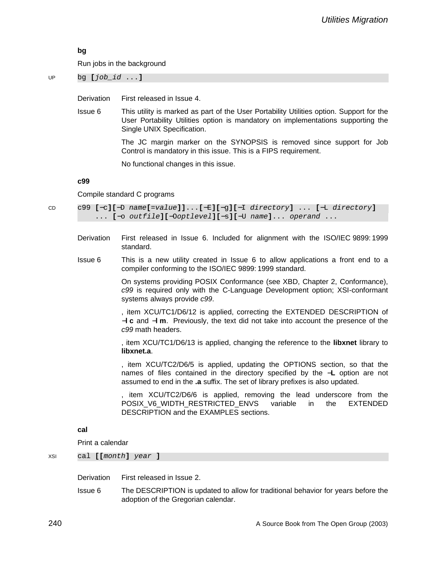# **bg**

Run jobs in the background

UP bg **[**job\_id ...**]**

Derivation First released in Issue 4.

Issue 6 This utility is marked as part of the User Portability Utilities option. Support for the User Portability Utilities option is mandatory on implementations supporting the Single UNIX Specification.

> The JC margin marker on the SYNOPSIS is removed since support for Job Control is mandatory in this issue. This is a FIPS requirement.

No functional changes in this issue.

### **c99**

Compile standard C programs

CD c99 **[**−c**][**−D name**[**=value**]]**...**[**−E**][**−g**][**−I directory**]** ... **[**−L directory**]** ... **[**−o outfile**][**−Ooptlevel**][**−s**][**−U name**]**... operand ...

- Derivation First released in Issue 6. Included for alignment with the ISO/IEC 9899: 1999 standard.
- Issue 6 This is a new utility created in Issue 6 to allow applications a front end to a compiler conforming to the ISO/IEC 9899: 1999 standard.

On systems providing POSIX Conformance (see XBD, Chapter 2, Conformance), c99 is required only with the C-Language Development option; XSI-conformant systems always provide c99.

, item XCU/TC1/D6/12 is applied, correcting the EXTENDED DESCRIPTION of −**l c** and −**l m**. Previously, the text did not take into account the presence of the c99 math headers.

, item XCU/TC1/D6/13 is applied, changing the reference to the **libxnet** library to **libxnet.a**.

, item XCU/TC2/D6/5 is applied, updating the OPTIONS section, so that the names of files contained in the directory specified by the −**L** option are not assumed to end in the **.a** suffix. The set of library prefixes is also updated.

item XCU/TC2/D6/6 is applied, removing the lead underscore from the POSIX\_V6\_WIDTH\_RESTRICTED\_ENVS variable in the EXTENDED DESCRIPTION and the EXAMPLES sections.

# **cal**

Print a calendar

XSI cal **[[**month**]** year **]**

Derivation First released in Issue 2.

Issue 6 The DESCRIPTION is updated to allow for traditional behavior for years before the adoption of the Gregorian calendar.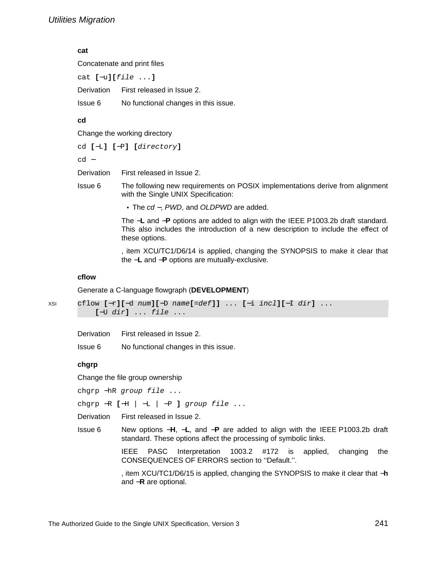### **cat**

Concatenate and print files

cat **[**−u**][**file ...**]**

Derivation First released in Issue 2.

Issue 6 No functional changes in this issue.

### **cd**

Change the working directory

```
cd [−L] [−P] [directory]
```
cd −

Derivation First released in Issue 2.

Issue 6 The following new requirements on POSIX implementations derive from alignment with the Single UNIX Specification:

• The cd −, PWD, and OLDPWD are added.

The −**L** and −**P** options are added to align with the IEEE P1003.2b draft standard. This also includes the introduction of a new description to include the effect of these options.

, item XCU/TC1/D6/14 is applied, changing the SYNOPSIS to make it clear that the −**L** and −**P** options are mutually-exclusive.

#### **cflow**

Generate a C-language flowgraph (**DEVELOPMENT**)

```
XSI cflow [−r][−d num][−D name[=def]] ... [−i incl][−I dir] ...
          [−U dir] ... file ...
```
Derivation First released in Issue 2.

Issue 6 No functional changes in this issue.

# **chgrp**

Change the file group ownership

chgrp −hR group file ...

chgrp −R **[**−H | −L | −P **]** group file ...

Derivation First released in Issue 2.

Issue 6 New options −**H**, −**L**, and −**P** are added to align with the IEEE P1003.2b draft standard. These options affect the processing of symbolic links.

> IEEE PASC Interpretation 1003.2 #172 is applied, changing the CONSEQUENCES OF ERRORS section to ''Default.''.

> , item XCU/TC1/D6/15 is applied, changing the SYNOPSIS to make it clear that −**h** and −**R** are optional.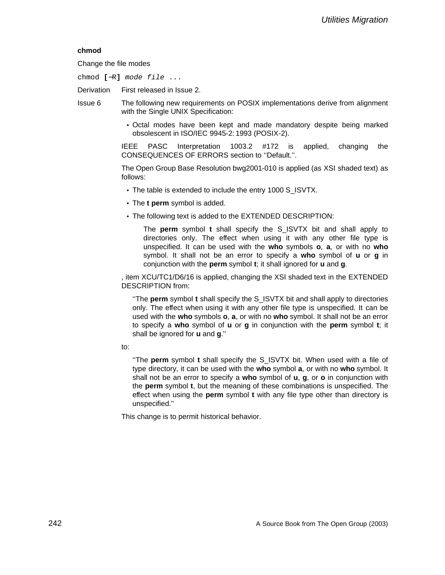# **chmod**

Change the file modes

chmod **[**−R**]** mode file ...

Derivation First released in Issue 2.

Issue 6 The following new requirements on POSIX implementations derive from alignment with the Single UNIX Specification:

> • Octal modes have been kept and made mandatory despite being marked obsolescent in ISO/IEC 9945-2: 1993 (POSIX-2).

IEEE PASC Interpretation 1003.2 #172 is applied, changing the CONSEQUENCES OF ERRORS section to ''Default.''.

The Open Group Base Resolution bwg2001-010 is applied (as XSI shaded text) as follows:

- The table is extended to include the entry 1000 S\_ISVTX.
- The **t perm** symbol is added.
- The following text is added to the EXTENDED DESCRIPTION:

The **perm** symbol **t** shall specify the S\_ISVTX bit and shall apply to directories only. The effect when using it with any other file type is unspecified. It can be used with the **who** symbols **o**, **a**, or with no **who** symbol. It shall not be an error to specify a **who** symbol of **u** or **g** in conjunction with the **perm** symbol **t**; it shall ignored for **u** and **g**.

, item XCU/TC1/D6/16 is applied, changing the XSI shaded text in the EXTENDED DESCRIPTION from:

''The **perm** symbol **t** shall specify the S\_ISVTX bit and shall apply to directories only. The effect when using it with any other file type is unspecified. It can be used with the **who** symbols **o**, **a**, or with no **who** symbol. It shall not be an error to specify a **who** symbol of **u** or **g** in conjunction with the **perm** symbol **t**; it shall be ignored for **u** and **g**.''

to:

''The **perm** symbol **t** shall specify the S\_ISVTX bit. When used with a file of type directory, it can be used with the **who** symbol **a**, or with no **who** symbol. It shall not be an error to specify a **who** symbol of **u**, **g**, or **o** in conjunction with the **perm** symbol **t**, but the meaning of these combinations is unspecified. The effect when using the **perm** symbol **t** with any file type other than directory is unspecified.''

This change is to permit historical behavior.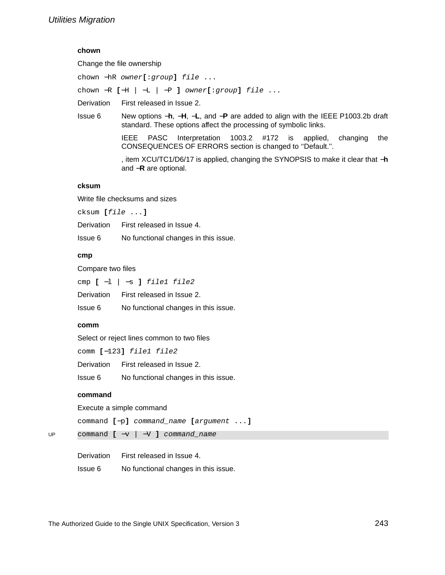### **chown**

Change the file ownership

chown −hR owner**[**:group**]** file ...

chown −R **[**−H | −L | −P **]** owner**[**:group**]** file ...

Derivation First released in Issue 2.

Issue 6 New options −**h**, −**H**, −**L**, and −**P** are added to align with the IEEE P1003.2b draft standard. These options affect the processing of symbolic links.

> IEEE PASC Interpretation 1003.2 #172 is applied, changing the CONSEQUENCES OF ERRORS section is changed to ''Default.''.

> , item XCU/TC1/D6/17 is applied, changing the SYNOPSIS to make it clear that −**h** and −**R** are optional.

### **cksum**

Write file checksums and sizes

cksum **[**file ...**]**

Derivation First released in Issue 4.

Issue 6 No functional changes in this issue.

### **cmp**

Compare two files

cmp **[** −l | −s **]** file1 file2

Derivation First released in Issue 2.

Issue 6 No functional changes in this issue.

#### **comm**

Select or reject lines common to two files

comm **[**−123**]** file1 file2

Derivation First released in Issue 2.

Issue 6 No functional changes in this issue.

# **command**

Execute a simple command

command **[**−p**]** command\_name **[**argument ...**]**

UP command **[** −v | −V **]** command\_name

Derivation First released in Issue 4.

Issue 6 No functional changes in this issue.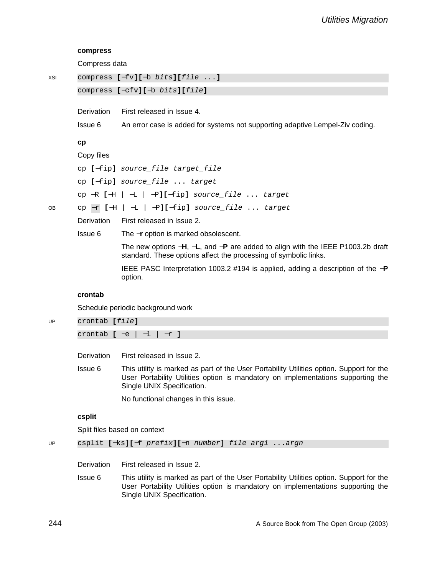### **compress**

Compress data

XSI compress **[**−fv**][**−b bits**][**file ...**]** compress **[**−cfv**][**−b bits**][**file**]**

Derivation First released in Issue 4.

Issue 6 An error case is added for systems not supporting adaptive Lempel-Ziv coding.

# **cp**

# Copy files

cp **[**−fip**]** source\_file target\_file cp **[**−fip**]** source\_file ... target cp −R **[**−H | −L | −P**][**−fip**]** source\_file ... target

OB cp −r **[**−H | −L | −P**][**−fip**]** source\_file ... target

Derivation First released in Issue 2.

Issue 6 The −**r** option is marked obsolescent.

The new options −**H**, −**L**, and −**P** are added to align with the IEEE P1003.2b draft standard. These options affect the processing of symbolic links.

IEEE PASC Interpretation 1003.2 #194 is applied, adding a description of the −**P** option.

### **crontab**

Schedule periodic background work

UP crontab **[**file**]**

crontab **[** −e | −l | −r **]**

Derivation First released in Issue 2.

Issue 6 This utility is marked as part of the User Portability Utilities option. Support for the User Portability Utilities option is mandatory on implementations supporting the Single UNIX Specification.

No functional changes in this issue.

# **csplit**

Split files based on context

UP csplit **[**−ks**][**−f prefix**][**−n number**]** file arg1 ...argn

Derivation First released in Issue 2.

Issue 6 This utility is marked as part of the User Portability Utilities option. Support for the User Portability Utilities option is mandatory on implementations supporting the Single UNIX Specification.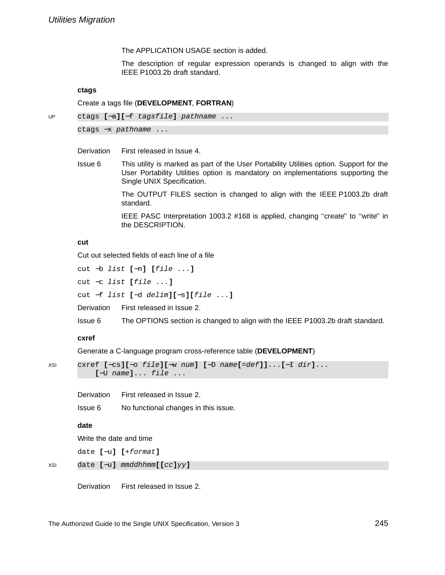The APPLICATION USAGE section is added.

The description of regular expression operands is changed to align with the IEEE P1003.2b draft standard.

#### **ctags**

Create a tags file (**DEVELOPMENT**, **FORTRAN**)

```
UP ctags [−a][−f tagsfile] pathname ...
```
ctags −x pathname ...

Derivation First released in Issue 4.

Issue 6 This utility is marked as part of the User Portability Utilities option. Support for the User Portability Utilities option is mandatory on implementations supporting the Single UNIX Specification.

> The OUTPUT FILES section is changed to align with the IEEE P1003.2b draft standard.

> IEEE PASC Interpretation 1003.2 #168 is applied, changing ''create'' to ''write'' in the DESCRIPTION.

### **cut**

Cut out selected fields of each line of a file

```
cut −b list [−n] [file ...]
```

```
cut −c list [file ...]
```
cut −f list **[**−d delim**][**−s**][**file ...**]**

Derivation First released in Issue 2.

Issue 6 The OPTIONS section is changed to align with the IEEE P1003.2b draft standard.

### **cxref**

Generate a C-language program cross-reference table (**DEVELOPMENT**)

XSI cxref **[**−cs**][**−o file**][**−w num**] [**−D name**[**=def**]]**...**[**−I dir**]**... **[**−U name**]**... file ...

Derivation First released in Issue 2.

Issue 6 No functional changes in this issue.

#### **date**

Write the date and time

date **[**−u**] [**+format**]**

XSI date **[**−u**]** mmddhhmm**[[**cc**]**yy**]**

Derivation First released in Issue 2.

The Authorized Guide to the Single UNIX Specification, Version 3 245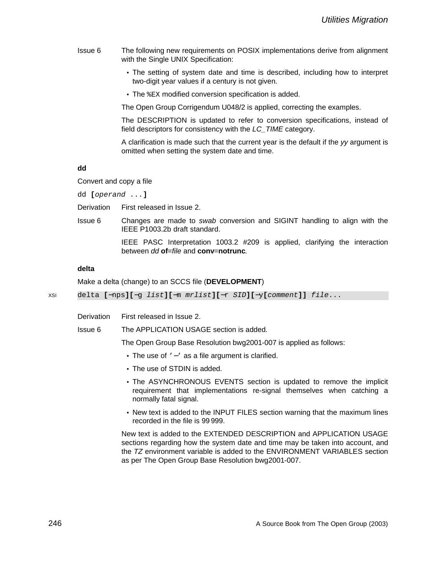- Issue 6 The following new requirements on POSIX implementations derive from alignment with the Single UNIX Specification:
	- The setting of system date and time is described, including how to interpret two-digit year values if a century is not given.
	- The %EX modified conversion specification is added.

The Open Group Corrigendum U048/2 is applied, correcting the examples.

The DESCRIPTION is updated to refer to conversion specifications, instead of field descriptors for consistency with the LC\_TIME category.

A clarification is made such that the current year is the default if the yy argument is omitted when setting the system date and time.

# **dd**

Convert and copy a file

dd **[**operand ...**]**

Derivation First released in Issue 2.

Issue 6 Changes are made to swab conversion and SIGINT handling to align with the IEEE P1003.2b draft standard.

> IEEE PASC Interpretation 1003.2 #209 is applied, clarifying the interaction between dd **of**=file and **conv**=**notrunc**.

# **delta**

Make a delta (change) to an SCCS file (**DEVELOPMENT**)

XSI delta **[**−nps**][**−g list**][**−m mrlist**][**−r SID**][**−y**[**comment**]]** file...

Derivation First released in Issue 2.

Issue 6 The APPLICATION USAGE section is added.

The Open Group Base Resolution bwg2001-007 is applied as follows:

- The use of '−' as a file argument is clarified.
- The use of STDIN is added.
- The ASYNCHRONOUS EVENTS section is updated to remove the implicit requirement that implementations re-signal themselves when catching a normally fatal signal.
- New text is added to the INPUT FILES section warning that the maximum lines recorded in the file is 99 999.

New text is added to the EXTENDED DESCRIPTION and APPLICATION USAGE sections regarding how the system date and time may be taken into account, and the TZ environment variable is added to the ENVIRONMENT VARIABLES section as per The Open Group Base Resolution bwg2001-007.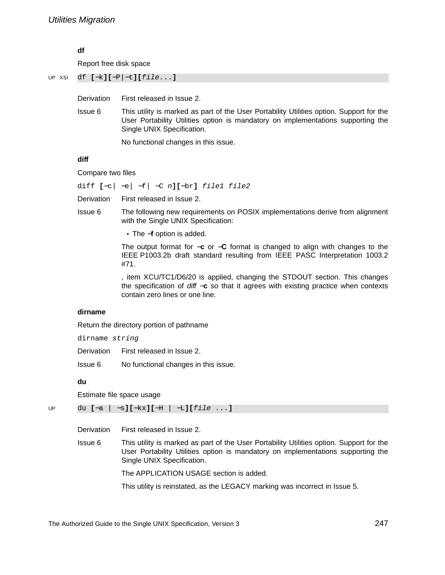# **df**

Report free disk space

|            | UP XSI $df$ [-k][-P $ -t$ ][file]                                                                                                                                                                          |
|------------|------------------------------------------------------------------------------------------------------------------------------------------------------------------------------------------------------------|
|            |                                                                                                                                                                                                            |
| Derivation | First released in Issue 2.                                                                                                                                                                                 |
| Issue 6    | This utility is marked as part of the User Portability Utilities option. Support for the<br>User Portability Utilities option is mandatory on implementations supporting the<br>Single UNIX Specification. |
|            | No functional changes in this issue.                                                                                                                                                                       |

**diff**

Compare two files

diff **[**−c| −e| −f| −C n**][**−br**]** file1 file2

Derivation First released in Issue 2.

Issue 6 The following new requirements on POSIX implementations derive from alignment with the Single UNIX Specification:

• The −**f** option is added.

The output format for −**c** or −**C** format is changed to align with changes to the IEEE P1003.2b draft standard resulting from IEEE PASC Interpretation 1003.2 #71.

, item XCU/TC1/D6/20 is applied, changing the STDOUT section. This changes the specification of diff −**c** so that it agrees with existing practice when contexts contain zero lines or one line.

### **dirname**

Return the directory portion of pathname

dirname string

Derivation First released in Issue 2.

Issue 6 No functional changes in this issue.

## **du**

Estimate file space usage

UP du **[**−a | −s**][**−kx**][**−H | −L**][**file ...**]**

Derivation First released in Issue 2.

Issue 6 This utility is marked as part of the User Portability Utilities option. Support for the User Portability Utilities option is mandatory on implementations supporting the Single UNIX Specification.

The APPLICATION USAGE section is added.

This utility is reinstated, as the LEGACY marking was incorrect in Issue 5.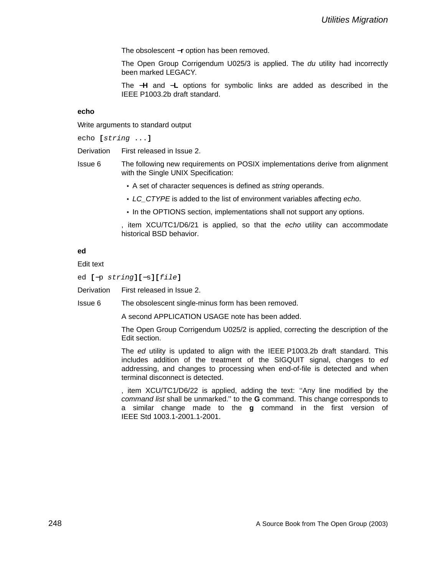The obsolescent −**r** option has been removed.

The Open Group Corrigendum U025/3 is applied. The du utility had incorrectly been marked LEGACY.

The −**H** and −**L** options for symbolic links are added as described in the IEEE P1003.2b draft standard.

# **echo**

Write arguments to standard output

echo **[**string ...**]**

Derivation First released in Issue 2.

Issue 6 The following new requirements on POSIX implementations derive from alignment with the Single UNIX Specification:

• A set of character sequences is defined as string operands.

- LC\_CTYPE is added to the list of environment variables affecting echo.
- In the OPTIONS section, implementations shall not support any options.

, item XCU/TC1/D6/21 is applied, so that the echo utility can accommodate historical BSD behavior.

### **ed**

Edit text

```
ed [−p string][−s][file]
```
Derivation First released in Issue 2.

Issue 6 The obsolescent single-minus form has been removed.

A second APPLICATION USAGE note has been added.

The Open Group Corrigendum U025/2 is applied, correcting the description of the Edit section.

The ed utility is updated to align with the IEEE P1003.2b draft standard. This includes addition of the treatment of the SIGQUIT signal, changes to ed addressing, and changes to processing when end-of-file is detected and when terminal disconnect is detected.

, item XCU/TC1/D6/22 is applied, adding the text: ''Any line modified by the command list shall be unmarked.'' to the **G** command. This change corresponds to a similar change made to the **g** command in the first version of IEEE Std 1003.1-2001.1-2001.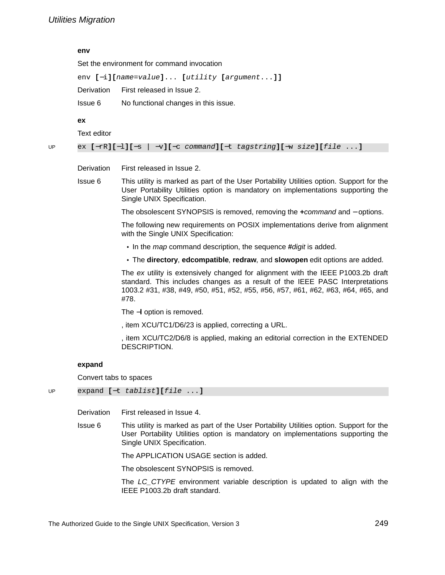#### **env**

Set the environment for command invocation

env **[**−i**][**name=value**]**... **[**utility **[**argument...**]]**

Derivation First released in Issue 2.

Issue 6 No functional changes in this issue.

**ex**

Text editor

UP ex **[**−rR**][**−l**][**−s | −v**][**−c command**][**−t tagstring**][**−w size**][**file ...**]**

Derivation First released in Issue 2.

Issue 6 This utility is marked as part of the User Portability Utilities option. Support for the User Portability Utilities option is mandatory on implementations supporting the Single UNIX Specification.

The obsolescent SYNOPSIS is removed, removing the **+**command and − options.

The following new requirements on POSIX implementations derive from alignment with the Single UNIX Specification:

- In the map command description, the sequence **#**digit is added.
- The **directory**, **edcompatible**, **redraw**, and **slowopen** edit options are added.

The ex utility is extensively changed for alignment with the IEEE P1003.2b draft standard. This includes changes as a result of the IEEE PASC Interpretations 1003.2 #31, #38, #49, #50, #51, #52, #55, #56, #57, #61, #62, #63, #64, #65, and #78.

The −**l** option is removed.

, item XCU/TC1/D6/23 is applied, correcting a URL.

, item XCU/TC2/D6/8 is applied, making an editorial correction in the EXTENDED DESCRIPTION.

#### **expand**

Convert tabs to spaces

UP expand **[**−t tablist**][**file ...**]**

Derivation First released in Issue 4.

Issue 6 This utility is marked as part of the User Portability Utilities option. Support for the User Portability Utilities option is mandatory on implementations supporting the Single UNIX Specification.

The APPLICATION USAGE section is added.

The obsolescent SYNOPSIS is removed.

The LC\_CTYPE environment variable description is updated to align with the IEEE P1003.2b draft standard.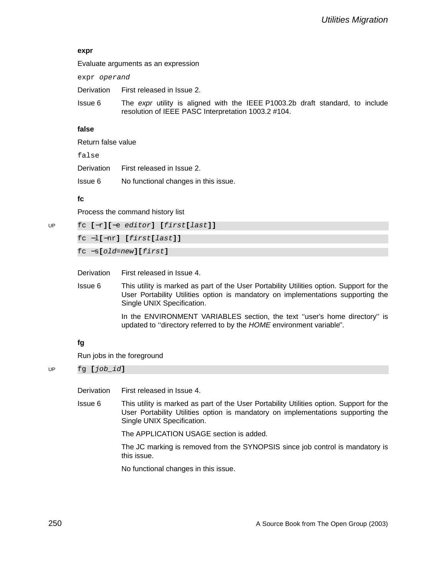# **expr**

Evaluate arguments as an expression

expr operand

Derivation First released in Issue 2.

Issue 6 The expr utility is aligned with the IEEE P1003.2b draft standard, to include resolution of IEEE PASC Interpretation 1003.2 #104.

# **false**

Return false value

false

Derivation First released in Issue 2.

Issue 6 No functional changes in this issue.

# **fc**

Process the command history list

UP fc **[**−r**][**−e editor**] [**first**[**last**]]**

fc −l**[**−nr**] [**first**[**last**]]**

fc −s**[**old=new**][**first**]**

Derivation First released in Issue 4.

Issue 6 This utility is marked as part of the User Portability Utilities option. Support for the User Portability Utilities option is mandatory on implementations supporting the Single UNIX Specification.

> In the ENVIRONMENT VARIABLES section, the text ''user's home directory'' is updated to ''directory referred to by the HOME environment variable''.

# **fg**

Run jobs in the foreground

UP fg **[**job\_id**]**

Derivation First released in Issue 4.

Issue 6 This utility is marked as part of the User Portability Utilities option. Support for the User Portability Utilities option is mandatory on implementations supporting the Single UNIX Specification.

The APPLICATION USAGE section is added.

The JC marking is removed from the SYNOPSIS since job control is mandatory is this issue.

No functional changes in this issue.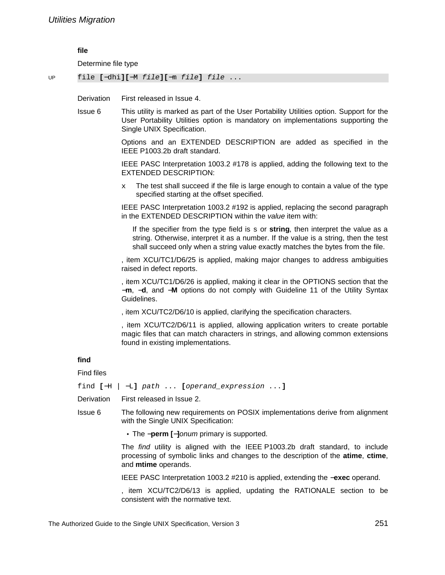**file**

Determine file type UP file **[**−dhi**][**−M file**][**−m file**]** file ...

Derivation First released in Issue 4.

Issue 6 This utility is marked as part of the User Portability Utilities option. Support for the User Portability Utilities option is mandatory on implementations supporting the Single UNIX Specification.

> Options and an EXTENDED DESCRIPTION are added as specified in the IEEE P1003.2b draft standard.

> IEEE PASC Interpretation 1003.2 #178 is applied, adding the following text to the EXTENDED DESCRIPTION:

> $x$  The test shall succeed if the file is large enough to contain a value of the type specified starting at the offset specified.

> IEEE PASC Interpretation 1003.2 #192 is applied, replacing the second paragraph in the EXTENDED DESCRIPTION within the value item with:

If the specifier from the type field is s or **string**, then interpret the value as a string. Otherwise, interpret it as a number. If the value is a string, then the test shall succeed only when a string value exactly matches the bytes from the file.

, item XCU/TC1/D6/25 is applied, making major changes to address ambiguities raised in defect reports.

, item XCU/TC1/D6/26 is applied, making it clear in the OPTIONS section that the −**m**, −**d**, and −**M** options do not comply with Guideline 11 of the Utility Syntax Guidelines.

, item XCU/TC2/D6/10 is applied, clarifying the specification characters.

, item XCU/TC2/D6/11 is applied, allowing application writers to create portable magic files that can match characters in strings, and allowing common extensions found in existing implementations.

## **find**

Find files

find **[**−H | −L**]** path ... **[**operand\_expression ...**]**

Derivation First released in Issue 2.

Issue 6 The following new requirements on POSIX implementations derive from alignment with the Single UNIX Specification:

• The −**perm [**−**]**onum primary is supported.

The find utility is aligned with the IEEE P1003.2b draft standard, to include processing of symbolic links and changes to the description of the **atime**, **ctime**, and **mtime** operands.

IEEE PASC Interpretation 1003.2 #210 is applied, extending the −**exec** operand.

, item XCU/TC2/D6/13 is applied, updating the RATIONALE section to be consistent with the normative text.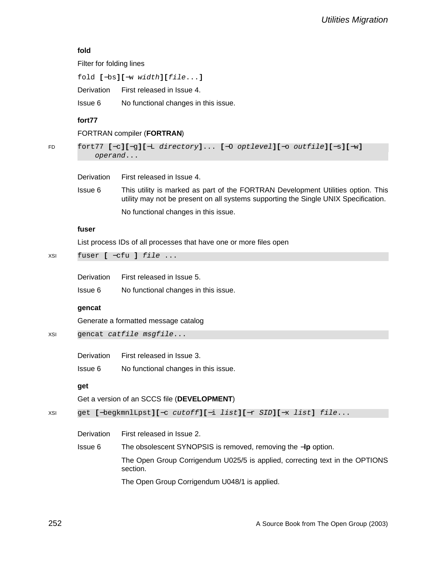# **fold**

Filter for folding lines

fold **[**−bs**][**−w width**][**file...**]**

Derivation First released in Issue 4.

Issue 6 No functional changes in this issue.

## **fort77**

## FORTRAN compiler (**FORTRAN**)

FD fort77 **[**−c**][**−g**][**−L directory**]**... **[**−O optlevel**][**−o outfile**][**−s**][**−w**]** operand...

Derivation First released in Issue 4.

Issue 6 This utility is marked as part of the FORTRAN Development Utilities option. This utility may not be present on all systems supporting the Single UNIX Specification. No functional changes in this issue.

#### **fuser**

List process IDs of all processes that have one or more files open

XSI fuser **[** −cfu **]** file ...

| Derivation    | First released in Issue 5. |  |  |
|---------------|----------------------------|--|--|
| $\sim$ $\sim$ | $\blacksquare$             |  |  |

Issue 6 No functional changes in this issue.

#### **gencat**

Generate a formatted message catalog

XSI gencat catfile msgfile...

Derivation First released in Issue 3.

Issue 6 No functional changes in this issue.

## **get**

Get a version of an SCCS file (**DEVELOPMENT**)

XSI get **[**−begkmnlLpst**][**−c cutoff**][**−i list**][**−r SID**][**−x list**]** file...

Derivation First released in Issue 2.

Issue 6 The obsolescent SYNOPSIS is removed, removing the −**lp** option.

The Open Group Corrigendum U025/5 is applied, correcting text in the OPTIONS section.

The Open Group Corrigendum U048/1 is applied.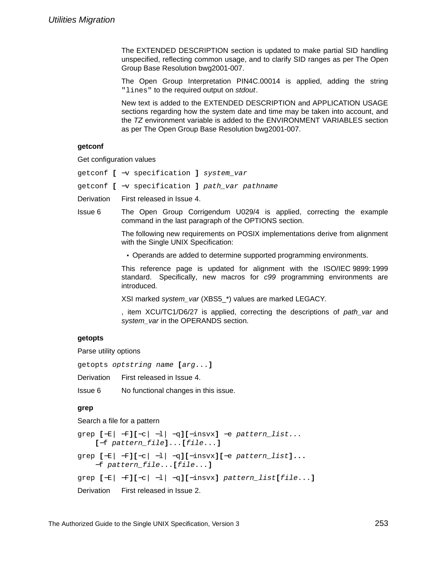The EXTENDED DESCRIPTION section is updated to make partial SID handling unspecified, reflecting common usage, and to clarify SID ranges as per The Open Group Base Resolution bwg2001-007.

The Open Group Interpretation PIN4C.00014 is applied, adding the string "lines" to the required output on stdout.

New text is added to the EXTENDED DESCRIPTION and APPLICATION USAGE sections regarding how the system date and time may be taken into account, and the TZ environment variable is added to the ENVIRONMENT VARIABLES section as per The Open Group Base Resolution bwg2001-007.

# **getconf**

Get configuration values

getconf **[** −v specification **]** system\_var

getconf **[** −v specification **]** path\_var pathname

Derivation First released in Issue 4.

Issue 6 The Open Group Corrigendum U029/4 is applied, correcting the example command in the last paragraph of the OPTIONS section.

> The following new requirements on POSIX implementations derive from alignment with the Single UNIX Specification:

• Operands are added to determine supported programming environments.

This reference page is updated for alignment with the ISO/IEC 9899: 1999 standard. Specifically, new macros for c99 programming environments are introduced.

XSI marked system\_var (XBS5\_\*) values are marked LEGACY.

, item XCU/TC1/D6/27 is applied, correcting the descriptions of path\_var and system\_var in the OPERANDS section.

# **getopts**

Parse utility options

getopts optstring name **[**arg...**]**

Derivation First released in Issue 4.

Issue 6 No functional changes in this issue.

# **grep**

Search a file for a pattern

```
grep [−E| −F][−c| −l| −q][−insvx] −e pattern_list...
    [−f pattern_file]...[file...]
grep [−E| −F][−c| −l| −q][−insvx][−e pattern_list]...
    −f pattern_file...[file...]
grep [−E| −F][−c| −l| −q][−insvx] pattern_list[file...]
Derivation First released in Issue 2.
```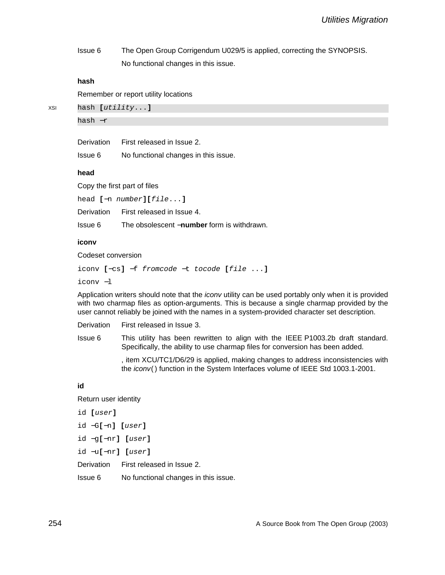Issue 6 The Open Group Corrigendum U029/5 is applied, correcting the SYNOPSIS. No functional changes in this issue.

## **hash**

Remember or report utility locations

```
XSI hash [utility...]
```
hash −r

Derivation First released in Issue 2.

Issue 6 No functional changes in this issue.

#### **head**

Copy the first part of files

head **[**−n number**][**file...**]**

Derivation First released in Issue 4.

Issue 6 The obsolescent −**number** form is withdrawn.

#### **iconv**

Codeset conversion

iconv **[**−cs**]** −f fromcode −t tocode **[**file ...**]**

iconv −l

Application writers should note that the *iconv* utility can be used portably only when it is provided with two charmap files as option-arguments. This is because a single charmap provided by the user cannot reliably be joined with the names in a system-provided character set description.

Derivation First released in Issue 3.

Issue 6 This utility has been rewritten to align with the IEEE P1003.2b draft standard. Specifically, the ability to use charmap files for conversion has been added.

> , item XCU/TC1/D6/29 is applied, making changes to address inconsistencies with the iconv( ) function in the System Interfaces volume of IEEE Std 1003.1-2001.

#### **id**

Return user identity

- id **[**user**]**
- id −G**[**−n**] [**user**]**
- id −g**[**−nr**] [**user**]**
- id −u**[**−nr**] [**user**]**
- Derivation First released in Issue 2.
- Issue 6 No functional changes in this issue.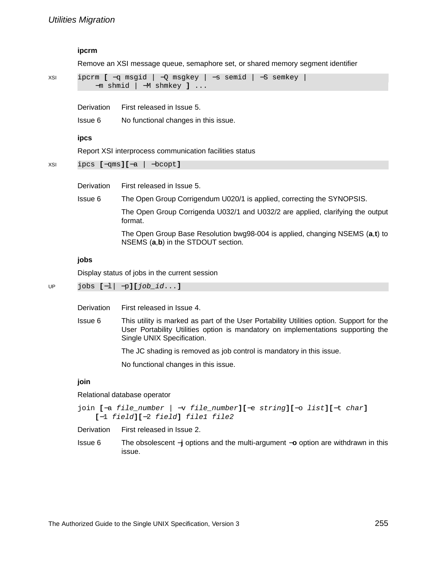## **ipcrm**

Remove an XSI message queue, semaphore set, or shared memory segment identifier

```
XSI ipcrm [ −q msgid | −Q msgkey | −s semid | −S semkey |
          −m shmid | −M shmkey ] ...
```
Derivation First released in Issue 5.

Issue 6 No functional changes in this issue.

#### **ipcs**

Report XSI interprocess communication facilities status

XSI ipcs **[**−qms**][**−a | −bcopt**]**

Issue 6 The Open Group Corrigendum U020/1 is applied, correcting the SYNOPSIS.

The Open Group Corrigenda U032/1 and U032/2 are applied, clarifying the output format.

The Open Group Base Resolution bwg98-004 is applied, changing NSEMS (**a**,**t**) to NSEMS (**a**,**b**) in the STDOUT section.

#### **jobs**

Display status of jobs in the current session

UP jobs **[**−l| −p**][**job\_id...**]**

- Derivation First released in Issue 4.
- Issue 6 This utility is marked as part of the User Portability Utilities option. Support for the User Portability Utilities option is mandatory on implementations supporting the Single UNIX Specification.

The JC shading is removed as job control is mandatory in this issue.

No functional changes in this issue.

#### **join**

Relational database operator

```
join [−a file_number | −v file_number][−e string][−o list][−t char]
    [−1 field][−2 field] file1 file2
```
Derivation First released in Issue 2.

Issue 6 The obsolescent −**j** options and the multi-argument −**o** option are withdrawn in this issue.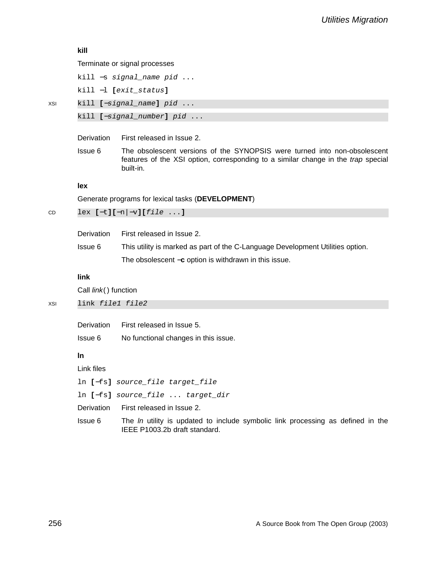# **kill**

Terminate or signal processes

```
kill −s signal_name pid ...
```

```
kill −l [exit_status]
```

```
XSI kill [−signal_name] pid ...
```
kill **[**−signal\_number**]** pid ...

Derivation First released in Issue 2.

Issue 6 The obsolescent versions of the SYNOPSIS were turned into non-obsolescent features of the XSI option, corresponding to a similar change in the trap special built-in.

#### **lex**

Generate programs for lexical tasks (**DEVELOPMENT**)

```
CD lex [−t][−n|−v][file ...]
```

```
Derivation First released in Issue 2.
Issue 6 This utility is marked as part of the C-Language Development Utilities option.
             The obsolescent −c option is withdrawn in this issue.
```
## **link**

Call link( ) function

```
XSI link file1 file2
```

| Derivation | First released in Issue 5. |  |
|------------|----------------------------|--|
|------------|----------------------------|--|

Issue 6 No functional changes in this issue.

**ln**

Link files

ln **[**−fs**]** source\_file target\_file

ln **[**−fs**]** source\_file ... target\_dir

Derivation First released in Issue 2.

Issue 6 The *In* utility is updated to include symbolic link processing as defined in the IEEE P1003.2b draft standard.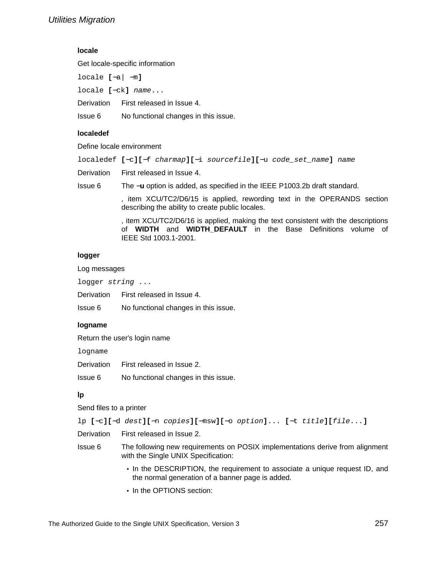# **locale**

Get locale-specific information

locale **[**−a| −m**]**

locale **[**−ck**]** name...

Derivation First released in Issue 4.

Issue 6 No functional changes in this issue.

## **localedef**

Define locale environment

localedef **[**−c**][**−f charmap**][**−i sourcefile**][**−u code\_set\_name**]** name

Derivation First released in Issue 4.

Issue 6 The −**u** option is added, as specified in the IEEE P1003.2b draft standard.

, item XCU/TC2/D6/15 is applied, rewording text in the OPERANDS section describing the ability to create public locales.

, item XCU/TC2/D6/16 is applied, making the text consistent with the descriptions of **WIDTH** and **WIDTH\_DEFAULT** in the Base Definitions volume of IEEE Std 1003.1-2001.

#### **logger**

Log messages

logger string ...

Derivation First released in Issue 4.

Issue 6 No functional changes in this issue.

#### **logname**

Return the user's login name

logname

Derivation First released in Issue 2.

Issue 6 No functional changes in this issue.

## **lp**

Send files to a printer

lp **[**−c**][**−d dest**][**−n copies**][**−msw**][**−o option**]**... **[**−t title**][**file...**]**

Derivation First released in Issue 2.

- Issue 6 The following new requirements on POSIX implementations derive from alignment with the Single UNIX Specification:
	- In the DESCRIPTION, the requirement to associate a unique request ID, and the normal generation of a banner page is added.
	- In the OPTIONS section: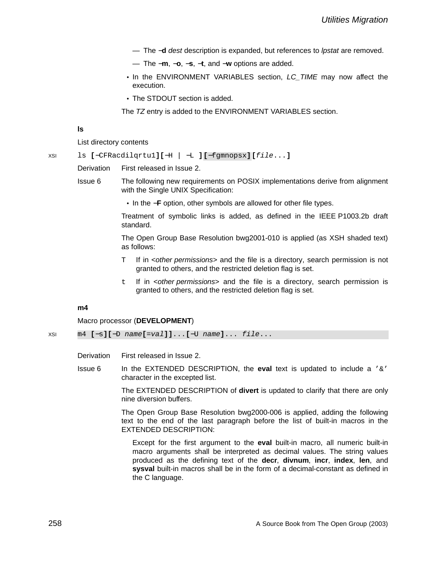- The –**d** dest description is expanded, but references to *lpstat* are removed.
- The −**m**, −**o**, −**s**, −**t**, and −**w** options are added.
- In the ENVIRONMENT VARIABLES section, LC\_TIME may now affect the execution.
- The STDOUT section is added.

The TZ entry is added to the ENVIRONMENT VARIABLES section.

## **ls**

List directory contents

XSI ls **[**−CFRacdilqrtu1**][**−H | −L **][**−fgmnopsx**][**file...**]**

Derivation First released in Issue 2.

- Issue 6 The following new requirements on POSIX implementations derive from alignment with the Single UNIX Specification:
	- In the −**F** option, other symbols are allowed for other file types.

Treatment of symbolic links is added, as defined in the IEEE P1003.2b draft standard.

The Open Group Base Resolution bwg2001-010 is applied (as XSH shaded text) as follows:

- T If in <other permissions> and the file is a directory, search permission is not granted to others, and the restricted deletion flag is set.
- t If in <other permissions> and the file is a directory, search permission is granted to others, and the restricted deletion flag is set.

## **m4**

#### Macro processor (**DEVELOPMENT**)

XSI m4 **[**−s**][**−D name**[**=val**]]**...**[**−U name**]**... file...

Derivation First released in Issue 2.

Issue 6 In the EXTENDED DESCRIPTION, the **eval** text is updated to include a '&' character in the excepted list.

> The EXTENDED DESCRIPTION of **divert** is updated to clarify that there are only nine diversion buffers.

> The Open Group Base Resolution bwg2000-006 is applied, adding the following text to the end of the last paragraph before the list of built-in macros in the EXTENDED DESCRIPTION:

Except for the first argument to the **eval** built-in macro, all numeric built-in macro arguments shall be interpreted as decimal values. The string values produced as the defining text of the **decr**, **divnum**, **incr**, **index**, **len**, and **sysval** built-in macros shall be in the form of a decimal-constant as defined in the C language.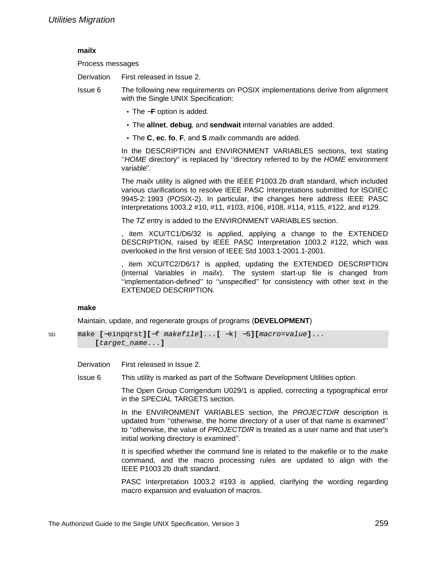## **mailx**

Process messages

Derivation First released in Issue 2.

Issue 6 The following new requirements on POSIX implementations derive from alignment with the Single UNIX Specification:

- The −**F** option is added.
- The **allnet**, **debug**, and **sendwait** internal variables are added.
- The **C**, **ec**, **fo**, **F**, and **S** mailx commands are added.

In the DESCRIPTION and ENVIRONMENT VARIABLES sections, text stating "HOME directory" is replaced by "directory referred to by the HOME environment variable''.

The mailx utility is aligned with the IEEE P1003.2b draft standard, which included various clarifications to resolve IEEE PASC Interpretations submitted for ISO/IEC 9945-2: 1993 (POSIX-2). In particular, the changes here address IEEE PASC Interpretations 1003.2 #10, #11, #103, #106, #108, #114, #115, #122, and #129.

The TZ entry is added to the ENVIRONMENT VARIABLES section.

, item XCU/TC1/D6/32 is applied, applying a change to the EXTENDED DESCRIPTION, raised by IEEE PASC Interpretation 1003.2 #122, which was overlooked in the first version of IEEE Std 1003.1-2001.1-2001.

, item XCU/TC2/D6/17 is applied, updating the EXTENDED DESCRIPTION (Internal Variables in mailx). The system start-up file is changed from ''implementation-defined'' to ''unspecified'' for consistency with other text in the EXTENDED DESCRIPTION.

#### **make**

Maintain, update, and regenerate groups of programs (**DEVELOPMENT**)

SD make **[**−einpqrst**][**−f makefile**]**...**[** −k| −S**][**macro=value**]**... **[**target\_name...**]**

Derivation First released in Issue 2.

Issue 6 This utility is marked as part of the Software Development Utilities option.

The Open Group Corrigendum U029/1 is applied, correcting a typographical error in the SPECIAL TARGETS section.

In the ENVIRONMENT VARIABLES section, the PROJECTDIR description is updated from ''otherwise, the home directory of a user of that name is examined'' to "otherwise, the value of PROJECTDIR is treated as a user name and that user's initial working directory is examined''.

It is specified whether the command line is related to the makefile or to the make command, and the macro processing rules are updated to align with the IEEE P1003.2b draft standard.

PASC Interpretation 1003.2 #193 is applied, clarifying the wording regarding macro expansion and evaluation of macros.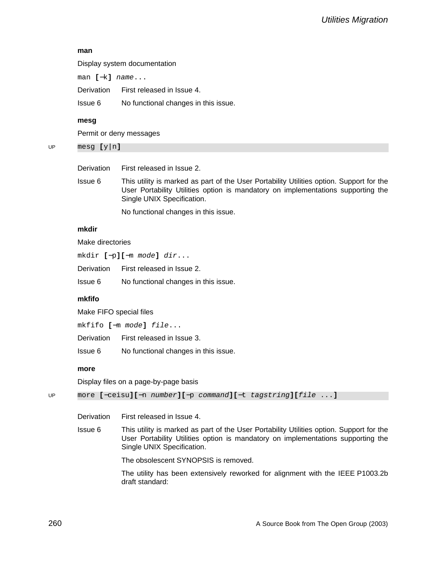# **man**

Display system documentation

man **[**−k**]** name...

Derivation First released in Issue 4.

Issue 6 No functional changes in this issue.

# **mesg**

Permit or deny messages

UP mesg **[**y|n**]**

Derivation First released in Issue 2.

Issue 6 This utility is marked as part of the User Portability Utilities option. Support for the User Portability Utilities option is mandatory on implementations supporting the Single UNIX Specification.

No functional changes in this issue.

## **mkdir**

Make directories

mkdir **[**−p**][**−m mode**]** dir...

Derivation First released in Issue 2.

Issue 6 No functional changes in this issue.

# **mkfifo**

Make FIFO special files

mkfifo **[**−m mode**]** file...

Derivation First released in Issue 3.

Issue 6 No functional changes in this issue.

## **more**

Display files on a page-by-page basis

UP more **[**−ceisu**][**−n number**][**−p command**][**−t tagstring**][**file ...**]**

Derivation First released in Issue 4.

Issue 6 This utility is marked as part of the User Portability Utilities option. Support for the User Portability Utilities option is mandatory on implementations supporting the Single UNIX Specification.

The obsolescent SYNOPSIS is removed.

The utility has been extensively reworked for alignment with the IEEE P1003.2b draft standard: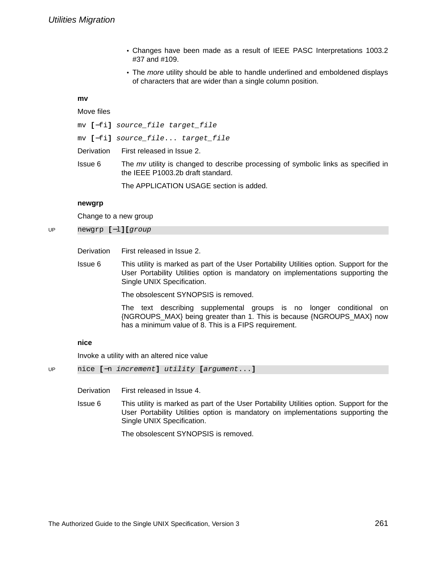- Changes have been made as a result of IEEE PASC Interpretations 1003.2 #37 and #109.
- The *more* utility should be able to handle underlined and emboldened displays of characters that are wider than a single column position.

#### **mv**

# Move files

- mv **[**−fi**]** source\_file target\_file
- mv **[**−fi**]** source\_file... target\_file
- Derivation First released in Issue 2.
- Issue 6 The mv utility is changed to describe processing of symbolic links as specified in the IEEE P1003.2b draft standard.

The APPLICATION USAGE section is added.

# **newgrp**

Change to a new group

UP newgrp **[**−l**][**group

Derivation First released in Issue 2.

Issue 6 This utility is marked as part of the User Portability Utilities option. Support for the User Portability Utilities option is mandatory on implementations supporting the Single UNIX Specification.

The obsolescent SYNOPSIS is removed.

The text describing supplemental groups is no longer conditional on {NGROUPS\_MAX} being greater than 1. This is because {NGROUPS\_MAX} now has a minimum value of 8. This is a FIPS requirement.

## **nice**

Invoke a utility with an altered nice value

UP nice **[**−n increment**]** utility **[**argument...**]**

- Derivation First released in Issue 4.
- Issue 6 This utility is marked as part of the User Portability Utilities option. Support for the User Portability Utilities option is mandatory on implementations supporting the Single UNIX Specification.

The obsolescent SYNOPSIS is removed.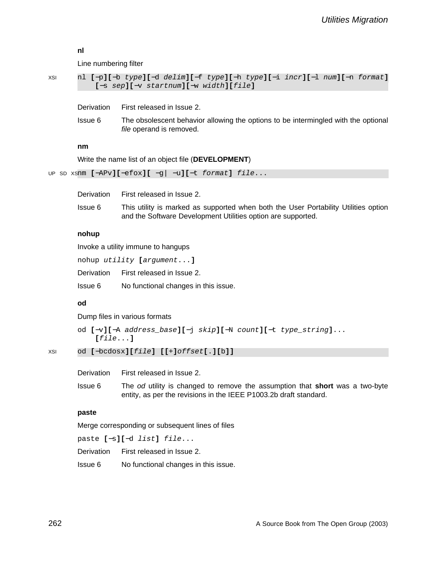**nl**

Line numbering filter

XSI nl **[**−p**][**−b type**][**−d delim**][**−f type**][**−h type**][**−i incr**][**−l num**][**−n format**] [**−s sep**][**−v startnum**][**−w width**][**file**]**

Derivation First released in Issue 2.

Issue 6 The obsolescent behavior allowing the options to be intermingled with the optional file operand is removed.

**nm**

Write the name list of an object file (**DEVELOPMENT**)

```
UP SD XSInm [−APv][−efox][ −g| −u][−t format] file...
```
Derivation First released in Issue 2.

Issue 6 This utility is marked as supported when both the User Portability Utilities option and the Software Development Utilities option are supported.

# **nohup**

Invoke a utility immune to hangups

nohup utility **[**argument...**]**

Derivation First released in Issue 2.

Issue 6 No functional changes in this issue.

# **od**

Dump files in various formats

```
od [−v][−A address_base][−j skip][−N count][−t type_string]...
    [file...]
```
XSI od **[**−bcdosx**][**file**] [[**+**]**offset**[**.**][**b**]]**

Derivation First released in Issue 2.

Issue 6 The od utility is changed to remove the assumption that **short** was a two-byte entity, as per the revisions in the IEEE P1003.2b draft standard.

## **paste**

Merge corresponding or subsequent lines of files

paste **[**−s**][**−d list**]** file...

Derivation First released in Issue 2.

Issue 6 No functional changes in this issue.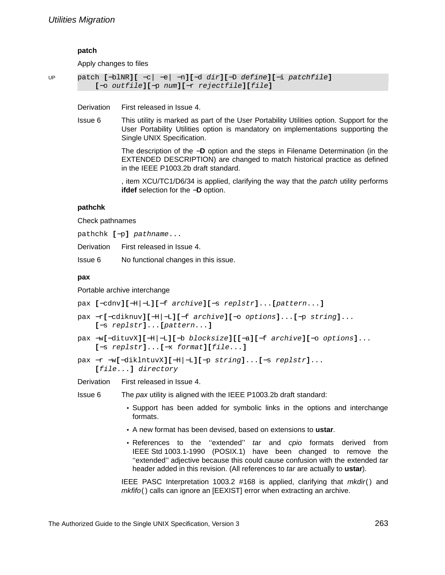#### **patch**

Apply changes to files

```
UP patch [−blNR][ −c| −e| −n][−d dir][−D define][−i patchfile]
          [−o outfile][−p num][−r rejectfile][file]
```
Derivation First released in Issue 4.

Issue 6 This utility is marked as part of the User Portability Utilities option. Support for the User Portability Utilities option is mandatory on implementations supporting the Single UNIX Specification.

> The description of the −**D** option and the steps in Filename Determination (in the EXTENDED DESCRIPTION) are changed to match historical practice as defined in the IEEE P1003.2b draft standard.

> , item XCU/TC1/D6/34 is applied, clarifying the way that the *patch* utility performs **ifdef** selection for the −**D** option.

## **pathchk**

#### Check pathnames

pathchk **[**−p**]** pathname...

Derivation First released in Issue 4.

Issue 6 No functional changes in this issue.

#### **pax**

#### Portable archive interchange

```
pax [−cdnv][−H|−L][−f archive][−s replstr]...[pattern...]
```
pax −r**[**−cdiknuv**][**−H|−L**][**−f archive**][**−o options**]**...**[**−p string**]**... **[**−s replstr**]**...**[**pattern...**]**

```
pax −w[−dituvX][−H|−L][−b blocksize][[−a][−f archive][−o options]...
    [−s replstr]...[−x format][file...]
```

```
pax −r −w[−diklntuvX][−H|−L][−p string]...[−s replstr]...
    [file...] directory
```
Derivation First released in Issue 4.

Issue 6 The pax utility is aligned with the IEEE P1003.2b draft standard:

- Support has been added for symbolic links in the options and interchange formats.
- A new format has been devised, based on extensions to **ustar**.
- References to the "extended" tar and cpio formats derived from IEEE Std 1003.1-1990 (POSIX.1) have been changed to remove the ''extended'' adjective because this could cause confusion with the extended tar header added in this revision. (All references to tar are actually to **ustar**).

IEEE PASC Interpretation 1003.2 #168 is applied, clarifying that *mkdir*() and mkfifo() calls can ignore an [EEXIST] error when extracting an archive.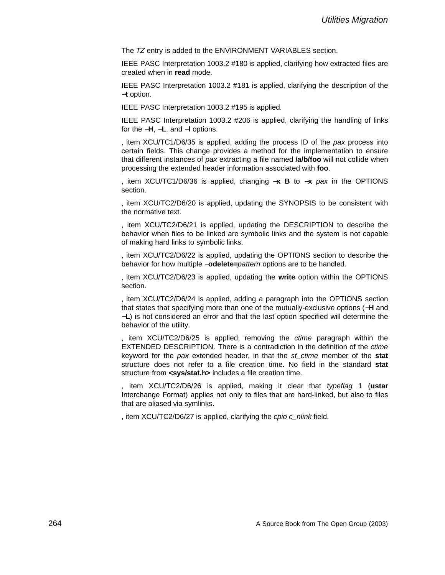The TZ entry is added to the ENVIRONMENT VARIABLES section.

IEEE PASC Interpretation 1003.2 #180 is applied, clarifying how extracted files are created when in **read** mode.

IEEE PASC Interpretation 1003.2 #181 is applied, clarifying the description of the −**t** option.

IEEE PASC Interpretation 1003.2 #195 is applied.

IEEE PASC Interpretation 1003.2 #206 is applied, clarifying the handling of links for the −**H**, −**L**, and −**l** options.

, item XCU/TC1/D6/35 is applied, adding the process ID of the pax process into certain fields. This change provides a method for the implementation to ensure that different instances of pax extracting a file named **/a/b/foo** will not collide when processing the extended header information associated with **foo**.

, item XCU/TC1/D6/36 is applied, changing −**x B** to −**x** pax in the OPTIONS section.

, item XCU/TC2/D6/20 is applied, updating the SYNOPSIS to be consistent with the normative text.

, item XCU/TC2/D6/21 is applied, updating the DESCRIPTION to describe the behavior when files to be linked are symbolic links and the system is not capable of making hard links to symbolic links.

, item XCU/TC2/D6/22 is applied, updating the OPTIONS section to describe the behavior for how multiple −**odelete=**pattern options are to be handled.

, item XCU/TC2/D6/23 is applied, updating the **write** option within the OPTIONS section.

, item XCU/TC2/D6/24 is applied, adding a paragraph into the OPTIONS section that states that specifying more than one of the mutually-exclusive options (−**H** and −**L**) is not considered an error and that the last option specified will determine the behavior of the utility.

item XCU/TC2/D6/25 is applied, removing the *ctime* paragraph within the EXTENDED DESCRIPTION. There is a contradiction in the definition of the ctime keyword for the pax extended header, in that the st\_ctime member of the **stat** structure does not refer to a file creation time. No field in the standard **stat** structure from **<sys/stat.h>** includes a file creation time.

, item XCU/TC2/D6/26 is applied, making it clear that typeflag 1 (**ustar** Interchange Format) applies not only to files that are hard-linked, but also to files that are aliased via symlinks.

, item XCU/TC2/D6/27 is applied, clarifying the *cpio c\_nlink* field.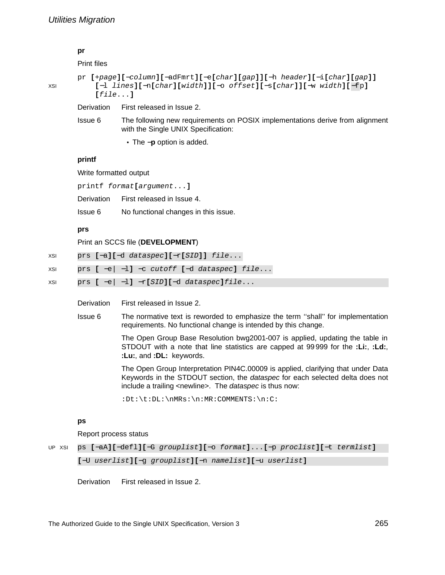|                 | pr                 |                                                                                                                                          |
|-----------------|--------------------|------------------------------------------------------------------------------------------------------------------------------------------|
|                 | <b>Print files</b> |                                                                                                                                          |
| XSI<br>If i le1 |                    | pr [+page][-column][-adFmrt][-e[char][gap]][-h header][-i[char][gap]]<br>[-1 lines][-n[char][width]][-o offset][-s[char]][-w width][-fp] |
|                 | Derivation         | First released in Issue 2.                                                                                                               |
|                 | Issue 6            | The following new requirements on POSIX implementations derive from alignment<br>with the Single UNIX Specification:                     |
|                 |                    | • The $-p$ option is added.                                                                                                              |
|                 | printf             |                                                                                                                                          |

Write formatted output

printf format**[**argument...**]**

Derivation First released in Issue 4.

Issue 6 No functional changes in this issue.

#### **prs**

#### Print an SCCS file (**DEVELOPMENT**)

| XSI |  |  | prs [-a][-d <i>dataspec</i> ][-r[ <i>SID</i> ]] <i>file</i> |  |
|-----|--|--|-------------------------------------------------------------|--|
|-----|--|--|-------------------------------------------------------------|--|

- XSI prs **[** −e| −l**]** −c cutoff **[**−d dataspec**]** file...
- XSI prs **[** −e| −l**]** −r**[**SID**][**−d dataspec**]**file...

Derivation First released in Issue 2.

Issue 6 The normative text is reworded to emphasize the term ''shall'' for implementation requirements. No functional change is intended by this change.

> The Open Group Base Resolution bwg2001-007 is applied, updating the table in STDOUT with a note that line statistics are capped at 99 999 for the **:Li:**, **:Ld:**, **:Lu:**, and **:DL:** keywords.

> The Open Group Interpretation PIN4C.00009 is applied, clarifying that under Data Keywords in the STDOUT section, the dataspec for each selected delta does not include a trailing <newline>. The *dataspec* is thus now:

:Dt:\t:DL:\nMRs:\n:MR:COMMENTS:\n:C:

# **ps**

Report process status

UP XSI ps **[**−aA**][**−defl**][**−G grouplist**][**−o format**]**...**[**−p proclist**][**−t termlist**] [**−U userlist**][**−g grouplist**][**−n namelist**][**−u userlist**]**

Derivation First released in Issue 2.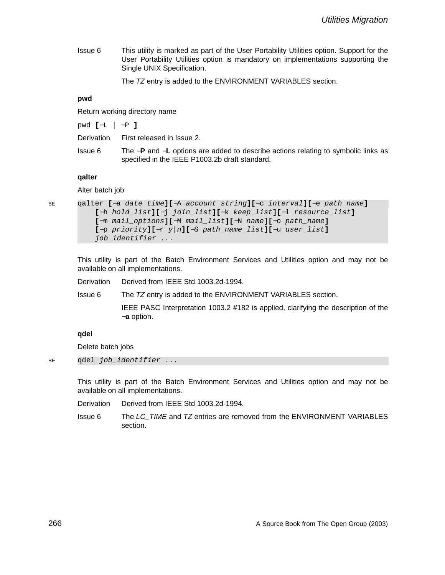Issue 6 This utility is marked as part of the User Portability Utilities option. Support for the User Portability Utilities option is mandatory on implementations supporting the Single UNIX Specification.

The TZ entry is added to the ENVIRONMENT VARIABLES section.

## **pwd**

Return working directory name

pwd **[**−L | −P **]**

Derivation First released in Issue 2.

Issue 6 The −**P** and −**L** options are added to describe actions relating to symbolic links as specified in the IEEE P1003.2b draft standard.

## **qalter**

Alter batch job

```
BE qalter [−a date_time][−A account_string][−c interval][−e path_name]
          [−h hold_list][−j join_list][−k keep_list][−l resource_list]
          [−m mail_options][−M mail_list][−N name][−o path_name]
          [−p priority][−r y|n][−S path_name_list][−u user_list]
          job_identifier ...
```
This utility is part of the Batch Environment Services and Utilities option and may not be available on all implementations.

- Derivation Derived from IEEE Std 1003.2d-1994.
- Issue 6 The TZ entry is added to the ENVIRONMENT VARIABLES section.

IEEE PASC Interpretation 1003.2 #182 is applied, clarifying the description of the −**a** option.

## **qdel**

Delete batch jobs

BE qdel job\_identifier ...

This utility is part of the Batch Environment Services and Utilities option and may not be available on all implementations.

- Derivation Derived from IEEE Std 1003.2d-1994.
- Issue 6 The LC\_TIME and TZ entries are removed from the ENVIRONMENT VARIABLES section.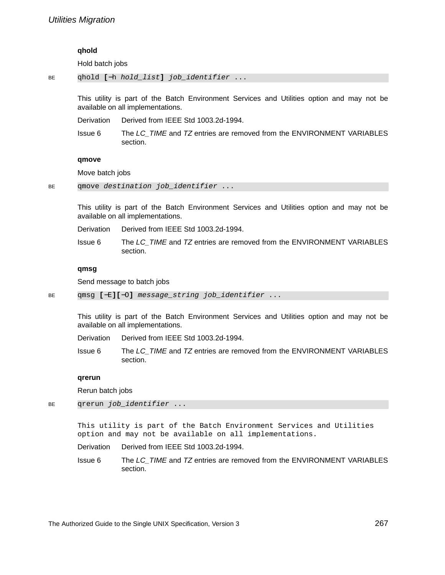#### **qhold**

Hold batch jobs

BE qhold **[**−h hold\_list**]** job\_identifier ...

This utility is part of the Batch Environment Services and Utilities option and may not be available on all implementations.

Derivation Derived from IEEE Std 1003.2d-1994.

Issue 6 The LC\_TIME and TZ entries are removed from the ENVIRONMENT VARIABLES section.

#### **qmove**

Move batch jobs

BE qmove destination job\_identifier ...

This utility is part of the Batch Environment Services and Utilities option and may not be available on all implementations.

Derivation Derived from IEEE Std 1003.2d-1994.

Issue 6 The LC\_TIME and TZ entries are removed from the ENVIRONMENT VARIABLES section.

#### **qmsg**

Send message to batch jobs

BE qmsg **[**−E**][**−O**]** message\_string job\_identifier ...

This utility is part of the Batch Environment Services and Utilities option and may not be available on all implementations.

Derivation Derived from IEEE Std 1003.2d-1994.

Issue 6 The LC\_TIME and TZ entries are removed from the ENVIRONMENT VARIABLES section.

#### **qrerun**

Rerun batch jobs

BE qrerun job\_identifier ...

This utility is part of the Batch Environment Services and Utilities option and may not be available on all implementations.

Derivation Derived from IEEE Std 1003.2d-1994.

Issue 6 The LC\_TIME and TZ entries are removed from the ENVIRONMENT VARIABLES section.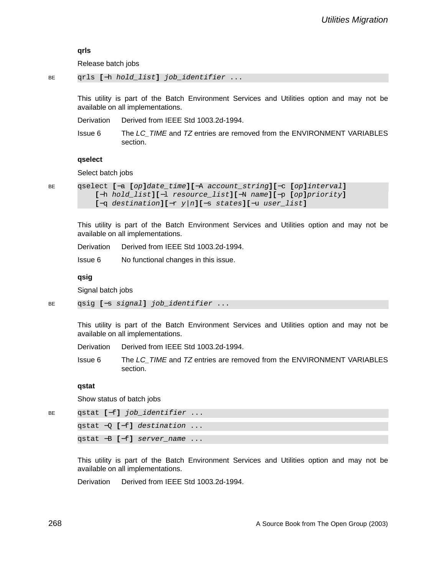## **qrls**

Release batch jobs

BE qrls **[**−h hold\_list**]** job\_identifier ...

This utility is part of the Batch Environment Services and Utilities option and may not be available on all implementations.

Derivation Derived from IEEE Std 1003.2d-1994.

Issue 6 The LC\_TIME and TZ entries are removed from the ENVIRONMENT VARIABLES section.

#### **qselect**

Select batch jobs

```
BE qselect [−a [op]date_time][−A account_string][−c [op]interval]
          [−h hold_list][−l resource_list][−N name][−p [op]priority]
          [−q destination][−r y|n][−s states][−u user_list]
```
This utility is part of the Batch Environment Services and Utilities option and may not be available on all implementations.

Derivation Derived from IEEE Std 1003.2d-1994.

Issue 6 No functional changes in this issue.

## **qsig**

Signal batch jobs

BE qsig **[**−s signal**]** job\_identifier ...

This utility is part of the Batch Environment Services and Utilities option and may not be available on all implementations.

Derivation Derived from IEEE Std 1003.2d-1994.

Issue 6 The LC\_TIME and TZ entries are removed from the ENVIRONMENT VARIABLES section.

### **qstat**

Show status of batch jobs

BE qstat **[**−f**]** job\_identifier ...

qstat −Q **[**−f**]** destination ... qstat −B **[**−f**]** server\_name ...

This utility is part of the Batch Environment Services and Utilities option and may not be available on all implementations.

Derivation Derived from IEEE Std 1003.2d-1994.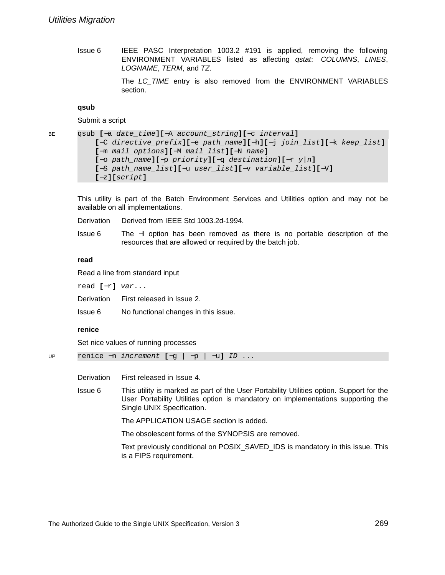Issue 6 IEEE PASC Interpretation 1003.2 #191 is applied, removing the following ENVIRONMENT VARIABLES listed as affecting qstat: COLUMNS, LINES, LOGNAME, TERM, and TZ.

> The LC\_TIME entry is also removed from the ENVIRONMENT VARIABLES section.

## **qsub**

Submit a script

BE qsub **[**−a date\_time**][**−A account\_string**][**−c interval**] [**−C directive\_prefix**][**−e path\_name**][**−h**][**−j join\_list**][**−k keep\_list**] [**−m mail\_options**][**−M mail\_list**][**−N name**] [**−o path\_name**][**−p priority**][**−q destination**][**−r y|n**] [**−S path\_name\_list**][**−u user\_list**][**−v variable\_list**][**−V**] [**−z**][**script**]**

This utility is part of the Batch Environment Services and Utilities option and may not be available on all implementations.

- Derivation Derived from IEEE Std 1003.2d-1994.
- Issue 6 The −**l** option has been removed as there is no portable description of the resources that are allowed or required by the batch job.

## **read**

Read a line from standard input

read **[**−r**]** var...

Derivation First released in Issue 2.

Issue 6 No functional changes in this issue.

#### **renice**

Set nice values of running processes

UP renice −n increment **[**−g | −p | −u**]** ID ...

Derivation First released in Issue 4.

Issue 6 This utility is marked as part of the User Portability Utilities option. Support for the User Portability Utilities option is mandatory on implementations supporting the Single UNIX Specification.

The APPLICATION USAGE section is added.

The obsolescent forms of the SYNOPSIS are removed.

Text previously conditional on POSIX\_SAVED\_IDS is mandatory in this issue. This is a FIPS requirement.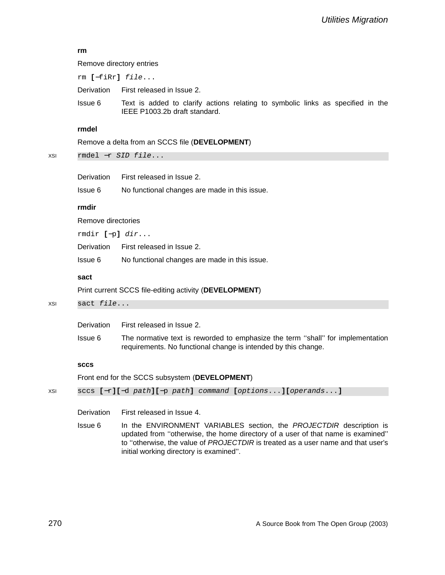## **rm**

Remove directory entries

rm **[**−fiRr**]** file...

Derivation First released in Issue 2.

Issue 6 Text is added to clarify actions relating to symbolic links as specified in the IEEE P1003.2b draft standard.

## **rmdel**

Remove a delta from an SCCS file (**DEVELOPMENT**)

XSI rmdel −r SID file...

Derivation First released in Issue 2.

Issue 6 No functional changes are made in this issue.

# **rmdir**

Remove directories

rmdir **[**−p**]** dir...

Derivation First released in Issue 2.

Issue 6 No functional changes are made in this issue.

## **sact**

Print current SCCS file-editing activity (**DEVELOPMENT**)

XSI sact file...

Derivation First released in Issue 2.

Issue 6 The normative text is reworded to emphasize the term ''shall'' for implementation requirements. No functional change is intended by this change.

#### **sccs**

Front end for the SCCS subsystem (**DEVELOPMENT**)

XSI sccs **[**−r**][**−d path**][**−p path**]** command **[**options...**][**operands...**]**

Derivation First released in Issue 4.

Issue 6 In the ENVIRONMENT VARIABLES section, the PROJECTDIR description is updated from ''otherwise, the home directory of a user of that name is examined'' to ''otherwise, the value of PROJECTDIR is treated as a user name and that user's initial working directory is examined''.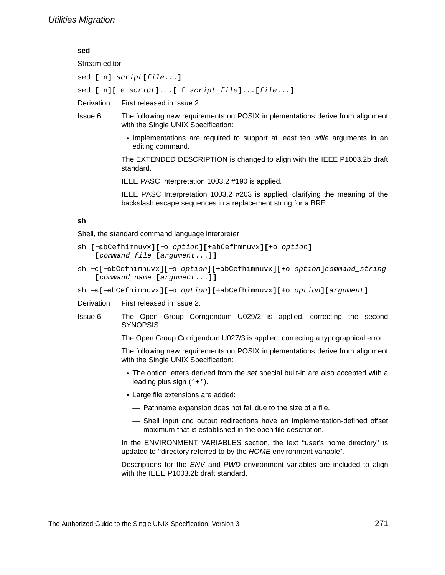#### **sed**

Stream editor

sed **[**−n**]** script**[**file...**]**

sed **[**−n**][**−e script**]**...**[**−f script\_file**]**...**[**file...**]**

Derivation First released in Issue 2.

- Issue 6 The following new requirements on POSIX implementations derive from alignment with the Single UNIX Specification:
	- Implementations are required to support at least ten wfile arguments in an editing command.

The EXTENDED DESCRIPTION is changed to align with the IEEE P1003.2b draft standard.

IEEE PASC Interpretation 1003.2 #190 is applied.

IEEE PASC Interpretation 1003.2 #203 is applied, clarifying the meaning of the backslash escape sequences in a replacement string for a BRE.

## **sh**

Shell, the standard command language interpreter

- sh **[**−abCefhimnuvx**][**−o option**][**+abCefhmnuvx**][**+o option**] [**command\_file **[**argument...**]]**
- sh −c**[**−abCefhimnuvx**][**−o option**][**+abCefhimnuvx**][**+o option**]**command\_string **[**command\_name **[**argument...**]]**
- sh −s**[**−abCefhimnuvx**][**−o option**][**+abCefhimnuvx**][**+o option**][**argument**]**
- Derivation First released in Issue 2.
- Issue 6 The Open Group Corrigendum U029/2 is applied, correcting the second SYNOPSIS.

The Open Group Corrigendum U027/3 is applied, correcting a typographical error.

The following new requirements on POSIX implementations derive from alignment with the Single UNIX Specification:

- The option letters derived from the set special built-in are also accepted with a leading plus sign  $('')$ .
- Large file extensions are added:
	- Pathname expansion does not fail due to the size of a file.
	- Shell input and output redirections have an implementation-defined offset maximum that is established in the open file description.

In the ENVIRONMENT VARIABLES section, the text ''user's home directory'' is updated to "directory referred to by the HOME environment variable".

Descriptions for the *ENV* and *PWD* environment variables are included to align with the IEEE P1003.2b draft standard.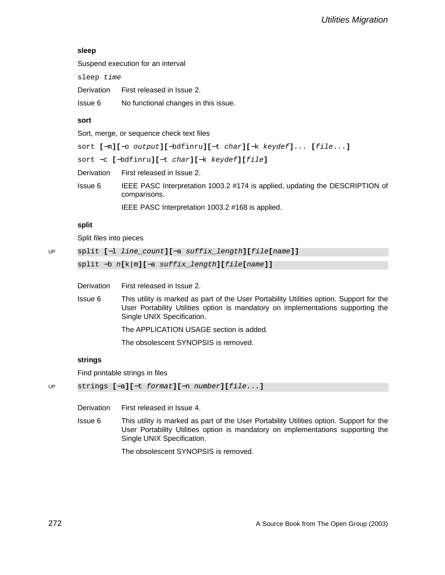# **sleep**

Suspend execution for an interval

sleep time

Derivation First released in Issue 2.

Issue 6 No functional changes in this issue.

# **sort**

Sort, merge, or sequence check text files

sort **[**−m**][**−o output**][**−bdfinru**][**−t char**][**−k keydef**]**... **[**file...**]**

sort −c **[**−bdfinru**][**−t char**][**−k keydef**][**file**]**

Derivation First released in Issue 2.

Issue 6 IEEE PASC Interpretation 1003.2 #174 is applied, updating the DESCRIPTION of comparisons.

IEEE PASC Interpretation 1003.2 #168 is applied.

## **split**

Split files into pieces

UP split **[**−l line\_count**][**−a suffix\_length**][**file**[**name**]]**

split −b n**[**k|m**][**−a suffix\_length**][**file**[**name**]]**

Derivation First released in Issue 2.

Issue 6 This utility is marked as part of the User Portability Utilities option. Support for the User Portability Utilities option is mandatory on implementations supporting the Single UNIX Specification.

The APPLICATION USAGE section is added.

The obsolescent SYNOPSIS is removed.

## **strings**

Find printable strings in files

UP strings **[**−a**][**−t format**][**−n number**][**file...**]**

Derivation First released in Issue 4.

Issue 6 This utility is marked as part of the User Portability Utilities option. Support for the User Portability Utilities option is mandatory on implementations supporting the Single UNIX Specification.

The obsolescent SYNOPSIS is removed.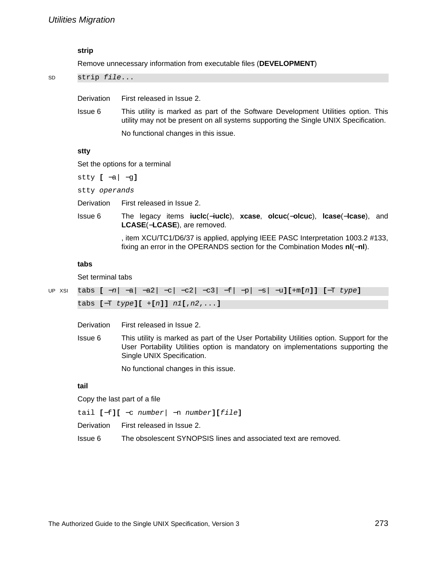## **strip**

Remove unnecessary information from executable files (**DEVELOPMENT**)

SD strip file...

Derivation First released in Issue 2.

Issue 6 This utility is marked as part of the Software Development Utilities option. This utility may not be present on all systems supporting the Single UNIX Specification. No functional changes in this issue.

**stty**

Set the options for a terminal

stty **[** −a| −g**]**

stty operands

Derivation First released in Issue 2.

Issue 6 The legacy items **iuclc**(−**iuclc**), **xcase**, **olcuc**(−**olcuc**), **lcase**(−**lcase**), and **LCASE**(−**LCASE**), are removed.

> , item XCU/TC1/D6/37 is applied, applying IEEE PASC Interpretation 1003.2 #133, fixing an error in the OPERANDS section for the Combination Modes **nl**(−**nl**).

#### **tabs**

Set terminal tabs

```
UP XSI tabs [ −n| −a| −a2| −c| −c2| −c3| −f| −p| −s| −u][+m[n]] [−T type]
       tabs [−T type][ +[n]] n1[,n2,...]
```
Derivation First released in Issue 2.

Issue 6 This utility is marked as part of the User Portability Utilities option. Support for the User Portability Utilities option is mandatory on implementations supporting the Single UNIX Specification.

No functional changes in this issue.

**tail**

Copy the last part of a file

tail **[**−f**][** −c number| −n number**][**file**]**

Derivation First released in Issue 2.

Issue 6 The obsolescent SYNOPSIS lines and associated text are removed.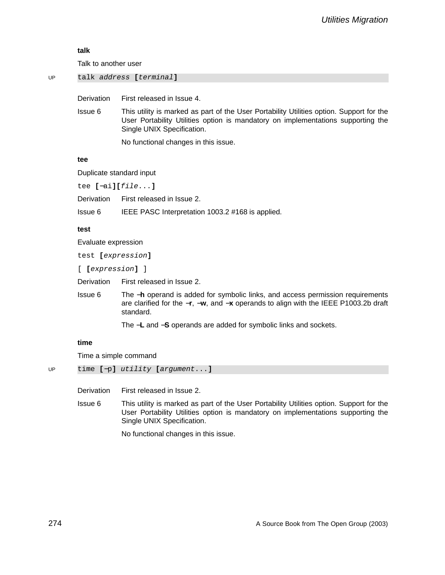**talk**

Talk to another user

UP talk address **[**terminal**]**

Derivation First released in Issue 4.

Issue 6 This utility is marked as part of the User Portability Utilities option. Support for the User Portability Utilities option is mandatory on implementations supporting the Single UNIX Specification.

No functional changes in this issue.

**tee**

Duplicate standard input

tee **[**−ai**][**file...**]**

Derivation First released in Issue 2.

Issue 6 IEEE PASC Interpretation 1003.2 #168 is applied.

## **test**

Evaluate expression

test **[**expression**]**

[ **[**expression**]** ]

Derivation First released in Issue 2.

Issue 6 The −**h** operand is added for symbolic links, and access permission requirements are clarified for the −**r**, −**w**, and −**x** operands to align with the IEEE P1003.2b draft standard.

The −**L** and −**S** operands are added for symbolic links and sockets.

## **time**

Time a simple command

UP time **[**−p**]** utility **[**argument...**]**

Derivation First released in Issue 2.

Issue 6 This utility is marked as part of the User Portability Utilities option. Support for the User Portability Utilities option is mandatory on implementations supporting the Single UNIX Specification.

No functional changes in this issue.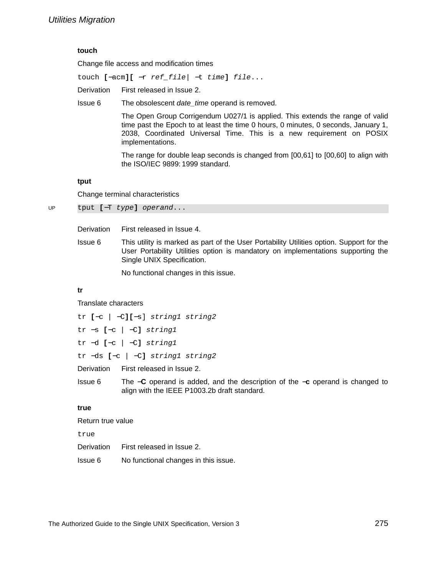## **touch**

Change file access and modification times

touch **[**−acm**][** −r ref\_file| −t time**]** file...

Derivation First released in Issue 2.

Issue 6 The obsolescent date\_time operand is removed.

The Open Group Corrigendum U027/1 is applied. This extends the range of valid time past the Epoch to at least the time 0 hours, 0 minutes, 0 seconds, January 1, 2038, Coordinated Universal Time. This is a new requirement on POSIX implementations.

The range for double leap seconds is changed from [00,61] to [00,60] to align with the ISO/IEC 9899: 1999 standard.

#### **tput**

Change terminal characteristics

UP tput **[**−T type**]** operand...

- Derivation First released in Issue 4.
- Issue 6 This utility is marked as part of the User Portability Utilities option. Support for the User Portability Utilities option is mandatory on implementations supporting the Single UNIX Specification.

No functional changes in this issue.

#### **tr**

Translate characters

```
tr [−c | −C][−s] string1 string2
```

```
tr −s [−c | −C] string1
```
tr −d **[**−c | −C**]** string1

tr −ds **[**−c | −C**]** string1 string2

Derivation First released in Issue 2.

Issue 6 The −**C** operand is added, and the description of the −**c** operand is changed to align with the IEEE P1003.2b draft standard.

## **true**

Return true value

true

Derivation First released in Issue 2.

Issue 6 No functional changes in this issue.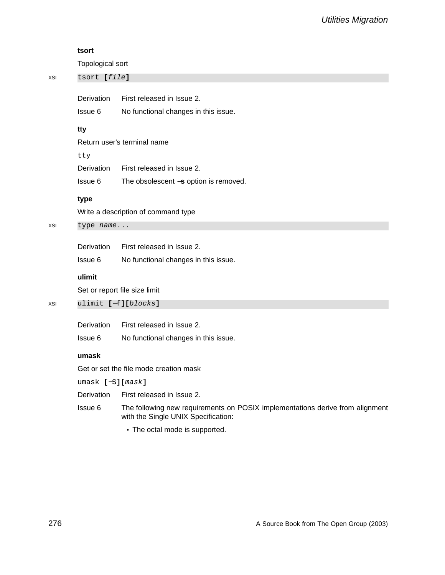# **tsort**

Topological sort

XSI tsort **[**file**]**

Derivation First released in Issue 2.

Issue 6 No functional changes in this issue.

# **tty**

Return user's terminal name

tty

Derivation First released in Issue 2.

Issue 6 The obsolescent −**s** option is removed.

## **type**

Write a description of command type

XSI type name...

| Derivation | First released in Issue 2.           |
|------------|--------------------------------------|
| Issue 6    | No functional changes in this issue. |

## **ulimit**

Set or report file size limit

XSI ulimit **[**−f**][**blocks**]**

Derivation First released in Issue 2.

Issue 6 No functional changes in this issue.

## **umask**

Get or set the file mode creation mask

umask **[**−S**][**mask**]**

Derivation First released in Issue 2.

- Issue 6 The following new requirements on POSIX implementations derive from alignment with the Single UNIX Specification:
	- The octal mode is supported.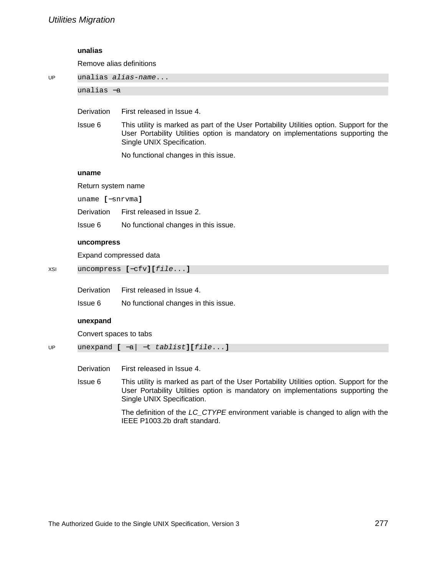## **unalias**

Remove alias definitions

UP unalias alias-name...

unalias −a

Derivation First released in Issue 4.

Issue 6 This utility is marked as part of the User Portability Utilities option. Support for the User Portability Utilities option is mandatory on implementations supporting the Single UNIX Specification.

No functional changes in this issue.

#### **uname**

Return system name

uname **[**−snrvma**]**

Derivation First released in Issue 2.

Issue 6 No functional changes in this issue.

#### **uncompress**

Expand compressed data

XSI uncompress **[**−cfv**][**file...**]**

Derivation First released in Issue 4.

Issue 6 No functional changes in this issue.

#### **unexpand**

Convert spaces to tabs

UP unexpand **[** −a| −t tablist**][**file...**]**

Derivation First released in Issue 4.

Issue 6 This utility is marked as part of the User Portability Utilities option. Support for the User Portability Utilities option is mandatory on implementations supporting the Single UNIX Specification.

> The definition of the LC\_CTYPE environment variable is changed to align with the IEEE P1003.2b draft standard.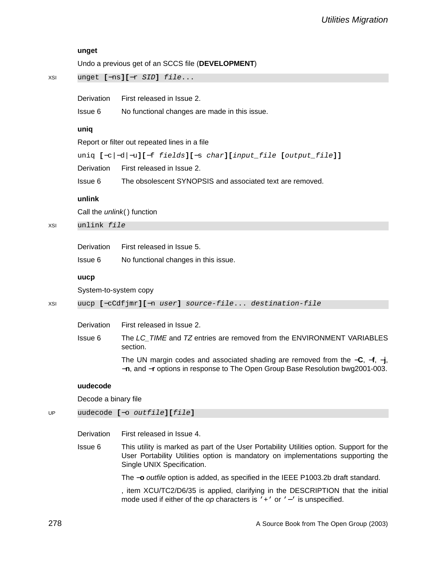## **unget**

Undo a previous get of an SCCS file (**DEVELOPMENT**)

XSI unget **[**−ns**][**−r SID**]** file...

Derivation First released in Issue 2.

Issue 6 No functional changes are made in this issue.

#### **uniq**

Report or filter out repeated lines in a file

uniq **[**−c|−d|−u**][**−f fields**][**−s char**][**input\_file **[**output\_file**]]**

Derivation First released in Issue 2.

Issue 6 The obsolescent SYNOPSIS and associated text are removed.

### **unlink**

Call the unlink( ) function

XSI unlink file

| Derivation | First released in Issue 5. |
|------------|----------------------------|
|            |                            |

Issue 6 No functional changes in this issue.

#### **uucp**

System-to-system copy

XSI uucp **[**−cCdfjmr**][**−n user**]** source-file... destination-file

- Derivation First released in Issue 2.
- Issue 6 The LC\_TIME and TZ entries are removed from the ENVIRONMENT VARIABLES section.

The UN margin codes and associated shading are removed from the −**C**, −**f**, −**j**, −**n**, and −**r** options in response to The Open Group Base Resolution bwg2001-003.

#### **uudecode**

Decode a binary file

UP uudecode **[**−o outfile**][**file**]**

Derivation First released in Issue 4.

Issue 6 This utility is marked as part of the User Portability Utilities option. Support for the User Portability Utilities option is mandatory on implementations supporting the Single UNIX Specification.

The −**o** outfile option is added, as specified in the IEEE P1003.2b draft standard.

, item XCU/TC2/D6/35 is applied, clarifying in the DESCRIPTION that the initial mode used if either of the op characters is '+' or '−' is unspecified.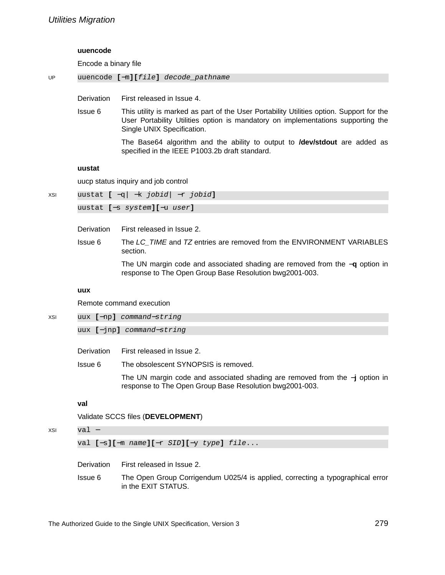#### **uuencode**

Encode a binary file

UP uuencode **[**−m**][**file**]** decode\_pathname

Derivation First released in Issue 4.

Issue 6 This utility is marked as part of the User Portability Utilities option. Support for the User Portability Utilities option is mandatory on implementations supporting the Single UNIX Specification.

> The Base64 algorithm and the ability to output to **/dev/stdout** are added as specified in the IEEE P1003.2b draft standard.

#### **uustat**

uucp status inquiry and job control

XSI uustat **[** −q| −k jobid| −r jobid**]** uustat **[**−s system**][**−u user**]**

Derivation First released in Issue 2.

Issue 6 The LC\_TIME and TZ entries are removed from the ENVIRONMENT VARIABLES section.

> The UN margin code and associated shading are removed from the −**q** option in response to The Open Group Base Resolution bwg2001-003.

## **uux**

Remote command execution

XSI uux **[**−np**]** command−string

uux **[**−jnp**]** command−string

Derivation First released in Issue 2.

Issue 6 The obsolescent SYNOPSIS is removed.

The UN margin code and associated shading are removed from the −**j** option in response to The Open Group Base Resolution bwg2001-003.

## **val**

Validate SCCS files (**DEVELOPMENT**)

#### XSI val −

val **[**−s**][**−m name**][**−r SID**][**−y type**]** file...

Derivation First released in Issue 2.

Issue 6 The Open Group Corrigendum U025/4 is applied, correcting a typographical error in the EXIT STATUS.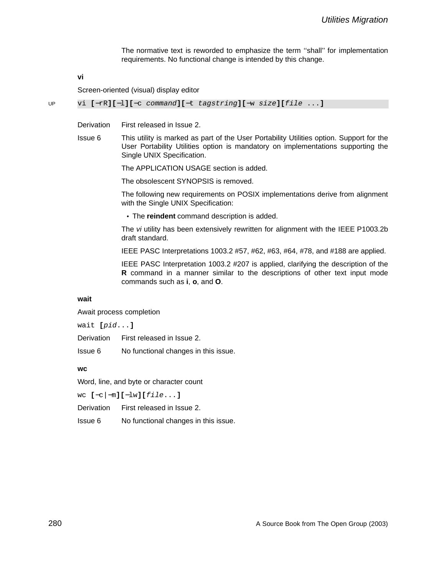The normative text is reworded to emphasize the term ''shall'' for implementation requirements. No functional change is intended by this change.

## **vi**

Screen-oriented (visual) display editor

UP vi **[**−rR**][**−l**][**−c command**][**−t tagstring**][**−w size**][**file ...**]**

Derivation First released in Issue 2.

Issue 6 This utility is marked as part of the User Portability Utilities option. Support for the User Portability Utilities option is mandatory on implementations supporting the Single UNIX Specification.

The APPLICATION USAGE section is added.

The obsolescent SYNOPSIS is removed.

The following new requirements on POSIX implementations derive from alignment with the Single UNIX Specification:

• The **reindent** command description is added.

The vi utility has been extensively rewritten for alignment with the IEEE P1003.2b draft standard.

IEEE PASC Interpretations 1003.2 #57, #62, #63, #64, #78, and #188 are applied.

IEEE PASC Interpretation 1003.2 #207 is applied, clarifying the description of the **R** command in a manner similar to the descriptions of other text input mode commands such as **i**, **o**, and **O**.

## **wait**

Await process completion

wait **[**pid...**]**

Derivation First released in Issue 2.

Issue 6 No functional changes in this issue.

#### **wc**

Word, line, and byte or character count

wc **[**−c|−m**][**−lw**][**file...**]**

Derivation First released in Issue 2.

Issue 6 No functional changes in this issue.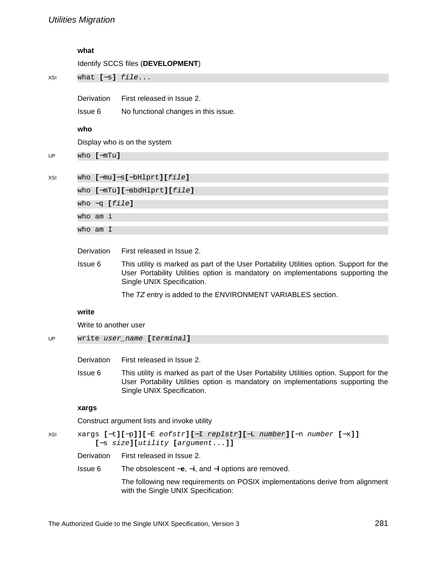|     | what                  |                                                                                                                                                                                                            |
|-----|-----------------------|------------------------------------------------------------------------------------------------------------------------------------------------------------------------------------------------------------|
|     |                       | Identify SCCS files (DEVELOPMENT)                                                                                                                                                                          |
| XSI | what $[-s]$ file      |                                                                                                                                                                                                            |
|     | Derivation            | First released in Issue 2.                                                                                                                                                                                 |
|     | Issue 6               | No functional changes in this issue.                                                                                                                                                                       |
|     | who                   |                                                                                                                                                                                                            |
|     |                       | Display who is on the system                                                                                                                                                                               |
| UP  | who [-mTu]            |                                                                                                                                                                                                            |
|     |                       |                                                                                                                                                                                                            |
| XSI |                       | who [-mu]-s[-bHlprt][file]                                                                                                                                                                                 |
|     |                       | who [-mTu][-abdHlprt][file]                                                                                                                                                                                |
|     | who -q [file]         |                                                                                                                                                                                                            |
|     | who am i              |                                                                                                                                                                                                            |
|     | who am I              |                                                                                                                                                                                                            |
|     | <b>Derivation</b>     | First released in Issue 2.                                                                                                                                                                                 |
|     | Issue 6               | This utility is marked as part of the User Portability Utilities option. Support for the<br>User Portability Utilities option is mandatory on implementations supporting the<br>Single UNIX Specification. |
|     |                       | The TZ entry is added to the ENVIRONMENT VARIABLES section.                                                                                                                                                |
|     | write                 |                                                                                                                                                                                                            |
|     | Write to another user |                                                                                                                                                                                                            |
| UP  |                       | write user_name [terminal]                                                                                                                                                                                 |
|     |                       |                                                                                                                                                                                                            |
|     | Derivation            | First released in Issue 2.                                                                                                                                                                                 |
|     | Issue 6               | This utility is marked as part of the User Portability Utilities option. Support for the<br>User Portability Utilities option is mandatory on implementations supporting the<br>Single UNIX Specification. |
|     | xargs                 |                                                                                                                                                                                                            |
|     |                       | Construct argument lists and invoke utility                                                                                                                                                                |
| XSI |                       | xargs [-t][-p]][-E eofstr][-I replstr][-L number][-n number [-x]]<br>[-s size][utility [argument]]                                                                                                         |
|     | Derivation            | First released in Issue 2.                                                                                                                                                                                 |
|     | Issue 6               | The obsolescent $-e$ , $-i$ , and $-i$ options are removed.                                                                                                                                                |
|     |                       | The following new requirements on POSIX implementations derive from alignment<br>with the Single UNIX Specification:                                                                                       |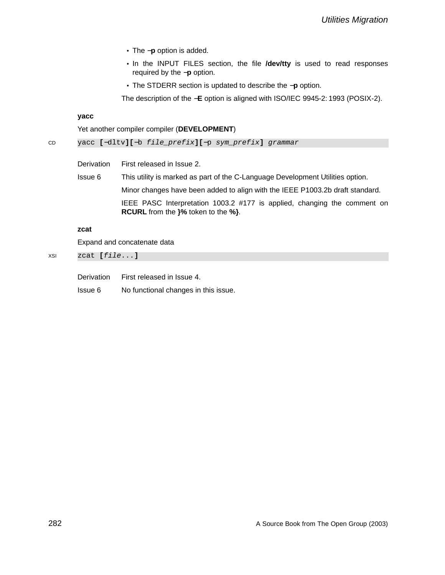- The −**p** option is added.
- In the INPUT FILES section, the file **/dev/tty** is used to read responses required by the −**p** option.
- The STDERR section is updated to describe the −**p** option.

The description of the −**E** option is aligned with ISO/IEC 9945-2: 1993 (POSIX-2).

# **yacc**

Yet another compiler compiler (**DEVELOPMENT**)

## CD yacc **[**−dltv**][**−b file\_prefix**][**−p sym\_prefix**]** grammar

Derivation First released in Issue 2.

Issue 6 This utility is marked as part of the C-Language Development Utilities option. Minor changes have been added to align with the IEEE P1003.2b draft standard. IEEE PASC Interpretation 1003.2 #177 is applied, changing the comment on **RCURL** from the **}%** token to the **%}**.

## **zcat**

Expand and concatenate data

XSI zcat **[**file...**]**

Derivation First released in Issue 4. Issue 6 No functional changes in this issue.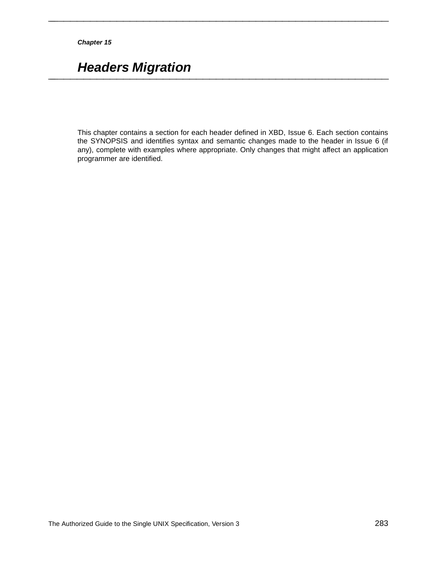**Chapter 15**

# **Headers Migration \_\_\_\_\_\_\_\_\_\_\_\_\_\_\_\_\_\_\_\_\_\_\_\_\_\_\_\_\_\_\_\_\_\_\_\_\_\_\_\_\_\_\_\_\_\_\_\_\_\_\_\_**

This chapter contains a section for each header defined in XBD, Issue 6. Each section contains the SYNOPSIS and identifies syntax and semantic changes made to the header in Issue 6 (if any), complete with examples where appropriate. Only changes that might affect an application programmer are identified.

**\_\_\_\_\_\_\_\_\_\_\_\_\_\_\_\_\_\_\_\_\_\_\_\_\_\_\_\_\_\_\_\_\_\_\_\_\_\_\_\_\_\_\_\_\_\_\_\_\_\_\_\_**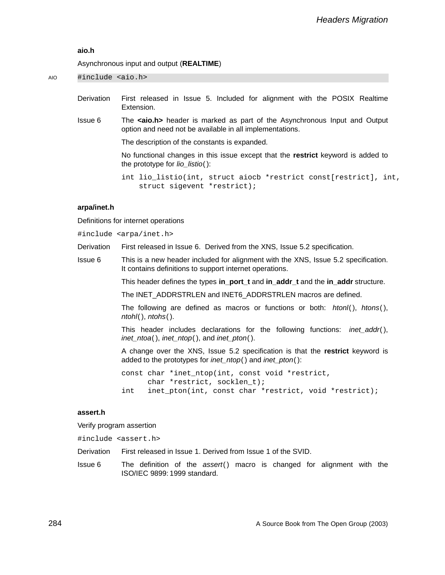## **aio.h**

Asynchronous input and output (**REALTIME**)

AIO #include <aio.h>

- Derivation First released in Issue 5. Included for alignment with the POSIX Realtime Extension.
- Issue 6 The **<aio.h>** header is marked as part of the Asynchronous Input and Output option and need not be available in all implementations.

The description of the constants is expanded.

No functional changes in this issue except that the **restrict** keyword is added to the prototype for *lio\_listio*():

int lio\_listio(int, struct aiocb \*restrict const[restrict], int, struct sigevent \*restrict);

# **arpa/inet.h**

Definitions for internet operations

#include <arpa/inet.h>

Derivation First released in Issue 6. Derived from the XNS, Issue 5.2 specification.

Issue 6 This is a new header included for alignment with the XNS, Issue 5.2 specification. It contains definitions to support internet operations.

This header defines the types **in\_port\_t** and **in\_addr\_t** and the **in\_addr** structure.

The INET\_ADDRSTRLEN and INET6\_ADDRSTRLEN macros are defined.

The following are defined as macros or functions or both:  $htonl()$ ,  $htons()$ , ntohl( ), ntohs( ).

This header includes declarations for the following functions: *inet\_addr*(), inet\_ntoa( ), inet\_ntop( ), and inet\_pton( ).

A change over the XNS, Issue 5.2 specification is that the **restrict** keyword is added to the prototypes for *inet\_ntop*() and *inet\_pton*():

const char \*inet\_ntop(int, const void \*restrict, char \*restrict, socklen\_t); int inet\_pton(int, const char \*restrict, void \*restrict);

#### **assert.h**

Verify program assertion

#include <assert.h>

Derivation First released in Issue 1. Derived from Issue 1 of the SVID.

Issue 6 The definition of the  $assert()$  macro is changed for alignment with the ISO/IEC 9899: 1999 standard.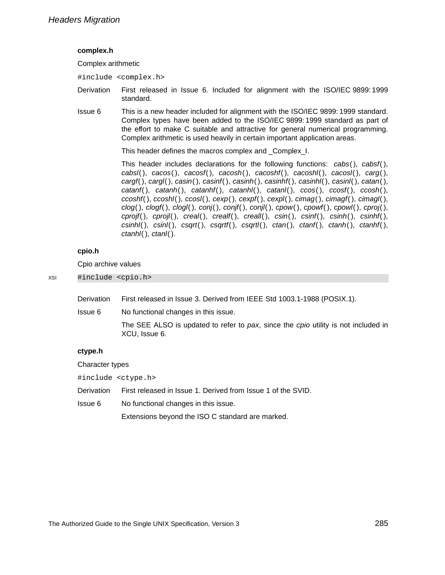## **complex.h**

Complex arithmetic

#include <complex.h>

- Derivation First released in Issue 6. Included for alignment with the ISO/IEC 9899: 1999 standard.
- Issue 6 This is a new header included for alignment with the ISO/IEC 9899: 1999 standard. Complex types have been added to the ISO/IEC 9899: 1999 standard as part of the effort to make C suitable and attractive for general numerical programming. Complex arithmetic is used heavily in certain important application areas.

This header defines the macros complex and \_Complex\_I.

This header includes declarations for the following functions:  $cabs()$ ,  $cabsf()$ , cabsl(), cacos(), cacosf(), cacosh(), cacoshf(), cacoshl(), cacosl(), carg(), cargf( ), cargl( ), casin( ), casinf( ), casinh( ), casinhf( ), casinhl( ), casinl( ), catan( ), catanf(), catanh(), catanhf(), catanhl(), catanl(),  $ccos()$ ,  $ccos()$ ,  $ccosh()$ , ccoshf( ), ccoshl( ), ccosl( ), cexp( ), cexpf( ), cexpl( ), cimag( ), cimagf( ), cimagl( ),  $clog($ , clogf(, clogl(), conj(), conjf(), conjl(), cpow(), cpowf(), cpowl(), cproj(),  $cprojf( )$ ,  $cproj( )$ ,  $creal( )$ ,  $crealf( )$ ,  $crealf( )$ ,  $csign( )$ ,  $csinf( )$ ,  $csinh( )$ ,  $csinh(f( )$ ,  $csinh()$ ,  $csin/()$ ,  $csqrt()$ ,  $csqrt()$ ,  $csqrt()$ ,  $csqrt()$ ,  $ctan/()$ ,  $ctanh()$ ,  $ctanh()$ , ctanhl( ), ctanl( ).

# **cpio.h**

Cpio archive values

XSI #include <cpio.h>

Derivation First released in Issue 3. Derived from IEEE Std 1003.1-1988 (POSIX.1).

Issue 6 No functional changes in this issue.

The SEE ALSO is updated to refer to pax, since the cpio utility is not included in XCU, Issue 6.

## **ctype.h**

Character types

#include <ctype.h>

Derivation First released in Issue 1. Derived from Issue 1 of the SVID.

Issue 6 No functional changes in this issue.

Extensions beyond the ISO C standard are marked.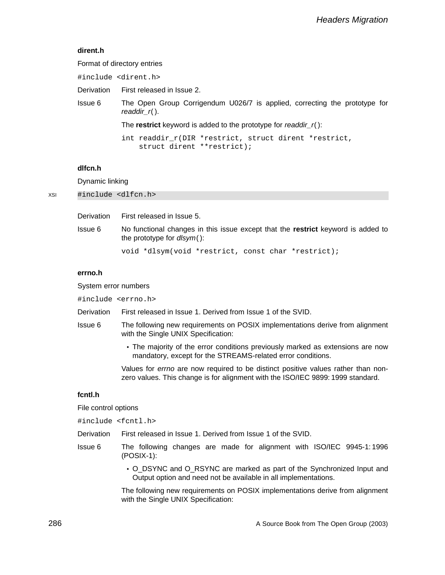# **dirent.h**

Format of directory entries

#include <dirent.h>

Derivation First released in Issue 2.

Issue 6 The Open Group Corrigendum U026/7 is applied, correcting the prototype for readdir\_r( ).

The **restrict** keyword is added to the prototype for readdir\_r( ):

int readdir\_r(DIR \*restrict, struct dirent \*restrict, struct dirent \*\*restrict);

# **dlfcn.h**

Dynamic linking

XSI #include <dlfcn.h>

Derivation First released in Issue 5.

Issue 6 No functional changes in this issue except that the **restrict** keyword is added to the prototype for  $d\text{lsym}()$ :

void \*dlsym(void \*restrict, const char \*restrict);

## **errno.h**

System error numbers

#include <errno.h>

Derivation First released in Issue 1. Derived from Issue 1 of the SVID.

- Issue 6 The following new requirements on POSIX implementations derive from alignment with the Single UNIX Specification:
	- The majority of the error conditions previously marked as extensions are now mandatory, except for the STREAMS-related error conditions.

Values for errno are now required to be distinct positive values rather than nonzero values. This change is for alignment with the ISO/IEC 9899: 1999 standard.

## **fcntl.h**

File control options

#include <fcntl.h>

Derivation First released in Issue 1. Derived from Issue 1 of the SVID.

- Issue 6 The following changes are made for alignment with ISO/IEC 9945-1: 1996 (POSIX-1):
	- O\_DSYNC and O\_RSYNC are marked as part of the Synchronized Input and Output option and need not be available in all implementations.

The following new requirements on POSIX implementations derive from alignment with the Single UNIX Specification: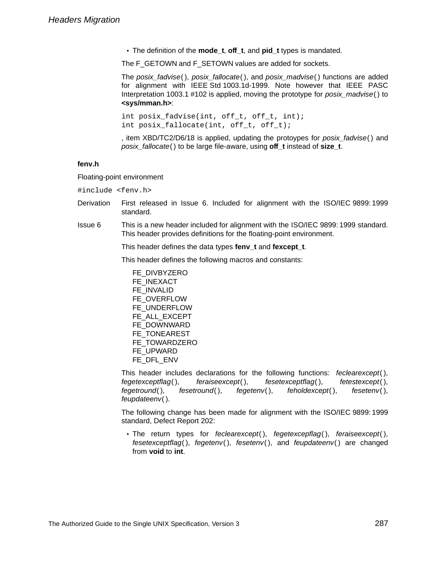• The definition of the **mode\_t**, **off\_t**, and **pid\_t** types is mandated.

The F\_GETOWN and F\_SETOWN values are added for sockets.

The posix\_fadvise( ), posix\_fallocate( ), and posix\_madvise( ) functions are added for alignment with IEEE Std 1003.1d-1999. Note however that IEEE PASC Interpretation 1003.1 #102 is applied, moving the prototype for posix\_madvise( ) to **<sys/mman.h>**:

```
int posix_fadvise(int, off_t, off_t, int);
int posix_fallocate(int, off_t, off_t);
```
, item XBD/TC2/D6/18 is applied, updating the protoypes for *posix\_fadvise*() and posix\_fallocate( ) to be large file-aware, using **off\_t** instead of **size\_t**.

#### **fenv.h**

Floating-point environment

#include <fenv.h>

- Derivation First released in Issue 6. Included for alignment with the ISO/IEC 9899: 1999 standard.
- Issue 6 This is a new header included for alignment with the ISO/IEC 9899: 1999 standard. This header provides definitions for the floating-point environment.

This header defines the data types **fenv\_t** and **fexcept\_t**.

This header defines the following macros and constants:

FE\_DIVBYZERO FE\_INEXACT FE\_INVALID FE\_OVERFLOW FE\_UNDERFLOW FE\_ALL\_EXCEPT FE\_DOWNWARD FE\_TONEAREST FE\_TOWARDZERO FE\_UPWARD FE\_DFL\_ENV

This header includes declarations for the following functions: *feclearexcept*(), fegetexceptflag(), feraiseexcept(), fesetexceptflag(), fetestexcept(), fegetround(), fesetround(), fegetenv(), feholdexcept(), fesetenv(), feupdateenv( ).

The following change has been made for alignment with the ISO/IEC 9899: 1999 standard, Defect Report 202:

• The return types for feclearexcept(), fegetexcepflag(), feraiseexcept(),  $fesetexcept flag(), \, fegetenv(), \, fesetenv(), \, and \, feupdateenv() \, are changed.$ from **void** to **int**.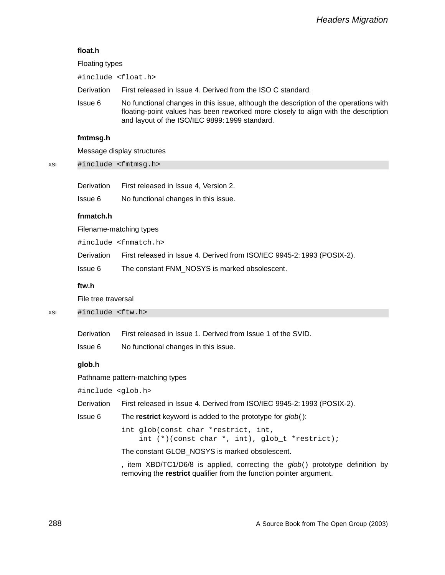## **float.h**

Floating types

#include <float.h>

Derivation First released in Issue 4. Derived from the ISO C standard.

Issue 6 No functional changes in this issue, although the description of the operations with floating-point values has been reworked more closely to align with the description and layout of the ISO/IEC 9899: 1999 standard.

#### **fmtmsg.h**

Message display structures

XSI #include <fmtmsg.h>

| Derivation | First released in Issue 4, Version 2. |
|------------|---------------------------------------|
|            |                                       |

Issue 6 No functional changes in this issue.

### **fnmatch.h**

Filename-matching types

#include <fnmatch.h>

Derivation First released in Issue 4. Derived from ISO/IEC 9945-2: 1993 (POSIX-2).

Issue 6 The constant FNM\_NOSYS is marked obsolescent.

## **ftw.h**

File tree traversal

XSI #include <ftw.h>

Derivation First released in Issue 1. Derived from Issue 1 of the SVID.

Issue 6 No functional changes in this issue.

### **glob.h**

Pathname pattern-matching types

#include <glob.h>

Derivation First released in Issue 4. Derived from ISO/IEC 9945-2: 1993 (POSIX-2).

Issue 6 The **restrict** keyword is added to the prototype for glob():

```
int glob(const char *restrict, int,
    int (*)(const char *, int), glob_t *restrict);
```
The constant GLOB\_NOSYS is marked obsolescent.

, item XBD/TC1/D6/8 is applied, correcting the  $glob()$  prototype definition by removing the **restrict** qualifier from the function pointer argument.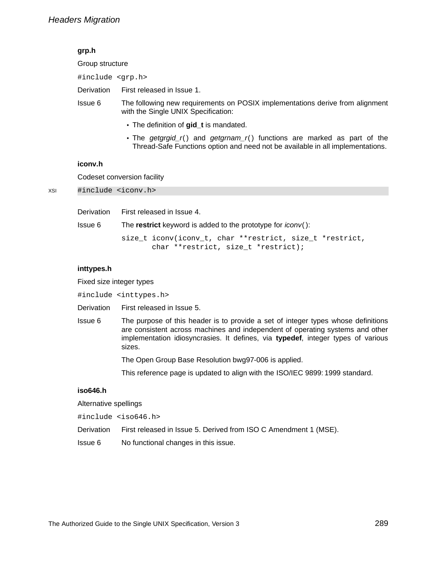### **grp.h**

Group structure

#include <grp.h>

Derivation First released in Issue 1.

- Issue 6 The following new requirements on POSIX implementations derive from alignment with the Single UNIX Specification:
	- The definition of **gid\_t** is mandated.
	- The getgrgid\_r() and getgrnam\_r() functions are marked as part of the Thread-Safe Functions option and need not be available in all implementations.

#### **iconv.h**

Codeset conversion facility

XSI #include <iconv.h>

Derivation First released in Issue 4.

Issue 6 The **restrict** keyword is added to the prototype for iconv( ):

size\_t iconv(iconv\_t, char \*\*restrict, size\_t \*restrict, char \*\*restrict, size\_t \*restrict);

#### **inttypes.h**

Fixed size integer types

#include <inttypes.h>

- Derivation First released in Issue 5.
- Issue 6 The purpose of this header is to provide a set of integer types whose definitions are consistent across machines and independent of operating systems and other implementation idiosyncrasies. It defines, via **typedef**, integer types of various sizes.

The Open Group Base Resolution bwg97-006 is applied.

This reference page is updated to align with the ISO/IEC 9899: 1999 standard.

#### **iso646.h**

Alternative spellings

#include <iso646.h>

Derivation First released in Issue 5. Derived from ISO C Amendment 1 (MSE).

Issue 6 No functional changes in this issue.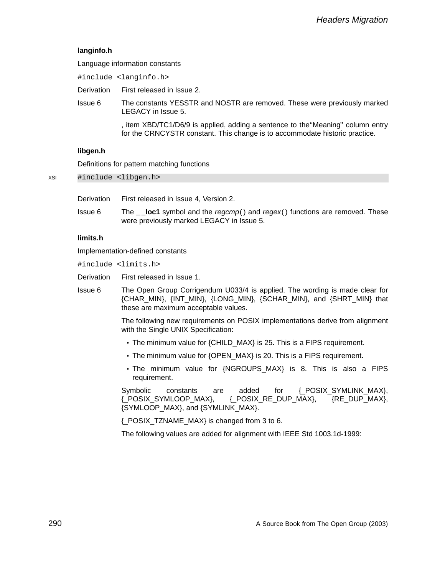## **langinfo.h**

Language information constants

#include <langinfo.h>

Derivation First released in Issue 2.

Issue 6 The constants YESSTR and NOSTR are removed. These were previously marked LEGACY in Issue 5.

> , item XBD/TC1/D6/9 is applied, adding a sentence to the''Meaning'' column entry for the CRNCYSTR constant. This change is to accommodate historic practice.

## **libgen.h**

Definitions for pattern matching functions

XSI #include <libgen.h>

Derivation First released in Issue 4, Version 2.

Issue 6 The **\_\_loc1** symbol and the regcmp() and regex() functions are removed. These were previously marked LEGACY in Issue 5.

## **limits.h**

Implementation-defined constants

#include <limits.h>

Derivation First released in Issue 1.

Issue 6 The Open Group Corrigendum U033/4 is applied. The wording is made clear for {CHAR\_MIN}, {INT\_MIN}, {LONG\_MIN}, {SCHAR\_MIN}, and {SHRT\_MIN} that these are maximum acceptable values.

> The following new requirements on POSIX implementations derive from alignment with the Single UNIX Specification:

- The minimum value for {CHILD\_MAX} is 25. This is a FIPS requirement.
- The minimum value for {OPEN\_MAX} is 20. This is a FIPS requirement.
- The minimum value for {NGROUPS\_MAX} is 8. This is also a FIPS requirement.

Symbolic constants are added for {\_POSIX\_SYMLINK\_MAX}, {\_POSIX\_SYMLOOP\_MAX}, {\_POSIX\_RE\_DUP\_MAX}, {RE\_DUP\_MAX}, {SYMLOOP\_MAX}, and {SYMLINK\_MAX}.

{\_POSIX\_TZNAME\_MAX} is changed from 3 to 6.

The following values are added for alignment with IEEE Std 1003.1d-1999: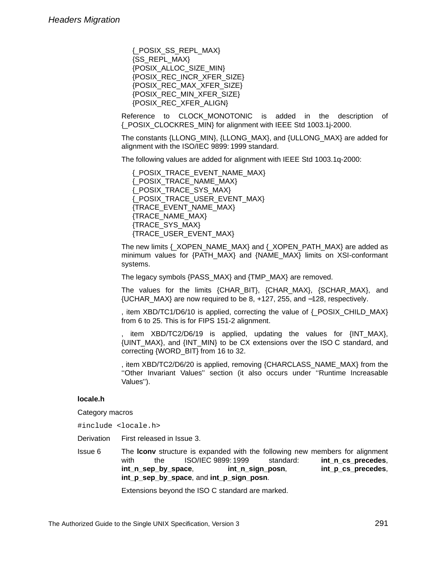{\_POSIX\_SS\_REPL\_MAX} {SS\_REPL\_MAX} {POSIX\_ALLOC\_SIZE\_MIN} {POSIX\_REC\_INCR\_XFER\_SIZE} {POSIX\_REC\_MAX\_XFER\_SIZE} {POSIX\_REC\_MIN\_XFER\_SIZE} {POSIX\_REC\_XFER\_ALIGN}

Reference to CLOCK\_MONOTONIC is added in the description of {\_POSIX\_CLOCKRES\_MIN} for alignment with IEEE Std 1003.1j-2000.

The constants {LLONG\_MIN}, {LLONG\_MAX}, and {ULLONG\_MAX} are added for alignment with the ISO/IEC 9899: 1999 standard.

The following values are added for alignment with IEEE Std 1003.1q-2000:

{\_POSIX\_TRACE\_EVENT\_NAME\_MAX} {\_POSIX\_TRACE\_NAME\_MAX} {\_POSIX\_TRACE\_SYS\_MAX} {\_POSIX\_TRACE\_USER\_EVENT\_MAX} {TRACE\_EVENT\_NAME\_MAX} {TRACE\_NAME\_MAX} {TRACE\_SYS\_MAX} {TRACE\_USER\_EVENT\_MAX}

The new limits {\_XOPEN\_NAME\_MAX} and {\_XOPEN\_PATH\_MAX} are added as minimum values for {PATH\_MAX} and {NAME\_MAX} limits on XSI-conformant systems.

The legacy symbols {PASS\_MAX} and {TMP\_MAX} are removed.

The values for the limits {CHAR\_BIT}, {CHAR\_MAX}, {SCHAR\_MAX}, and {UCHAR\_MAX} are now required to be 8, +127, 255, and −128, respectively.

, item XBD/TC1/D6/10 is applied, correcting the value of {\_POSIX\_CHILD\_MAX} from 6 to 25. This is for FIPS 151-2 alignment.

, item XBD/TC2/D6/19 is applied, updating the values for {INT\_MAX}, {UINT\_MAX}, and {INT\_MIN} to be CX extensions over the ISO C standard, and correcting {WORD\_BIT} from 16 to 32.

, item XBD/TC2/D6/20 is applied, removing {CHARCLASS\_NAME\_MAX} from the ''Other Invariant Values'' section (it also occurs under ''Runtime Increasable Values'').

### **locale.h**

Category macros

#include <locale.h>

Derivation First released in Issue 3.

Issue 6 The **lconv** structure is expanded with the following new members for alignment with the ISO/IEC 9899: 1999 standard: **int\_n\_cs\_precedes**, **int\_n\_sep\_by\_space**, **int\_n\_sign\_posn**, **int\_p\_cs\_precedes**, **int\_p\_sep\_by\_space**, and **int\_p\_sign\_posn**.

Extensions beyond the ISO C standard are marked.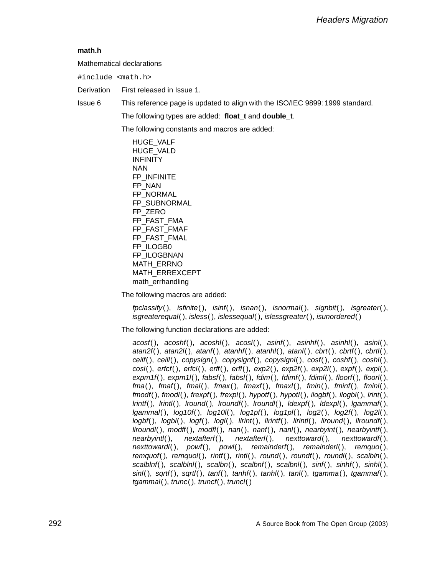### **math.h**

Mathematical declarations

#include <math.h>

Derivation First released in Issue 1.

Issue 6 This reference page is updated to align with the ISO/IEC 9899: 1999 standard.

The following types are added: **float\_t** and **double\_t**.

The following constants and macros are added:

HUGE\_VALF HUGE\_VALD INFINITY NAN FP\_INFINITE FP\_NAN FP\_NORMAL FP\_SUBNORMAL FP\_ZERO FP\_FAST\_FMA FP\_FAST\_FMAF FP\_FAST\_FMAL FP\_ILOGB0 FP\_ILOGBNAN MATH\_ERRNO MATH\_ERREXCEPT math\_errhandling

The following macros are added:

 $fpc$ lassify(), isfinite(), isinf(), isnan(), isnormal(), signbit(), isgreater(), isgreaterequal( ), isless( ), islessequal( ), islessgreater( ), isunordered( )

The following function declarations are added:

 $a\text{cosf}()$ ,  $a\text{coshf}()$ ,  $a\text{coshf}()$ ,  $a\text{cosf}()$ ,  $a\text{sinhf}()$ ,  $a\text{sinhf}()$ ,  $a\text{sinh(f)}()$ ,  $a\text{sinh(f)}()$ atan2f(), atan2l(), atanf(), atanhf(), atanhl(), atanl(), cbrt(), cbrtf(), cbrtl(), ceilf(), ceill(), copysign(), copysignf(), copysignl(), cosf(), coshf(), coshl(), cosl(), erfcf(), erfcl(), erff(), erfl(), exp2(), exp2f(), exp2l(), expf(), expl(),  $expm1f()$ ,  $expm1l()$ ,  $fabsf()$ ,  $fabsl()$ ,  $fdim()$ ,  $fdimf()$ ,  $fdiml()$ ,  $floof()$ ,  $floorl()$ ,  $fma()$ ,  $fmaf()$ ,  $fmal()$ ,  $fmax()$ ,  $fmaxf()$ ,  $fman()$ ,  $fminf()$ ,  $fminf()$ ,  $fminf()$ , fmodf( ), fmodl( ), frexpf( ), frexpl( ), hypotf( ), hypotl( ), ilogbf( ), ilogbl( ), lrint( ), lrintf( ), lrintl( ), lround( ), lroundf( ), lroundl( ), ldexpf( ), ldexpl( ), lgammaf( ), lgammal( ), log10f( ), log10l( ), log1pf( ), log1pl( ), log2( ), log2f( ), log2l( ), logbf(), logbl(), logf(), logl(), llrint(), llrintf(), llrintl(), llround(), llroundf(),  $llround($ ), modff(), modfl(), nan(), nanf(), nanl(), nearbyint(), nearbyintf(), nearbyintl(), nextafterf(), nextafterl(), nexttoward(), nexttowardf(), nexttowardl(), powf(), powl(), remainderf(), remainderl(), remquo(),  $r$ emquof(), remquol(), rintf(), rintl(), round(), roundf(), roundl(), scalbln(), scalblnf(), scalblnl(), scalbn(), scalbnf(), scalbnl(), sinf(), sinhf(), sinhl(),  $sinl()$ , sqrtf $()$ , sqrtl $()$ , tanf $()$ , tanhf $()$ , tanhl $()$ , tanl $()$ , tgamma $()$ , tgammaf $()$ , tgammal( ), trunc( ), truncf( ), truncl( )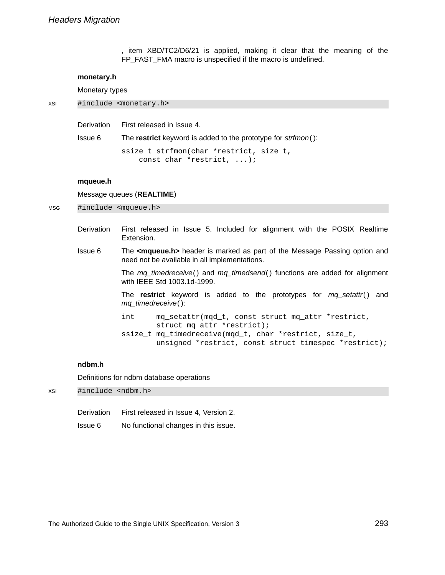, item XBD/TC2/D6/21 is applied, making it clear that the meaning of the FP\_FAST\_FMA macro is unspecified if the macro is undefined.

#### **monetary.h**

Monetary types

```
XSI #include <monetary.h>
```
Derivation First released in Issue 4.

Issue 6 The **restrict** keyword is added to the prototype for strfmon( ):

```
ssize_t strfmon(char *restrict, size_t,
   const char *restrict, ...);
```
#### **mqueue.h**

#### Message queues (**REALTIME**)

MSG #include <mqueue.h>

- Derivation First released in Issue 5. Included for alignment with the POSIX Realtime Extension.
- Issue 6 The **<mqueue.h>** header is marked as part of the Message Passing option and need not be available in all implementations.

The mq\_timedreceive() and mq\_timedsend() functions are added for alignment with IEEE Std 1003.1d-1999.

The **restrict** keyword is added to the prototypes for mq\_setattr() and mq\_timedreceive( ):

int mq\_setattr(mqd\_t, const struct mq\_attr \*restrict, struct mq\_attr \*restrict); ssize\_t mq\_timedreceive(mqd\_t, char \*restrict, size\_t, unsigned \*restrict, const struct timespec \*restrict);

## **ndbm.h**

Definitions for ndbm database operations

XSI #include <ndbm.h>

Derivation First released in Issue 4, Version 2. Issue 6 No functional changes in this issue.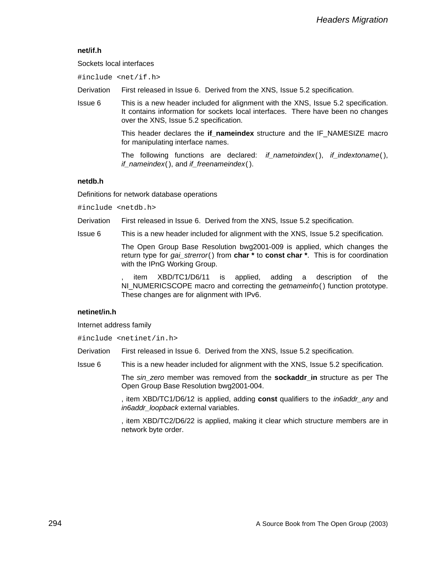## **net/if.h**

Sockets local interfaces

#include <net/if.h>

Derivation First released in Issue 6. Derived from the XNS, Issue 5.2 specification.

Issue 6 This is a new header included for alignment with the XNS, Issue 5.2 specification. It contains information for sockets local interfaces. There have been no changes over the XNS, Issue 5.2 specification.

> This header declares the **if\_nameindex** structure and the IF\_NAMESIZE macro for manipulating interface names.

> The following functions are declared: if\_nametoindex(), if\_indextoname(), if\_nameindex( ), and if\_freenameindex( ).

### **netdb.h**

Definitions for network database operations

- #include <netdb.h>
- Derivation First released in Issue 6. Derived from the XNS, Issue 5.2 specification.
- Issue 6 This is a new header included for alignment with the XNS, Issue 5.2 specification.

The Open Group Base Resolution bwg2001-009 is applied, which changes the return type for gai\_strerror( ) from **char \*** to **const char \***. This is for coordination with the IPnG Working Group.

, item XBD/TC1/D6/11 is applied, adding a description of the NI\_NUMERICSCOPE macro and correcting the *getnameinfo*() function prototype. These changes are for alignment with IPv6.

### **netinet/in.h**

Internet address family

#include <netinet/in.h>

Derivation First released in Issue 6. Derived from the XNS, Issue 5.2 specification.

Issue 6 This is a new header included for alignment with the XNS, Issue 5.2 specification.

The sin\_zero member was removed from the **sockaddr\_in** structure as per The Open Group Base Resolution bwg2001-004.

, item XBD/TC1/D6/12 is applied, adding **const** qualifiers to the in6addr\_any and in6addr\_loopback external variables.

, item XBD/TC2/D6/22 is applied, making it clear which structure members are in network byte order.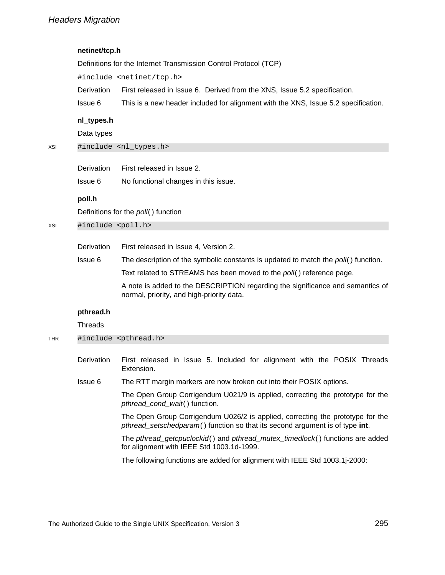## Headers Migration

#### **netinet/tcp.h**

Definitions for the Internet Transmission Control Protocol (TCP)

#include <netinet/tcp.h>

Derivation First released in Issue 6. Derived from the XNS, Issue 5.2 specification.

Issue 6 This is a new header included for alignment with the XNS, Issue 5.2 specification.

#### **nl\_types.h**

Data types

XSI #include <nl\_types.h>

Derivation First released in Issue 2.

Issue 6 No functional changes in this issue.

#### **poll.h**

Definitions for the poll( ) function

XSI #include <poll.h>

Derivation First released in Issue 4, Version 2.

Issue 6 The description of the symbolic constants is updated to match the poll() function.

Text related to STREAMS has been moved to the poll( ) reference page.

A note is added to the DESCRIPTION regarding the significance and semantics of normal, priority, and high-priority data.

#### **pthread.h**

Threads

- THR #include <pthread.h>
	- Derivation First released in Issue 5. Included for alignment with the POSIX Threads Extension.
	- Issue 6 The RTT margin markers are now broken out into their POSIX options.

The Open Group Corrigendum U021/9 is applied, correcting the prototype for the pthread\_cond\_wait( ) function.

The Open Group Corrigendum U026/2 is applied, correcting the prototype for the pthread\_setschedparam( ) function so that its second argument is of type **int**.

The pthread\_getcpuclockid() and pthread\_mutex\_timedlock() functions are added for alignment with IEEE Std 1003.1d-1999.

The following functions are added for alignment with IEEE Std 1003.1j-2000: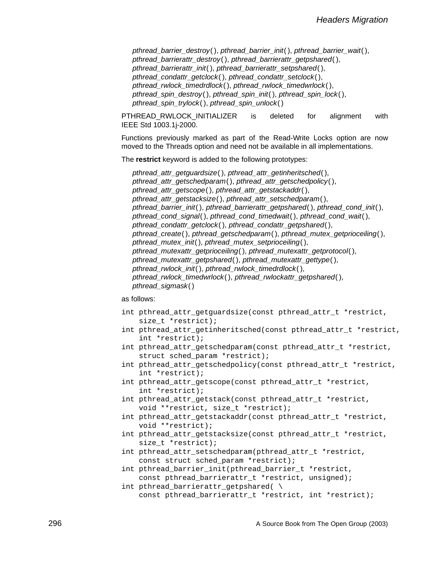pthread\_barrier\_destroy( ), pthread\_barrier\_init( ), pthread\_barrier\_wait( ), pthread\_barrierattr\_destroy( ), pthread\_barrierattr\_getpshared( ), pthread\_barrierattr\_init( ), pthread\_barrierattr\_setpshared( ), pthread\_condattr\_getclock( ), pthread\_condattr\_setclock( ), pthread\_rwlock\_timedrdlock( ), pthread\_rwlock\_timedwrlock( ), pthread\_spin\_destroy( ), pthread\_spin\_init( ), pthread\_spin\_lock( ), pthread\_spin\_trylock( ), pthread\_spin\_unlock( )

PTHREAD\_RWLOCK\_INITIALIZER is deleted for alignment with IEEE Std 1003.1j-2000.

Functions previously marked as part of the Read-Write Locks option are now moved to the Threads option and need not be available in all implementations.

The **restrict** keyword is added to the following prototypes:

pthread\_attr\_getguardsize( ), pthread\_attr\_getinheritsched( ), pthread\_attr\_getschedparam( ), pthread\_attr\_getschedpolicy( ), pthread\_attr\_getscope( ), pthread\_attr\_getstackaddr( ), pthread\_attr\_getstacksize( ), pthread\_attr\_setschedparam( ), pthread\_barrier\_init( ), pthread\_barrierattr\_getpshared( ), pthread\_cond\_init( ), pthread\_cond\_signal( ), pthread\_cond\_timedwait( ), pthread\_cond\_wait( ), pthread\_condattr\_getclock( ), pthread\_condattr\_getpshared( ), pthread\_create( ), pthread\_getschedparam( ), pthread\_mutex\_getprioceiling( ), pthread\_mutex\_init( ), pthread\_mutex\_setprioceiling( ), pthread\_mutexattr\_getprioceiling( ), pthread\_mutexattr\_getprotocol( ), pthread\_mutexattr\_getpshared( ), pthread\_mutexattr\_gettype( ), pthread\_rwlock\_init( ), pthread\_rwlock\_timedrdlock( ), pthread\_rwlock\_timedwrlock( ), pthread\_rwlockattr\_getpshared( ), pthread\_sigmask( )

as follows:

- int pthread\_attr\_getguardsize(const pthread\_attr\_t \*restrict, size\_t \*restrict);
- int pthread\_attr\_getinheritsched(const pthread\_attr\_t \*restrict, int \*restrict);
- int pthread\_attr\_getschedparam(const pthread\_attr\_t \*restrict, struct sched\_param \*restrict);
- int pthread\_attr\_getschedpolicy(const pthread\_attr\_t \*restrict, int \*restrict);
- int pthread\_attr\_getscope(const pthread\_attr\_t \*restrict, int \*restrict);
- int pthread\_attr\_getstack(const pthread\_attr\_t \*restrict, void \*\*restrict, size\_t \*restrict);
- int pthread\_attr\_getstackaddr(const pthread\_attr\_t \*restrict, void \*\*restrict);
- int pthread\_attr\_getstacksize(const pthread\_attr\_t \*restrict, size\_t \*restrict);
- int pthread\_attr\_setschedparam(pthread\_attr\_t \*restrict, const struct sched\_param \*restrict);
- int pthread\_barrier\_init(pthread\_barrier\_t \*restrict, const pthread\_barrierattr\_t \*restrict, unsigned);
- int pthread\_barrierattr\_getpshared( \ const pthread\_barrierattr\_t \*restrict, int \*restrict);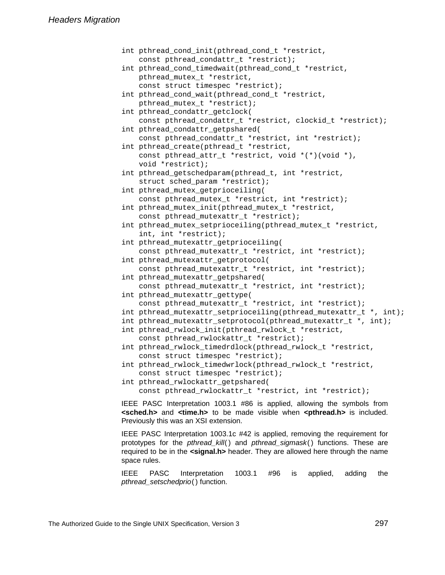## Headers Migration

```
int pthread_cond_init(pthread_cond_t *restrict,
    const pthread_condattr_t *restrict);
int pthread_cond_timedwait(pthread_cond_t *restrict,
    pthread_mutex_t *restrict,
    const struct timespec *restrict);
int pthread_cond_wait(pthread_cond_t *restrict,
    pthread_mutex_t *restrict);
int pthread_condattr_getclock(
    const pthread_condattr_t *restrict, clockid_t *restrict);
int pthread_condattr_getpshared(
    const pthread_condattr_t *restrict, int *restrict);
int pthread_create(pthread_t *restrict,
    const pthread_attr_t *restrict, void *(*)(void *),
    void *restrict);
int pthread_getschedparam(pthread_t, int *restrict,
    struct sched_param *restrict);
int pthread_mutex_getprioceiling(
    const pthread_mutex_t *restrict, int *restrict);
int pthread_mutex_init(pthread_mutex_t *restrict,
    const pthread_mutexattr_t *restrict);
int pthread_mutex_setprioceiling(pthread_mutex_t *restrict,
    int, int *restrict);
int pthread_mutexattr_getprioceiling(
    const pthread_mutexattr_t *restrict, int *restrict);
int pthread_mutexattr_getprotocol(
    const pthread_mutexattr_t *restrict, int *restrict);
int pthread_mutexattr_getpshared(
    const pthread_mutexattr_t *restrict, int *restrict);
int pthread_mutexattr_gettype(
    const pthread_mutexattr_t *restrict, int *restrict);
int pthread_mutexattr_setprioceiling(pthread_mutexattr_t *, int);
int pthread_mutexattr_setprotocol(pthread_mutexattr_t *, int);
int pthread_rwlock_init(pthread_rwlock_t *restrict,
    const pthread_rwlockattr_t *restrict);
int pthread_rwlock_timedrdlock(pthread_rwlock_t *restrict,
    const struct timespec *restrict);
int pthread_rwlock_timedwrlock(pthread_rwlock_t *restrict,
    const struct timespec *restrict);
int pthread_rwlockattr_getpshared(
    const pthread_rwlockattr_t *restrict, int *restrict);
IEEE PASC Interpretation 1003.1 #86 is applied, allowing the symbols from
<sched.h> and <time.h> to be made visible when <pthread.h> is included.
```
IEEE PASC Interpretation 1003.1c #42 is applied, removing the requirement for prototypes for the *pthread\_kill*() and *pthread\_sigmask*() functions. These are required to be in the **<signal.h>** header. They are allowed here through the name space rules.

IEEE PASC Interpretation 1003.1 #96 is applied, adding the pthread\_setschedprio( ) function.

Previously this was an XSI extension.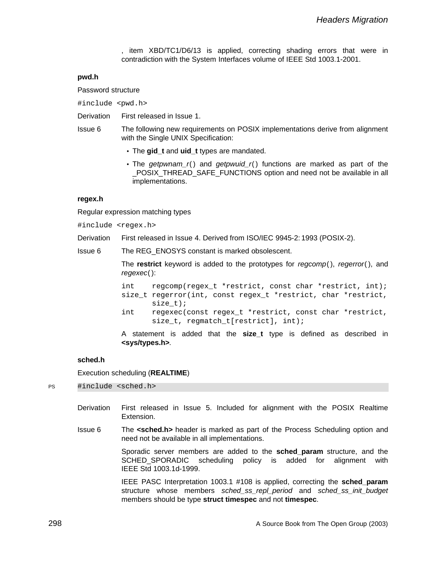, item XBD/TC1/D6/13 is applied, correcting shading errors that were in contradiction with the System Interfaces volume of IEEE Std 1003.1-2001.

#### **pwd.h**

Password structure

#include <pwd.h>

- Derivation First released in Issue 1.
- Issue 6 The following new requirements on POSIX implementations derive from alignment with the Single UNIX Specification:
	- The **gid\_t** and **uid\_t** types are mandated.
	- The getpwnam\_r() and getpwuid\_r() functions are marked as part of the \_POSIX\_THREAD\_SAFE\_FUNCTIONS option and need not be available in all implementations.

#### **regex.h**

Regular expression matching types

#include <regex.h>

Derivation First released in Issue 4. Derived from ISO/IEC 9945-2: 1993 (POSIX-2).

Issue 6 The REG\_ENOSYS constant is marked obsolescent.

The **restrict** keyword is added to the prototypes for regcomp( ), regerror( ), and regexec( ):

int regcomp(regex\_t \*restrict, const char \*restrict, int); size\_t regerror(int, const regex\_t \*restrict, char \*restrict, size\_t); int regexec(const regex\_t \*restrict, const char \*restrict, size\_t, regmatch\_t[restrict], int);

A statement is added that the **size\_t** type is defined as described in **<sys/types.h>**.

#### **sched.h**

Execution scheduling (**REALTIME**)

PS #include <sched.h>

- Derivation First released in Issue 5. Included for alignment with the POSIX Realtime Extension.
- Issue 6 The **<sched.h>** header is marked as part of the Process Scheduling option and need not be available in all implementations.

Sporadic server members are added to the **sched\_param** structure, and the SCHED\_SPORADIC scheduling policy is added for alignment with IEEE Std 1003.1d-1999.

IEEE PASC Interpretation 1003.1 #108 is applied, correcting the **sched\_param** structure whose members sched\_ss\_repl\_period and sched\_ss\_init\_budget members should be type **struct timespec** and not **timespec**.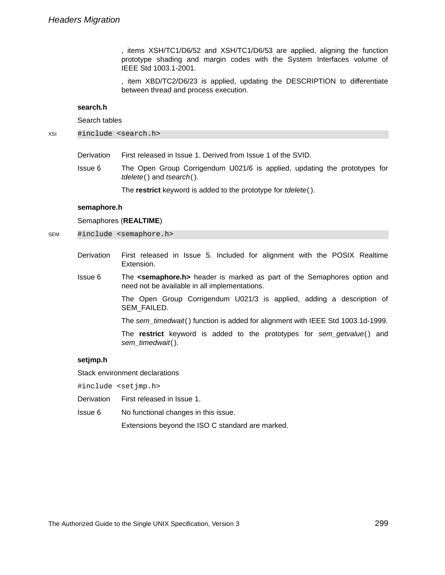, items XSH/TC1/D6/52 and XSH/TC1/D6/53 are applied, aligning the function prototype shading and margin codes with the System Interfaces volume of IEEE Std 1003.1-2001.

, item XBD/TC2/D6/23 is applied, updating the DESCRIPTION to differentiate between thread and process execution.

## **search.h**

#### Search tables

#### XSI #include <search.h>

Derivation First released in Issue 1. Derived from Issue 1 of the SVID.

Issue 6 The Open Group Corrigendum U021/6 is applied, updating the prototypes for tdelete( ) and tsearch( ).

The **restrict** keyword is added to the prototype for tdelete( ).

#### **semaphore.h**

#### Semaphores (**REALTIME**)

- SEM #include <semaphore.h>
	- Derivation First released in Issue 5. Included for alignment with the POSIX Realtime Extension.
	- Issue 6 The **<semaphore.h>** header is marked as part of the Semaphores option and need not be available in all implementations.

The Open Group Corrigendum U021/3 is applied, adding a description of SEM\_FAILED.

The sem\_timedwait( ) function is added for alignment with IEEE Std 1003.1d-1999.

The **restrict** keyword is added to the prototypes for sem\_getvalue() and sem\_timedwait( ).

### **setjmp.h**

Stack environment declarations

#include <setjmp.h>

- Derivation First released in Issue 1.
- Issue 6 No functional changes in this issue.

Extensions beyond the ISO C standard are marked.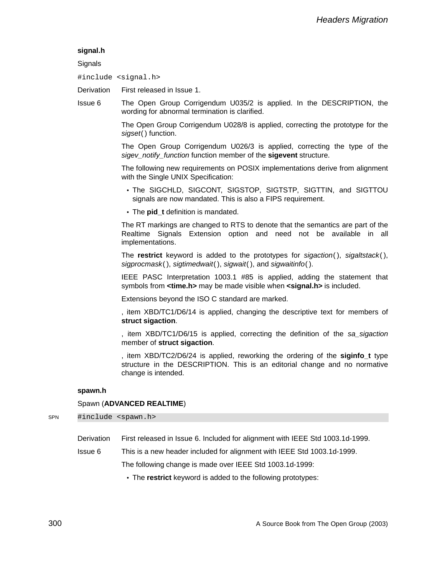## **signal.h**

**Signals** 

#include <signal.h>

Derivation First released in Issue 1.

Issue 6 The Open Group Corrigendum U035/2 is applied. In the DESCRIPTION, the wording for abnormal termination is clarified.

> The Open Group Corrigendum U028/8 is applied, correcting the prototype for the sigset( ) function.

> The Open Group Corrigendum U026/3 is applied, correcting the type of the sigev\_notify\_function function member of the **sigevent** structure.

> The following new requirements on POSIX implementations derive from alignment with the Single UNIX Specification:

- The SIGCHLD, SIGCONT, SIGSTOP, SIGTSTP, SIGTTIN, and SIGTTOU signals are now mandated. This is also a FIPS requirement.
- The **pid\_t** definition is mandated.

The RT markings are changed to RTS to denote that the semantics are part of the Realtime Signals Extension option and need not be available in all implementations.

The **restrict** keyword is added to the prototypes for sigaction( ), sigaltstack( ), sigprocmask( ), sigtimedwait( ), sigwait( ), and sigwaitinfo( ).

IEEE PASC Interpretation 1003.1 #85 is applied, adding the statement that symbols from **<time.h>** may be made visible when **<signal.h>** is included.

Extensions beyond the ISO C standard are marked.

, item XBD/TC1/D6/14 is applied, changing the descriptive text for members of **struct sigaction**.

, item XBD/TC1/D6/15 is applied, correcting the definition of the sa\_sigaction member of **struct sigaction**.

, item XBD/TC2/D6/24 is applied, reworking the ordering of the **siginfo\_t** type structure in the DESCRIPTION. This is an editorial change and no normative change is intended.

#### **spawn.h**

#### Spawn (**ADVANCED REALTIME**)

SPN #include <spawn.h>

Derivation First released in Issue 6. Included for alignment with IEEE Std 1003.1d-1999.

Issue 6 This is a new header included for alignment with IEEE Std 1003.1d-1999.

The following change is made over IEEE Std 1003.1d-1999:

• The **restrict** keyword is added to the following prototypes: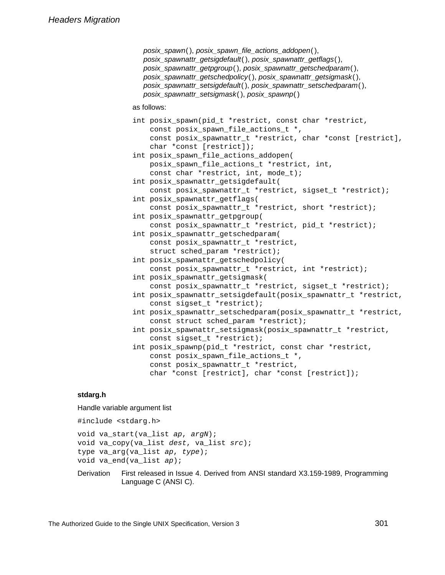```
posix_spawn( ), posix_spawn_file_actions_addopen( ),
  posix_spawnattr_getsigdefault( ), posix_spawnattr_getflags( ),
  posix_spawnattr_getpgroup( ), posix_spawnattr_getschedparam( ),
  posix_spawnattr_getschedpolicy( ), posix_spawnattr_getsigmask( ),
  posix_spawnattr_setsigdefault( ), posix_spawnattr_setschedparam( ),
  posix_spawnattr_setsigmask( ), posix_spawnp( )
as follows:
int posix_spawn(pid_t *restrict, const char *restrict,
    const posix_spawn_file_actions_t *,
    const posix_spawnattr_t *restrict, char *const [restrict],
    char *const [restrict]);
int posix_spawn_file_actions_addopen(
    posix_spawn_file_actions_t *restrict, int,
    const char *restrict, int, mode_t);
int posix_spawnattr_getsigdefault(
    const posix_spawnattr_t *restrict, sigset_t *restrict);
int posix_spawnattr_getflags(
    const posix_spawnattr_t *restrict, short *restrict);
int posix_spawnattr_getpgroup(
    const posix_spawnattr_t *restrict, pid_t *restrict);
int posix_spawnattr_getschedparam(
    const posix_spawnattr_t *restrict,
    struct sched_param *restrict);
int posix_spawnattr_getschedpolicy(
    const posix_spawnattr_t *restrict, int *restrict);
int posix_spawnattr_getsigmask(
    const posix_spawnattr_t *restrict, sigset_t *restrict);
int posix_spawnattr_setsigdefault(posix_spawnattr_t *restrict,
    const sigset_t *restrict);
int posix_spawnattr_setschedparam(posix_spawnattr_t *restrict,
    const struct sched_param *restrict);
int posix_spawnattr_setsigmask(posix_spawnattr_t *restrict,
    const sigset_t *restrict);
int posix_spawnp(pid_t *restrict, const char *restrict,
    const posix_spawn_file_actions_t *,
    const posix_spawnattr_t *restrict,
    char *const [restrict], char *const [restrict]);
```
### **stdarg.h**

Handle variable argument list

#include <stdarg.h> void va\_start(va\_list ap, argN); void va\_copy(va\_list dest, va\_list src); type va\_arg(va\_list ap, type); void va\_end(va\_list ap);

Derivation First released in Issue 4. Derived from ANSI standard X3.159-1989, Programming Language C (ANSI C).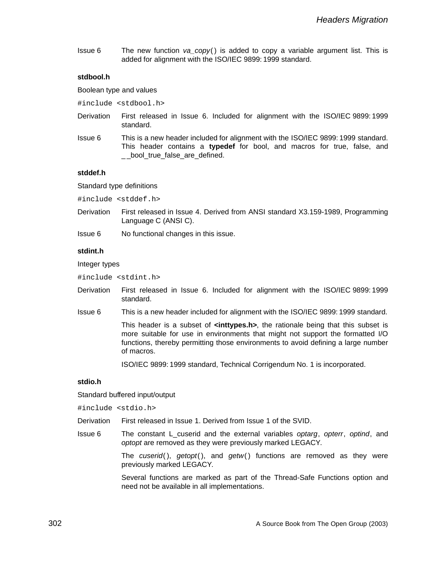Issue 6 The new function  $va\_copy()$  is added to copy a variable argument list. This is added for alignment with the ISO/IEC 9899: 1999 standard.

#### **stdbool.h**

Boolean type and values

#include <stdbool.h>

- Derivation First released in Issue 6. Included for alignment with the ISO/IEC 9899: 1999 standard.
- Issue 6 This is a new header included for alignment with the ISO/IEC 9899: 1999 standard. This header contains a **typedef** for bool, and macros for true, false, and \_ \_bool\_true\_false\_are\_defined.

#### **stddef.h**

Standard type definitions

#include <stddef.h>

- Derivation First released in Issue 4. Derived from ANSI standard X3.159-1989, Programming Language C (ANSI C).
- Issue 6 No functional changes in this issue.

#### **stdint.h**

Integer types

- #include <stdint.h>
- Derivation First released in Issue 6. Included for alignment with the ISO/IEC 9899: 1999 standard.
- Issue 6 This is a new header included for alignment with the ISO/IEC 9899: 1999 standard.

This header is a subset of **<inttypes.h>**, the rationale being that this subset is more suitable for use in environments that might not support the formatted I/O functions, thereby permitting those environments to avoid defining a large number of macros.

ISO/IEC 9899: 1999 standard, Technical Corrigendum No. 1 is incorporated.

#### **stdio.h**

Standard buffered input/output

#include <stdio.h>

- Derivation First released in Issue 1. Derived from Issue 1 of the SVID.
- Issue 6 The constant L\_cuserid and the external variables optarg, opterr, optind, and optopt are removed as they were previously marked LEGACY.

The cuserid(), getopt(), and getw() functions are removed as they were previously marked LEGACY.

Several functions are marked as part of the Thread-Safe Functions option and need not be available in all implementations.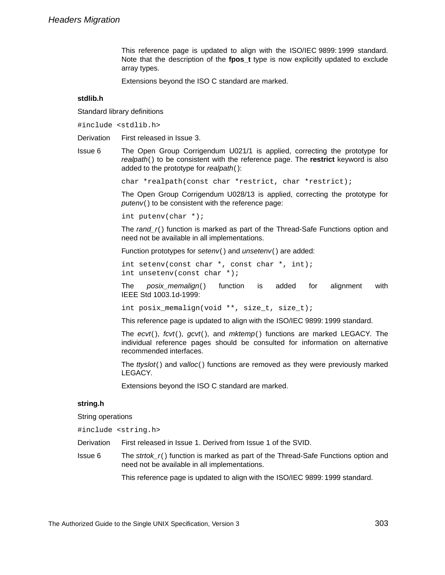This reference page is updated to align with the ISO/IEC 9899: 1999 standard. Note that the description of the **fpos\_t** type is now explicitly updated to exclude array types.

Extensions beyond the ISO C standard are marked.

#### **stdlib.h**

Standard library definitions

#include <stdlib.h>

Derivation First released in Issue 3.

Issue 6 The Open Group Corrigendum U021/1 is applied, correcting the prototype for realpath() to be consistent with the reference page. The restrict keyword is also added to the prototype for realpath( ):

char \*realpath(const char \*restrict, char \*restrict);

The Open Group Corrigendum U028/13 is applied, correcting the prototype for  $putenv()$  to be consistent with the reference page:

int putenv(char \*);

The rand\_r() function is marked as part of the Thread-Safe Functions option and need not be available in all implementations.

Function prototypes for setenv() and unsetenv() are added:

int setenv(const char \*, const char \*, int); int unsetenv(const char \*);

The *posix\_memalign*() function is added for alignment with IEEE Std 1003.1d-1999:

int posix\_memalign(void \*\*, size\_t, size\_t);

This reference page is updated to align with the ISO/IEC 9899: 1999 standard.

The ecvt(), fcvt(), gcvt(), and mktemp() functions are marked LEGACY. The individual reference pages should be consulted for information on alternative recommended interfaces.

The  $ttyslot()$  and valloc() functions are removed as they were previously marked LEGACY.

Extensions beyond the ISO C standard are marked.

### **string.h**

String operations

#include <string.h>

Derivation First released in Issue 1. Derived from Issue 1 of the SVID.

Issue 6 The strtok\_r( $)$  function is marked as part of the Thread-Safe Functions option and need not be available in all implementations.

This reference page is updated to align with the ISO/IEC 9899: 1999 standard.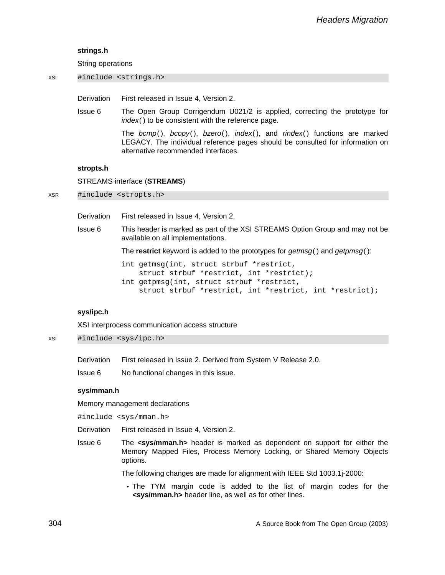#### **strings.h**

String operations

XSI #include <strings.h>

Derivation First released in Issue 4, Version 2.

Issue 6 The Open Group Corrigendum U021/2 is applied, correcting the prototype for index( ) to be consistent with the reference page.

> The  $bcmp()$ ,  $bcopy()$ ,  $bzero()$ ,  $index()$ , and  $rindex()$  functions are marked LEGACY. The individual reference pages should be consulted for information on alternative recommended interfaces.

#### **stropts.h**

STREAMS interface (**STREAMS**)

XSR #include <stropts.h>

Derivation First released in Issue 4, Version 2.

Issue 6 This header is marked as part of the XSI STREAMS Option Group and may not be available on all implementations.

The **restrict** keyword is added to the prototypes for getmsg( ) and getpmsg( ):

int getmsg(int, struct strbuf \*restrict, struct strbuf \*restrict, int \*restrict); int getpmsg(int, struct strbuf \*restrict, struct strbuf \*restrict, int \*restrict, int \*restrict);

### **sys/ipc.h**

XSI interprocess communication access structure

XSI #include <sys/ipc.h>

Derivation First released in Issue 2. Derived from System V Release 2.0.

Issue 6 No functional changes in this issue.

### **sys/mman.h**

Memory management declarations

#include <sys/mman.h>

Derivation First released in Issue 4, Version 2.

Issue 6 The **<sys/mman.h>** header is marked as dependent on support for either the Memory Mapped Files, Process Memory Locking, or Shared Memory Objects options.

The following changes are made for alignment with IEEE Std 1003.1j-2000:

• The TYM margin code is added to the list of margin codes for the **<sys/mman.h>** header line, as well as for other lines.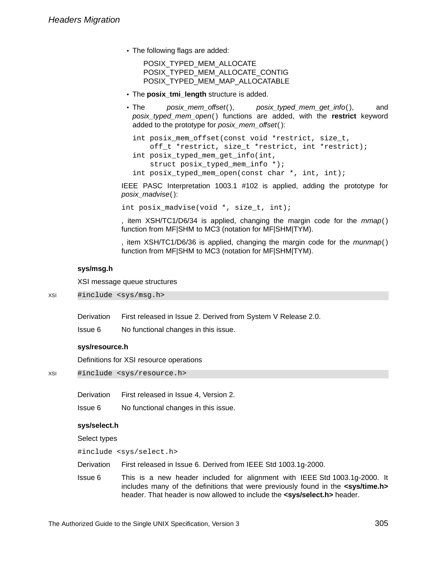• The following flags are added:

POSIX\_TYPED\_MEM\_ALLOCATE POSIX\_TYPED\_MEM\_ALLOCATE\_CONTIG POSIX\_TYPED\_MEM\_MAP\_ALLOCATABLE

- The **posix\_tmi\_length** structure is added.
- The *posix\_mem\_offset*(), *posix\_typed\_mem\_get\_info*(), and posix\_typed\_mem\_open( ) functions are added, with the **restrict** keyword added to the prototype for posix\_mem\_offset( ):

```
int posix_mem_offset(const void *restrict, size_t,
    off_t *restrict, size_t *restrict, int *restrict);
int posix_typed_mem_get_info(int,
    struct posix_typed_mem_info *);
int posix_typed_mem_open(const char *, int, int);
```
IEEE PASC Interpretation 1003.1 #102 is applied, adding the prototype for posix\_madvise( ):

int posix\_madvise(void \*, size\_t, int);

, item XSH/TC1/D6/34 is applied, changing the margin code for the mmap() function from MF|SHM to MC3 (notation for MF|SHM|TYM).

, item XSH/TC1/D6/36 is applied, changing the margin code for the munmap() function from MF|SHM to MC3 (notation for MF|SHM|TYM).

### **sys/msg.h**

XSI message queue structures

```
XSI #include <sys/msg.h>
```
Derivation First released in Issue 2. Derived from System V Release 2.0.

Issue 6 No functional changes in this issue.

#### **sys/resource.h**

Definitions for XSI resource operations

XSI #include <sys/resource.h>

Derivation First released in Issue 4, Version 2.

Issue 6 No functional changes in this issue.

#### **sys/select.h**

Select types

#include <sys/select.h>

Derivation First released in Issue 6. Derived from IEEE Std 1003.1g-2000.

Issue 6 This is a new header included for alignment with IEEE Std 1003.1g-2000. It includes many of the definitions that were previously found in the **<sys/time.h>** header. That header is now allowed to include the **<sys/select.h>** header.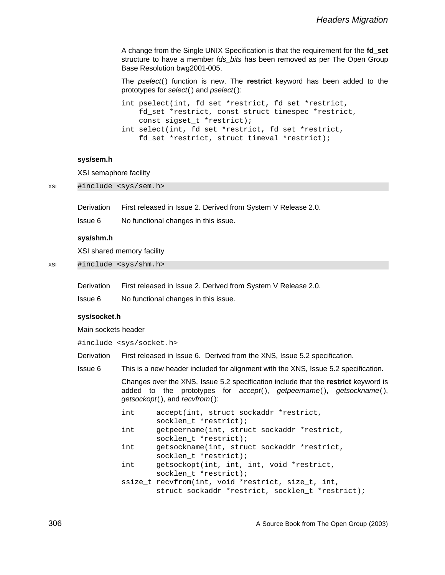A change from the Single UNIX Specification is that the requirement for the **fd\_set** structure to have a member fds\_bits has been removed as per The Open Group Base Resolution bwg2001-005.

The pselect( ) function is new. The **restrict** keyword has been added to the prototypes for select( ) and pselect( ):

int pselect(int, fd\_set \*restrict, fd\_set \*restrict, fd\_set \*restrict, const struct timespec \*restrict, const sigset\_t \*restrict); int select(int, fd\_set \*restrict, fd\_set \*restrict, fd\_set \*restrict, struct timeval \*restrict);

## **sys/sem.h**

XSI semaphore facility

XSI #include <sys/sem.h>

Derivation First released in Issue 2. Derived from System V Release 2.0.

Issue 6 No functional changes in this issue.

## **sys/shm.h**

XSI shared memory facility

XSI #include <sys/shm.h>

Derivation First released in Issue 2. Derived from System V Release 2.0.

Issue 6 No functional changes in this issue.

#### **sys/socket.h**

Main sockets header

#include <sys/socket.h>

Derivation First released in Issue 6. Derived from the XNS, Issue 5.2 specification.

Issue 6 This is a new header included for alignment with the XNS, Issue 5.2 specification.

Changes over the XNS, Issue 5.2 specification include that the **restrict** keyword is added to the prototypes for accept(), getpeername(), getsockname(), getsockopt( ), and recvfrom( ):

| int | accept(int, struct sockaddr *restrict,             |
|-----|----------------------------------------------------|
|     | socklen_t *restrict);                              |
| int | getpeername(int, struct sockaddr *restrict,        |
|     | socklen_t *restrict);                              |
| int | getsockname(int, struct sockaddr *restrict,        |
|     | socklen t *restrict);                              |
| int | getsockopt(int, int, int, void *restrict,          |
|     | socklen t *restrict);                              |
|     | ssize_t recvfrom(int, void *restrict, size_t, int, |
|     | struct sockaddr *restrict, socklen_t *restrict);   |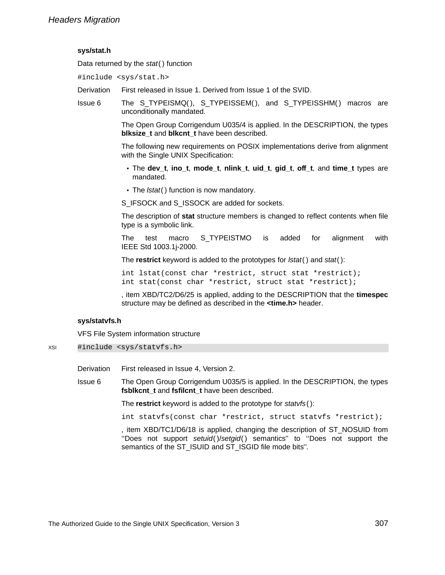#### **sys/stat.h**

Data returned by the stat() function

#include <sys/stat.h>

Derivation First released in Issue 1. Derived from Issue 1 of the SVID.

Issue 6 The S\_TYPEISMQ(), S\_TYPEISSEM(), and S\_TYPEISSHM() macros are unconditionally mandated.

> The Open Group Corrigendum U035/4 is applied. In the DESCRIPTION, the types **blksize\_t** and **blkcnt\_t** have been described.

> The following new requirements on POSIX implementations derive from alignment with the Single UNIX Specification:

- The **dev\_t**, **ino\_t**, **mode\_t**, **nlink\_t**, **uid\_t**, **gid\_t**, **off\_t**, and **time\_t** types are mandated.
- The *Istat*() function is now mandatory.

S\_IFSOCK and S\_ISSOCK are added for sockets.

The description of **stat** structure members is changed to reflect contents when file type is a symbolic link.

The test macro S\_TYPEISTMO is added for alignment with IEEE Std 1003.1j-2000.

The **restrict** keyword is added to the prototypes for lstat( ) and stat( ):

int lstat(const char \*restrict, struct stat \*restrict); int stat(const char \*restrict, struct stat \*restrict);

, item XBD/TC2/D6/25 is applied, adding to the DESCRIPTION that the **timespec** structure may be defined as described in the **<time.h>** header.

## **sys/statvfs.h**

VFS File System information structure

#### XSI #include <sys/statvfs.h>

Derivation First released in Issue 4, Version 2.

Issue 6 The Open Group Corrigendum U035/5 is applied. In the DESCRIPTION, the types **fsblkcnt\_t** and **fsfilcnt\_t** have been described.

The **restrict** keyword is added to the prototype for statvfs( ):

int statvfs(const char \*restrict, struct statvfs \*restrict);

, item XBD/TC1/D6/18 is applied, changing the description of ST\_NOSUID from ''Does not support setuid( )/setgid( ) semantics'' to ''Does not support the semantics of the ST\_ISUID and ST\_ISGID file mode bits''.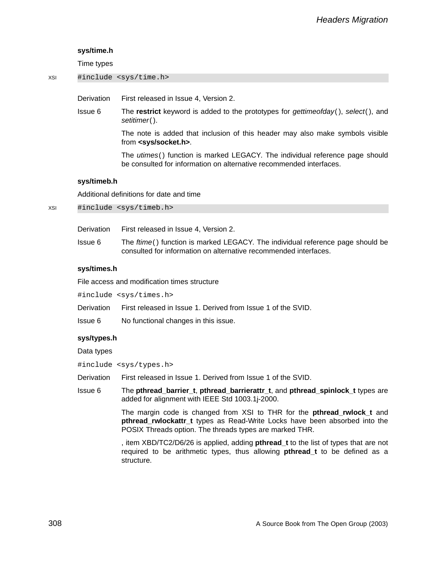#### **sys/time.h**

Time types

XSI #include <sys/time.h>

Derivation First released in Issue 4, Version 2.

Issue 6 The **restrict** keyword is added to the prototypes for *gettimeofday()*, select(), and setitimer( ).

> The note is added that inclusion of this header may also make symbols visible from **<sys/socket.h>**.

The utimes() function is marked LEGACY. The individual reference page should be consulted for information on alternative recommended interfaces.

#### **sys/timeb.h**

Additional definitions for date and time

XSI #include <sys/timeb.h>

Derivation First released in Issue 4, Version 2.

Issue 6 The ftime() function is marked LEGACY. The individual reference page should be consulted for information on alternative recommended interfaces.

#### **sys/times.h**

File access and modification times structure

#include <sys/times.h>

- Derivation First released in Issue 1. Derived from Issue 1 of the SVID.
- Issue 6 No functional changes in this issue.

#### **sys/types.h**

Data types

#include <sys/types.h>

- Derivation First released in Issue 1. Derived from Issue 1 of the SVID.
- Issue 6 The **pthread\_barrier\_t**, **pthread\_barrierattr\_t**, and **pthread\_spinlock\_t** types are added for alignment with IEEE Std 1003.1j-2000.

The margin code is changed from XSI to THR for the **pthread\_rwlock\_t** and **pthread\_rwlockattr\_t** types as Read-Write Locks have been absorbed into the POSIX Threads option. The threads types are marked THR.

, item XBD/TC2/D6/26 is applied, adding **pthread\_t** to the list of types that are not required to be arithmetic types, thus allowing **pthread\_t** to be defined as a structure.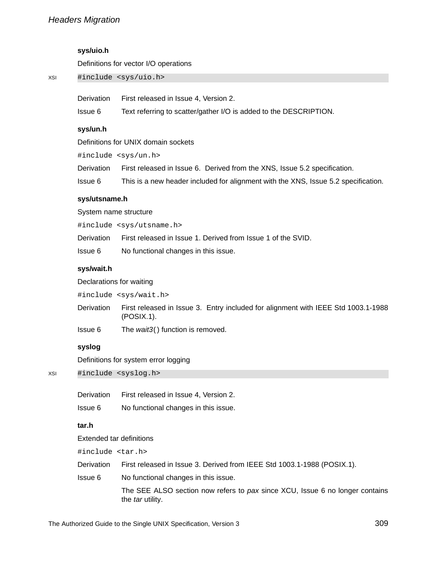#### **sys/uio.h**

Definitions for vector I/O operations

XSI #include <sys/uio.h>

Derivation First released in Issue 4, Version 2.

Issue 6 Text referring to scatter/gather I/O is added to the DESCRIPTION.

#### **sys/un.h**

Definitions for UNIX domain sockets

#include <sys/un.h>

Derivation First released in Issue 6. Derived from the XNS, Issue 5.2 specification.

Issue 6 This is a new header included for alignment with the XNS, Issue 5.2 specification.

#### **sys/utsname.h**

System name structure

#include <sys/utsname.h>

Derivation First released in Issue 1. Derived from Issue 1 of the SVID.

Issue 6 No functional changes in this issue.

#### **sys/wait.h**

Declarations for waiting

#include <sys/wait.h>

- Derivation First released in Issue 3. Entry included for alignment with IEEE Std 1003.1-1988 (POSIX.1).
- Issue  $6$  The *wait3()* function is removed.

## **syslog**

Definitions for system error logging

XSI #include <syslog.h>

Derivation First released in Issue 4, Version 2.

Issue 6 No functional changes in this issue.

### **tar.h**

Extended tar definitions

#include <tar.h>

- Derivation First released in Issue 3. Derived from IEEE Std 1003.1-1988 (POSIX.1).
- Issue 6 No functional changes in this issue.

The SEE ALSO section now refers to pax since XCU, Issue 6 no longer contains the *tar* utility.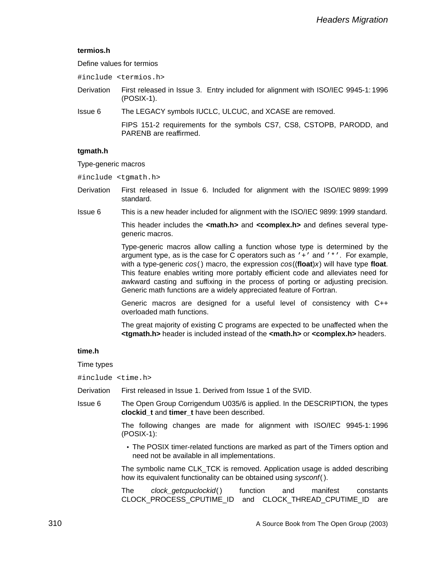## **termios.h**

Define values for termios

|            | #include <termios.h></termios.h>                                                                 |  |  |
|------------|--------------------------------------------------------------------------------------------------|--|--|
| Derivation | First released in Issue 3. Entry included for alignment with ISO/IEC 9945-1:1996<br>$(POSIX-1).$ |  |  |
| Issue 6    | The LEGACY symbols IUCLC, ULCUC, and XCASE are removed.                                          |  |  |
|            | FIPS 151-2 requirements for the symbols CS7, CS8, CSTOPB, PARODD, and                            |  |  |

### **tgmath.h**

Type-generic macros

#include <tgmath.h>

PARENB are reaffirmed.

- Derivation First released in Issue 6. Included for alignment with the ISO/IEC 9899: 1999 standard.
- Issue 6 This is a new header included for alignment with the ISO/IEC 9899: 1999 standard.

This header includes the **<math.h>** and **<complex.h>** and defines several typegeneric macros.

Type-generic macros allow calling a function whose type is determined by the argument type, as is the case for C operators such as  $' +'$  and  $' *'$ . For example, with a type-generic cos( ) macro, the expression cos((**float**)x) will have type **float**. This feature enables writing more portably efficient code and alleviates need for awkward casting and suffixing in the process of porting or adjusting precision. Generic math functions are a widely appreciated feature of Fortran.

Generic macros are designed for a useful level of consistency with C++ overloaded math functions.

The great majority of existing C programs are expected to be unaffected when the **<tgmath.h>** header is included instead of the **<math.h>** or **<complex.h>** headers.

## **time.h**

Time types

- #include <time.h>
- Derivation First released in Issue 1. Derived from Issue 1 of the SVID.
- Issue 6 The Open Group Corrigendum U035/6 is applied. In the DESCRIPTION, the types **clockid\_t** and **timer\_t** have been described.

The following changes are made for alignment with ISO/IEC 9945-1: 1996 (POSIX-1):

• The POSIX timer-related functions are marked as part of the Timers option and need not be available in all implementations.

The symbolic name CLK\_TCK is removed. Application usage is added describing how its equivalent functionality can be obtained using sysconf().

The *clock\_getcpuclockid*() function and manifest constants CLOCK\_PROCESS\_CPUTIME\_ID and CLOCK\_THREAD\_CPUTIME\_ID are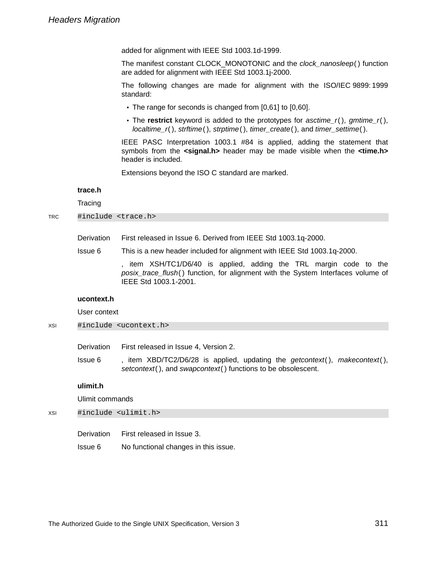added for alignment with IEEE Std 1003.1d-1999.

The manifest constant CLOCK\_MONOTONIC and the *clock\_nanosleep*() function are added for alignment with IEEE Std 1003.1j-2000.

The following changes are made for alignment with the ISO/IEC 9899: 1999 standard:

- The range for seconds is changed from [0,61] to [0,60].
- The **restrict** keyword is added to the prototypes for asctime\_r(), gmtime\_r(), localtime\_r( ), strftime( ), strptime( ), timer\_create( ), and timer\_settime( ).

IEEE PASC Interpretation 1003.1 #84 is applied, adding the statement that symbols from the **<signal.h>** header may be made visible when the **<time.h>** header is included.

Extensions beyond the ISO C standard are marked.

#### **trace.h**

**Tracing** 

TRC #include <trace.h>

Derivation First released in Issue 6. Derived from IEEE Std 1003.1q-2000.

Issue 6 This is a new header included for alignment with IEEE Std 1003.1q-2000.

, item XSH/TC1/D6/40 is applied, adding the TRL margin code to the posix\_trace\_flush( ) function, for alignment with the System Interfaces volume of IEEE Std 1003.1-2001.

### **ucontext.h**

User context

XSI #include <ucontext.h>

Derivation First released in Issue 4, Version 2.

Issue 6 , item XBD/TC2/D6/28 is applied, updating the getcontext(), makecontext(), setcontext(), and swapcontext() functions to be obsolescent.

#### **ulimit.h**

Ulimit commands

XSI #include <ulimit.h>

Derivation First released in Issue 3.

Issue 6 No functional changes in this issue.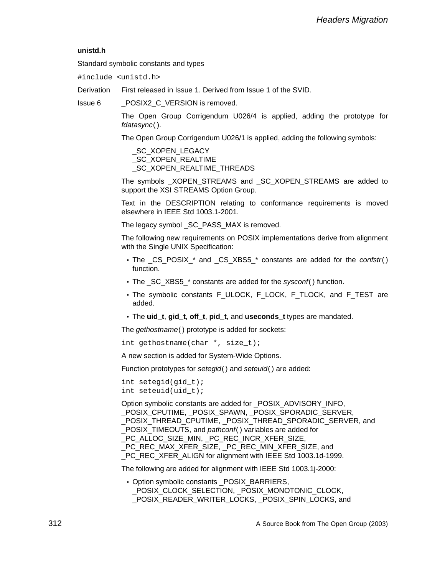### **unistd.h**

Standard symbolic constants and types

#include <unistd.h>

Derivation First released in Issue 1. Derived from Issue 1 of the SVID.

Issue 6 \_POSIX2\_C\_VERSION is removed.

The Open Group Corrigendum U026/4 is applied, adding the prototype for fdatasync( ).

The Open Group Corrigendum U026/1 is applied, adding the following symbols:

\_SC\_XOPEN\_LEGACY \_SC\_XOPEN\_REALTIME \_SC\_XOPEN\_REALTIME\_THREADS

The symbols \_XOPEN\_STREAMS and \_SC\_XOPEN\_STREAMS are added to support the XSI STREAMS Option Group.

Text in the DESCRIPTION relating to conformance requirements is moved elsewhere in IEEE Std 1003.1-2001.

The legacy symbol \_SC\_PASS\_MAX is removed.

The following new requirements on POSIX implementations derive from alignment with the Single UNIX Specification:

- The \_CS\_POSIX\_\* and \_CS\_XBS5\_\* constants are added for the confstr() function.
- The SC\_XBS5\_\* constants are added for the sysconf() function.
- The symbolic constants F\_ULOCK, F\_LOCK, F\_TLOCK, and F\_TEST are added.
- The **uid\_t**, **gid\_t**, **off\_t**, **pid\_t**, and **useconds\_t** types are mandated.

The gethostname( ) prototype is added for sockets:

int gethostname(char \*, size\_t);

A new section is added for System-Wide Options.

Function prototypes for setegid() and seteuid() are added:

```
int setegid(gid_t);
int seteuid(uid_t);
```
Option symbolic constants are added for \_POSIX\_ADVISORY\_INFO, \_POSIX\_CPUTIME, \_POSIX\_SPAWN, \_POSIX\_SPORADIC\_SERVER, \_POSIX\_THREAD\_CPUTIME, \_POSIX\_THREAD\_SPORADIC\_SERVER, and \_POSIX\_TIMEOUTS, and pathconf( ) variables are added for \_PC\_ALLOC\_SIZE\_MIN, \_PC\_REC\_INCR\_XFER\_SIZE, \_PC\_REC\_MAX\_XFER\_SIZE, \_PC\_REC\_MIN\_XFER\_SIZE, and \_PC\_REC\_XFER\_ALIGN for alignment with IEEE Std 1003.1d-1999.

The following are added for alignment with IEEE Std 1003.1j-2000:

• Option symbolic constants \_POSIX\_BARRIERS, \_POSIX\_CLOCK\_SELECTION, \_POSIX\_MONOTONIC\_CLOCK, \_POSIX\_READER\_WRITER\_LOCKS, \_POSIX\_SPIN\_LOCKS, and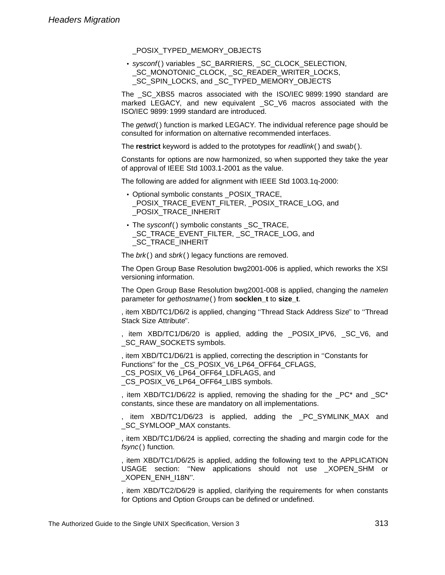\_POSIX\_TYPED\_MEMORY\_OBJECTS

• sysconf( ) variables \_SC\_BARRIERS, \_SC\_CLOCK\_SELECTION, \_SC\_MONOTONIC\_CLOCK, \_SC\_READER\_WRITER\_LOCKS, \_SC\_SPIN\_LOCKS, and \_SC\_TYPED\_MEMORY\_OBJECTS

The \_SC\_XBS5 macros associated with the ISO/IEC 9899: 1990 standard are marked LEGACY, and new equivalent \_SC\_V6 macros associated with the ISO/IEC 9899: 1999 standard are introduced.

The getwd() function is marked LEGACY. The individual reference page should be consulted for information on alternative recommended interfaces.

The **restrict** keyword is added to the prototypes for readlink( ) and swab( ).

Constants for options are now harmonized, so when supported they take the year of approval of IEEE Std 1003.1-2001 as the value.

The following are added for alignment with IEEE Std 1003.1q-2000:

- Optional symbolic constants \_POSIX\_TRACE, \_POSIX\_TRACE\_EVENT\_FILTER, \_POSIX\_TRACE\_LOG, and \_POSIX\_TRACE\_INHERIT
- The sysconf() symbolic constants \_SC\_TRACE, \_SC\_TRACE\_EVENT\_FILTER, \_SC\_TRACE\_LOG, and \_SC\_TRACE\_INHERIT

The brk() and sbrk() legacy functions are removed.

The Open Group Base Resolution bwg2001-006 is applied, which reworks the XSI versioning information.

The Open Group Base Resolution bwg2001-008 is applied, changing the namelen parameter for gethostname( ) from **socklen\_t** to **size\_t**.

, item XBD/TC1/D6/2 is applied, changing ''Thread Stack Address Size'' to ''Thread Stack Size Attribute''.

, item XBD/TC1/D6/20 is applied, adding the \_POSIX\_IPV6, \_SC\_V6, and \_SC\_RAW\_SOCKETS symbols.

, item XBD/TC1/D6/21 is applied, correcting the description in ''Constants for Functions'' for the \_CS\_POSIX\_V6\_LP64\_OFF64\_CFLAGS,

\_CS\_POSIX\_V6\_LP64\_OFF64\_LDFLAGS, and

\_CS\_POSIX\_V6\_LP64\_OFF64\_LIBS symbols.

, item XBD/TC1/D6/22 is applied, removing the shading for the \_PC\* and \_SC\* constants, since these are mandatory on all implementations.

item XBD/TC1/D6/23 is applied, adding the \_PC\_SYMLINK\_MAX and \_SC\_SYMLOOP\_MAX constants.

, item XBD/TC1/D6/24 is applied, correcting the shading and margin code for the fsync( ) function.

, item XBD/TC1/D6/25 is applied, adding the following text to the APPLICATION USAGE section: ''New applications should not use \_XOPEN\_SHM or \_XOPEN\_ENH\_I18N''.

, item XBD/TC2/D6/29 is applied, clarifying the requirements for when constants for Options and Option Groups can be defined or undefined.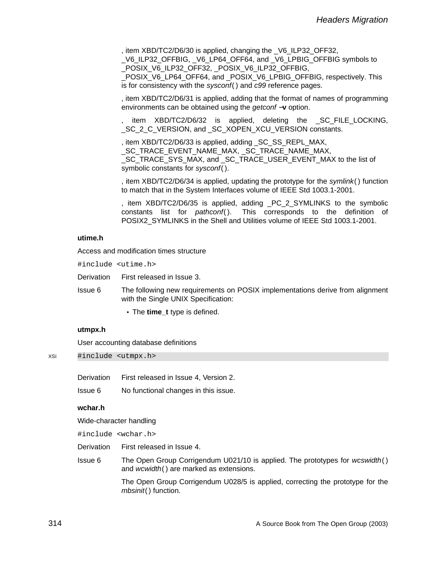, item XBD/TC2/D6/30 is applied, changing the \_V6\_ILP32\_OFF32,

\_V6\_ILP32\_OFFBIG, \_V6\_LP64\_OFF64, and \_V6\_LPBIG\_OFFBIG symbols to \_POSIX\_V6\_ILP32\_OFF32, \_POSIX\_V6\_ILP32\_OFFBIG,

\_POSIX\_V6\_LP64\_OFF64, and \_POSIX\_V6\_LPBIG\_OFFBIG, respectively. This is for consistency with the sysconf( ) and c99 reference pages.

, item XBD/TC2/D6/31 is applied, adding that the format of names of programming environments can be obtained using the getconf −**v** option.

, item XBD/TC2/D6/32 is applied, deleting the \_SC\_FILE\_LOCKING, \_SC\_2\_C\_VERSION, and \_SC\_XOPEN\_XCU\_VERSION constants.

, item XBD/TC2/D6/33 is applied, adding \_SC\_SS\_REPL\_MAX,

\_SC\_TRACE\_EVENT\_NAME\_MAX, \_SC\_TRACE\_NAME\_MAX,

\_SC\_TRACE\_SYS\_MAX, and \_SC\_TRACE\_USER\_EVENT\_MAX to the list of symbolic constants for sysconf( ).

, item XBD/TC2/D6/34 is applied, updating the prototype for the *symlink*() function to match that in the System Interfaces volume of IEEE Std 1003.1-2001.

, item XBD/TC2/D6/35 is applied, adding \_PC\_2\_SYMLINKS to the symbolic constants list for *pathconf*(). This corresponds to the definition of POSIX2\_SYMLINKS in the Shell and Utilities volume of IEEE Std 1003.1-2001.

#### **utime.h**

Access and modification times structure

#include <utime.h>

Derivation First released in Issue 3.

Issue 6 The following new requirements on POSIX implementations derive from alignment with the Single UNIX Specification:

• The **time\_t** type is defined.

#### **utmpx.h**

User accounting database definitions

XSI #include <utmpx.h>

Derivation First released in Issue 4, Version 2.

Issue 6 No functional changes in this issue.

#### **wchar.h**

Wide-character handling

#include <wchar.h>

Derivation First released in Issue 4.

Issue 6 The Open Group Corrigendum U021/10 is applied. The prototypes for wcswidth() and wcwidth( ) are marked as extensions.

> The Open Group Corrigendum U028/5 is applied, correcting the prototype for the mbsinit( ) function.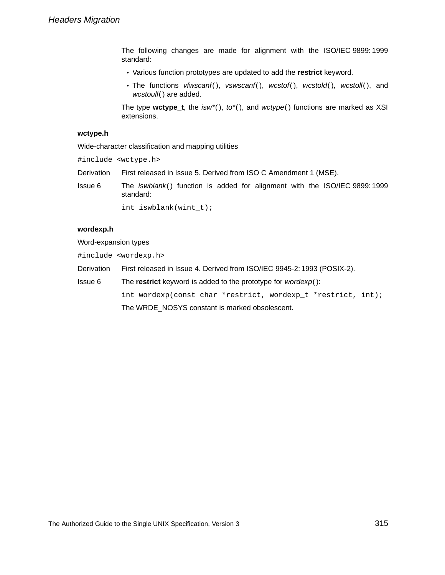The following changes are made for alignment with the ISO/IEC 9899: 1999 standard:

- Various function prototypes are updated to add the **restrict** keyword.
- The functions  $vfwscant()$ , vswscanf(), wcstof(), wcstold(), wcstoll(), and wcstoull( ) are added.

The type **wctype\_t**, the isw\*( ), to\*( ), and wctype( ) functions are marked as XSI extensions.

#### **wctype.h**

Wide-character classification and mapping utilities

#include <wctype.h>

Derivation First released in Issue 5. Derived from ISO C Amendment 1 (MSE).

Issue 6 The *iswblank*() function is added for alignment with the ISO/IEC 9899: 1999 standard:

int iswblank(wint\_t);

#### **wordexp.h**

Word-expansion types

#include <wordexp.h>

Derivation First released in Issue 4. Derived from ISO/IEC 9945-2: 1993 (POSIX-2).

Issue 6 The **restrict** keyword is added to the prototype for wordexp( ): int wordexp(const char \*restrict, wordexp\_t \*restrict, int); The WRDE\_NOSYS constant is marked obsolescent.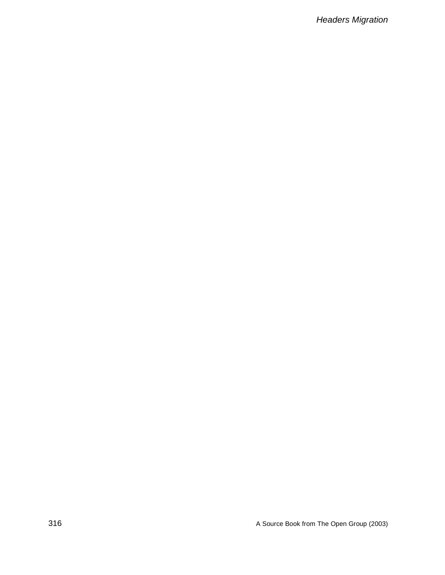Headers Migration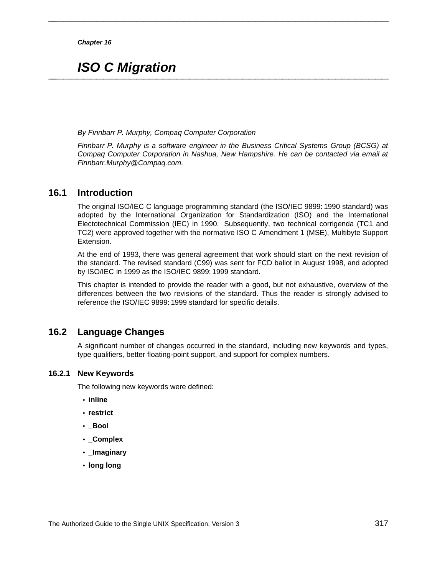**Chapter 16**

# **ISO C Migration \_\_\_\_\_\_\_\_\_\_\_\_\_\_\_\_\_\_\_\_\_\_\_\_\_\_\_\_\_\_\_\_\_\_\_\_\_\_\_\_\_\_\_\_\_\_\_\_\_\_\_\_**

By Finnbarr P. Murphy, Compaq Computer Corporation

Finnbarr P. Murphy is a software engineer in the Business Critical Systems Group (BCSG) at Compaq Computer Corporation in Nashua, New Hampshire. He can be contacted via email at Finnbarr.Murphy@Compaq.com.

**\_\_\_\_\_\_\_\_\_\_\_\_\_\_\_\_\_\_\_\_\_\_\_\_\_\_\_\_\_\_\_\_\_\_\_\_\_\_\_\_\_\_\_\_\_\_\_\_\_\_\_\_**

# **16.1 Introduction**

The original ISO/IEC C language programming standard (the ISO/IEC 9899: 1990 standard) was adopted by the International Organization for Standardization (ISO) and the International Electotechnical Commission (IEC) in 1990. Subsequently, two technical corrigenda (TC1 and TC2) were approved together with the normative ISO C Amendment 1 (MSE), Multibyte Support Extension.

At the end of 1993, there was general agreement that work should start on the next revision of the standard. The revised standard (C99) was sent for FCD ballot in August 1998, and adopted by ISO/IEC in 1999 as the ISO/IEC 9899: 1999 standard.

This chapter is intended to provide the reader with a good, but not exhaustive, overview of the differences between the two revisions of the standard. Thus the reader is strongly advised to reference the ISO/IEC 9899: 1999 standard for specific details.

# **16.2 Language Changes**

A significant number of changes occurred in the standard, including new keywords and types, type qualifiers, better floating-point support, and support for complex numbers.

## **16.2.1 New Keywords**

The following new keywords were defined:

- **inline**
- **restrict**
- **\_Bool**
- **\_Complex**
- **\_Imaginary**
- **long long**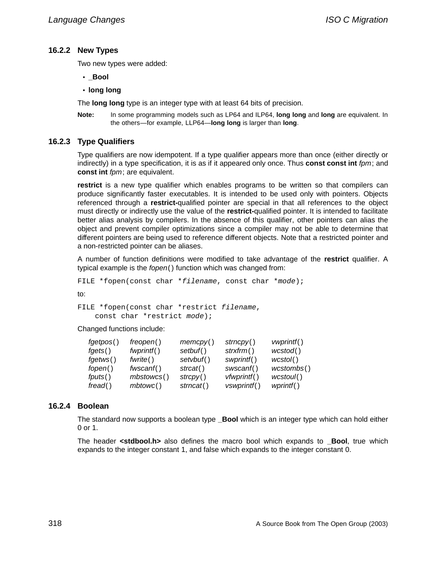## **16.2.2 New Types**

Two new types were added:

- **\_Bool**
- **long long**

The **long long** type is an integer type with at least 64 bits of precision.

**Note:** In some programming models such as LP64 and ILP64, **long long** and **long** are equivalent. In the others—for example, LLP64—**long long** is larger than **long**.

## **16.2.3 Type Qualifiers**

Type qualifiers are now idempotent. If a type qualifier appears more than once (either directly or indirectly) in a type specification, it is as if it appeared only once. Thus **const const int** fpm; and **const int** fpm; are equivalent.

**restrict** is a new type qualifier which enables programs to be written so that compilers can produce significantly faster executables. It is intended to be used only with pointers. Objects referenced through a **restrict-**qualified pointer are special in that all references to the object must directly or indirectly use the value of the **restrict-**qualified pointer. It is intended to facilitate better alias analysis by compilers. In the absence of this qualifier, other pointers can alias the object and prevent compiler optimizations since a compiler may not be able to determine that different pointers are being used to reference different objects. Note that a restricted pointer and a non-restricted pointer can be aliases.

A number of function definitions were modified to take advantage of the **restrict** qualifier. A typical example is the fopen( ) function which was changed from:

FILE \*fopen(const char \*filename, const char \*mode); to:

FILE \*fopen(const char \*restrict filename, const char \*restrict mode);

Changed functions include:

| fgetpos() | freen()           | memory()  | strnopy()   | <i>vwprintf()</i> |
|-----------|-------------------|-----------|-------------|-------------------|
| fgets()   | fwprint()         | setbuf()  | strxfrm()   | wcstod()          |
| fgetws()  | fwrite()          | setvbuf() | swprintf()  | wcstol()          |
| fopen()   | fwscanf()         | strcat()  | swscanf()   | wcstombs()        |
| fputs()   | <i>mbstowcs()</i> | strcpy()  | vfwprint()  | wcstoul()         |
| freq()    | mbtowc()          | strncat() | vswprintf() | wprintf()         |

## **16.2.4 Boolean**

The standard now supports a boolean type **\_Bool** which is an integer type which can hold either 0 or 1.

The header **<stdbool.h>** also defines the macro bool which expands to **\_Bool**, true which expands to the integer constant 1, and false which expands to the integer constant 0.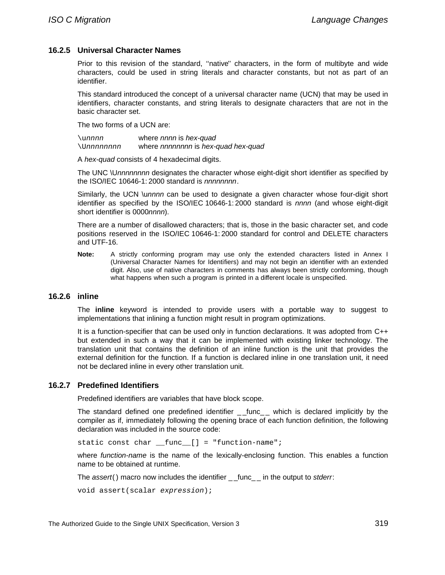## **16.2.5 Universal Character Names**

Prior to this revision of the standard, ''native'' characters, in the form of multibyte and wide characters, could be used in string literals and character constants, but not as part of an identifier.

This standard introduced the concept of a universal character name (UCN) that may be used in identifiers, character constants, and string literals to designate characters that are not in the basic character set.

The two forms of a UCN are:

\unnnn where nnnn is hex-quad \Unnnnnnnn where nnnnnnnn is hex-quad hex-quad

A hex-quad consists of 4 hexadecimal digits.

The UNC \Unnnnnnnn designates the character whose eight-digit short identifier as specified by the ISO/IEC 10646-1: 2000 standard is nnnnnnnn.

Similarly, the UCN \unnnn can be used to designate a given character whose four-digit short identifier as specified by the ISO/IEC 10646-1: 2000 standard is nnnn (and whose eight-digit short identifier is 0000nnnn).

There are a number of disallowed characters; that is, those in the basic character set, and code positions reserved in the ISO/IEC 10646-1: 2000 standard for control and DELETE characters and UTF-16.

**Note:** A strictly conforming program may use only the extended characters listed in Annex I (Universal Character Names for Identifiers) and may not begin an identifier with an extended digit. Also, use of native characters in comments has always been strictly conforming, though what happens when such a program is printed in a different locale is unspecified.

## **16.2.6 inline**

The **inline** keyword is intended to provide users with a portable way to suggest to implementations that inlining a function might result in program optimizations.

It is a function-specifier that can be used only in function declarations. It was adopted from C++ but extended in such a way that it can be implemented with existing linker technology. The translation unit that contains the definition of an inline function is the unit that provides the external definition for the function. If a function is declared inline in one translation unit, it need not be declared inline in every other translation unit.

## **16.2.7 Predefined Identifiers**

Predefined identifiers are variables that have block scope.

The standard defined one predefined identifier func which is declared implicitly by the compiler as if, immediately following the opening brace of each function definition, the following declaration was included in the source code:

static const char  $_$ func $_$  [] = "function-name";

where *function-name* is the name of the lexically-enclosing function. This enables a function name to be obtained at runtime.

The assert() macro now includes the identifier \_\_func\_\_ in the output to stderr:

void assert(scalar expression);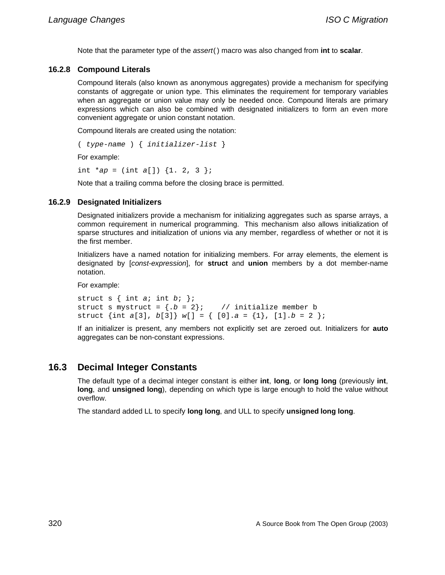Note that the parameter type of the assert( ) macro was also changed from **int** to **scalar**.

## **16.2.8 Compound Literals**

Compound literals (also known as anonymous aggregates) provide a mechanism for specifying constants of aggregate or union type. This eliminates the requirement for temporary variables when an aggregate or union value may only be needed once. Compound literals are primary expressions which can also be combined with designated initializers to form an even more convenient aggregate or union constant notation.

Compound literals are created using the notation:

( type-name ) { initializer-list }

For example:

int \*ap = (int a[])  $\{1, 2, 3\}$ ;

Note that a trailing comma before the closing brace is permitted.

## **16.2.9 Designated Initializers**

Designated initializers provide a mechanism for initializing aggregates such as sparse arrays, a common requirement in numerical programming. This mechanism also allows initialization of sparse structures and initialization of unions via any member, regardless of whether or not it is the first member.

Initializers have a named notation for initializing members. For array elements, the element is designated by [const-expression], for **struct** and **union** members by a dot member-name notation.

For example:

```
struct s \{ int a; int b; \};
struct s mystruct = \{ .b = 2 \}; // initialize member b
struct {int a[3], b[3]} w[ ] = { [0].a = {1}, [1].b = 2 };
```
If an initializer is present, any members not explicitly set are zeroed out. Initializers for **auto** aggregates can be non-constant expressions.

# **16.3 Decimal Integer Constants**

The default type of a decimal integer constant is either **int**, **long**, or **long long** (previously **int**, **long**, and **unsigned long**), depending on which type is large enough to hold the value without overflow.

The standard added LL to specify **long long**, and ULL to specify **unsigned long long**.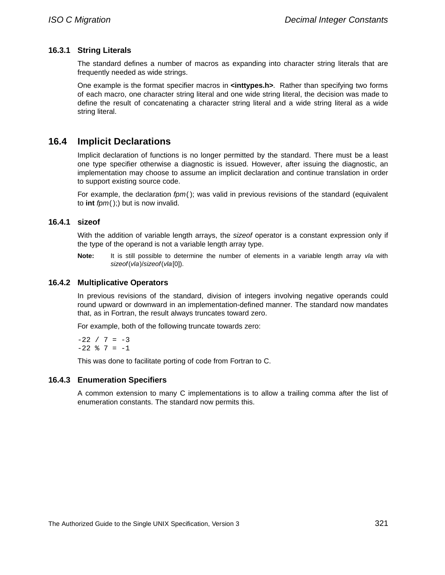## **16.3.1 String Literals**

The standard defines a number of macros as expanding into character string literals that are frequently needed as wide strings.

One example is the format specifier macros in **<inttypes.h>**. Rather than specifying two forms of each macro, one character string literal and one wide string literal, the decision was made to define the result of concatenating a character string literal and a wide string literal as a wide string literal.

# **16.4 Implicit Declarations**

Implicit declaration of functions is no longer permitted by the standard. There must be a least one type specifier otherwise a diagnostic is issued. However, after issuing the diagnostic, an implementation may choose to assume an implicit declaration and continue translation in order to support existing source code.

For example, the declaration  $fpm()$ ; was valid in previous revisions of the standard (equivalent to **int** fpm( );) but is now invalid.

## **16.4.1 sizeof**

With the addition of variable length arrays, the sizeof operator is a constant expression only if the type of the operand is not a variable length array type.

Note: It is still possible to determine the number of elements in a variable length array vla with sizeof(vla)/sizeof(vla[0]).

## **16.4.2 Multiplicative Operators**

In previous revisions of the standard, division of integers involving negative operands could round upward or downward in an implementation-defined manner. The standard now mandates that, as in Fortran, the result always truncates toward zero.

For example, both of the following truncate towards zero:

```
-22 / 7 = -3-22 % 7 = -1
```
This was done to facilitate porting of code from Fortran to C.

### **16.4.3 Enumeration Specifiers**

A common extension to many C implementations is to allow a trailing comma after the list of enumeration constants. The standard now permits this.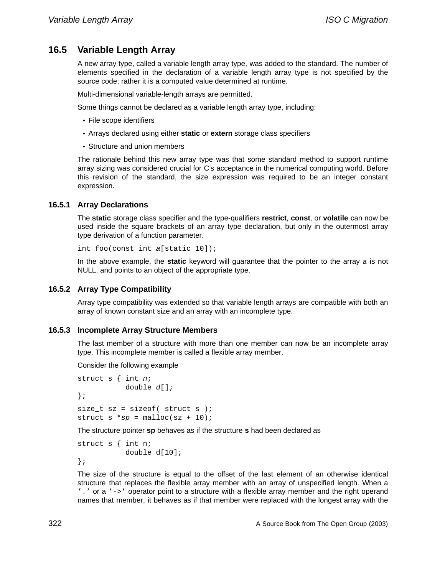# **16.5 Variable Length Array**

A new array type, called a variable length array type, was added to the standard. The number of elements specified in the declaration of a variable length array type is not specified by the source code; rather it is a computed value determined at runtime.

Multi-dimensional variable-length arrays are permitted.

Some things cannot be declared as a variable length array type, including:

- File scope identifiers
- Arrays declared using either **static** or **extern** storage class specifiers
- Structure and union members

The rationale behind this new array type was that some standard method to support runtime array sizing was considered crucial for C's acceptance in the numerical computing world. Before this revision of the standard, the size expression was required to be an integer constant expression.

### **16.5.1 Array Declarations**

The **static** storage class specifier and the type-qualifiers **restrict**, **const**, or **volatile** can now be used inside the square brackets of an array type declaration, but only in the outermost array type derivation of a function parameter.

int foo(const int a[static 10]);

In the above example, the **static** keyword will guarantee that the pointer to the array a is not NULL, and points to an object of the appropriate type.

## **16.5.2 Array Type Compatibility**

Array type compatibility was extended so that variable length arrays are compatible with both an array of known constant size and an array with an incomplete type.

### **16.5.3 Incomplete Array Structure Members**

The last member of a structure with more than one member can now be an incomplete array type. This incomplete member is called a flexible array member.

Consider the following example

```
struct s { int n;
           double d[];
};
size_t sz = sizeof( struct s );
struct s * sp = malloc(sz + 10);
```
The structure pointer **sp** behaves as if the structure **s** had been declared as

struct s { int n; double d[10]; };

The size of the structure is equal to the offset of the last element of an otherwise identical structure that replaces the flexible array member with an array of unspecified length. When a '.' or a '->' operator point to a structure with a flexible array member and the right operand names that member, it behaves as if that member were replaced with the longest array with the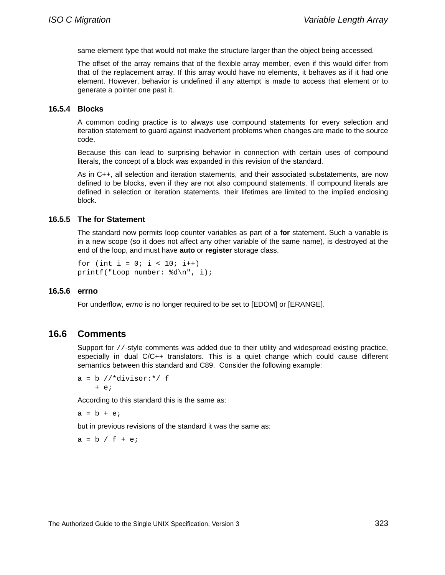same element type that would not make the structure larger than the object being accessed.

The offset of the array remains that of the flexible array member, even if this would differ from that of the replacement array. If this array would have no elements, it behaves as if it had one element. However, behavior is undefined if any attempt is made to access that element or to generate a pointer one past it.

#### **16.5.4 Blocks**

A common coding practice is to always use compound statements for every selection and iteration statement to guard against inadvertent problems when changes are made to the source code.

Because this can lead to surprising behavior in connection with certain uses of compound literals, the concept of a block was expanded in this revision of the standard.

As in C++, all selection and iteration statements, and their associated substatements, are now defined to be blocks, even if they are not also compound statements. If compound literals are defined in selection or iteration statements, their lifetimes are limited to the implied enclosing block.

# **16.5.5 The for Statement**

The standard now permits loop counter variables as part of a **for** statement. Such a variable is in a new scope (so it does not affect any other variable of the same name), is destroyed at the end of the loop, and must have **auto** or **register** storage class.

```
for (int i = 0; i < 10; i++)printf("Loop number: %d\n", i);
```
# **16.5.6 errno**

For underflow, errno is no longer required to be set to [EDOM] or [ERANGE].

# **16.6 Comments**

Support for //-style comments was added due to their utility and widespread existing practice, especially in dual C/C++ translators. This is a quiet change which could cause different semantics between this standard and C89. Consider the following example:

 $a = b$  //\*divisor:\*/ f + e;

According to this standard this is the same as:

 $a = b + e$ ;

but in previous revisions of the standard it was the same as:

$$
a = b / f + ei
$$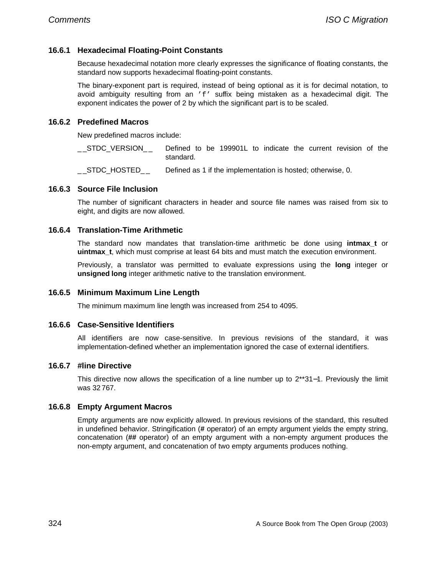# **16.6.1 Hexadecimal Floating-Point Constants**

Because hexadecimal notation more clearly expresses the significance of floating constants, the standard now supports hexadecimal floating-point constants.

The binary-exponent part is required, instead of being optional as it is for decimal notation, to avoid ambiguity resulting from an  $f \in \mathcal{F}$  suffix being mistaken as a hexadecimal digit. The exponent indicates the power of 2 by which the significant part is to be scaled.

# **16.6.2 Predefined Macros**

New predefined macros include:

\_ \_STDC\_VERSION\_ \_ Defined to be 199901L to indicate the current revision of the standard.

\_\_STDC\_HOSTED\_\_ Defined as 1 if the implementation is hosted; otherwise, 0.

# **16.6.3 Source File Inclusion**

The number of significant characters in header and source file names was raised from six to eight, and digits are now allowed.

# **16.6.4 Translation-Time Arithmetic**

The standard now mandates that translation-time arithmetic be done using **intmax\_t** or **uintmax\_t**, which must comprise at least 64 bits and must match the execution environment.

Previously, a translator was permitted to evaluate expressions using the **long** integer or **unsigned long** integer arithmetic native to the translation environment.

# **16.6.5 Minimum Maximum Line Length**

The minimum maximum line length was increased from 254 to 4095.

#### **16.6.6 Case-Sensitive Identifiers**

All identifiers are now case-sensitive. In previous revisions of the standard, it was implementation-defined whether an implementation ignored the case of external identifiers.

# **16.6.7 #line Directive**

This directive now allows the specification of a line number up to 2\*\*31−1. Previously the limit was 32 767.

#### **16.6.8 Empty Argument Macros**

Empty arguments are now explicitly allowed. In previous revisions of the standard, this resulted in undefined behavior. Stringification (**#** operator) of an empty argument yields the empty string, concatenation (**##** operator) of an empty argument with a non-empty argument produces the non-empty argument, and concatenation of two empty arguments produces nothing.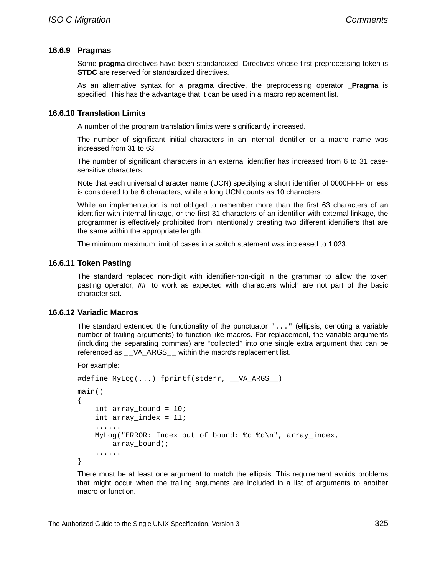# **16.6.9 Pragmas**

Some **pragma** directives have been standardized. Directives whose first preprocessing token is **STDC** are reserved for standardized directives.

As an alternative syntax for a **pragma** directive, the preprocessing operator **\_Pragma** is specified. This has the advantage that it can be used in a macro replacement list.

#### **16.6.10 Translation Limits**

A number of the program translation limits were significantly increased.

The number of significant initial characters in an internal identifier or a macro name was increased from 31 to 63.

The number of significant characters in an external identifier has increased from 6 to 31 casesensitive characters.

Note that each universal character name (UCN) specifying a short identifier of 0000FFFF or less is considered to be 6 characters, while a long UCN counts as 10 characters.

While an implementation is not obliged to remember more than the first 63 characters of an identifier with internal linkage, or the first 31 characters of an identifier with external linkage, the programmer is effectively prohibited from intentionally creating two different identifiers that are the same within the appropriate length.

The minimum maximum limit of cases in a switch statement was increased to 1 023.

#### **16.6.11 Token Pasting**

The standard replaced non-digit with identifier-non-digit in the grammar to allow the token pasting operator, **##**, to work as expected with characters which are not part of the basic character set.

#### **16.6.12 Variadic Macros**

The standard extended the functionality of the punctuator "..." (ellipsis; denoting a variable number of trailing arguments) to function-like macros. For replacement, the variable arguments (including the separating commas) are ''collected'' into one single extra argument that can be referenced as \_\_VA\_ARGS \_\_ within the macro's replacement list.

#### For example:

```
#define MyLog(...) fprintf(stderr, __VA_ARGS__)
main()
{
    int array bound = 10;
    int array index = 11;
    ......
   MyLog("ERROR: Index out of bound: %d %d\n", array_index,
       array_bound);
    ......
}
```
There must be at least one argument to match the ellipsis. This requirement avoids problems that might occur when the trailing arguments are included in a list of arguments to another macro or function.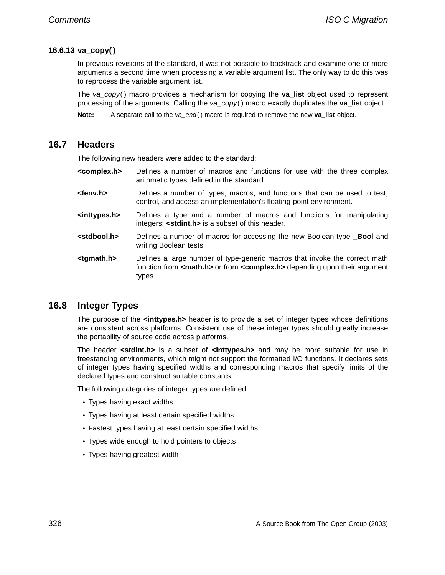# **16.6.13 va\_copy( )**

In previous revisions of the standard, it was not possible to backtrack and examine one or more arguments a second time when processing a variable argument list. The only way to do this was to reprocess the variable argument list.

The va\_copy( ) macro provides a mechanism for copying the **va\_list** object used to represent processing of the arguments. Calling the va\_copy( ) macro exactly duplicates the **va\_list** object.

**Note:** A separate call to the va\_end() macro is required to remove the new **va\_list** object.

# **16.7 Headers**

The following new headers were added to the standard:

- **<complex.h>** Defines a number of macros and functions for use with the three complex arithmetic types defined in the standard.
- **<fenv.h>** Defines a number of types, macros, and functions that can be used to test, control, and access an implementation's floating-point environment.
- **<inttypes.h>** Defines a type and a number of macros and functions for manipulating integers; **<stdint.h>** is a subset of this header.
- **<stdbool.h>** Defines a number of macros for accessing the new Boolean type **Bool** and writing Boolean tests.
- **<tgmath.h>** Defines a large number of type-generic macros that invoke the correct math function from **<math.h>** or from **<complex.h>** depending upon their argument types.

# **16.8 Integer Types**

The purpose of the **<inttypes.h>** header is to provide a set of integer types whose definitions are consistent across platforms. Consistent use of these integer types should greatly increase the portability of source code across platforms.

The header **<stdint.h>** is a subset of **<inttypes.h>** and may be more suitable for use in freestanding environments, which might not support the formatted I/O functions. It declares sets of integer types having specified widths and corresponding macros that specify limits of the declared types and construct suitable constants.

The following categories of integer types are defined:

- Types having exact widths
- Types having at least certain specified widths
- Fastest types having at least certain specified widths
- Types wide enough to hold pointers to objects
- Types having greatest width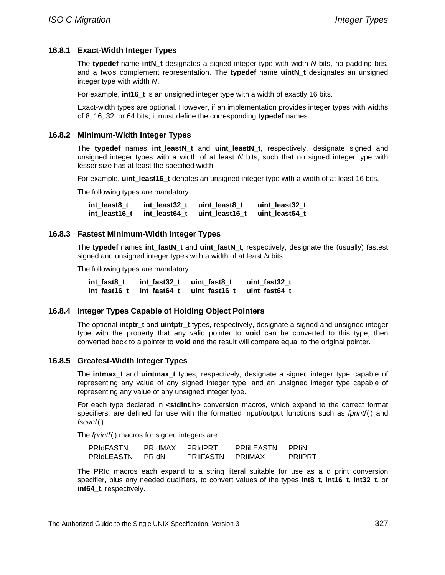# **16.8.1 Exact-Width Integer Types**

The **typedef** name **intN\_t** designates a signed integer type with width N bits, no padding bits, and a two's complement representation. The **typedef** name **uintN\_t** designates an unsigned integer type with width N.

For example, **int16\_t** is an unsigned integer type with a width of exactly 16 bits.

Exact-width types are optional. However, if an implementation provides integer types with widths of 8, 16, 32, or 64 bits, it must define the corresponding **typedef** names.

### **16.8.2 Minimum-Width Integer Types**

The **typedef** names **int leastN t** and **uint leastN t**, respectively, designate signed and unsigned integer types with a width of at least N bits, such that no signed integer type with lesser size has at least the specified width.

For example, **uint\_least16\_t** denotes an unsigned integer type with a width of at least 16 bits.

The following types are mandatory:

**int\_least8\_t int\_least16\_t int\_least64\_t int\_least32\_t uint\_least8\_t uint\_least16\_t uint\_least64\_t uint\_least32\_t**

#### **16.8.3 Fastest Minimum-Width Integer Types**

The **typedef** names **int\_fastN\_t** and **uint\_fastN\_t**, respectively, designate the (usually) fastest signed and unsigned integer types with a width of at least N bits.

The following types are mandatory:

**int\_fast8\_t int\_fast16\_t int\_fast64\_t uint\_fast16\_t uint\_fast64\_t int\_fast32\_t uint\_fast8\_t uint\_fast32\_t**

#### **16.8.4 Integer Types Capable of Holding Object Pointers**

The optional **intptr\_t** and **uintptr\_t** types, respectively, designate a signed and unsigned integer type with the property that any valid pointer to **void** can be converted to this type, then converted back to a pointer to **void** and the result will compare equal to the original pointer.

#### **16.8.5 Greatest-Width Integer Types**

The **intmax\_t** and **uintmax\_t** types, respectively, designate a signed integer type capable of representing any value of any signed integer type, and an unsigned integer type capable of representing any value of any unsigned integer type.

For each type declared in **<stdint.h>** conversion macros, which expand to the correct format specifiers, are defined for use with the formatted input/output functions such as fprintf() and fscanf( ).

The fprintf() macros for signed integers are:

| <b>PRIdFASTN</b> | PRIdMAX      | PRINPRT         | <b>PRILEASTN</b> | <b>PRIN</b>   |
|------------------|--------------|-----------------|------------------|---------------|
| PRIdLEASTN       | <b>PRIdN</b> | <b>PRIFASTN</b> | PRIMAX           | <b>PRIPRT</b> |

The PRId macros each expand to a string literal suitable for use as a d print conversion specifier, plus any needed qualifiers, to convert values of the types **int8\_t**, **int16\_t**, **int32\_t**, or **int64\_t**, respectively.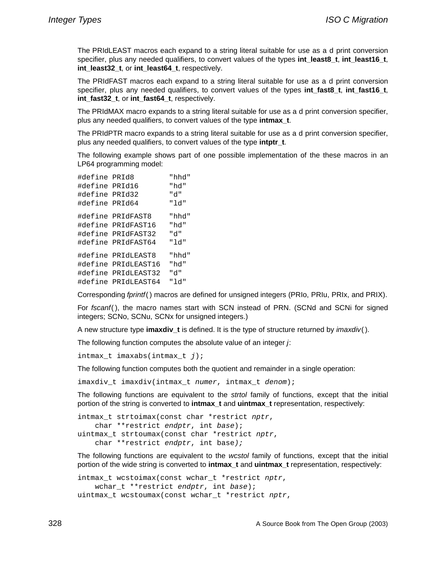The PRIdLEAST macros each expand to a string literal suitable for use as a d print conversion specifier, plus any needed qualifiers, to convert values of the types **int\_least8\_t**, **int\_least16\_t**, **int\_least32\_t**, or **int\_least64\_t**, respectively.

The PRIdFAST macros each expand to a string literal suitable for use as a d print conversion specifier, plus any needed qualifiers, to convert values of the types **int\_fast8\_t**, **int\_fast16\_t**, **int\_fast32\_t**, or **int\_fast64\_t**, respectively.

The PRIdMAX macro expands to a string literal suitable for use as a d print conversion specifier, plus any needed qualifiers, to convert values of the type **intmax\_t**.

The PRIdPTR macro expands to a string literal suitable for use as a d print conversion specifier, plus any needed qualifiers, to convert values of the type **intptr\_t**.

The following example shows part of one possible implementation of the these macros in an LP64 programming model:

| #define PRId8  |                     | "hhd"  |
|----------------|---------------------|--------|
| #define PRId16 |                     | "hd"   |
| #define PRId32 |                     | "ה "   |
| #define PRId64 |                     | "ld"   |
|                | #define PRIdFAST8   | "hhd"  |
|                | #define PRIdFAST16  | "hd"   |
|                | #define PRIdFAST32  | "ה "   |
|                | #define PRIdFAST64  | "ld"   |
|                | #define PRIdLEAST8  | "hhd"  |
|                | #define PRIdLEAST16 | "hd"   |
|                | #define PRIdLEAST32 | " P "  |
|                | #define PRIdLEAST64 | " 19 " |
|                |                     |        |

Corresponding fprintf() macros are defined for unsigned integers (PRIo, PRIu, PRIx, and PRIX).

For fscanf(), the macro names start with SCN instead of PRN. (SCNd and SCNi for signed integers; SCNo, SCNu, SCNx for unsigned integers.)

A new structure type **imaxdiv\_t** is defined. It is the type of structure returned by imaxdiv( ).

The following function computes the absolute value of an integer *j*:

 $intmax_t$  imaxabs(intmax\_t j);

The following function computes both the quotient and remainder in a single operation:

imaxdiv\_t imaxdiv(intmax\_t numer, intmax\_t denom);

The following functions are equivalent to the *strtol* family of functions, except that the initial portion of the string is converted to **intmax\_t** and **uintmax\_t** representation, respectively:

```
intmax_t strtoimax(const char *restrict nptr,
    char **restrict endptr, int base);
uintmax_t strtoumax(const char *restrict nptr,
    char **restrict endptr, int base);
```
The following functions are equivalent to the wcstol family of functions, except that the initial portion of the wide string is converted to **intmax\_t** and **uintmax\_t** representation, respectively:

```
intmax_t wcstoimax(const wchar_t *restrict nptr,
    wchar_t **restrict endptr, int base);
uintmax_t wcstoumax(const wchar_t *restrict nptr,
```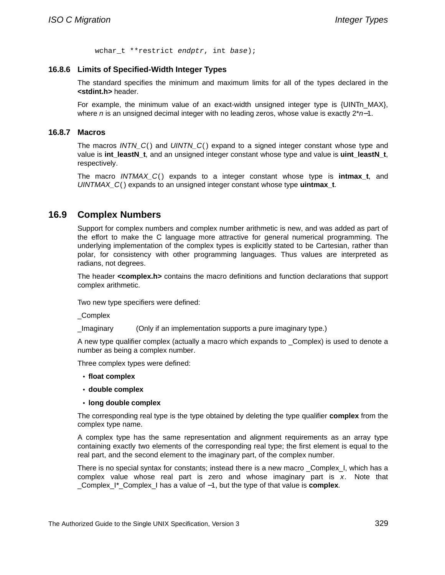wchar\_t \*\*restrict endptr, int base);

#### **16.8.6 Limits of Specified-Width Integer Types**

The standard specifies the minimum and maximum limits for all of the types declared in the **<stdint.h>** header.

For example, the minimum value of an exact-width unsigned integer type is {UINTn\_MAX}, where n is an unsigned decimal integer with no leading zeros, whose value is exactly  $2^{*}n-1$ .

#### **16.8.7 Macros**

The macros INTN  $C()$  and UINTN  $C()$  expand to a signed integer constant whose type and value is **int\_leastN\_t**, and an unsigned integer constant whose type and value is **uint\_leastN\_t**, respectively.

The macro INTMAX\_C( ) expands to a integer constant whose type is **intmax\_t**, and UINTMAX\_C( ) expands to an unsigned integer constant whose type **uintmax\_t**.

# **16.9 Complex Numbers**

Support for complex numbers and complex number arithmetic is new, and was added as part of the effort to make the C language more attractive for general numerical programming. The underlying implementation of the complex types is explicitly stated to be Cartesian, rather than polar, for consistency with other programming languages. Thus values are interpreted as radians, not degrees.

The header **<complex.h>** contains the macro definitions and function declarations that support complex arithmetic.

Two new type specifiers were defined:

\_Complex

Imaginary (Only if an implementation supports a pure imaginary type.)

A new type qualifier complex (actually a macro which expands to \_Complex) is used to denote a number as being a complex number.

Three complex types were defined:

- **float complex**
- **double complex**
- **long double complex**

The corresponding real type is the type obtained by deleting the type qualifier **complex** from the complex type name.

A complex type has the same representation and alignment requirements as an array type containing exactly two elements of the corresponding real type; the first element is equal to the real part, and the second element to the imaginary part, of the complex number.

There is no special syntax for constants; instead there is a new macro Complex I, which has a complex value whose real part is zero and whose imaginary part is  $x$ . Note that \_Complex\_I\*\_Complex\_I has a value of −1, but the type of that value is **complex**.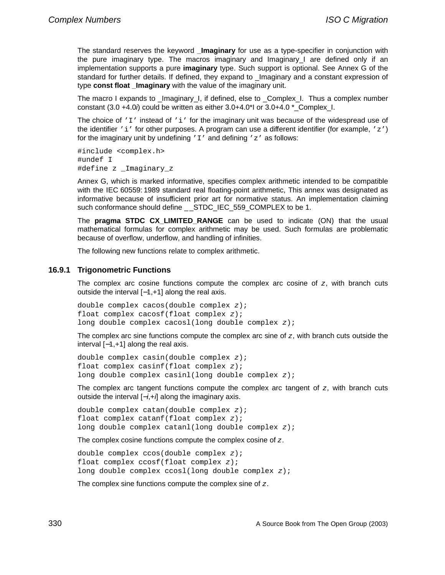The standard reserves the keyword **\_Imaginary** for use as a type-specifier in conjunction with the pure imaginary type. The macros imaginary and Imaginary\_I are defined only if an implementation supports a pure **imaginary** type. Such support is optional. See Annex G of the standard for further details. If defined, they expand to \_Imaginary and a constant expression of type **const float \_Imaginary** with the value of the imaginary unit.

The macro I expands to \_Imaginary\_I, if defined, else to \_Complex\_I. Thus a complex number constant  $(3.0 +4.0i)$  could be written as either  $3.0+4.0<sup>*</sup>$  or  $3.0+4.0<sup>*</sup>$  Complex<sup>1</sup>.

The choice of  $i \in \mathbb{N}$  instead of  $i \in \mathbb{N}$  for the imaginary unit was because of the widespread use of the identifier 'i' for other purposes. A program can use a different identifier (for example, 'z') for the imaginary unit by undefining  $'I'$  and defining  $'z'$  as follows:

```
#include <complex.h>
#undef I
#define z _Imaginary_z
```
Annex G, which is marked informative, specifies complex arithmetic intended to be compatible with the IEC 60559: 1989 standard real floating-point arithmetic, This annex was designated as informative because of insufficient prior art for normative status. An implementation claiming such conformance should define \_\_STDC\_IEC\_559\_COMPLEX to be 1.

The **pragma STDC CX\_LIMITED\_RANGE** can be used to indicate (ON) that the usual mathematical formulas for complex arithmetic may be used. Such formulas are problematic because of overflow, underflow, and handling of infinities.

The following new functions relate to complex arithmetic.

#### **16.9.1 Trigonometric Functions**

The complex arc cosine functions compute the complex arc cosine of  $z$ , with branch cuts outside the interval [−1,+1] along the real axis.

```
double complex cacos(double complex z);
float complex cacosf(float complex z);
long double complex cacosl(long double complex z);
```
The complex arc sine functions compute the complex arc sine of z, with branch cuts outside the interval [−1,+1] along the real axis.

```
double complex casin(double complex z);
float complex casinf(float complex z);
long double complex casinl(long double complex z);
```
The complex arc tangent functions compute the complex arc tangent of z, with branch cuts outside the interval [−i,+i] along the imaginary axis.

```
double complex catan(double complex z);
float complex catanf(float complex z);
long double complex catanl(long double complex z);
```
The complex cosine functions compute the complex cosine of z.

```
double complex ccos(double complex z);
float complex ccosf(float complex z);
long double complex ccosl(long double complex z);
```
The complex sine functions compute the complex sine of z.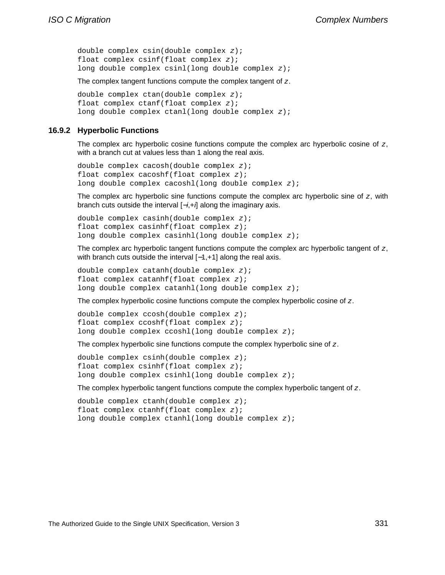double complex csin(double complex z); float complex csinf(float complex z); long double complex csinl(long double complex z);

The complex tangent functions compute the complex tangent of z.

double complex ctan(double complex z); float complex ctanf(float complex z); long double complex ctanl(long double complex z);

#### **16.9.2 Hyperbolic Functions**

The complex arc hyperbolic cosine functions compute the complex arc hyperbolic cosine of z, with a branch cut at values less than 1 along the real axis.

```
double complex cacosh(double complex z);
float complex cacoshf(float complex z);
long double complex cacoshl(long double complex z);
```
The complex arc hyperbolic sine functions compute the complex arc hyperbolic sine of z, with branch cuts outside the interval [−i,+i] along the imaginary axis.

```
double complex casinh(double complex z);
float complex casinhf(float complex z);
long double complex casinhl(long double complex z);
```
The complex arc hyperbolic tangent functions compute the complex arc hyperbolic tangent of z, with branch cuts outside the interval [-1,+1] along the real axis.

```
double complex catanh(double complex z);
float complex catanhf(float complex z);
long double complex catanhl(long double complex z);
```
The complex hyperbolic cosine functions compute the complex hyperbolic cosine of z.

```
double complex ccosh(double complex z);
float complex ccoshf(float complex z);
long double complex ccoshl(long double complex z);
```
The complex hyperbolic sine functions compute the complex hyperbolic sine of z.

```
double complex csinh(double complex z);
float complex csinhf(float complex z);
long double complex csinhl(long double complex z);
```
The complex hyperbolic tangent functions compute the complex hyperbolic tangent of z.

```
double complex ctanh(double complex z);
float complex ctanhf(float complex z);
long double complex ctanhl(long double complex z);
```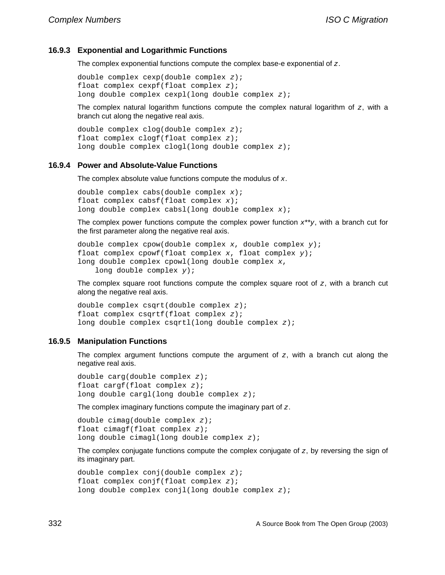# **16.9.3 Exponential and Logarithmic Functions**

The complex exponential functions compute the complex base-e exponential of z.

```
double complex cexp(double complex z);
float complex cexpf(float complex z);
long double complex cexpl(long double complex z);
```
The complex natural logarithm functions compute the complex natural logarithm of z, with a branch cut along the negative real axis.

```
double complex clog(double complex z);
float complex clogf(float complex z);
long double complex clogl(long double complex z);
```
#### **16.9.4 Power and Absolute-Value Functions**

The complex absolute value functions compute the modulus of x.

```
double complex cabs(double complex x);
float complex cabsf(float complex x);
long double complex cabsl(long double complex x);
```
The complex power functions compute the complex power function  $x^*y$ , with a branch cut for the first parameter along the negative real axis.

```
double complex cpow(double complex x, double complex y);
float complex cpowf(float complex x, float complex y);
long double complex cpowl(long double complex x,
    long double complex y);
```
The complex square root functions compute the complex square root of  $z$ , with a branch cut along the negative real axis.

double complex csqrt(double complex z); float complex csqrtf(float complex z); long double complex csqrtl(long double complex z);

#### **16.9.5 Manipulation Functions**

The complex argument functions compute the argument of  $z$ , with a branch cut along the negative real axis.

double carg(double complex z); float cargf(float complex z); long double cargl(long double complex z);

The complex imaginary functions compute the imaginary part of z.

```
double cimag(double complex z);
float cimagf(float complex z);
long double cimagl(long double complex z);
```
The complex conjugate functions compute the complex conjugate of z, by reversing the sign of its imaginary part.

```
double complex conj(double complex z);
float complex conjf(float complex z);
long double complex conjl(long double complex z);
```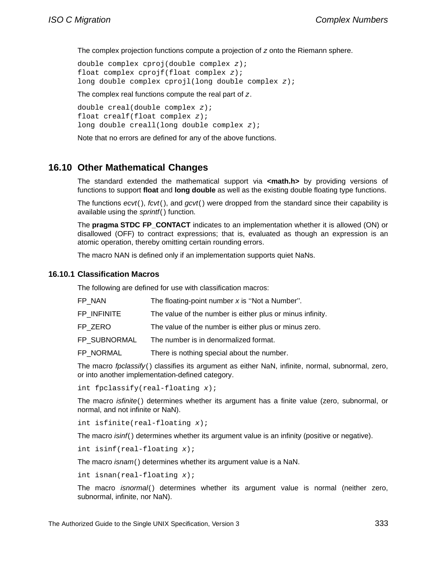The complex projection functions compute a projection of z onto the Riemann sphere.

double complex cproj(double complex z); float complex cprojf(float complex z); long double complex cprojl(long double complex z);

The complex real functions compute the real part of z.

double creal(double complex z); float crealf(float complex z); long double creall(long double complex z);

Note that no errors are defined for any of the above functions.

# **16.10 Other Mathematical Changes**

The standard extended the mathematical support via **<math.h>** by providing versions of functions to support **float** and **long double** as well as the existing double floating type functions.

The functions  $ecvt()$ ,  $fcvt()$ , and  $gcvt()$  were dropped from the standard since their capability is available using the sprintf() function.

The **pragma STDC FP\_CONTACT** indicates to an implementation whether it is allowed (ON) or disallowed (OFF) to contract expressions; that is, evaluated as though an expression is an atomic operation, thereby omitting certain rounding errors.

The macro NAN is defined only if an implementation supports quiet NaNs.

#### **16.10.1 Classification Macros**

The following are defined for use with classification macros:

| FP NAN       | The floating-point number $x$ is "Not a Number".          |
|--------------|-----------------------------------------------------------|
| FP INFINITE  | The value of the number is either plus or minus infinity. |
| FP ZERO      | The value of the number is either plus or minus zero.     |
| FP SUBNORMAL | The number is in denormalized format.                     |
| FP NORMAL    | There is nothing special about the number.                |
|              |                                                           |

The macro fpclassify() classifies its argument as either NaN, infinite, normal, subnormal, zero, or into another implementation-defined category.

int fpclassify(real-floating x);

The macro *isfinite*() determines whether its argument has a finite value (zero, subnormal, or normal, and not infinite or NaN).

int isfinite(real-floating x);

The macro *isinf*() determines whether its argument value is an infinity (positive or negative).

int isinf(real-floating x);

The macro *isnam*() determines whether its argument value is a NaN.

int isnan(real-floating x);

The macro isnormal( ) determines whether its argument value is normal (neither zero, subnormal, infinite, nor NaN).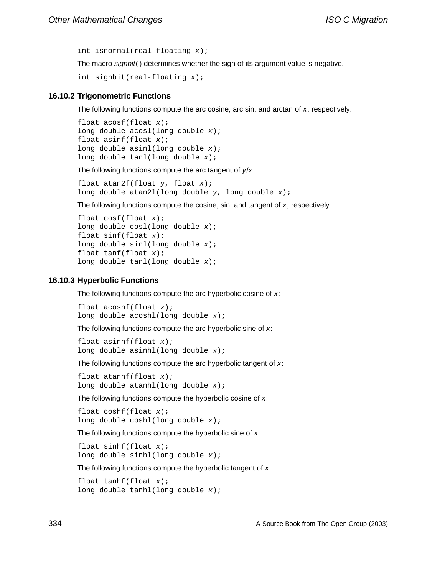int isnormal(real-floating x);

The macro signbit( ) determines whether the sign of its argument value is negative.

```
int signbit(real-floating x);
```
#### **16.10.2 Trigonometric Functions**

The following functions compute the arc cosine, arc sin, and arctan of  $x$ , respectively:

```
float acosf(float x);
long double acosl(long double x);
float asinf(float x);
long double asinl(long double x);
long double tanh(long double x);
```
The following functions compute the arc tangent of  $y/x$ :

float atan2f(float  $y$ , float  $x$ ); long double atan2l(long double  $y$ , long double  $x$ );

The following functions compute the cosine, sin, and tangent of x, respectively:

```
float \cos f(float x);
long double cosl(long double x);
float sinf(float x);
long double sinl(long double x);
float tanf(float x);
long double tanh(long double x);
```
#### **16.10.3 Hyperbolic Functions**

The following functions compute the arc hyperbolic cosine of x:

```
float acosh(float x);
long double acoshl(long double x);
```
The following functions compute the arc hyperbolic sine of  $x$ :

float  $asinh(float x)$ ; long double asinhl(long double x);

The following functions compute the arc hyperbolic tangent of x:

float  $atanhf(fload x)$ ; long double atanhl(long double x);

The following functions compute the hyperbolic cosine of x:

```
float coshf(float x);
long double coshl(long double x);
```
The following functions compute the hyperbolic sine of x:

float  $sinh(f$ loat  $x)$ ; long double sinhl(long double x);

The following functions compute the hyperbolic tangent of x:

float  $tanh(f$ loat  $x$ ); long double tanhl(long double x);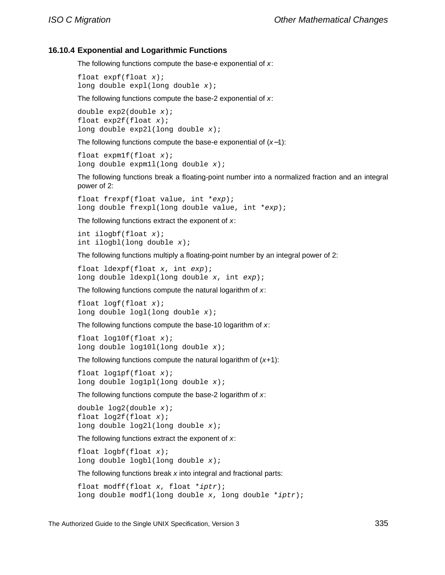### **16.10.4 Exponential and Logarithmic Functions**

The following functions compute the base-e exponential of x:

```
float expf(float x);
long double expl(long double x);
```
The following functions compute the base-2 exponential of x:

```
double exp2(double x);
float exp2f(fload x);
long double exp2l(long double x);
```
The following functions compute the base-e exponential of  $(x-1)$ :

```
float expm1f(float x);
long double expm11(long double x);
```
The following functions break a floating-point number into a normalized fraction and an integral power of 2:

```
float frexpf(float value, int *exp);
long double frexpl(long double value, int *exp);
```
The following functions extract the exponent of x:

```
int ilogbf(float x);
int ilogbl(long double x);
```
The following functions multiply a floating-point number by an integral power of 2:

```
float ldexpf(float x, int exp);
long double ldexpl(long double x, int exp);
```
The following functions compute the natural logarithm of x:

```
float logf(float x);
long double logl(long double x);
```
The following functions compute the base-10 logarithm of x:

```
float log10f(float x);
long double log101(long double x);
```
The following functions compute the natural logarithm of  $(x+1)$ :

```
float log1pf(float x);
long double log1pl(long double x);
```
The following functions compute the base-2 logarithm of x:

```
double log2(double x);
float log2f(fload x);
long double log2l(long double x);
```
The following functions extract the exponent of x:

```
float logbf(float x);
long double logbl(long double x);
```
The following functions break x into integral and fractional parts:

```
float modff(float x, float *iptr);
long double modfl(long double x, long double *iptr);
```
The Authorized Guide to the Single UNIX Specification, Version 3 335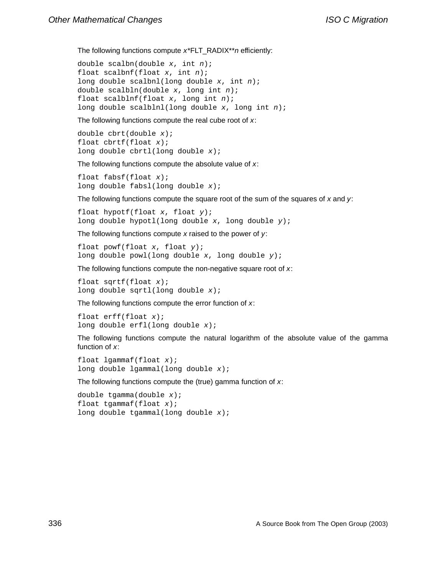The following functions compute x\*FLT\_RADIX\*\*n efficiently:

```
double scalbn(double x, int n);
float scalbnf(float x, int n);
long double scalbnl(long double x, int n);
double scalbln(double x, long int n);
float scalblnf(float x, long int n);
long double scalblnl(long double x, long int n);
```
The following functions compute the real cube root of x:

```
double cbrt(double x);
float cbrtf(fload x);
long double cbrtl(long double x);
```
The following functions compute the absolute value of x:

```
float fabsf(float x);
long double fabsl(long double x);
```
The following functions compute the square root of the sum of the squares of  $x$  and  $y$ :

```
float hypotf(float x, float y);
long double hypotl(long double x, long double y);
```
The following functions compute  $x$  raised to the power of  $y$ :

float  $powf(float x, float y)$ ; long double powl(long double x, long double y);

The following functions compute the non-negative square root of x:

```
float sqrt(float x);
long double sqrtl(long double x);
```
The following functions compute the error function of x:

```
float erff(float x);
long double erfl(long double x);
```
The following functions compute the natural logarithm of the absolute value of the gamma function of x:

```
float lgammaf(float x);
long double lgammal(long double x);
```
The following functions compute the (true) gamma function of  $x$ :

```
double tgamma(double x);
float tgammaf(float x);
long double tgammal(long double x);
```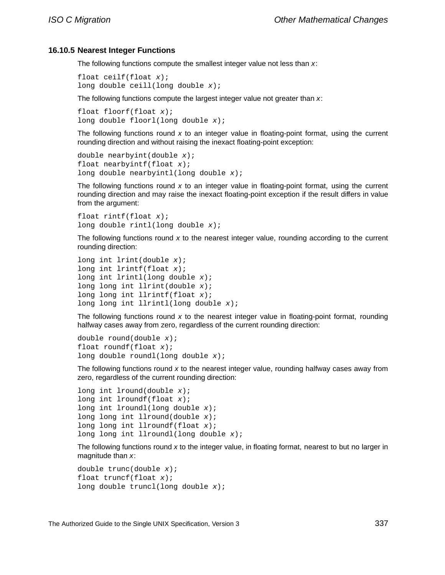#### **16.10.5 Nearest Integer Functions**

The following functions compute the smallest integer value not less than x:

```
float ceilf(float x);
long double ceill(long double x);
```
The following functions compute the largest integer value not greater than x:

```
float floorf(float x);
long double floorl(long double x);
```
The following functions round x to an integer value in floating-point format, using the current rounding direction and without raising the inexact floating-point exception:

```
double nearbyint(double x);
float nearbyintf(float x);
long double nearbyintl(long double x);
```
The following functions round  $x$  to an integer value in floating-point format, using the current rounding direction and may raise the inexact floating-point exception if the result differs in value from the argument:

```
float rintf(float x);
long double rintl(long double x);
```
The following functions round  $x$  to the nearest integer value, rounding according to the current rounding direction:

```
long int lrint(double x);
long int lrintf(float x);
long int lrintl(long double x);
long long int llrint(double x);
long long int llrintf(float x);
long long int llrintl(long double x);
```
The following functions round  $x$  to the nearest integer value in floating-point format, rounding halfway cases away from zero, regardless of the current rounding direction:

```
double round(double x);
float roundf(float x);
long double roundl(long double x);
```
The following functions round x to the nearest integer value, rounding halfway cases away from zero, regardless of the current rounding direction:

```
long int lround(double x);
long int lroundf(float x);
long int lroundl(long double x);
long long int llround(double x);
long long int llroundf(float x);
long long int llroundl(long double x);
```
The following functions round x to the integer value, in floating format, nearest to but no larger in magnitude than  $x$ :

```
double trunc(double x);
float truncf(fload x);
long double truncl(long double x);
```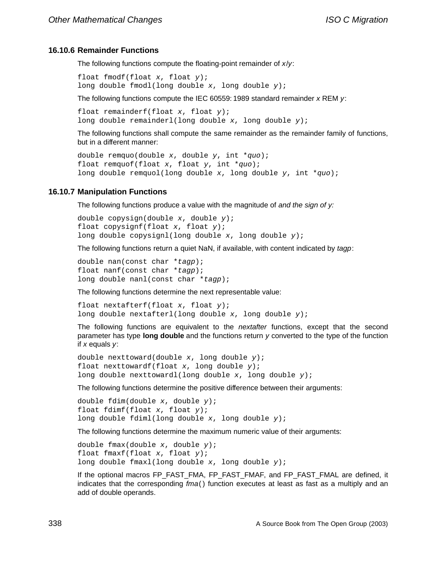### **16.10.6 Remainder Functions**

The following functions compute the floating-point remainder of  $x/y$ :

float fmodf(float x, float y); long double fmodl(long double  $x$ , long double  $y$ );

The following functions compute the IEC 60559: 1989 standard remainder  $x$  REM  $y$ :

float remainderf(float  $x$ , float  $y$ ); long double remainderl(long double  $x$ , long double  $y$ );

The following functions shall compute the same remainder as the remainder family of functions, but in a different manner:

```
double remquo(double x, double y, int *quo);
float remquof(float x, float y, int *q u o);
long double remquol(long double x, long double y, int *quo);
```
#### **16.10.7 Manipulation Functions**

The following functions produce a value with the magnitude of and the sign of  $y$ :

```
double copysign(double x, double y);
float copysignf(float x, float y);
long double copysignl(long double x, long double y);
```
The following functions return a quiet NaN, if available, with content indicated by tagp:

```
double nan(const char *tagp);
float nanf(const char *tagp);
long double nanl(const char *tagp);
```
The following functions determine the next representable value:

```
float nextafterf(float x, float y);
long double nextafterl(long double x, long double y);
```
The following functions are equivalent to the *nextafter* functions, except that the second parameter has type **long double** and the functions return y converted to the type of the function if  $x$  equals  $y$ :

```
double nexttoward(double x, long double y);
float nexttowardf(float x, long double y);
long double nexttowardl(long double x, long double y);
```
The following functions determine the positive difference between their arguments:

```
double fdim(double x, double y);
float fdimf(float x, float y);
long double fdiml(long double x, long double y);
```
The following functions determine the maximum numeric value of their arguments:

```
double fmax(double x, double y);
float fmaxf(float x, float y);
long double fmaxl(long double x, long double y);
```
If the optional macros FP\_FAST\_FMA, FP\_FAST\_FMAF, and FP\_FAST\_FMAL are defined, it indicates that the corresponding fma() function executes at least as fast as a multiply and an add of double operands.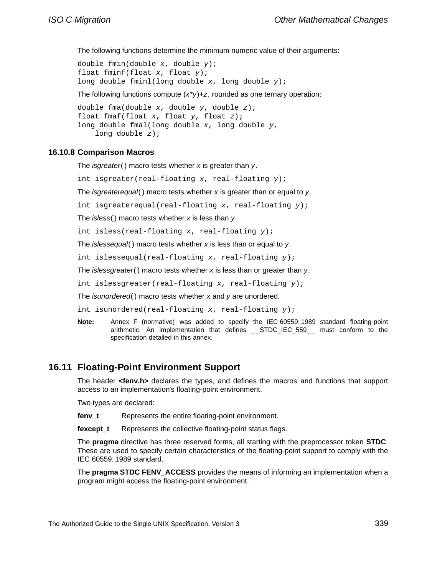The following functions determine the minimum numeric value of their arguments:

double  $fmin(double x, double y)$ ; float fminf(float  $x$ , float  $y$ ); long double fminl(long double  $x$ , long double  $y$ );

The following functions compute  $(x^*y)$ +z, rounded as one ternary operation:

```
double fma(double x, double y, double z);
float fmaf(float x, float y, float z);
long double fmal(long double x, long double y,
    long double z);
```
#### **16.10.8 Comparison Macros**

The isgreater() macro tests whether  $x$  is greater than  $y$ .

int isgreater(real-floating  $x$ , real-floating  $y$ );

The isgreaterequal() macro tests whether x is greater than or equal to  $y$ .

int isgreaterequal(real-floating  $x$ , real-floating  $y$ );

The *isless()* macro tests whether  $x$  is less than  $y$ .

int isless(real-floating  $x$ , real-floating  $y$ );

The *islessequal()* macro tests whether x is less than or equal to  $y$ .

int islessequal(real-floating x, real-floating y);

The *islessgreater*() macro tests whether x is less than or greater than  $y$ .

int islessgreater(real-floating  $x$ , real-floating  $y$ );

The *isunordered*() macro tests whether x and y are unordered.

int isunordered(real-floating  $x$ , real-floating  $y$ );

**Note:** Annex F (normative) was added to specify the IEC 60559: 1989 standard floating-point arithmetic. An implementation that defines \_\_STDC\_IEC\_559\_\_ must conform to the specification detailed in this annex.

# **16.11 Floating-Point Environment Support**

The header **<fenv.h>** declares the types, and defines the macros and functions that support access to an implementation's floating-point environment.

Two types are declared:

fenv\_t Represents the entire floating-point environment.

**fexcept t** Represents the collective floating-point status flags.

The **pragma** directive has three reserved forms, all starting with the preprocessor token **STDC**. These are used to specify certain characteristics of the floating-point support to comply with the IEC 60559: 1989 standard.

The **pragma STDC FENV\_ACCESS** provides the means of informing an implementation when a program might access the floating-point environment.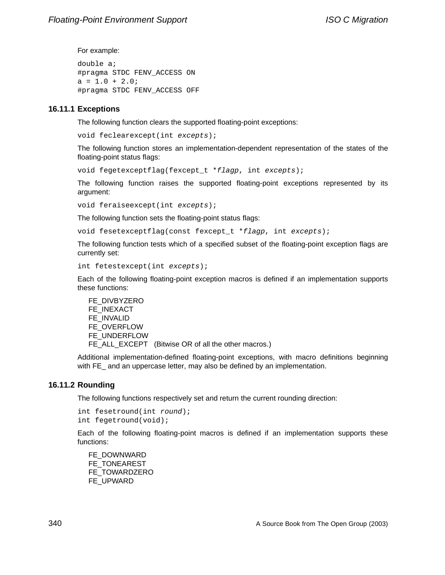For example:

```
double a;
#pragma STDC FENV_ACCESS ON
a = 1.0 + 2.0;
#pragma STDC FENV_ACCESS OFF
```
# **16.11.1 Exceptions**

The following function clears the supported floating-point exceptions:

void feclearexcept(int excepts);

The following function stores an implementation-dependent representation of the states of the floating-point status flags:

void fegetexceptflag(fexcept\_t \*flagp, int excepts);

The following function raises the supported floating-point exceptions represented by its argument:

void feraiseexcept(int excepts);

The following function sets the floating-point status flags:

void fesetexceptflag(const fexcept\_t \*flagp, int excepts);

The following function tests which of a specified subset of the floating-point exception flags are currently set:

int fetestexcept(int excepts);

Each of the following floating-point exception macros is defined if an implementation supports these functions:

FE\_DIVBYZERO FE\_INEXACT FE\_INVALID FE\_OVERFLOW FE\_UNDERFLOW FE\_ALL\_EXCEPT (Bitwise OR of all the other macros.)

Additional implementation-defined floating-point exceptions, with macro definitions beginning with FE\_ and an uppercase letter, may also be defined by an implementation.

# **16.11.2 Rounding**

The following functions respectively set and return the current rounding direction:

```
int fesetround(int round);
int fegetround(void);
```
Each of the following floating-point macros is defined if an implementation supports these functions:

FE\_DOWNWARD FE\_TONEAREST FE\_TOWARDZERO FE\_UPWARD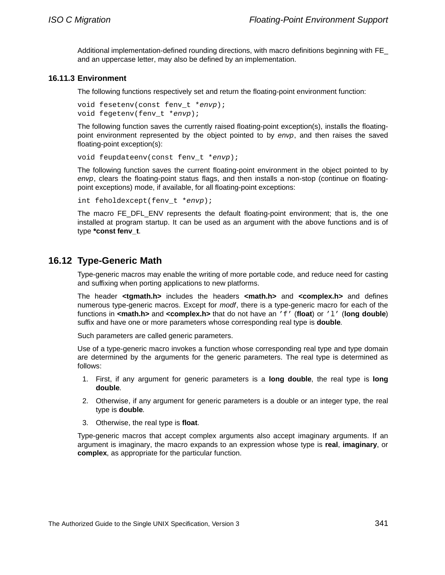Additional implementation-defined rounding directions, with macro definitions beginning with FE\_ and an uppercase letter, may also be defined by an implementation.

### **16.11.3 Environment**

The following functions respectively set and return the floating-point environment function:

```
void fesetenv(const fenv t *envp);
void fegetenv(fenv t *envp);
```
The following function saves the currently raised floating-point exception(s), installs the floatingpoint environment represented by the object pointed to by envp, and then raises the saved floating-point exception(s):

void feupdateenv(const fenv t \*envp);

The following function saves the current floating-point environment in the object pointed to by envp, clears the floating-point status flags, and then installs a non-stop (continue on floatingpoint exceptions) mode, if available, for all floating-point exceptions:

int feholdexcept(fenv t \*envp);

The macro FE\_DFL\_ENV represents the default floating-point environment; that is, the one installed at program startup. It can be used as an argument with the above functions and is of type **\*const fenv\_t**.

# **16.12 Type-Generic Math**

Type-generic macros may enable the writing of more portable code, and reduce need for casting and suffixing when porting applications to new platforms.

The header **<tgmath.h>** includes the headers **<math.h>** and **<complex.h>** and defines numerous type-generic macros. Except for *modf*, there is a type-generic macro for each of the functions in **<math.h>** and **<complex.h>** that do not have an 'f' (**float**) or 'l' (**long double**) suffix and have one or more parameters whose corresponding real type is **double**.

Such parameters are called generic parameters.

Use of a type-generic macro invokes a function whose corresponding real type and type domain are determined by the arguments for the generic parameters. The real type is determined as follows:

- 1. First, if any argument for generic parameters is a **long double**, the real type is **long double**.
- 2. Otherwise, if any argument for generic parameters is a double or an integer type, the real type is **double**.
- 3. Otherwise, the real type is **float**.

Type-generic macros that accept complex arguments also accept imaginary arguments. If an argument is imaginary, the macro expands to an expression whose type is **real**, **imaginary**, or **complex**, as appropriate for the particular function.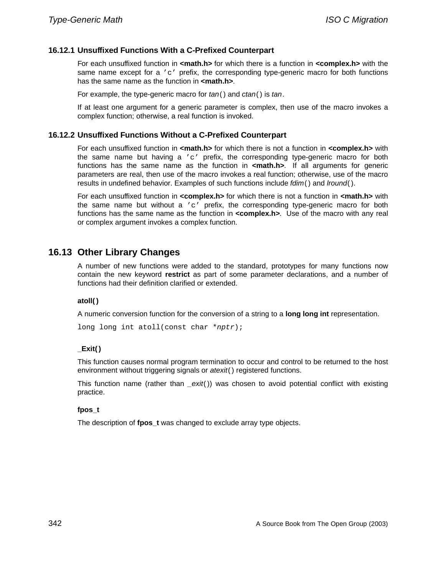# **16.12.1 Unsuffixed Functions With a C-Prefixed Counterpart**

For each unsuffixed function in **<math.h>** for which there is a function in **<complex.h>** with the same name except for a  $c$  prefix, the corresponding type-generic macro for both functions has the same name as the function in **<math.h>**.

For example, the type-generic macro for  $tan()$  and  $ctan()$  is  $tan$ .

If at least one argument for a generic parameter is complex, then use of the macro invokes a complex function; otherwise, a real function is invoked.

# **16.12.2 Unsuffixed Functions Without a C-Prefixed Counterpart**

For each unsuffixed function in **<math.h>** for which there is not a function in **<complex.h>** with the same name but having a  $re$  prefix, the corresponding type-generic macro for both functions has the same name as the function in **<math.h>**. If all arguments for generic parameters are real, then use of the macro invokes a real function; otherwise, use of the macro results in undefined behavior. Examples of such functions include fdim() and lround().

For each unsuffixed function in **<complex.h>** for which there is not a function in **<math.h>** with the same name but without a  $\prime c \prime$  prefix, the corresponding type-generic macro for both functions has the same name as the function in **<complex.h>**. Use of the macro with any real or complex argument invokes a complex function.

# **16.13 Other Library Changes**

A number of new functions were added to the standard, prototypes for many functions now contain the new keyword **restrict** as part of some parameter declarations, and a number of functions had their definition clarified or extended.

# **atoll( )**

A numeric conversion function for the conversion of a string to a **long long int** representation.

long long int atoll(const char \*nptr);

# **\_Exit( )**

This function causes normal program termination to occur and control to be returned to the host environment without triggering signals or atexit() registered functions.

This function name (rather than  $\_exit()$ ) was chosen to avoid potential conflict with existing practice.

# **fpos\_t**

The description of **fpos\_t** was changed to exclude array type objects.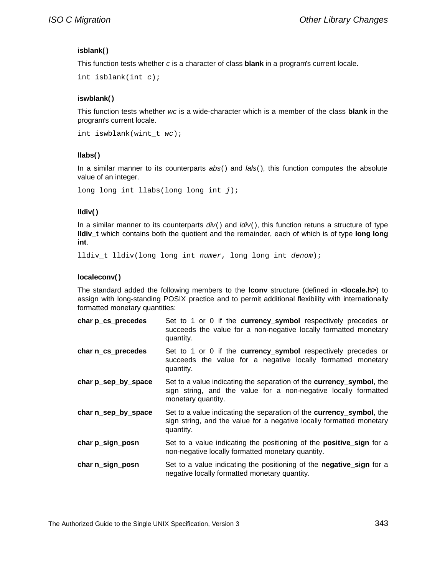# **isblank( )**

This function tests whether c is a character of class **blank** in a program's current locale.

```
int isblank(int c);
```
# **iswblank( )**

This function tests whether wc is a wide-character which is a member of the class **blank** in the program's current locale.

```
int iswblank(wint_t wc);
```
#### **llabs( )**

In a similar manner to its counterparts  $abs()$  and  $\text{las}($ ), this function computes the absolute value of an integer.

long long int llabs(long long int j);

# **lldiv( )**

In a similar manner to its counterparts  $div()$  and  $div()$ , this function retuns a structure of type **lldiv\_t** which contains both the quotient and the remainder, each of which is of type **long long int**.

lldiv\_t lldiv(long long int numer, long long int denom);

#### **localeconv( )**

The standard added the following members to the **lconv** structure (defined in **<locale.h>**) to assign with long-standing POSIX practice and to permit additional flexibility with internationally formatted monetary quantities:

| char p_cs_precedes  | Set to 1 or 0 if the currency_symbol respectively precedes or<br>succeeds the value for a non-negative locally formatted monetary<br>quantity.                |
|---------------------|---------------------------------------------------------------------------------------------------------------------------------------------------------------|
| char n_cs_precedes  | Set to 1 or 0 if the currency_symbol respectively precedes or<br>succeeds the value for a negative locally formatted monetary<br>quantity.                    |
| char p_sep_by_space | Set to a value indicating the separation of the currency_symbol, the<br>sign string, and the value for a non-negative locally formatted<br>monetary quantity. |
| char n_sep_by_space | Set to a value indicating the separation of the currency_symbol, the<br>sign string, and the value for a negative locally formatted monetary<br>quantity.     |
| char p_sign_posn    | Set to a value indicating the positioning of the <b>positive_sign</b> for a<br>non-negative locally formatted monetary quantity.                              |
| char n_sign_posn    | Set to a value indicating the positioning of the negative_sign for a<br>negative locally formatted monetary quantity.                                         |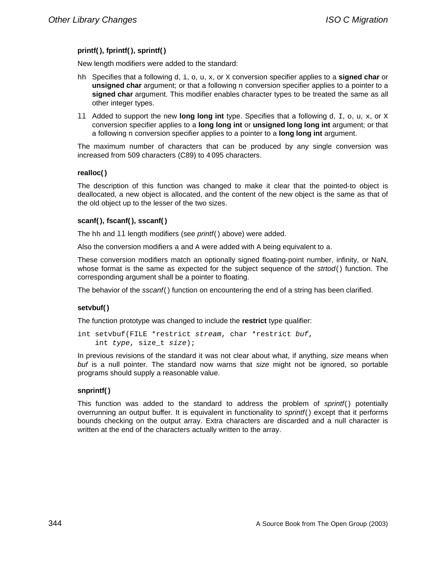# **printf( ), fprintf( ), sprintf( )**

New length modifiers were added to the standard:

- hh Specifies that a following d, i, o, u, x, or X conversion specifier applies to a **signed char** or **unsigned char** argument; or that a following n conversion specifier applies to a pointer to a **signed char** argument. This modifier enables character types to be treated the same as all other integer types.
- ll Added to support the new **long long int** type. Specifies that a following d, I, o, u, x, or X conversion specifier applies to a **long long int** or **unsigned long long int** argument; or that a following n conversion specifier applies to a pointer to a **long long int** argument.

The maximum number of characters that can be produced by any single conversion was increased from 509 characters (C89) to 4 095 characters.

#### **realloc( )**

The description of this function was changed to make it clear that the pointed-to object is deallocated, a new object is allocated, and the content of the new object is the same as that of the old object up to the lesser of the two sizes.

#### **scanf( ), fscanf( ), sscanf( )**

The hh and 11 length modifiers (see *printf*() above) were added.

Also the conversion modifiers a and A were added with A being equivalent to a.

These conversion modifiers match an optionally signed floating-point number, infinity, or NaN, whose format is the same as expected for the subject sequence of the strtod() function. The corresponding argument shall be a pointer to floating.

The behavior of the sscanf() function on encountering the end of a string has been clarified.

# **setvbuf( )**

The function prototype was changed to include the **restrict** type qualifier:

```
int setvbuf(FILE *restrict stream, char *restrict buf,
    int type, size_t size);
```
In previous revisions of the standard it was not clear about what, if anything, size means when buf is a null pointer. The standard now warns that size might not be ignored, so portable programs should supply a reasonable value.

#### **snprintf( )**

This function was added to the standard to address the problem of sprintf() potentially overrunning an output buffer. It is equivalent in functionality to sprintf() except that it performs bounds checking on the output array. Extra characters are discarded and a null character is written at the end of the characters actually written to the array.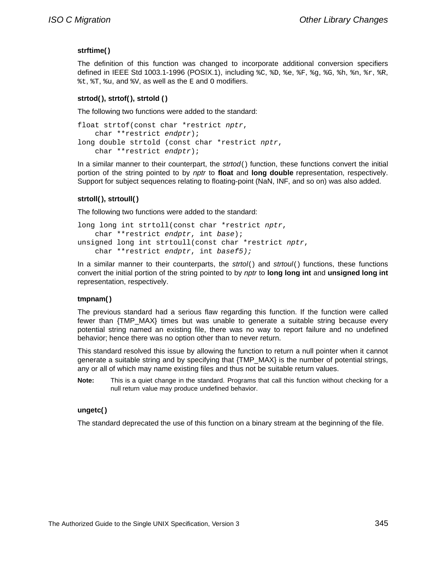# **strftime( )**

The definition of this function was changed to incorporate additional conversion specifiers defined in IEEE Std 1003.1-1996 (POSIX.1), including %C, %D, %e, %F, %g, %G, %h, %n, %r, %R, %t, %T, %u, and %V, as well as the E and O modifiers.

# **strtod( ), strtof( ), strtold ( )**

The following two functions were added to the standard:

```
float strtof(const char *restrict nptr,
    char **restrict endptr);
long double strtold (const char *restrict nptr,
    char **restrict endptr);
```
In a similar manner to their counterpart, the strtod() function, these functions convert the initial portion of the string pointed to by nptr to **float** and **long double** representation, respectively. Support for subject sequences relating to floating-point (NaN, INF, and so on) was also added.

#### **strtoll( ), strtoull( )**

The following two functions were added to the standard:

```
long long int strtoll(const char *restrict nptr,
    char **restrict endptr, int base);
unsigned long int strtoull(const char *restrict nptr,
    char **restrict endptr, int basef5);
```
In a similar manner to their counterparts, the  $strot()$  and  $strot()$  functions, these functions convert the initial portion of the string pointed to by nptr to **long long int** and **unsigned long int** representation, respectively.

#### **tmpnam( )**

The previous standard had a serious flaw regarding this function. If the function were called fewer than {TMP\_MAX} times but was unable to generate a suitable string because every potential string named an existing file, there was no way to report failure and no undefined behavior; hence there was no option other than to never return.

This standard resolved this issue by allowing the function to return a null pointer when it cannot generate a suitable string and by specifying that {TMP\_MAX} is the number of potential strings, any or all of which may name existing files and thus not be suitable return values.

**Note:** This is a quiet change in the standard. Programs that call this function without checking for a null return value may produce undefined behavior.

# **ungetc( )**

The standard deprecated the use of this function on a binary stream at the beginning of the file.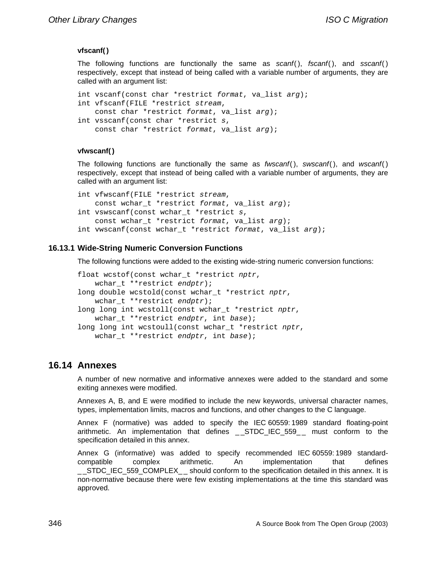# **vfscanf( )**

The following functions are functionally the same as  $scant()$ ,  $scant()$ , and  $scant()$ respectively, except that instead of being called with a variable number of arguments, they are called with an argument list:

```
int vscanf(const char *restrict format, va_list arg);
int vfscanf(FILE *restrict stream,
    const char *restrict format, va_list arg);
int vsscanf(const char *restrict s,
    const char *restrict format, va_list arg);
```
# **vfwscanf( )**

The following functions are functionally the same as fwscanf(), swscanf(), and wscanf() respectively, except that instead of being called with a variable number of arguments, they are called with an argument list:

```
int vfwscanf(FILE *restrict stream,
    const wchar_t *restrict format, va_list arg);
int vswscanf(const wchar_t *restrict s,
   const wchar_t *restrict format, va_list arg);
int vwscanf(const wchar_t *restrict format, va_list arg);
```
# **16.13.1 Wide-String Numeric Conversion Functions**

The following functions were added to the existing wide-string numeric conversion functions:

```
float wcstof(const wchar_t *restrict nptr,
    wchar_t **restrict endptr);
long double wcstold(const wchar t *restrict nptr,
   wchar t **restrict endptr);
long long int wcstoll(const wchar_t *restrict nptr,
    wchar_t **restrict endptr, int base);
long long int wcstoull(const wchar_t *restrict nptr,
   wchar_t **restrict endptr, int base);
```
# **16.14 Annexes**

A number of new normative and informative annexes were added to the standard and some exiting annexes were modified.

Annexes A, B, and E were modified to include the new keywords, universal character names, types, implementation limits, macros and functions, and other changes to the C language.

Annex F (normative) was added to specify the IEC 60559: 1989 standard floating-point arithmetic. An implementation that defines \_\_STDC\_IEC\_559\_\_ must conform to the specification detailed in this annex.

Annex G (informative) was added to specify recommended IEC 60559: 1989 standardcompatible complex arithmetic. An implementation that defines \_\_STDC\_IEC\_559\_COMPLEX\_\_ should conform to the specification detailed in this annex. It is non-normative because there were few existing implementations at the time this standard was approved.